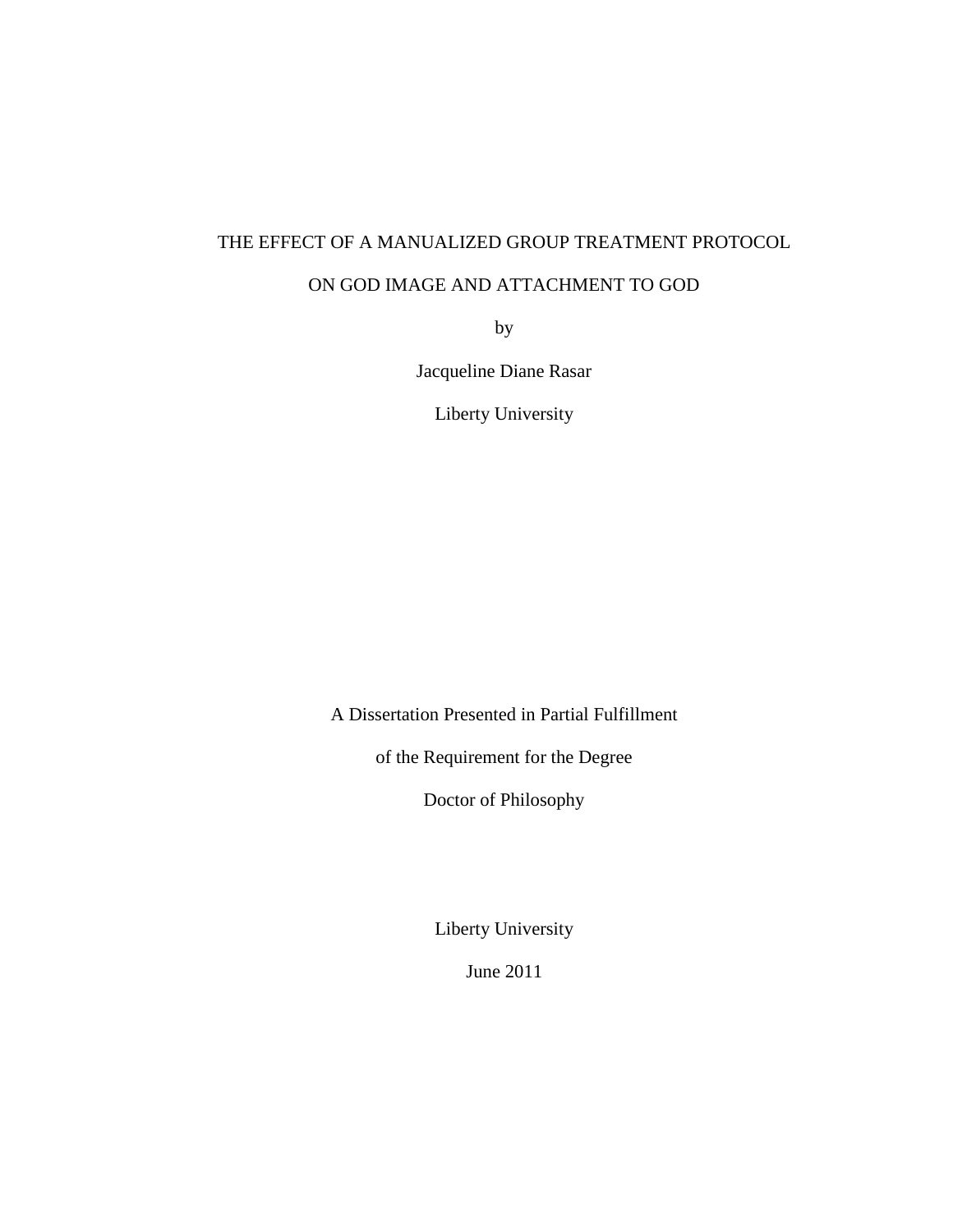# THE EFFECT OF A MANUALIZED GROUP TREATMENT PROTOCOL

# ON GOD IMAGE AND ATTACHMENT TO GOD

by

Jacqueline Diane Rasar

Liberty University

A Dissertation Presented in Partial Fulfillment

of the Requirement for the Degree

Doctor of Philosophy

Liberty University

June 2011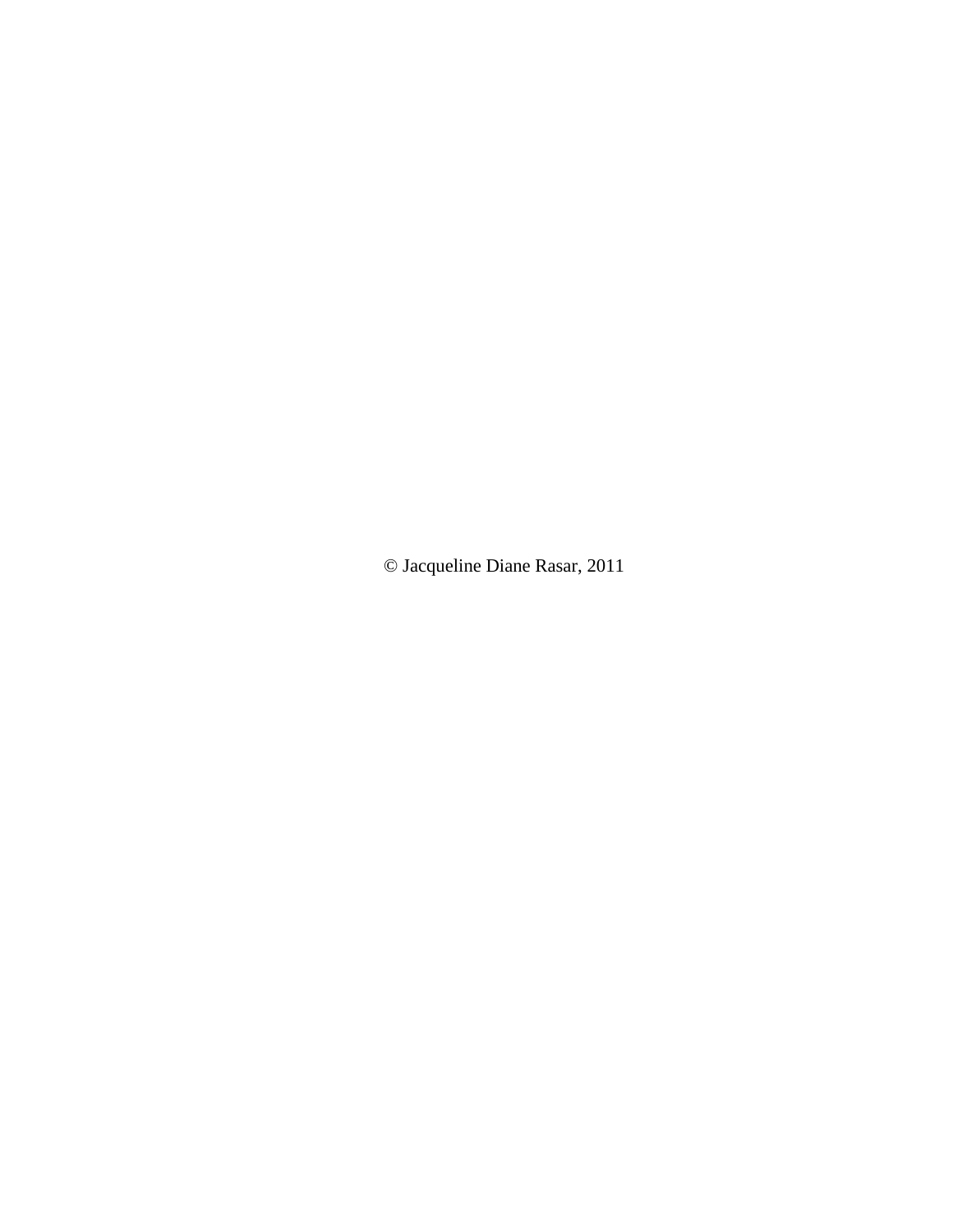© Jacqueline Diane Rasar, 2011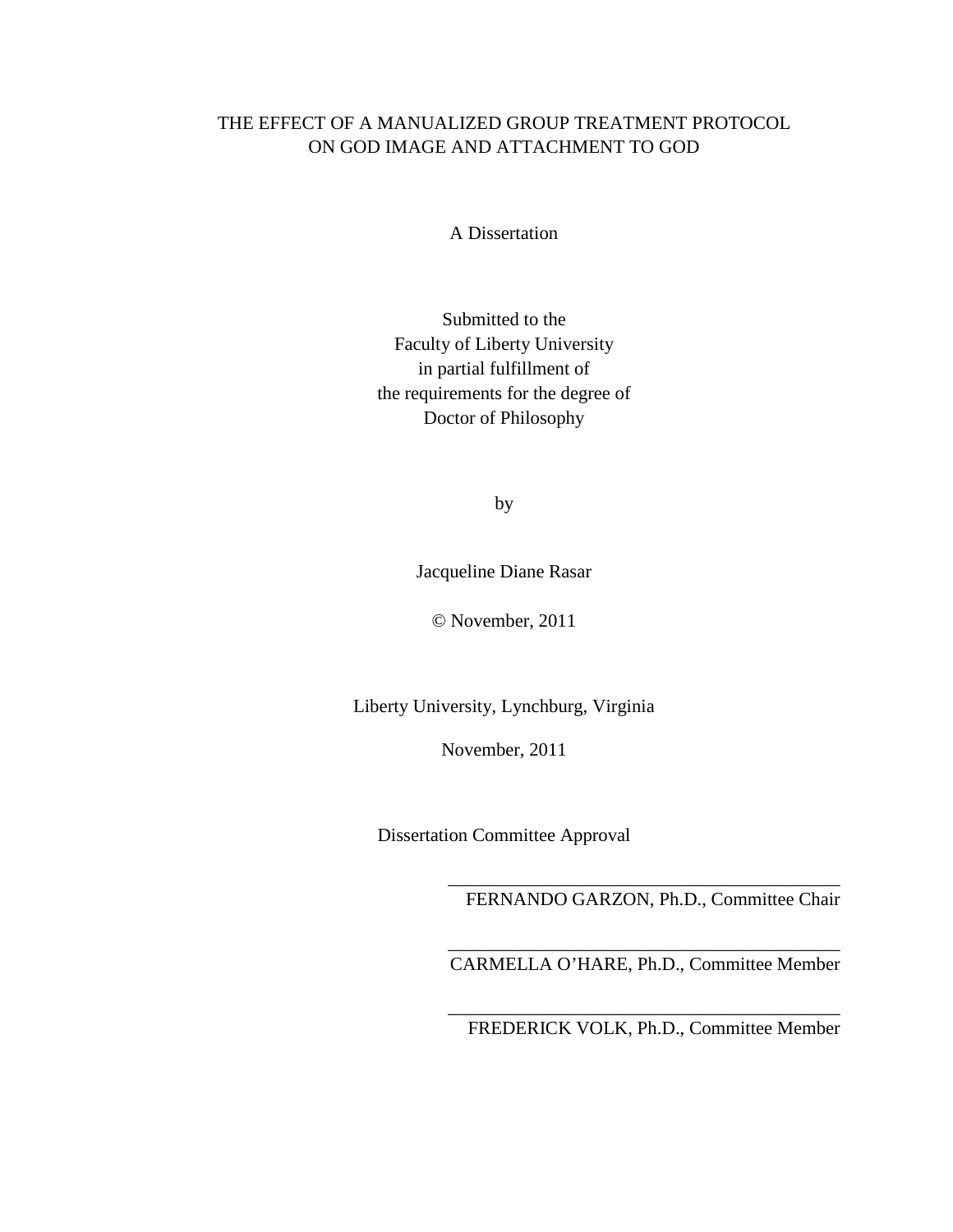# THE EFFECT OF A MANUALIZED GROUP TREATMENT PROTOCOL ON GOD IMAGE AND ATTACHMENT TO GOD

A Dissertation

Submitted to the Faculty of Liberty University in partial fulfillment of the requirements for the degree of Doctor of Philosophy

by

Jacqueline Diane Rasar

© November, 2011

Liberty University, Lynchburg, Virginia

November, 2011

Dissertation Committee Approval

\_\_\_\_\_\_\_\_\_\_\_\_\_\_\_\_\_\_\_\_\_\_\_\_\_\_\_\_\_\_\_\_\_\_\_\_\_\_\_\_\_\_ FERNANDO GARZON, Ph.D., Committee Chair

\_\_\_\_\_\_\_\_\_\_\_\_\_\_\_\_\_\_\_\_\_\_\_\_\_\_\_\_\_\_\_\_\_\_\_\_\_\_\_\_\_\_ CARMELLA O'HARE, Ph.D., Committee Member

\_\_\_\_\_\_\_\_\_\_\_\_\_\_\_\_\_\_\_\_\_\_\_\_\_\_\_\_\_\_\_\_\_\_\_\_\_\_\_\_\_\_ FREDERICK VOLK, Ph.D., Committee Member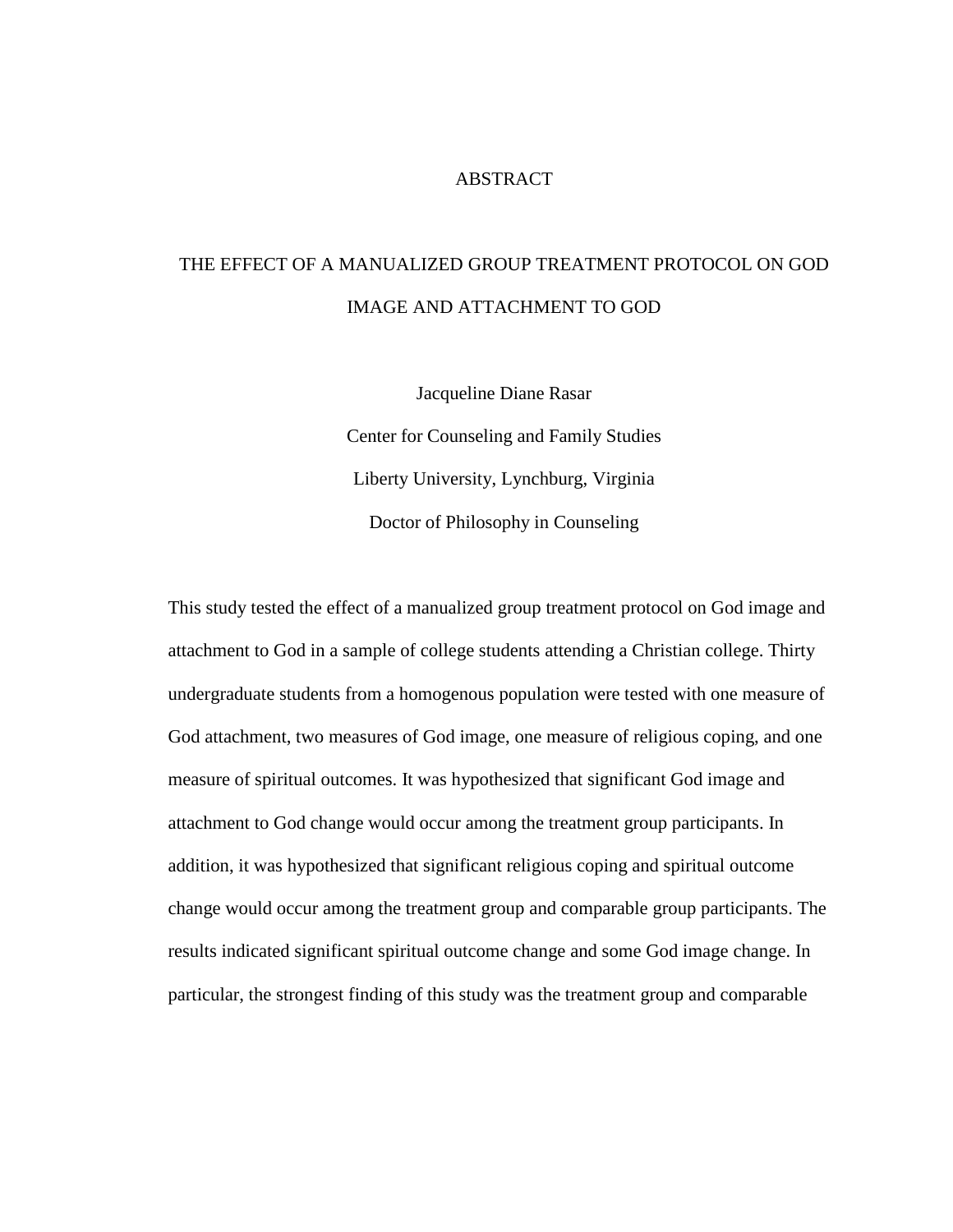#### **ABSTRACT**

# THE EFFECT OF A MANUALIZED GROUP TREATMENT PROTOCOL ON GOD IMAGE AND ATTACHMENT TO GOD

Jacqueline Diane Rasar Center for Counseling and Family Studies Liberty University, Lynchburg, Virginia Doctor of Philosophy in Counseling

This study tested the effect of a manualized group treatment protocol on God image and attachment to God in a sample of college students attending a Christian college. Thirty undergraduate students from a homogenous population were tested with one measure of God attachment, two measures of God image, one measure of religious coping, and one measure of spiritual outcomes. It was hypothesized that significant God image and attachment to God change would occur among the treatment group participants. In addition, it was hypothesized that significant religious coping and spiritual outcome change would occur among the treatment group and comparable group participants. The results indicated significant spiritual outcome change and some God image change. In particular, the strongest finding of this study was the treatment group and comparable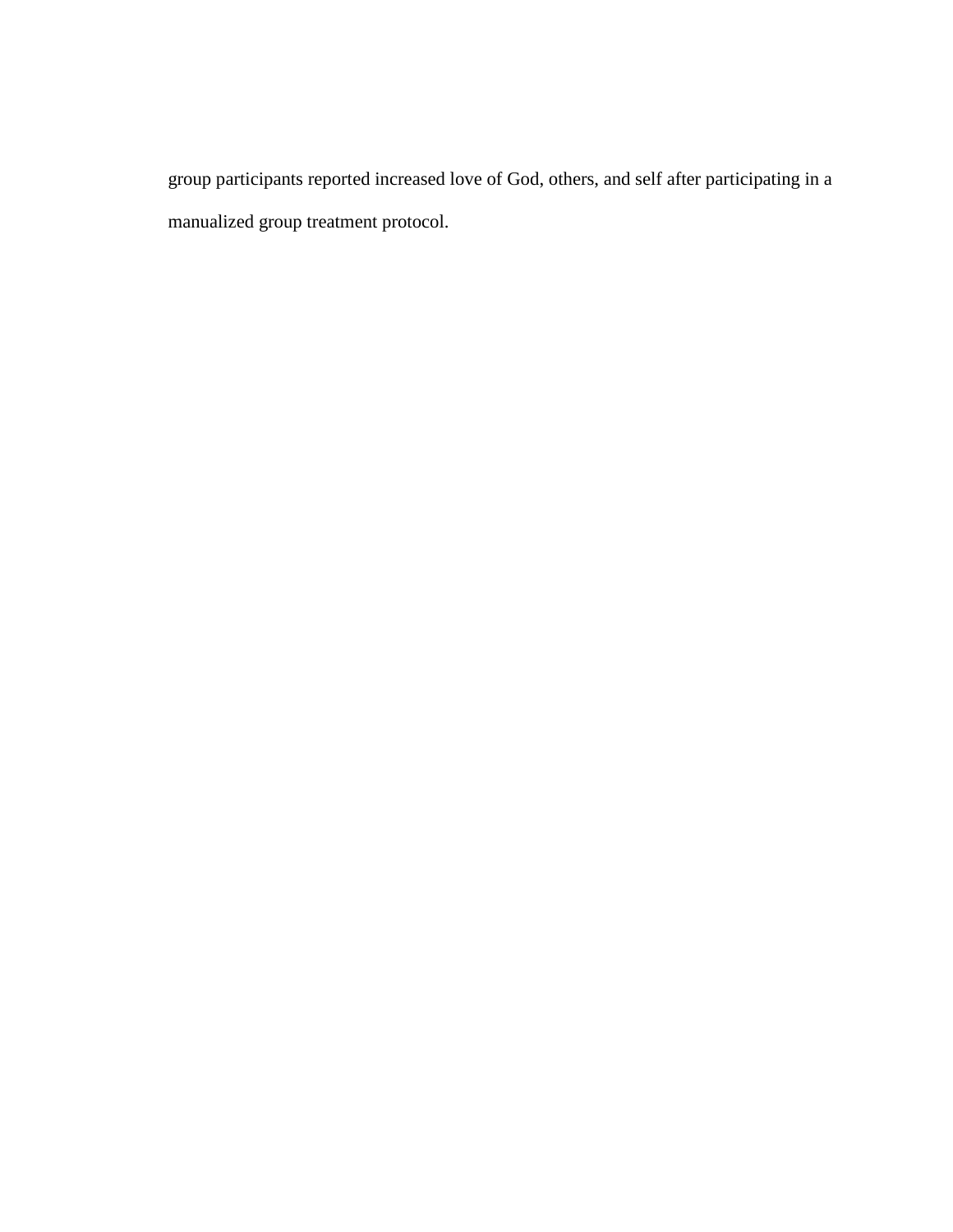group participants reported increased love of God, others, and self after participating in a manualized group treatment protocol.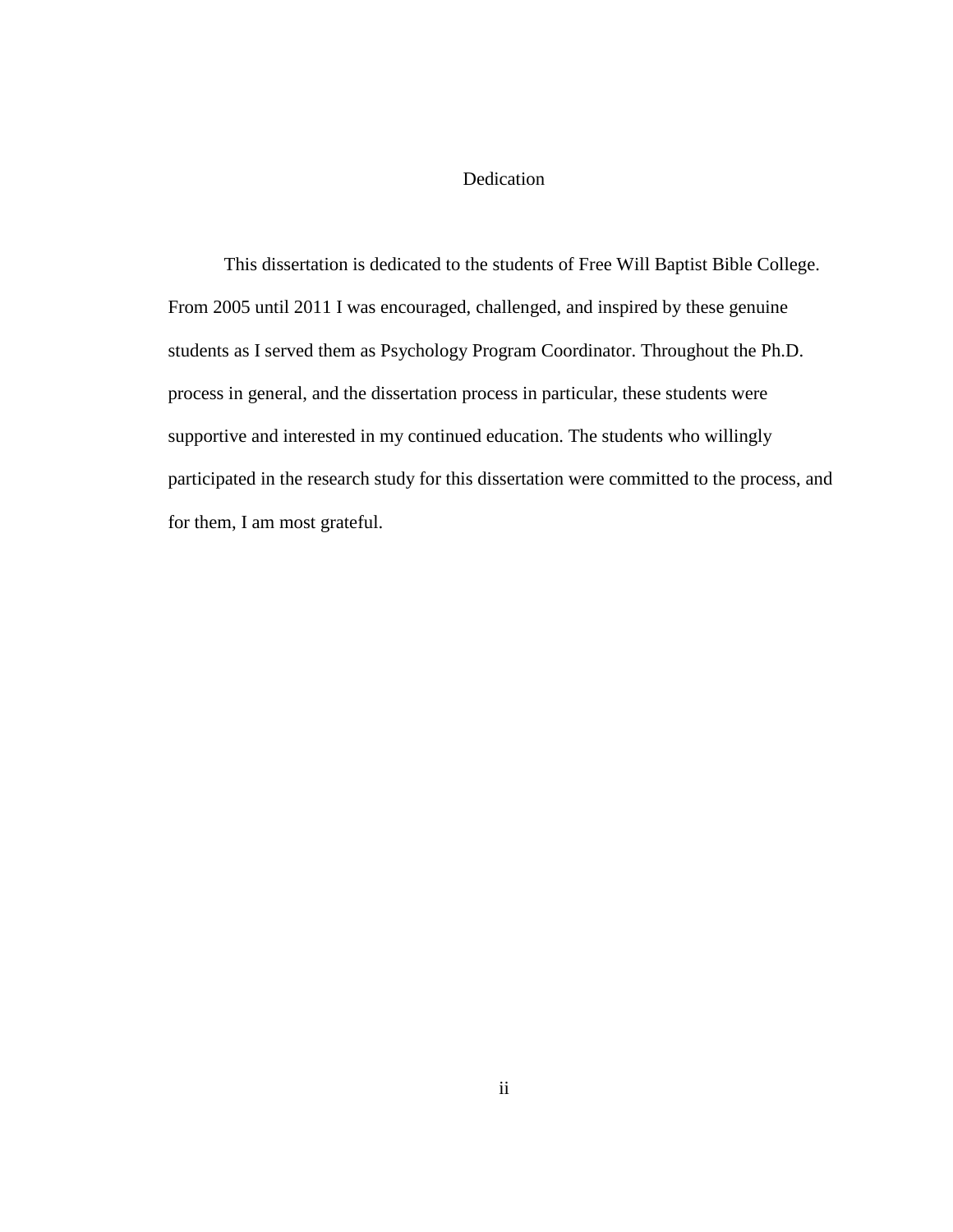## Dedication

This dissertation is dedicated to the students of Free Will Baptist Bible College. From 2005 until 2011 I was encouraged, challenged, and inspired by these genuine students as I served them as Psychology Program Coordinator. Throughout the Ph.D. process in general, and the dissertation process in particular, these students were supportive and interested in my continued education. The students who willingly participated in the research study for this dissertation were committed to the process, and for them, I am most grateful.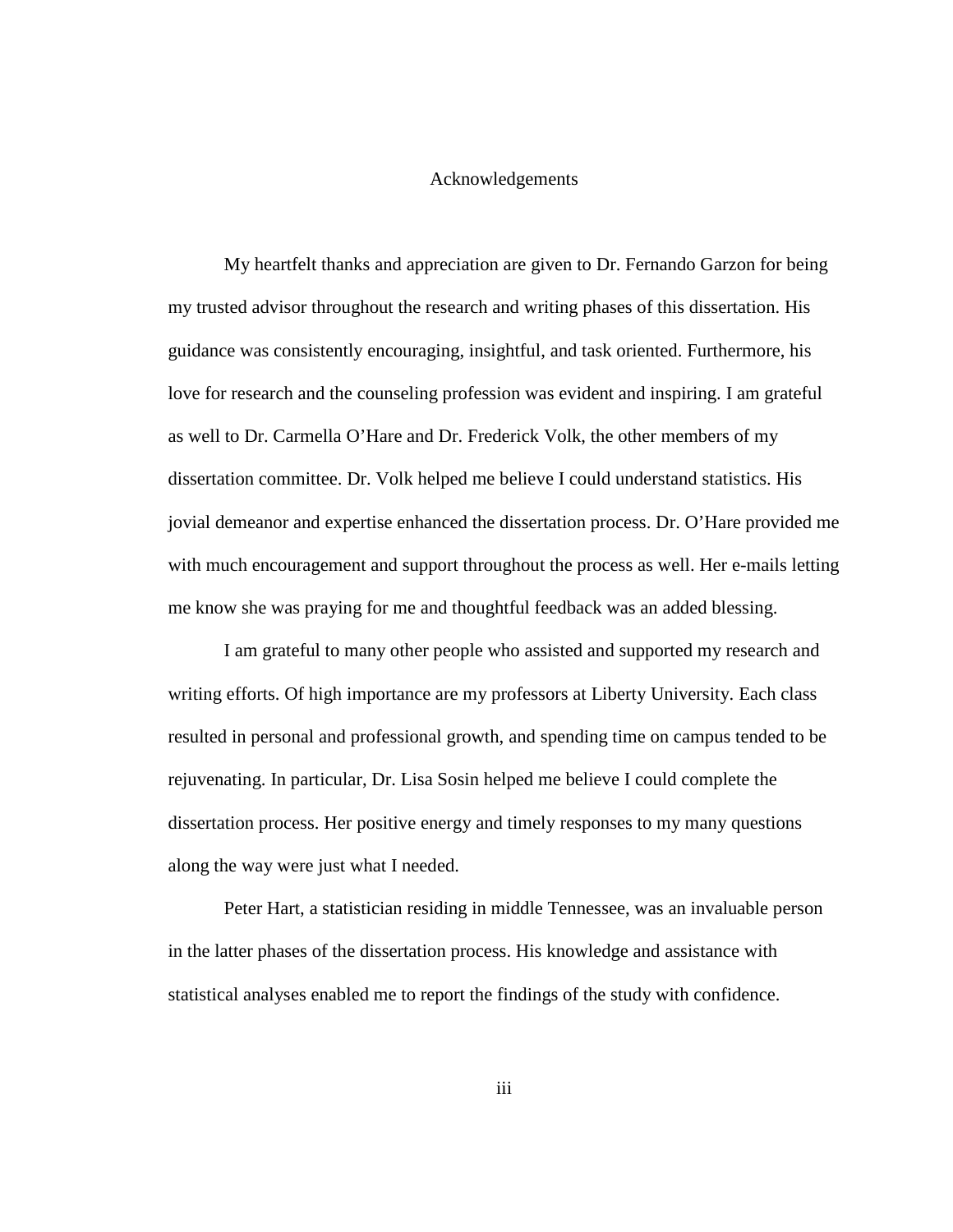#### Acknowledgements

My heartfelt thanks and appreciation are given to Dr. Fernando Garzon for being my trusted advisor throughout the research and writing phases of this dissertation. His guidance was consistently encouraging, insightful, and task oriented. Furthermore, his love for research and the counseling profession was evident and inspiring. I am grateful as well to Dr. Carmella O'Hare and Dr. Frederick Volk, the other members of my dissertation committee. Dr. Volk helped me believe I could understand statistics. His jovial demeanor and expertise enhanced the dissertation process. Dr. O'Hare provided me with much encouragement and support throughout the process as well. Her e-mails letting me know she was praying for me and thoughtful feedback was an added blessing.

I am grateful to many other people who assisted and supported my research and writing efforts. Of high importance are my professors at Liberty University. Each class resulted in personal and professional growth, and spending time on campus tended to be rejuvenating. In particular, Dr. Lisa Sosin helped me believe I could complete the dissertation process. Her positive energy and timely responses to my many questions along the way were just what I needed.

Peter Hart, a statistician residing in middle Tennessee, was an invaluable person in the latter phases of the dissertation process. His knowledge and assistance with statistical analyses enabled me to report the findings of the study with confidence.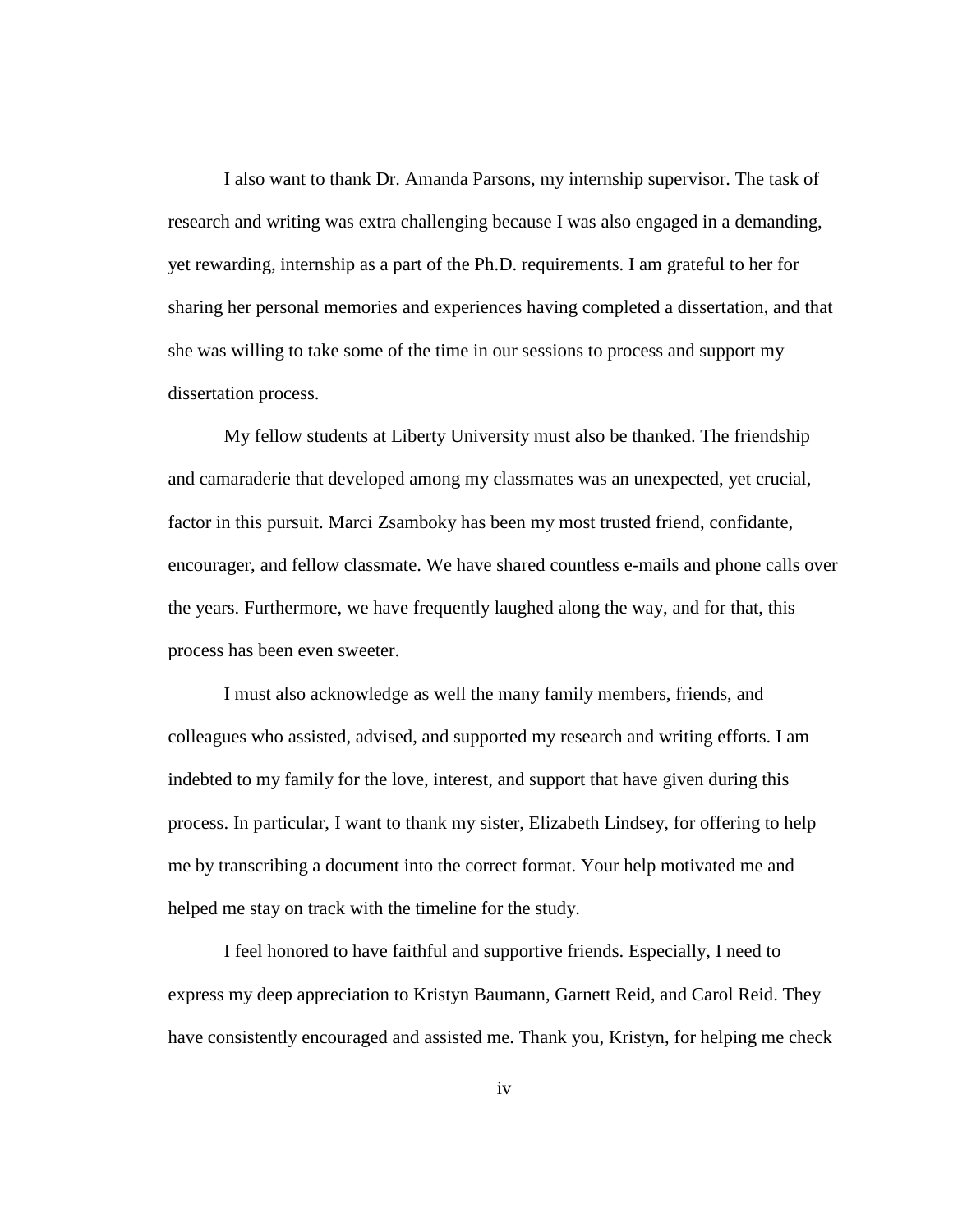I also want to thank Dr. Amanda Parsons, my internship supervisor. The task of research and writing was extra challenging because I was also engaged in a demanding, yet rewarding, internship as a part of the Ph.D. requirements. I am grateful to her for sharing her personal memories and experiences having completed a dissertation, and that she was willing to take some of the time in our sessions to process and support my dissertation process.

My fellow students at Liberty University must also be thanked. The friendship and camaraderie that developed among my classmates was an unexpected, yet crucial, factor in this pursuit. Marci Zsamboky has been my most trusted friend, confidante, encourager, and fellow classmate. We have shared countless e-mails and phone calls over the years. Furthermore, we have frequently laughed along the way, and for that, this process has been even sweeter.

I must also acknowledge as well the many family members, friends, and colleagues who assisted, advised, and supported my research and writing efforts. I am indebted to my family for the love, interest, and support that have given during this process. In particular, I want to thank my sister, Elizabeth Lindsey, for offering to help me by transcribing a document into the correct format. Your help motivated me and helped me stay on track with the timeline for the study.

I feel honored to have faithful and supportive friends. Especially, I need to express my deep appreciation to Kristyn Baumann, Garnett Reid, and Carol Reid. They have consistently encouraged and assisted me. Thank you, Kristyn, for helping me check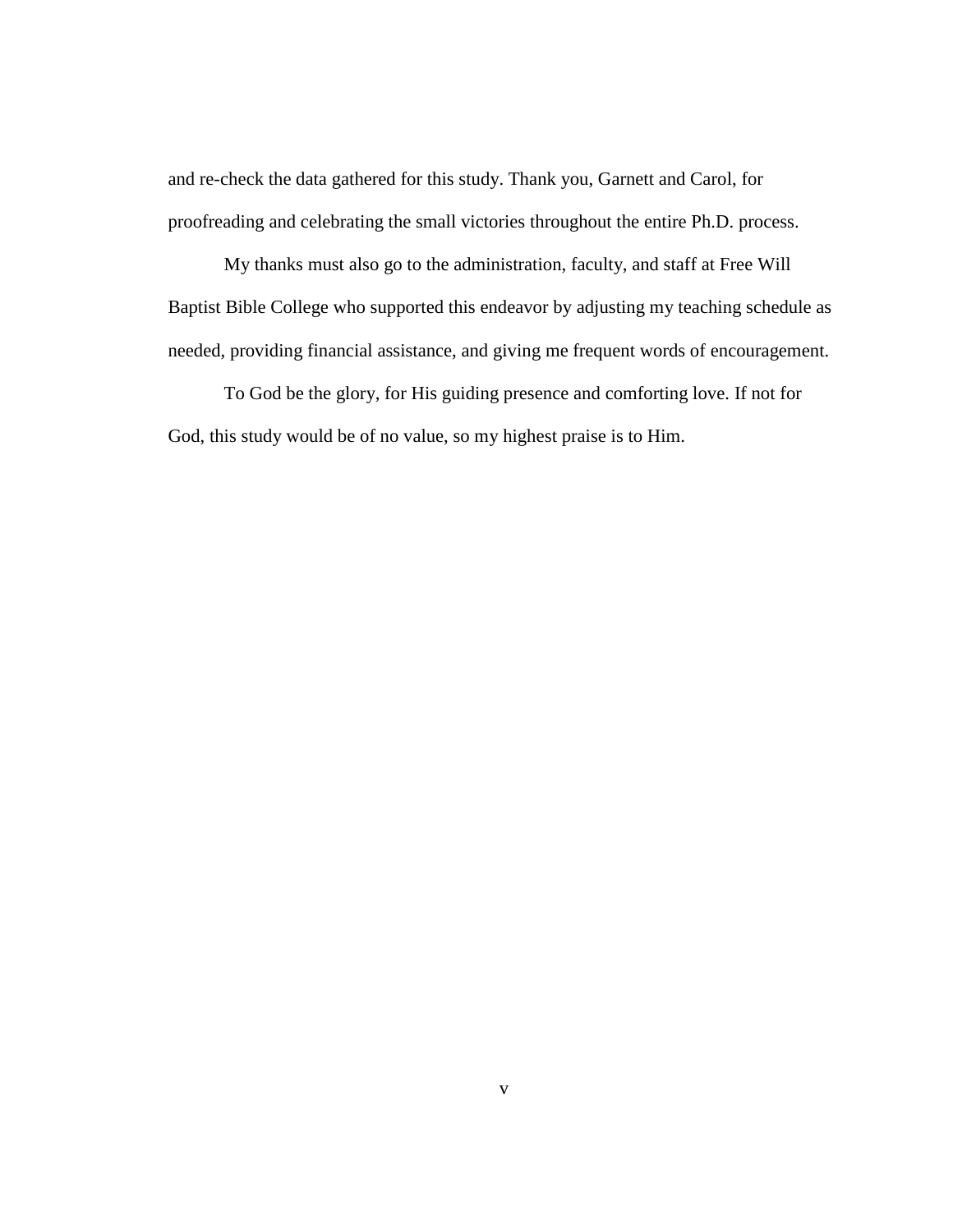and re-check the data gathered for this study. Thank you, Garnett and Carol, for proofreading and celebrating the small victories throughout the entire Ph.D. process.

 My thanks must also go to the administration, faculty, and staff at Free Will Baptist Bible College who supported this endeavor by adjusting my teaching schedule as needed, providing financial assistance, and giving me frequent words of encouragement.

 To God be the glory, for His guiding presence and comforting love. If not for God, this study would be of no value, so my highest praise is to Him.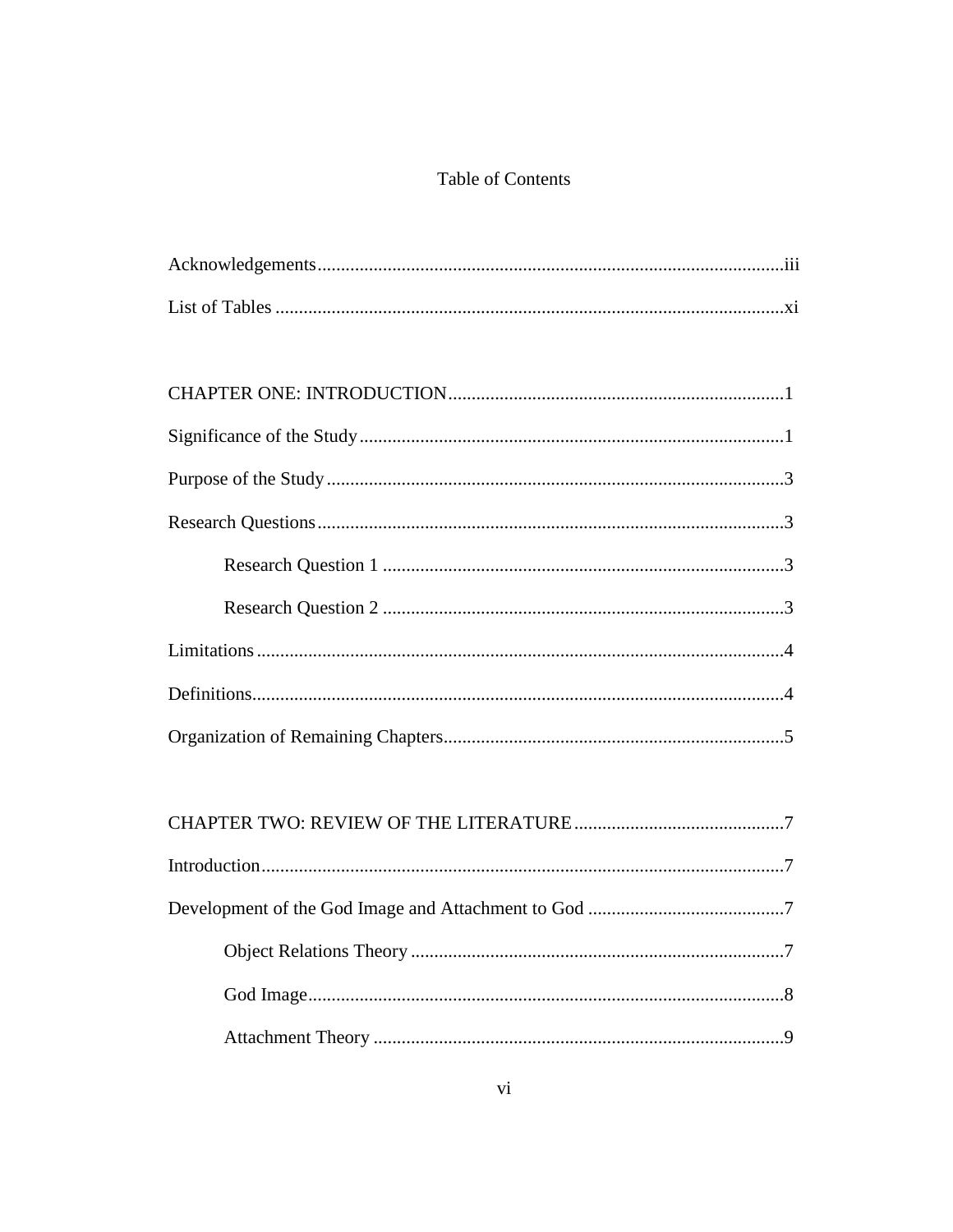# Table of Contents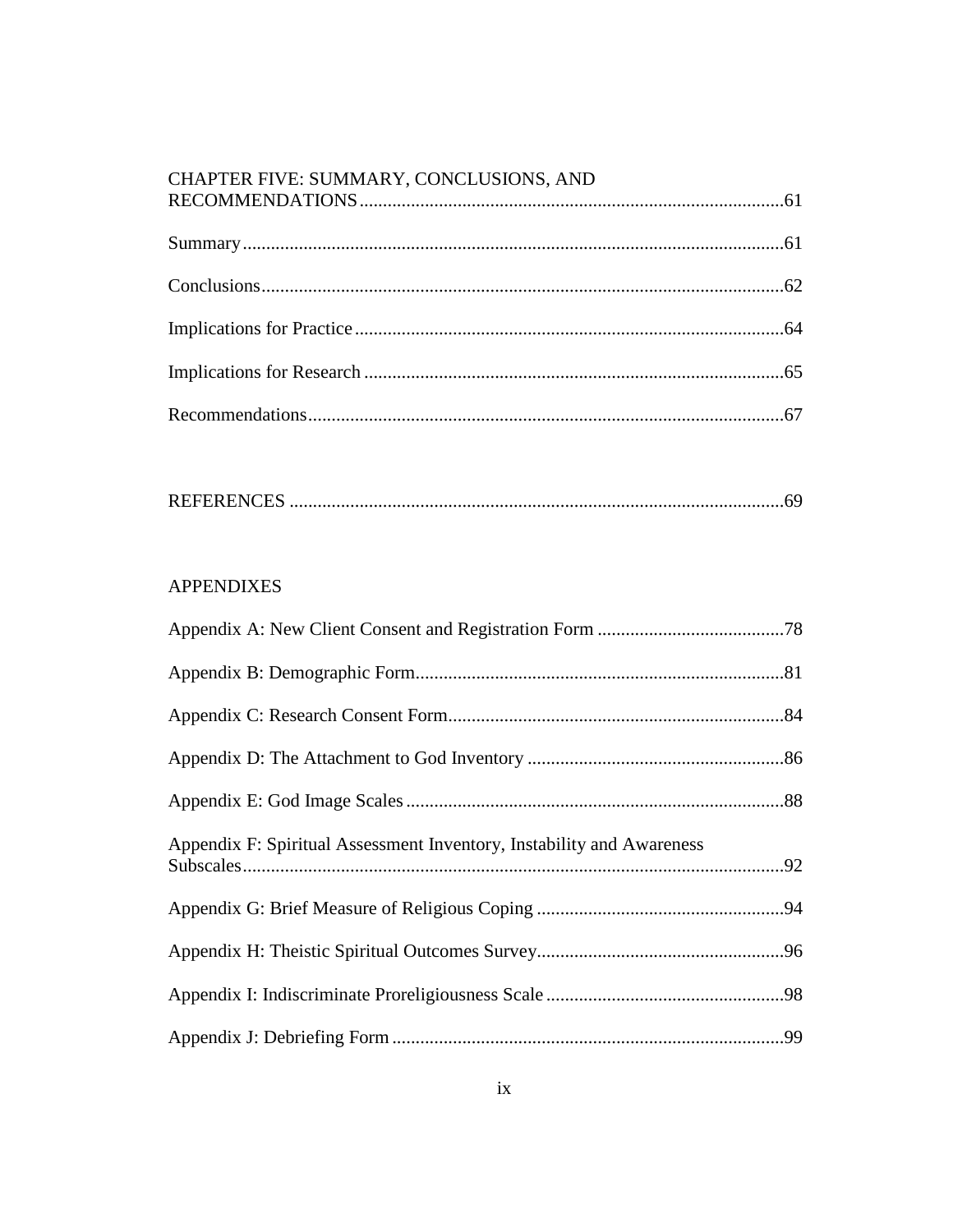# CHAPTER FIVE: SUMMARY, CONCLUSIONS, AND RECOMMENDATIONS.

|--|--|

# **APPENDIXES**

| Appendix F: Spiritual Assessment Inventory, Instability and Awareness |  |
|-----------------------------------------------------------------------|--|
|                                                                       |  |
|                                                                       |  |
|                                                                       |  |
|                                                                       |  |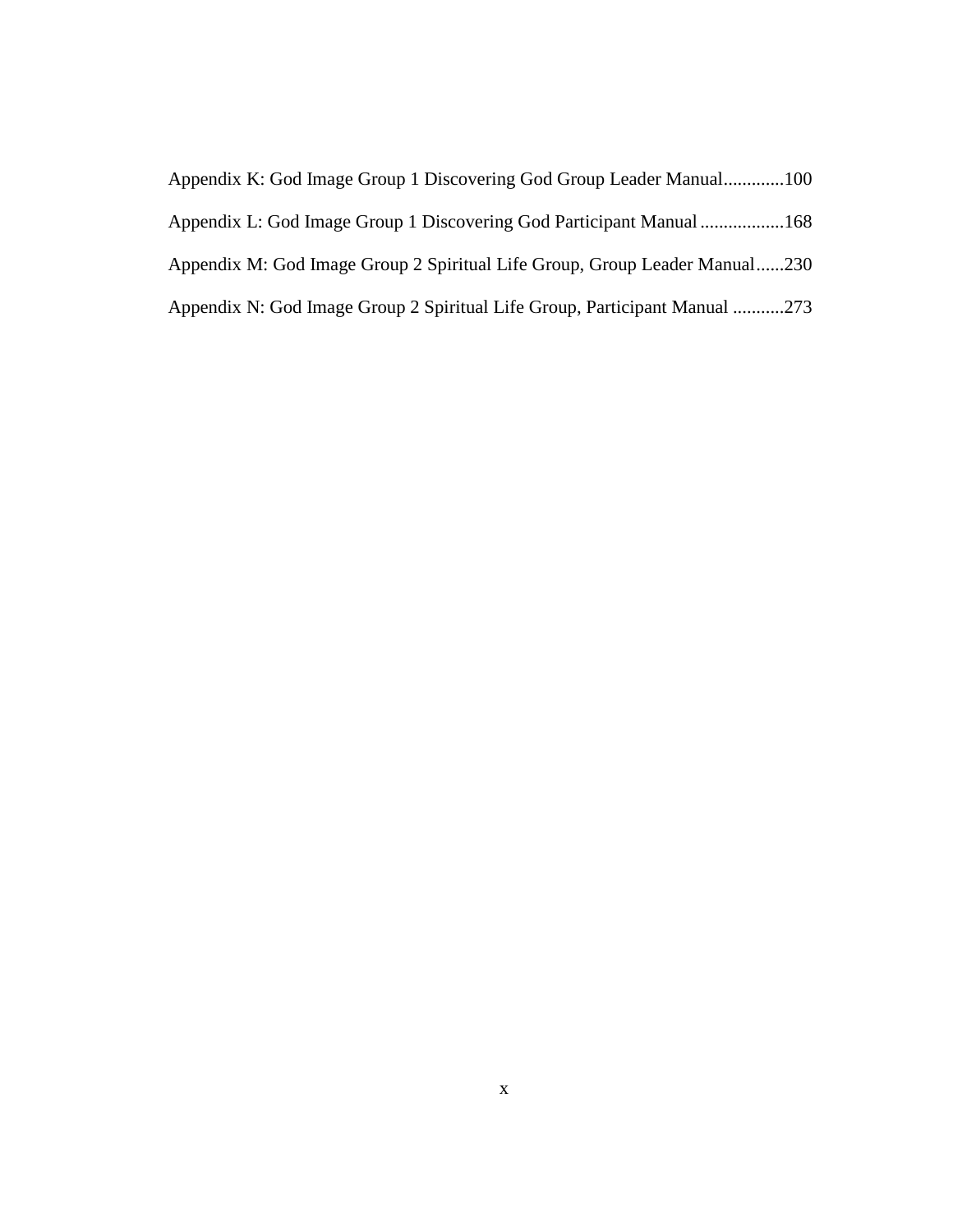| Appendix K: God Image Group 1 Discovering God Group Leader Manual100       |  |
|----------------------------------------------------------------------------|--|
| Appendix L: God Image Group 1 Discovering God Participant Manual 168       |  |
| Appendix M: God Image Group 2 Spiritual Life Group, Group Leader Manual230 |  |
| Appendix N: God Image Group 2 Spiritual Life Group, Participant Manual 273 |  |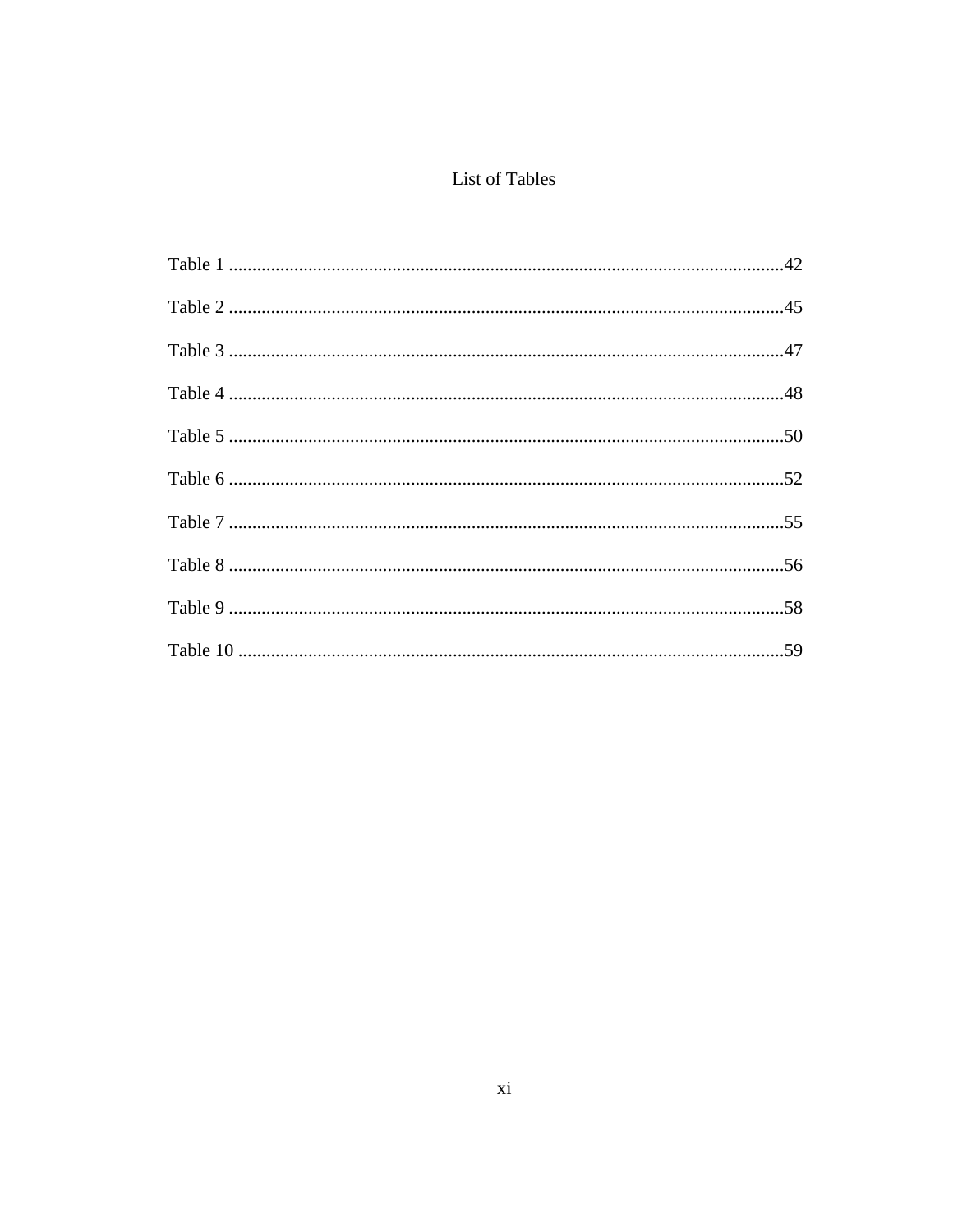# List of Tables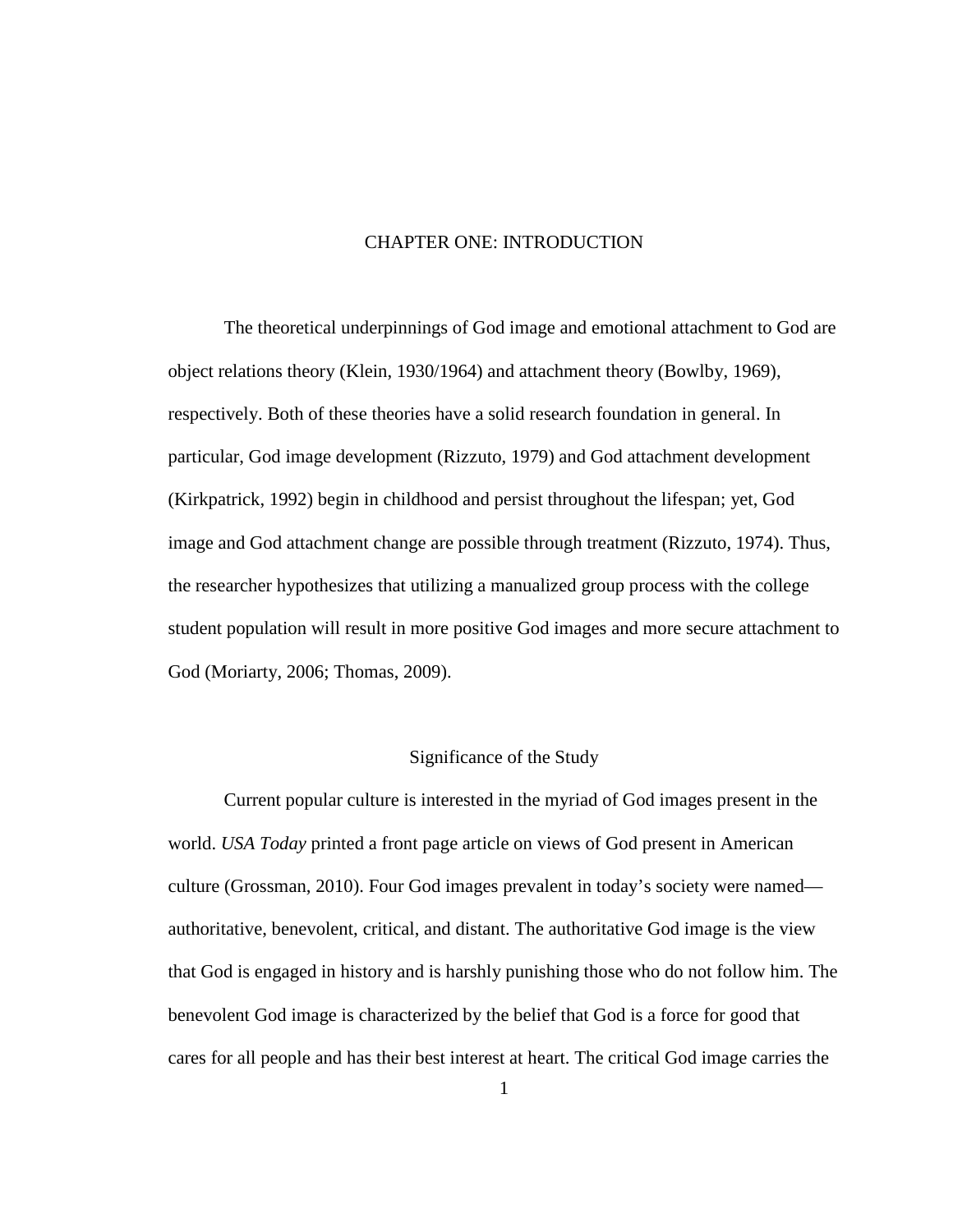#### CHAPTER ONE: INTRODUCTION

The theoretical underpinnings of God image and emotional attachment to God are object relations theory (Klein, 1930/1964) and attachment theory (Bowlby, 1969), respectively. Both of these theories have a solid research foundation in general. In particular, God image development (Rizzuto, 1979) and God attachment development (Kirkpatrick, 1992) begin in childhood and persist throughout the lifespan; yet, God image and God attachment change are possible through treatment (Rizzuto, 1974). Thus, the researcher hypothesizes that utilizing a manualized group process with the college student population will result in more positive God images and more secure attachment to God (Moriarty, 2006; Thomas, 2009).

#### Significance of the Study

Current popular culture is interested in the myriad of God images present in the world. *USA Today* printed a front page article on views of God present in American culture (Grossman, 2010). Four God images prevalent in today's society were named authoritative, benevolent, critical, and distant. The authoritative God image is the view that God is engaged in history and is harshly punishing those who do not follow him. The benevolent God image is characterized by the belief that God is a force for good that cares for all people and has their best interest at heart. The critical God image carries the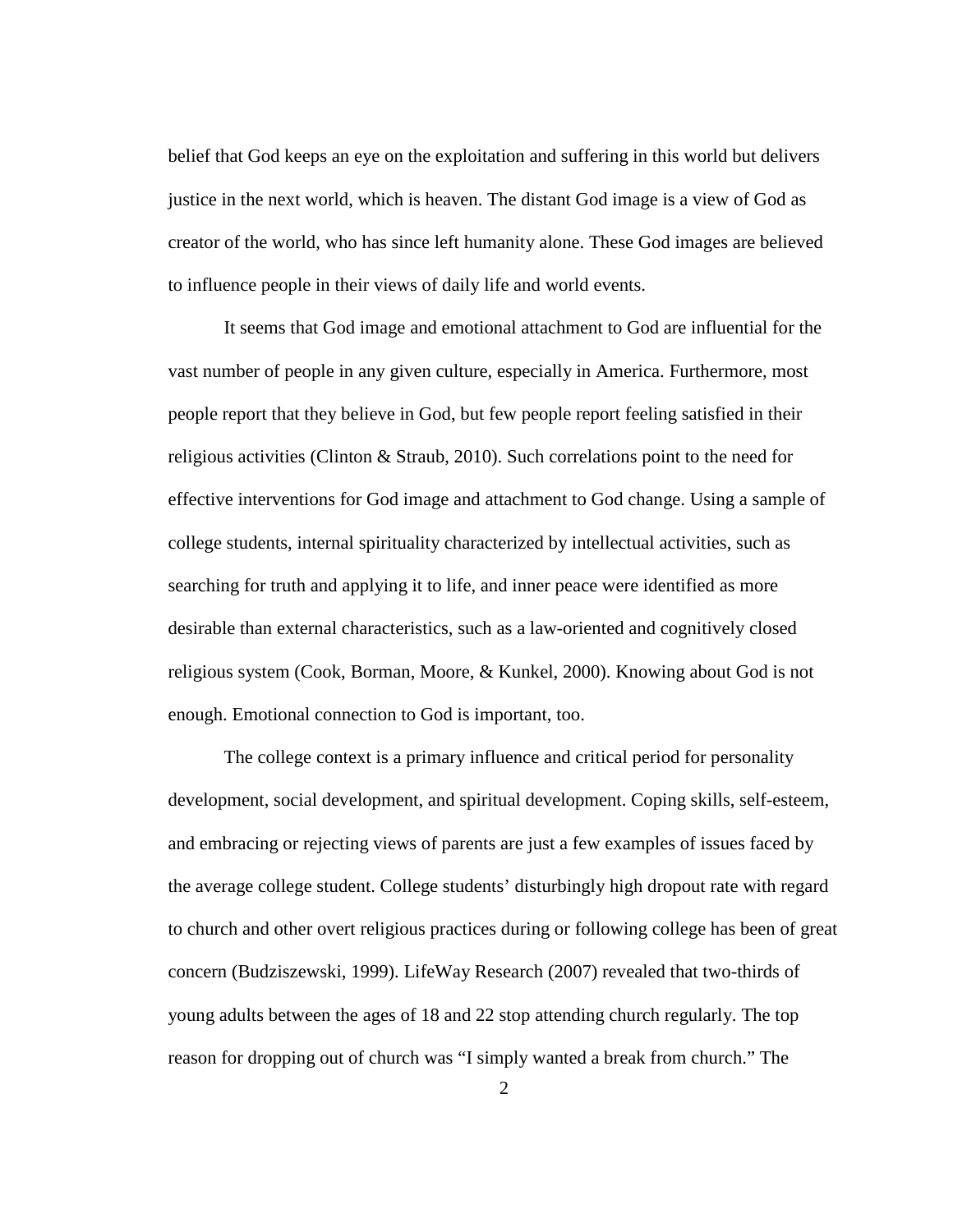belief that God keeps an eye on the exploitation and suffering in this world but delivers justice in the next world, which is heaven. The distant God image is a view of God as creator of the world, who has since left humanity alone. These God images are believed to influence people in their views of daily life and world events.

It seems that God image and emotional attachment to God are influential for the vast number of people in any given culture, especially in America. Furthermore, most people report that they believe in God, but few people report feeling satisfied in their religious activities (Clinton & Straub, 2010). Such correlations point to the need for effective interventions for God image and attachment to God change. Using a sample of college students, internal spirituality characterized by intellectual activities, such as searching for truth and applying it to life, and inner peace were identified as more desirable than external characteristics, such as a law-oriented and cognitively closed religious system (Cook, Borman, Moore, & Kunkel, 2000). Knowing about God is not enough. Emotional connection to God is important, too.

The college context is a primary influence and critical period for personality development, social development, and spiritual development. Coping skills, self-esteem, and embracing or rejecting views of parents are just a few examples of issues faced by the average college student. College students' disturbingly high dropout rate with regard to church and other overt religious practices during or following college has been of great concern (Budziszewski, 1999). LifeWay Research (2007) revealed that two-thirds of young adults between the ages of 18 and 22 stop attending church regularly. The top reason for dropping out of church was "I simply wanted a break from church." The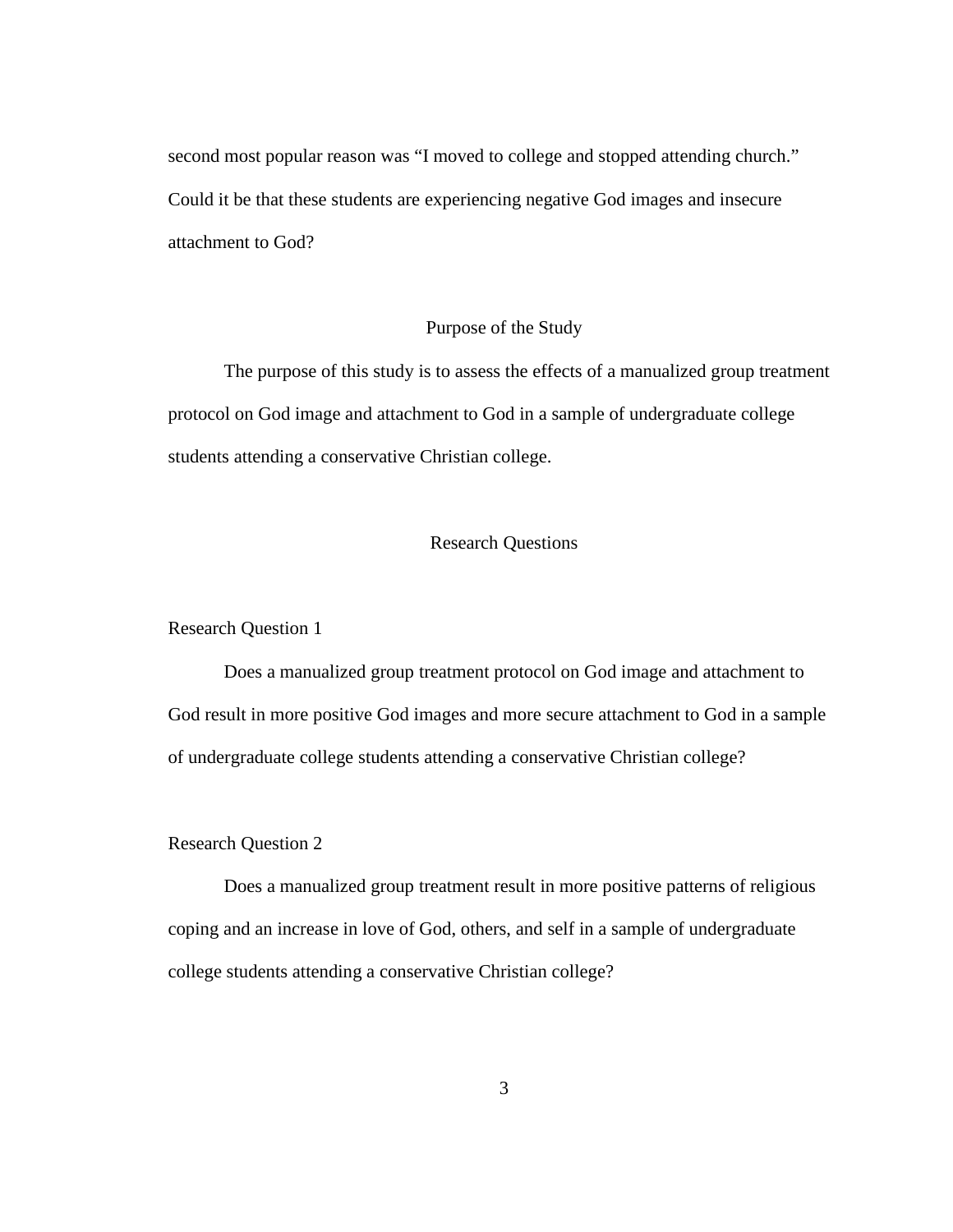second most popular reason was "I moved to college and stopped attending church." Could it be that these students are experiencing negative God images and insecure attachment to God?

#### Purpose of the Study

The purpose of this study is to assess the effects of a manualized group treatment protocol on God image and attachment to God in a sample of undergraduate college students attending a conservative Christian college.

# Research Questions

Research Question 1

Does a manualized group treatment protocol on God image and attachment to God result in more positive God images and more secure attachment to God in a sample of undergraduate college students attending a conservative Christian college?

## Research Question 2

Does a manualized group treatment result in more positive patterns of religious coping and an increase in love of God, others, and self in a sample of undergraduate college students attending a conservative Christian college?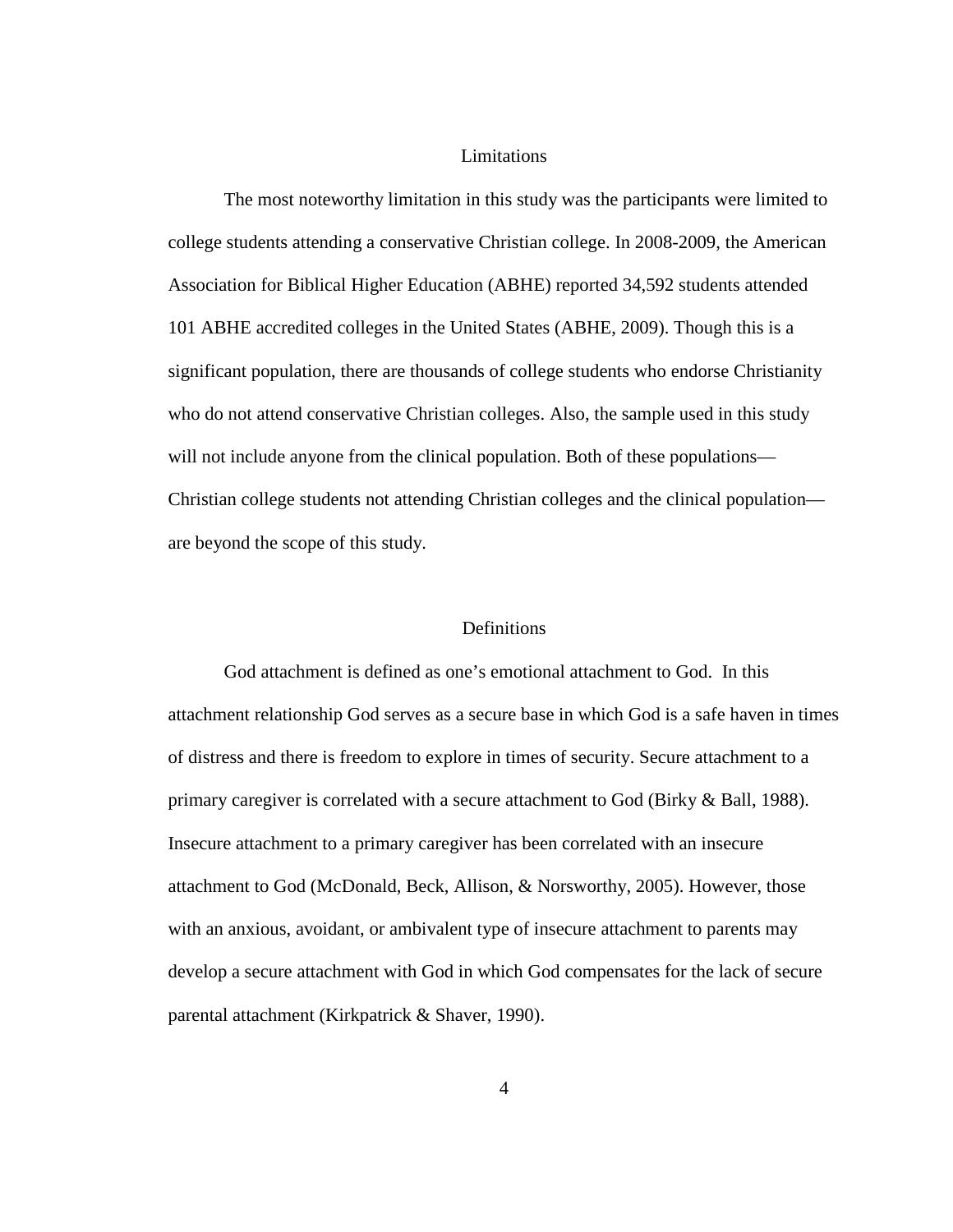#### Limitations

 The most noteworthy limitation in this study was the participants were limited to college students attending a conservative Christian college. In 2008-2009, the American Association for Biblical Higher Education (ABHE) reported 34,592 students attended 101 ABHE accredited colleges in the United States (ABHE, 2009). Though this is a significant population, there are thousands of college students who endorse Christianity who do not attend conservative Christian colleges. Also, the sample used in this study will not include anyone from the clinical population. Both of these populations— Christian college students not attending Christian colleges and the clinical population are beyond the scope of this study.

#### **Definitions**

God attachment is defined as one's emotional attachment to God. In this attachment relationship God serves as a secure base in which God is a safe haven in times of distress and there is freedom to explore in times of security. Secure attachment to a primary caregiver is correlated with a secure attachment to God (Birky & Ball, 1988). Insecure attachment to a primary caregiver has been correlated with an insecure attachment to God (McDonald, Beck, Allison, & Norsworthy, 2005). However, those with an anxious, avoidant, or ambivalent type of insecure attachment to parents may develop a secure attachment with God in which God compensates for the lack of secure parental attachment (Kirkpatrick & Shaver, 1990).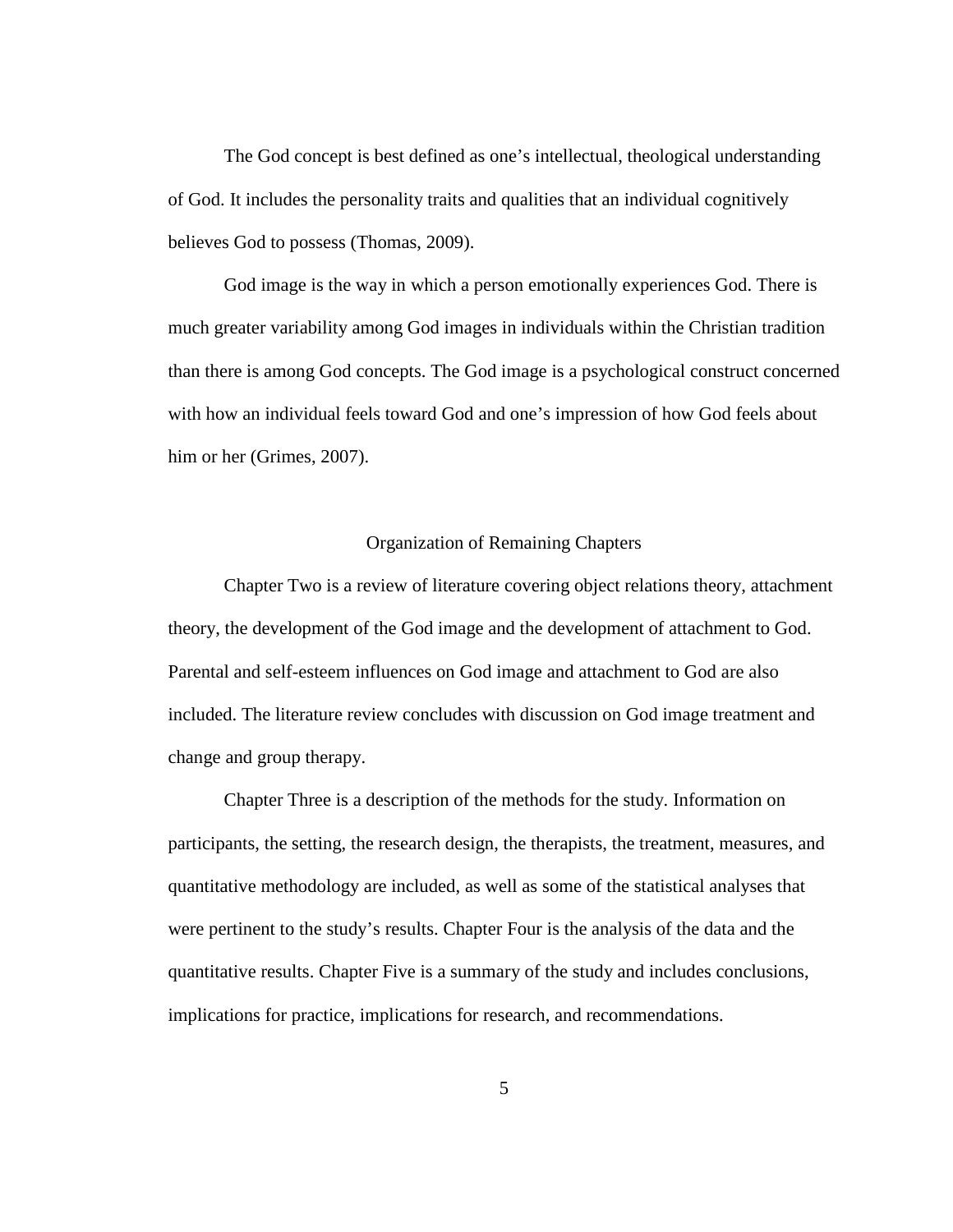The God concept is best defined as one's intellectual, theological understanding of God. It includes the personality traits and qualities that an individual cognitively believes God to possess (Thomas, 2009).

God image is the way in which a person emotionally experiences God. There is much greater variability among God images in individuals within the Christian tradition than there is among God concepts. The God image is a psychological construct concerned with how an individual feels toward God and one's impression of how God feels about him or her (Grimes, 2007).

# Organization of Remaining Chapters

Chapter Two is a review of literature covering object relations theory, attachment theory, the development of the God image and the development of attachment to God. Parental and self-esteem influences on God image and attachment to God are also included. The literature review concludes with discussion on God image treatment and change and group therapy.

Chapter Three is a description of the methods for the study. Information on participants, the setting, the research design, the therapists, the treatment, measures, and quantitative methodology are included, as well as some of the statistical analyses that were pertinent to the study's results. Chapter Four is the analysis of the data and the quantitative results. Chapter Five is a summary of the study and includes conclusions, implications for practice, implications for research, and recommendations.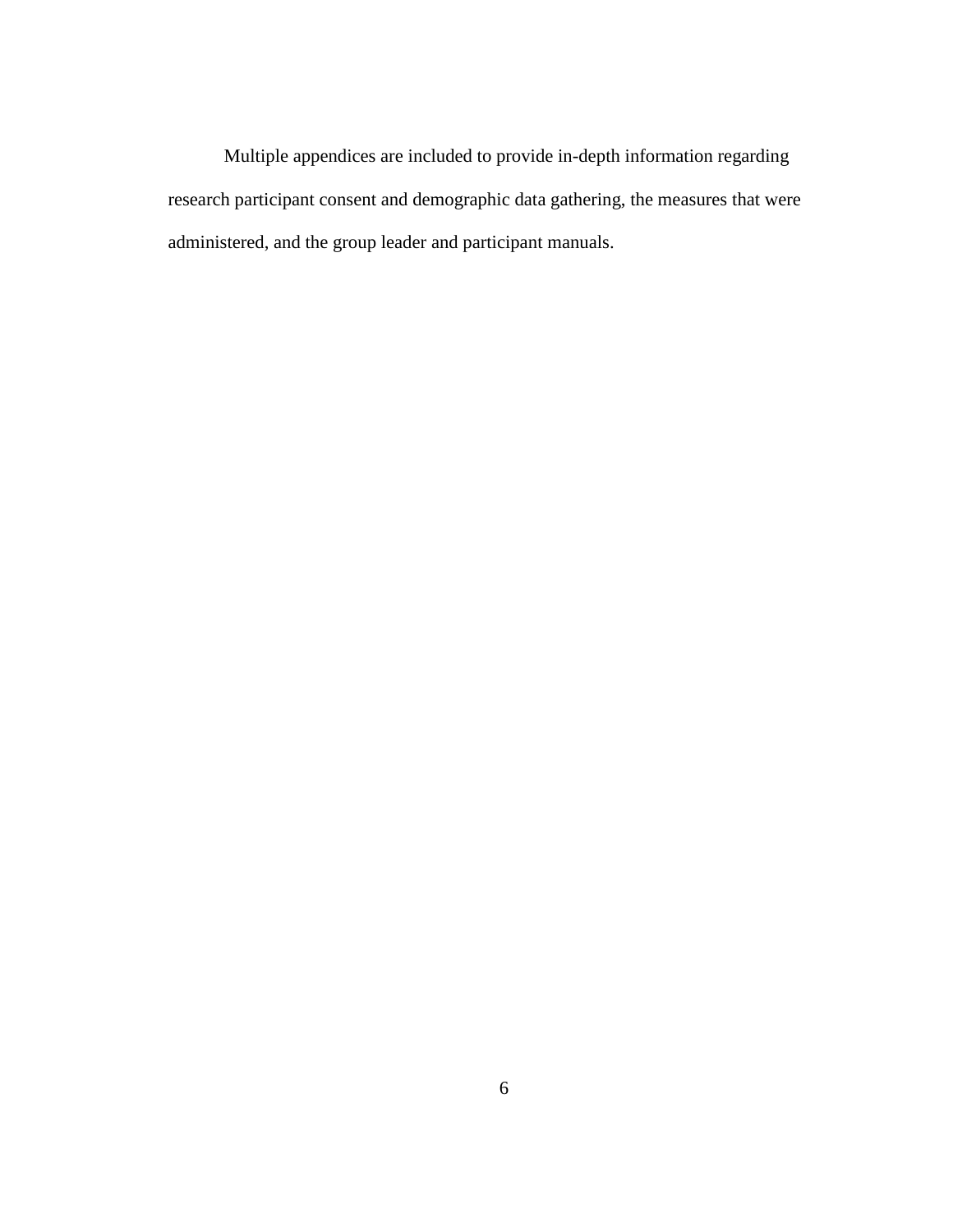Multiple appendices are included to provide in-depth information regarding research participant consent and demographic data gathering, the measures that were administered, and the group leader and participant manuals.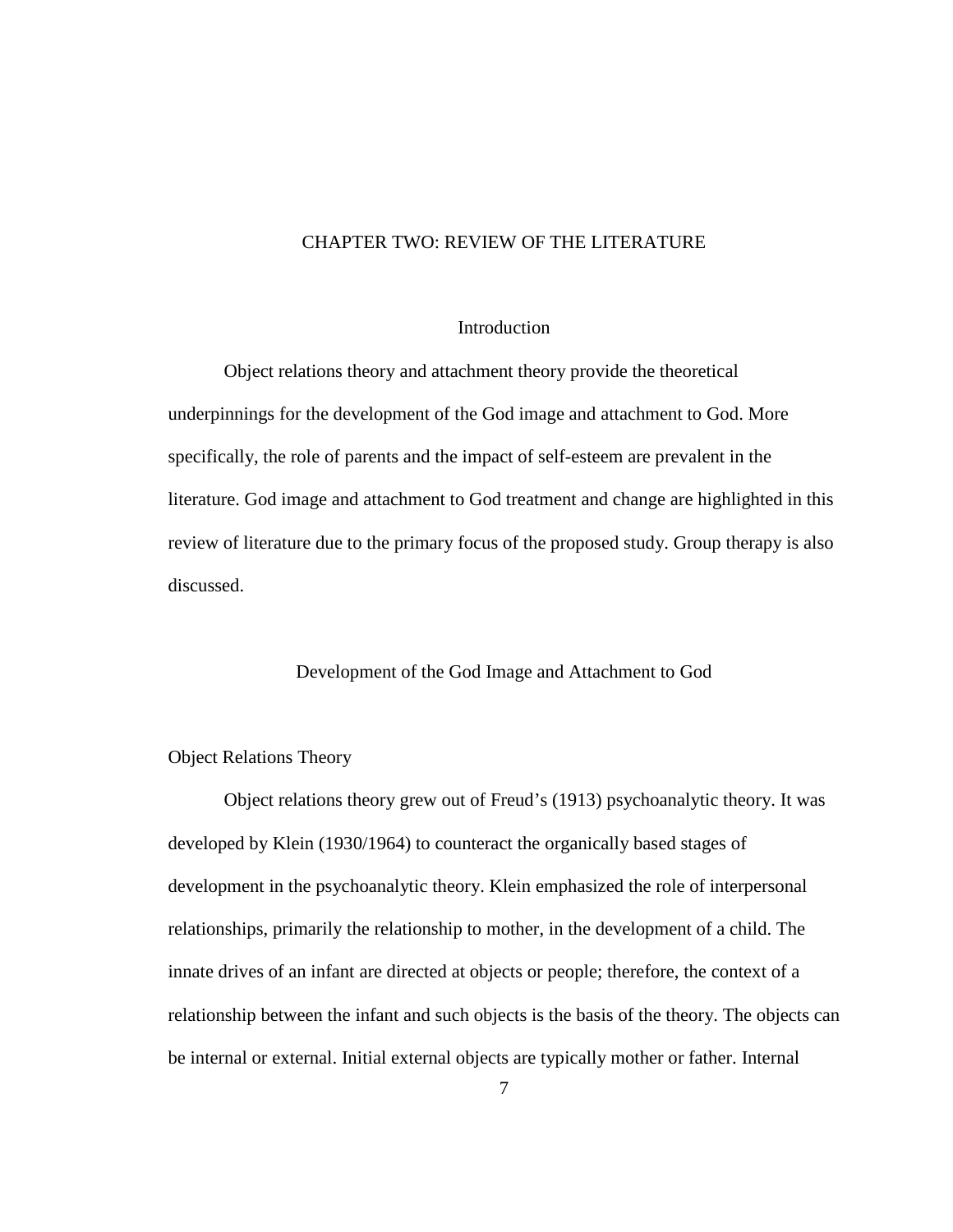# CHAPTER TWO: REVIEW OF THE LITERATURE

#### **Introduction**

 Object relations theory and attachment theory provide the theoretical underpinnings for the development of the God image and attachment to God. More specifically, the role of parents and the impact of self-esteem are prevalent in the literature. God image and attachment to God treatment and change are highlighted in this review of literature due to the primary focus of the proposed study. Group therapy is also discussed.

#### Development of the God Image and Attachment to God

#### Object Relations Theory

Object relations theory grew out of Freud's (1913) psychoanalytic theory. It was developed by Klein (1930/1964) to counteract the organically based stages of development in the psychoanalytic theory. Klein emphasized the role of interpersonal relationships, primarily the relationship to mother, in the development of a child. The innate drives of an infant are directed at objects or people; therefore, the context of a relationship between the infant and such objects is the basis of the theory. The objects can be internal or external. Initial external objects are typically mother or father. Internal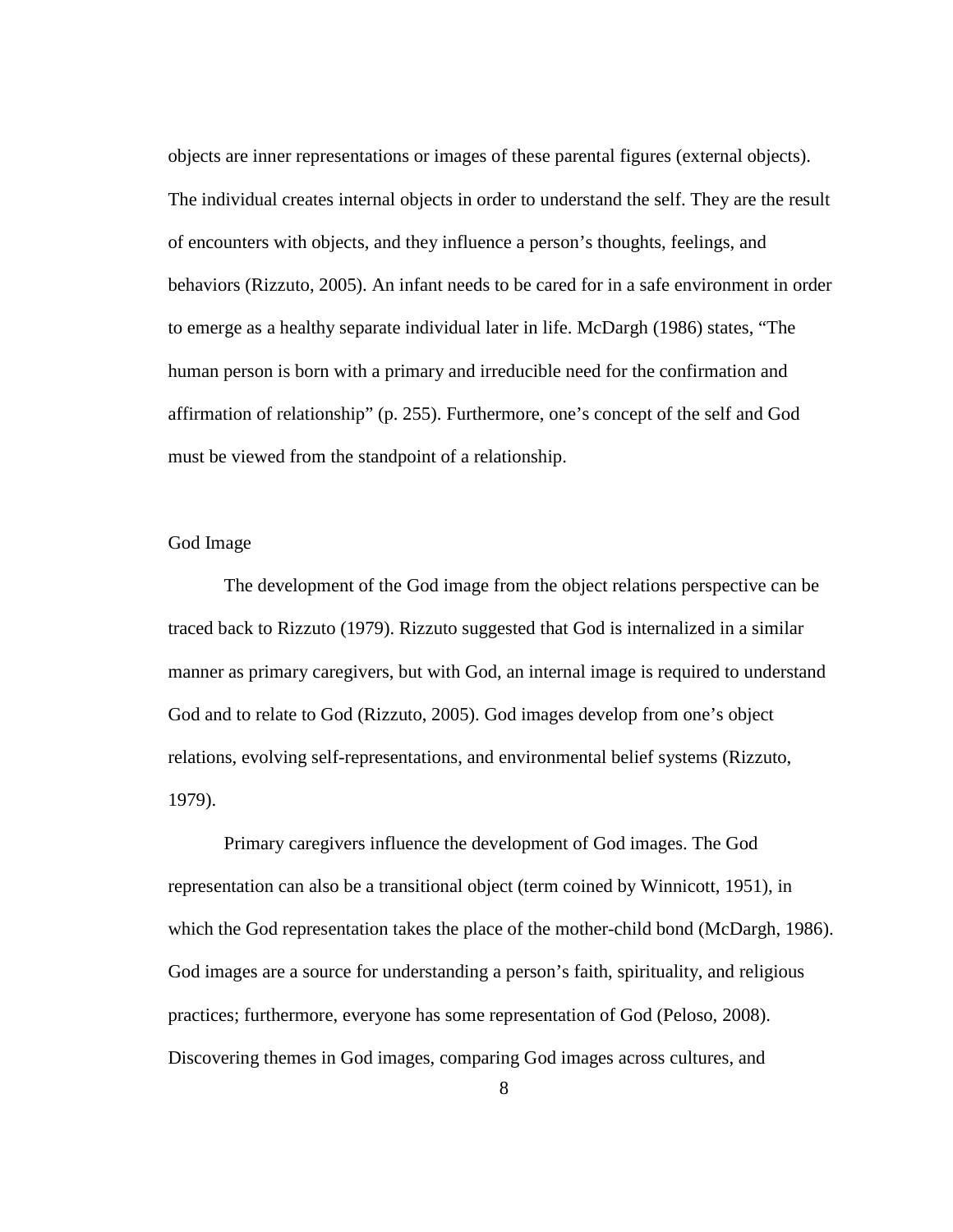objects are inner representations or images of these parental figures (external objects). The individual creates internal objects in order to understand the self. They are the result of encounters with objects, and they influence a person's thoughts, feelings, and behaviors (Rizzuto, 2005). An infant needs to be cared for in a safe environment in order to emerge as a healthy separate individual later in life. McDargh (1986) states, "The human person is born with a primary and irreducible need for the confirmation and affirmation of relationship" (p. 255). Furthermore, one's concept of the self and God must be viewed from the standpoint of a relationship.

# God Image

The development of the God image from the object relations perspective can be traced back to Rizzuto (1979). Rizzuto suggested that God is internalized in a similar manner as primary caregivers, but with God, an internal image is required to understand God and to relate to God (Rizzuto, 2005). God images develop from one's object relations, evolving self-representations, and environmental belief systems (Rizzuto, 1979).

Primary caregivers influence the development of God images. The God representation can also be a transitional object (term coined by Winnicott, 1951), in which the God representation takes the place of the mother-child bond (McDargh, 1986). God images are a source for understanding a person's faith, spirituality, and religious practices; furthermore, everyone has some representation of God (Peloso, 2008). Discovering themes in God images, comparing God images across cultures, and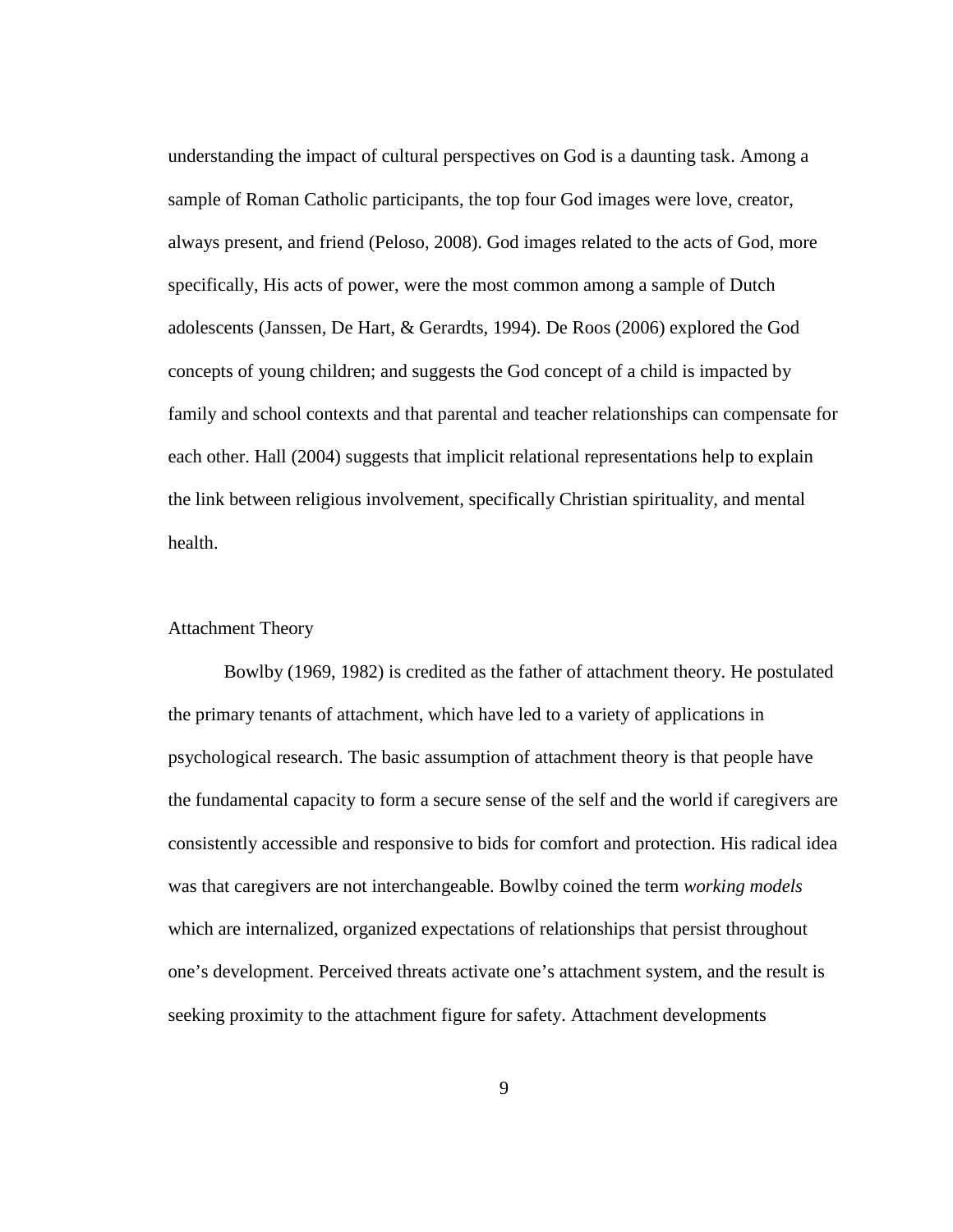understanding the impact of cultural perspectives on God is a daunting task. Among a sample of Roman Catholic participants, the top four God images were love, creator, always present, and friend (Peloso, 2008). God images related to the acts of God, more specifically, His acts of power, were the most common among a sample of Dutch adolescents (Janssen, De Hart, & Gerardts, 1994). De Roos (2006) explored the God concepts of young children; and suggests the God concept of a child is impacted by family and school contexts and that parental and teacher relationships can compensate for each other. Hall (2004) suggests that implicit relational representations help to explain the link between religious involvement, specifically Christian spirituality, and mental health.

#### Attachment Theory

Bowlby (1969, 1982) is credited as the father of attachment theory. He postulated the primary tenants of attachment, which have led to a variety of applications in psychological research. The basic assumption of attachment theory is that people have the fundamental capacity to form a secure sense of the self and the world if caregivers are consistently accessible and responsive to bids for comfort and protection. His radical idea was that caregivers are not interchangeable. Bowlby coined the term *working models* which are internalized, organized expectations of relationships that persist throughout one's development. Perceived threats activate one's attachment system, and the result is seeking proximity to the attachment figure for safety. Attachment developments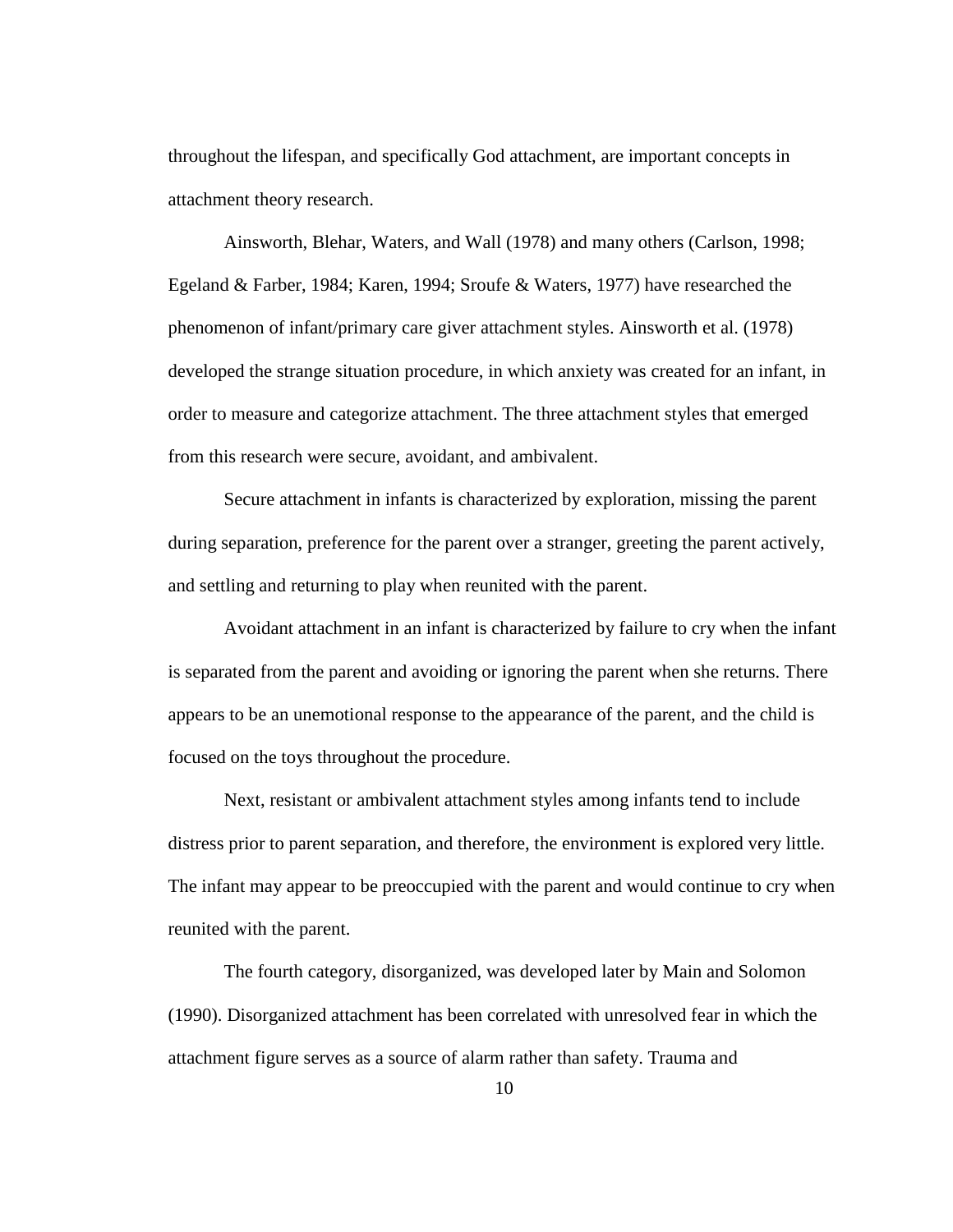throughout the lifespan, and specifically God attachment, are important concepts in attachment theory research.

Ainsworth, Blehar, Waters, and Wall (1978) and many others (Carlson, 1998; Egeland & Farber, 1984; Karen, 1994; Sroufe & Waters, 1977) have researched the phenomenon of infant/primary care giver attachment styles. Ainsworth et al. (1978) developed the strange situation procedure, in which anxiety was created for an infant, in order to measure and categorize attachment. The three attachment styles that emerged from this research were secure, avoidant, and ambivalent.

Secure attachment in infants is characterized by exploration, missing the parent during separation, preference for the parent over a stranger, greeting the parent actively, and settling and returning to play when reunited with the parent.

Avoidant attachment in an infant is characterized by failure to cry when the infant is separated from the parent and avoiding or ignoring the parent when she returns. There appears to be an unemotional response to the appearance of the parent, and the child is focused on the toys throughout the procedure.

Next, resistant or ambivalent attachment styles among infants tend to include distress prior to parent separation, and therefore, the environment is explored very little. The infant may appear to be preoccupied with the parent and would continue to cry when reunited with the parent.

The fourth category, disorganized, was developed later by Main and Solomon (1990). Disorganized attachment has been correlated with unresolved fear in which the attachment figure serves as a source of alarm rather than safety. Trauma and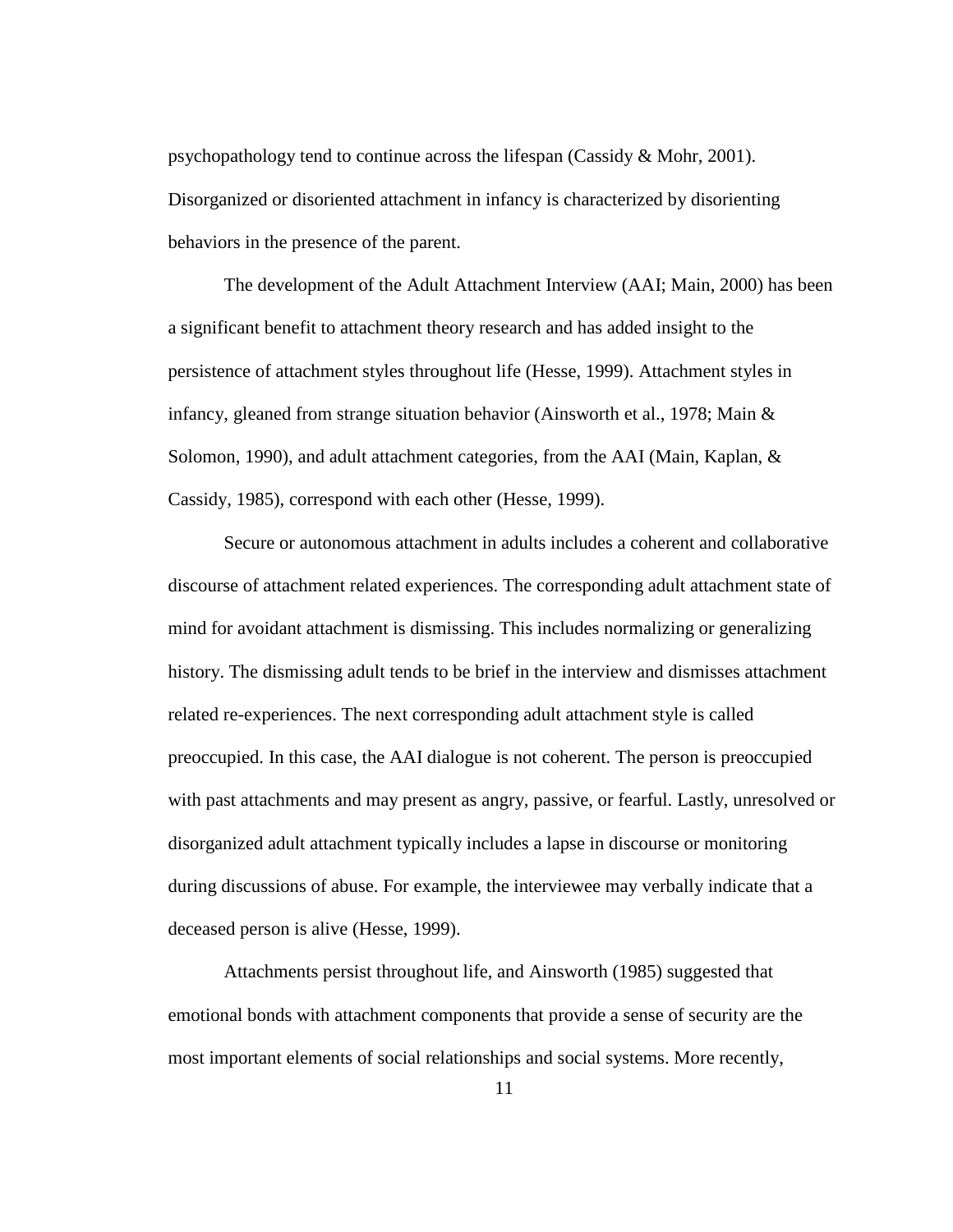psychopathology tend to continue across the lifespan (Cassidy  $\&$  Mohr, 2001). Disorganized or disoriented attachment in infancy is characterized by disorienting behaviors in the presence of the parent.

The development of the Adult Attachment Interview (AAI; Main, 2000) has been a significant benefit to attachment theory research and has added insight to the persistence of attachment styles throughout life (Hesse, 1999). Attachment styles in infancy, gleaned from strange situation behavior (Ainsworth et al., 1978; Main & Solomon, 1990), and adult attachment categories, from the AAI (Main, Kaplan, & Cassidy, 1985), correspond with each other (Hesse, 1999).

Secure or autonomous attachment in adults includes a coherent and collaborative discourse of attachment related experiences. The corresponding adult attachment state of mind for avoidant attachment is dismissing. This includes normalizing or generalizing history. The dismissing adult tends to be brief in the interview and dismisses attachment related re-experiences. The next corresponding adult attachment style is called preoccupied. In this case, the AAI dialogue is not coherent. The person is preoccupied with past attachments and may present as angry, passive, or fearful. Lastly, unresolved or disorganized adult attachment typically includes a lapse in discourse or monitoring during discussions of abuse. For example, the interviewee may verbally indicate that a deceased person is alive (Hesse, 1999).

Attachments persist throughout life, and Ainsworth (1985) suggested that emotional bonds with attachment components that provide a sense of security are the most important elements of social relationships and social systems. More recently,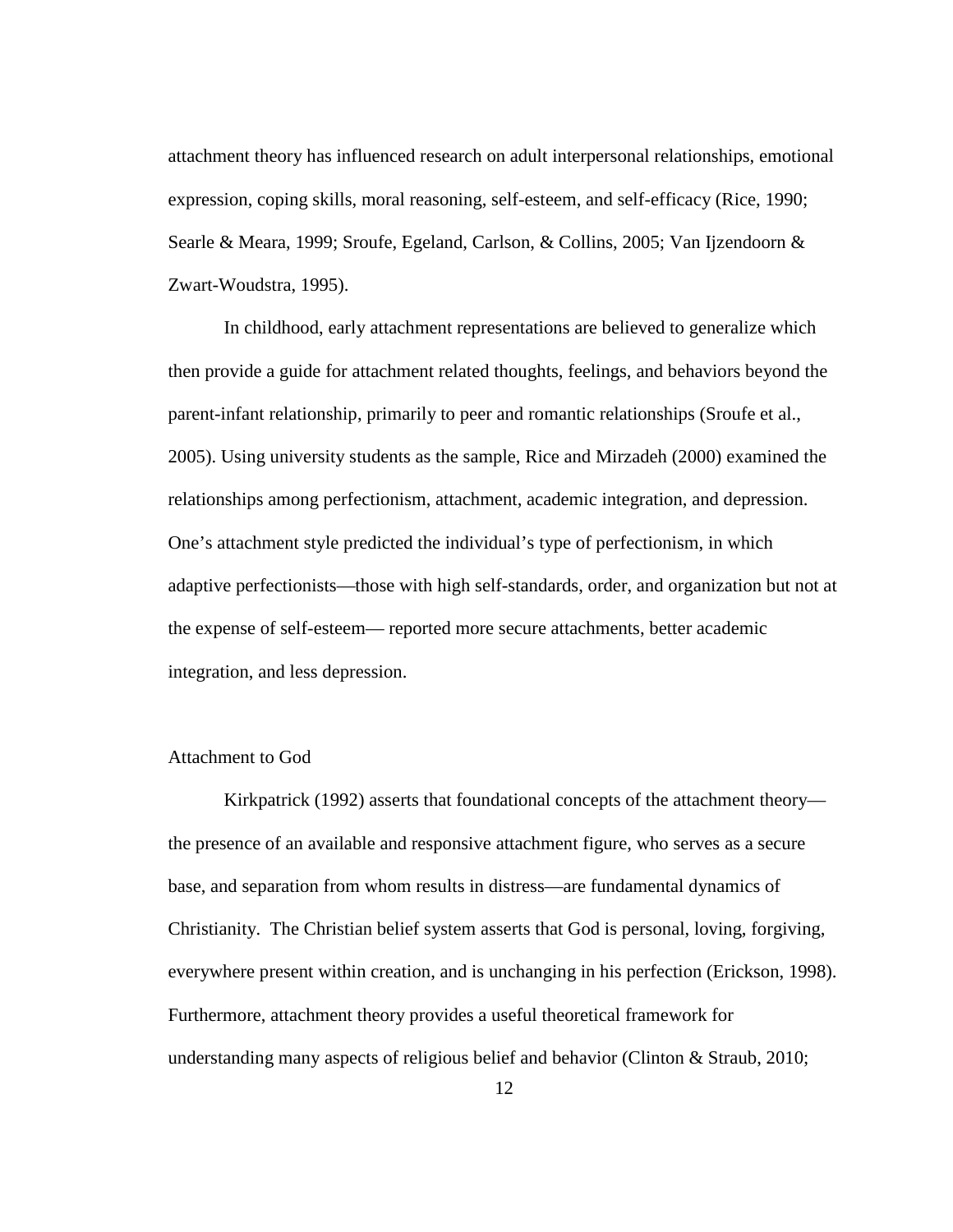attachment theory has influenced research on adult interpersonal relationships, emotional expression, coping skills, moral reasoning, self-esteem, and self-efficacy (Rice, 1990; Searle & Meara, 1999; Sroufe, Egeland, Carlson, & Collins, 2005; Van Ijzendoorn & Zwart-Woudstra, 1995).

In childhood, early attachment representations are believed to generalize which then provide a guide for attachment related thoughts, feelings, and behaviors beyond the parent-infant relationship, primarily to peer and romantic relationships (Sroufe et al., 2005). Using university students as the sample, Rice and Mirzadeh (2000) examined the relationships among perfectionism, attachment, academic integration, and depression. One's attachment style predicted the individual's type of perfectionism, in which adaptive perfectionists—those with high self-standards, order, and organization but not at the expense of self-esteem— reported more secure attachments, better academic integration, and less depression.

#### Attachment to God

Kirkpatrick (1992) asserts that foundational concepts of the attachment theory the presence of an available and responsive attachment figure, who serves as a secure base, and separation from whom results in distress—are fundamental dynamics of Christianity. The Christian belief system asserts that God is personal, loving, forgiving, everywhere present within creation, and is unchanging in his perfection (Erickson, 1998). Furthermore, attachment theory provides a useful theoretical framework for understanding many aspects of religious belief and behavior (Clinton & Straub, 2010;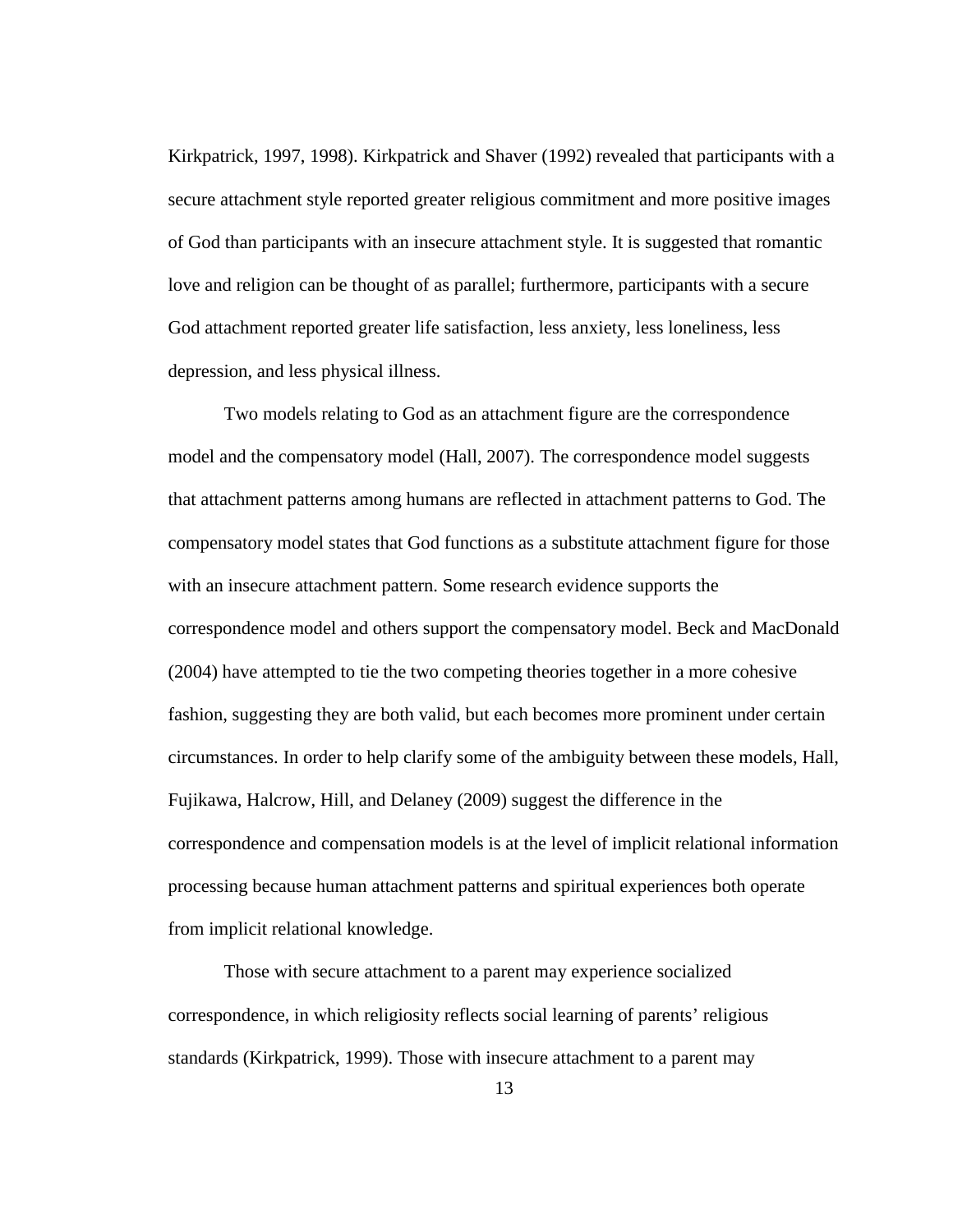Kirkpatrick, 1997, 1998). Kirkpatrick and Shaver (1992) revealed that participants with a secure attachment style reported greater religious commitment and more positive images of God than participants with an insecure attachment style. It is suggested that romantic love and religion can be thought of as parallel; furthermore, participants with a secure God attachment reported greater life satisfaction, less anxiety, less loneliness, less depression, and less physical illness.

Two models relating to God as an attachment figure are the correspondence model and the compensatory model (Hall, 2007). The correspondence model suggests that attachment patterns among humans are reflected in attachment patterns to God. The compensatory model states that God functions as a substitute attachment figure for those with an insecure attachment pattern. Some research evidence supports the correspondence model and others support the compensatory model. Beck and MacDonald (2004) have attempted to tie the two competing theories together in a more cohesive fashion, suggesting they are both valid, but each becomes more prominent under certain circumstances. In order to help clarify some of the ambiguity between these models, Hall, Fujikawa, Halcrow, Hill, and Delaney (2009) suggest the difference in the correspondence and compensation models is at the level of implicit relational information processing because human attachment patterns and spiritual experiences both operate from implicit relational knowledge.

Those with secure attachment to a parent may experience socialized correspondence, in which religiosity reflects social learning of parents' religious standards (Kirkpatrick, 1999). Those with insecure attachment to a parent may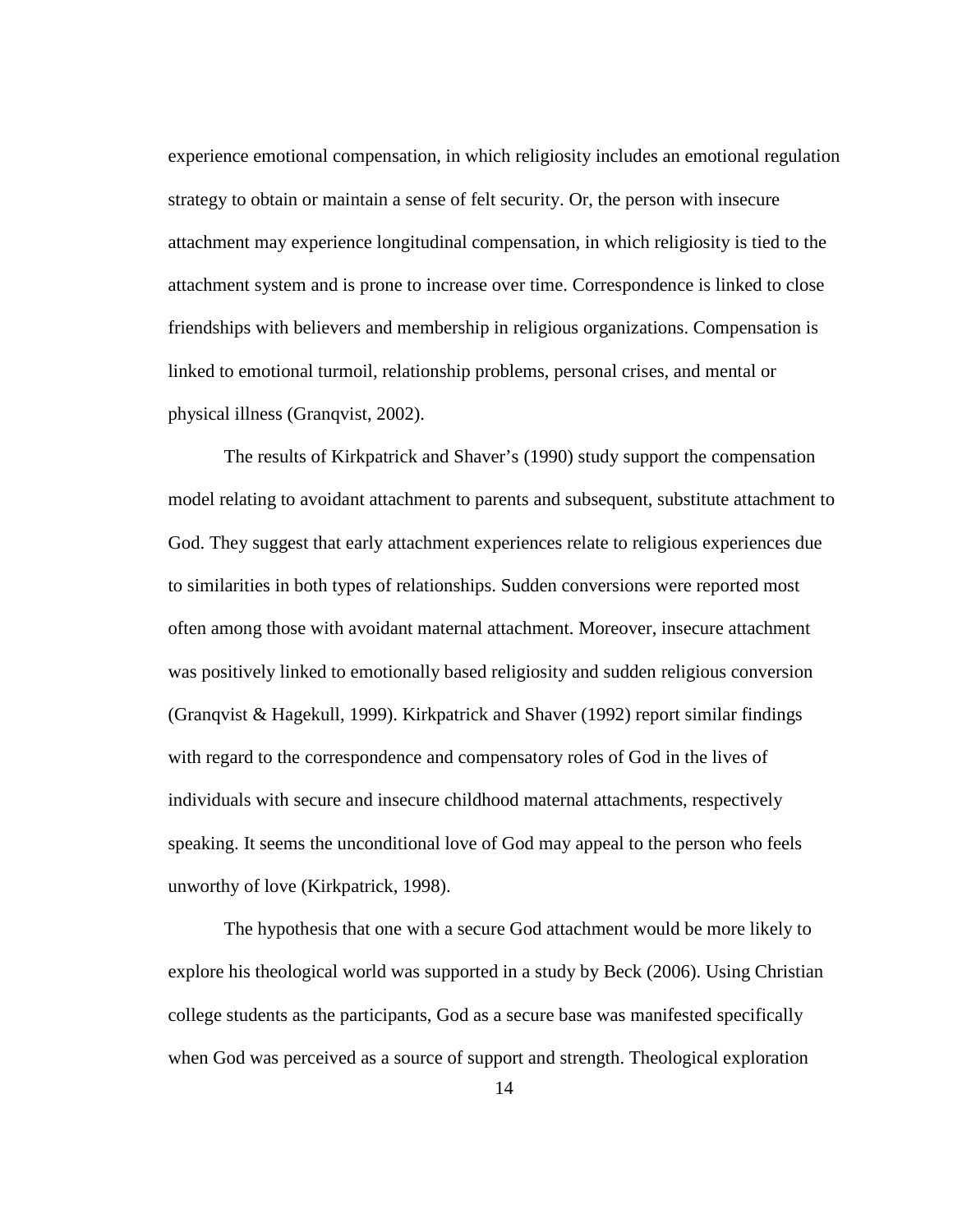experience emotional compensation, in which religiosity includes an emotional regulation strategy to obtain or maintain a sense of felt security. Or, the person with insecure attachment may experience longitudinal compensation, in which religiosity is tied to the attachment system and is prone to increase over time. Correspondence is linked to close friendships with believers and membership in religious organizations. Compensation is linked to emotional turmoil, relationship problems, personal crises, and mental or physical illness (Granqvist, 2002).

The results of Kirkpatrick and Shaver's (1990) study support the compensation model relating to avoidant attachment to parents and subsequent, substitute attachment to God. They suggest that early attachment experiences relate to religious experiences due to similarities in both types of relationships. Sudden conversions were reported most often among those with avoidant maternal attachment. Moreover, insecure attachment was positively linked to emotionally based religiosity and sudden religious conversion (Granqvist & Hagekull, 1999). Kirkpatrick and Shaver (1992) report similar findings with regard to the correspondence and compensatory roles of God in the lives of individuals with secure and insecure childhood maternal attachments, respectively speaking. It seems the unconditional love of God may appeal to the person who feels unworthy of love (Kirkpatrick, 1998).

The hypothesis that one with a secure God attachment would be more likely to explore his theological world was supported in a study by Beck (2006). Using Christian college students as the participants, God as a secure base was manifested specifically when God was perceived as a source of support and strength. Theological exploration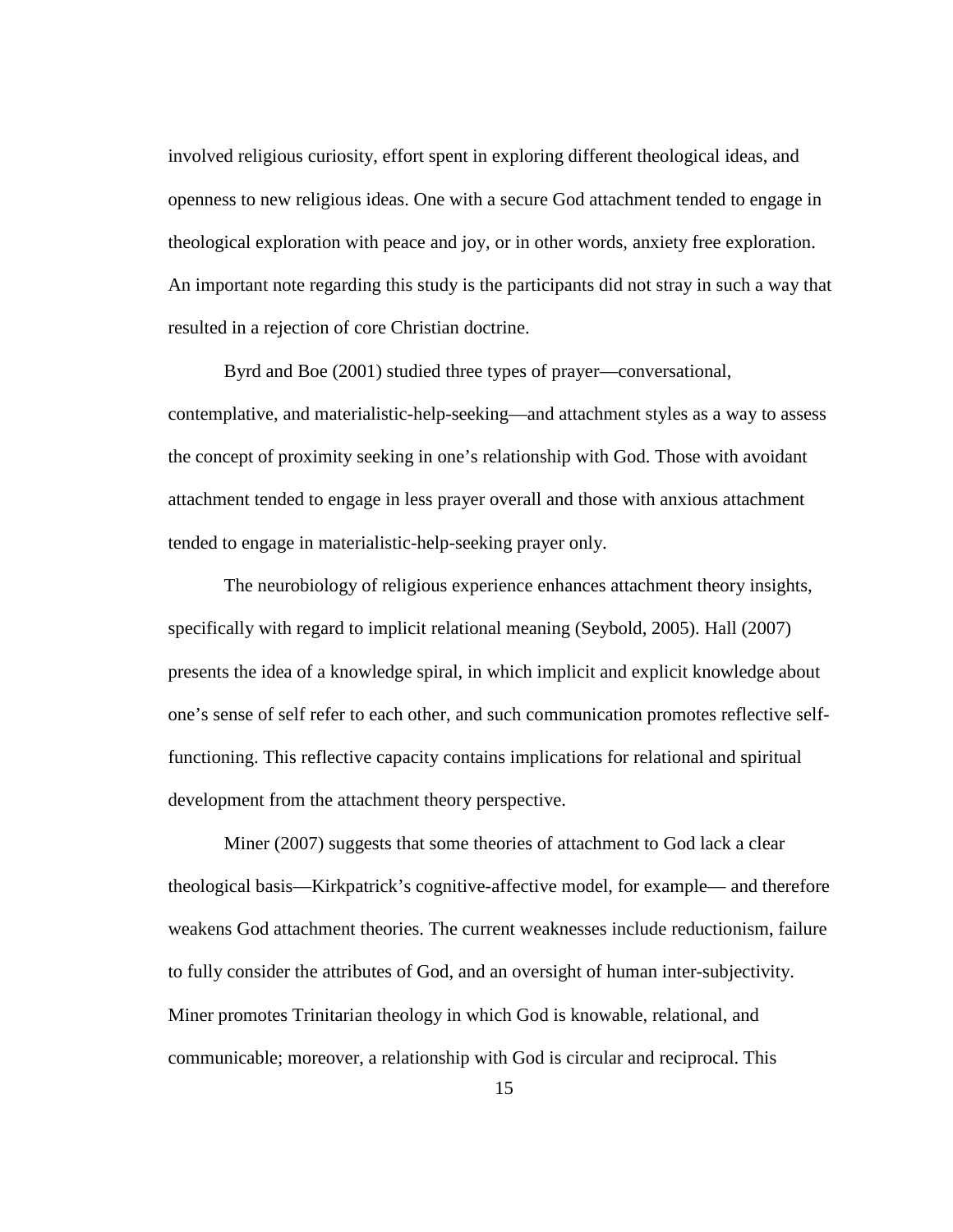involved religious curiosity, effort spent in exploring different theological ideas, and openness to new religious ideas. One with a secure God attachment tended to engage in theological exploration with peace and joy, or in other words, anxiety free exploration. An important note regarding this study is the participants did not stray in such a way that resulted in a rejection of core Christian doctrine.

Byrd and Boe (2001) studied three types of prayer—conversational, contemplative, and materialistic-help-seeking—and attachment styles as a way to assess the concept of proximity seeking in one's relationship with God. Those with avoidant attachment tended to engage in less prayer overall and those with anxious attachment tended to engage in materialistic-help-seeking prayer only.

The neurobiology of religious experience enhances attachment theory insights, specifically with regard to implicit relational meaning (Seybold, 2005). Hall (2007) presents the idea of a knowledge spiral, in which implicit and explicit knowledge about one's sense of self refer to each other, and such communication promotes reflective selffunctioning. This reflective capacity contains implications for relational and spiritual development from the attachment theory perspective.

Miner (2007) suggests that some theories of attachment to God lack a clear theological basis—Kirkpatrick's cognitive-affective model, for example— and therefore weakens God attachment theories. The current weaknesses include reductionism, failure to fully consider the attributes of God, and an oversight of human inter-subjectivity. Miner promotes Trinitarian theology in which God is knowable, relational, and communicable; moreover, a relationship with God is circular and reciprocal. This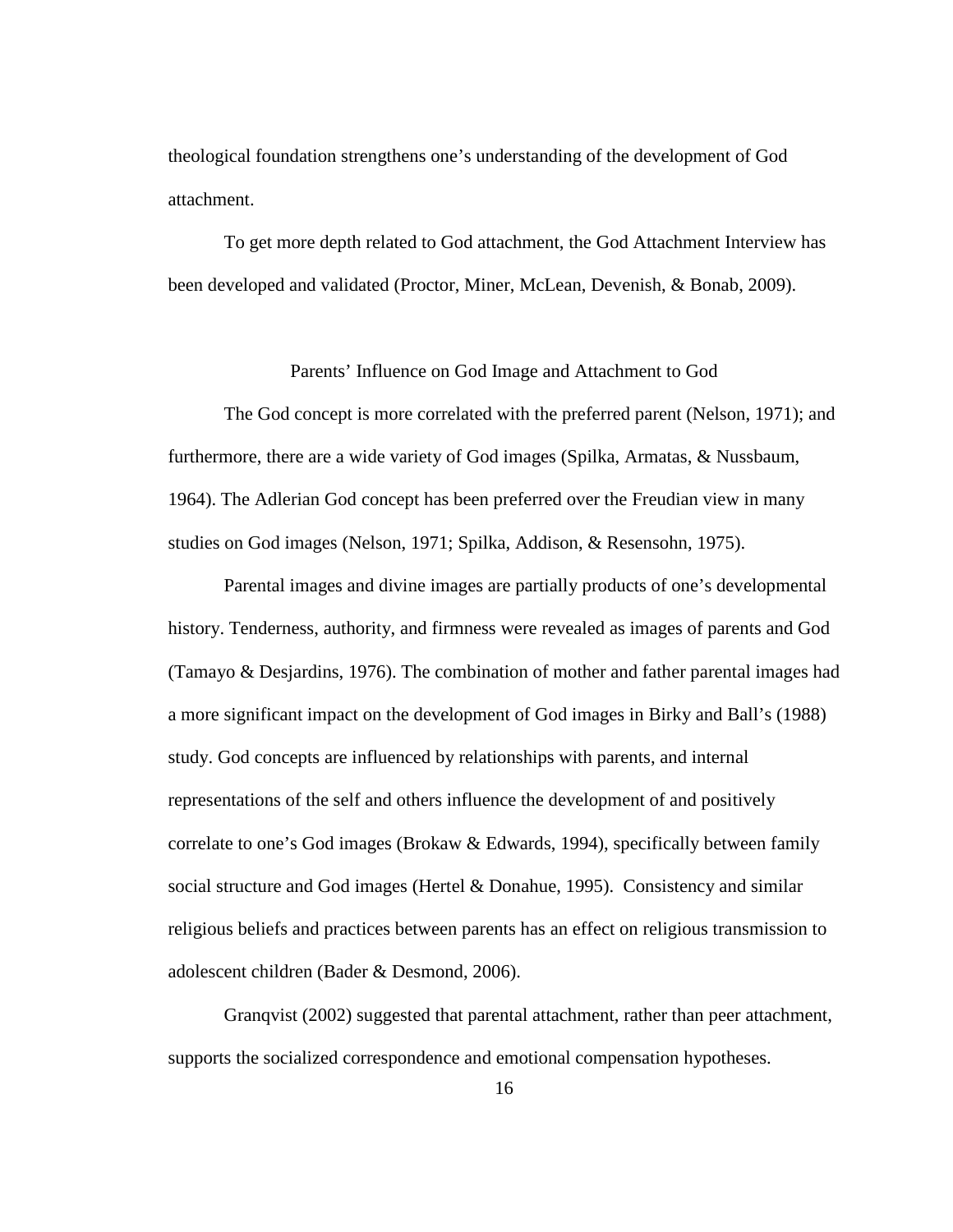theological foundation strengthens one's understanding of the development of God attachment.

To get more depth related to God attachment, the God Attachment Interview has been developed and validated (Proctor, Miner, McLean, Devenish, & Bonab, 2009).

Parents' Influence on God Image and Attachment to God

The God concept is more correlated with the preferred parent (Nelson, 1971); and furthermore, there are a wide variety of God images (Spilka, Armatas, & Nussbaum, 1964). The Adlerian God concept has been preferred over the Freudian view in many studies on God images (Nelson, 1971; Spilka, Addison, & Resensohn, 1975).

Parental images and divine images are partially products of one's developmental history. Tenderness, authority, and firmness were revealed as images of parents and God (Tamayo & Desjardins, 1976). The combination of mother and father parental images had a more significant impact on the development of God images in Birky and Ball's (1988) study. God concepts are influenced by relationships with parents, and internal representations of the self and others influence the development of and positively correlate to one's God images (Brokaw & Edwards, 1994), specifically between family social structure and God images (Hertel & Donahue, 1995). Consistency and similar religious beliefs and practices between parents has an effect on religious transmission to adolescent children (Bader & Desmond, 2006).

Granqvist (2002) suggested that parental attachment, rather than peer attachment, supports the socialized correspondence and emotional compensation hypotheses.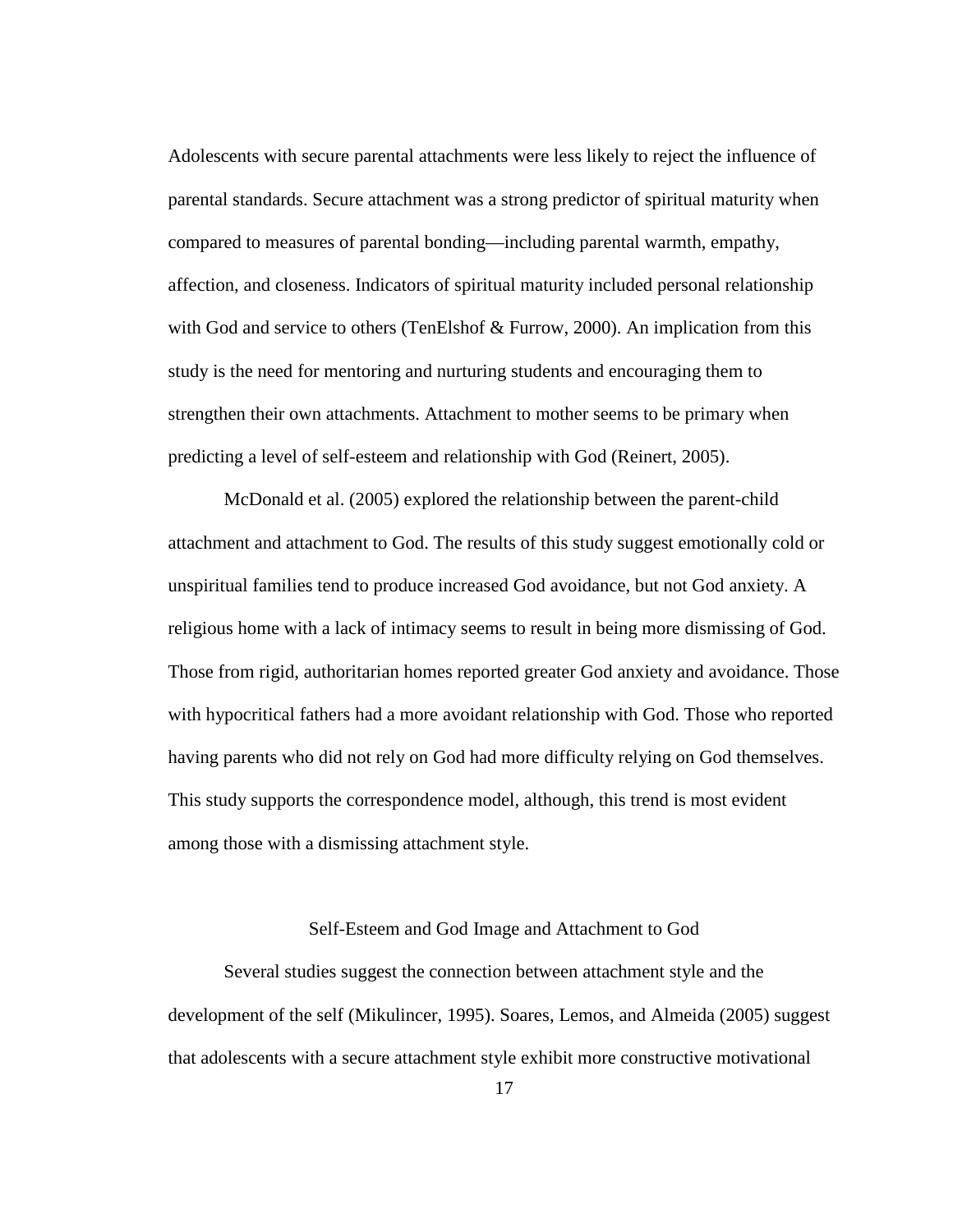Adolescents with secure parental attachments were less likely to reject the influence of parental standards. Secure attachment was a strong predictor of spiritual maturity when compared to measures of parental bonding—including parental warmth, empathy, affection, and closeness. Indicators of spiritual maturity included personal relationship with God and service to others (TenElshof & Furrow, 2000). An implication from this study is the need for mentoring and nurturing students and encouraging them to strengthen their own attachments. Attachment to mother seems to be primary when predicting a level of self-esteem and relationship with God (Reinert, 2005).

McDonald et al. (2005) explored the relationship between the parent-child attachment and attachment to God. The results of this study suggest emotionally cold or unspiritual families tend to produce increased God avoidance, but not God anxiety. A religious home with a lack of intimacy seems to result in being more dismissing of God. Those from rigid, authoritarian homes reported greater God anxiety and avoidance. Those with hypocritical fathers had a more avoidant relationship with God. Those who reported having parents who did not rely on God had more difficulty relying on God themselves. This study supports the correspondence model, although, this trend is most evident among those with a dismissing attachment style.

#### Self-Esteem and God Image and Attachment to God

Several studies suggest the connection between attachment style and the development of the self (Mikulincer, 1995). Soares, Lemos, and Almeida (2005) suggest that adolescents with a secure attachment style exhibit more constructive motivational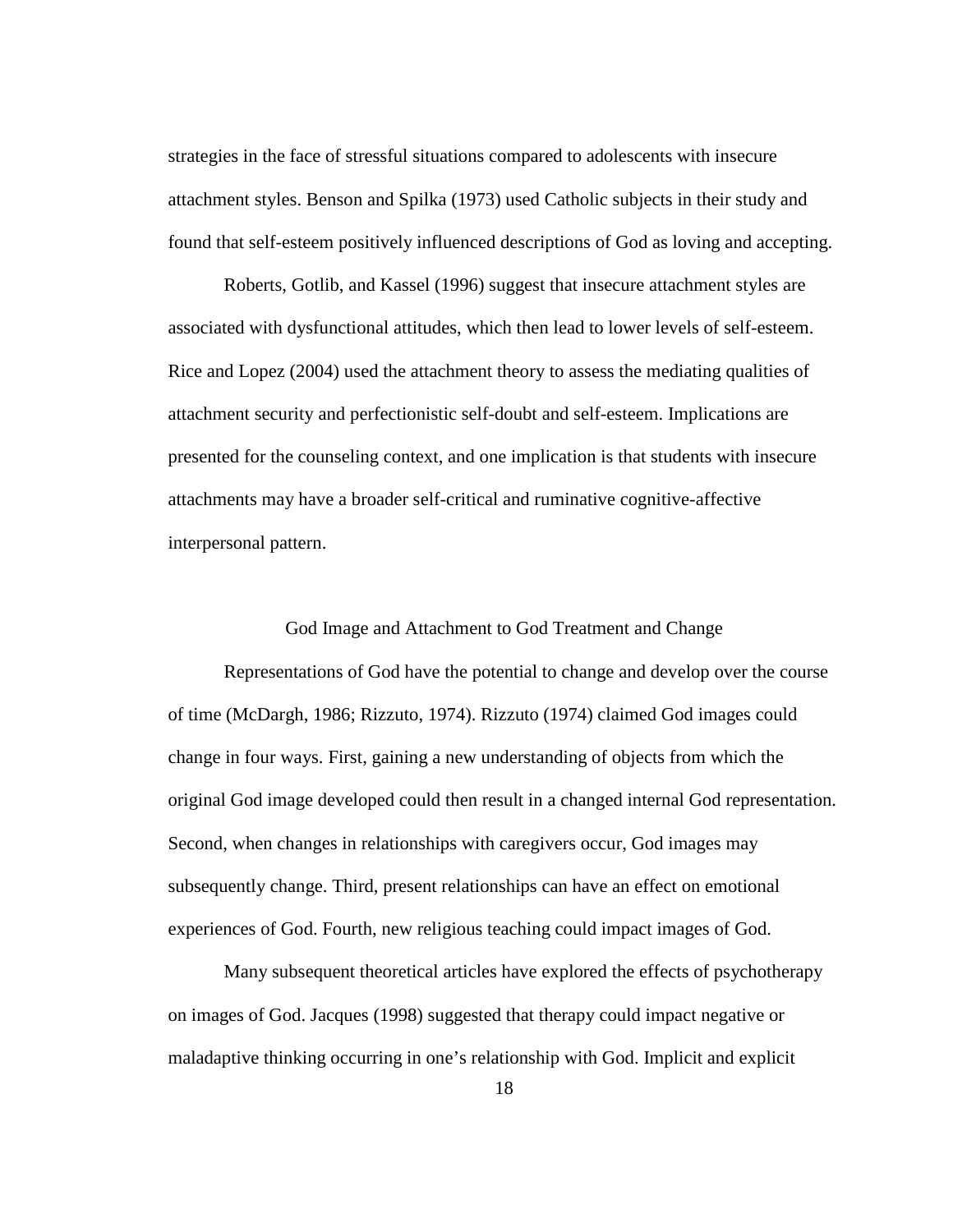strategies in the face of stressful situations compared to adolescents with insecure attachment styles. Benson and Spilka (1973) used Catholic subjects in their study and found that self-esteem positively influenced descriptions of God as loving and accepting.

Roberts, Gotlib, and Kassel (1996) suggest that insecure attachment styles are associated with dysfunctional attitudes, which then lead to lower levels of self-esteem. Rice and Lopez (2004) used the attachment theory to assess the mediating qualities of attachment security and perfectionistic self-doubt and self-esteem. Implications are presented for the counseling context, and one implication is that students with insecure attachments may have a broader self-critical and ruminative cognitive-affective interpersonal pattern.

God Image and Attachment to God Treatment and Change

Representations of God have the potential to change and develop over the course of time (McDargh, 1986; Rizzuto, 1974). Rizzuto (1974) claimed God images could change in four ways. First, gaining a new understanding of objects from which the original God image developed could then result in a changed internal God representation. Second, when changes in relationships with caregivers occur, God images may subsequently change. Third, present relationships can have an effect on emotional experiences of God. Fourth, new religious teaching could impact images of God.

Many subsequent theoretical articles have explored the effects of psychotherapy on images of God. Jacques (1998) suggested that therapy could impact negative or maladaptive thinking occurring in one's relationship with God. Implicit and explicit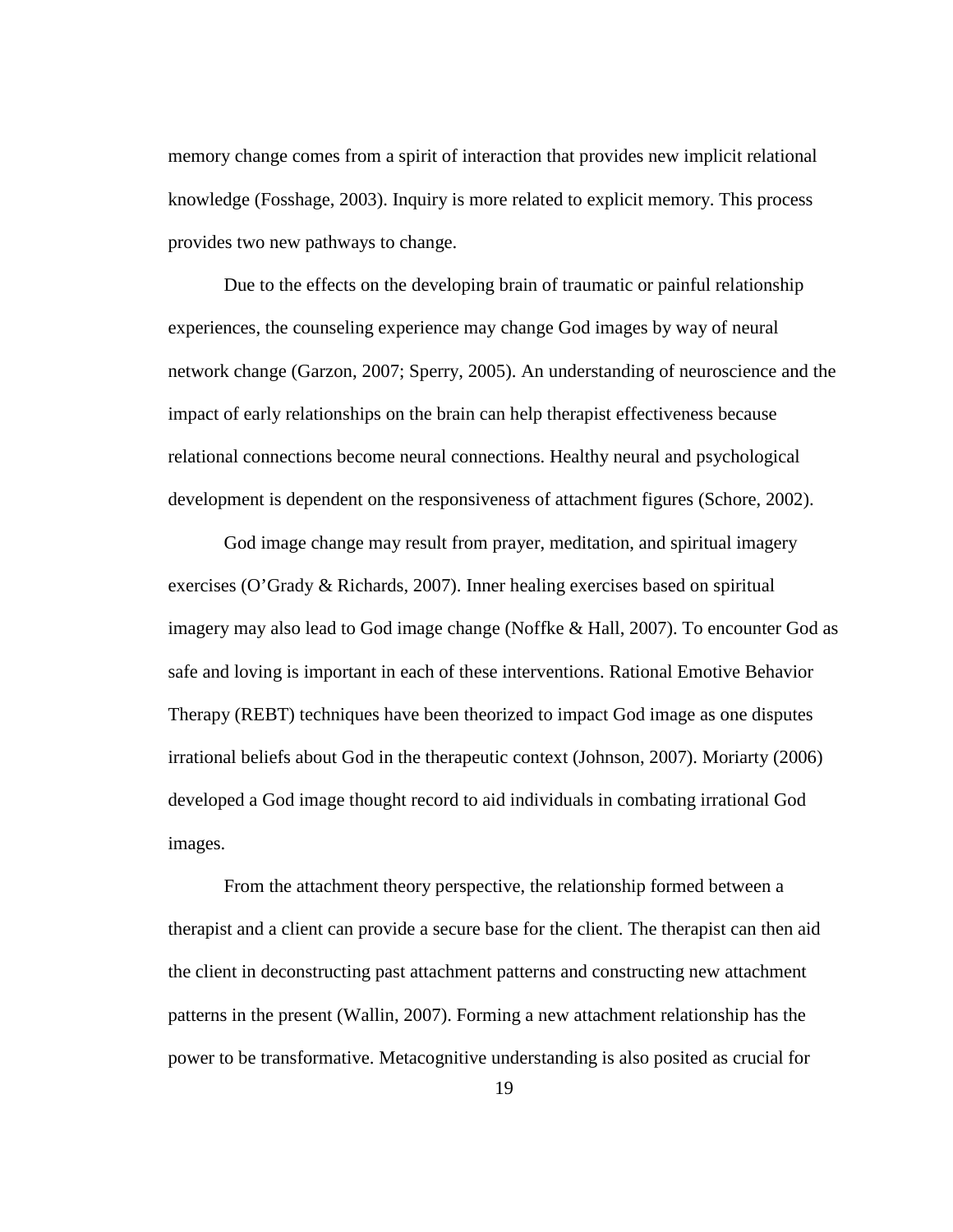memory change comes from a spirit of interaction that provides new implicit relational knowledge (Fosshage, 2003). Inquiry is more related to explicit memory. This process provides two new pathways to change.

Due to the effects on the developing brain of traumatic or painful relationship experiences, the counseling experience may change God images by way of neural network change (Garzon, 2007; Sperry, 2005). An understanding of neuroscience and the impact of early relationships on the brain can help therapist effectiveness because relational connections become neural connections. Healthy neural and psychological development is dependent on the responsiveness of attachment figures (Schore, 2002).

God image change may result from prayer, meditation, and spiritual imagery exercises (O'Grady & Richards, 2007). Inner healing exercises based on spiritual imagery may also lead to God image change (Noffke & Hall, 2007). To encounter God as safe and loving is important in each of these interventions. Rational Emotive Behavior Therapy (REBT) techniques have been theorized to impact God image as one disputes irrational beliefs about God in the therapeutic context (Johnson, 2007). Moriarty (2006) developed a God image thought record to aid individuals in combating irrational God images.

From the attachment theory perspective, the relationship formed between a therapist and a client can provide a secure base for the client. The therapist can then aid the client in deconstructing past attachment patterns and constructing new attachment patterns in the present (Wallin, 2007). Forming a new attachment relationship has the power to be transformative. Metacognitive understanding is also posited as crucial for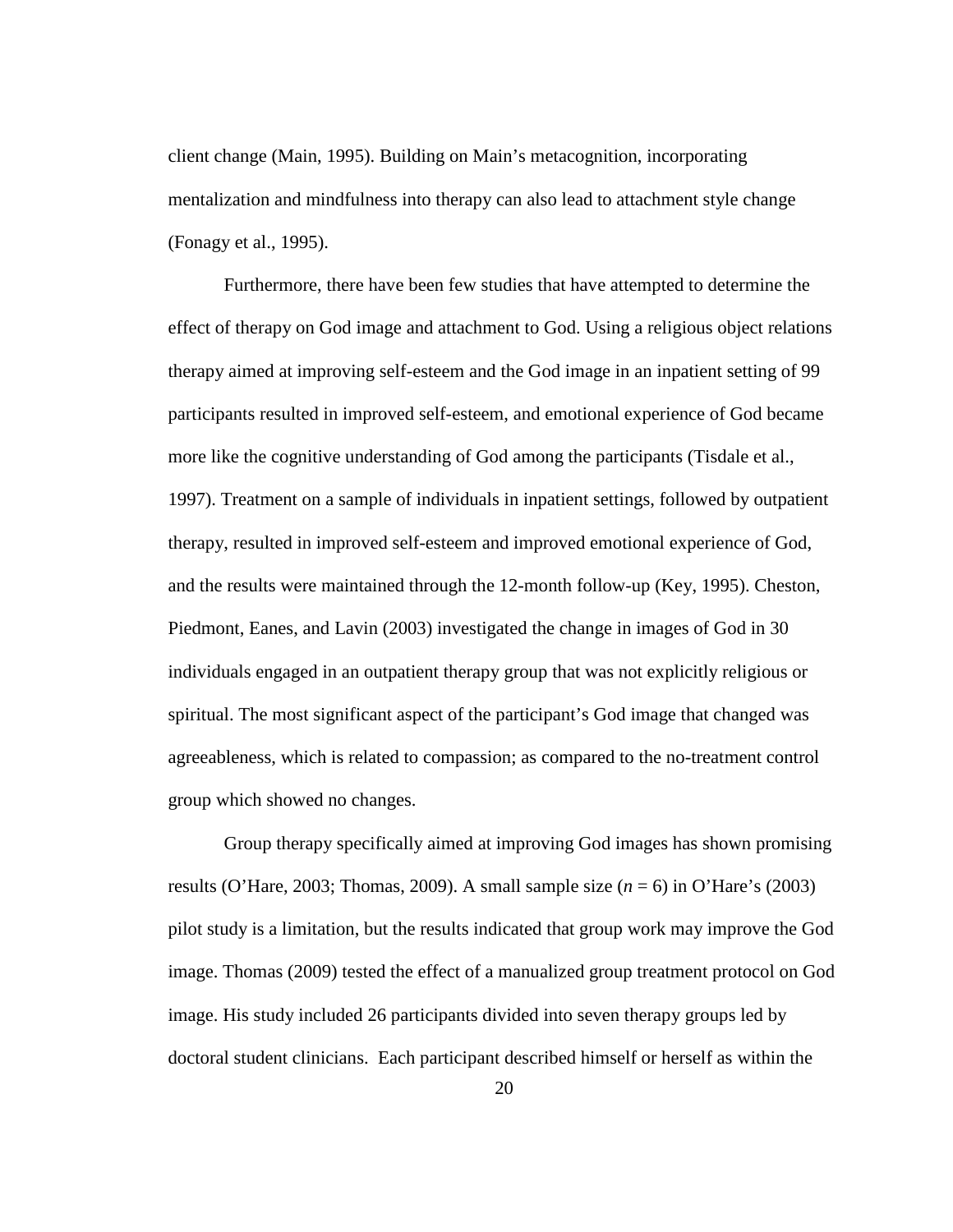client change (Main, 1995). Building on Main's metacognition, incorporating mentalization and mindfulness into therapy can also lead to attachment style change (Fonagy et al., 1995).

Furthermore, there have been few studies that have attempted to determine the effect of therapy on God image and attachment to God. Using a religious object relations therapy aimed at improving self-esteem and the God image in an inpatient setting of 99 participants resulted in improved self-esteem, and emotional experience of God became more like the cognitive understanding of God among the participants (Tisdale et al., 1997). Treatment on a sample of individuals in inpatient settings, followed by outpatient therapy, resulted in improved self-esteem and improved emotional experience of God, and the results were maintained through the 12-month follow-up (Key, 1995). Cheston, Piedmont, Eanes, and Lavin (2003) investigated the change in images of God in 30 individuals engaged in an outpatient therapy group that was not explicitly religious or spiritual. The most significant aspect of the participant's God image that changed was agreeableness, which is related to compassion; as compared to the no-treatment control group which showed no changes.

Group therapy specifically aimed at improving God images has shown promising results (O'Hare, 2003; Thomas, 2009). A small sample size (*n* = 6) in O'Hare's (2003) pilot study is a limitation, but the results indicated that group work may improve the God image. Thomas (2009) tested the effect of a manualized group treatment protocol on God image. His study included 26 participants divided into seven therapy groups led by doctoral student clinicians. Each participant described himself or herself as within the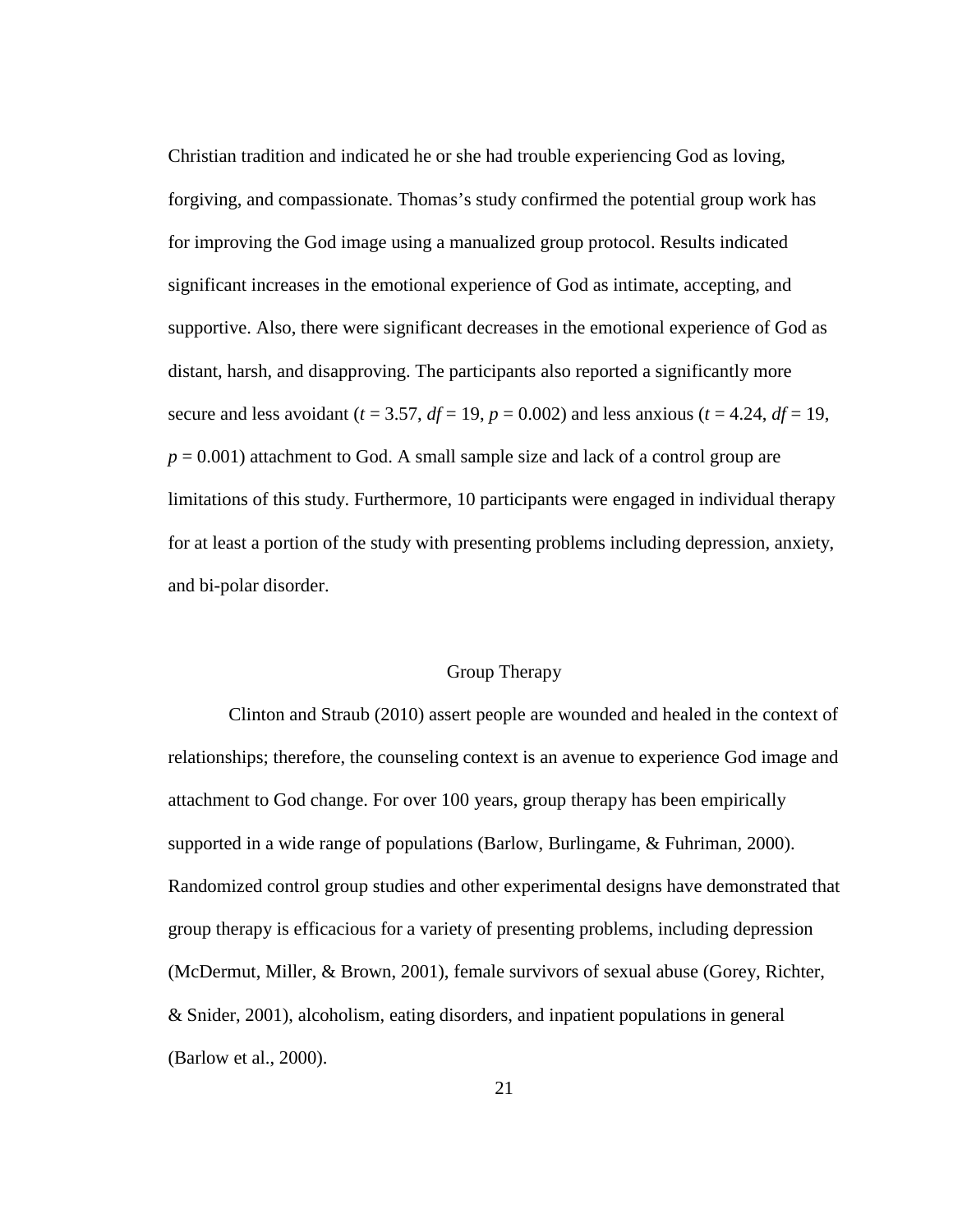Christian tradition and indicated he or she had trouble experiencing God as loving, forgiving, and compassionate. Thomas's study confirmed the potential group work has for improving the God image using a manualized group protocol. Results indicated significant increases in the emotional experience of God as intimate, accepting, and supportive. Also, there were significant decreases in the emotional experience of God as distant, harsh, and disapproving. The participants also reported a significantly more secure and less avoidant ( $t = 3.57$ ,  $df = 19$ ,  $p = 0.002$ ) and less anxious ( $t = 4.24$ ,  $df = 19$ ,  $p = 0.001$ ) attachment to God. A small sample size and lack of a control group are limitations of this study. Furthermore, 10 participants were engaged in individual therapy for at least a portion of the study with presenting problems including depression, anxiety, and bi-polar disorder.

## Group Therapy

 Clinton and Straub (2010) assert people are wounded and healed in the context of relationships; therefore, the counseling context is an avenue to experience God image and attachment to God change. For over 100 years, group therapy has been empirically supported in a wide range of populations (Barlow, Burlingame, & Fuhriman, 2000). Randomized control group studies and other experimental designs have demonstrated that group therapy is efficacious for a variety of presenting problems, including depression (McDermut, Miller, & Brown, 2001), female survivors of sexual abuse (Gorey, Richter, & Snider, 2001), alcoholism, eating disorders, and inpatient populations in general (Barlow et al., 2000).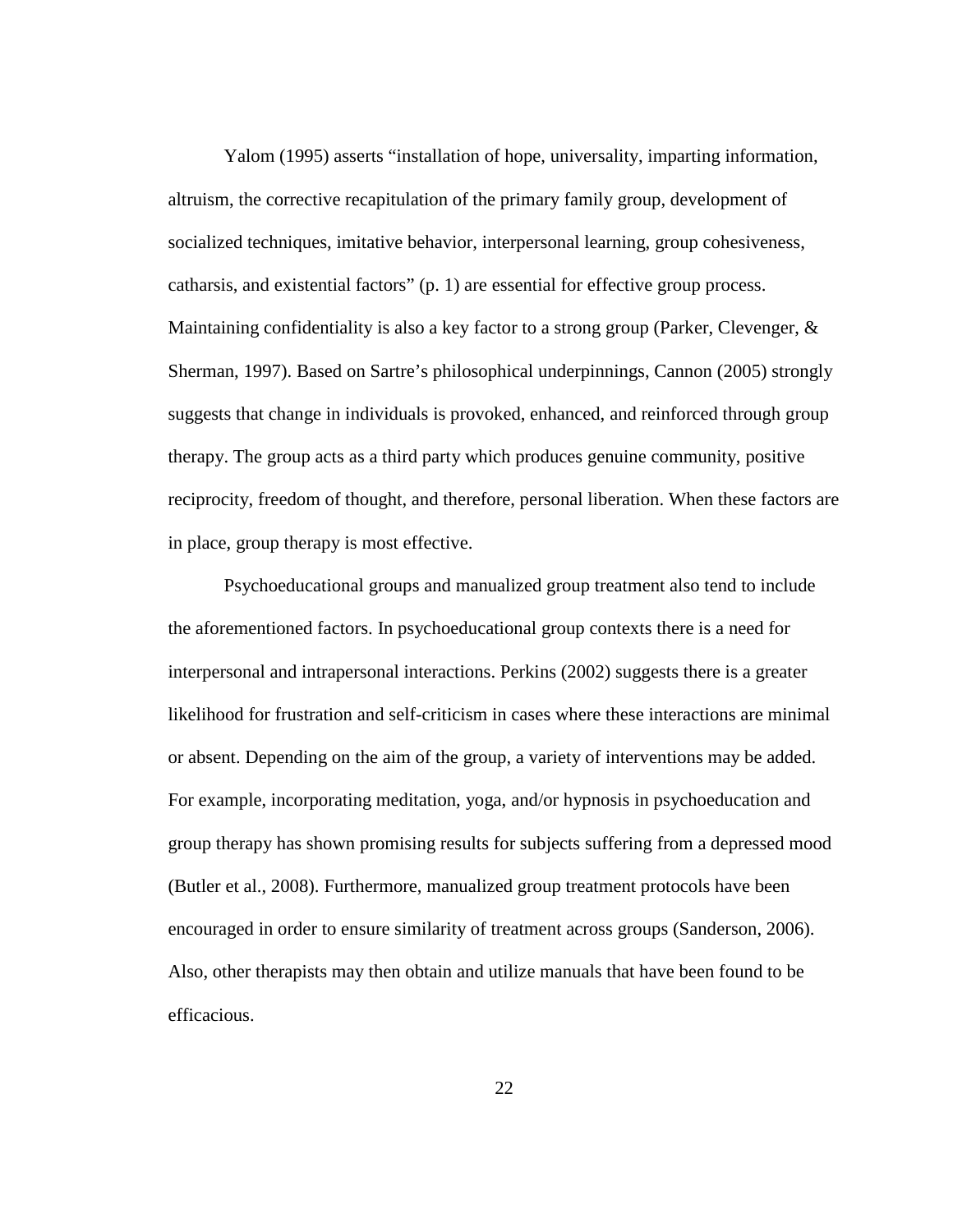Yalom (1995) asserts "installation of hope, universality, imparting information, altruism, the corrective recapitulation of the primary family group, development of socialized techniques, imitative behavior, interpersonal learning, group cohesiveness, catharsis, and existential factors" (p. 1) are essential for effective group process. Maintaining confidentiality is also a key factor to a strong group (Parker, Clevenger,  $\&$ Sherman, 1997). Based on Sartre's philosophical underpinnings, Cannon (2005) strongly suggests that change in individuals is provoked, enhanced, and reinforced through group therapy. The group acts as a third party which produces genuine community, positive reciprocity, freedom of thought, and therefore, personal liberation. When these factors are in place, group therapy is most effective.

Psychoeducational groups and manualized group treatment also tend to include the aforementioned factors. In psychoeducational group contexts there is a need for interpersonal and intrapersonal interactions. Perkins (2002) suggests there is a greater likelihood for frustration and self-criticism in cases where these interactions are minimal or absent. Depending on the aim of the group, a variety of interventions may be added. For example, incorporating meditation, yoga, and/or hypnosis in psychoeducation and group therapy has shown promising results for subjects suffering from a depressed mood (Butler et al., 2008). Furthermore, manualized group treatment protocols have been encouraged in order to ensure similarity of treatment across groups (Sanderson, 2006). Also, other therapists may then obtain and utilize manuals that have been found to be efficacious.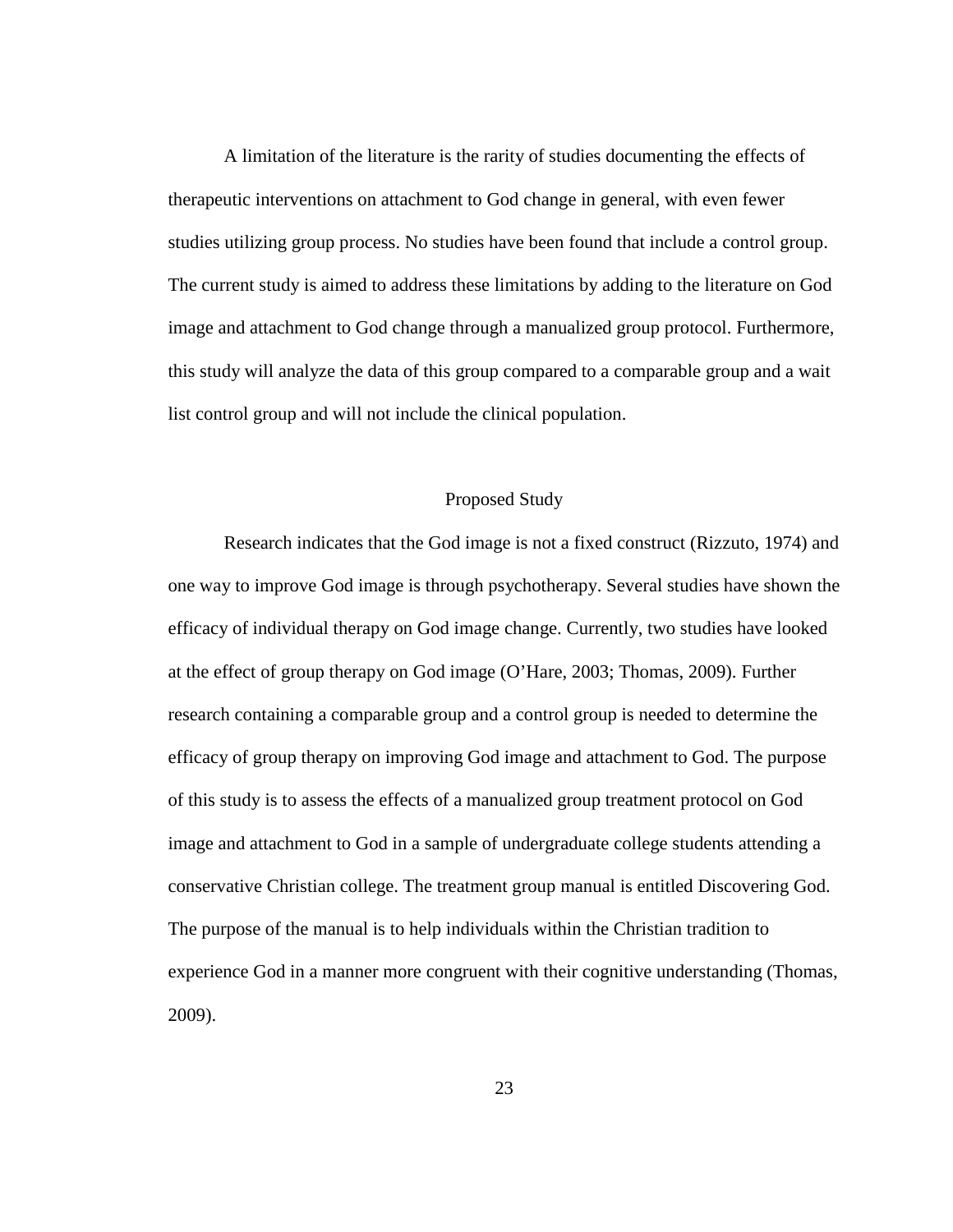A limitation of the literature is the rarity of studies documenting the effects of therapeutic interventions on attachment to God change in general, with even fewer studies utilizing group process. No studies have been found that include a control group. The current study is aimed to address these limitations by adding to the literature on God image and attachment to God change through a manualized group protocol. Furthermore, this study will analyze the data of this group compared to a comparable group and a wait list control group and will not include the clinical population.

### Proposed Study

Research indicates that the God image is not a fixed construct (Rizzuto, 1974) and one way to improve God image is through psychotherapy. Several studies have shown the efficacy of individual therapy on God image change. Currently, two studies have looked at the effect of group therapy on God image (O'Hare, 2003; Thomas, 2009). Further research containing a comparable group and a control group is needed to determine the efficacy of group therapy on improving God image and attachment to God. The purpose of this study is to assess the effects of a manualized group treatment protocol on God image and attachment to God in a sample of undergraduate college students attending a conservative Christian college. The treatment group manual is entitled Discovering God. The purpose of the manual is to help individuals within the Christian tradition to experience God in a manner more congruent with their cognitive understanding (Thomas, 2009).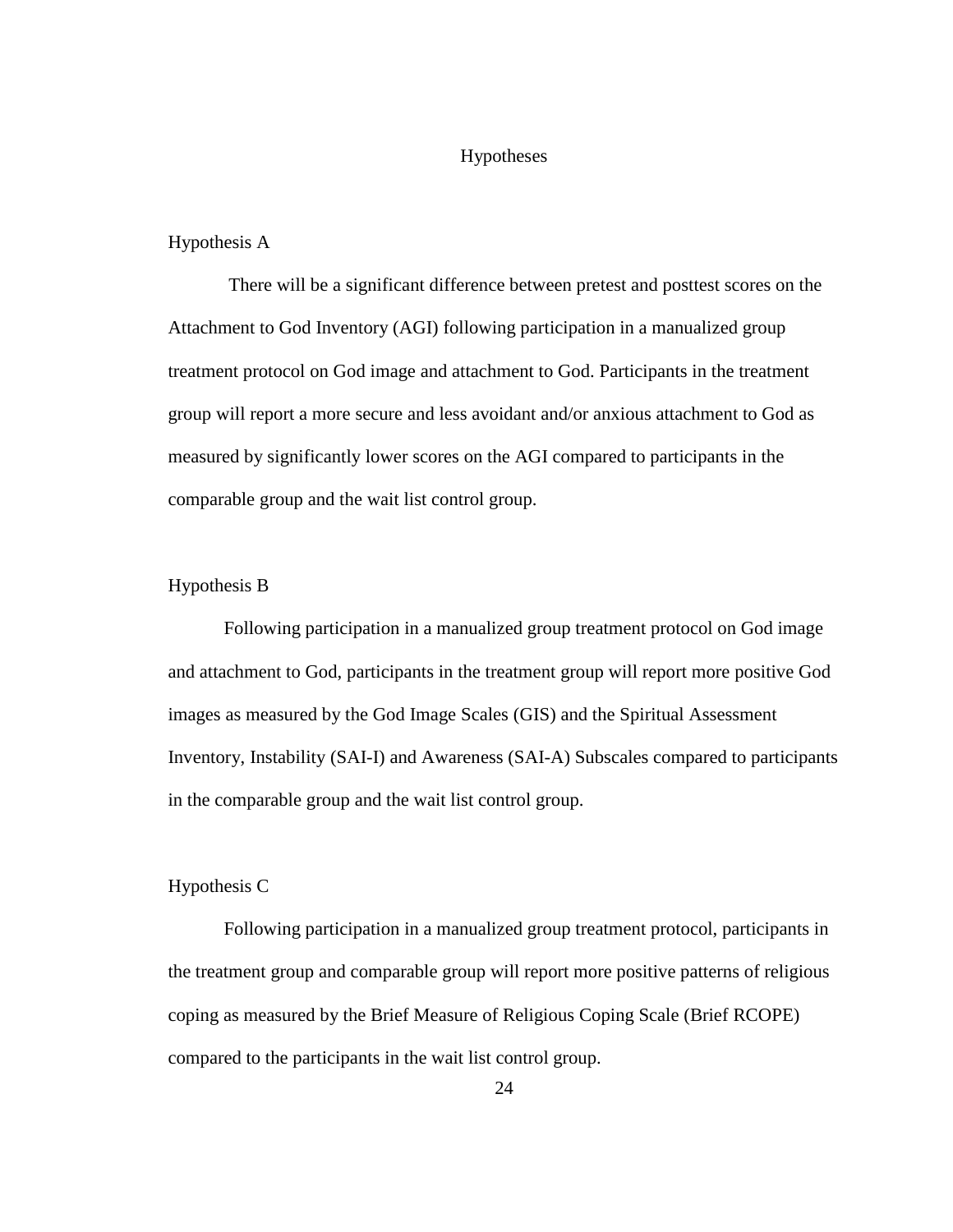### Hypotheses

### Hypothesis A

There will be a significant difference between pretest and posttest scores on the Attachment to God Inventory (AGI) following participation in a manualized group treatment protocol on God image and attachment to God. Participants in the treatment group will report a more secure and less avoidant and/or anxious attachment to God as measured by significantly lower scores on the AGI compared to participants in the comparable group and the wait list control group.

### Hypothesis B

Following participation in a manualized group treatment protocol on God image and attachment to God, participants in the treatment group will report more positive God images as measured by the God Image Scales (GIS) and the Spiritual Assessment Inventory, Instability (SAI-I) and Awareness (SAI-A) Subscales compared to participants in the comparable group and the wait list control group.

### Hypothesis C

Following participation in a manualized group treatment protocol, participants in the treatment group and comparable group will report more positive patterns of religious coping as measured by the Brief Measure of Religious Coping Scale (Brief RCOPE) compared to the participants in the wait list control group.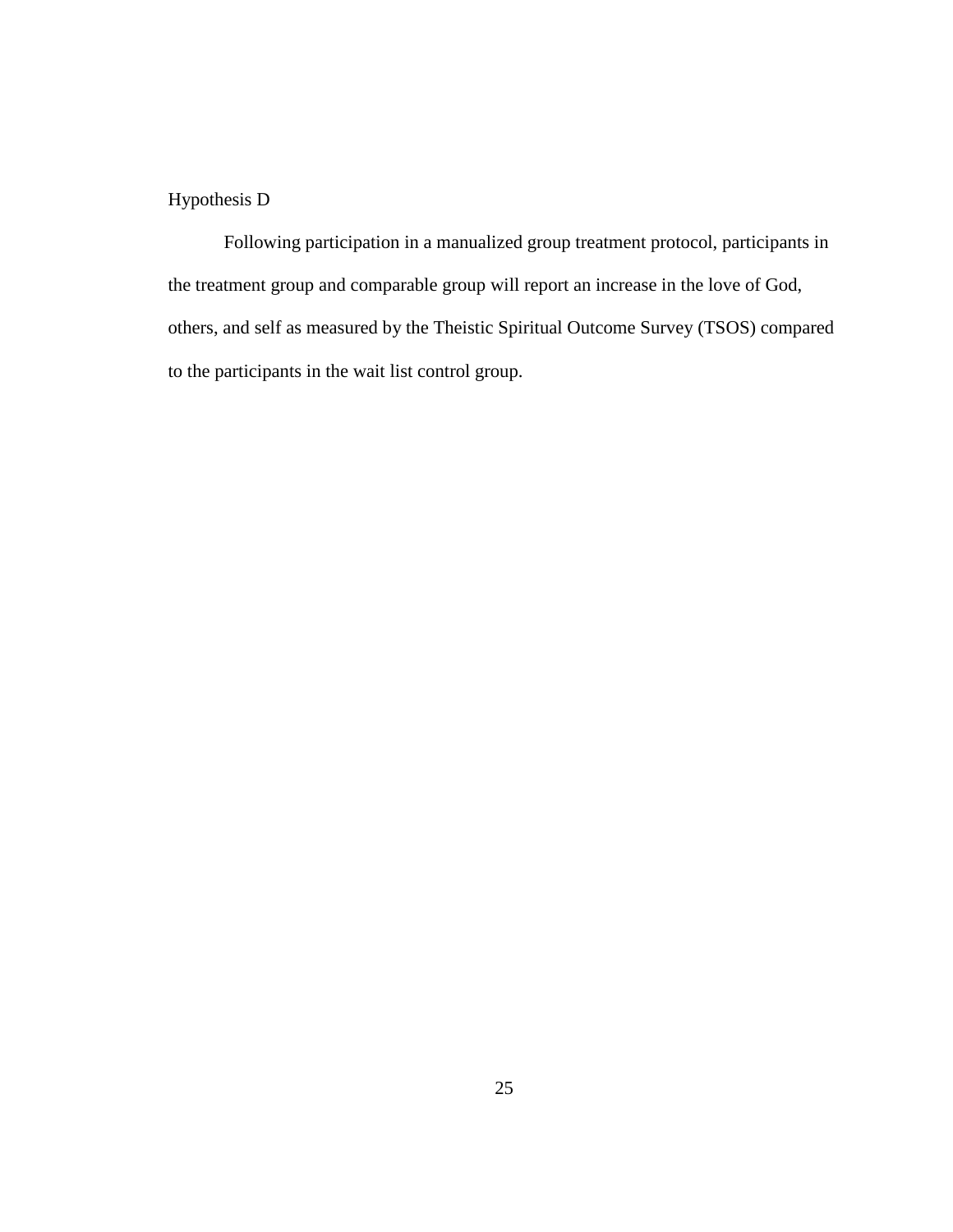# Hypothesis D

 Following participation in a manualized group treatment protocol, participants in the treatment group and comparable group will report an increase in the love of God, others, and self as measured by the Theistic Spiritual Outcome Survey (TSOS) compared to the participants in the wait list control group.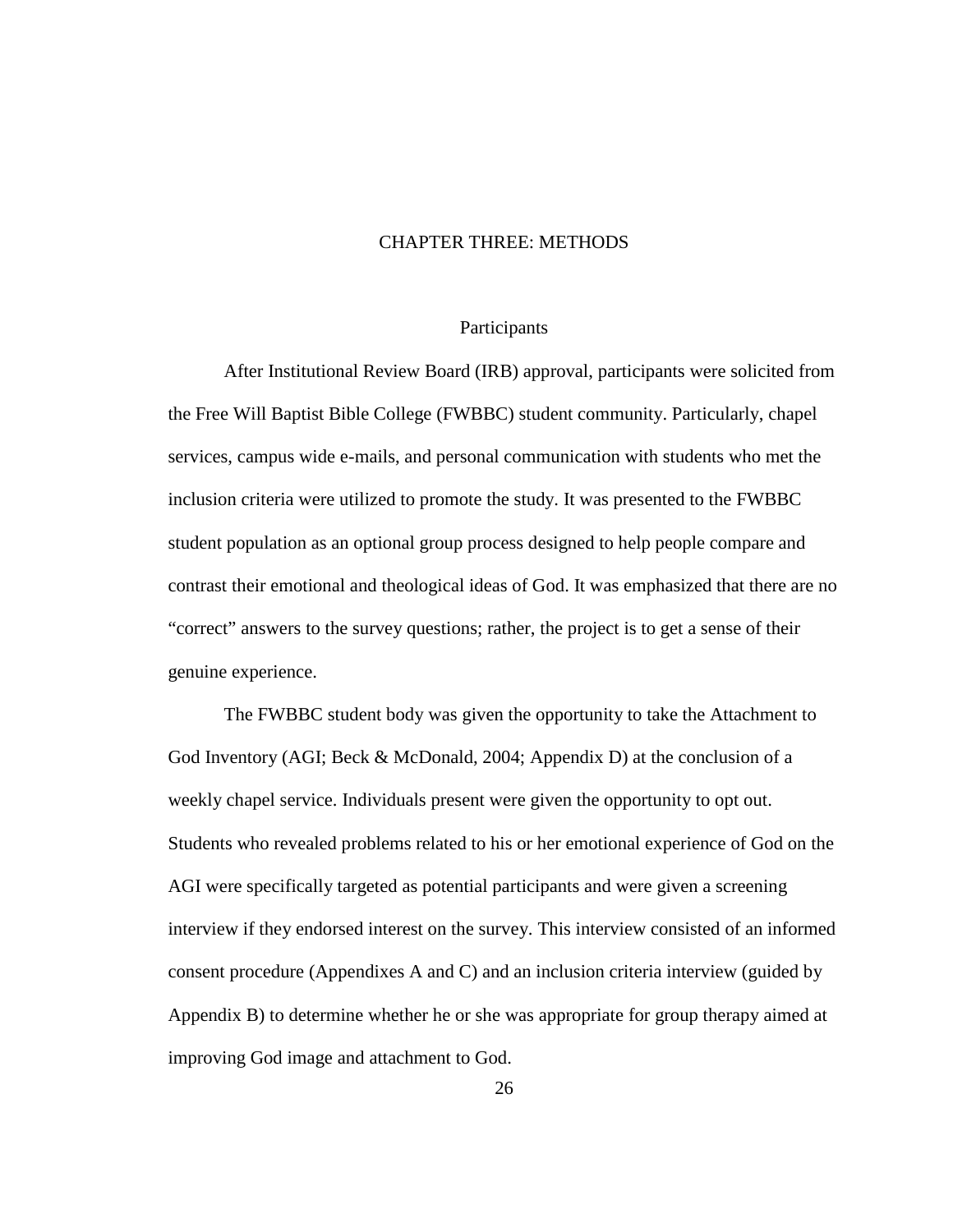### CHAPTER THREE: METHODS

#### Participants

After Institutional Review Board (IRB) approval, participants were solicited from the Free Will Baptist Bible College (FWBBC) student community. Particularly, chapel services, campus wide e-mails, and personal communication with students who met the inclusion criteria were utilized to promote the study. It was presented to the FWBBC student population as an optional group process designed to help people compare and contrast their emotional and theological ideas of God. It was emphasized that there are no "correct" answers to the survey questions; rather, the project is to get a sense of their genuine experience.

 The FWBBC student body was given the opportunity to take the Attachment to God Inventory (AGI; Beck & McDonald, 2004; Appendix D) at the conclusion of a weekly chapel service. Individuals present were given the opportunity to opt out. Students who revealed problems related to his or her emotional experience of God on the AGI were specifically targeted as potential participants and were given a screening interview if they endorsed interest on the survey. This interview consisted of an informed consent procedure (Appendixes A and C) and an inclusion criteria interview (guided by Appendix B) to determine whether he or she was appropriate for group therapy aimed at improving God image and attachment to God.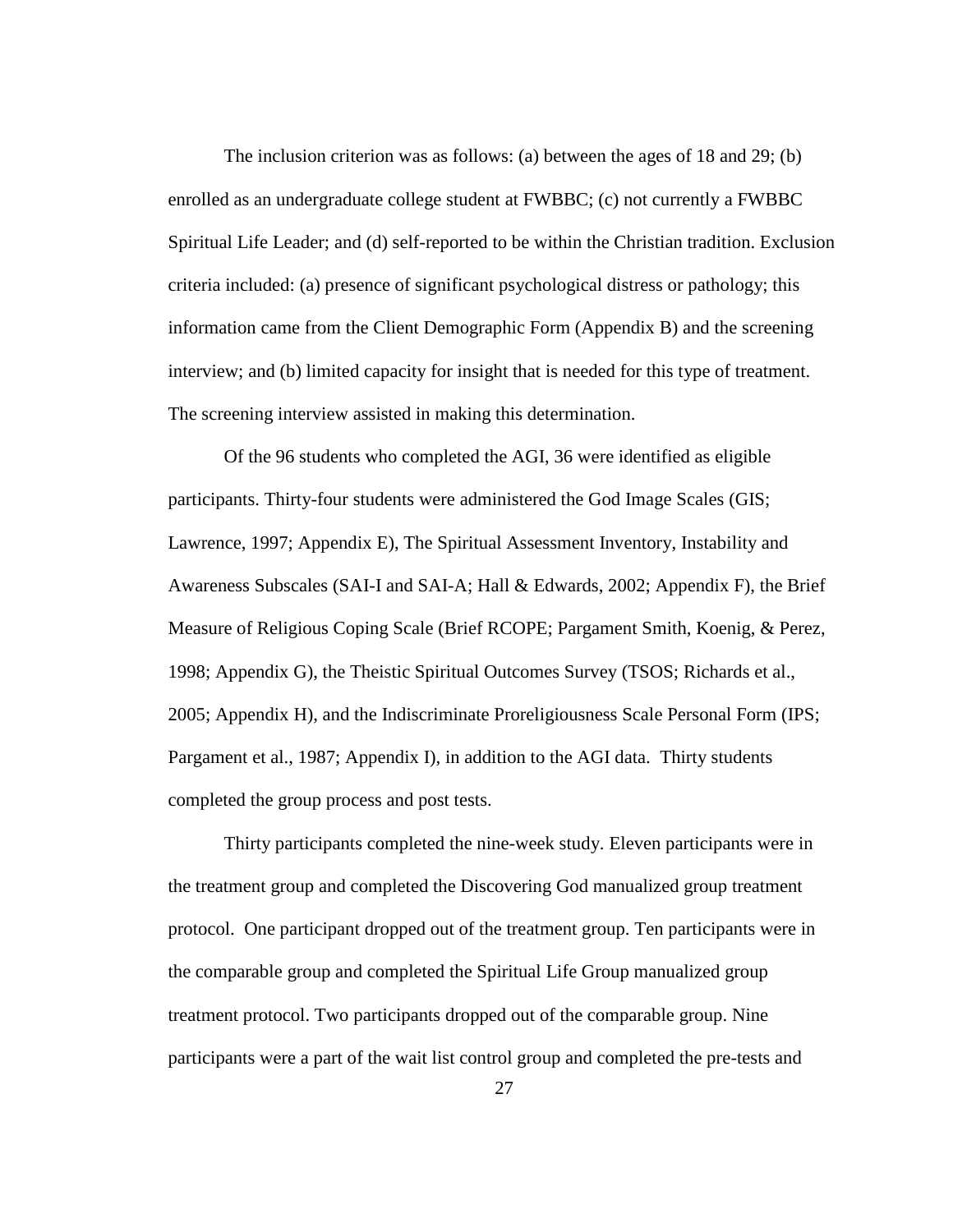The inclusion criterion was as follows: (a) between the ages of 18 and 29; (b) enrolled as an undergraduate college student at FWBBC; (c) not currently a FWBBC Spiritual Life Leader; and (d) self-reported to be within the Christian tradition. Exclusion criteria included: (a) presence of significant psychological distress or pathology; this information came from the Client Demographic Form (Appendix B) and the screening interview; and (b) limited capacity for insight that is needed for this type of treatment. The screening interview assisted in making this determination.

Of the 96 students who completed the AGI, 36 were identified as eligible participants. Thirty-four students were administered the God Image Scales (GIS; Lawrence, 1997; Appendix E), The Spiritual Assessment Inventory, Instability and Awareness Subscales (SAI-I and SAI-A; Hall & Edwards, 2002; Appendix F), the Brief Measure of Religious Coping Scale (Brief RCOPE; Pargament Smith, Koenig, & Perez, 1998; Appendix G), the Theistic Spiritual Outcomes Survey (TSOS; Richards et al., 2005; Appendix H), and the Indiscriminate Proreligiousness Scale Personal Form (IPS; Pargament et al., 1987; Appendix I), in addition to the AGI data. Thirty students completed the group process and post tests.

Thirty participants completed the nine-week study. Eleven participants were in the treatment group and completed the Discovering God manualized group treatment protocol. One participant dropped out of the treatment group. Ten participants were in the comparable group and completed the Spiritual Life Group manualized group treatment protocol. Two participants dropped out of the comparable group. Nine participants were a part of the wait list control group and completed the pre-tests and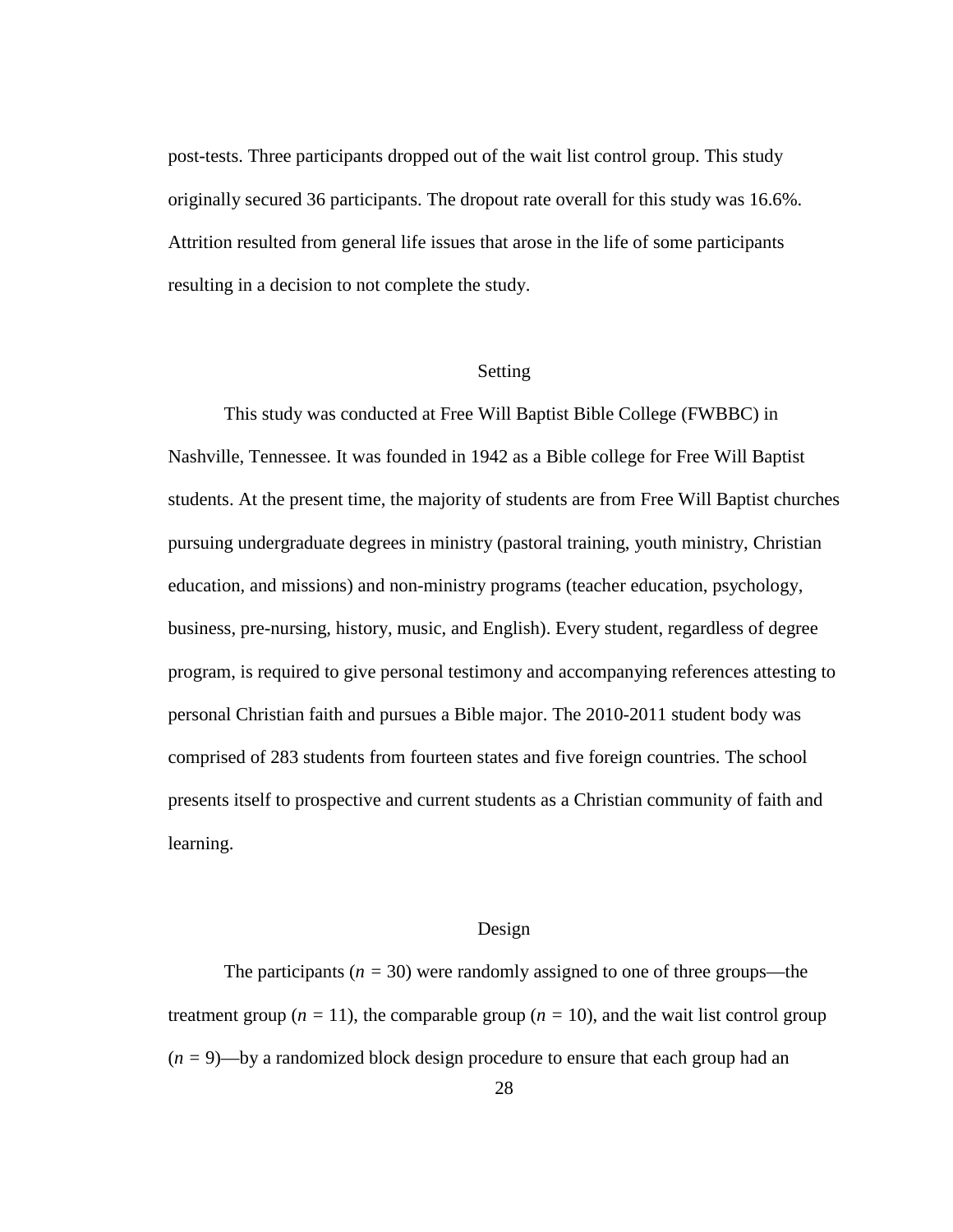post-tests. Three participants dropped out of the wait list control group. This study originally secured 36 participants. The dropout rate overall for this study was 16.6%. Attrition resulted from general life issues that arose in the life of some participants resulting in a decision to not complete the study.

### Setting

This study was conducted at Free Will Baptist Bible College (FWBBC) in Nashville, Tennessee. It was founded in 1942 as a Bible college for Free Will Baptist students. At the present time, the majority of students are from Free Will Baptist churches pursuing undergraduate degrees in ministry (pastoral training, youth ministry, Christian education, and missions) and non-ministry programs (teacher education, psychology, business, pre-nursing, history, music, and English). Every student, regardless of degree program, is required to give personal testimony and accompanying references attesting to personal Christian faith and pursues a Bible major. The 2010-2011 student body was comprised of 283 students from fourteen states and five foreign countries. The school presents itself to prospective and current students as a Christian community of faith and learning.

### Design

The participants  $(n = 30)$  were randomly assigned to one of three groups—the treatment group ( $n = 11$ ), the comparable group ( $n = 10$ ), and the wait list control group  $(n = 9)$ —by a randomized block design procedure to ensure that each group had an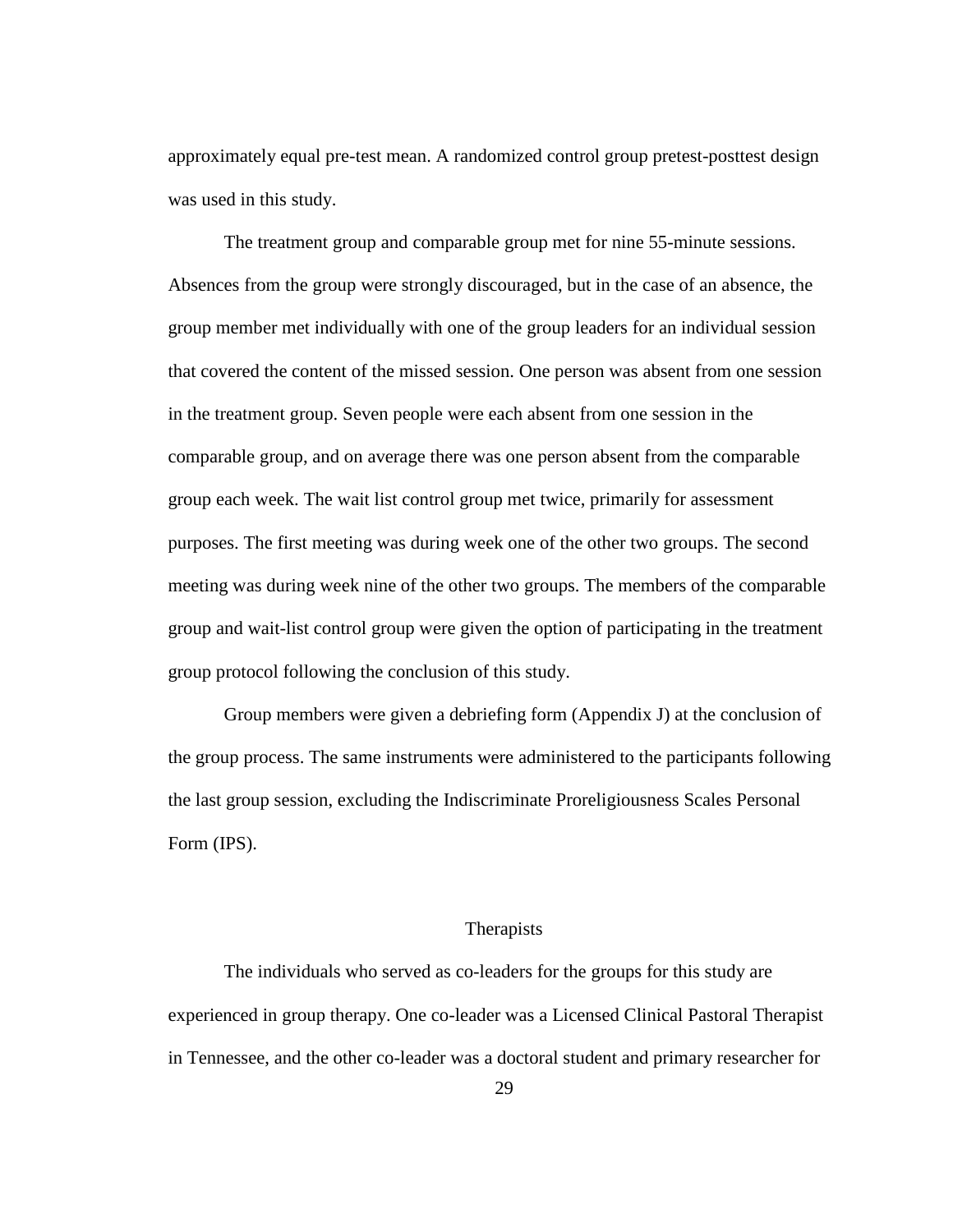approximately equal pre-test mean. A randomized control group pretest-posttest design was used in this study.

The treatment group and comparable group met for nine 55-minute sessions. Absences from the group were strongly discouraged, but in the case of an absence, the group member met individually with one of the group leaders for an individual session that covered the content of the missed session. One person was absent from one session in the treatment group. Seven people were each absent from one session in the comparable group, and on average there was one person absent from the comparable group each week. The wait list control group met twice, primarily for assessment purposes. The first meeting was during week one of the other two groups. The second meeting was during week nine of the other two groups. The members of the comparable group and wait-list control group were given the option of participating in the treatment group protocol following the conclusion of this study.

 Group members were given a debriefing form (Appendix J) at the conclusion of the group process. The same instruments were administered to the participants following the last group session, excluding the Indiscriminate Proreligiousness Scales Personal Form (IPS).

#### Therapists

 The individuals who served as co-leaders for the groups for this study are experienced in group therapy. One co-leader was a Licensed Clinical Pastoral Therapist in Tennessee, and the other co-leader was a doctoral student and primary researcher for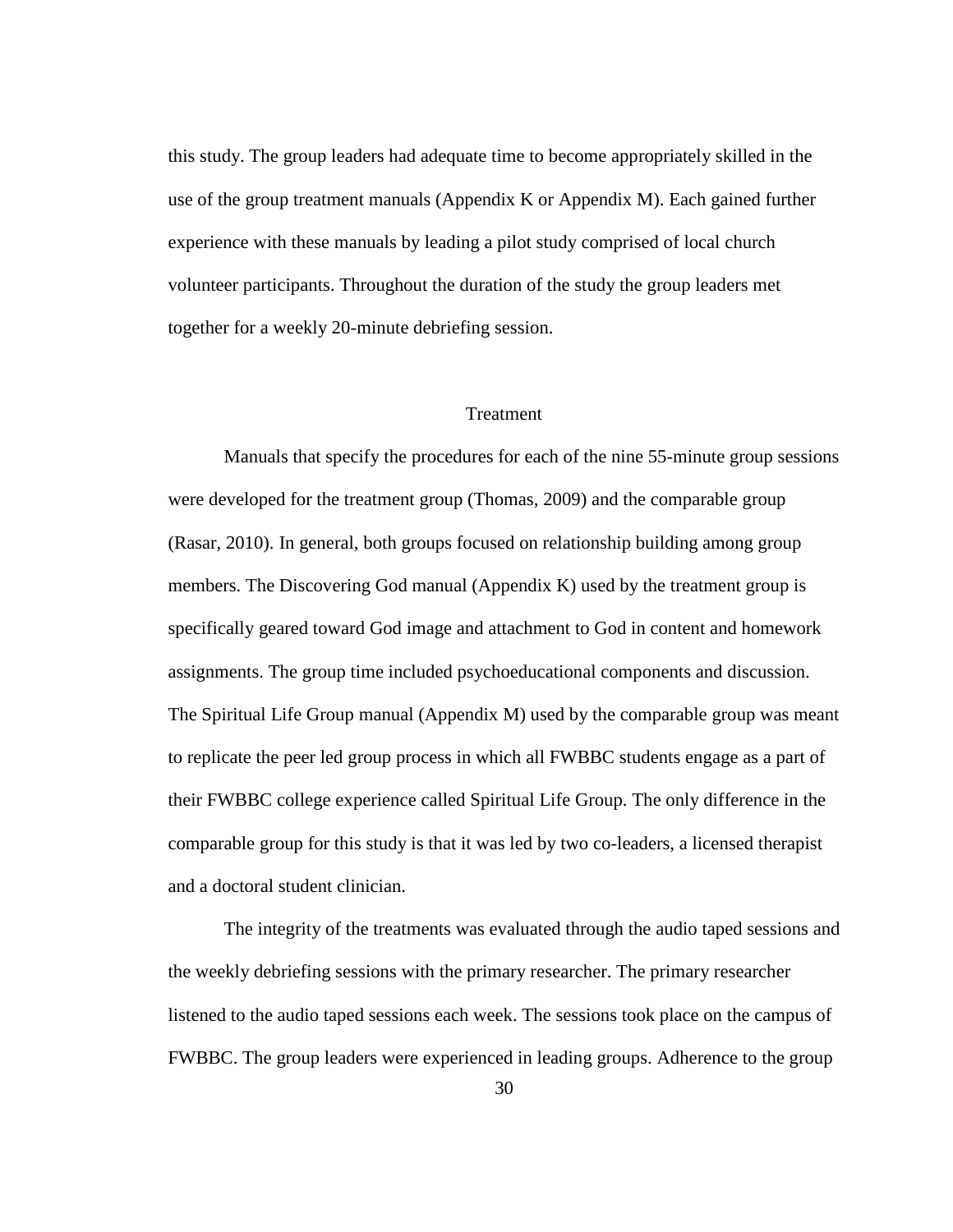this study. The group leaders had adequate time to become appropriately skilled in the use of the group treatment manuals (Appendix K or Appendix M). Each gained further experience with these manuals by leading a pilot study comprised of local church volunteer participants. Throughout the duration of the study the group leaders met together for a weekly 20-minute debriefing session.

### Treatment

Manuals that specify the procedures for each of the nine 55-minute group sessions were developed for the treatment group (Thomas, 2009) and the comparable group (Rasar, 2010). In general, both groups focused on relationship building among group members. The Discovering God manual (Appendix K) used by the treatment group is specifically geared toward God image and attachment to God in content and homework assignments. The group time included psychoeducational components and discussion. The Spiritual Life Group manual (Appendix M) used by the comparable group was meant to replicate the peer led group process in which all FWBBC students engage as a part of their FWBBC college experience called Spiritual Life Group. The only difference in the comparable group for this study is that it was led by two co-leaders, a licensed therapist and a doctoral student clinician.

The integrity of the treatments was evaluated through the audio taped sessions and the weekly debriefing sessions with the primary researcher. The primary researcher listened to the audio taped sessions each week. The sessions took place on the campus of FWBBC. The group leaders were experienced in leading groups. Adherence to the group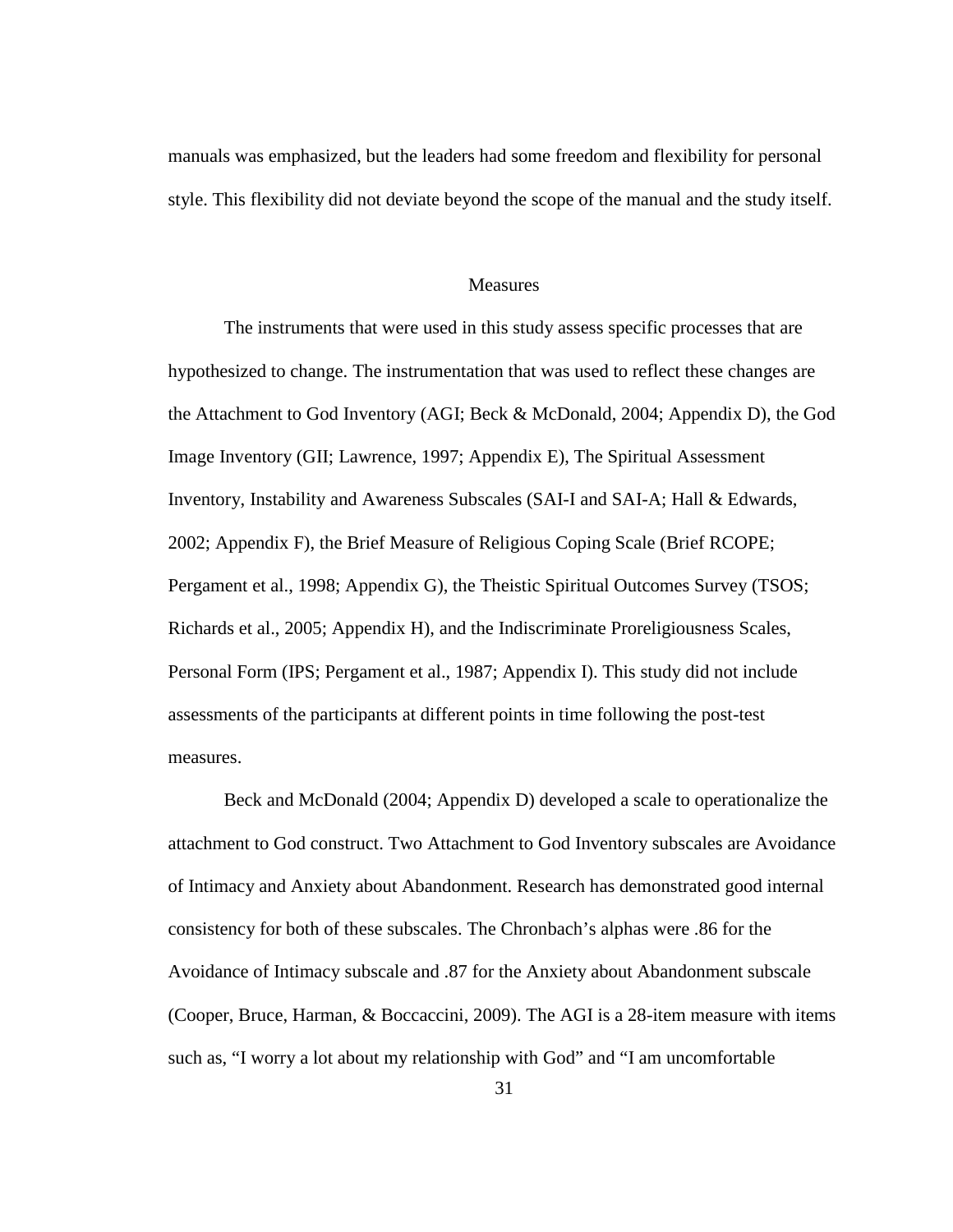manuals was emphasized, but the leaders had some freedom and flexibility for personal style. This flexibility did not deviate beyond the scope of the manual and the study itself.

#### **Measures**

The instruments that were used in this study assess specific processes that are hypothesized to change. The instrumentation that was used to reflect these changes are the Attachment to God Inventory (AGI; Beck & McDonald, 2004; Appendix D), the God Image Inventory (GII; Lawrence, 1997; Appendix E), The Spiritual Assessment Inventory, Instability and Awareness Subscales (SAI-I and SAI-A; Hall & Edwards, 2002; Appendix F), the Brief Measure of Religious Coping Scale (Brief RCOPE; Pergament et al., 1998; Appendix G), the Theistic Spiritual Outcomes Survey (TSOS; Richards et al., 2005; Appendix H), and the Indiscriminate Proreligiousness Scales, Personal Form (IPS; Pergament et al., 1987; Appendix I). This study did not include assessments of the participants at different points in time following the post-test measures.

Beck and McDonald (2004; Appendix D) developed a scale to operationalize the attachment to God construct. Two Attachment to God Inventory subscales are Avoidance of Intimacy and Anxiety about Abandonment. Research has demonstrated good internal consistency for both of these subscales. The Chronbach's alphas were .86 for the Avoidance of Intimacy subscale and .87 for the Anxiety about Abandonment subscale (Cooper, Bruce, Harman, & Boccaccini, 2009). The AGI is a 28-item measure with items such as, "I worry a lot about my relationship with God" and "I am uncomfortable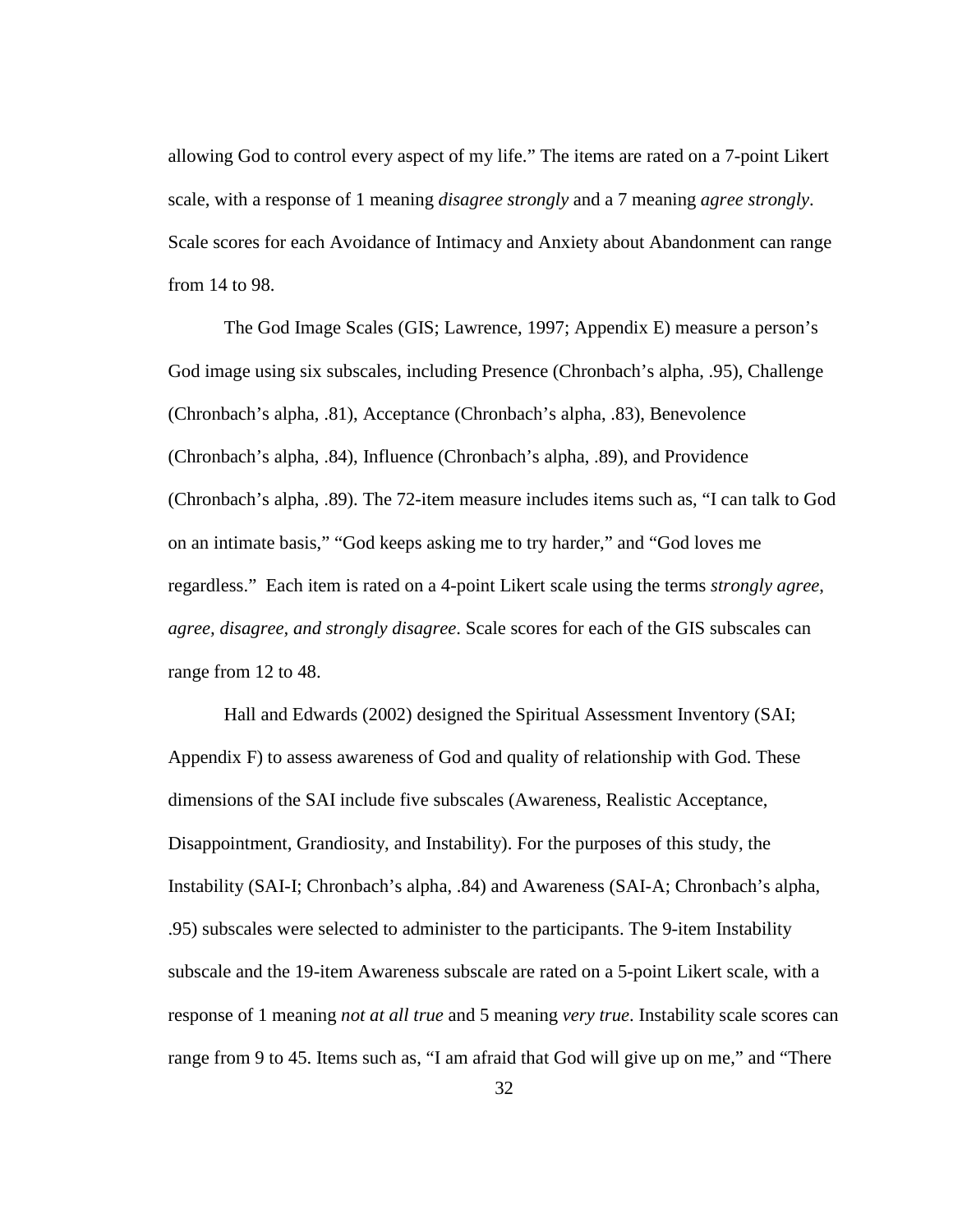allowing God to control every aspect of my life." The items are rated on a 7-point Likert scale, with a response of 1 meaning *disagree strongly* and a 7 meaning *agree strongly*. Scale scores for each Avoidance of Intimacy and Anxiety about Abandonment can range from 14 to 98.

The God Image Scales (GIS; Lawrence, 1997; Appendix E) measure a person's God image using six subscales, including Presence (Chronbach's alpha, .95), Challenge (Chronbach's alpha, .81), Acceptance (Chronbach's alpha, .83), Benevolence (Chronbach's alpha, .84), Influence (Chronbach's alpha, .89), and Providence (Chronbach's alpha, .89). The 72-item measure includes items such as, "I can talk to God on an intimate basis," "God keeps asking me to try harder," and "God loves me regardless." Each item is rated on a 4-point Likert scale using the terms *strongly agree*, *agree, disagree, and strongly disagree*. Scale scores for each of the GIS subscales can range from 12 to 48.

Hall and Edwards (2002) designed the Spiritual Assessment Inventory (SAI; Appendix F) to assess awareness of God and quality of relationship with God. These dimensions of the SAI include five subscales (Awareness, Realistic Acceptance, Disappointment, Grandiosity, and Instability). For the purposes of this study, the Instability (SAI-I; Chronbach's alpha, .84) and Awareness (SAI-A; Chronbach's alpha, .95) subscales were selected to administer to the participants. The 9-item Instability subscale and the 19-item Awareness subscale are rated on a 5-point Likert scale, with a response of 1 meaning *not at all true* and 5 meaning *very true*. Instability scale scores can range from 9 to 45. Items such as, "I am afraid that God will give up on me," and "There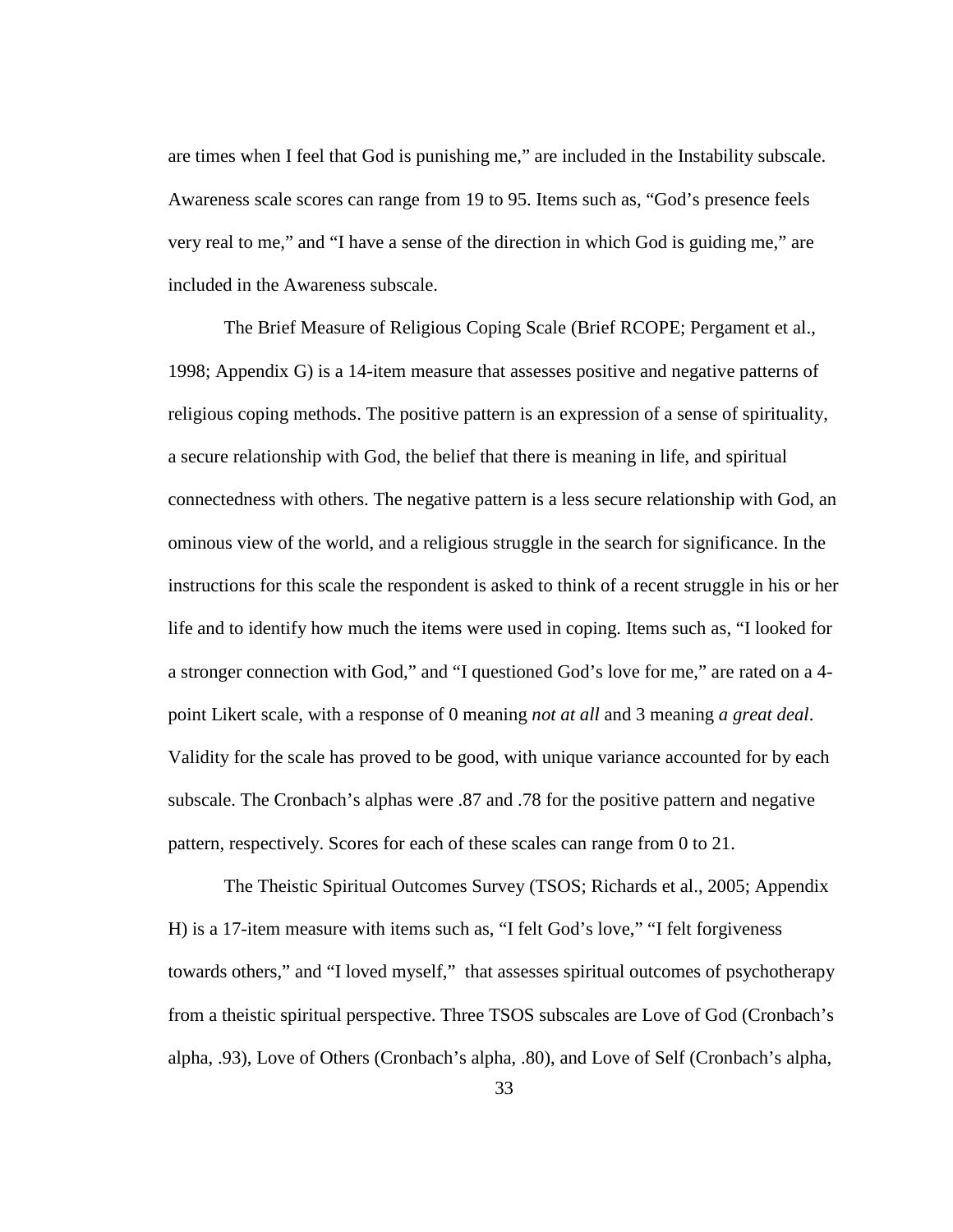are times when I feel that God is punishing me," are included in the Instability subscale. Awareness scale scores can range from 19 to 95. Items such as, "God's presence feels very real to me," and "I have a sense of the direction in which God is guiding me," are included in the Awareness subscale.

The Brief Measure of Religious Coping Scale (Brief RCOPE; Pergament et al., 1998; Appendix G) is a 14-item measure that assesses positive and negative patterns of religious coping methods. The positive pattern is an expression of a sense of spirituality, a secure relationship with God, the belief that there is meaning in life, and spiritual connectedness with others. The negative pattern is a less secure relationship with God, an ominous view of the world, and a religious struggle in the search for significance. In the instructions for this scale the respondent is asked to think of a recent struggle in his or her life and to identify how much the items were used in coping. Items such as, "I looked for a stronger connection with God," and "I questioned God's love for me," are rated on a 4 point Likert scale, with a response of 0 meaning *not at all* and 3 meaning *a great deal*. Validity for the scale has proved to be good, with unique variance accounted for by each subscale. The Cronbach's alphas were .87 and .78 for the positive pattern and negative pattern, respectively. Scores for each of these scales can range from 0 to 21.

The Theistic Spiritual Outcomes Survey (TSOS; Richards et al., 2005; Appendix H) is a 17-item measure with items such as, "I felt God's love," "I felt forgiveness towards others," and "I loved myself," that assesses spiritual outcomes of psychotherapy from a theistic spiritual perspective. Three TSOS subscales are Love of God (Cronbach's alpha, .93), Love of Others (Cronbach's alpha, .80), and Love of Self (Cronbach's alpha,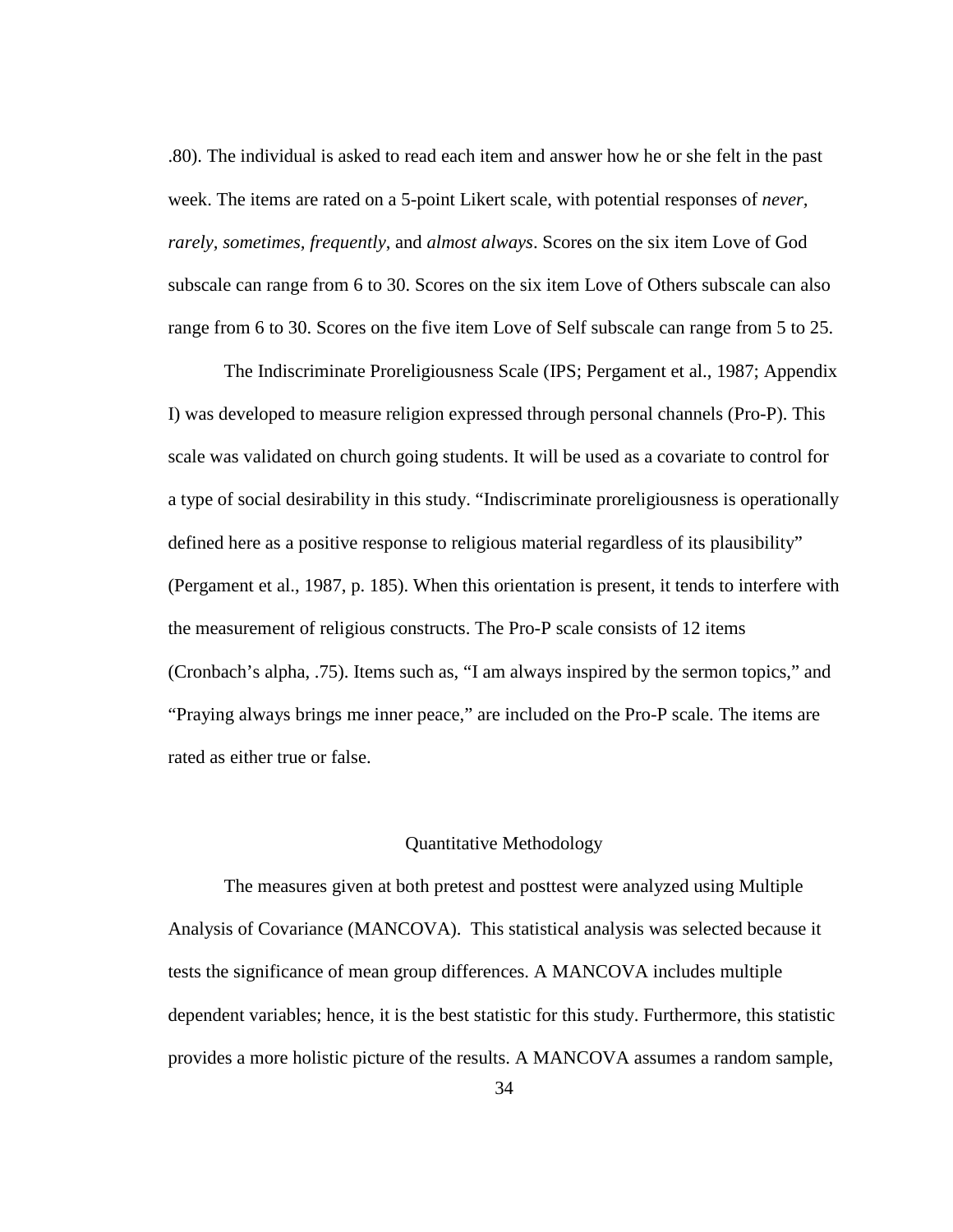.80). The individual is asked to read each item and answer how he or she felt in the past week. The items are rated on a 5-point Likert scale, with potential responses of *never, rarely, sometimes, frequently*, and *almost always*. Scores on the six item Love of God subscale can range from 6 to 30. Scores on the six item Love of Others subscale can also range from 6 to 30. Scores on the five item Love of Self subscale can range from 5 to 25.

The Indiscriminate Proreligiousness Scale (IPS; Pergament et al., 1987; Appendix I) was developed to measure religion expressed through personal channels (Pro-P). This scale was validated on church going students. It will be used as a covariate to control for a type of social desirability in this study. "Indiscriminate proreligiousness is operationally defined here as a positive response to religious material regardless of its plausibility" (Pergament et al., 1987, p. 185). When this orientation is present, it tends to interfere with the measurement of religious constructs. The Pro-P scale consists of 12 items (Cronbach's alpha, .75). Items such as, "I am always inspired by the sermon topics," and "Praying always brings me inner peace," are included on the Pro-P scale. The items are rated as either true or false.

#### Quantitative Methodology

The measures given at both pretest and posttest were analyzed using Multiple Analysis of Covariance (MANCOVA). This statistical analysis was selected because it tests the significance of mean group differences. A MANCOVA includes multiple dependent variables; hence, it is the best statistic for this study. Furthermore, this statistic provides a more holistic picture of the results. A MANCOVA assumes a random sample,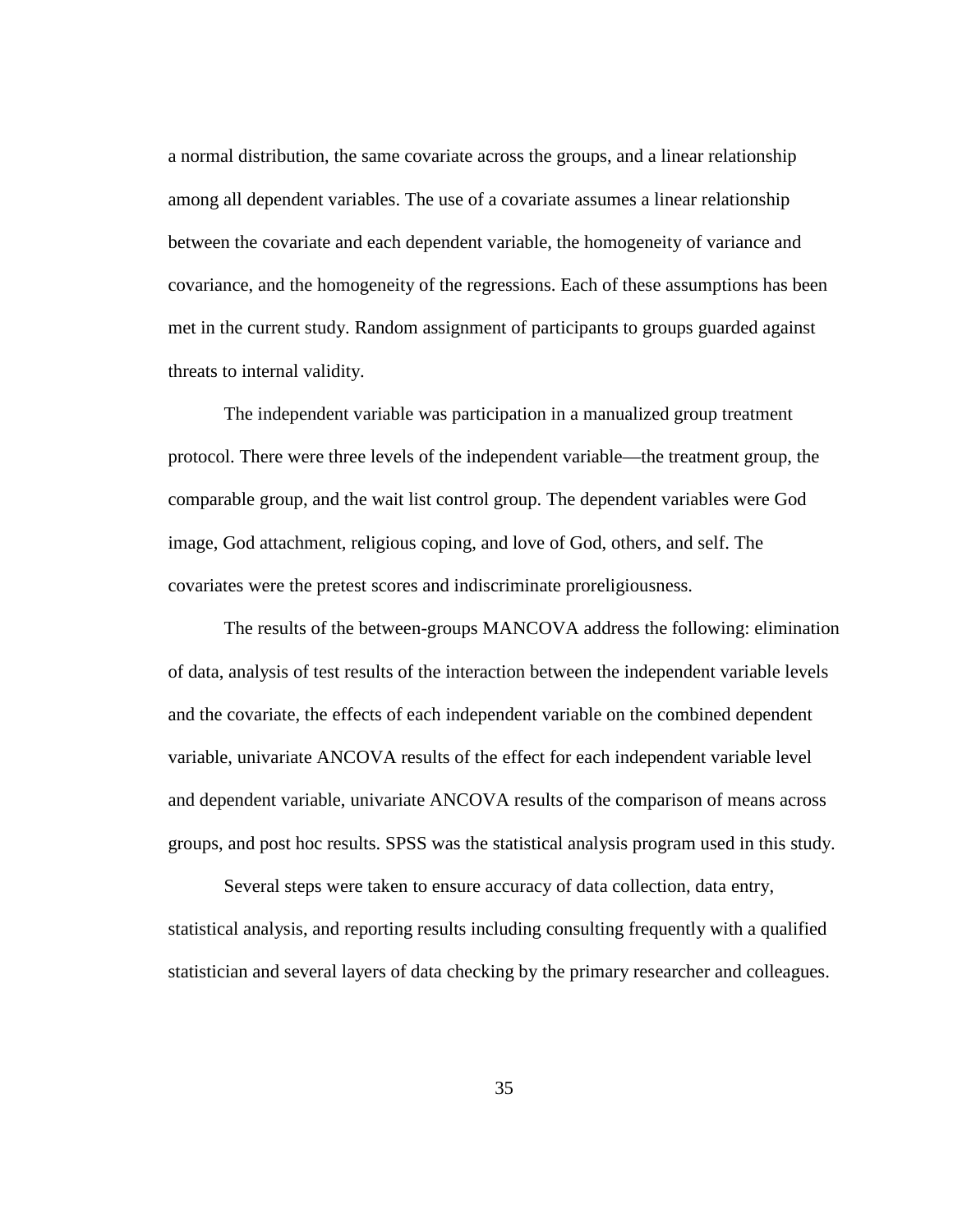a normal distribution, the same covariate across the groups, and a linear relationship among all dependent variables. The use of a covariate assumes a linear relationship between the covariate and each dependent variable, the homogeneity of variance and covariance, and the homogeneity of the regressions. Each of these assumptions has been met in the current study. Random assignment of participants to groups guarded against threats to internal validity.

The independent variable was participation in a manualized group treatment protocol. There were three levels of the independent variable—the treatment group, the comparable group, and the wait list control group. The dependent variables were God image, God attachment, religious coping, and love of God, others, and self. The covariates were the pretest scores and indiscriminate proreligiousness.

The results of the between-groups MANCOVA address the following: elimination of data, analysis of test results of the interaction between the independent variable levels and the covariate, the effects of each independent variable on the combined dependent variable, univariate ANCOVA results of the effect for each independent variable level and dependent variable, univariate ANCOVA results of the comparison of means across groups, and post hoc results. SPSS was the statistical analysis program used in this study.

Several steps were taken to ensure accuracy of data collection, data entry, statistical analysis, and reporting results including consulting frequently with a qualified statistician and several layers of data checking by the primary researcher and colleagues.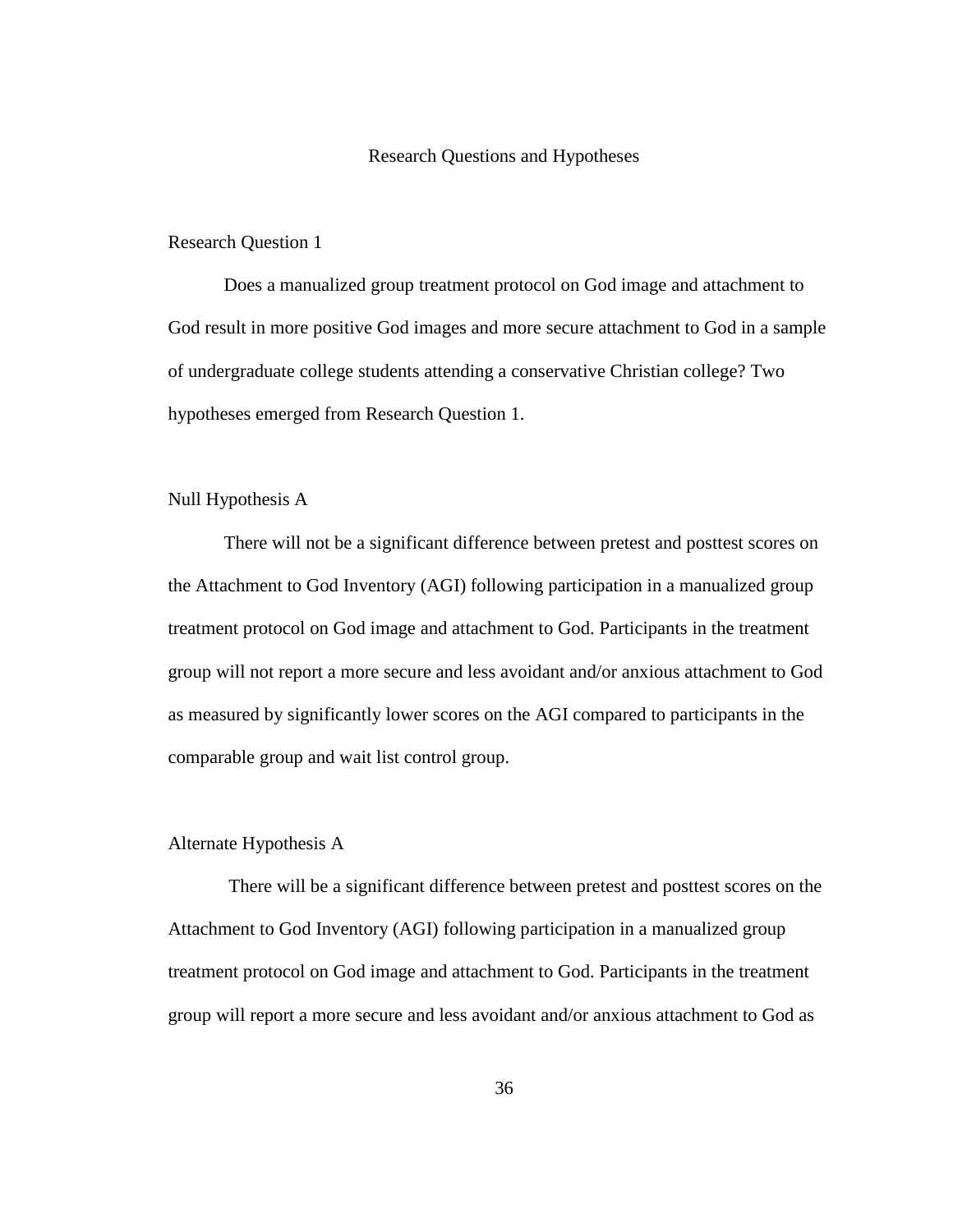#### Research Questions and Hypotheses

#### Research Question 1

 Does a manualized group treatment protocol on God image and attachment to God result in more positive God images and more secure attachment to God in a sample of undergraduate college students attending a conservative Christian college? Two hypotheses emerged from Research Question 1.

### Null Hypothesis A

There will not be a significant difference between pretest and posttest scores on the Attachment to God Inventory (AGI) following participation in a manualized group treatment protocol on God image and attachment to God. Participants in the treatment group will not report a more secure and less avoidant and/or anxious attachment to God as measured by significantly lower scores on the AGI compared to participants in the comparable group and wait list control group.

### Alternate Hypothesis A

There will be a significant difference between pretest and posttest scores on the Attachment to God Inventory (AGI) following participation in a manualized group treatment protocol on God image and attachment to God. Participants in the treatment group will report a more secure and less avoidant and/or anxious attachment to God as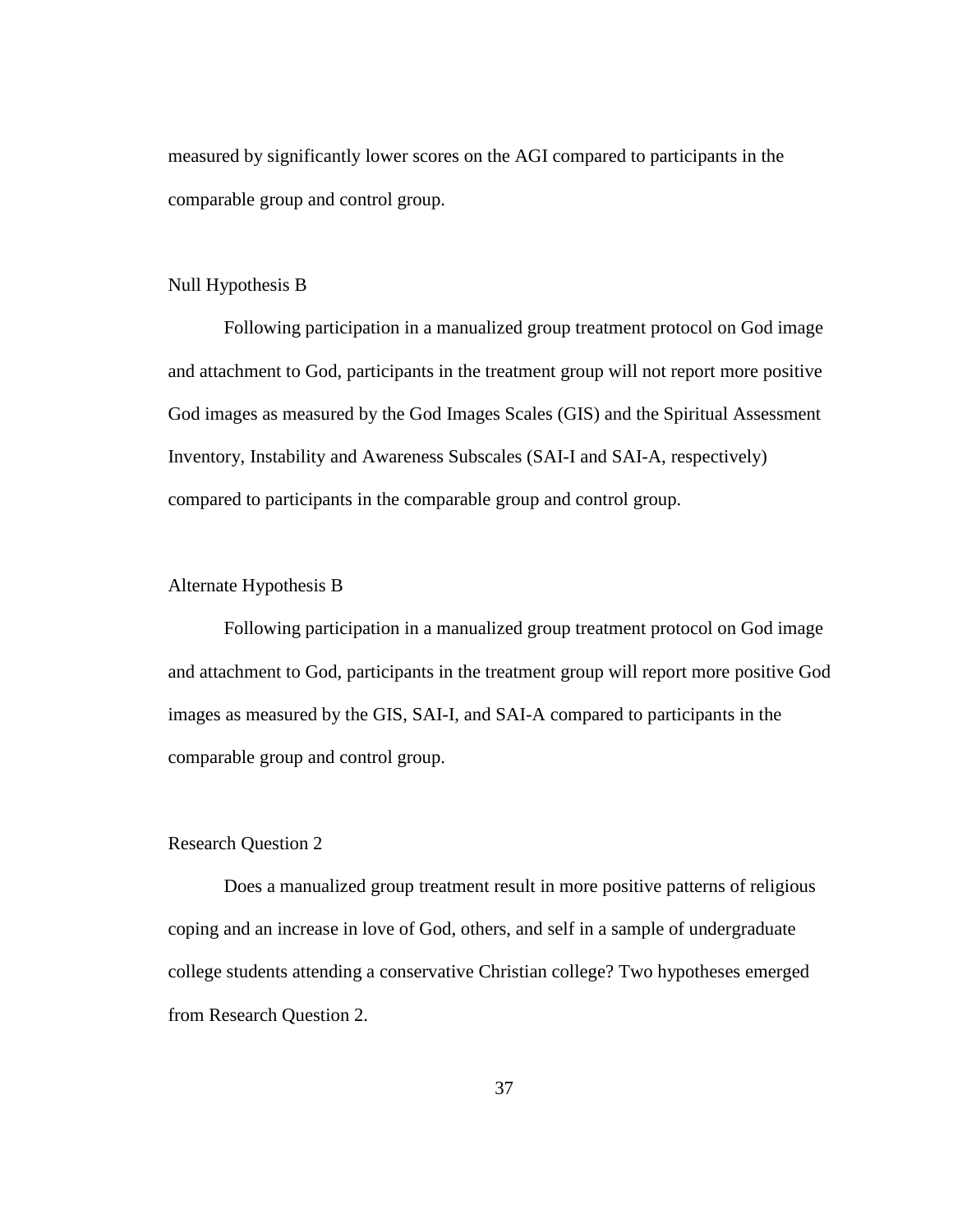measured by significantly lower scores on the AGI compared to participants in the comparable group and control group.

### Null Hypothesis B

Following participation in a manualized group treatment protocol on God image and attachment to God, participants in the treatment group will not report more positive God images as measured by the God Images Scales (GIS) and the Spiritual Assessment Inventory, Instability and Awareness Subscales (SAI-I and SAI-A, respectively) compared to participants in the comparable group and control group.

### Alternate Hypothesis B

Following participation in a manualized group treatment protocol on God image and attachment to God, participants in the treatment group will report more positive God images as measured by the GIS, SAI-I, and SAI-A compared to participants in the comparable group and control group.

### Research Question 2

Does a manualized group treatment result in more positive patterns of religious coping and an increase in love of God, others, and self in a sample of undergraduate college students attending a conservative Christian college? Two hypotheses emerged from Research Question 2.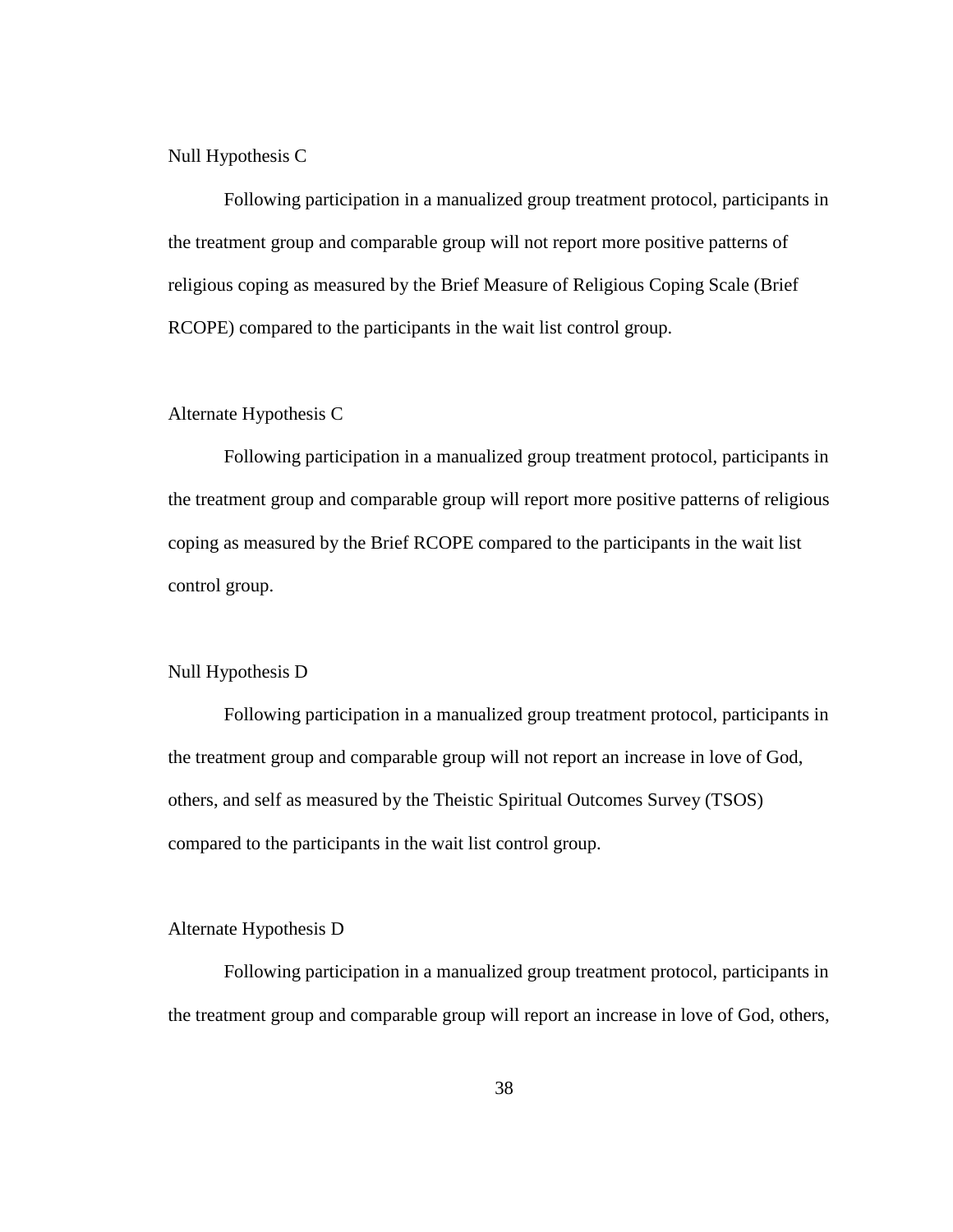Null Hypothesis C

Following participation in a manualized group treatment protocol, participants in the treatment group and comparable group will not report more positive patterns of religious coping as measured by the Brief Measure of Religious Coping Scale (Brief RCOPE) compared to the participants in the wait list control group.

### Alternate Hypothesis C

Following participation in a manualized group treatment protocol, participants in the treatment group and comparable group will report more positive patterns of religious coping as measured by the Brief RCOPE compared to the participants in the wait list control group.

### Null Hypothesis D

 Following participation in a manualized group treatment protocol, participants in the treatment group and comparable group will not report an increase in love of God, others, and self as measured by the Theistic Spiritual Outcomes Survey (TSOS) compared to the participants in the wait list control group.

#### Alternate Hypothesis D

Following participation in a manualized group treatment protocol, participants in the treatment group and comparable group will report an increase in love of God, others,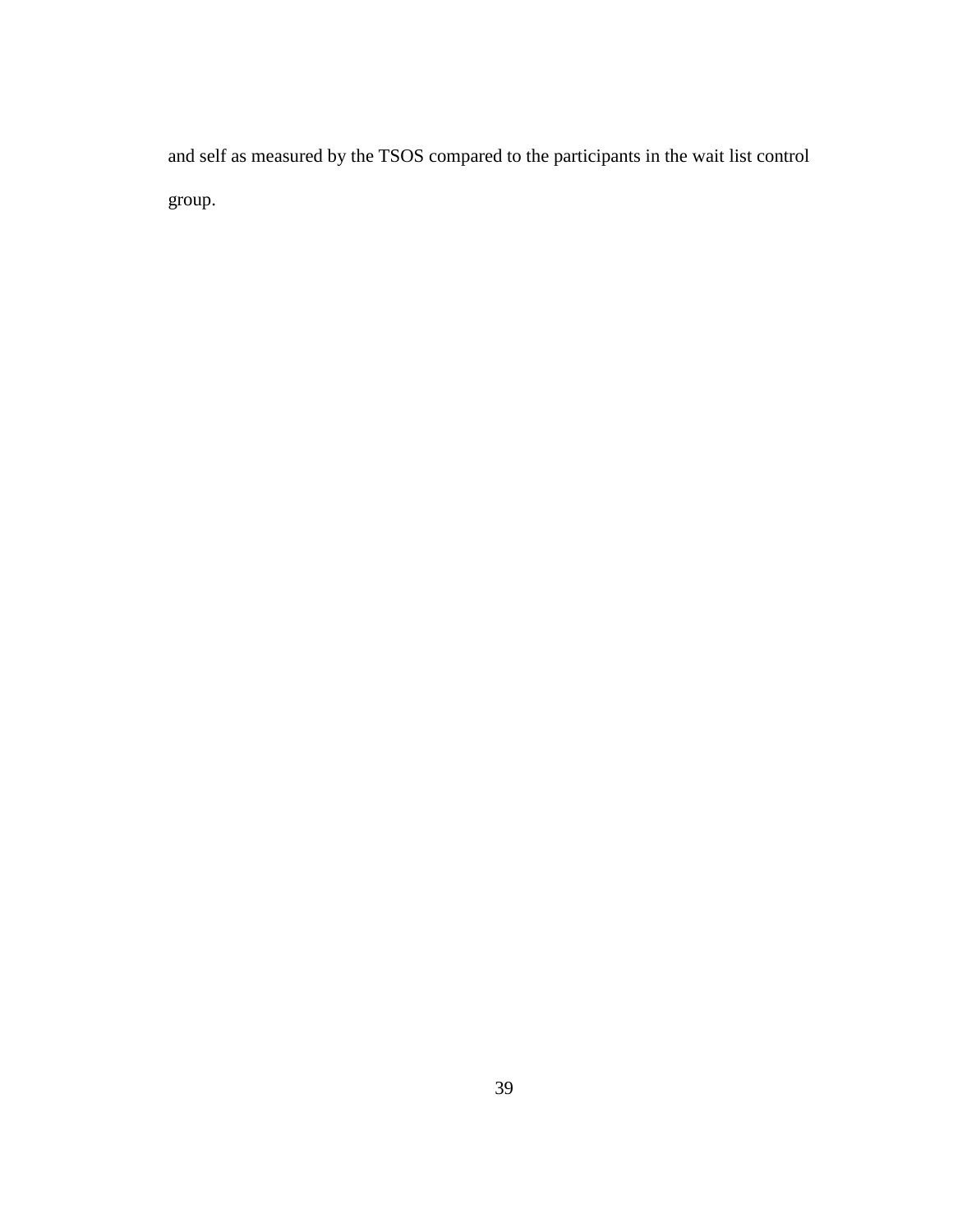and self as measured by the TSOS compared to the participants in the wait list control group.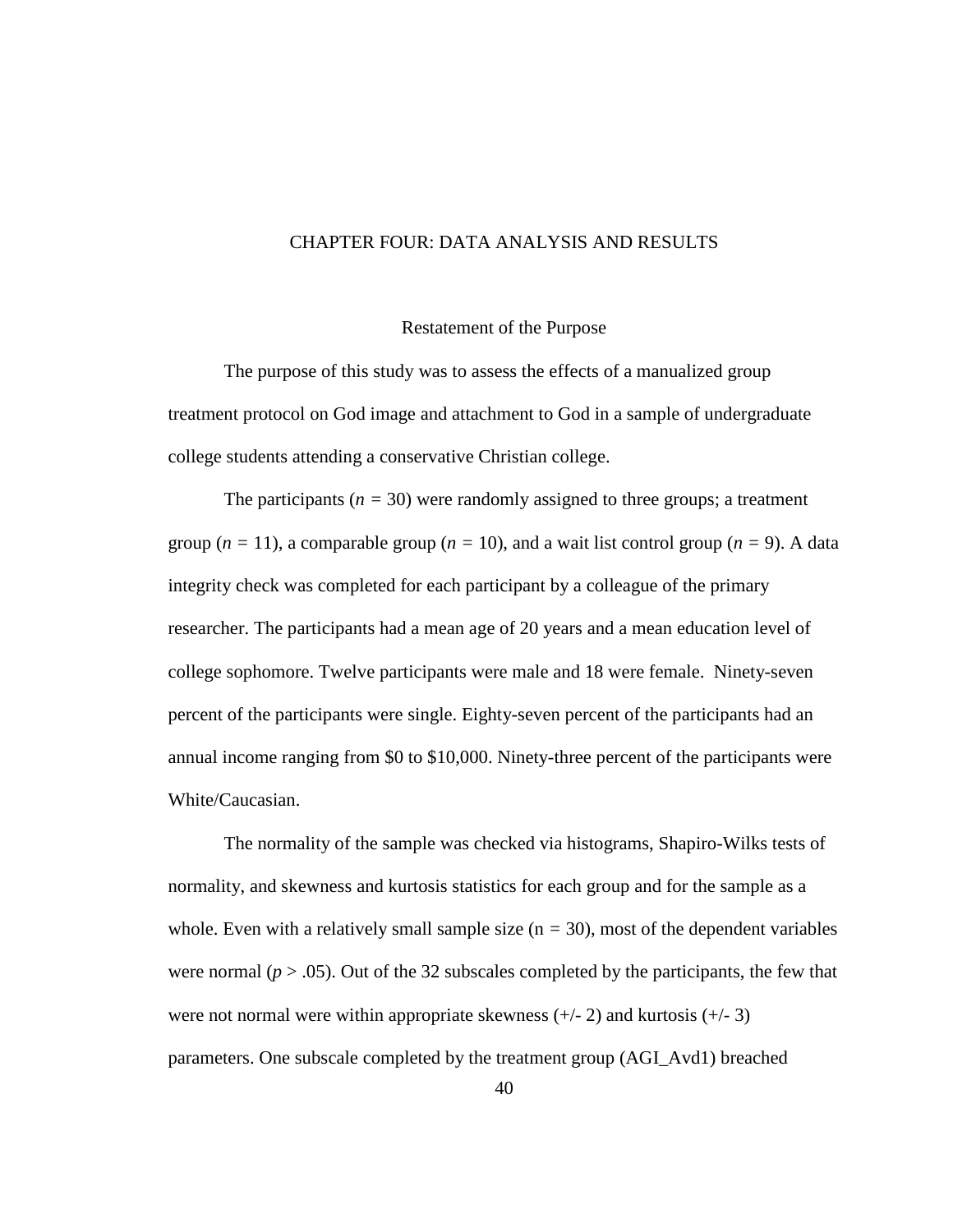#### CHAPTER FOUR: DATA ANALYSIS AND RESULTS

#### Restatement of the Purpose

The purpose of this study was to assess the effects of a manualized group treatment protocol on God image and attachment to God in a sample of undergraduate college students attending a conservative Christian college.

The participants  $(n = 30)$  were randomly assigned to three groups; a treatment group  $(n = 11)$ , a comparable group  $(n = 10)$ , and a wait list control group  $(n = 9)$ . A data integrity check was completed for each participant by a colleague of the primary researcher. The participants had a mean age of 20 years and a mean education level of college sophomore. Twelve participants were male and 18 were female. Ninety-seven percent of the participants were single. Eighty-seven percent of the participants had an annual income ranging from \$0 to \$10,000. Ninety-three percent of the participants were White/Caucasian.

The normality of the sample was checked via histograms, Shapiro-Wilks tests of normality, and skewness and kurtosis statistics for each group and for the sample as a whole. Even with a relatively small sample size  $(n = 30)$ , most of the dependent variables were normal ( $p > .05$ ). Out of the 32 subscales completed by the participants, the few that were not normal were within appropriate skewness  $(+/- 2)$  and kurtosis  $(+/- 3)$ parameters. One subscale completed by the treatment group (AGI\_Avd1) breached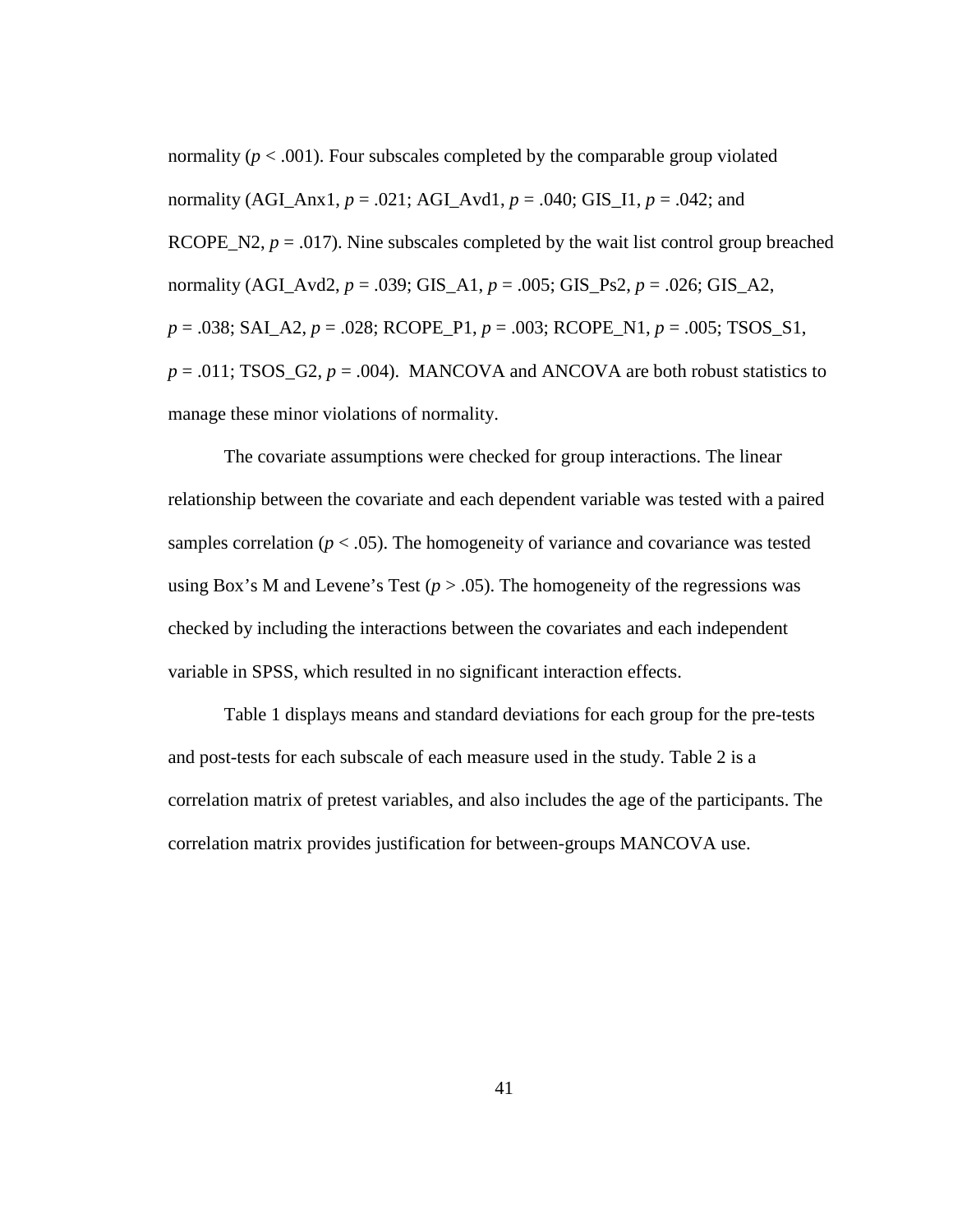normality ( $p < .001$ ). Four subscales completed by the comparable group violated normality (AGI\_Anx1,  $p = .021$ ; AGI\_Avd1,  $p = .040$ ; GIS\_I1,  $p = .042$ ; and RCOPE N2,  $p = .017$ ). Nine subscales completed by the wait list control group breached normality (AGI\_Avd2, *p* = .039; GIS\_A1, *p* = .005; GIS\_Ps2, *p* = .026; GIS\_A2, *p* = .038; SAI\_A2, *p* = .028; RCOPE\_P1, *p* = .003; RCOPE\_N1, *p* = .005; TSOS\_S1,  $p = .011$ ; TSOS\_G2,  $p = .004$ ). MANCOVA and ANCOVA are both robust statistics to manage these minor violations of normality.

The covariate assumptions were checked for group interactions. The linear relationship between the covariate and each dependent variable was tested with a paired samples correlation ( $p < .05$ ). The homogeneity of variance and covariance was tested using Box's M and Levene's Test ( $p > .05$ ). The homogeneity of the regressions was checked by including the interactions between the covariates and each independent variable in SPSS, which resulted in no significant interaction effects.

Table 1 displays means and standard deviations for each group for the pre-tests and post-tests for each subscale of each measure used in the study. Table 2 is a correlation matrix of pretest variables, and also includes the age of the participants. The correlation matrix provides justification for between-groups MANCOVA use.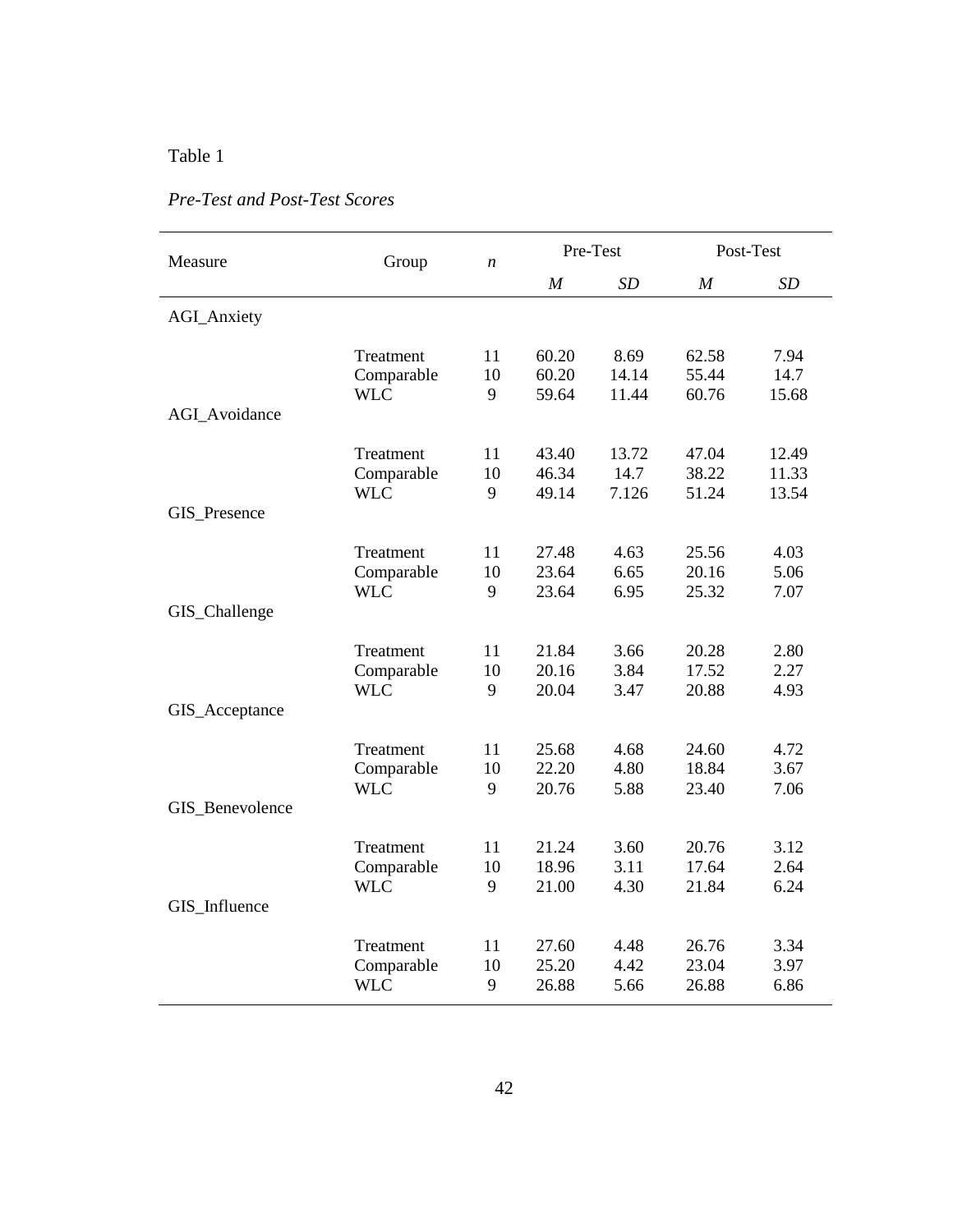| Measure              | Group                    | $\boldsymbol{n}$ |                  | Pre-Test       |                  | Post-Test      |
|----------------------|--------------------------|------------------|------------------|----------------|------------------|----------------|
|                      |                          |                  | $\boldsymbol{M}$ | SD             | $\boldsymbol{M}$ | SD             |
| <b>AGI_Anxiety</b>   |                          |                  |                  |                |                  |                |
|                      | Treatment                | 11               | 60.20            | 8.69           | 62.58            | 7.94           |
|                      | Comparable<br><b>WLC</b> | 10<br>9          | 60.20<br>59.64   | 14.14<br>11.44 | 55.44<br>60.76   | 14.7<br>15.68  |
| <b>AGI</b> Avoidance |                          |                  |                  |                |                  |                |
|                      | Treatment                | 11               | 43.40            | 13.72          | 47.04            | 12.49          |
|                      | Comparable<br><b>WLC</b> | 10<br>9          | 46.34<br>49.14   | 14.7<br>7.126  | 38.22<br>51.24   | 11.33<br>13.54 |
| GIS_Presence         |                          |                  |                  |                |                  |                |
|                      | Treatment                | 11               | 27.48            | 4.63           | 25.56            | 4.03           |
|                      | Comparable               | 10               | 23.64            | 6.65           | 20.16            | 5.06           |
| GIS_Challenge        | <b>WLC</b>               | 9                | 23.64            | 6.95           | 25.32            | 7.07           |
|                      | Treatment                | 11               | 21.84            | 3.66           | 20.28            | 2.80           |
|                      | Comparable               | 10               | 20.16            | 3.84           | 17.52            | 2.27           |
| GIS_Acceptance       | <b>WLC</b>               | 9                | 20.04            | 3.47           | 20.88            | 4.93           |
|                      | Treatment                | 11               | 25.68            | 4.68           | 24.60            | 4.72           |
|                      | Comparable               | 10               | 22.20            | 4.80           | 18.84            | 3.67           |
| GIS_Benevolence      | <b>WLC</b>               | 9                | 20.76            | 5.88           | 23.40            | 7.06           |
|                      | Treatment                | 11               | 21.24            | 3.60           | 20.76            | 3.12           |
|                      | Comparable               | 10               | 18.96            | 3.11           | 17.64            | 2.64           |
| GIS_Influence        | <b>WLC</b>               | 9                | 21.00            | 4.30           | 21.84            | 6.24           |
|                      | Treatment                | 11               | 27.60            | 4.48           | 26.76            | 3.34           |
|                      | Comparable<br><b>WLC</b> | 10<br>9          | 25.20<br>26.88   | 4.42<br>5.66   | 23.04<br>26.88   | 3.97<br>6.86   |

# *Pre-Test and Post-Test Scores*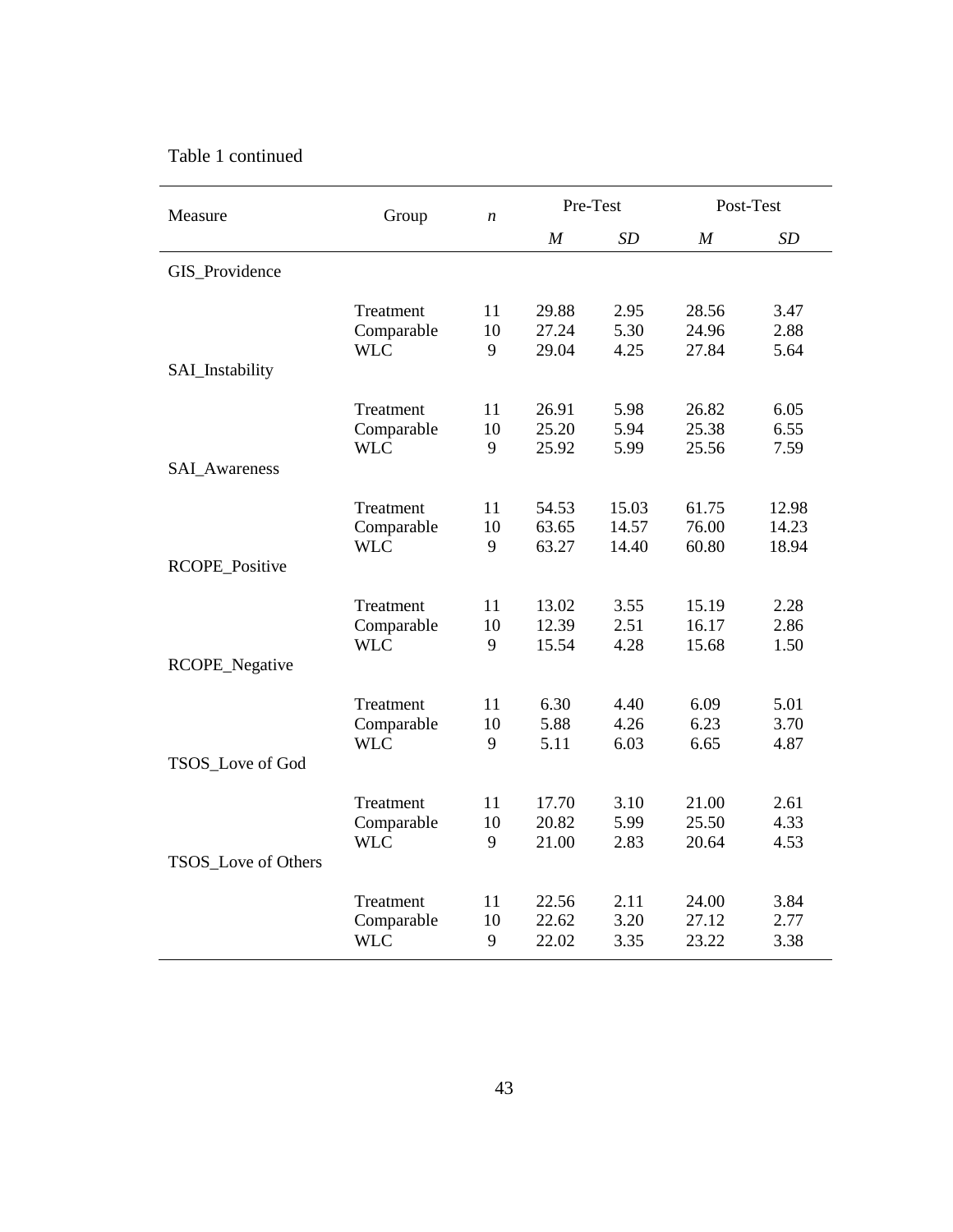# Table 1 continued

| Measure              | Group      | $\boldsymbol{n}$ |                  | Pre-Test |                  | Post-Test |
|----------------------|------------|------------------|------------------|----------|------------------|-----------|
|                      |            |                  | $\boldsymbol{M}$ | SD       | $\boldsymbol{M}$ | SD        |
| GIS_Providence       |            |                  |                  |          |                  |           |
| SAI_Instability      | Treatment  | 11               | 29.88            | 2.95     | 28.56            | 3.47      |
|                      | Comparable | 10               | 27.24            | 5.30     | 24.96            | 2.88      |
|                      | <b>WLC</b> | 9                | 29.04            | 4.25     | 27.84            | 5.64      |
| <b>SAL_Awareness</b> | Treatment  | 11               | 26.91            | 5.98     | 26.82            | 6.05      |
|                      | Comparable | 10               | 25.20            | 5.94     | 25.38            | 6.55      |
|                      | <b>WLC</b> | 9                | 25.92            | 5.99     | 25.56            | 7.59      |
| RCOPE_Positive       | Treatment  | 11               | 54.53            | 15.03    | 61.75            | 12.98     |
|                      | Comparable | 10               | 63.65            | 14.57    | 76.00            | 14.23     |
|                      | <b>WLC</b> | 9                | 63.27            | 14.40    | 60.80            | 18.94     |
| RCOPE_Negative       | Treatment  | 11               | 13.02            | 3.55     | 15.19            | 2.28      |
|                      | Comparable | 10               | 12.39            | 2.51     | 16.17            | 2.86      |
|                      | <b>WLC</b> | 9                | 15.54            | 4.28     | 15.68            | 1.50      |
| TSOS_Love of God     | Treatment  | 11               | 6.30             | 4.40     | 6.09             | 5.01      |
|                      | Comparable | 10               | 5.88             | 4.26     | 6.23             | 3.70      |
|                      | <b>WLC</b> | 9                | 5.11             | 6.03     | 6.65             | 4.87      |
| TSOS_Love of Others  | Treatment  | 11               | 17.70            | 3.10     | 21.00            | 2.61      |
|                      | Comparable | 10               | 20.82            | 5.99     | 25.50            | 4.33      |
|                      | <b>WLC</b> | 9                | 21.00            | 2.83     | 20.64            | 4.53      |
|                      | Treatment  | 11               | 22.56            | 2.11     | 24.00            | 3.84      |
|                      | Comparable | 10               | 22.62            | 3.20     | 27.12            | 2.77      |
|                      | <b>WLC</b> | 9                | 22.02            | 3.35     | 23.22            | 3.38      |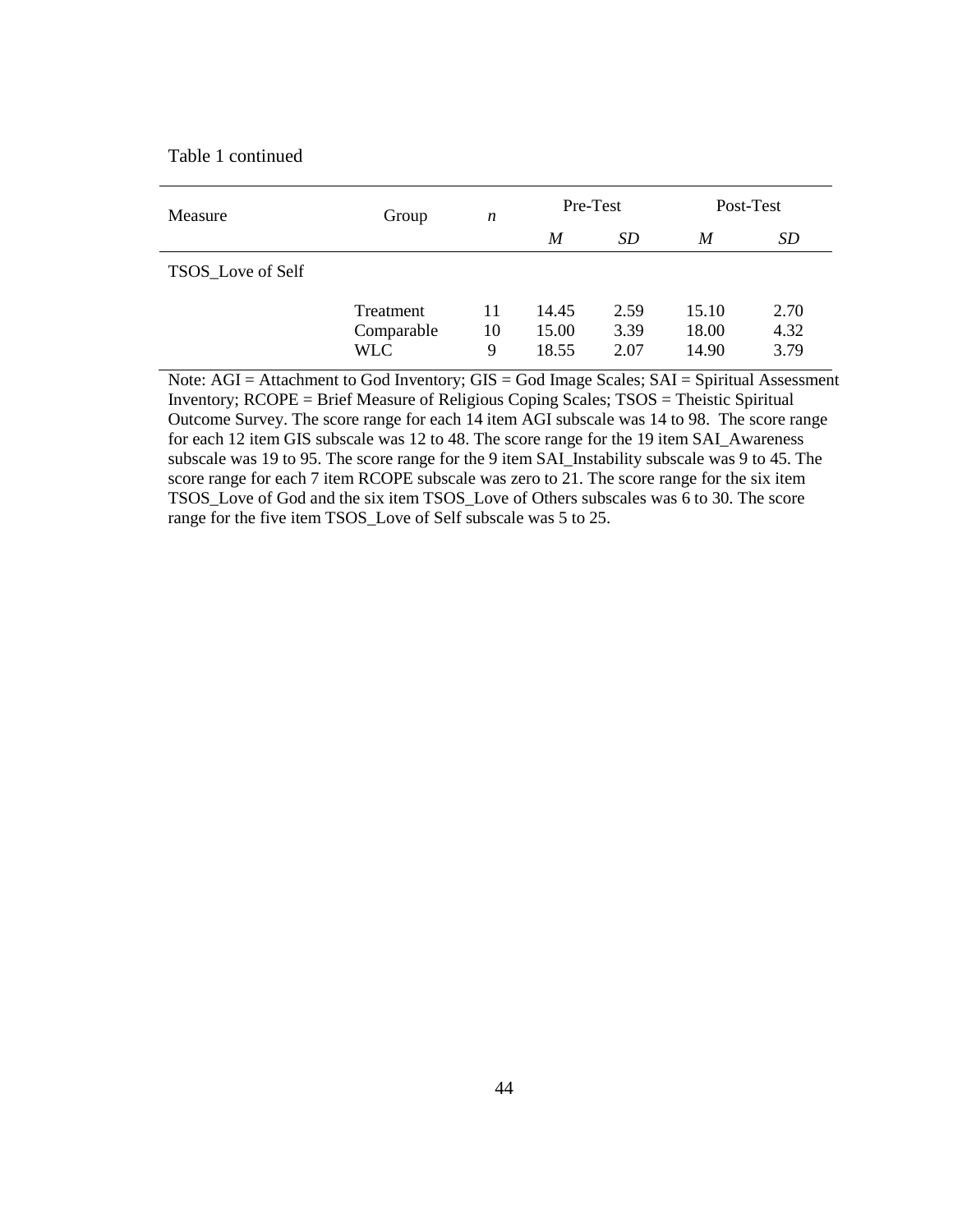Table 1 continued

| Measure           | Group                                 | n             | Pre-Test                |                      | Post-Test               |                      |
|-------------------|---------------------------------------|---------------|-------------------------|----------------------|-------------------------|----------------------|
|                   |                                       |               | M                       | <i>SD</i>            | M                       | SD                   |
| TSOS_Love of Self |                                       |               |                         |                      |                         |                      |
|                   | Treatment<br>Comparable<br><b>WLC</b> | 11<br>10<br>9 | 14.45<br>15.00<br>18.55 | 2.59<br>3.39<br>2.07 | 15.10<br>18.00<br>14.90 | 2.70<br>4.32<br>3.79 |

Note: AGI = Attachment to God Inventory; GIS = God Image Scales; SAI = Spiritual Assessment Inventory; RCOPE = Brief Measure of Religious Coping Scales; TSOS = Theistic Spiritual Outcome Survey. The score range for each 14 item AGI subscale was 14 to 98. The score range for each 12 item GIS subscale was 12 to 48. The score range for the 19 item SAI\_Awareness subscale was 19 to 95. The score range for the 9 item SAI\_Instability subscale was 9 to 45. The score range for each 7 item RCOPE subscale was zero to 21. The score range for the six item TSOS\_Love of God and the six item TSOS\_Love of Others subscales was 6 to 30. The score range for the five item TSOS\_Love of Self subscale was 5 to 25.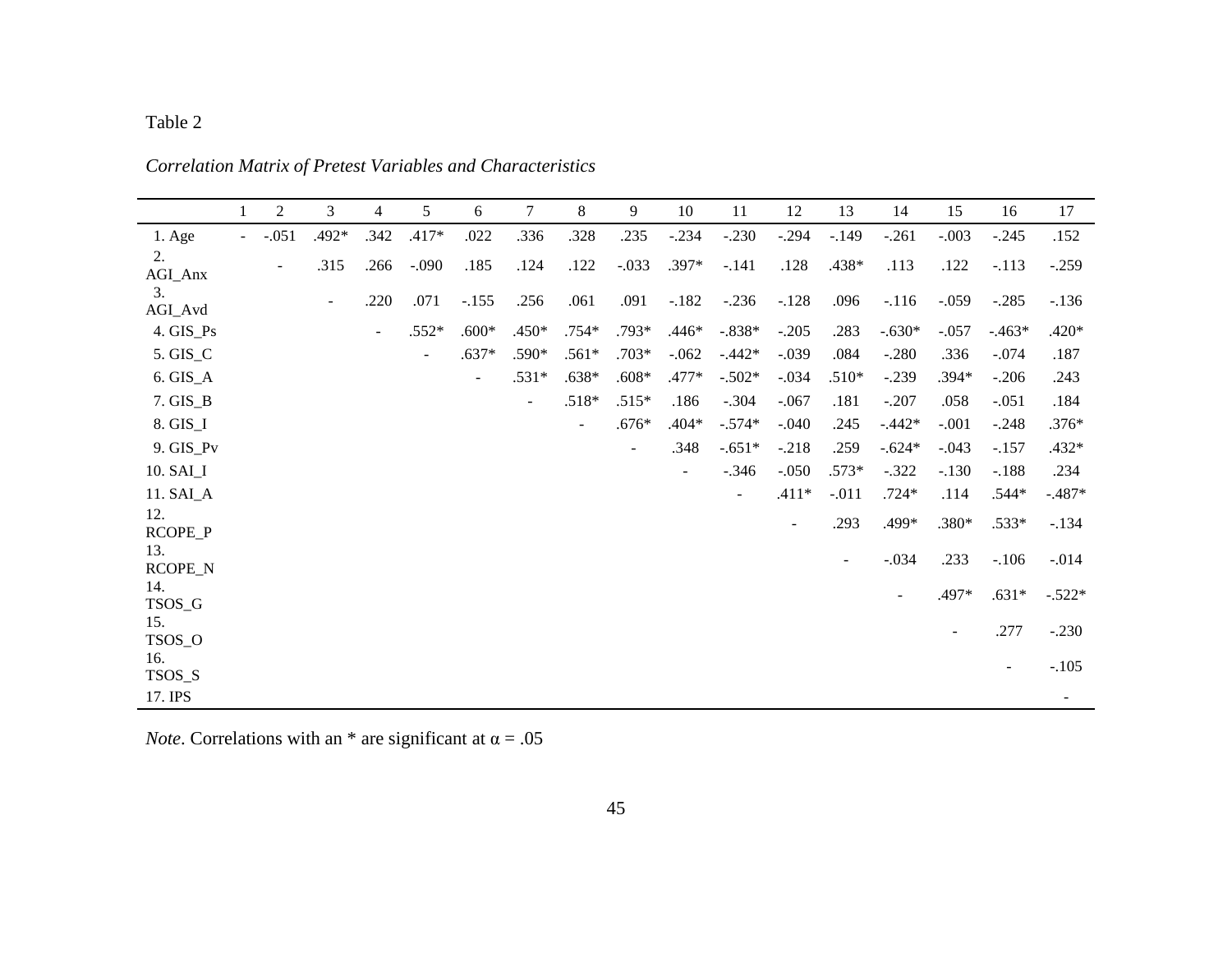|                | $\mathbf{1}$        | $\overline{2}$           | 3      | $\overline{4}$ | 5              | 6                        | $\overline{7}$           | 8                        | 9                        | 10             | 11       | 12                       | 13                       | 14       | 15                       | 16      | 17       |
|----------------|---------------------|--------------------------|--------|----------------|----------------|--------------------------|--------------------------|--------------------------|--------------------------|----------------|----------|--------------------------|--------------------------|----------|--------------------------|---------|----------|
| 1. Age         | $\omega_{\rm{max}}$ | $-.051$                  | .492*  | .342           | $.417*$        | .022                     | .336                     | .328                     | .235                     | $-.234$        | $-.230$  | $-.294$                  | $-.149$                  | $-.261$  | $-.003$                  | $-.245$ | .152     |
| 2.<br>AGI_Anx  |                     | $\overline{\phantom{a}}$ | .315   | .266           | $-.090$        | .185                     | .124                     | .122                     | $-.033$                  | $.397*$        | $-.141$  | .128                     | .438*                    | .113     | .122                     | $-.113$ | $-.259$  |
| 3.<br>AGI_Avd  |                     |                          | $\sim$ | .220           | .071           | $-.155$                  | .256                     | .061                     | .091                     | $-.182$        | $-.236$  | $-.128$                  | .096                     | $-116$   | $-.059$                  | $-.285$ | $-136$   |
| 4. GIS_Ps      |                     |                          |        | $\sim$         | $.552*$        | $.600*$                  | $.450*$                  | $.754*$                  | $.793*$                  | $.446*$        | $-.838*$ | $-.205$                  | .283                     | $-.630*$ | $-.057$                  | $-463*$ | $.420*$  |
| 5. GIS_C       |                     |                          |        |                | $\blacksquare$ | $.637*$                  | .590*                    | $.561*$                  | $.703*$                  | $-.062$        | $-.442*$ | $-.039$                  | .084                     | $-.280$  | .336                     | $-.074$ | .187     |
| $6.$ GIS_A     |                     |                          |        |                |                | $\overline{\phantom{a}}$ | $.531*$                  | $.638*$                  | $.608*$                  | .477*          | $-.502*$ | $-.034$                  | $.510*$                  | $-.239$  | $.394*$                  | $-.206$ | .243     |
| $7.$ GIS $_B$  |                     |                          |        |                |                |                          | $\overline{\phantom{a}}$ | $.518*$                  | $.515*$                  | .186           | $-.304$  | $-.067$                  | .181                     | $-.207$  | .058                     | $-.051$ | .184     |
| 8. GIS_I       |                     |                          |        |                |                |                          |                          | $\overline{\phantom{a}}$ | $.676*$                  | $.404*$        | $-.574*$ | $-.040$                  | .245                     | $-.442*$ | $-.001$                  | $-.248$ | $.376*$  |
| 9. GIS_Pv      |                     |                          |        |                |                |                          |                          |                          | $\overline{\phantom{a}}$ | .348           | $-.651*$ | $-.218$                  | .259                     | $-.624*$ | $-.043$                  | $-.157$ | $.432*$  |
| 10. SAI_I      |                     |                          |        |                |                |                          |                          |                          |                          | $\overline{a}$ | $-.346$  | $-.050$                  | $.573*$                  | $-.322$  | $-.130$                  | $-.188$ | .234     |
| 11. SAI_A      |                     |                          |        |                |                |                          |                          |                          |                          |                | $\sim$   | $.411*$                  | $-.011$                  | $.724*$  | .114                     | $.544*$ | $-.487*$ |
| 12.<br>RCOPE_P |                     |                          |        |                |                |                          |                          |                          |                          |                |          | $\overline{\phantom{a}}$ | .293                     | .499*    | .380*                    | $.533*$ | $-.134$  |
| 13.<br>RCOPE_N |                     |                          |        |                |                |                          |                          |                          |                          |                |          |                          | $\overline{\phantom{a}}$ | $-.034$  | .233                     | $-.106$ | $-.014$  |
| 14.<br>TSOS_G  |                     |                          |        |                |                |                          |                          |                          |                          |                |          |                          |                          |          | .497*                    | $.631*$ | $-.522*$ |
| 15.<br>TSOS_O  |                     |                          |        |                |                |                          |                          |                          |                          |                |          |                          |                          |          | $\overline{\phantom{a}}$ | .277    | $-.230$  |
| 16.<br>TSOS_S  |                     |                          |        |                |                |                          |                          |                          |                          |                |          |                          |                          |          |                          |         | $-.105$  |
| 17. IPS        |                     |                          |        |                |                |                          |                          |                          |                          |                |          |                          |                          |          |                          |         | ۰.       |

*Correlation Matrix of Pretest Variables and Characteristics*

*Note*. Correlations with an \* are significant at  $\alpha = .05$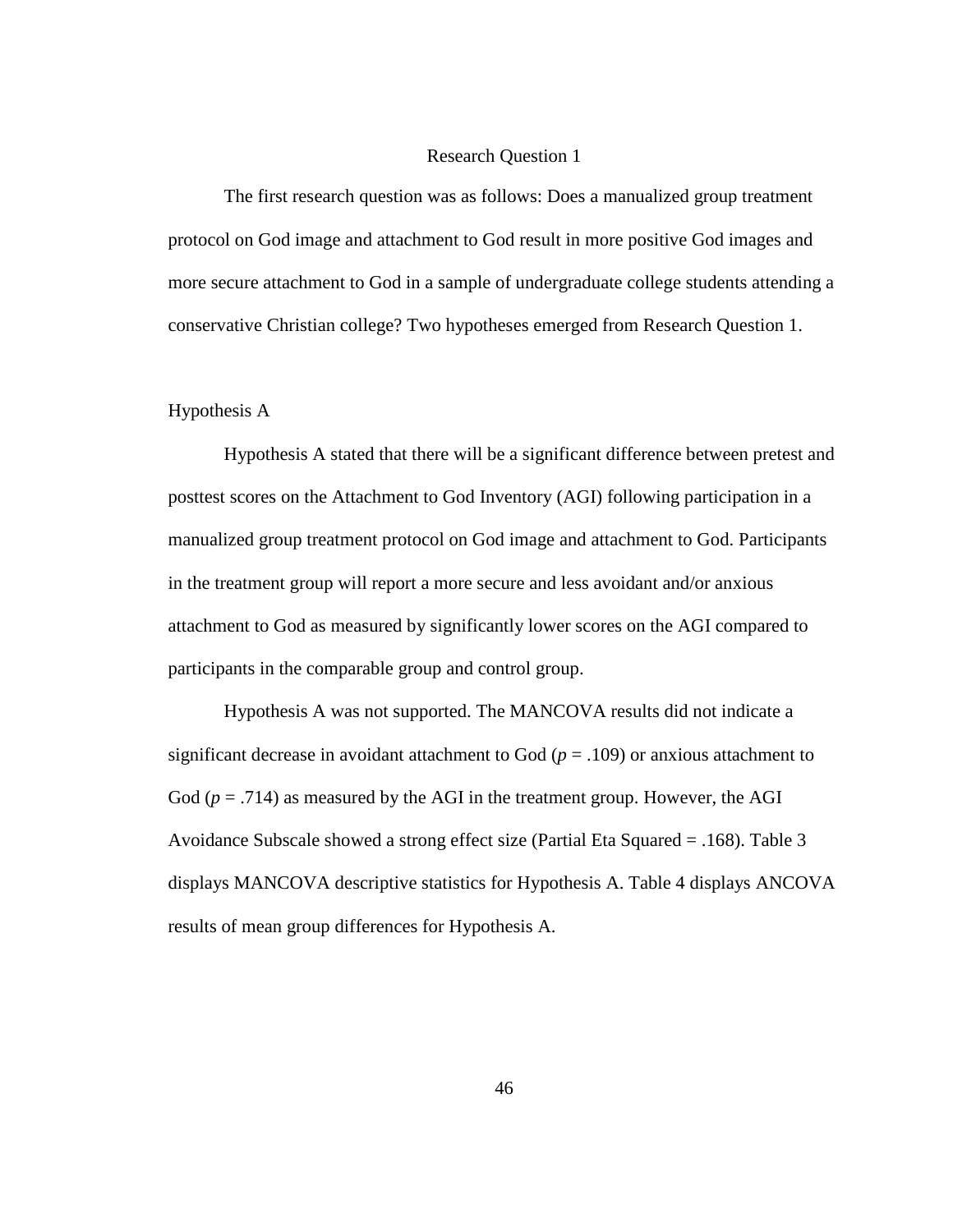#### Research Question 1

 The first research question was as follows: Does a manualized group treatment protocol on God image and attachment to God result in more positive God images and more secure attachment to God in a sample of undergraduate college students attending a conservative Christian college? Two hypotheses emerged from Research Question 1.

### Hypothesis A

 Hypothesis A stated that there will be a significant difference between pretest and posttest scores on the Attachment to God Inventory (AGI) following participation in a manualized group treatment protocol on God image and attachment to God. Participants in the treatment group will report a more secure and less avoidant and/or anxious attachment to God as measured by significantly lower scores on the AGI compared to participants in the comparable group and control group.

 Hypothesis A was not supported. The MANCOVA results did not indicate a significant decrease in avoidant attachment to God ( $p = .109$ ) or anxious attachment to God  $(p = .714)$  as measured by the AGI in the treatment group. However, the AGI Avoidance Subscale showed a strong effect size (Partial Eta Squared = .168). Table 3 displays MANCOVA descriptive statistics for Hypothesis A. Table 4 displays ANCOVA results of mean group differences for Hypothesis A.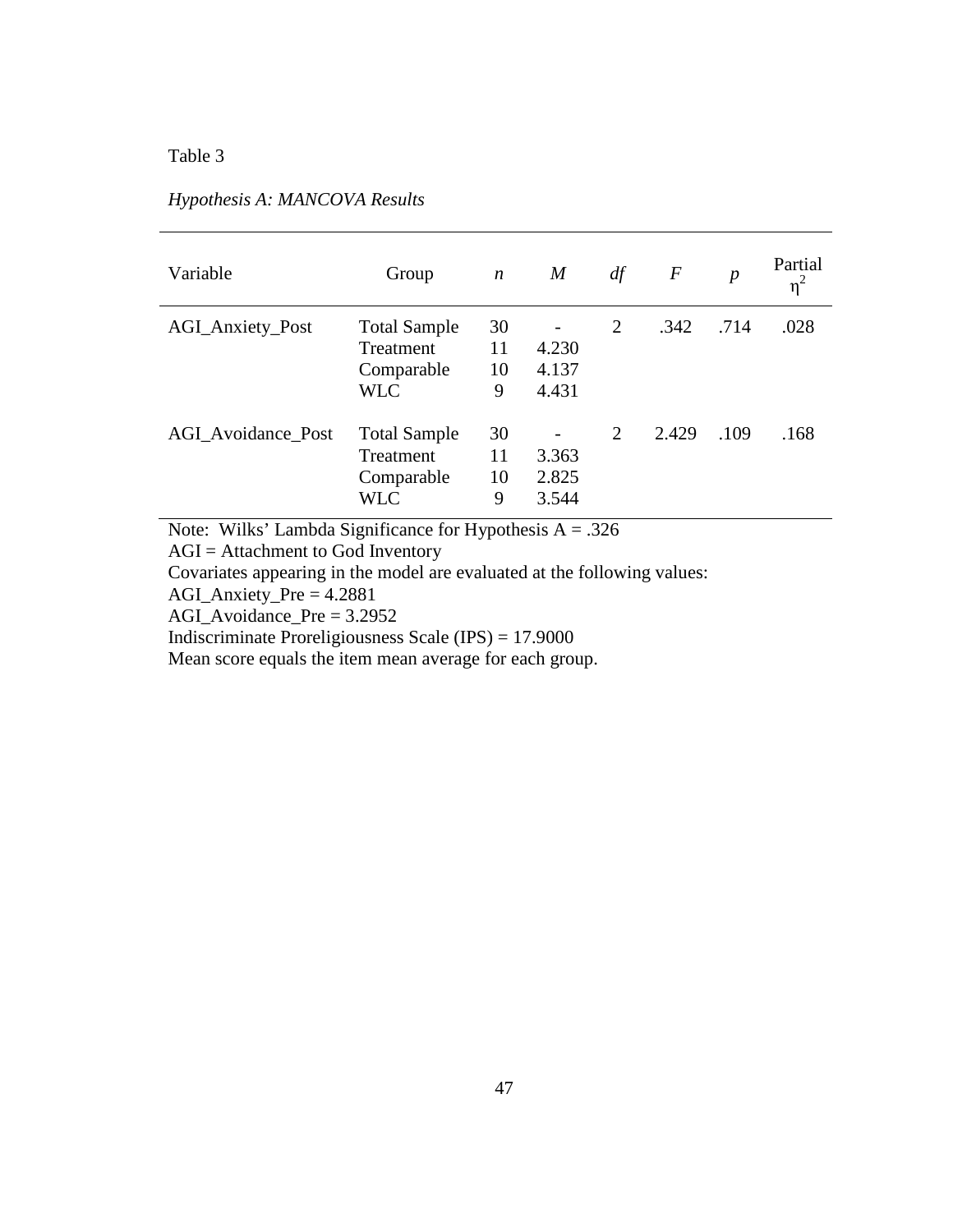| Variable                  | Group                                                        | $\boldsymbol{n}$    | $\boldsymbol{M}$        | df | $\,F$ | $\boldsymbol{p}$ | Partial<br>$\eta^2$ |
|---------------------------|--------------------------------------------------------------|---------------------|-------------------------|----|-------|------------------|---------------------|
| <b>AGI_Anxiety_Post</b>   | <b>Total Sample</b><br>Treatment<br>Comparable<br><b>WLC</b> | 30<br>11<br>10<br>9 | 4.230<br>4.137<br>4.431 | 2  | .342  | .714             | .028                |
| <b>AGI</b> Avoidance Post | <b>Total Sample</b><br>Treatment<br>Comparable<br><b>WLC</b> | 30<br>11<br>10<br>9 | 3.363<br>2.825<br>3.544 | 2  | 2.429 | .109             | .168                |

## *Hypothesis A: MANCOVA Results*

Note: Wilks' Lambda Significance for Hypothesis  $A = .326$ 

AGI = Attachment to God Inventory

Covariates appearing in the model are evaluated at the following values:

AGI\_Anxiety\_Pre = 4.2881

AGI\_Avoidance\_Pre = 3.2952

Indiscriminate Proreligiousness Scale (IPS) = 17.9000

Mean score equals the item mean average for each group.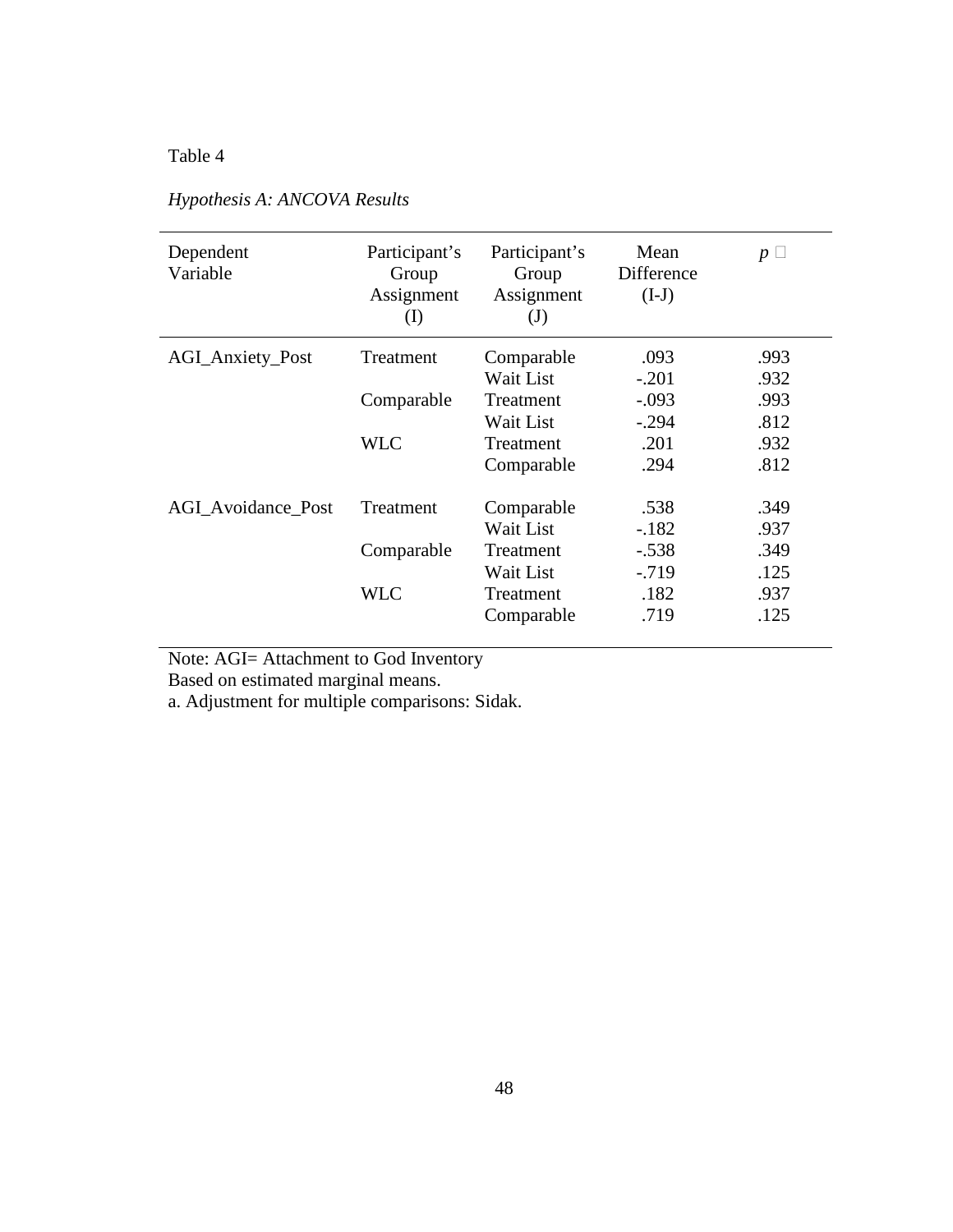| Dependent<br>Variable     | Participant's<br>Group<br>Assignment<br>$\rm (I)$ | Participant's<br>Group<br>Assignment<br>$\mathrm{J}$ | Mean<br>Difference<br>$(I-J)$ | $p \perp$ |
|---------------------------|---------------------------------------------------|------------------------------------------------------|-------------------------------|-----------|
| <b>AGI_Anxiety_Post</b>   | Treatment                                         | Comparable                                           | .093                          | .993      |
|                           |                                                   | Wait List                                            | $-.201$                       | .932      |
|                           | Comparable                                        | Treatment                                            | $-.093$                       | .993      |
|                           |                                                   | Wait List                                            | $-.294$                       | .812      |
|                           | <b>WLC</b>                                        | Treatment                                            | .201                          | .932      |
|                           |                                                   | Comparable                                           | .294                          | .812      |
| <b>AGI</b> Avoidance Post | Treatment                                         | Comparable                                           | .538                          | .349      |
|                           |                                                   | Wait List                                            | $-.182$                       | .937      |
|                           | Comparable                                        | Treatment                                            | $-.538$                       | .349      |
|                           |                                                   | Wait List                                            | $-0.719$                      | .125      |
|                           | <b>WLC</b>                                        | Treatment                                            | .182                          | .937      |
|                           |                                                   | Comparable                                           | .719                          | .125      |

# *Hypothesis A: ANCOVA Results*

Note: AGI= Attachment to God Inventory

Based on estimated marginal means.

a. Adjustment for multiple comparisons: Sidak.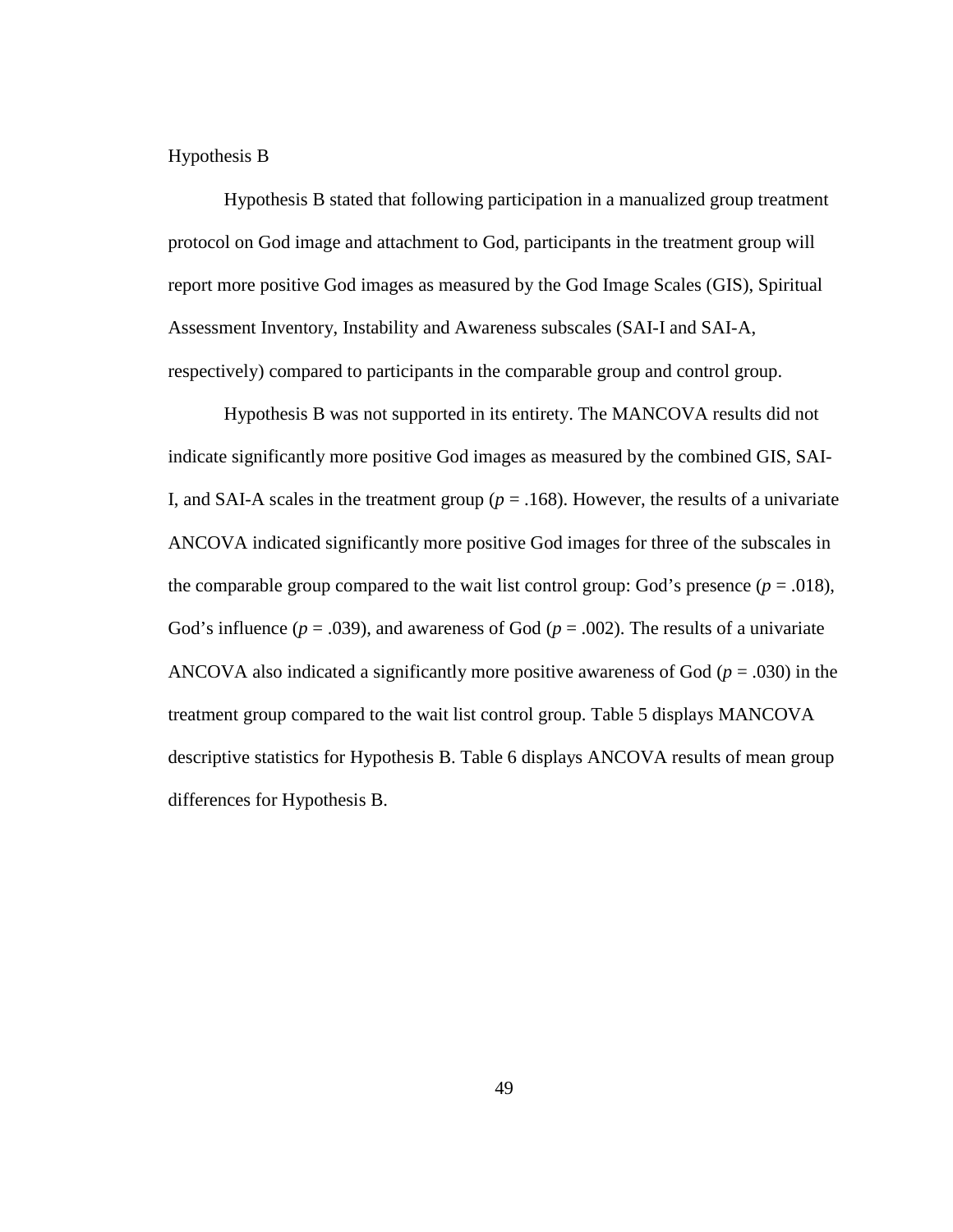### Hypothesis B

Hypothesis B stated that following participation in a manualized group treatment protocol on God image and attachment to God, participants in the treatment group will report more positive God images as measured by the God Image Scales (GIS), Spiritual Assessment Inventory, Instability and Awareness subscales (SAI-I and SAI-A, respectively) compared to participants in the comparable group and control group.

Hypothesis B was not supported in its entirety. The MANCOVA results did not indicate significantly more positive God images as measured by the combined GIS, SAI-I, and SAI-A scales in the treatment group ( $p = .168$ ). However, the results of a univariate ANCOVA indicated significantly more positive God images for three of the subscales in the comparable group compared to the wait list control group: God's presence  $(p = .018)$ , God's influence ( $p = .039$ ), and awareness of God ( $p = .002$ ). The results of a univariate ANCOVA also indicated a significantly more positive awareness of God (*p* = .030) in the treatment group compared to the wait list control group. Table 5 displays MANCOVA descriptive statistics for Hypothesis B. Table 6 displays ANCOVA results of mean group differences for Hypothesis B.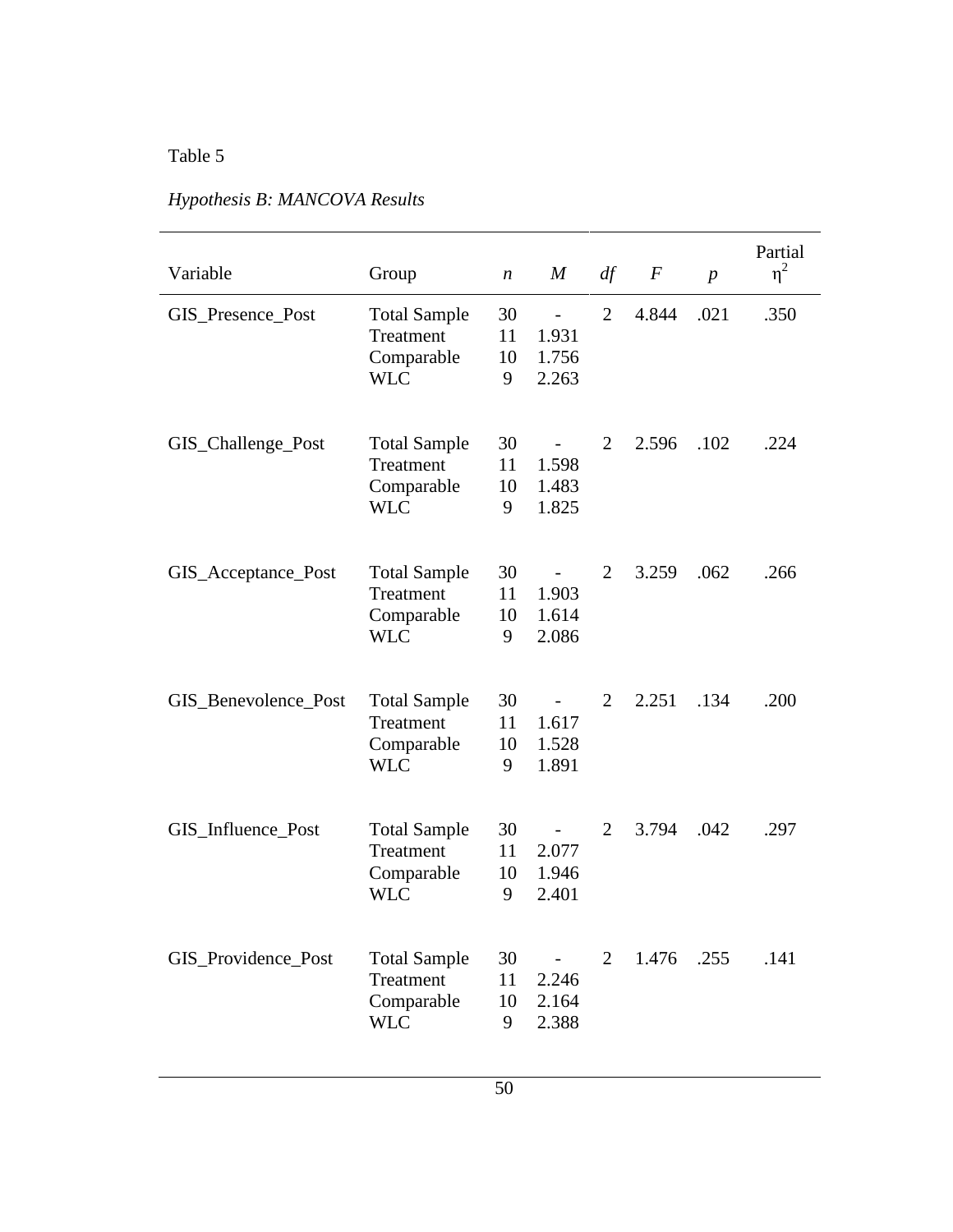| Variable             | Group                                                        | $\boldsymbol{n}$    | $\boldsymbol{M}$                                    | df             | $\,F$ | $\overline{p}$ | Partial<br>$\eta^2$ |
|----------------------|--------------------------------------------------------------|---------------------|-----------------------------------------------------|----------------|-------|----------------|---------------------|
| GIS_Presence_Post    | <b>Total Sample</b><br>Treatment<br>Comparable<br><b>WLC</b> | 30<br>11<br>10<br>9 | $\qquad \qquad -$<br>1.931<br>1.756<br>2.263        | $\overline{2}$ | 4.844 | .021           | .350                |
| GIS_Challenge_Post   | <b>Total Sample</b><br>Treatment<br>Comparable<br><b>WLC</b> | 30<br>11<br>10<br>9 | $\overline{a}$<br>1.598<br>1.483<br>1.825           | 2              | 2.596 | .102           | .224                |
| GIS_Acceptance_Post  | <b>Total Sample</b><br>Treatment<br>Comparable<br><b>WLC</b> | 30<br>11<br>10<br>9 | $\overline{\phantom{a}}$<br>1.903<br>1.614<br>2.086 | 2              | 3.259 | .062           | .266                |
| GIS_Benevolence_Post | <b>Total Sample</b><br>Treatment<br>Comparable<br><b>WLC</b> | 30<br>11<br>10<br>9 | $\sim 100$<br>1.617<br>1.528<br>1.891               | 2              | 2.251 | .134           | .200                |
| GIS_Influence_Post   | <b>Total Sample</b><br>Treatment<br>Comparable<br><b>WLC</b> | 30<br>11<br>10<br>9 | $\overline{\phantom{a}}$<br>2.077<br>1.946<br>2.401 | 2              | 3.794 | .042           | .297                |
| GIS_Providence_Post  | <b>Total Sample</b><br>Treatment<br>Comparable<br><b>WLC</b> | 30<br>11<br>10<br>9 | $\sim 10^{-1}$<br>2.246<br>2.164<br>2.388           | $\overline{2}$ | 1.476 | .255           | .141                |

# *Hypothesis B: MANCOVA Results*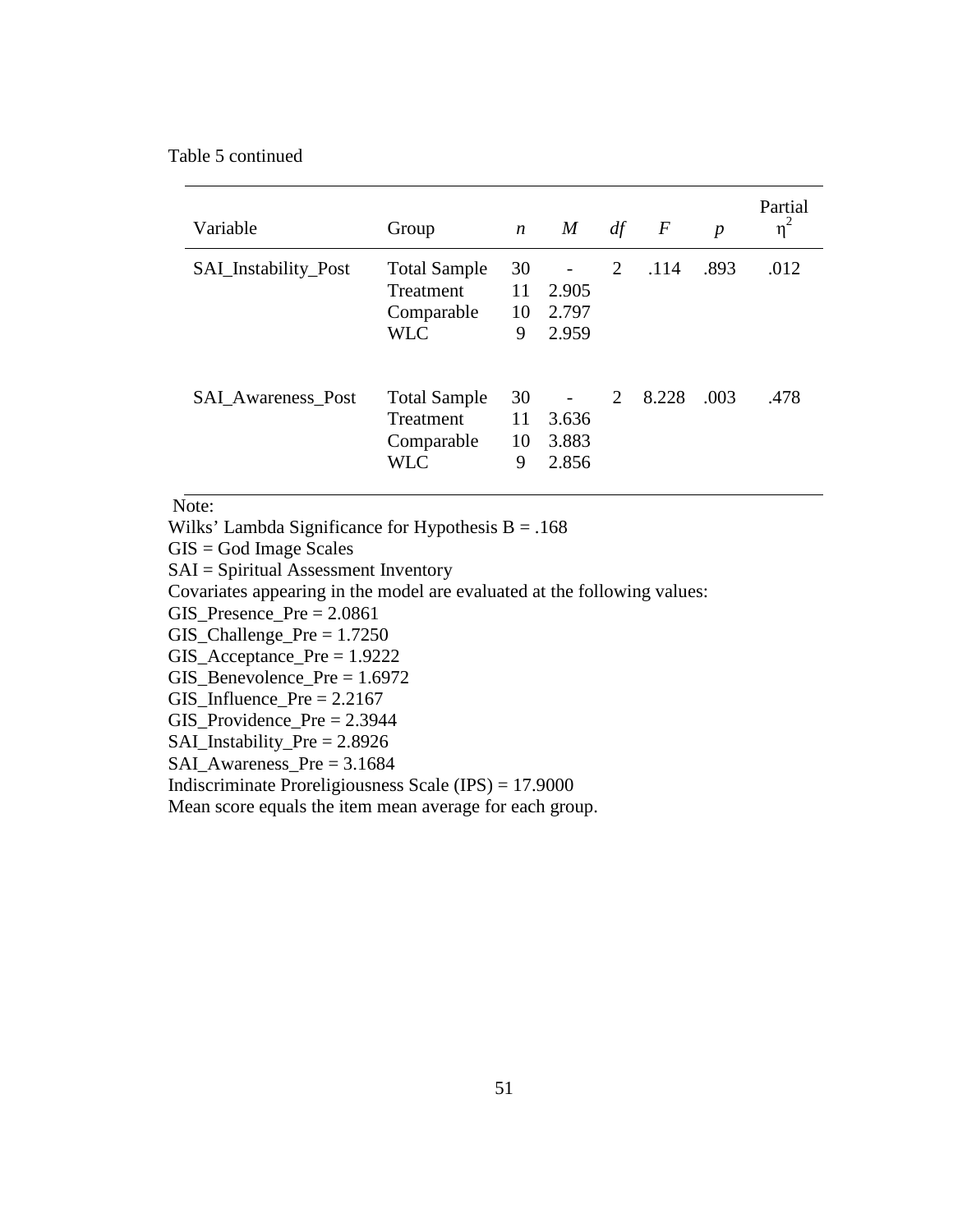## Table 5 continued

| Variable                  | Group                                                        | $\boldsymbol{n}$    | $\boldsymbol{M}$        | df | $\,F$ | $\boldsymbol{p}$ | Partial<br>$\eta^2$ |
|---------------------------|--------------------------------------------------------------|---------------------|-------------------------|----|-------|------------------|---------------------|
| SAI_Instability_Post      | <b>Total Sample</b><br>Treatment<br>Comparable<br><b>WLC</b> | 30<br>11<br>10<br>9 | 2.905<br>2.797<br>2.959 | 2  | .114  | .893             | .012                |
| <b>SAL Awareness Post</b> | <b>Total Sample</b><br>Treatment<br>Comparable<br><b>WLC</b> | 30<br>11<br>10<br>9 | 3.636<br>3.883<br>2.856 | 2  | 8.228 | .003             | .478                |

Note:

Wilks' Lambda Significance for Hypothesis  $B = .168$ 

GIS = God Image Scales

SAI = Spiritual Assessment Inventory

Covariates appearing in the model are evaluated at the following values:

GIS\_Presence\_Pre = 2.0861

GIS\_Challenge\_Pre  $= 1.7250$ 

GIS\_Acceptance\_Pre = 1.9222

GIS\_Benevolence\_Pre = 1.6972

 $GIS_$ Influence\_Pre = 2.2167

GIS\_Providence\_Pre = 2.3944

SAI\_Instability\_Pre = 2.8926

SAI\_Awareness\_Pre = 3.1684

Indiscriminate Proreligiousness Scale (IPS) = 17.9000

Mean score equals the item mean average for each group.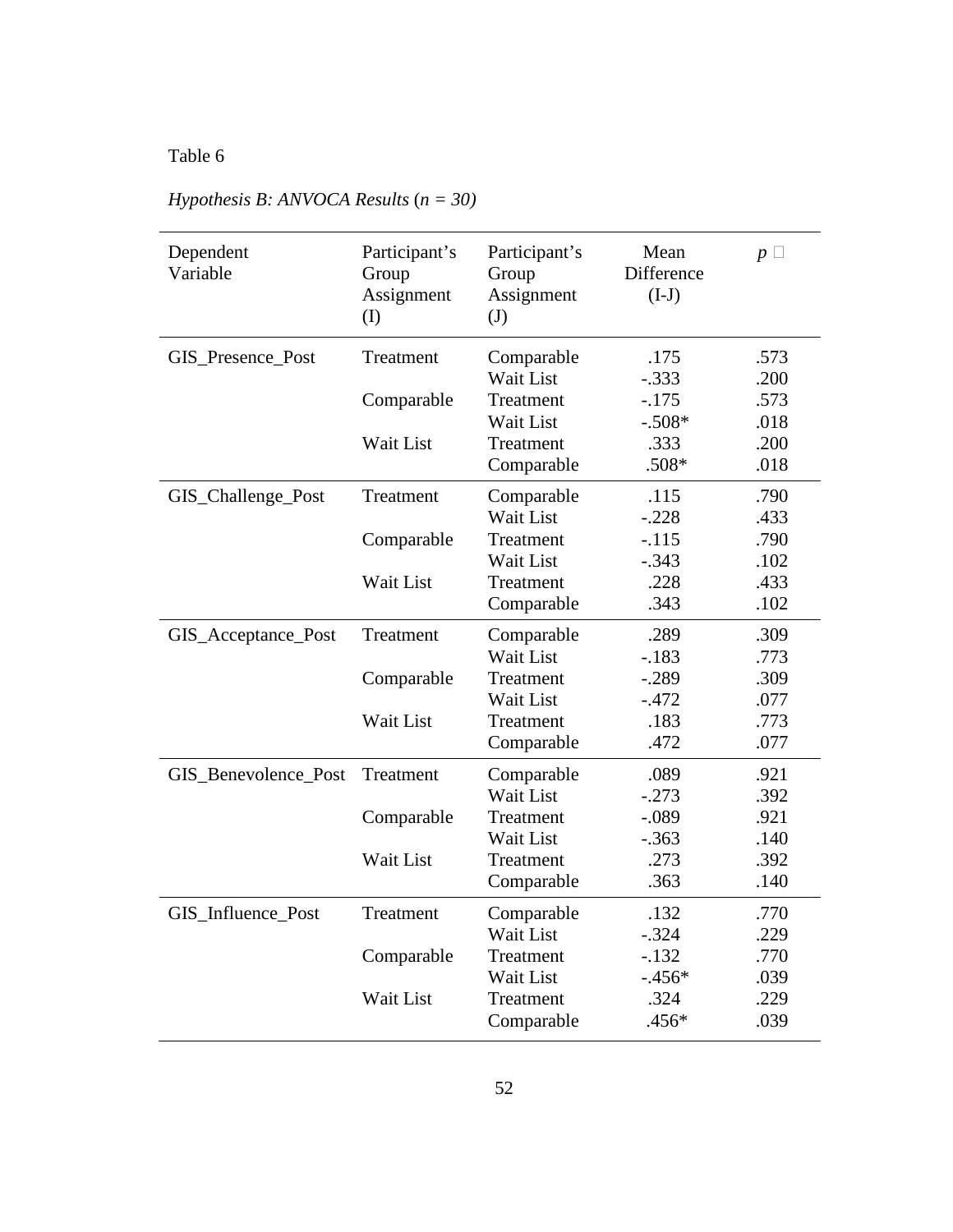| Dependent<br>Variable | Participant's<br>Group<br>Assignment<br>(I) | Participant's<br>Group<br>Assignment<br>(J) | Mean<br>Difference<br>$(I-J)$ | $p \square$ |
|-----------------------|---------------------------------------------|---------------------------------------------|-------------------------------|-------------|
| GIS_Presence_Post     | Treatment                                   | Comparable                                  | .175                          | .573        |
|                       |                                             | Wait List                                   | $-.333$                       | .200        |
|                       | Comparable                                  | Treatment                                   | $-.175$                       | .573        |
|                       |                                             | Wait List                                   | $-.508*$                      | .018        |
|                       | Wait List                                   | Treatment                                   | .333                          | .200        |
|                       |                                             | Comparable                                  | $.508*$                       | .018        |
| GIS_Challenge_Post    | Treatment                                   | Comparable                                  | .115                          | .790        |
|                       |                                             | Wait List                                   | $-.228$                       | .433        |
|                       | Comparable                                  | Treatment                                   | $-.115$                       | .790        |
|                       |                                             | Wait List                                   | $-.343$                       | .102        |
|                       | Wait List                                   | Treatment                                   | .228                          | .433        |
|                       |                                             | Comparable                                  | .343                          | .102        |
| GIS_Acceptance_Post   | Treatment                                   | Comparable                                  | .289                          | .309        |
|                       |                                             | Wait List                                   | $-.183$                       | .773        |
|                       | Comparable                                  | Treatment                                   | $-.289$                       | .309        |
|                       |                                             | Wait List                                   | $-.472$                       | .077        |
|                       | Wait List                                   | Treatment                                   | .183                          | .773        |
|                       |                                             | Comparable                                  | .472                          | .077        |
| GIS_Benevolence_Post  | Treatment                                   | Comparable                                  | .089                          | .921        |
|                       |                                             | Wait List                                   | $-.273$                       | .392        |
|                       | Comparable                                  | Treatment                                   | $-.089$                       | .921        |
|                       |                                             | Wait List                                   | $-.363$                       | .140        |
|                       | Wait List                                   | Treatment                                   | .273                          | .392        |
|                       |                                             | Comparable                                  | .363                          | .140        |
| GIS_Influence_Post    | Treatment                                   | Comparable                                  | .132                          | .770        |
|                       |                                             | Wait List                                   | $-.324$                       | .229        |
|                       | Comparable                                  | Treatment                                   | $-.132$                       | .770        |
|                       |                                             | Wait List                                   | $-.456*$                      | .039        |
|                       | Wait List                                   | Treatment                                   | .324                          | .229        |
|                       |                                             | Comparable                                  | .456*                         | .039        |

# *Hypothesis B: ANVOCA Results* (*n = 30)*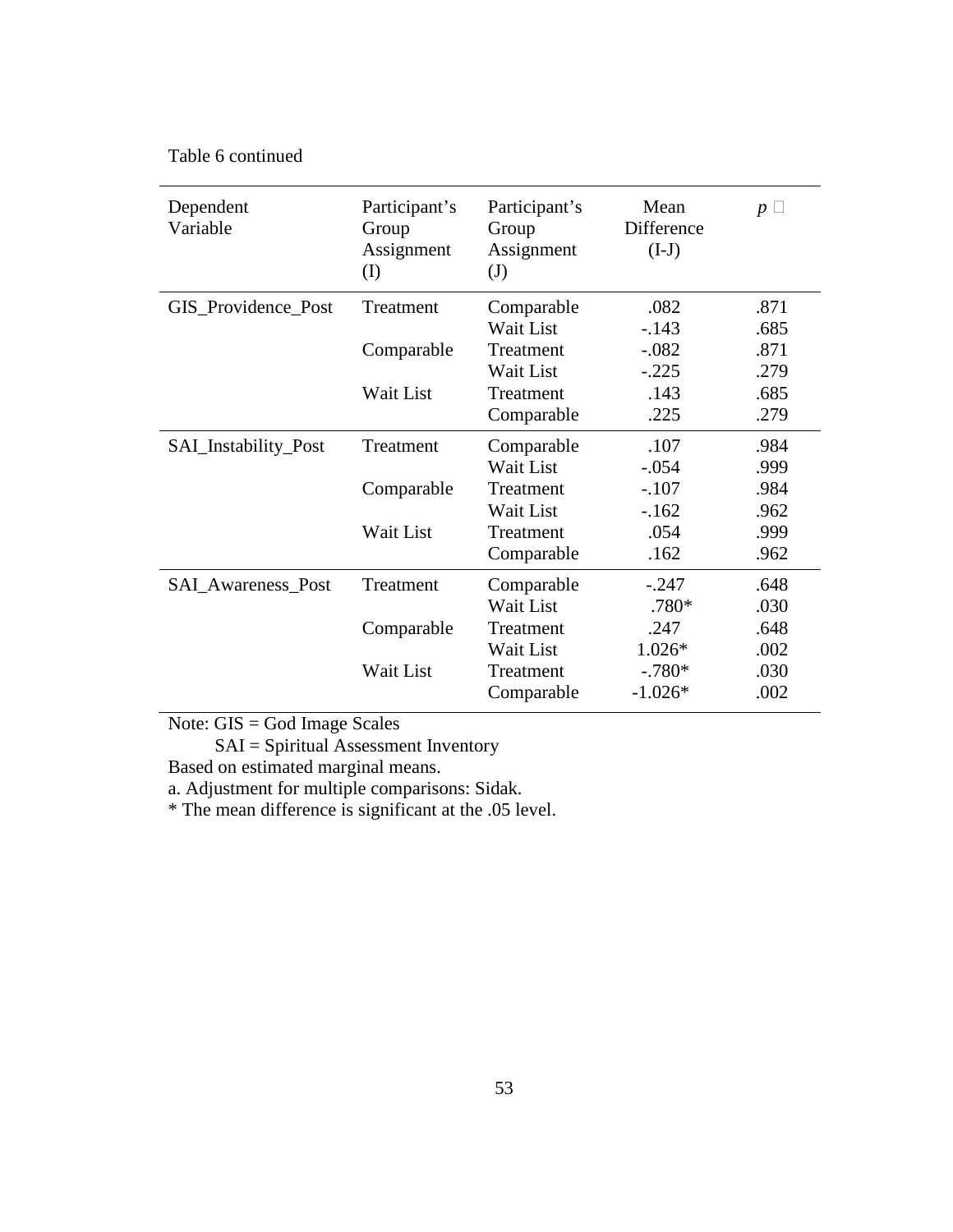Table 6 continued

| Dependent<br>Variable | Participant's<br>Group<br>Assignment<br>(I) | Participant's<br>Group<br>Assignment<br>$\mathrm{J}$ | Mean<br>Difference<br>$(I-J)$ | $p\Box$ |
|-----------------------|---------------------------------------------|------------------------------------------------------|-------------------------------|---------|
| GIS_Providence_Post   | Treatment                                   | Comparable                                           | .082                          | .871    |
|                       |                                             | Wait List                                            | $-.143$                       | .685    |
|                       | Comparable                                  | Treatment                                            | $-.082$                       | .871    |
|                       |                                             | Wait List                                            | $-.225$                       | .279    |
|                       | Wait List                                   | Treatment                                            | .143                          | .685    |
|                       |                                             | Comparable                                           | .225                          | .279    |
| SAI_Instability_Post  | Treatment                                   | Comparable                                           | .107                          | .984    |
|                       |                                             | Wait List                                            | $-.054$                       | .999    |
|                       | Comparable                                  | Treatment                                            | $-.107$                       | .984    |
|                       |                                             | Wait List                                            | $-162$                        | .962    |
|                       | Wait List                                   | Treatment                                            | .054                          | .999    |
|                       |                                             | Comparable                                           | .162                          | .962    |
| SAI_Awareness_Post    | Treatment                                   | Comparable                                           | $-.247$                       | .648    |
|                       |                                             | Wait List                                            | .780*                         | .030    |
|                       | Comparable                                  | Treatment                                            | .247                          | .648    |
|                       |                                             | Wait List                                            | 1.026*                        | .002    |
|                       | Wait List                                   | Treatment                                            | $-.780*$                      | .030    |
|                       |                                             | Comparable                                           | $-1.026*$                     | .002    |

Note: GIS = God Image Scales

SAI = Spiritual Assessment Inventory

Based on estimated marginal means.

a. Adjustment for multiple comparisons: Sidak.

\* The mean difference is significant at the .05 level.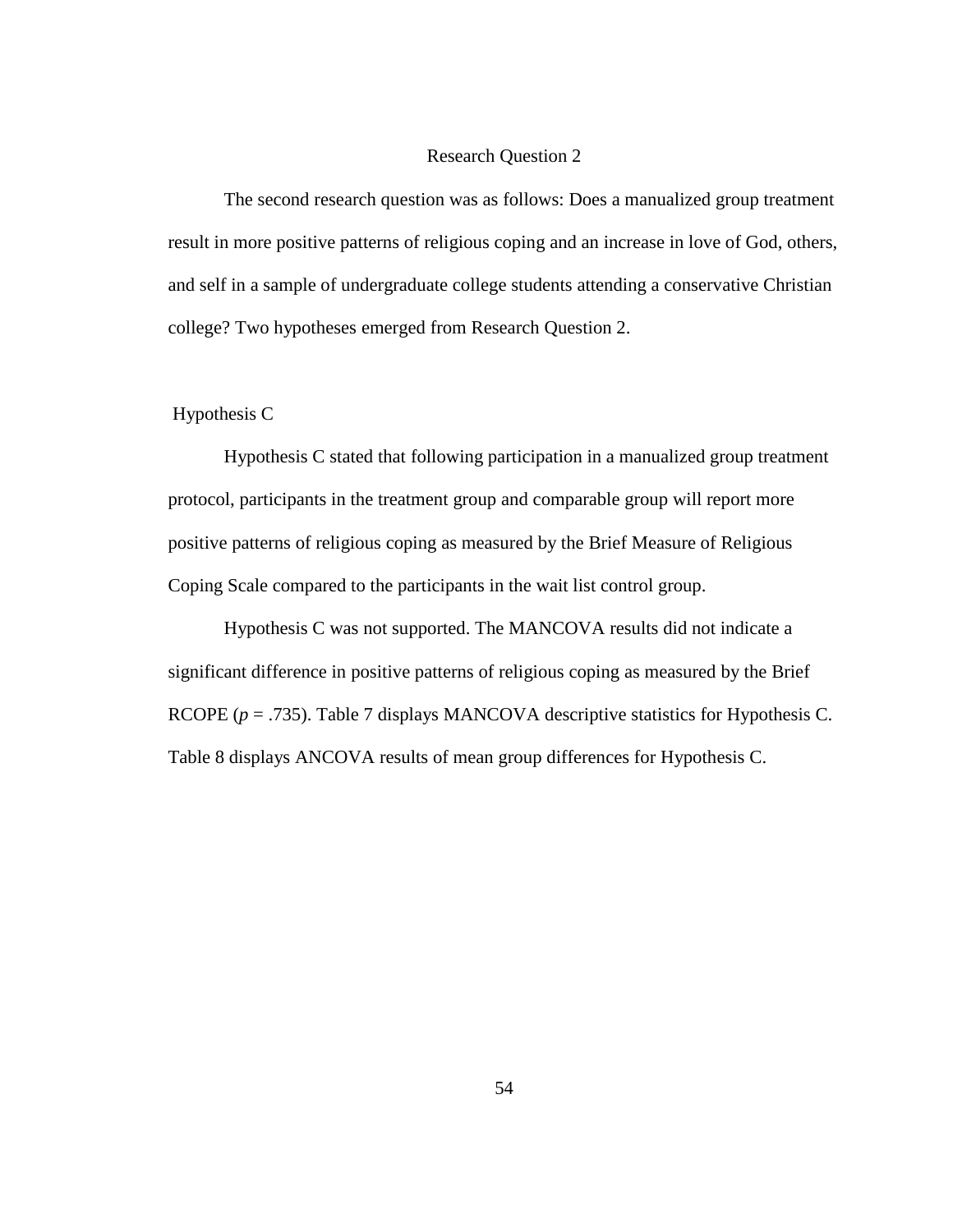#### Research Question 2

The second research question was as follows: Does a manualized group treatment result in more positive patterns of religious coping and an increase in love of God, others, and self in a sample of undergraduate college students attending a conservative Christian college? Two hypotheses emerged from Research Question 2.

### Hypothesis C

Hypothesis C stated that following participation in a manualized group treatment protocol, participants in the treatment group and comparable group will report more positive patterns of religious coping as measured by the Brief Measure of Religious Coping Scale compared to the participants in the wait list control group.

Hypothesis C was not supported. The MANCOVA results did not indicate a significant difference in positive patterns of religious coping as measured by the Brief RCOPE (*p* = .735). Table 7 displays MANCOVA descriptive statistics for Hypothesis C. Table 8 displays ANCOVA results of mean group differences for Hypothesis C.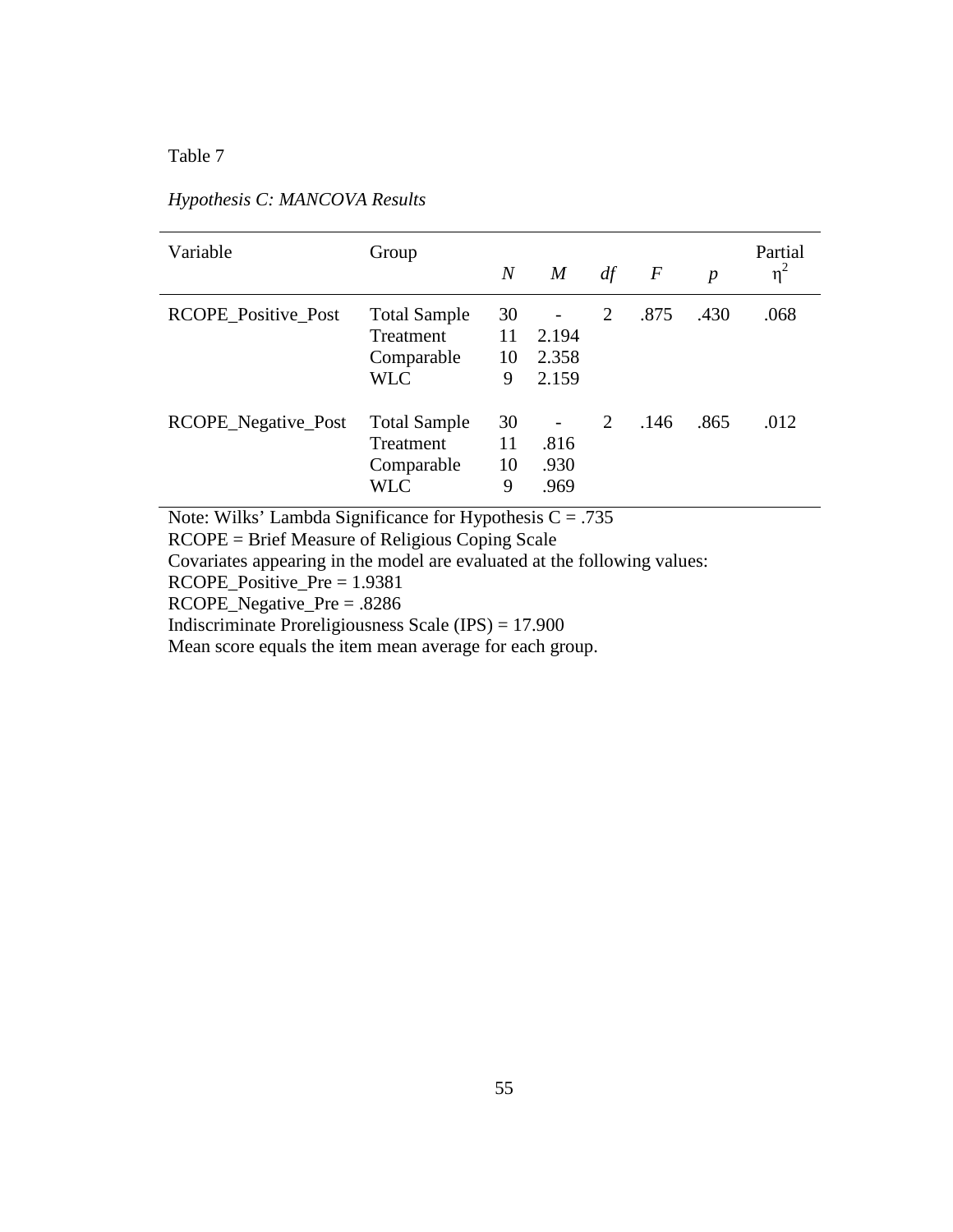| Variable            | Group                                                        | $\overline{N}$      | $\boldsymbol{M}$                                    | df | $\boldsymbol{F}$ | $\boldsymbol{p}$ | Partial<br>$\eta^2$ |
|---------------------|--------------------------------------------------------------|---------------------|-----------------------------------------------------|----|------------------|------------------|---------------------|
| RCOPE_Positive_Post | <b>Total Sample</b><br>Treatment<br>Comparable<br><b>WLC</b> | 30<br>11<br>10<br>9 | $\overline{\phantom{a}}$<br>2.194<br>2.358<br>2.159 | 2  | .875             | .430             | .068                |
| RCOPE_Negative_Post | <b>Total Sample</b><br>Treatment<br>Comparable<br><b>WLC</b> | 30<br>11<br>10<br>9 | .816<br>.930<br>.969                                | 2  | .146             | .865             | .012                |

# *Hypothesis C: MANCOVA Results*

Note: Wilks' Lambda Significance for Hypothesis  $C = .735$ 

RCOPE = Brief Measure of Religious Coping Scale

Covariates appearing in the model are evaluated at the following values:

RCOPE\_Positive\_Pre = 1.9381

RCOPE\_Negative\_Pre = .8286

Indiscriminate Proreligiousness Scale (IPS) = 17.900

Mean score equals the item mean average for each group.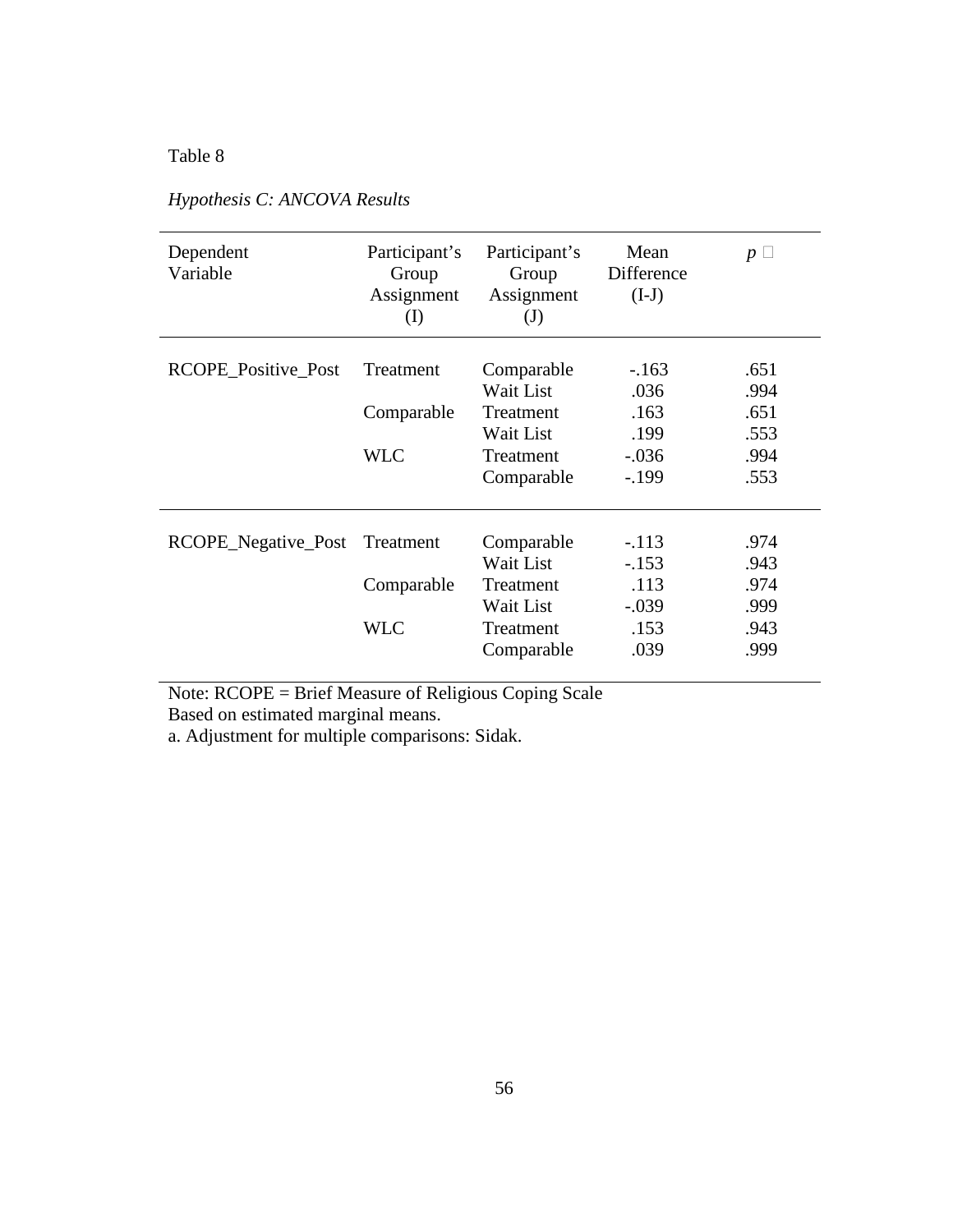| Dependent<br>Variable | Participant's<br>Group<br>Assignment<br>(I) | Participant's<br>Group<br>Assignment<br>$\mathrm{J}$ | Mean<br>Difference<br>$(I-J)$ | $p \sqcup$ |
|-----------------------|---------------------------------------------|------------------------------------------------------|-------------------------------|------------|
| RCOPE_Positive_Post   | Treatment                                   | Comparable                                           | $-163$                        | .651       |
|                       |                                             | Wait List                                            | .036                          | .994       |
|                       | Comparable                                  | Treatment                                            | .163                          | .651       |
|                       |                                             | Wait List                                            | .199                          | .553       |
|                       | <b>WLC</b>                                  | Treatment                                            | $-.036$                       | .994       |
|                       |                                             | Comparable                                           | $-199$                        | .553       |
|                       |                                             |                                                      |                               |            |
| RCOPE_Negative_Post   | Treatment                                   | Comparable                                           | $-.113$                       | .974       |
|                       |                                             | Wait List                                            | $-.153$                       | .943       |
|                       | Comparable                                  | Treatment                                            | .113                          | .974       |
|                       |                                             | Wait List                                            | $-.039$                       | .999       |
|                       | <b>WLC</b>                                  | Treatment                                            | .153                          | .943       |
|                       |                                             | Comparable                                           | .039                          | .999       |

# *Hypothesis C: ANCOVA Results*

Note: RCOPE = Brief Measure of Religious Coping Scale Based on estimated marginal means.

a. Adjustment for multiple comparisons: Sidak.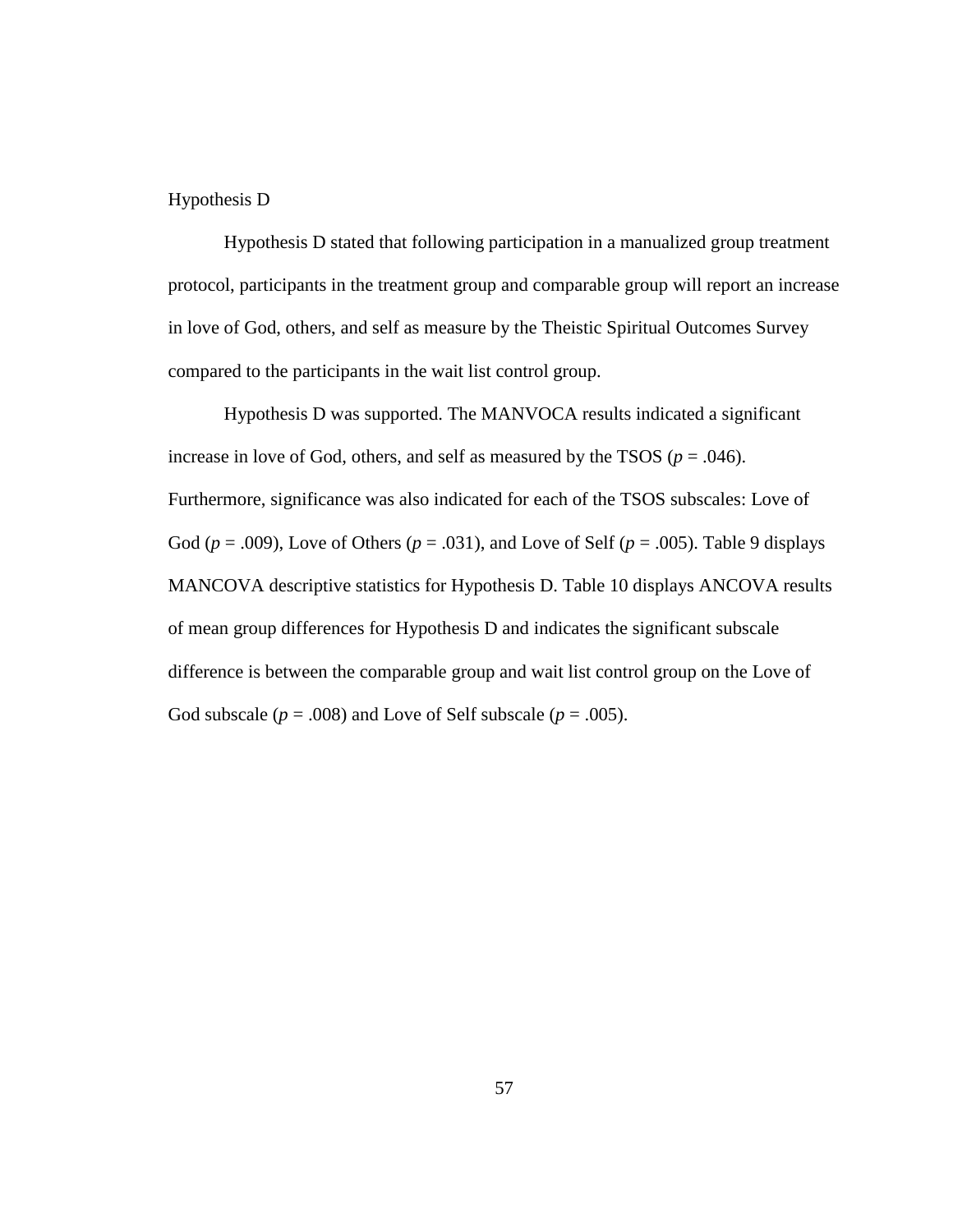### Hypothesis D

 Hypothesis D stated that following participation in a manualized group treatment protocol, participants in the treatment group and comparable group will report an increase in love of God, others, and self as measure by the Theistic Spiritual Outcomes Survey compared to the participants in the wait list control group.

Hypothesis D was supported. The MANVOCA results indicated a significant increase in love of God, others, and self as measured by the TSOS ( $p = .046$ ). Furthermore, significance was also indicated for each of the TSOS subscales: Love of God ( $p = .009$ ), Love of Others ( $p = .031$ ), and Love of Self ( $p = .005$ ). Table 9 displays MANCOVA descriptive statistics for Hypothesis D. Table 10 displays ANCOVA results of mean group differences for Hypothesis D and indicates the significant subscale difference is between the comparable group and wait list control group on the Love of God subscale ( $p = .008$ ) and Love of Self subscale ( $p = .005$ ).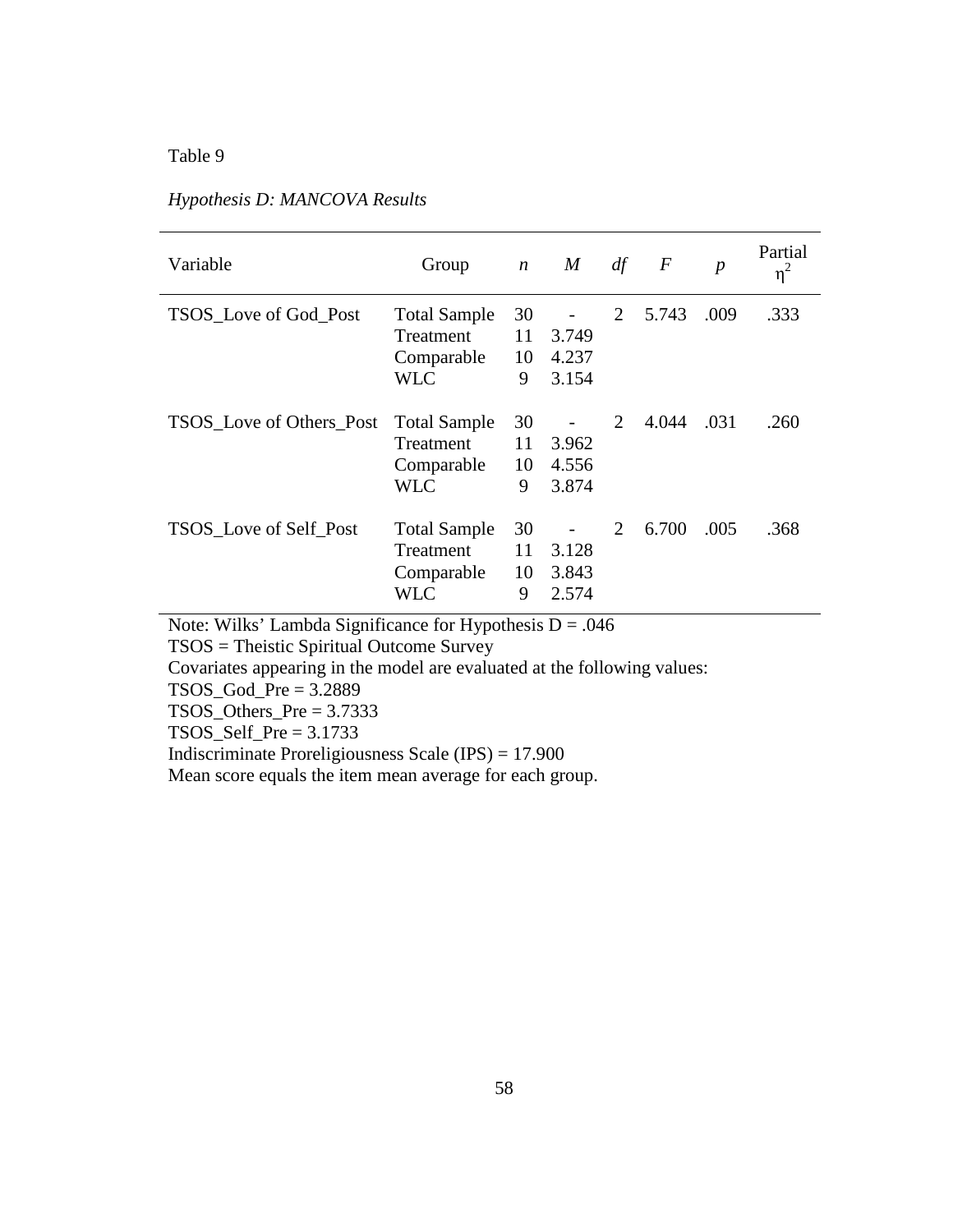# Table 9

| Variable                        | Group                                                               | $\boldsymbol{n}$    | M                       | df | $\,F$ | $\boldsymbol{p}$ | Partial<br>$\eta^2$ |
|---------------------------------|---------------------------------------------------------------------|---------------------|-------------------------|----|-------|------------------|---------------------|
| <b>TSOS</b> Love of God Post    | <b>Total Sample</b><br><b>Treatment</b><br>Comparable<br><b>WLC</b> | 30<br>11<br>10<br>9 | 3.749<br>4.237<br>3.154 | 2  | 5.743 | .009             | .333                |
| <b>TSOS</b> Love of Others Post | <b>Total Sample</b><br><b>Treatment</b><br>Comparable<br><b>WLC</b> | 30<br>11<br>10<br>9 | 3.962<br>4.556<br>3.874 | 2  | 4.044 | .031             | .260                |
| <b>TSOS</b> Love of Self Post   | <b>Total Sample</b><br>Treatment<br>Comparable<br>WLC               | 30<br>11<br>10<br>9 | 3.128<br>3.843<br>2.574 | 2  | 6.700 | .005             | .368                |

# *Hypothesis D: MANCOVA Results*

Note: Wilks' Lambda Significance for Hypothesis  $D = .046$ 

TSOS = Theistic Spiritual Outcome Survey

Covariates appearing in the model are evaluated at the following values:

 $TSOS_God_Pre = 3.2889$ 

TSOS\_Others\_Pre = 3.7333

TSOS\_Self\_Pre = 3.1733

Indiscriminate Proreligiousness Scale (IPS) = 17.900

Mean score equals the item mean average for each group.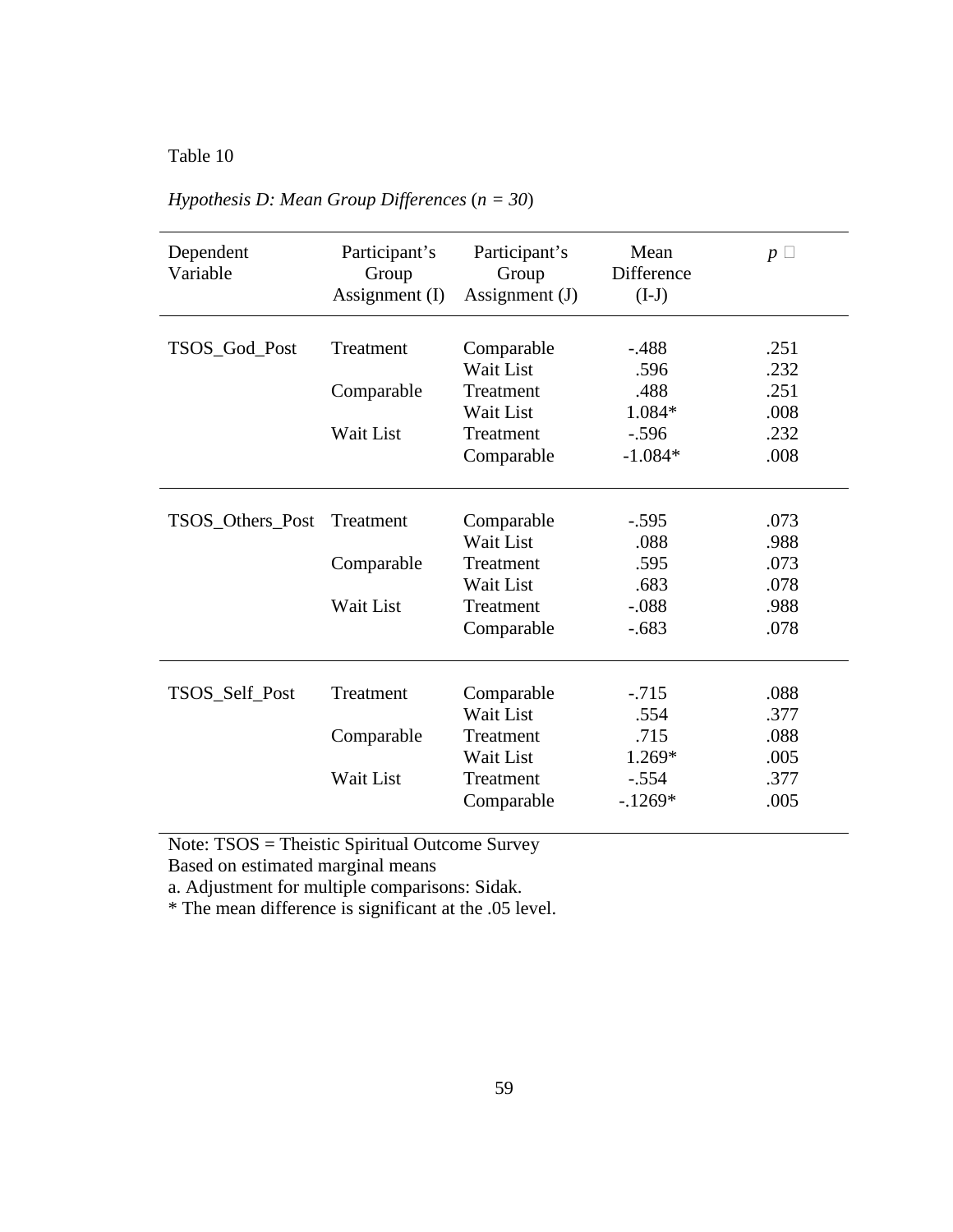Table 10

| Dependent<br>Variable | Participant's<br>Group<br>Assignment $(I)$ | Participant's<br>Group<br>Assignment $(J)$ | Mean<br>Difference<br>$(I-J)$ | $p\Box$ |
|-----------------------|--------------------------------------------|--------------------------------------------|-------------------------------|---------|
|                       | Treatment                                  |                                            | $-.488$                       | .251    |
| TSOS_God_Post         |                                            | Comparable<br>Wait List                    | .596                          | .232    |
|                       |                                            | Treatment                                  | .488                          | .251    |
|                       | Comparable                                 | Wait List                                  | 1.084*                        | .008    |
|                       | Wait List                                  | Treatment                                  |                               | .232    |
|                       |                                            |                                            | $-.596$<br>$-1.084*$          | .008    |
|                       |                                            | Comparable                                 |                               |         |
|                       |                                            |                                            |                               |         |
| TSOS_Others_Post      | Treatment                                  | Comparable                                 | $-.595$                       | .073    |
|                       |                                            | Wait List                                  | .088                          | .988    |
|                       | Comparable                                 | Treatment                                  | .595                          | .073    |
|                       |                                            | Wait List                                  | .683                          | .078    |
|                       | Wait List                                  | Treatment                                  | $-.088$                       | .988    |
|                       |                                            | Comparable                                 | $-.683$                       | .078    |
|                       |                                            |                                            |                               |         |
| TSOS_Self_Post        | Treatment                                  | Comparable                                 | $-.715$                       | .088    |
|                       |                                            | Wait List                                  | .554                          | .377    |
|                       | Comparable                                 | Treatment                                  | .715                          | .088    |
|                       |                                            | Wait List                                  | 1.269*                        | .005    |
|                       | Wait List                                  | Treatment                                  | $-.554$                       | .377    |
|                       |                                            | Comparable                                 | $-1269*$                      | .005    |
|                       |                                            |                                            |                               |         |

*Hypothesis D: Mean Group Differences* (*n = 30*)

Note: TSOS = Theistic Spiritual Outcome Survey

Based on estimated marginal means

a. Adjustment for multiple comparisons: Sidak.

\* The mean difference is significant at the .05 level.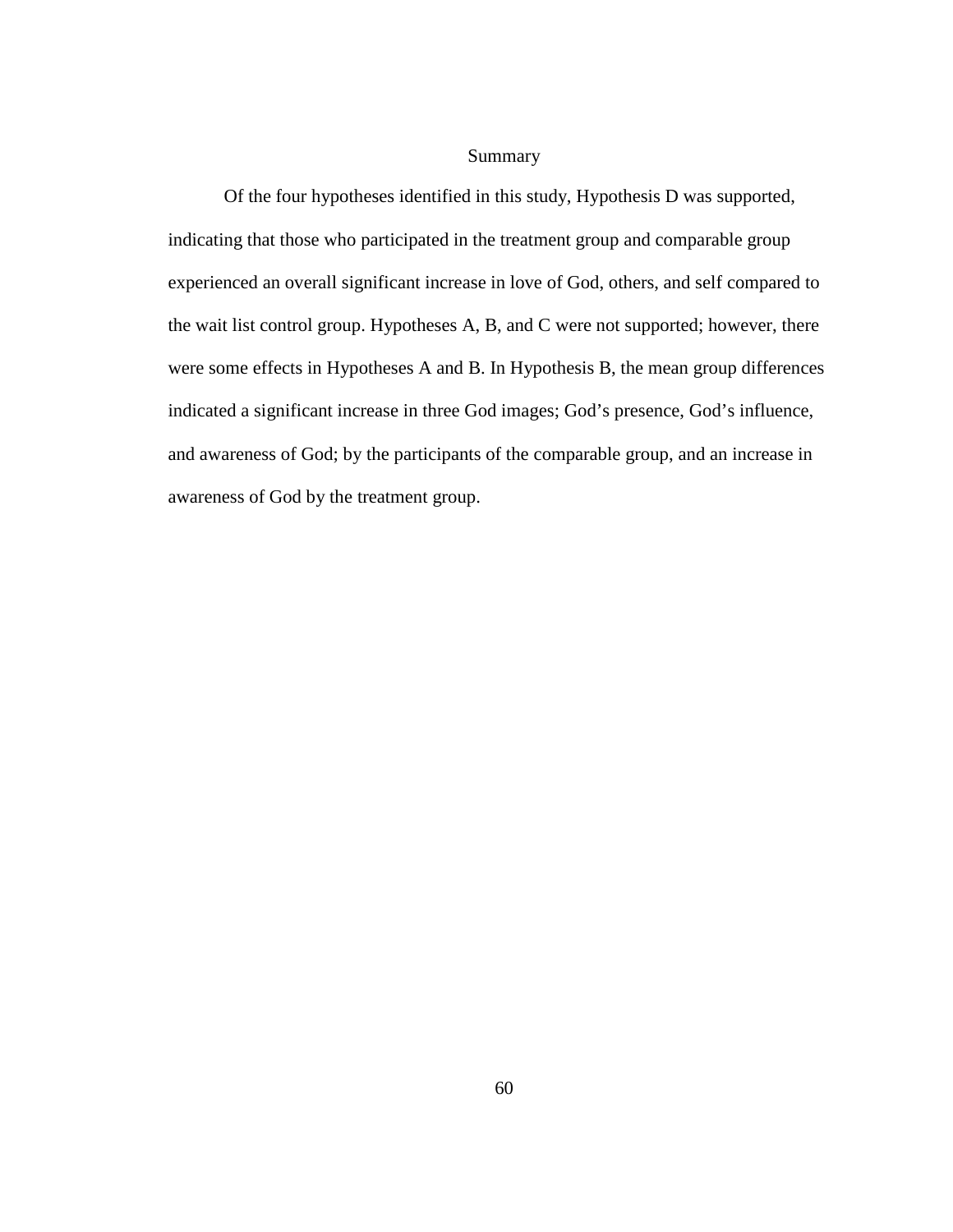## Summary

 Of the four hypotheses identified in this study, Hypothesis D was supported, indicating that those who participated in the treatment group and comparable group experienced an overall significant increase in love of God, others, and self compared to the wait list control group. Hypotheses A, B, and C were not supported; however, there were some effects in Hypotheses A and B. In Hypothesis B, the mean group differences indicated a significant increase in three God images; God's presence, God's influence, and awareness of God; by the participants of the comparable group, and an increase in awareness of God by the treatment group.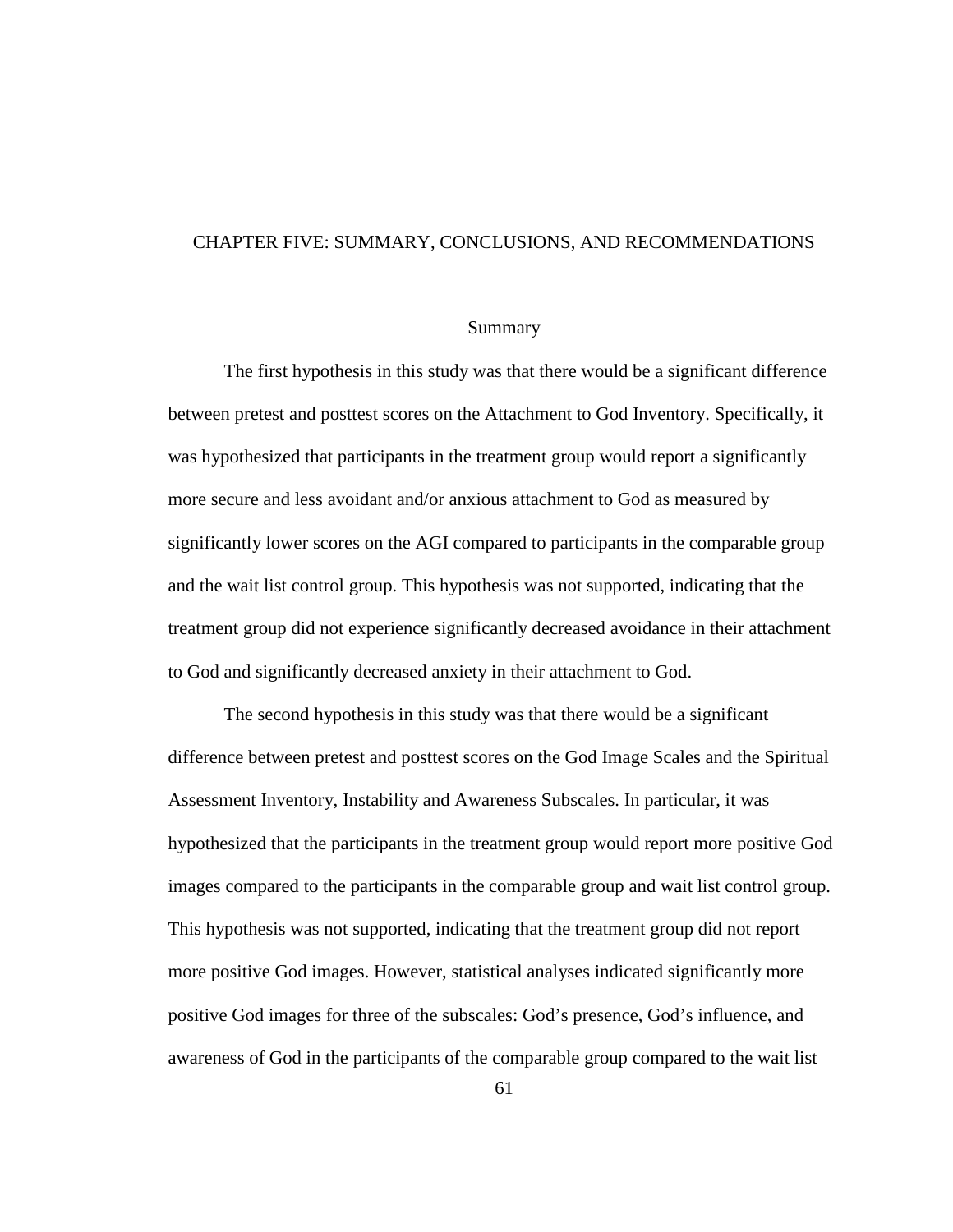#### CHAPTER FIVE: SUMMARY, CONCLUSIONS, AND RECOMMENDATIONS

#### Summary

The first hypothesis in this study was that there would be a significant difference between pretest and posttest scores on the Attachment to God Inventory. Specifically, it was hypothesized that participants in the treatment group would report a significantly more secure and less avoidant and/or anxious attachment to God as measured by significantly lower scores on the AGI compared to participants in the comparable group and the wait list control group. This hypothesis was not supported, indicating that the treatment group did not experience significantly decreased avoidance in their attachment to God and significantly decreased anxiety in their attachment to God.

The second hypothesis in this study was that there would be a significant difference between pretest and posttest scores on the God Image Scales and the Spiritual Assessment Inventory, Instability and Awareness Subscales. In particular, it was hypothesized that the participants in the treatment group would report more positive God images compared to the participants in the comparable group and wait list control group. This hypothesis was not supported, indicating that the treatment group did not report more positive God images. However, statistical analyses indicated significantly more positive God images for three of the subscales: God's presence, God's influence, and awareness of God in the participants of the comparable group compared to the wait list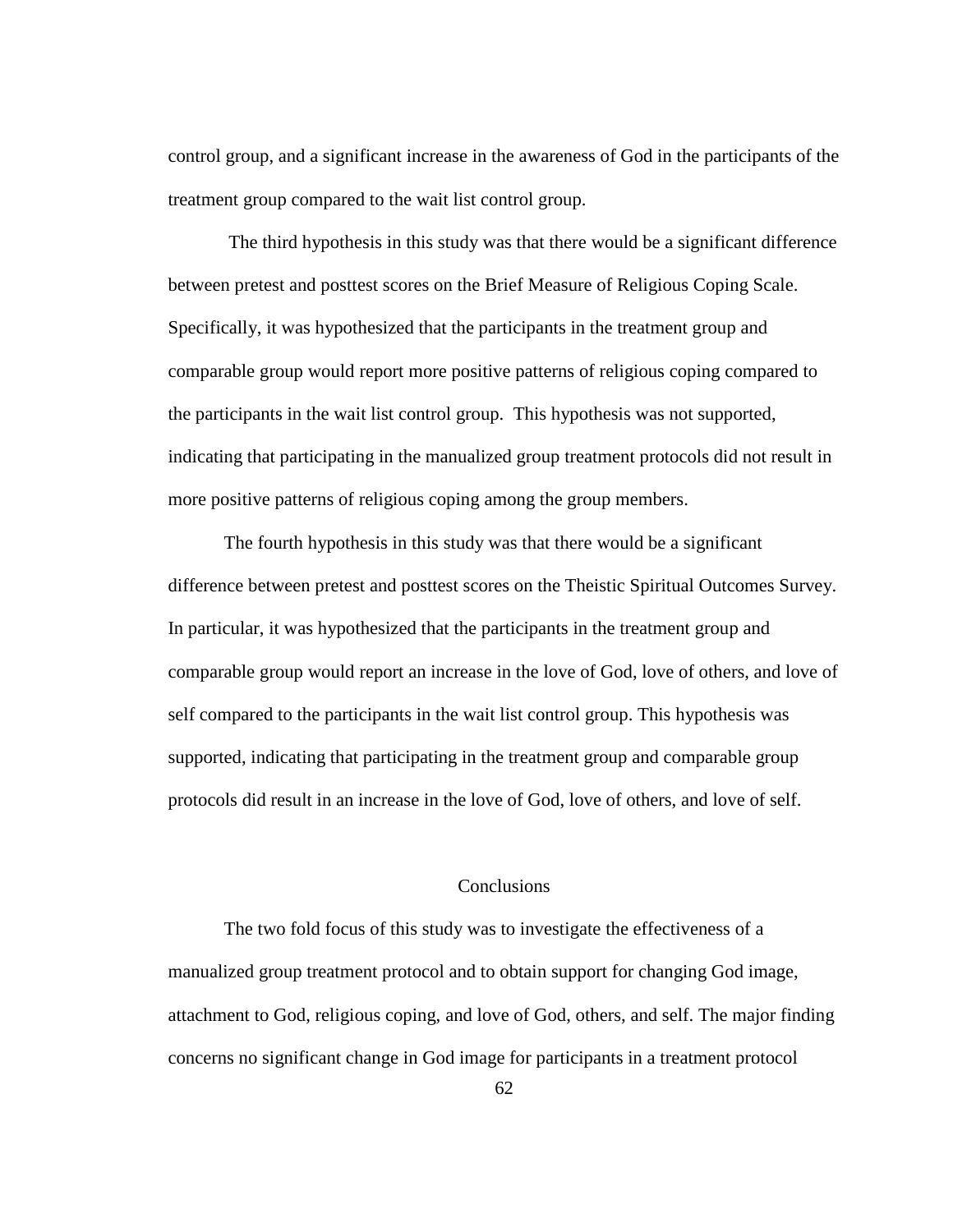control group, and a significant increase in the awareness of God in the participants of the treatment group compared to the wait list control group.

 The third hypothesis in this study was that there would be a significant difference between pretest and posttest scores on the Brief Measure of Religious Coping Scale. Specifically, it was hypothesized that the participants in the treatment group and comparable group would report more positive patterns of religious coping compared to the participants in the wait list control group. This hypothesis was not supported, indicating that participating in the manualized group treatment protocols did not result in more positive patterns of religious coping among the group members.

The fourth hypothesis in this study was that there would be a significant difference between pretest and posttest scores on the Theistic Spiritual Outcomes Survey. In particular, it was hypothesized that the participants in the treatment group and comparable group would report an increase in the love of God, love of others, and love of self compared to the participants in the wait list control group. This hypothesis was supported, indicating that participating in the treatment group and comparable group protocols did result in an increase in the love of God, love of others, and love of self.

#### Conclusions

 The two fold focus of this study was to investigate the effectiveness of a manualized group treatment protocol and to obtain support for changing God image, attachment to God, religious coping, and love of God, others, and self. The major finding concerns no significant change in God image for participants in a treatment protocol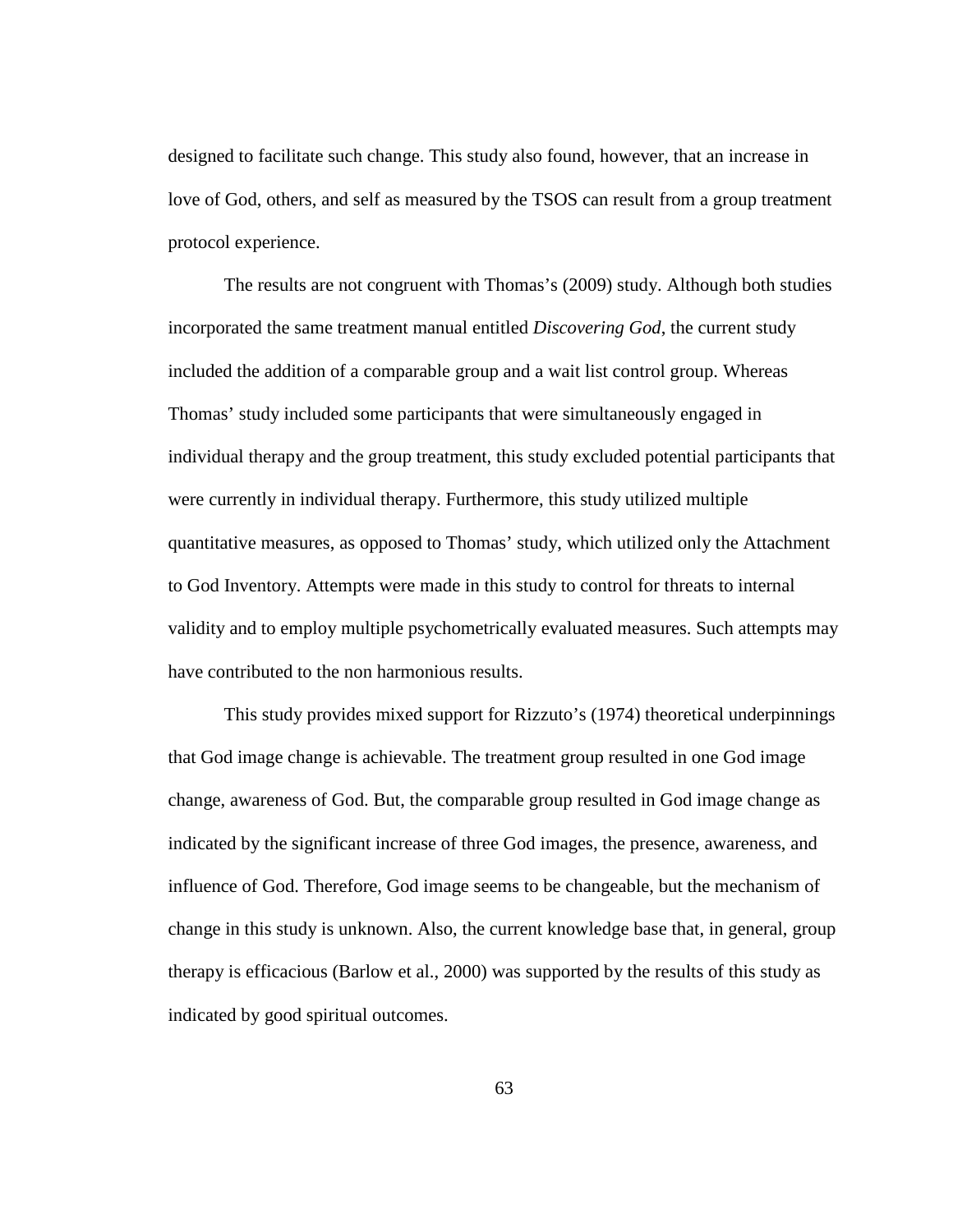designed to facilitate such change. This study also found, however, that an increase in love of God, others, and self as measured by the TSOS can result from a group treatment protocol experience.

The results are not congruent with Thomas's (2009) study. Although both studies incorporated the same treatment manual entitled *Discovering God*, the current study included the addition of a comparable group and a wait list control group. Whereas Thomas' study included some participants that were simultaneously engaged in individual therapy and the group treatment, this study excluded potential participants that were currently in individual therapy. Furthermore, this study utilized multiple quantitative measures, as opposed to Thomas' study, which utilized only the Attachment to God Inventory. Attempts were made in this study to control for threats to internal validity and to employ multiple psychometrically evaluated measures. Such attempts may have contributed to the non harmonious results.

This study provides mixed support for Rizzuto's (1974) theoretical underpinnings that God image change is achievable. The treatment group resulted in one God image change, awareness of God. But, the comparable group resulted in God image change as indicated by the significant increase of three God images, the presence, awareness, and influence of God. Therefore, God image seems to be changeable, but the mechanism of change in this study is unknown. Also, the current knowledge base that, in general, group therapy is efficacious (Barlow et al., 2000) was supported by the results of this study as indicated by good spiritual outcomes.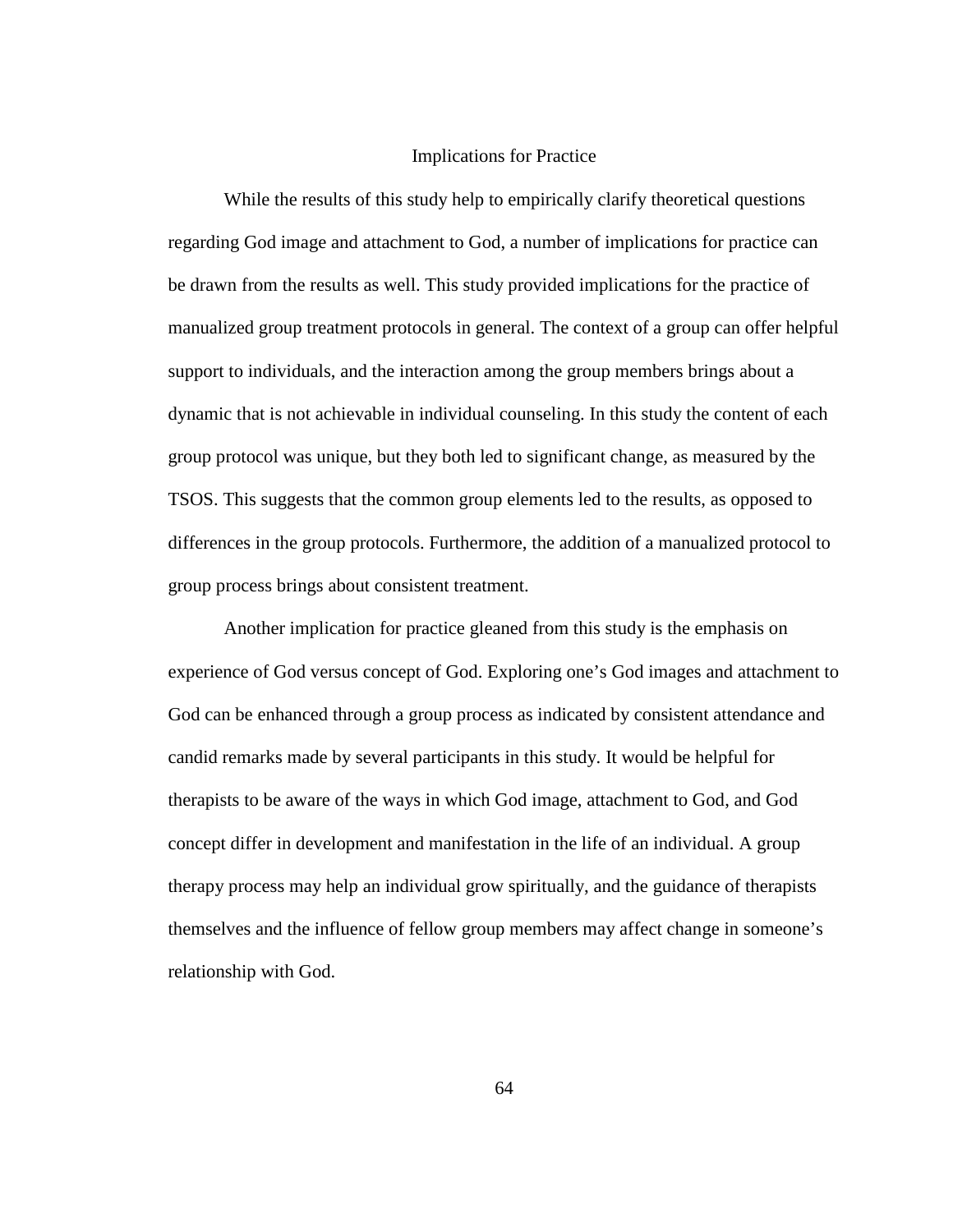#### Implications for Practice

While the results of this study help to empirically clarify theoretical questions regarding God image and attachment to God, a number of implications for practice can be drawn from the results as well. This study provided implications for the practice of manualized group treatment protocols in general. The context of a group can offer helpful support to individuals, and the interaction among the group members brings about a dynamic that is not achievable in individual counseling. In this study the content of each group protocol was unique, but they both led to significant change, as measured by the TSOS. This suggests that the common group elements led to the results, as opposed to differences in the group protocols. Furthermore, the addition of a manualized protocol to group process brings about consistent treatment.

Another implication for practice gleaned from this study is the emphasis on experience of God versus concept of God. Exploring one's God images and attachment to God can be enhanced through a group process as indicated by consistent attendance and candid remarks made by several participants in this study. It would be helpful for therapists to be aware of the ways in which God image, attachment to God, and God concept differ in development and manifestation in the life of an individual. A group therapy process may help an individual grow spiritually, and the guidance of therapists themselves and the influence of fellow group members may affect change in someone's relationship with God.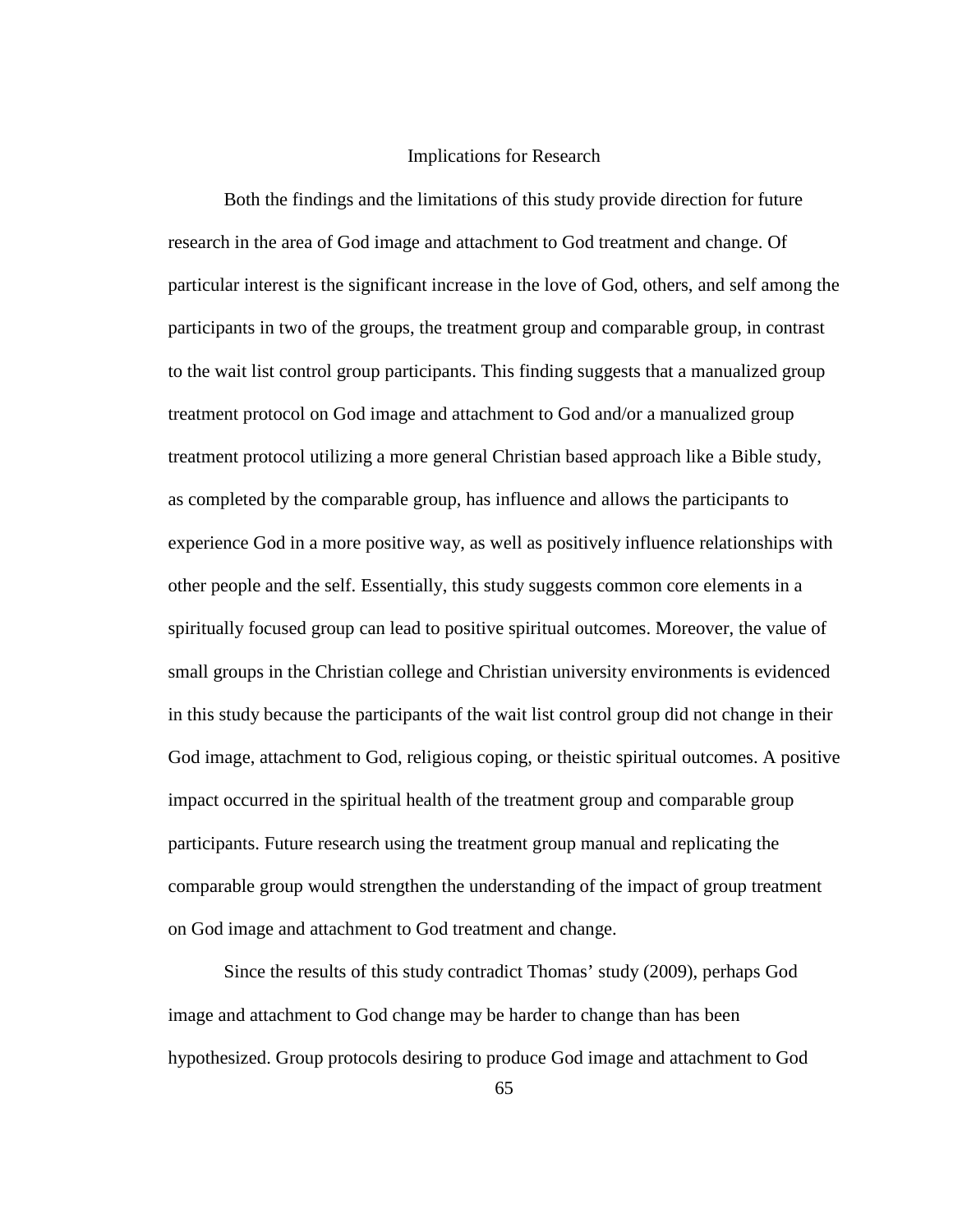#### Implications for Research

Both the findings and the limitations of this study provide direction for future research in the area of God image and attachment to God treatment and change. Of particular interest is the significant increase in the love of God, others, and self among the participants in two of the groups, the treatment group and comparable group, in contrast to the wait list control group participants. This finding suggests that a manualized group treatment protocol on God image and attachment to God and/or a manualized group treatment protocol utilizing a more general Christian based approach like a Bible study, as completed by the comparable group, has influence and allows the participants to experience God in a more positive way, as well as positively influence relationships with other people and the self. Essentially, this study suggests common core elements in a spiritually focused group can lead to positive spiritual outcomes. Moreover, the value of small groups in the Christian college and Christian university environments is evidenced in this study because the participants of the wait list control group did not change in their God image, attachment to God, religious coping, or theistic spiritual outcomes. A positive impact occurred in the spiritual health of the treatment group and comparable group participants. Future research using the treatment group manual and replicating the comparable group would strengthen the understanding of the impact of group treatment on God image and attachment to God treatment and change.

Since the results of this study contradict Thomas' study (2009), perhaps God image and attachment to God change may be harder to change than has been hypothesized. Group protocols desiring to produce God image and attachment to God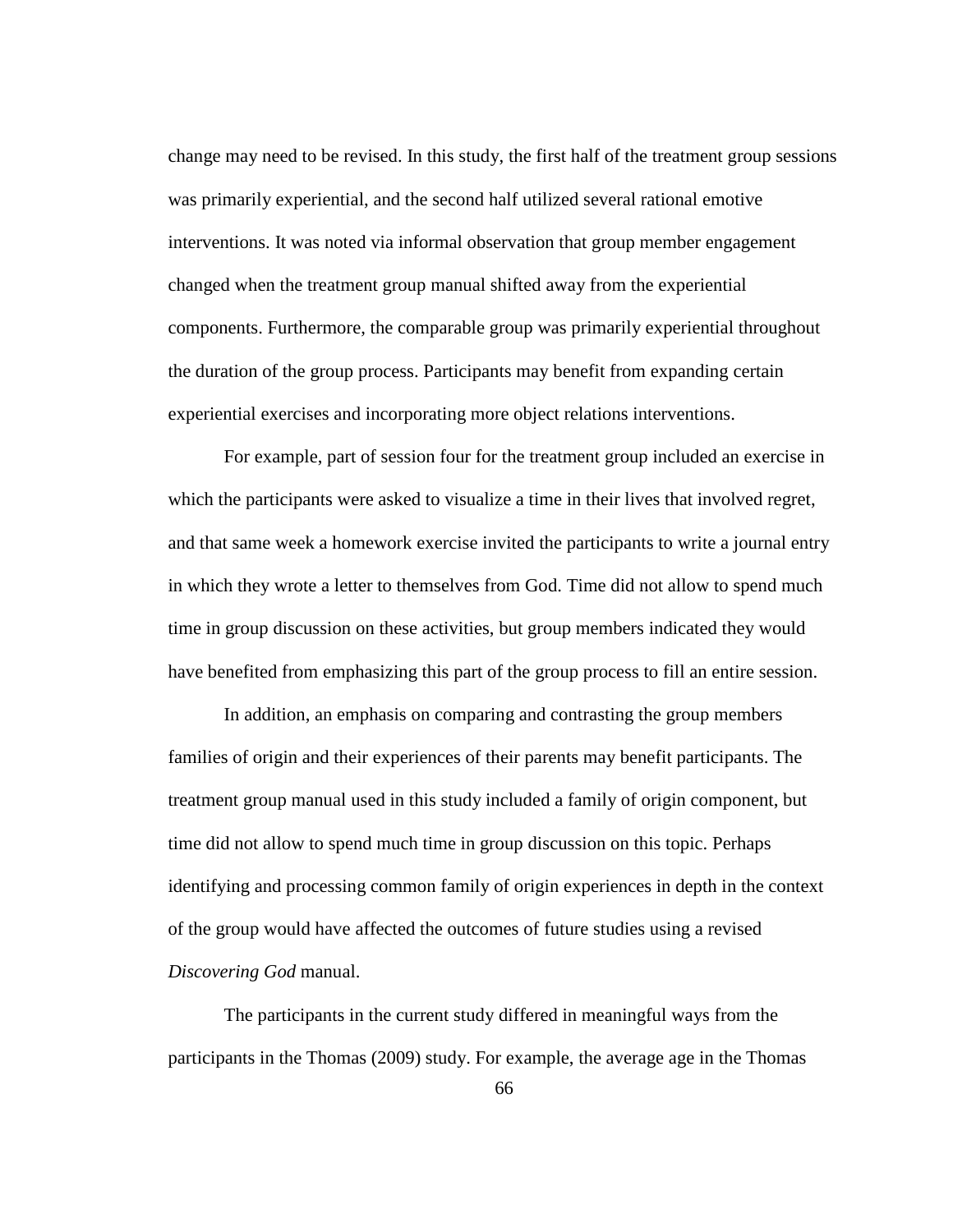change may need to be revised. In this study, the first half of the treatment group sessions was primarily experiential, and the second half utilized several rational emotive interventions. It was noted via informal observation that group member engagement changed when the treatment group manual shifted away from the experiential components. Furthermore, the comparable group was primarily experiential throughout the duration of the group process. Participants may benefit from expanding certain experiential exercises and incorporating more object relations interventions.

For example, part of session four for the treatment group included an exercise in which the participants were asked to visualize a time in their lives that involved regret, and that same week a homework exercise invited the participants to write a journal entry in which they wrote a letter to themselves from God. Time did not allow to spend much time in group discussion on these activities, but group members indicated they would have benefited from emphasizing this part of the group process to fill an entire session.

In addition, an emphasis on comparing and contrasting the group members families of origin and their experiences of their parents may benefit participants. The treatment group manual used in this study included a family of origin component, but time did not allow to spend much time in group discussion on this topic. Perhaps identifying and processing common family of origin experiences in depth in the context of the group would have affected the outcomes of future studies using a revised *Discovering God* manual.

The participants in the current study differed in meaningful ways from the participants in the Thomas (2009) study. For example, the average age in the Thomas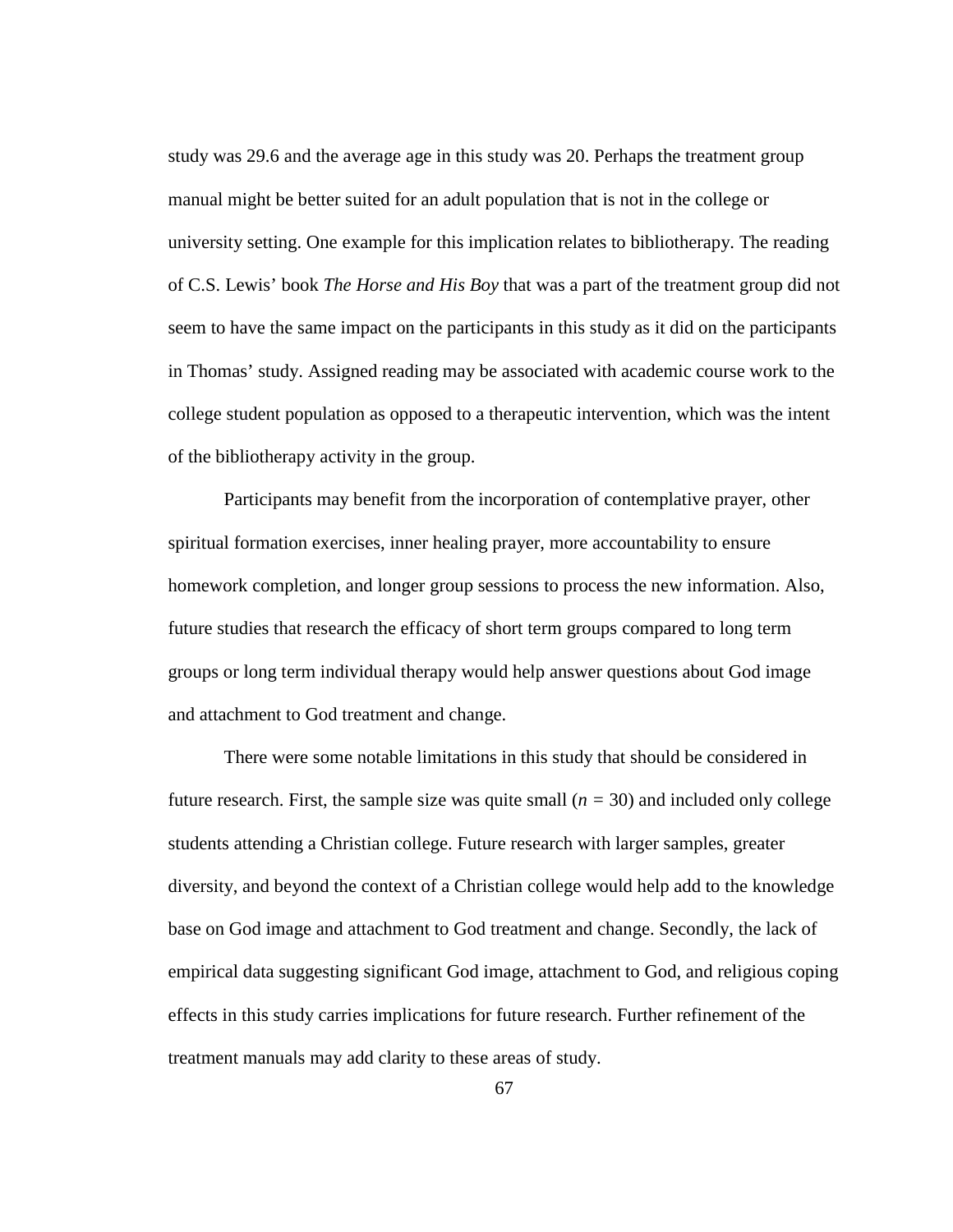study was 29.6 and the average age in this study was 20. Perhaps the treatment group manual might be better suited for an adult population that is not in the college or university setting. One example for this implication relates to bibliotherapy. The reading of C.S. Lewis' book *The Horse and His Boy* that was a part of the treatment group did not seem to have the same impact on the participants in this study as it did on the participants in Thomas' study. Assigned reading may be associated with academic course work to the college student population as opposed to a therapeutic intervention, which was the intent of the bibliotherapy activity in the group.

Participants may benefit from the incorporation of contemplative prayer, other spiritual formation exercises, inner healing prayer, more accountability to ensure homework completion, and longer group sessions to process the new information. Also, future studies that research the efficacy of short term groups compared to long term groups or long term individual therapy would help answer questions about God image and attachment to God treatment and change.

There were some notable limitations in this study that should be considered in future research. First, the sample size was quite small  $(n = 30)$  and included only college students attending a Christian college. Future research with larger samples, greater diversity, and beyond the context of a Christian college would help add to the knowledge base on God image and attachment to God treatment and change. Secondly, the lack of empirical data suggesting significant God image, attachment to God, and religious coping effects in this study carries implications for future research. Further refinement of the treatment manuals may add clarity to these areas of study.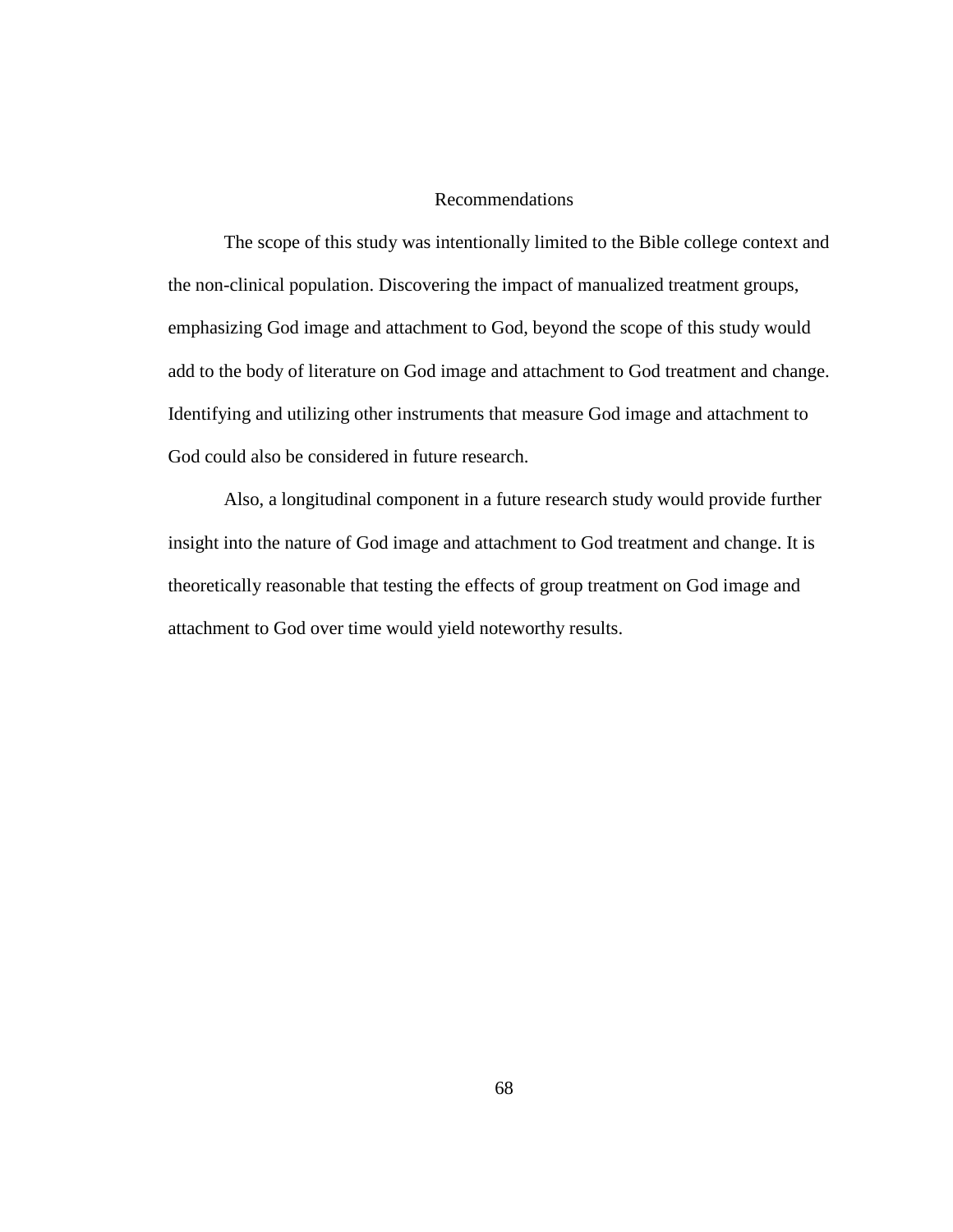## Recommendations

The scope of this study was intentionally limited to the Bible college context and the non-clinical population. Discovering the impact of manualized treatment groups, emphasizing God image and attachment to God, beyond the scope of this study would add to the body of literature on God image and attachment to God treatment and change. Identifying and utilizing other instruments that measure God image and attachment to God could also be considered in future research.

Also, a longitudinal component in a future research study would provide further insight into the nature of God image and attachment to God treatment and change. It is theoretically reasonable that testing the effects of group treatment on God image and attachment to God over time would yield noteworthy results.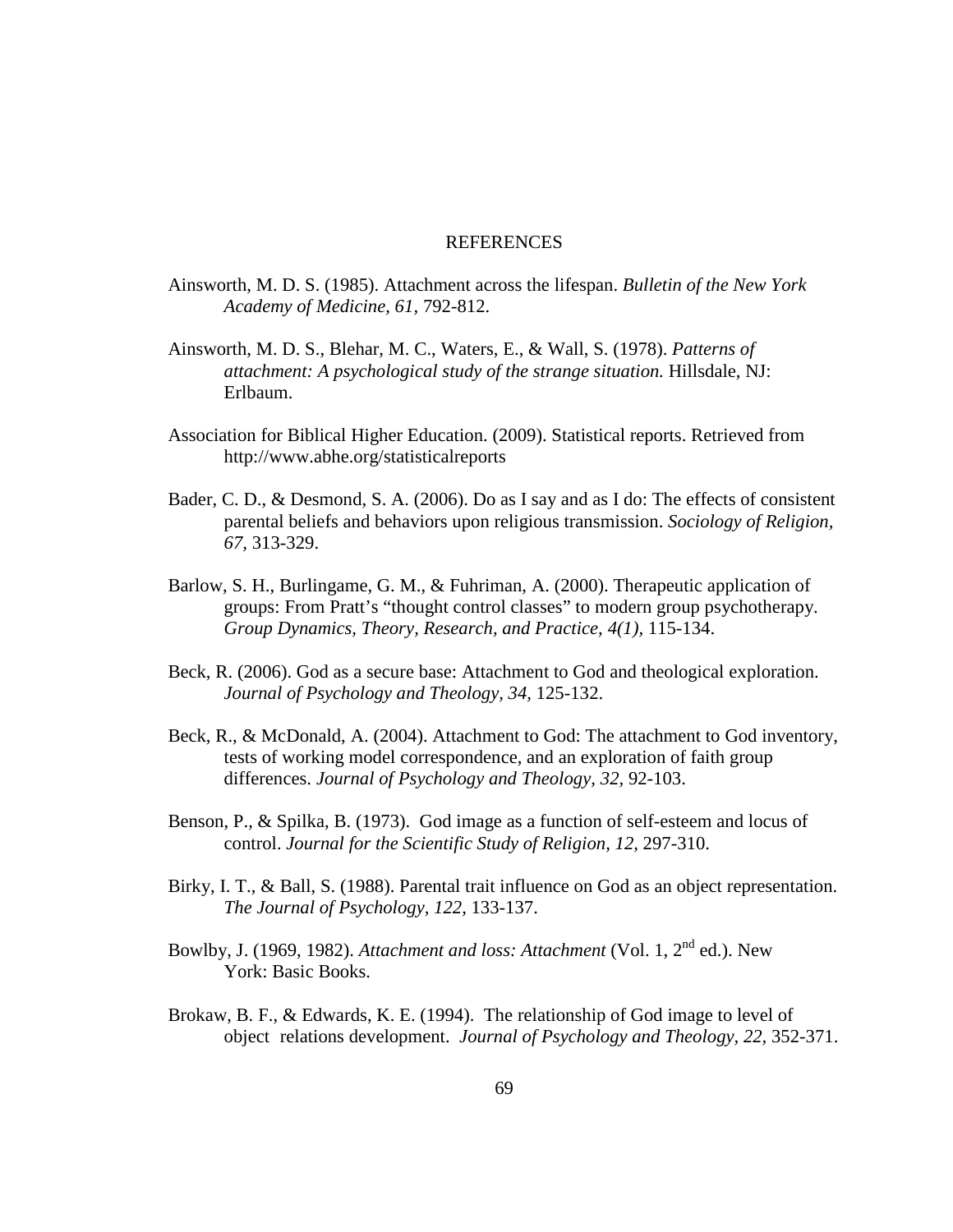#### REFERENCES

- Ainsworth, M. D. S. (1985). Attachment across the lifespan. *Bulletin of the New York Academy of Medicine, 61,* 792-812.
- Ainsworth, M. D. S., Blehar, M. C., Waters, E., & Wall, S. (1978). *Patterns of attachment: A psychological study of the strange situation.* Hillsdale, NJ: Erlbaum.
- Association for Biblical Higher Education. (2009). Statistical reports. Retrieved from http://www.abhe.org/statisticalreports
- Bader, C. D., & Desmond, S. A. (2006). Do as I say and as I do: The effects of consistent parental beliefs and behaviors upon religious transmission. *Sociology of Religion, 67,* 313-329.
- Barlow, S. H., Burlingame, G. M., & Fuhriman, A. (2000). Therapeutic application of groups: From Pratt's "thought control classes" to modern group psychotherapy. *Group Dynamics, Theory, Research, and Practice, 4(1),* 115-134.
- Beck, R. (2006). God as a secure base: Attachment to God and theological exploration. *Journal of Psychology and Theology, 34,* 125-132.
- Beck, R., & McDonald, A. (2004). Attachment to God: The attachment to God inventory, tests of working model correspondence, and an exploration of faith group differences. *Journal of Psychology and Theology, 32,* 92-103.
- Benson, P., & Spilka, B. (1973). God image as a function of self-esteem and locus of control. *Journal for the Scientific Study of Religion, 12,* 297-310.
- Birky, I. T., & Ball, S. (1988). Parental trait influence on God as an object representation. *The Journal of Psychology, 122,* 133-137.
- Bowlby, J. (1969, 1982). *Attachment and loss: Attachment* (Vol. 1, 2nd ed.). New York: Basic Books.
- Brokaw, B. F., & Edwards, K. E. (1994). The relationship of God image to level of object relations development. *Journal of Psychology and Theology, 22,* 352-371.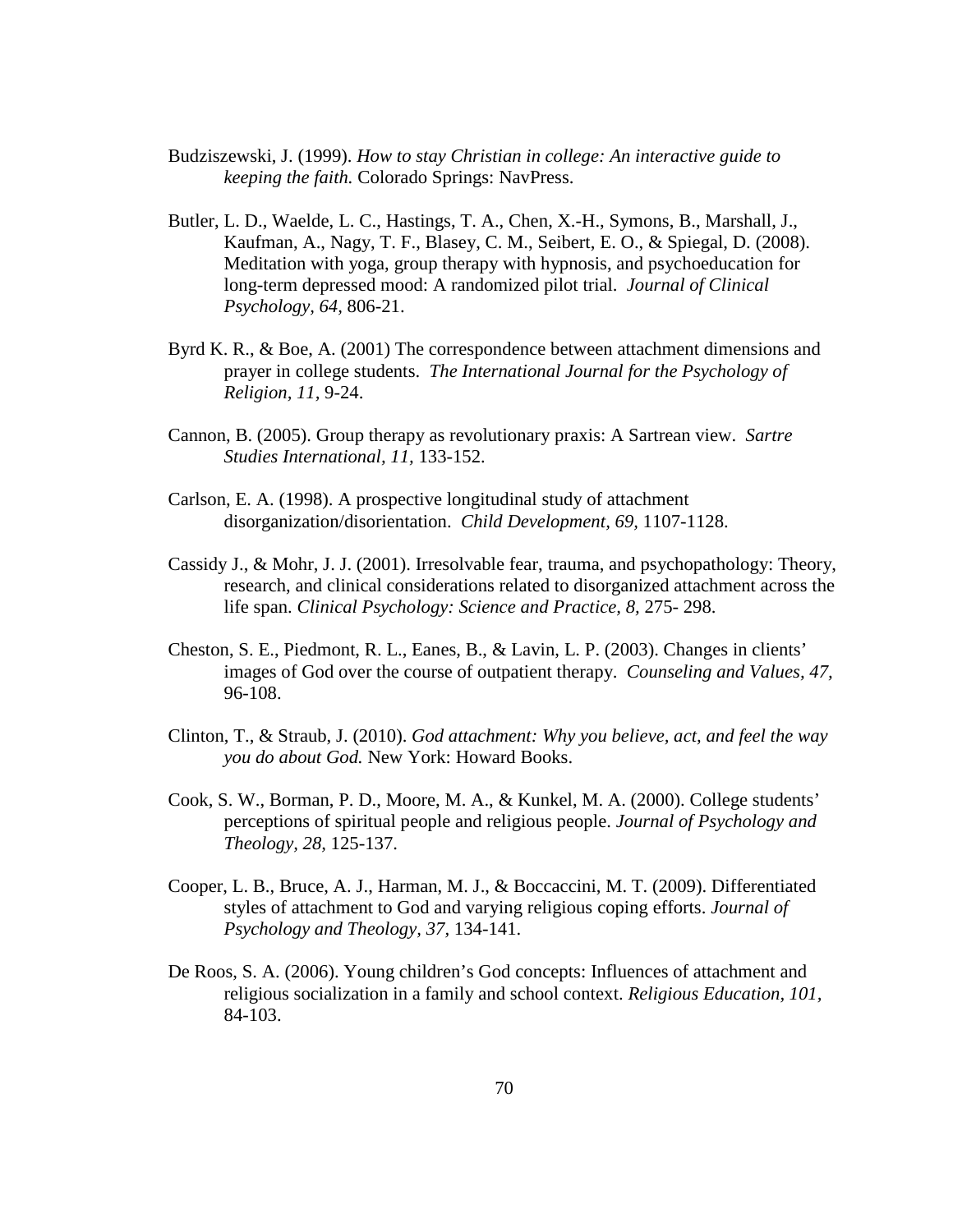- Budziszewski, J. (1999). *How to stay Christian in college: An interactive guide to keeping the faith.* Colorado Springs: NavPress.
- Butler, L. D., Waelde, L. C., Hastings, T. A., Chen, X.-H., Symons, B., Marshall, J., Kaufman, A., Nagy, T. F., Blasey, C. M., Seibert, E. O., & Spiegal, D. (2008). Meditation with yoga, group therapy with hypnosis, and psychoeducation for long-term depressed mood: A randomized pilot trial. *Journal of Clinical Psychology, 64,* 806-21.
- Byrd K. R., & Boe, A. (2001) The correspondence between attachment dimensions and prayer in college students. *The International Journal for the Psychology of Religion, 11,* 9-24.
- Cannon, B. (2005). Group therapy as revolutionary praxis: A Sartrean view. *Sartre Studies International, 11,* 133-152.
- Carlson, E. A. (1998). A prospective longitudinal study of attachment disorganization/disorientation. *Child Development, 69,* 1107-1128.
- Cassidy J., & Mohr, J. J. (2001). Irresolvable fear, trauma, and psychopathology: Theory, research, and clinical considerations related to disorganized attachment across the life span. *Clinical Psychology: Science and Practice, 8,* 275- 298.
- Cheston, S. E., Piedmont, R. L., Eanes, B., & Lavin, L. P. (2003). Changes in clients' images of God over the course of outpatient therapy. *Counseling and Values, 47,* 96-108.
- Clinton, T., & Straub, J. (2010). *God attachment: Why you believe, act, and feel the way you do about God.* New York: Howard Books.
- Cook, S. W., Borman, P. D., Moore, M. A., & Kunkel, M. A. (2000). College students' perceptions of spiritual people and religious people. *Journal of Psychology and Theology, 28,* 125-137.
- Cooper, L. B., Bruce, A. J., Harman, M. J., & Boccaccini, M. T. (2009). Differentiated styles of attachment to God and varying religious coping efforts. *Journal of Psychology and Theology, 37,* 134-141.
- De Roos, S. A. (2006). Young children's God concepts: Influences of attachment and religious socialization in a family and school context. *Religious Education, 101,* 84-103.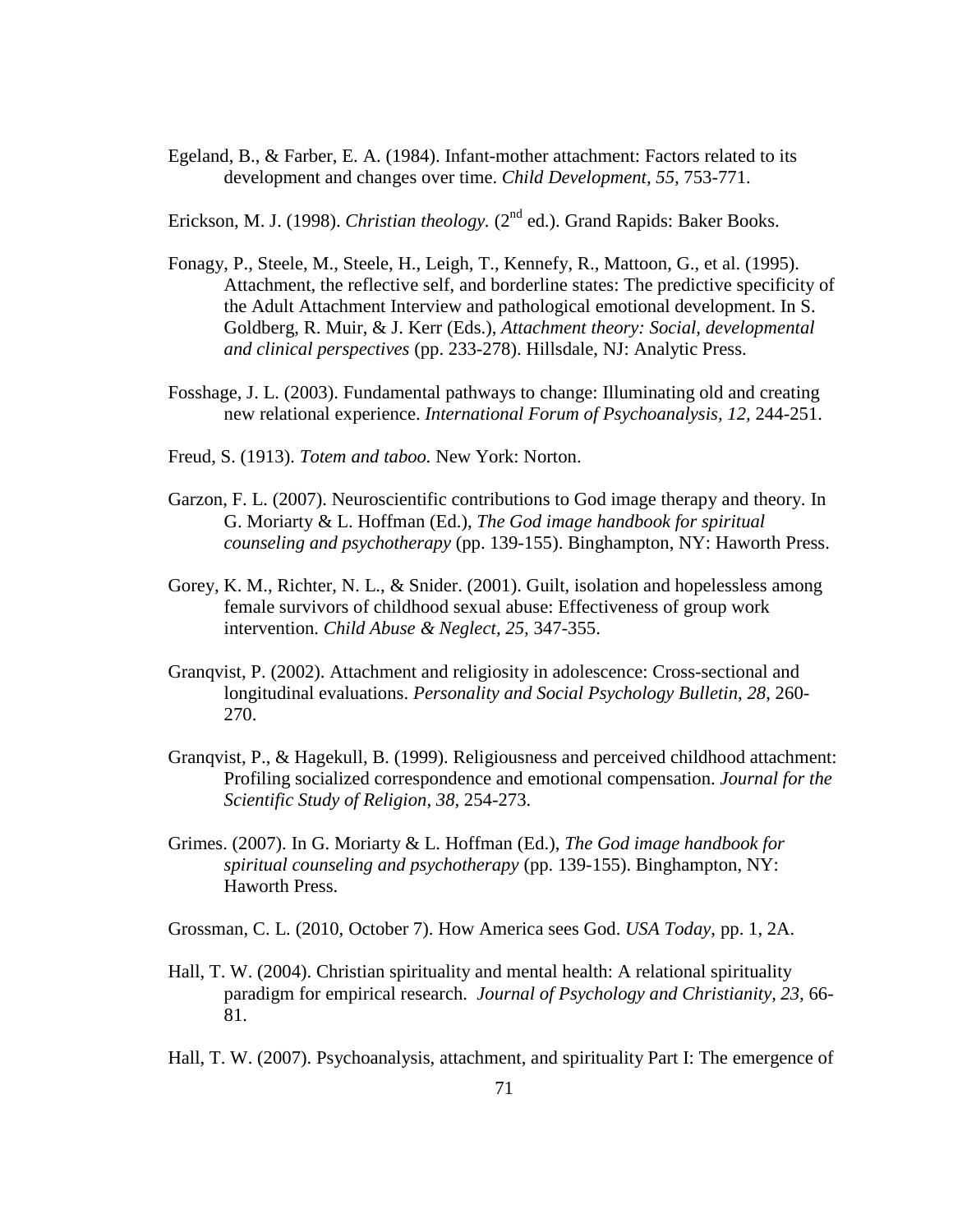Egeland, B., & Farber, E. A. (1984). Infant-mother attachment: Factors related to its development and changes over time. *Child Development, 55,* 753-771.

Erickson, M. J. (1998). *Christian theology*. (2<sup>nd</sup> ed.). Grand Rapids: Baker Books.

- Fonagy, P., Steele, M., Steele, H., Leigh, T., Kennefy, R., Mattoon, G., et al. (1995). Attachment, the reflective self, and borderline states: The predictive specificity of the Adult Attachment Interview and pathological emotional development. In S. Goldberg, R. Muir, & J. Kerr (Eds.), *Attachment theory: Social, developmental and clinical perspectives* (pp. 233-278). Hillsdale, NJ: Analytic Press.
- Fosshage, J. L. (2003). Fundamental pathways to change: Illuminating old and creating new relational experience. *International Forum of Psychoanalysis, 12,* 244-251.
- Freud, S. (1913). *Totem and taboo.* New York: Norton.
- Garzon, F. L. (2007). Neuroscientific contributions to God image therapy and theory. In G. Moriarty & L. Hoffman (Ed.), *The God image handbook for spiritual counseling and psychotherapy* (pp. 139-155). Binghampton, NY: Haworth Press.
- Gorey, K. M., Richter, N. L., & Snider. (2001). Guilt, isolation and hopelessless among female survivors of childhood sexual abuse: Effectiveness of group work intervention. *Child Abuse & Neglect, 25,* 347-355.
- Granqvist, P. (2002). Attachment and religiosity in adolescence: Cross-sectional and longitudinal evaluations. *Personality and Social Psychology Bulletin, 28*, 260- 270.
- Granqvist, P., & Hagekull, B. (1999). Religiousness and perceived childhood attachment: Profiling socialized correspondence and emotional compensation. *Journal for the Scientific Study of Religion, 38,* 254-273.
- Grimes. (2007). In G. Moriarty & L. Hoffman (Ed.), *The God image handbook for spiritual counseling and psychotherapy* (pp. 139-155). Binghampton, NY: Haworth Press.
- Grossman, C. L. (2010, October 7). How America sees God. *USA Today*, pp. 1, 2A.
- Hall, T. W. (2004). Christian spirituality and mental health: A relational spirituality paradigm for empirical research. *Journal of Psychology and Christianity, 23,* 66- 81.
- Hall, T. W. (2007). Psychoanalysis, attachment, and spirituality Part I: The emergence of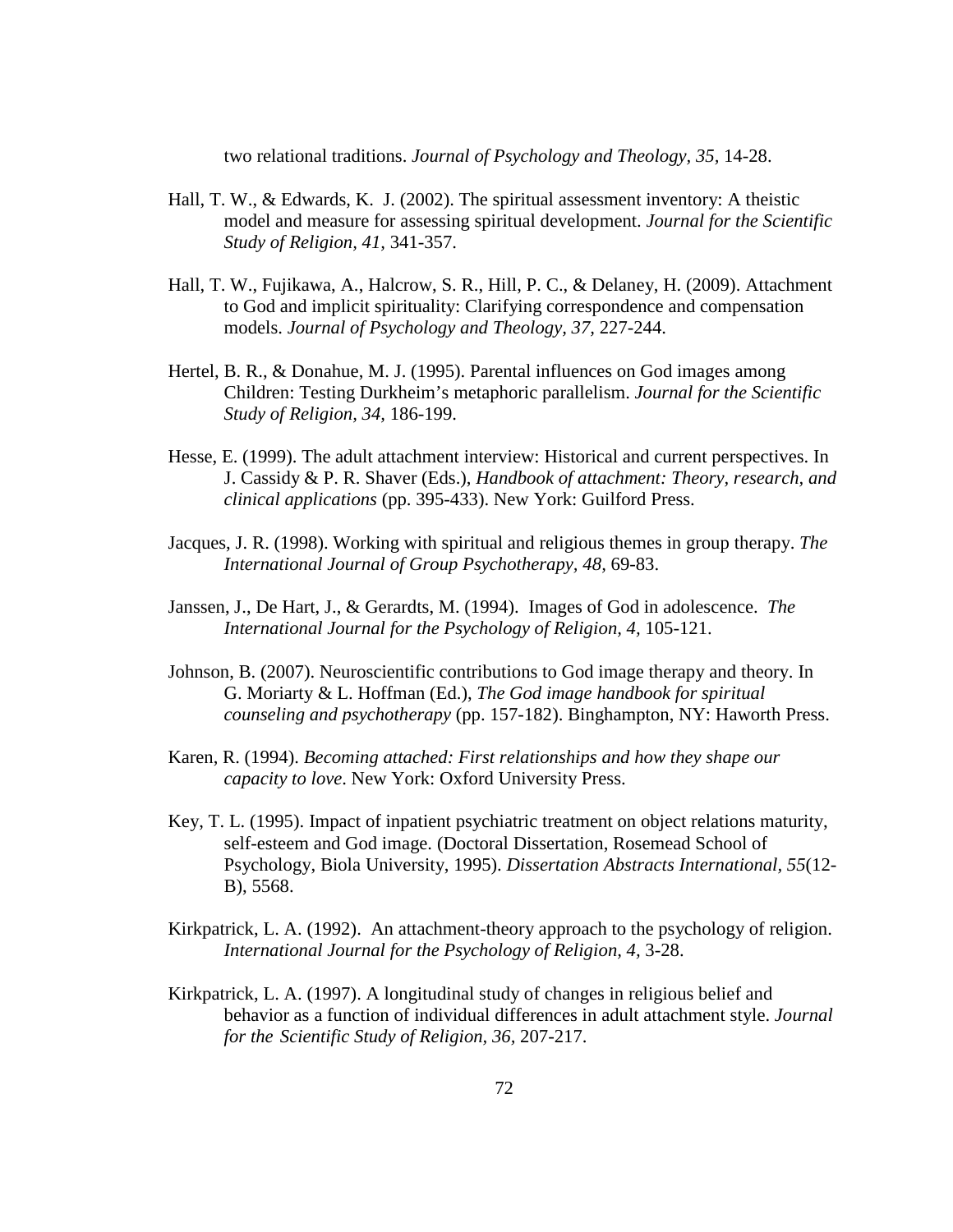two relational traditions. *Journal of Psychology and Theology, 35,* 14-28.

- Hall, T. W., & Edwards, K. J. (2002). The spiritual assessment inventory: A theistic model and measure for assessing spiritual development. *Journal for the Scientific Study of Religion, 41,* 341-357.
- Hall, T. W., Fujikawa, A., Halcrow, S. R., Hill, P. C., & Delaney, H. (2009). Attachment to God and implicit spirituality: Clarifying correspondence and compensation models. *Journal of Psychology and Theology, 37,* 227-244.
- Hertel, B. R., & Donahue, M. J. (1995). Parental influences on God images among Children: Testing Durkheim's metaphoric parallelism. *Journal for the Scientific Study of Religion, 34,* 186-199.
- Hesse, E. (1999). The adult attachment interview: Historical and current perspectives. In J. Cassidy & P. R. Shaver (Eds.), *Handbook of attachment: Theory, research, and clinical applications* (pp. 395-433). New York: Guilford Press.
- Jacques, J. R. (1998). Working with spiritual and religious themes in group therapy. *The International Journal of Group Psychotherapy, 48,* 69-83.
- Janssen, J., De Hart, J., & Gerardts, M. (1994). Images of God in adolescence. *The International Journal for the Psychology of Religion, 4,* 105-121.
- Johnson, B. (2007). Neuroscientific contributions to God image therapy and theory. In G. Moriarty & L. Hoffman (Ed.), *The God image handbook for spiritual counseling and psychotherapy* (pp. 157-182). Binghampton, NY: Haworth Press.
- Karen, R. (1994). *Becoming attached: First relationships and how they shape our capacity to love*. New York: Oxford University Press.
- Key, T. L. (1995). Impact of inpatient psychiatric treatment on object relations maturity, self-esteem and God image. (Doctoral Dissertation, Rosemead School of Psychology, Biola University, 1995). *Dissertation Abstracts International, 55*(12- B), 5568.
- Kirkpatrick, L. A. (1992). An attachment-theory approach to the psychology of religion. *International Journal for the Psychology of Religion, 4,* 3-28.
- Kirkpatrick, L. A. (1997). A longitudinal study of changes in religious belief and behavior as a function of individual differences in adult attachment style. *Journal for the Scientific Study of Religion, 36,* 207-217.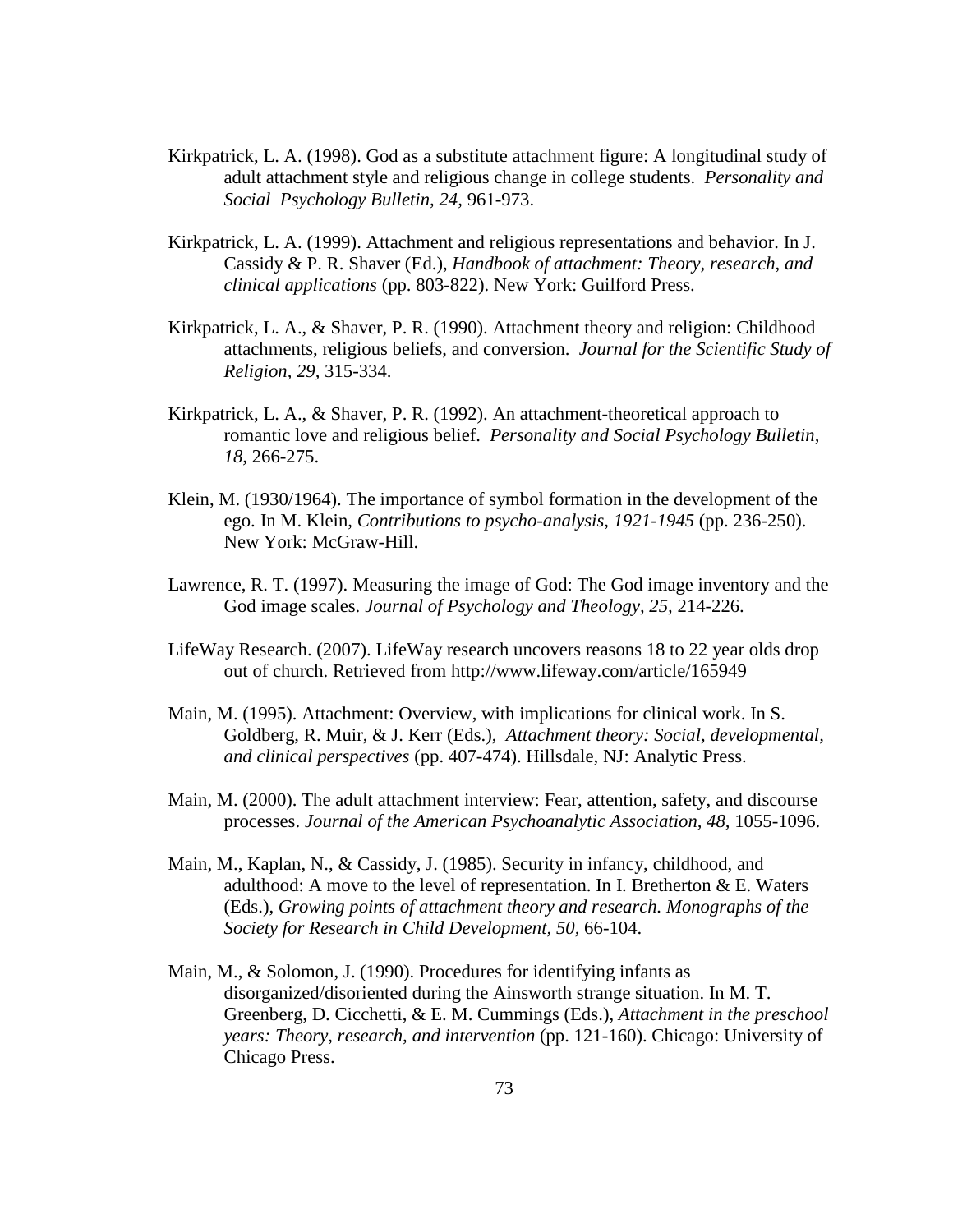- Kirkpatrick, L. A. (1998). God as a substitute attachment figure: A longitudinal study of adult attachment style and religious change in college students. *Personality and Social Psychology Bulletin, 24,* 961-973.
- Kirkpatrick, L. A. (1999). Attachment and religious representations and behavior. In J. Cassidy & P. R. Shaver (Ed.), *Handbook of attachment: Theory, research, and clinical applications* (pp. 803-822). New York: Guilford Press.
- Kirkpatrick, L. A., & Shaver, P. R. (1990). Attachment theory and religion: Childhood attachments, religious beliefs, and conversion. *Journal for the Scientific Study of Religion, 29,* 315-334.
- Kirkpatrick, L. A., & Shaver, P. R. (1992). An attachment-theoretical approach to romantic love and religious belief. *Personality and Social Psychology Bulletin, 18,* 266-275.
- Klein, M. (1930/1964). The importance of symbol formation in the development of the ego. In M. Klein, *Contributions to psycho-analysis, 1921-1945* (pp. 236-250). New York: McGraw-Hill.
- Lawrence, R. T. (1997). Measuring the image of God: The God image inventory and the God image scales. *Journal of Psychology and Theology, 25,* 214-226.
- LifeWay Research. (2007). LifeWay research uncovers reasons 18 to 22 year olds drop out of church. Retrieved from http://www.lifeway.com/article/165949
- Main, M. (1995). Attachment: Overview, with implications for clinical work. In S. Goldberg, R. Muir, & J. Kerr (Eds.), *Attachment theory: Social, developmental, and clinical perspectives* (pp. 407-474). Hillsdale, NJ: Analytic Press.
- Main, M. (2000). The adult attachment interview: Fear, attention, safety, and discourse processes. *Journal of the American Psychoanalytic Association, 48, 1055-1096.*
- Main, M., Kaplan, N., & Cassidy, J. (1985). Security in infancy, childhood, and adulthood: A move to the level of representation. In I. Bretherton  $&E$ . Waters (Eds.), *Growing points of attachment theory and research. Monographs of the Society for Research in Child Development, 50,* 66-104.
- Main, M., & Solomon, J. (1990). Procedures for identifying infants as disorganized/disoriented during the Ainsworth strange situation. In M. T. Greenberg, D. Cicchetti, & E. M. Cummings (Eds.), *Attachment in the preschool years: Theory, research, and intervention* (pp. 121-160). Chicago: University of Chicago Press.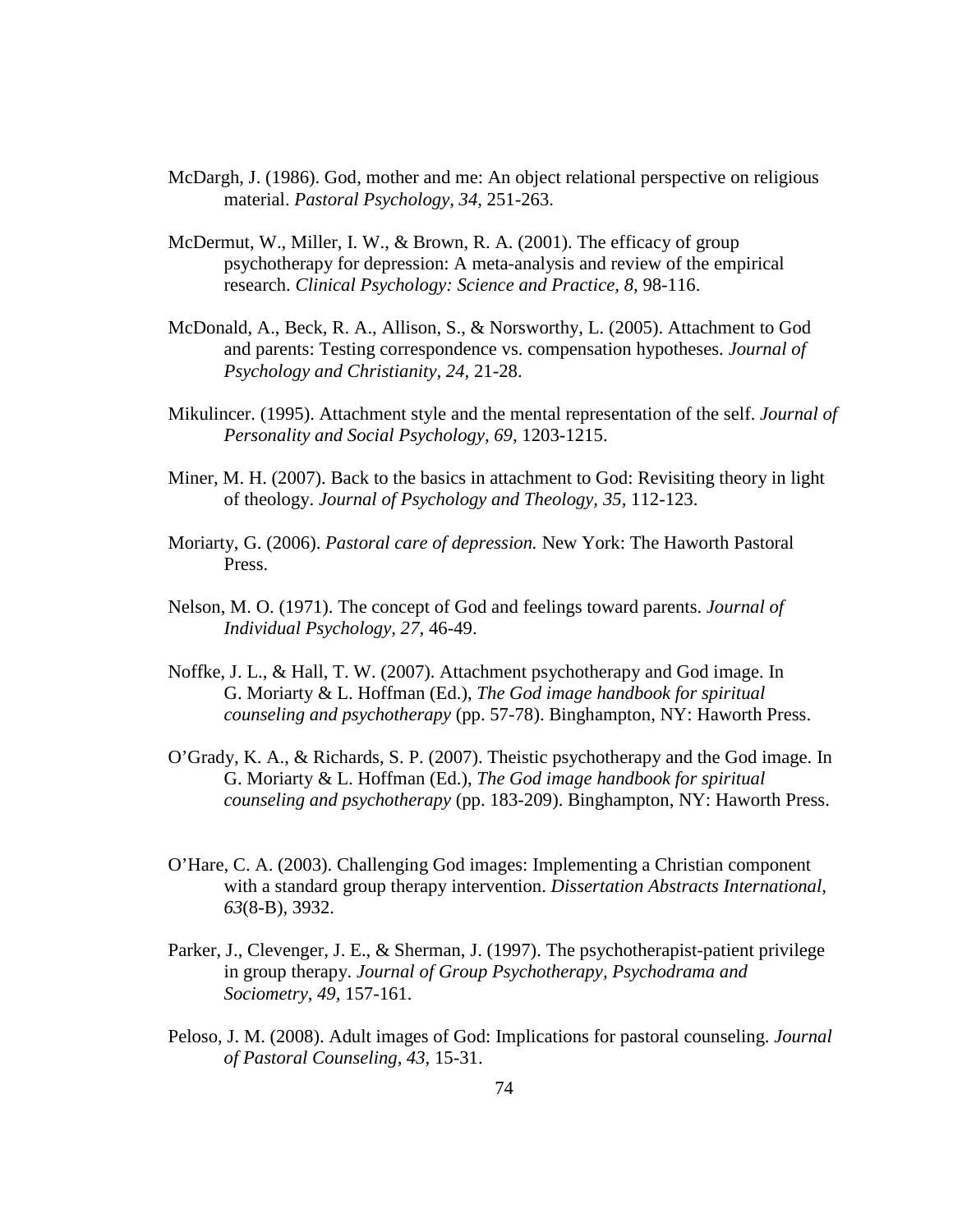- McDargh, J. (1986). God, mother and me: An object relational perspective on religious material. *Pastoral Psychology, 34,* 251-263.
- McDermut, W., Miller, I. W., & Brown, R. A. (2001). The efficacy of group psychotherapy for depression: A meta-analysis and review of the empirical research. *Clinical Psychology: Science and Practice, 8,* 98-116.
- McDonald, A., Beck, R. A., Allison, S., & Norsworthy, L. (2005). Attachment to God and parents: Testing correspondence vs. compensation hypotheses. *Journal of Psychology and Christianity, 24,* 21-28.
- Mikulincer. (1995). Attachment style and the mental representation of the self. *Journal of Personality and Social Psychology, 69,* 1203-1215.
- Miner, M. H. (2007). Back to the basics in attachment to God: Revisiting theory in light of theology. *Journal of Psychology and Theology, 35,* 112-123.
- Moriarty, G. (2006). *Pastoral care of depression.* New York: The Haworth Pastoral Press.
- Nelson, M. O. (1971). The concept of God and feelings toward parents. *Journal of Individual Psychology, 27,* 46-49.
- Noffke, J. L., & Hall, T. W. (2007). Attachment psychotherapy and God image. In G. Moriarty & L. Hoffman (Ed.), *The God image handbook for spiritual counseling and psychotherapy* (pp. 57-78). Binghampton, NY: Haworth Press.
- O'Grady, K. A., & Richards, S. P. (2007). Theistic psychotherapy and the God image. In G. Moriarty & L. Hoffman (Ed.), *The God image handbook for spiritual counseling and psychotherapy* (pp. 183-209). Binghampton, NY: Haworth Press.
- O'Hare, C. A. (2003). Challenging God images: Implementing a Christian component with a standard group therapy intervention. *Dissertation Abstracts International, 63*(8-B), 3932.
- Parker, J., Clevenger, J. E., & Sherman, J. (1997). The psychotherapist-patient privilege in group therapy. *Journal of Group Psychotherapy, Psychodrama and Sociometry, 49,* 157-161.
- Peloso, J. M. (2008). Adult images of God: Implications for pastoral counseling. *Journal of Pastoral Counseling, 43,* 15-31.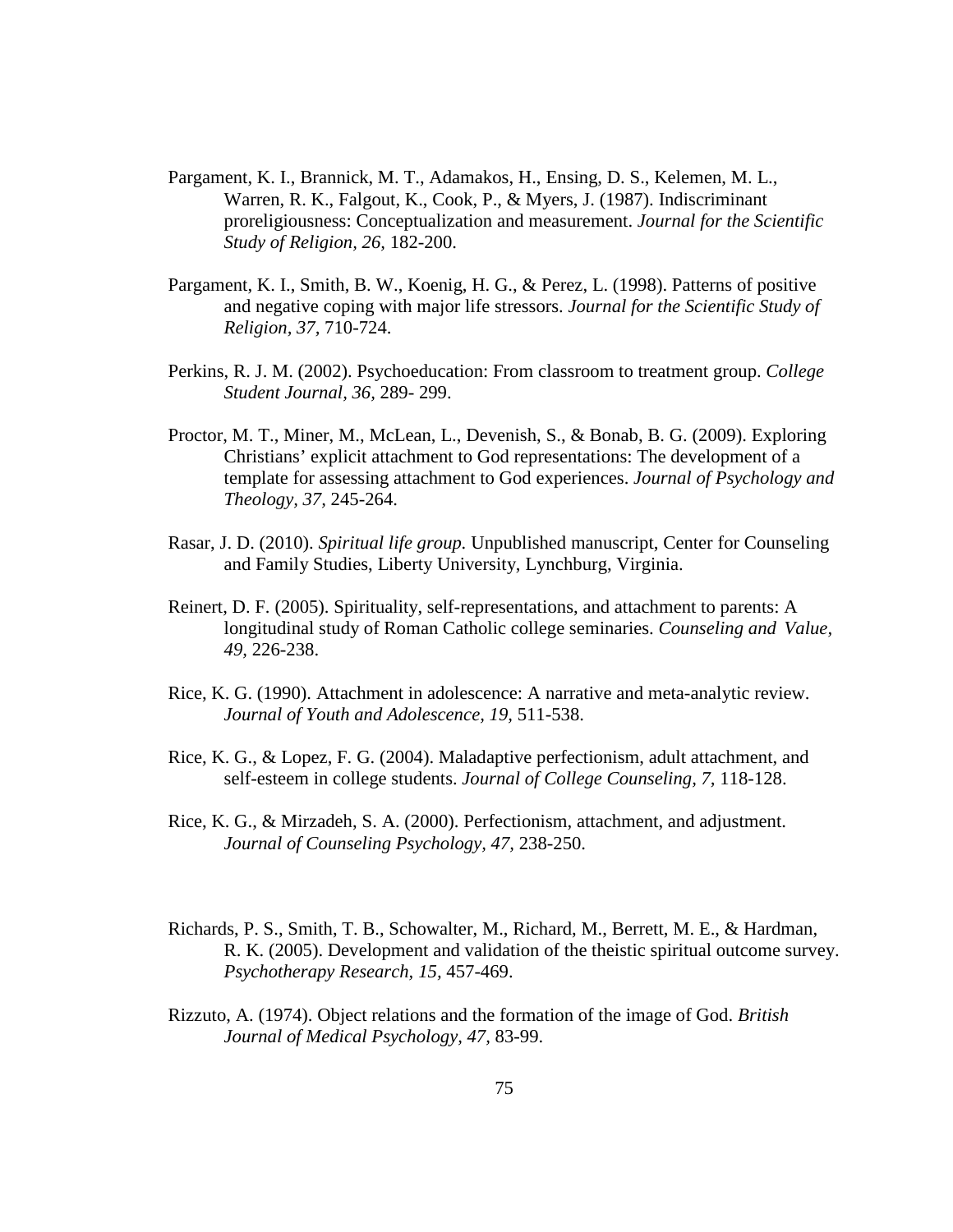- Pargament, K. I., Brannick, M. T., Adamakos, H., Ensing, D. S., Kelemen, M. L., Warren, R. K., Falgout, K., Cook, P., & Myers, J. (1987). Indiscriminant proreligiousness: Conceptualization and measurement. *Journal for the Scientific Study of Religion, 26,* 182-200.
- Pargament, K. I., Smith, B. W., Koenig, H. G., & Perez, L. (1998). Patterns of positive and negative coping with major life stressors. *Journal for the Scientific Study of Religion, 37,* 710-724.
- Perkins, R. J. M. (2002). Psychoeducation: From classroom to treatment group. *College Student Journal, 36,* 289- 299.
- Proctor, M. T., Miner, M., McLean, L., Devenish, S., & Bonab, B. G. (2009). Exploring Christians' explicit attachment to God representations: The development of a template for assessing attachment to God experiences. *Journal of Psychology and Theology, 37,* 245-264.
- Rasar, J. D. (2010). *Spiritual life group.* Unpublished manuscript, Center for Counseling and Family Studies, Liberty University, Lynchburg, Virginia.
- Reinert, D. F. (2005). Spirituality, self-representations, and attachment to parents: A longitudinal study of Roman Catholic college seminaries. *Counseling and Value, 49,* 226-238.
- Rice, K. G. (1990). Attachment in adolescence: A narrative and meta-analytic review. *Journal of Youth and Adolescence, 19,* 511-538.
- Rice, K. G., & Lopez, F. G. (2004). Maladaptive perfectionism, adult attachment, and self-esteem in college students. *Journal of College Counseling, 7,* 118-128.
- Rice, K. G., & Mirzadeh, S. A. (2000). Perfectionism, attachment, and adjustment. *Journal of Counseling Psychology, 47,* 238-250.
- Richards, P. S., Smith, T. B., Schowalter, M., Richard, M., Berrett, M. E., & Hardman, R. K. (2005). Development and validation of the theistic spiritual outcome survey. *Psychotherapy Research, 15,* 457-469.
- Rizzuto, A. (1974). Object relations and the formation of the image of God. *British Journal of Medical Psychology, 47,* 83-99.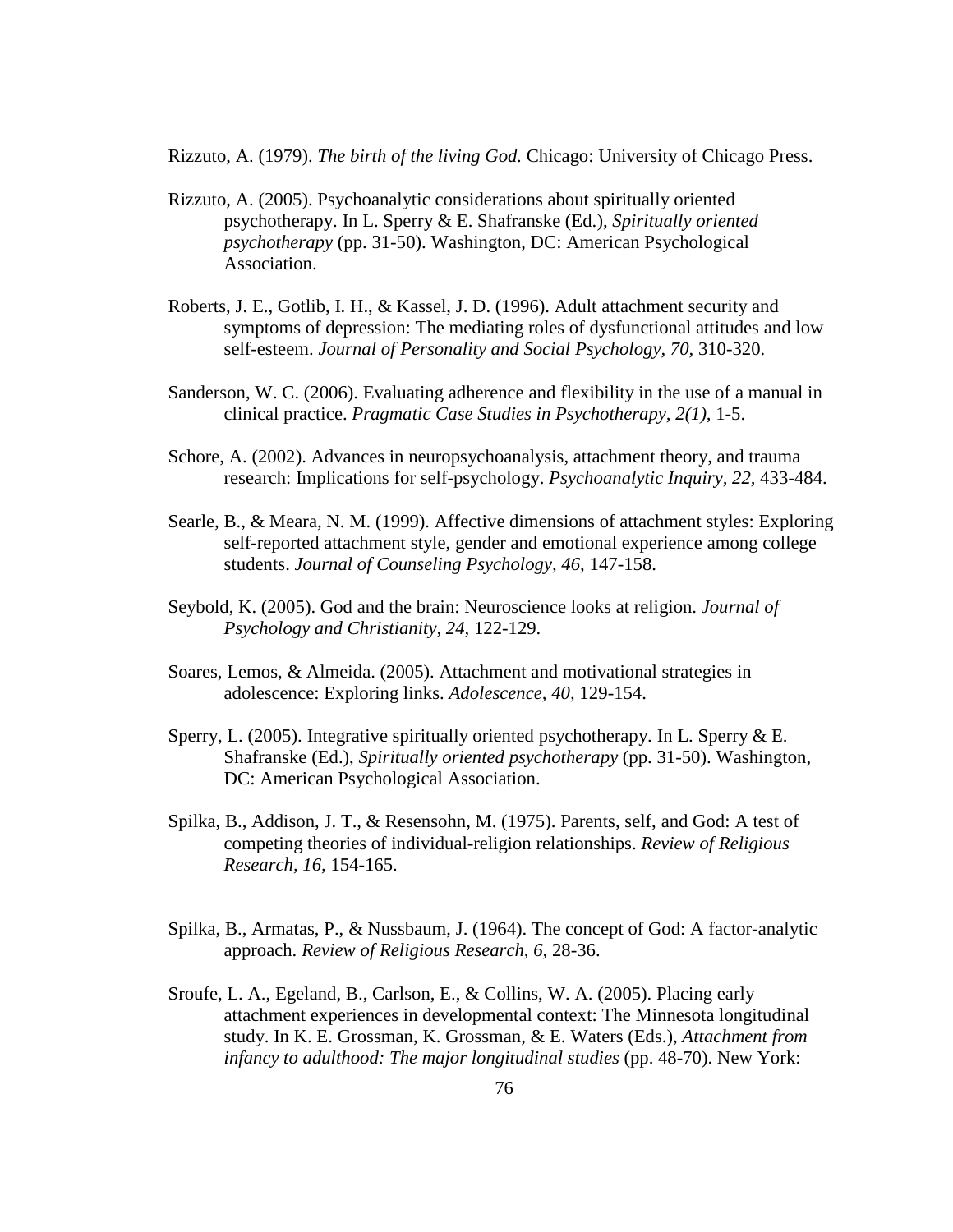Rizzuto, A. (1979). *The birth of the living God.* Chicago: University of Chicago Press.

- Rizzuto, A. (2005). Psychoanalytic considerations about spiritually oriented psychotherapy. In L. Sperry & E. Shafranske (Ed.), *Spiritually oriented psychotherapy* (pp. 31-50). Washington, DC: American Psychological Association.
- Roberts, J. E., Gotlib, I. H., & Kassel, J. D. (1996). Adult attachment security and symptoms of depression: The mediating roles of dysfunctional attitudes and low self-esteem. *Journal of Personality and Social Psychology, 70,* 310-320.
- Sanderson, W. C. (2006). Evaluating adherence and flexibility in the use of a manual in clinical practice. *Pragmatic Case Studies in Psychotherapy, 2(1),* 1-5.
- Schore, A. (2002). Advances in neuropsychoanalysis, attachment theory, and trauma research: Implications for self-psychology. *Psychoanalytic Inquiry, 22,* 433-484.
- Searle, B., & Meara, N. M. (1999). Affective dimensions of attachment styles: Exploring self-reported attachment style, gender and emotional experience among college students. *Journal of Counseling Psychology, 46,* 147-158.
- Seybold, K. (2005). God and the brain: Neuroscience looks at religion. *Journal of Psychology and Christianity, 24,* 122-129.
- Soares, Lemos, & Almeida. (2005). Attachment and motivational strategies in adolescence: Exploring links. *Adolescence, 40,* 129-154.
- Sperry, L. (2005). Integrative spiritually oriented psychotherapy. In L. Sperry & E. Shafranske (Ed.), *Spiritually oriented psychotherapy* (pp. 31-50). Washington, DC: American Psychological Association.
- Spilka, B., Addison, J. T., & Resensohn, M. (1975). Parents, self, and God: A test of competing theories of individual-religion relationships. *Review of Religious Research, 16,* 154-165.
- Spilka, B., Armatas, P., & Nussbaum, J. (1964). The concept of God: A factor-analytic approach. *Review of Religious Research, 6,* 28-36.
- Sroufe, L. A., Egeland, B., Carlson, E., & Collins, W. A. (2005). Placing early attachment experiences in developmental context: The Minnesota longitudinal study. In K. E. Grossman, K. Grossman, & E. Waters (Eds.), *Attachment from*  infancy to adulthood: The major longitudinal studies (pp. 48-70). New York: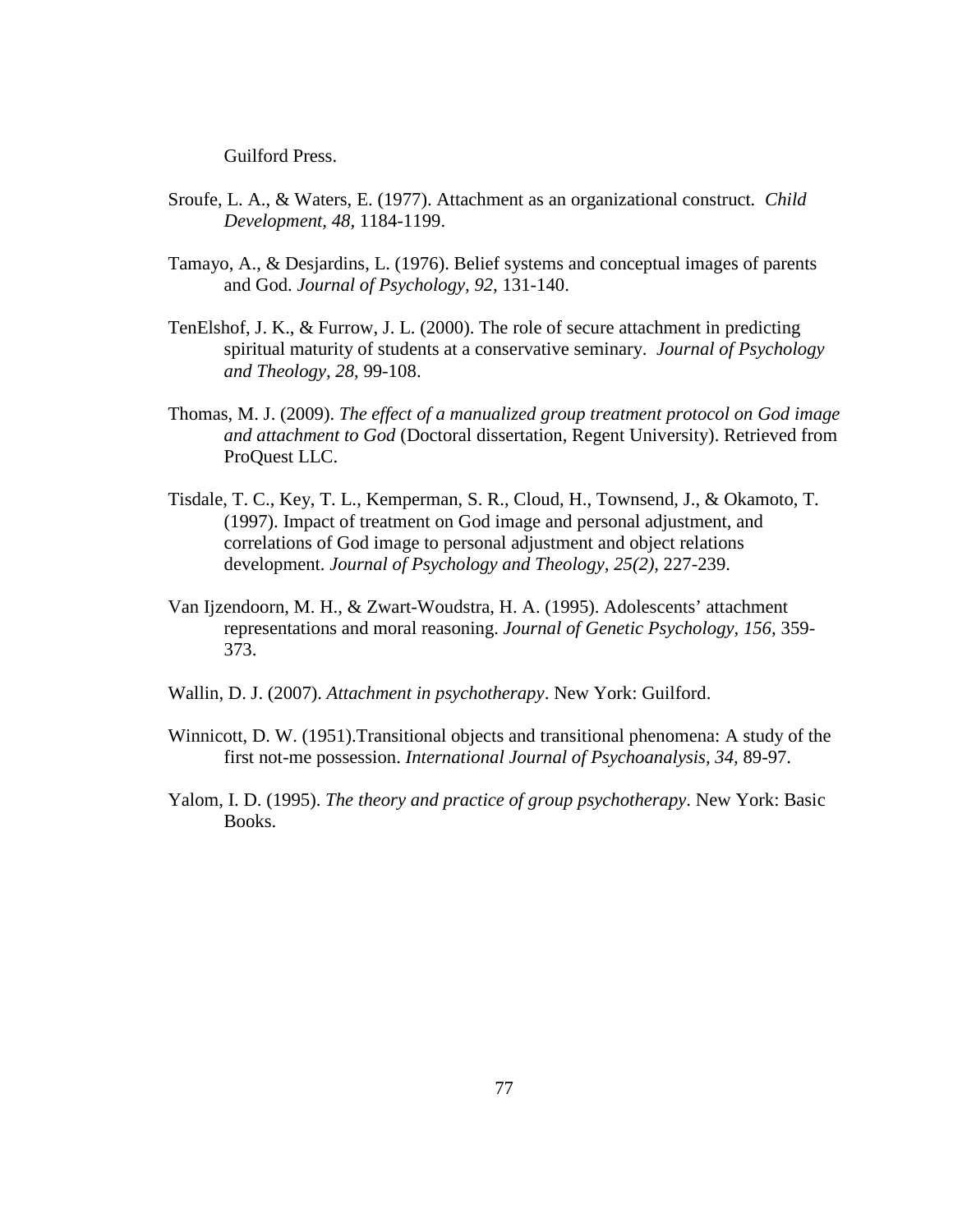Guilford Press.

- Sroufe, L. A., & Waters, E. (1977). Attachment as an organizational construct*. Child Development, 48,* 1184-1199.
- Tamayo, A., & Desjardins, L. (1976). Belief systems and conceptual images of parents and God. *Journal of Psychology, 92,* 131-140.
- TenElshof, J. K., & Furrow, J. L. (2000). The role of secure attachment in predicting spiritual maturity of students at a conservative seminary. *Journal of Psychology and Theology, 28,* 99-108.
- Thomas, M. J. (2009). *The effect of a manualized group treatment protocol on God image and attachment to God* (Doctoral dissertation, Regent University). Retrieved from ProQuest LLC.
- Tisdale, T. C., Key, T. L., Kemperman, S. R., Cloud, H., Townsend, J., & Okamoto, T. (1997). Impact of treatment on God image and personal adjustment, and correlations of God image to personal adjustment and object relations development. *Journal of Psychology and Theology, 25(2),* 227-239.
- Van Ijzendoorn, M. H., & Zwart-Woudstra, H. A. (1995). Adolescents' attachment representations and moral reasoning. *Journal of Genetic Psychology, 156,* 359- 373.
- Wallin, D. J. (2007). *Attachment in psychotherapy*. New York: Guilford.
- Winnicott, D. W. (1951).Transitional objects and transitional phenomena: A study of the first not-me possession. *International Journal of Psychoanalysis, 34,* 89-97.
- Yalom, I. D. (1995). *The theory and practice of group psychotherapy*. New York: Basic Books.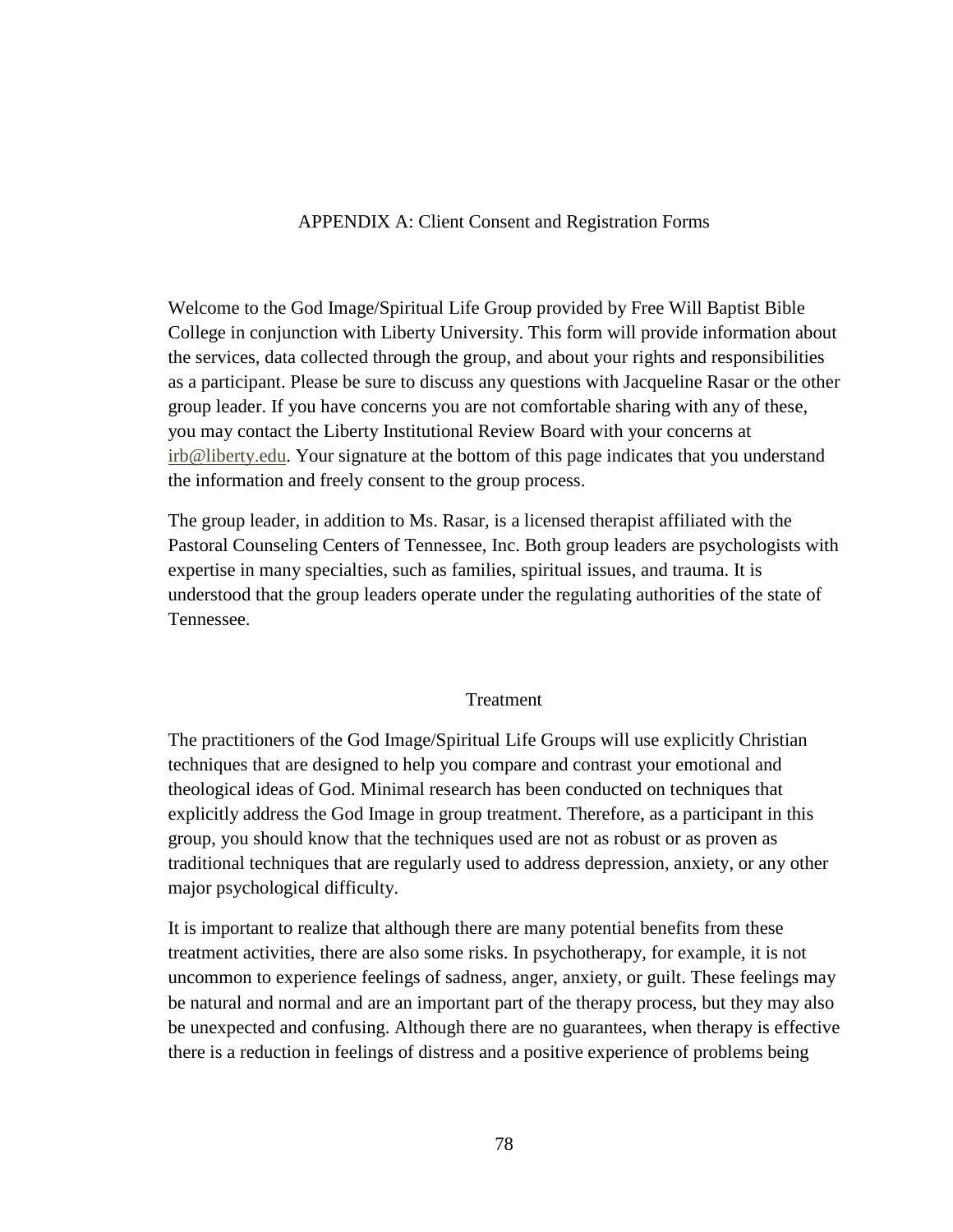## APPENDIX A: Client Consent and Registration Forms

Welcome to the God Image/Spiritual Life Group provided by Free Will Baptist Bible College in conjunction with Liberty University. This form will provide information about the services, data collected through the group, and about your rights and responsibilities as a participant. Please be sure to discuss any questions with Jacqueline Rasar or the other group leader. If you have concerns you are not comfortable sharing with any of these, you may contact the Liberty Institutional Review Board with your concerns at irb@liberty.edu. Your signature at the bottom of this page indicates that you understand the information and freely consent to the group process.

The group leader, in addition to Ms. Rasar, is a licensed therapist affiliated with the Pastoral Counseling Centers of Tennessee, Inc. Both group leaders are psychologists with expertise in many specialties, such as families, spiritual issues, and trauma. It is understood that the group leaders operate under the regulating authorities of the state of Tennessee.

### Treatment

The practitioners of the God Image/Spiritual Life Groups will use explicitly Christian techniques that are designed to help you compare and contrast your emotional and theological ideas of God. Minimal research has been conducted on techniques that explicitly address the God Image in group treatment. Therefore, as a participant in this group, you should know that the techniques used are not as robust or as proven as traditional techniques that are regularly used to address depression, anxiety, or any other major psychological difficulty.

It is important to realize that although there are many potential benefits from these treatment activities, there are also some risks. In psychotherapy, for example, it is not uncommon to experience feelings of sadness, anger, anxiety, or guilt. These feelings may be natural and normal and are an important part of the therapy process, but they may also be unexpected and confusing. Although there are no guarantees, when therapy is effective there is a reduction in feelings of distress and a positive experience of problems being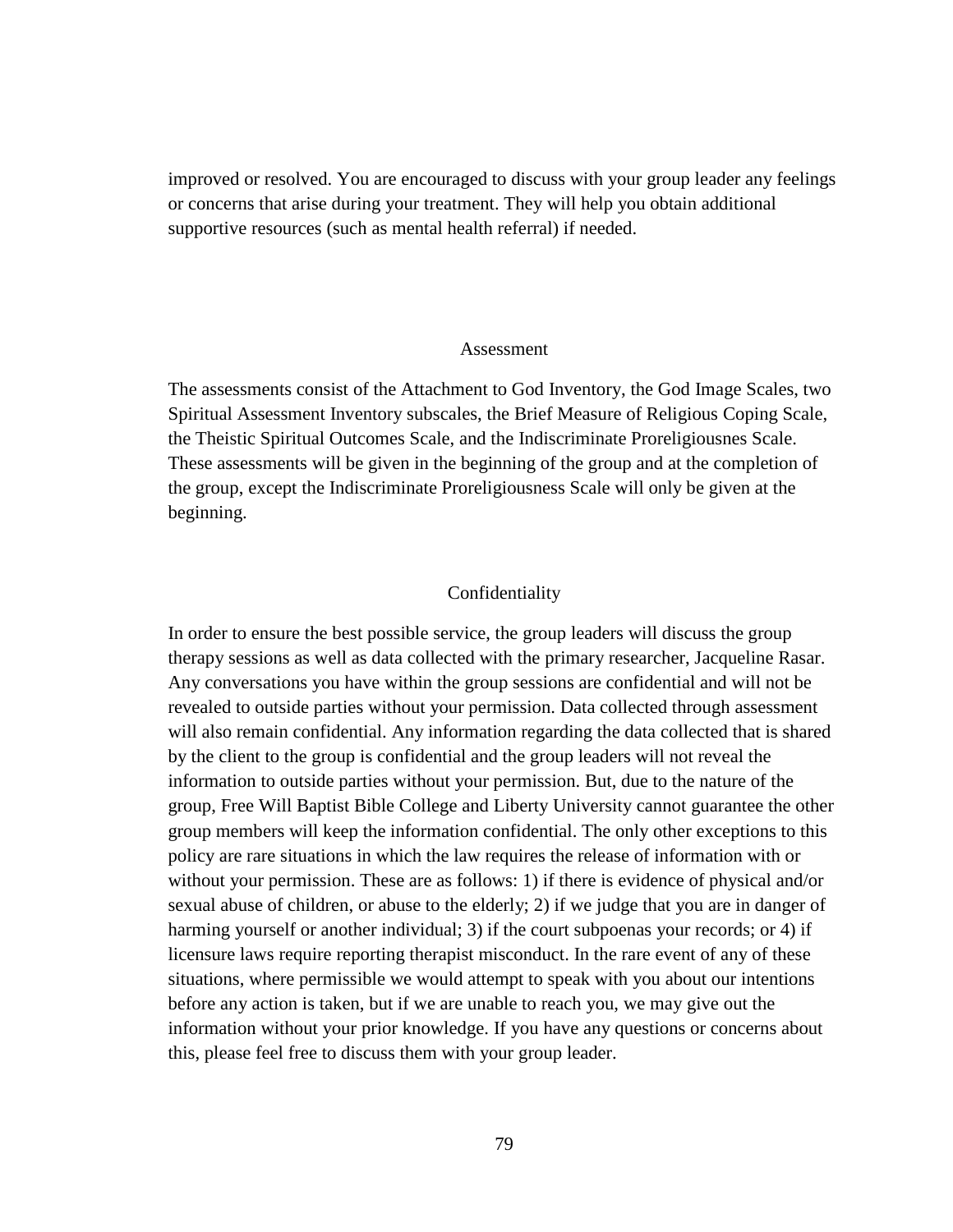improved or resolved. You are encouraged to discuss with your group leader any feelings or concerns that arise during your treatment. They will help you obtain additional supportive resources (such as mental health referral) if needed.

#### Assessment

The assessments consist of the Attachment to God Inventory, the God Image Scales, two Spiritual Assessment Inventory subscales, the Brief Measure of Religious Coping Scale, the Theistic Spiritual Outcomes Scale, and the Indiscriminate Proreligiousnes Scale. These assessments will be given in the beginning of the group and at the completion of the group, except the Indiscriminate Proreligiousness Scale will only be given at the beginning.

#### Confidentiality

In order to ensure the best possible service, the group leaders will discuss the group therapy sessions as well as data collected with the primary researcher, Jacqueline Rasar. Any conversations you have within the group sessions are confidential and will not be revealed to outside parties without your permission. Data collected through assessment will also remain confidential. Any information regarding the data collected that is shared by the client to the group is confidential and the group leaders will not reveal the information to outside parties without your permission. But, due to the nature of the group, Free Will Baptist Bible College and Liberty University cannot guarantee the other group members will keep the information confidential. The only other exceptions to this policy are rare situations in which the law requires the release of information with or without your permission. These are as follows: 1) if there is evidence of physical and/or sexual abuse of children, or abuse to the elderly; 2) if we judge that you are in danger of harming yourself or another individual; 3) if the court subpoenas your records; or 4) if licensure laws require reporting therapist misconduct. In the rare event of any of these situations, where permissible we would attempt to speak with you about our intentions before any action is taken, but if we are unable to reach you, we may give out the information without your prior knowledge. If you have any questions or concerns about this, please feel free to discuss them with your group leader.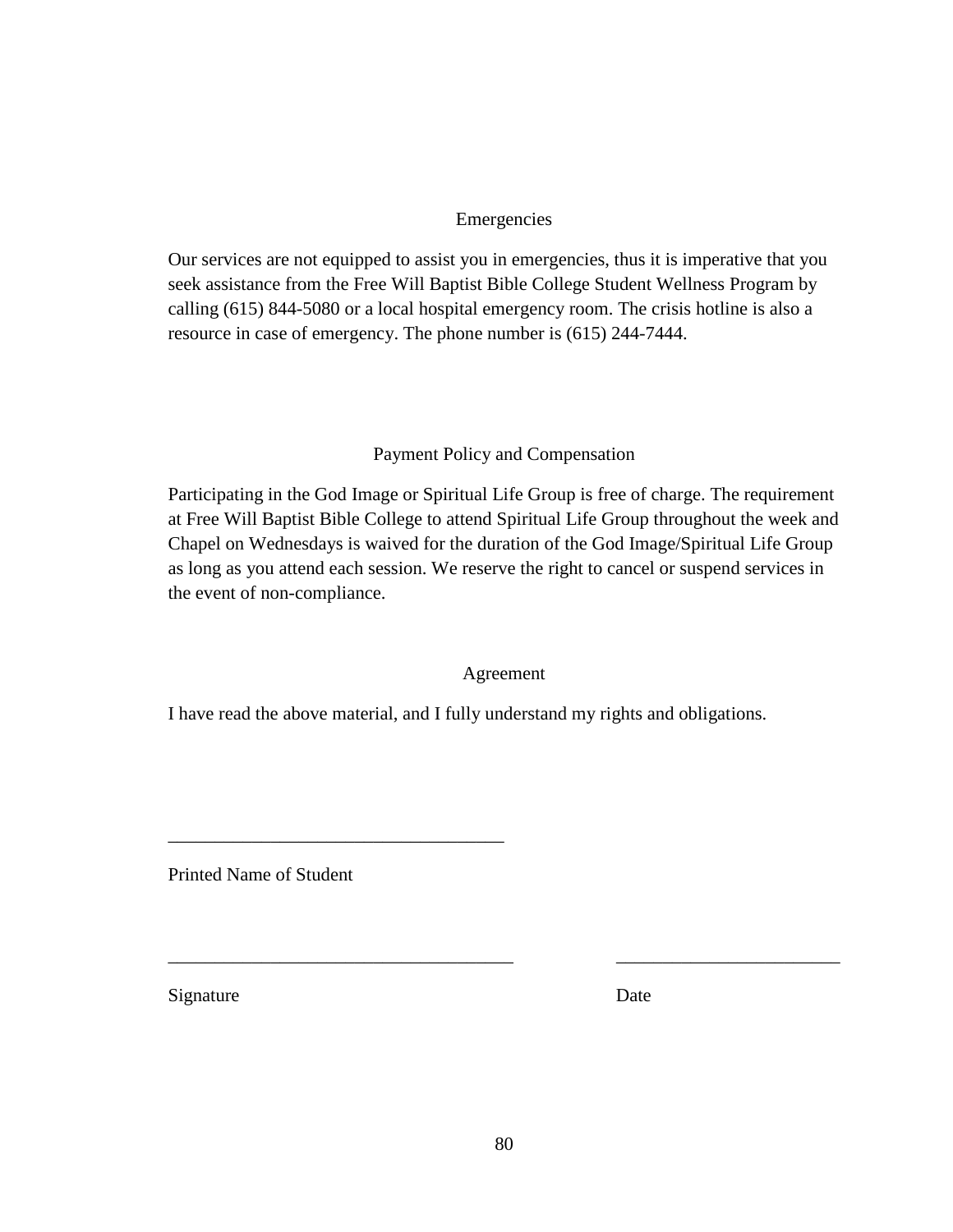# Emergencies

Our services are not equipped to assist you in emergencies, thus it is imperative that you seek assistance from the Free Will Baptist Bible College Student Wellness Program by calling (615) 844-5080 or a local hospital emergency room. The crisis hotline is also a resource in case of emergency. The phone number is (615) 244-7444.

# Payment Policy and Compensation

Participating in the God Image or Spiritual Life Group is free of charge. The requirement at Free Will Baptist Bible College to attend Spiritual Life Group throughout the week and Chapel on Wednesdays is waived for the duration of the God Image/Spiritual Life Group as long as you attend each session. We reserve the right to cancel or suspend services in the event of non-compliance.

## Agreement

I have read the above material, and I fully understand my rights and obligations.

Printed Name of Student

\_\_\_\_\_\_\_\_\_\_\_\_\_\_\_\_\_\_\_\_\_\_\_\_\_\_\_\_\_\_\_\_\_\_\_\_

Signature Date

\_\_\_\_\_\_\_\_\_\_\_\_\_\_\_\_\_\_\_\_\_\_\_\_\_\_\_\_\_\_\_\_\_\_\_\_\_ \_\_\_\_\_\_\_\_\_\_\_\_\_\_\_\_\_\_\_\_\_\_\_\_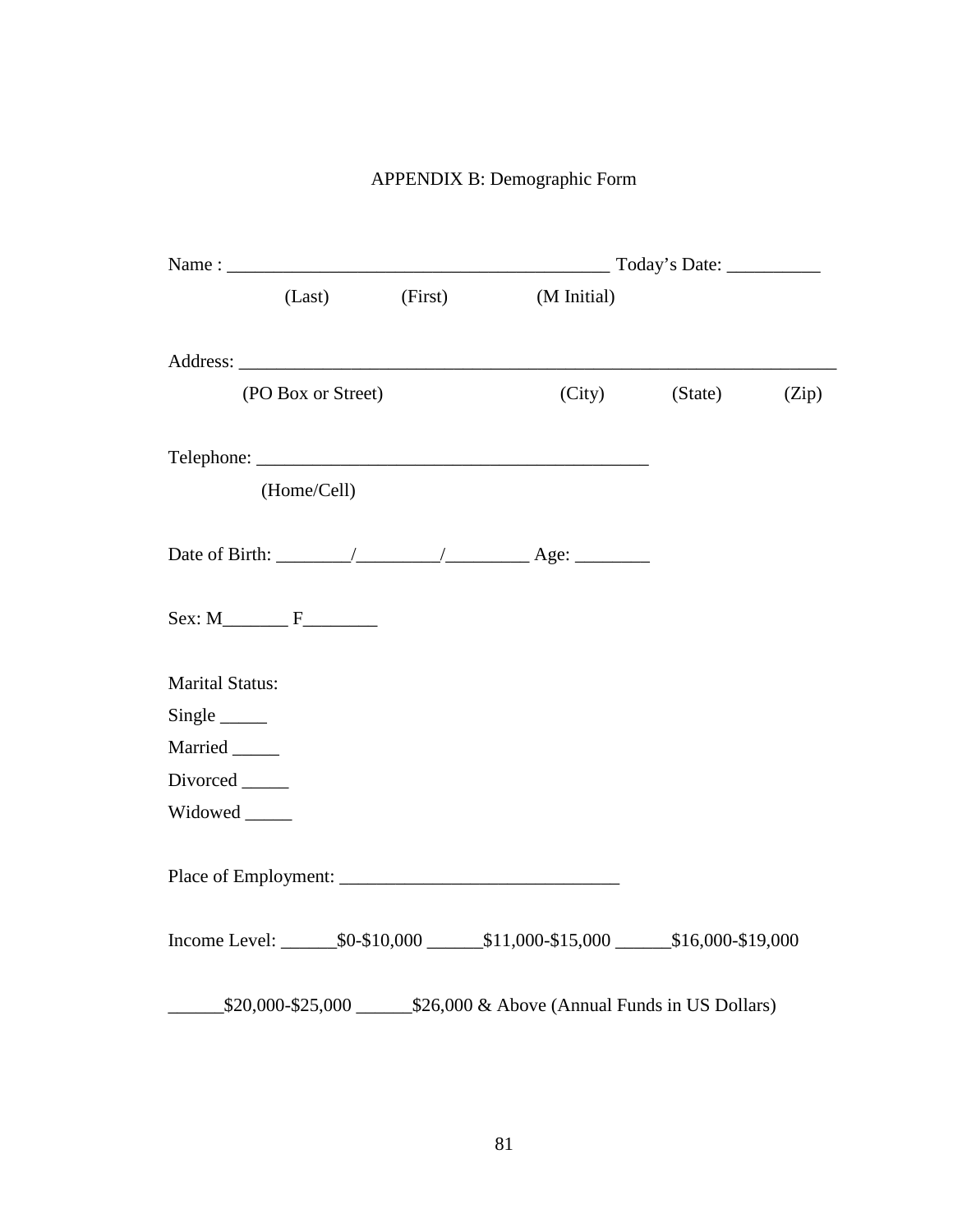# APPENDIX B: Demographic Form

|                        | (Last)             | (First) | (M Initial)                                                              |         |       |  |
|------------------------|--------------------|---------|--------------------------------------------------------------------------|---------|-------|--|
|                        |                    |         |                                                                          |         |       |  |
|                        | (PO Box or Street) |         | (City)                                                                   | (State) | (Zip) |  |
|                        |                    |         |                                                                          |         |       |  |
|                        | (Home/Cell)        |         |                                                                          |         |       |  |
|                        |                    |         |                                                                          |         |       |  |
|                        | $Sex: M$ $F$       |         |                                                                          |         |       |  |
| <b>Marital Status:</b> |                    |         |                                                                          |         |       |  |
|                        |                    |         |                                                                          |         |       |  |
| Married _____          |                    |         |                                                                          |         |       |  |
| Divorced ______        |                    |         |                                                                          |         |       |  |
| Widowed ______         |                    |         |                                                                          |         |       |  |
|                        |                    |         |                                                                          |         |       |  |
|                        |                    |         |                                                                          |         |       |  |
|                        |                    |         | \$20,000-\$25,000 \$25,000 \$26,000 & Above (Annual Funds in US Dollars) |         |       |  |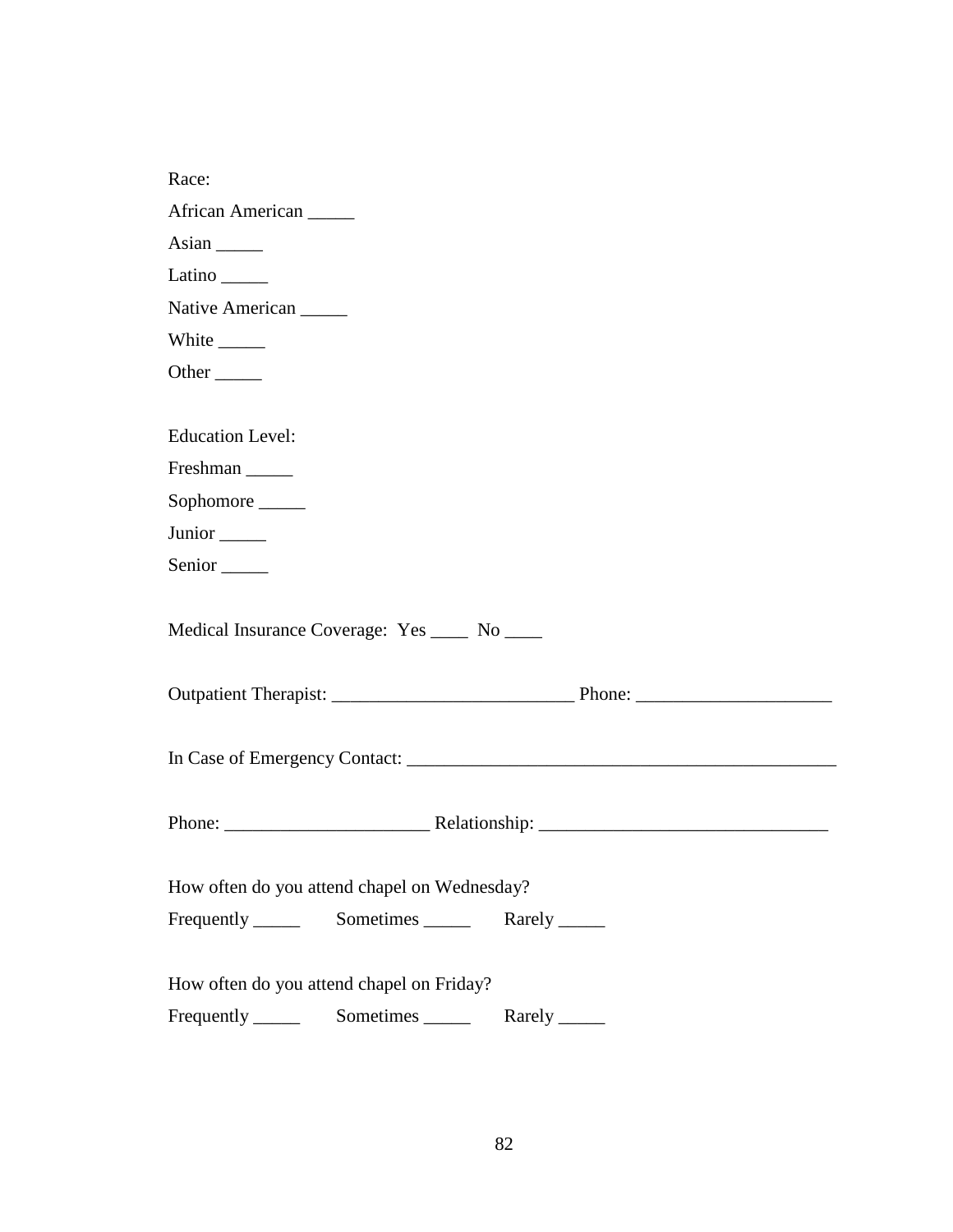| Race:                                                                     |
|---------------------------------------------------------------------------|
| African American                                                          |
| Asian $\frac{1}{\sqrt{1-\frac{1}{2}}\cdot\frac{1}{\sqrt{1-\frac{1}{2}}}}$ |
| Latino $\_\_\_\_\_\_\$                                                    |
| Native American                                                           |
| White $\_\_$                                                              |
| Other $\_\_$                                                              |
|                                                                           |
| <b>Education Level:</b>                                                   |
| Freshman                                                                  |
| Sophomore                                                                 |
| Junior <sub>______</sub>                                                  |
| Senior <sub>_____</sub>                                                   |
| Medical Insurance Coverage: Yes _____ No _____                            |
|                                                                           |
|                                                                           |
|                                                                           |
|                                                                           |
|                                                                           |
|                                                                           |
| How often do you attend chapel on Wednesday?                              |
|                                                                           |
|                                                                           |
| How often do you attend chapel on Friday?                                 |
|                                                                           |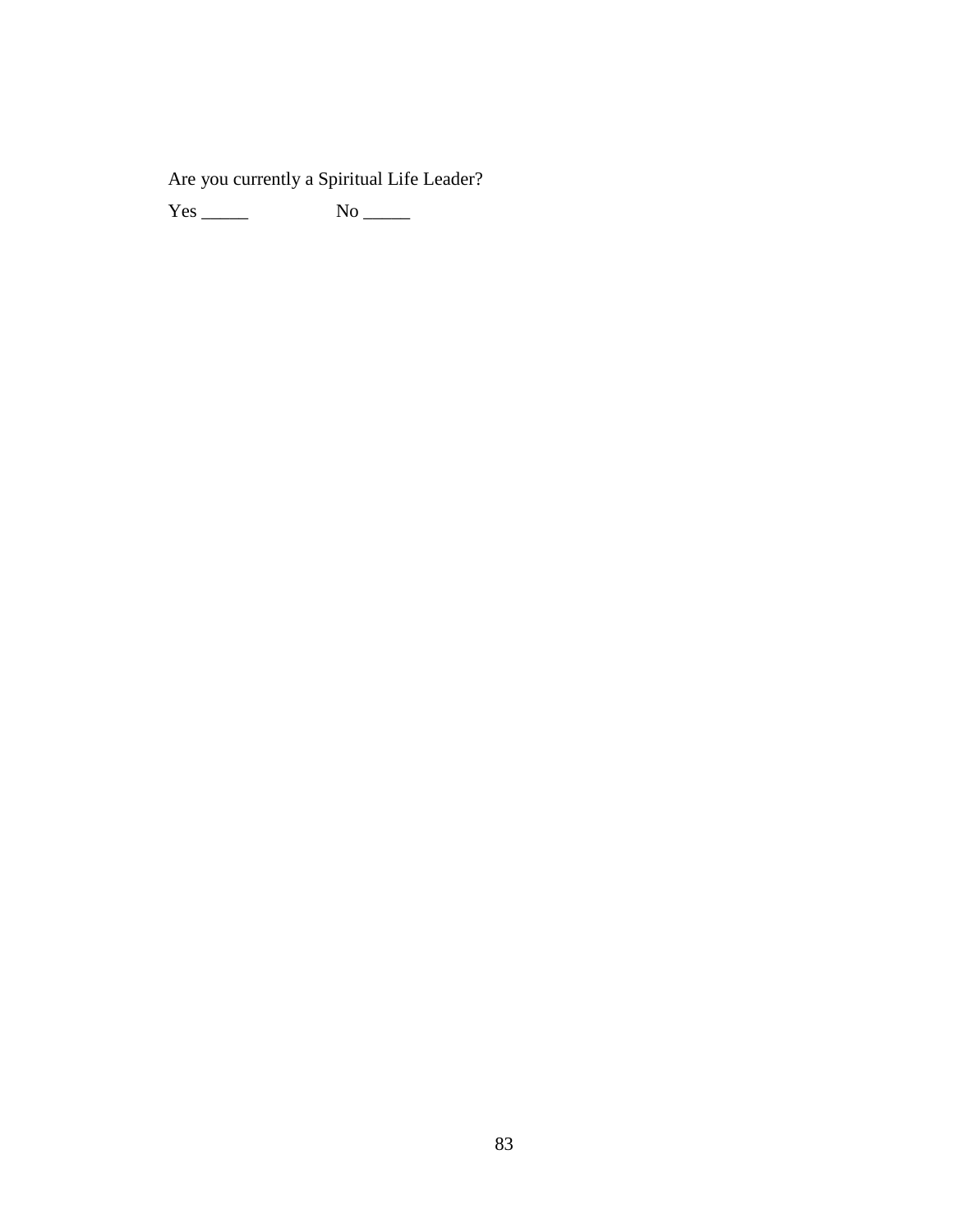Are you currently a Spiritual Life Leader?

Yes \_\_\_\_\_ No \_\_\_\_\_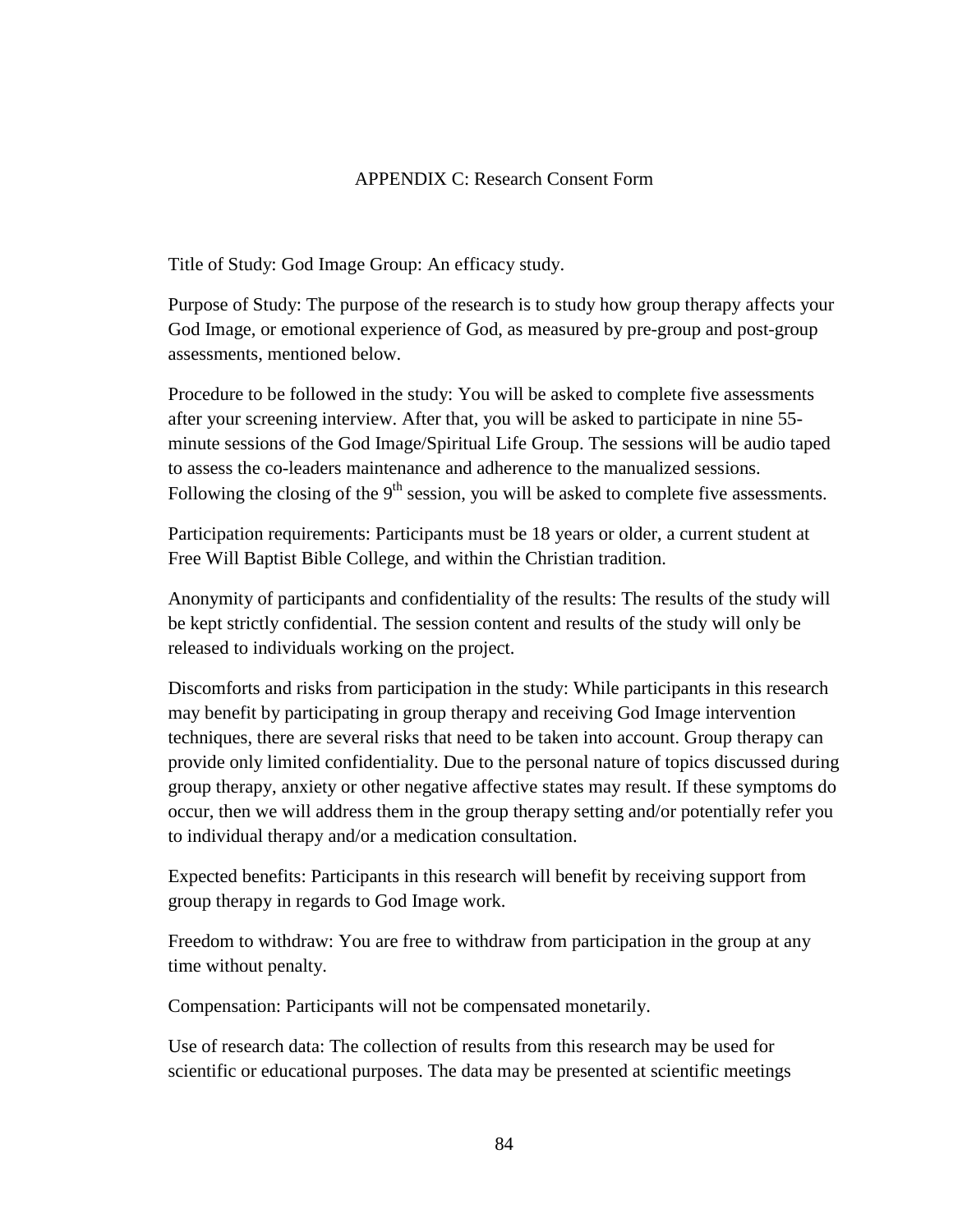# APPENDIX C: Research Consent Form

Title of Study: God Image Group: An efficacy study.

Purpose of Study: The purpose of the research is to study how group therapy affects your God Image, or emotional experience of God, as measured by pre-group and post-group assessments, mentioned below.

Procedure to be followed in the study: You will be asked to complete five assessments after your screening interview. After that, you will be asked to participate in nine 55 minute sessions of the God Image/Spiritual Life Group. The sessions will be audio taped to assess the co-leaders maintenance and adherence to the manualized sessions. Following the closing of the 9<sup>th</sup> session, you will be asked to complete five assessments.

Participation requirements: Participants must be 18 years or older, a current student at Free Will Baptist Bible College, and within the Christian tradition.

Anonymity of participants and confidentiality of the results: The results of the study will be kept strictly confidential. The session content and results of the study will only be released to individuals working on the project.

Discomforts and risks from participation in the study: While participants in this research may benefit by participating in group therapy and receiving God Image intervention techniques, there are several risks that need to be taken into account. Group therapy can provide only limited confidentiality. Due to the personal nature of topics discussed during group therapy, anxiety or other negative affective states may result. If these symptoms do occur, then we will address them in the group therapy setting and/or potentially refer you to individual therapy and/or a medication consultation.

Expected benefits: Participants in this research will benefit by receiving support from group therapy in regards to God Image work.

Freedom to withdraw: You are free to withdraw from participation in the group at any time without penalty.

Compensation: Participants will not be compensated monetarily.

Use of research data: The collection of results from this research may be used for scientific or educational purposes. The data may be presented at scientific meetings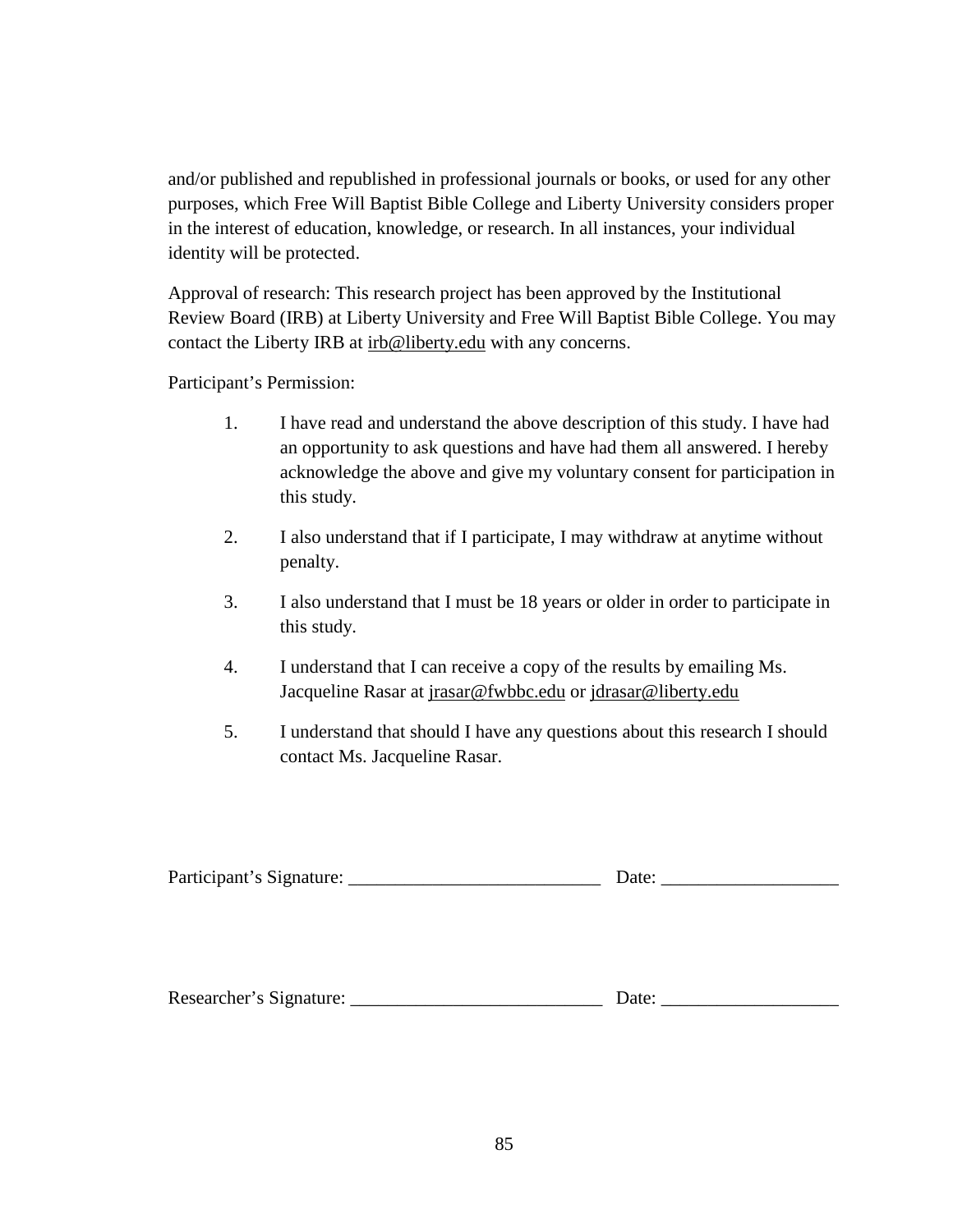and/or published and republished in professional journals or books, or used for any other purposes, which Free Will Baptist Bible College and Liberty University considers proper in the interest of education, knowledge, or research. In all instances, your individual identity will be protected.

Approval of research: This research project has been approved by the Institutional Review Board (IRB) at Liberty University and Free Will Baptist Bible College. You may contact the Liberty IRB at irb@liberty.edu with any concerns.

Participant's Permission:

- 1. I have read and understand the above description of this study. I have had an opportunity to ask questions and have had them all answered. I hereby acknowledge the above and give my voluntary consent for participation in this study.
- 2. I also understand that if I participate, I may withdraw at anytime without penalty.
- 3. I also understand that I must be 18 years or older in order to participate in this study.
- 4. I understand that I can receive a copy of the results by emailing Ms. Jacqueline Rasar at jrasar@fwbbc.edu or jdrasar@liberty.edu
- 5. I understand that should I have any questions about this research I should contact Ms. Jacqueline Rasar.

| Participant's Signature: |  |
|--------------------------|--|
|--------------------------|--|

| Researcher's Signature: |  | Date: |
|-------------------------|--|-------|
|-------------------------|--|-------|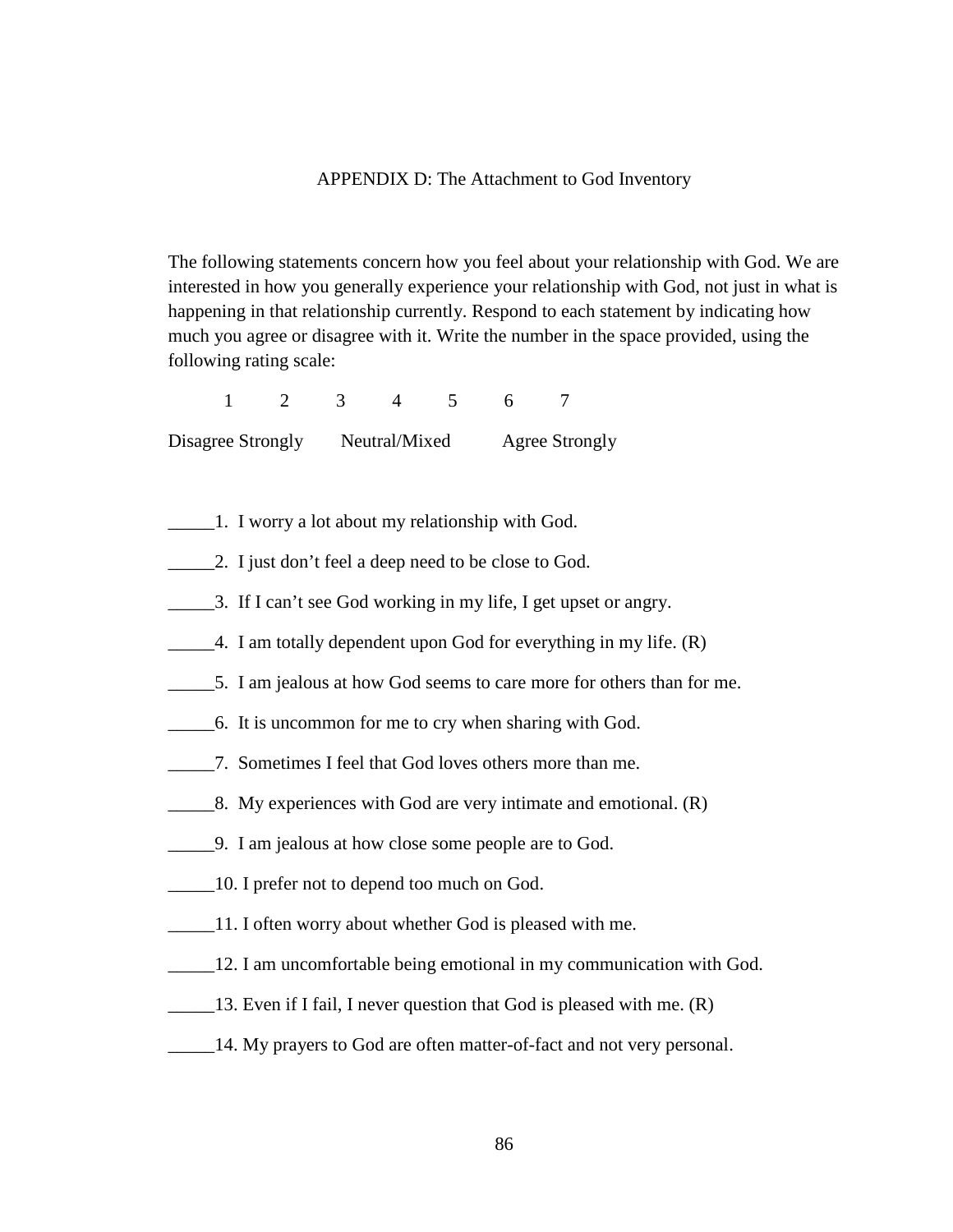#### APPENDIX D: The Attachment to God Inventory

The following statements concern how you feel about your relationship with God. We are interested in how you generally experience your relationship with God, not just in what is happening in that relationship currently. Respond to each statement by indicating how much you agree or disagree with it. Write the number in the space provided, using the following rating scale:

1 2 3 4 5 6 7

Disagree Strongly Neutral/Mixed Agree Strongly

- \_\_\_\_\_1. I worry a lot about my relationship with God.
- \_\_\_\_\_2. I just don't feel a deep need to be close to God.
- \_\_\_\_\_3. If I can't see God working in my life, I get upset or angry.
- \_\_\_\_\_4. I am totally dependent upon God for everything in my life. (R)
- \_\_\_\_\_5. I am jealous at how God seems to care more for others than for me.
- \_\_\_\_\_6. It is uncommon for me to cry when sharing with God.
- \_\_\_\_\_7. Sometimes I feel that God loves others more than me.
- \_\_\_\_\_8. My experiences with God are very intimate and emotional. (R)
- \_\_\_\_\_9. I am jealous at how close some people are to God.
- \_\_\_\_\_10. I prefer not to depend too much on God.
- 11. I often worry about whether God is pleased with me.
- \_\_\_\_\_12. I am uncomfortable being emotional in my communication with God.
- 13. Even if I fail, I never question that God is pleased with me. (R)
- \_\_\_\_\_14. My prayers to God are often matter-of-fact and not very personal.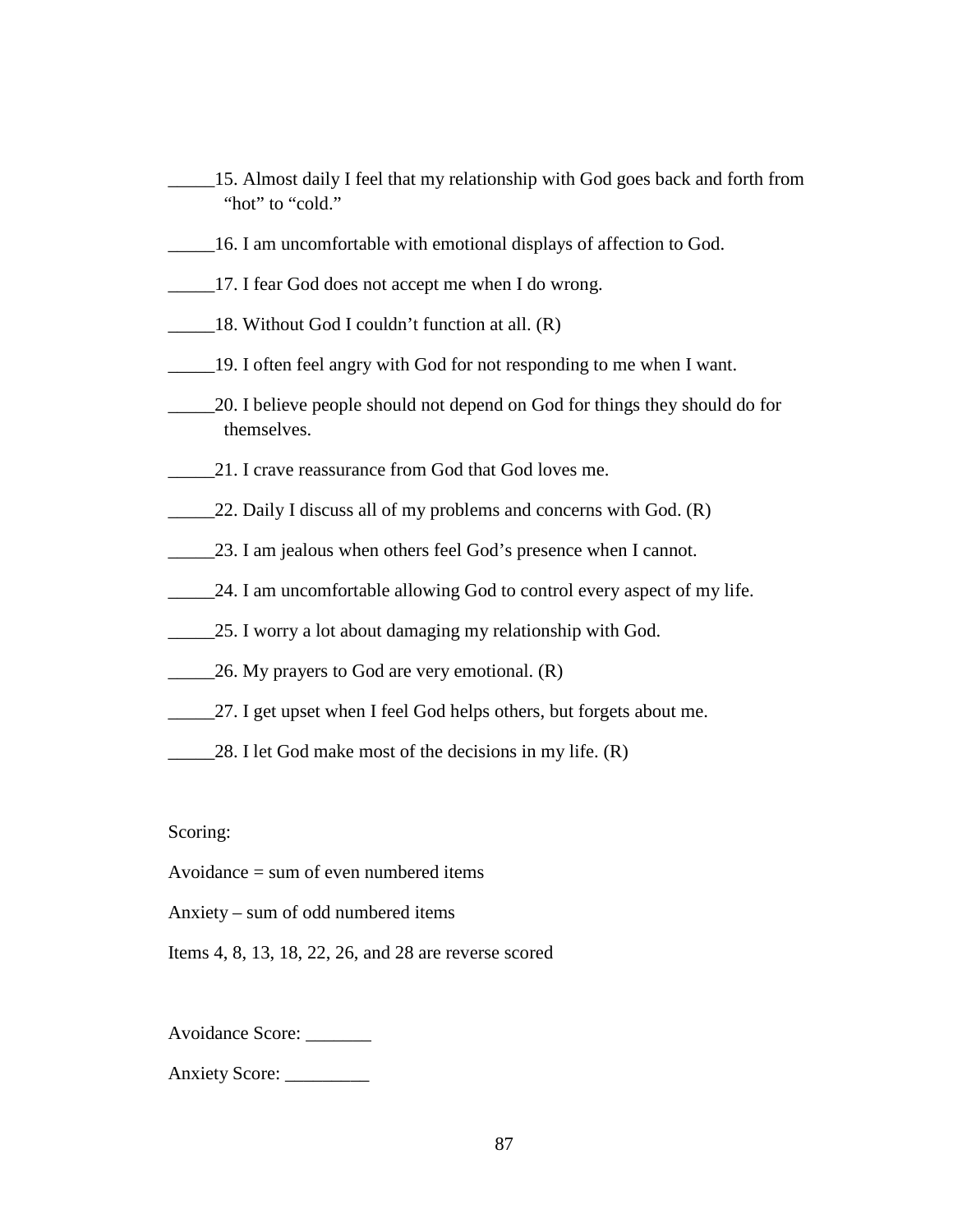- \_\_\_\_\_15. Almost daily I feel that my relationship with God goes back and forth from "hot" to "cold."
- \_\_\_\_\_16. I am uncomfortable with emotional displays of affection to God.
- \_\_\_\_\_17. I fear God does not accept me when I do wrong.
- 18. Without God I couldn't function at all. (R)
- \_\_\_\_\_19. I often feel angry with God for not responding to me when I want.
- \_\_\_\_\_20. I believe people should not depend on God for things they should do for themselves.
- 21. I crave reassurance from God that God loves me.
- 22. Daily I discuss all of my problems and concerns with God. (R)
- 23. I am jealous when others feel God's presence when I cannot.
- 24. I am uncomfortable allowing God to control every aspect of my life.
- \_\_\_\_\_25. I worry a lot about damaging my relationship with God.
- 26. My prayers to God are very emotional. (R)
- 27. I get upset when I feel God helps others, but forgets about me.
- 28. I let God make most of the decisions in my life. (R)

Scoring:

Avoidance = sum of even numbered items

Anxiety – sum of odd numbered items

Items 4, 8, 13, 18, 22, 26, and 28 are reverse scored

Avoidance Score: \_\_\_\_\_\_\_

Anxiety Score: \_\_\_\_\_\_\_\_\_\_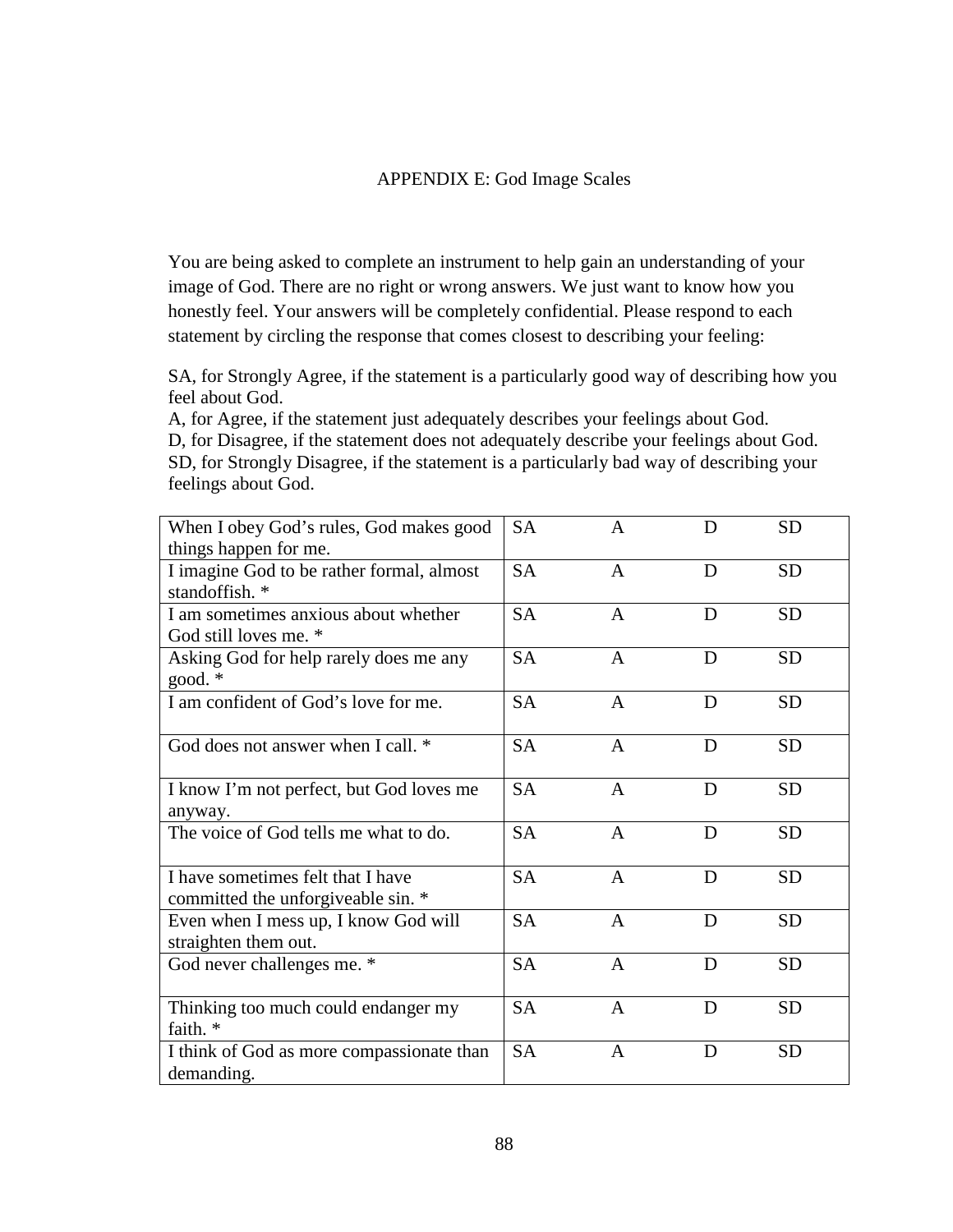## APPENDIX E: God Image Scales

You are being asked to complete an instrument to help gain an understanding of your image of God. There are no right or wrong answers. We just want to know how you honestly feel. Your answers will be completely confidential. Please respond to each statement by circling the response that comes closest to describing your feeling:

SA, for Strongly Agree, if the statement is a particularly good way of describing how you feel about God.

A, for Agree, if the statement just adequately describes your feelings about God. D, for Disagree, if the statement does not adequately describe your feelings about God. SD, for Strongly Disagree, if the statement is a particularly bad way of describing your feelings about God.

| When I obey God's rules, God makes good             | <b>SA</b> | A            | D | <b>SD</b> |
|-----------------------------------------------------|-----------|--------------|---|-----------|
| things happen for me.                               |           |              |   |           |
| I imagine God to be rather formal, almost           | <b>SA</b> | $\mathsf{A}$ | D | <b>SD</b> |
| standoffish. *                                      |           |              |   |           |
| I am sometimes anxious about whether                | <b>SA</b> | $\mathsf{A}$ | D | <b>SD</b> |
| God still loves me. *                               |           |              |   |           |
| Asking God for help rarely does me any<br>good. $*$ | <b>SA</b> | A            | D | <b>SD</b> |
| I am confident of God's love for me.                | <b>SA</b> | $\mathbf{A}$ | D | <b>SD</b> |
|                                                     |           |              |   |           |
| God does not answer when I call. *                  | <b>SA</b> | $\mathbf{A}$ | D | <b>SD</b> |
|                                                     |           |              |   |           |
| I know I'm not perfect, but God loves me            | <b>SA</b> | $\mathsf{A}$ | D | <b>SD</b> |
| anyway.                                             |           |              |   |           |
| The voice of God tells me what to do.               | <b>SA</b> | A            | D | <b>SD</b> |
|                                                     |           |              |   |           |
| I have sometimes felt that I have                   | <b>SA</b> | $\mathbf{A}$ | D | <b>SD</b> |
| committed the unforgiveable sin. *                  |           |              |   |           |
| Even when I mess up, I know God will                | <b>SA</b> | A            | D | <b>SD</b> |
| straighten them out.                                |           |              |   |           |
| God never challenges me. *                          | <b>SA</b> | A            | D | <b>SD</b> |
|                                                     |           |              |   |           |
| Thinking too much could endanger my                 | <b>SA</b> | $\mathbf{A}$ | D | <b>SD</b> |
| faith. *                                            |           |              |   |           |
| I think of God as more compassionate than           | <b>SA</b> | A            | D | <b>SD</b> |
| demanding.                                          |           |              |   |           |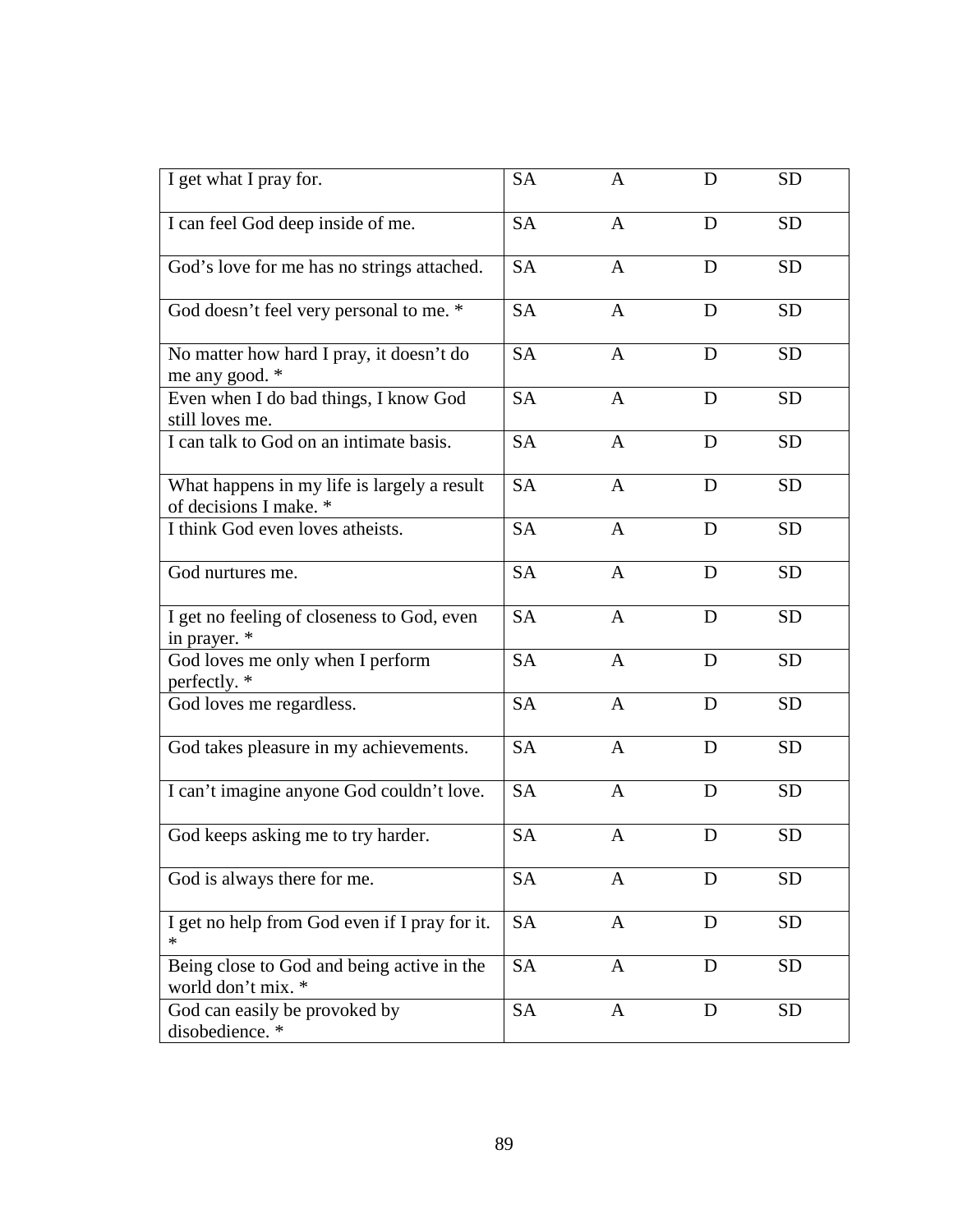| I get what I pray for.                                                | <b>SA</b> | A              | D | <b>SD</b> |
|-----------------------------------------------------------------------|-----------|----------------|---|-----------|
| I can feel God deep inside of me.                                     | <b>SA</b> | $\overline{A}$ | D | <b>SD</b> |
| God's love for me has no strings attached.                            | <b>SA</b> | $\mathbf{A}$   | D | <b>SD</b> |
| God doesn't feel very personal to me. *                               | <b>SA</b> | A              | D | <b>SD</b> |
| No matter how hard I pray, it doesn't do<br>me any good. *            | <b>SA</b> | $\mathbf{A}$   | D | <b>SD</b> |
| Even when I do bad things, I know God<br>still loves me.              | <b>SA</b> | $\mathbf{A}$   | D | <b>SD</b> |
| I can talk to God on an intimate basis.                               | <b>SA</b> | $\overline{A}$ | D | <b>SD</b> |
| What happens in my life is largely a result<br>of decisions I make. * | <b>SA</b> | A              | D | <b>SD</b> |
| I think God even loves atheists.                                      | <b>SA</b> | $\mathbf{A}$   | D | <b>SD</b> |
| God nurtures me.                                                      | <b>SA</b> | $\overline{A}$ | D | <b>SD</b> |
| I get no feeling of closeness to God, even<br>in prayer. *            | <b>SA</b> | $\mathbf{A}$   | D | <b>SD</b> |
| God loves me only when I perform<br>perfectly. *                      | <b>SA</b> | $\overline{A}$ | D | <b>SD</b> |
| God loves me regardless.                                              | <b>SA</b> | $\mathbf{A}$   | D | <b>SD</b> |
| God takes pleasure in my achievements.                                | <b>SA</b> | $\mathbf{A}$   | D | <b>SD</b> |
| I can't imagine anyone God couldn't love.                             | <b>SA</b> | $\overline{A}$ | D | <b>SD</b> |
| God keeps asking me to try harder.                                    | <b>SA</b> | $\mathbf{A}$   | D | <b>SD</b> |
| God is always there for me.                                           | <b>SA</b> | $\mathbf{A}$   | D | <b>SD</b> |
| I get no help from God even if I pray for it.                         | <b>SA</b> | A              | D | <b>SD</b> |
| Being close to God and being active in the<br>world don't mix. *      | <b>SA</b> | $\mathbf{A}$   | D | <b>SD</b> |
| God can easily be provoked by<br>disobedience.*                       | <b>SA</b> | $\mathbf{A}$   | D | <b>SD</b> |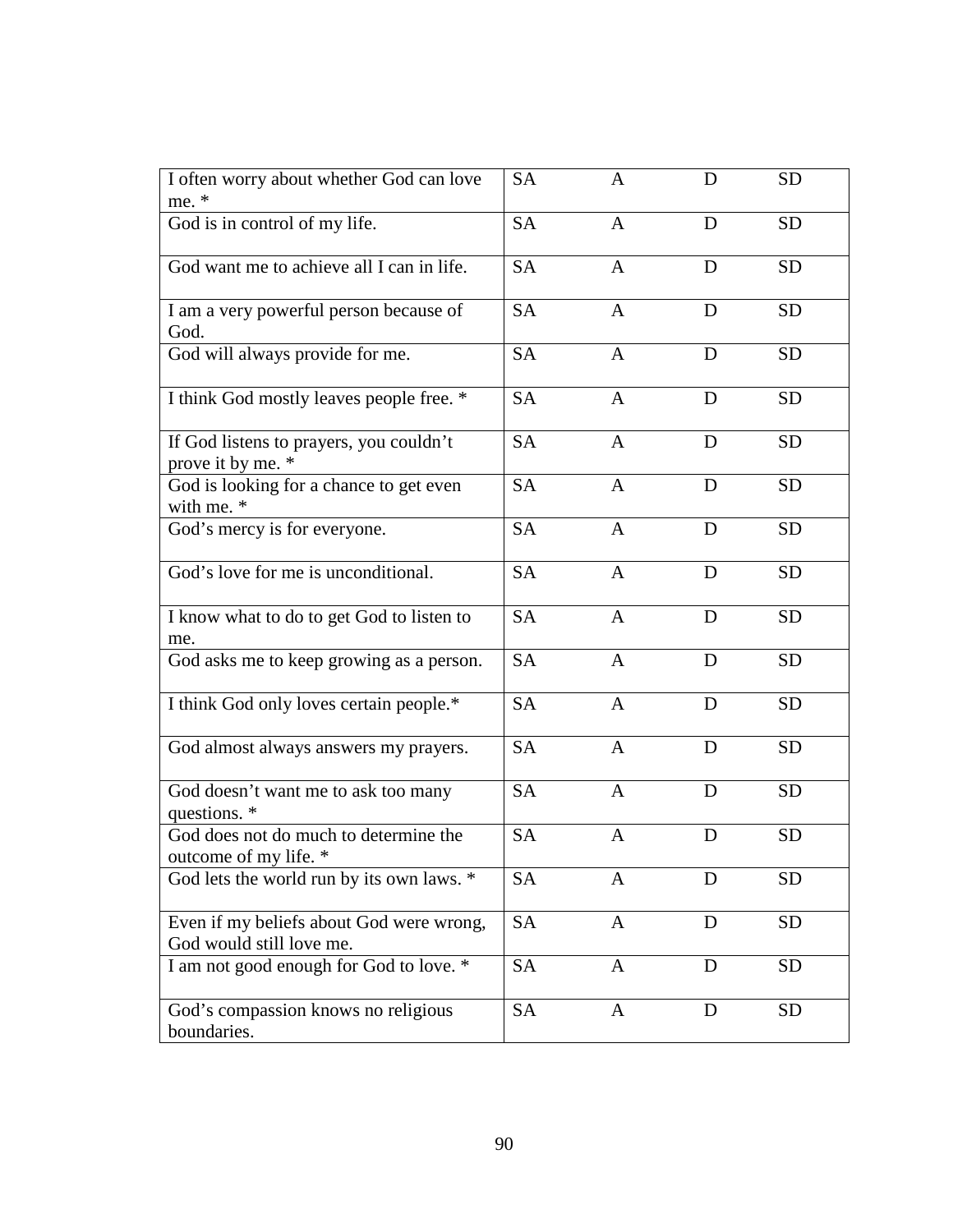| I often worry about whether God can love                             | <b>SA</b> | A            | D | <b>SD</b> |
|----------------------------------------------------------------------|-----------|--------------|---|-----------|
| me. *                                                                |           |              |   |           |
| God is in control of my life.                                        | <b>SA</b> | $\mathbf{A}$ | D | <b>SD</b> |
| God want me to achieve all I can in life.                            | <b>SA</b> | A            | D | <b>SD</b> |
| I am a very powerful person because of<br>God.                       | <b>SA</b> | $\mathbf{A}$ | D | <b>SD</b> |
| God will always provide for me.                                      | <b>SA</b> | $\mathbf{A}$ | D | <b>SD</b> |
| I think God mostly leaves people free. *                             | <b>SA</b> | $\mathbf{A}$ | D | <b>SD</b> |
| If God listens to prayers, you couldn't<br>prove it by me. *         | <b>SA</b> | $\mathbf{A}$ | D | <b>SD</b> |
| God is looking for a chance to get even<br>with me. *                | <b>SA</b> | $\mathbf{A}$ | D | <b>SD</b> |
| God's mercy is for everyone.                                         | <b>SA</b> | $\mathbf{A}$ | D | <b>SD</b> |
| God's love for me is unconditional.                                  | <b>SA</b> | $\mathbf{A}$ | D | <b>SD</b> |
| I know what to do to get God to listen to<br>me.                     | <b>SA</b> | A            | D | <b>SD</b> |
| God asks me to keep growing as a person.                             | <b>SA</b> | $\mathbf{A}$ | D | <b>SD</b> |
| I think God only loves certain people.*                              | <b>SA</b> | $\mathbf{A}$ | D | <b>SD</b> |
| God almost always answers my prayers.                                | <b>SA</b> | $\mathbf{A}$ | D | <b>SD</b> |
| God doesn't want me to ask too many<br>questions. *                  | <b>SA</b> | $\mathbf{A}$ | D | <b>SD</b> |
| God does not do much to determine the<br>outcome of my life. *       | <b>SA</b> | A            | D | <b>SD</b> |
| God lets the world run by its own laws. *                            | <b>SA</b> | A            | D | <b>SD</b> |
| Even if my beliefs about God were wrong,<br>God would still love me. | <b>SA</b> | $\mathbf{A}$ | D | <b>SD</b> |
| I am not good enough for God to love. *                              | <b>SA</b> | $\mathbf{A}$ | D | <b>SD</b> |
| God's compassion knows no religious<br>boundaries.                   | <b>SA</b> | $\mathbf{A}$ | D | <b>SD</b> |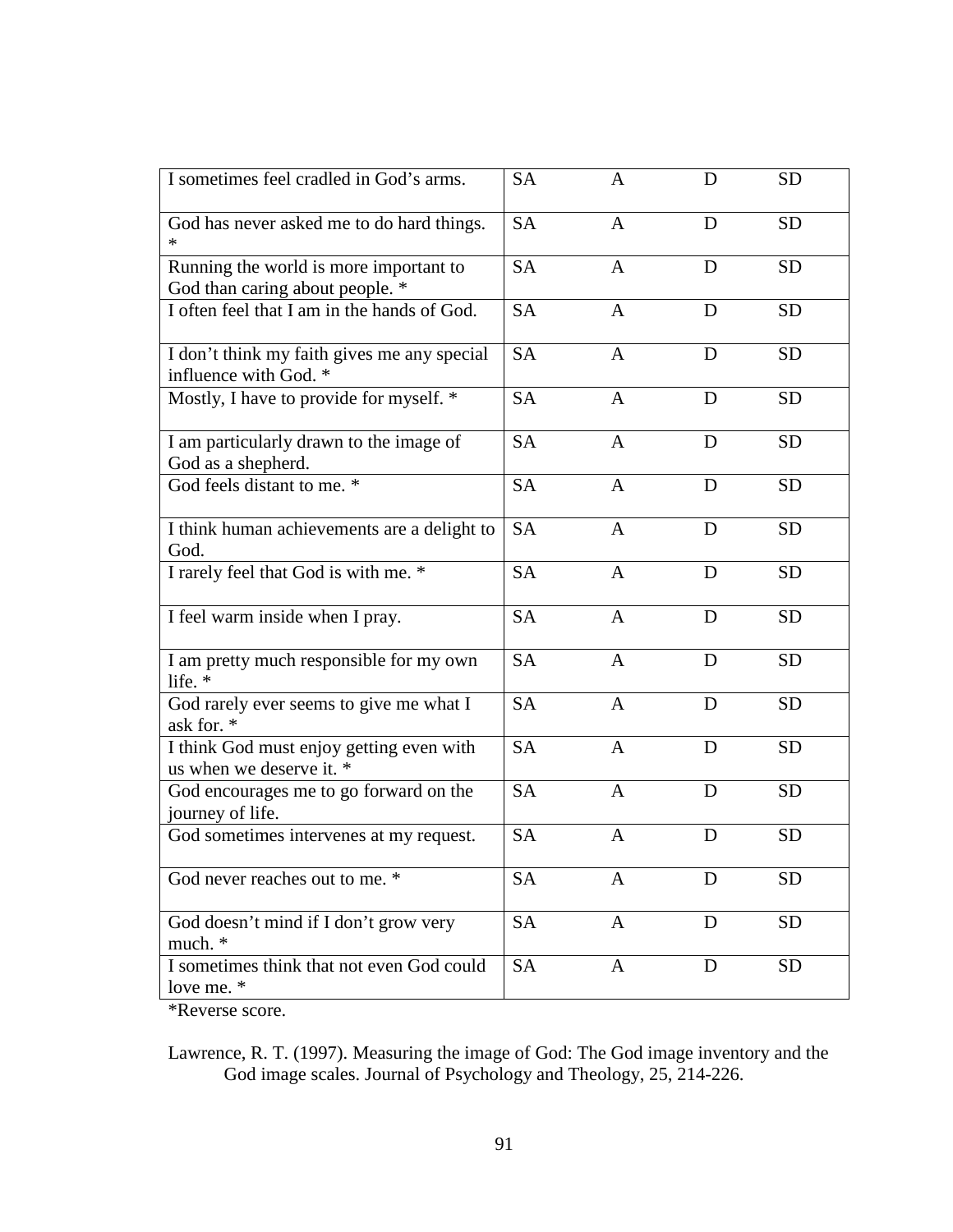| I sometimes feel cradled in God's arms.                                   | <b>SA</b> | $\mathbf{A}$   | D | <b>SD</b> |
|---------------------------------------------------------------------------|-----------|----------------|---|-----------|
| God has never asked me to do hard things.                                 | <b>SA</b> | $\mathbf{A}$   | D | <b>SD</b> |
| Running the world is more important to<br>God than caring about people. * | <b>SA</b> | A              | D | <b>SD</b> |
| I often feel that I am in the hands of God.                               | <b>SA</b> | $\mathbf{A}$   | D | <b>SD</b> |
| I don't think my faith gives me any special<br>influence with God. *      | <b>SA</b> | $\mathbf{A}$   | D | <b>SD</b> |
| Mostly, I have to provide for myself. *                                   | <b>SA</b> | $\mathbf{A}$   | D | <b>SD</b> |
| I am particularly drawn to the image of<br>God as a shepherd.             | <b>SA</b> | $\mathbf{A}$   | D | <b>SD</b> |
| God feels distant to me. *                                                | <b>SA</b> | $\mathbf{A}$   | D | <b>SD</b> |
| I think human achievements are a delight to<br>God.                       | <b>SA</b> | $\mathbf{A}$   | D | <b>SD</b> |
| I rarely feel that God is with me. *                                      | <b>SA</b> | $\overline{A}$ | D | <b>SD</b> |
| I feel warm inside when I pray.                                           | <b>SA</b> | $\mathbf{A}$   | D | <b>SD</b> |
| I am pretty much responsible for my own<br>life. *                        | <b>SA</b> | $\mathbf{A}$   | D | <b>SD</b> |
| God rarely ever seems to give me what I<br>ask for. *                     | <b>SA</b> | $\mathbf{A}$   | D | <b>SD</b> |
| I think God must enjoy getting even with<br>us when we deserve it. *      | <b>SA</b> | $\mathbf{A}$   | D | <b>SD</b> |
| God encourages me to go forward on the<br>journey of life.                | <b>SA</b> | $\mathbf{A}$   | D | <b>SD</b> |
| God sometimes intervenes at my request.                                   | <b>SA</b> | A              | D | <b>SD</b> |
| God never reaches out to me. *                                            | <b>SA</b> | A              | D | <b>SD</b> |
| God doesn't mind if I don't grow very<br>much. *                          | <b>SA</b> | $\mathbf{A}$   | D | <b>SD</b> |
| I sometimes think that not even God could<br>love me. *                   | <b>SA</b> | $\mathbf{A}$   | D | <b>SD</b> |

\*Reverse score.

Lawrence, R. T. (1997). Measuring the image of God: The God image inventory and the God image scales. Journal of Psychology and Theology, 25, 214-226.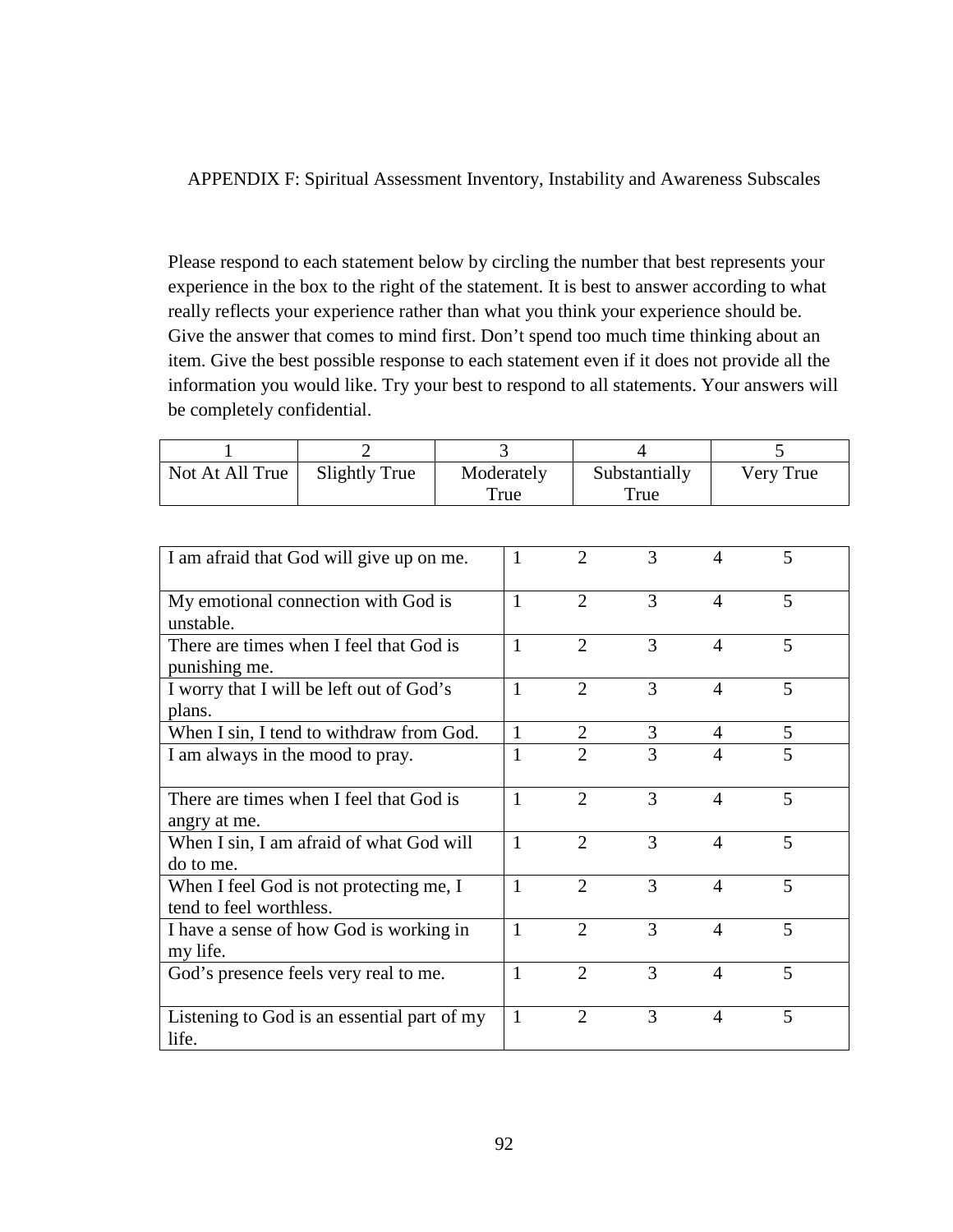APPENDIX F: Spiritual Assessment Inventory, Instability and Awareness Subscales

Please respond to each statement below by circling the number that best represents your experience in the box to the right of the statement. It is best to answer according to what really reflects your experience rather than what you think your experience should be. Give the answer that comes to mind first. Don't spend too much time thinking about an item. Give the best possible response to each statement even if it does not provide all the information you would like. Try your best to respond to all statements. Your answers will be completely confidential.

| Not At All True | Slightly True | Moderately<br>True | Substantially<br>True | Very True |
|-----------------|---------------|--------------------|-----------------------|-----------|

| I am afraid that God will give up on me.    | 1            | $\mathfrak{D}$ | 3 | 4                           | 5 |
|---------------------------------------------|--------------|----------------|---|-----------------------------|---|
| My emotional connection with God is         | $\mathbf{1}$ | $\overline{2}$ | 3 | $\overline{4}$              | 5 |
| unstable.                                   |              |                |   |                             |   |
| There are times when I feel that God is     | 1            | 2              | 3 | $\overline{A}$              | 5 |
| punishing me.                               |              |                |   |                             |   |
| I worry that I will be left out of God's    | $\mathbf{1}$ | 2              | 3 | $\overline{A}$              | 5 |
| plans.                                      |              |                |   |                             |   |
| When I sin, I tend to withdraw from God.    | 1            | 2              | 3 | 4                           | 5 |
| I am always in the mood to pray.            | 1            | $\overline{2}$ | 3 | $\overline{4}$              | 5 |
|                                             |              |                |   |                             |   |
| There are times when I feel that God is     | $\mathbf{1}$ | $\overline{2}$ | 3 | $\boldsymbol{\Delta}$       | 5 |
| angry at me.                                |              |                |   |                             |   |
| When I sin, I am afraid of what God will    | $\mathbf{1}$ | $\overline{2}$ | 3 | $\overline{4}$              | 5 |
| do to me.                                   |              |                |   |                             |   |
| When I feel God is not protecting me, I     | $\mathbf{1}$ | $\overline{2}$ | 3 | 4                           | 5 |
| tend to feel worthless.                     |              |                |   |                             |   |
| I have a sense of how God is working in     | 1            | 2              | 3 | $\overline{A}$              | 5 |
| my life.                                    |              |                |   |                             |   |
| God's presence feels very real to me.       | 1            | $\mathfrak{2}$ | 3 | $\boldsymbol{\vartriangle}$ | 5 |
|                                             |              |                |   |                             |   |
| Listening to God is an essential part of my | 1            | $\overline{2}$ | 3 | 4                           | 5 |
| life.                                       |              |                |   |                             |   |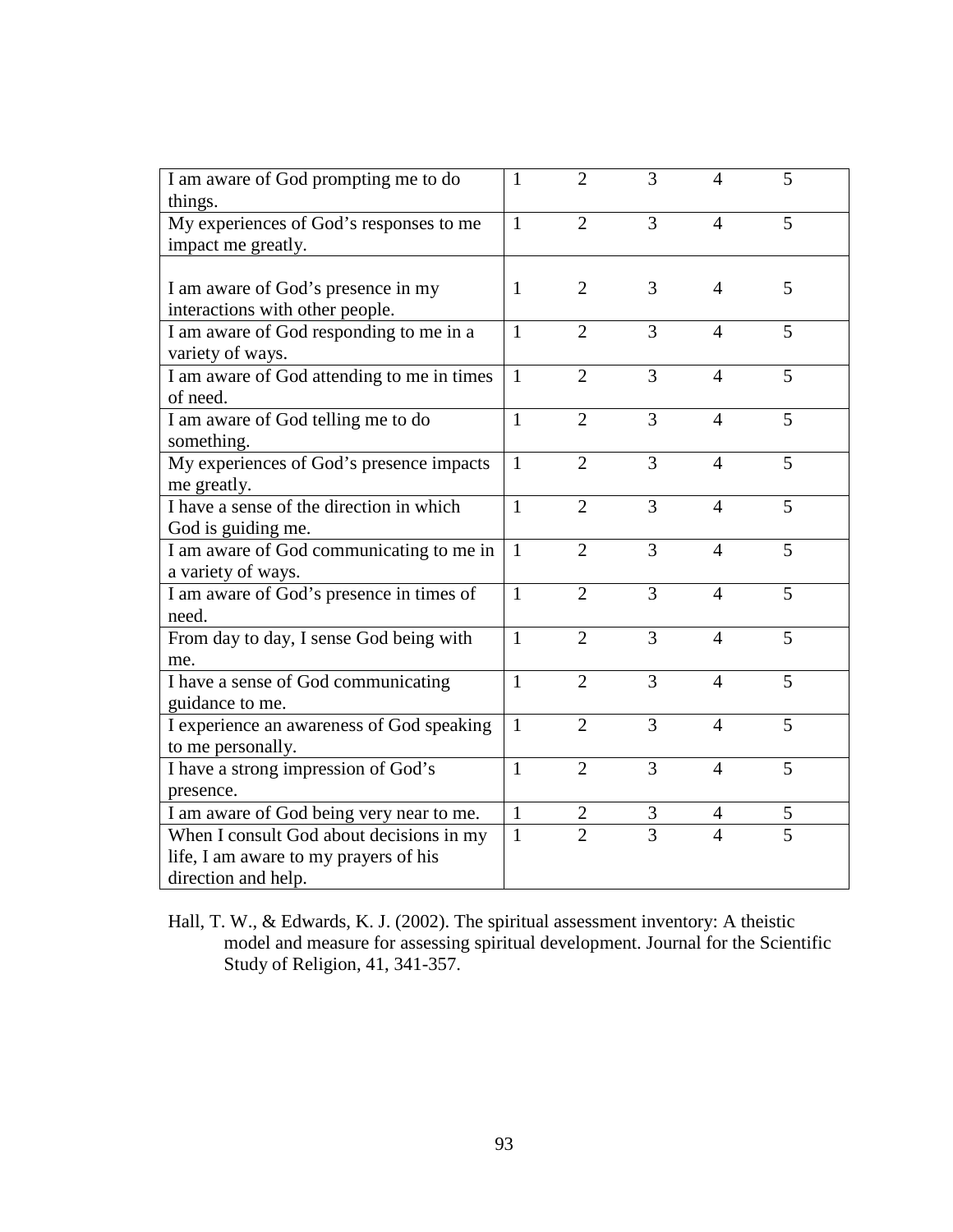| I am aware of God prompting me to do       | 1            | $\overline{2}$ | $\overline{3}$ | 4              | 5              |
|--------------------------------------------|--------------|----------------|----------------|----------------|----------------|
| things.                                    |              |                |                |                |                |
| My experiences of God's responses to me    | $\mathbf{1}$ | $\overline{2}$ | 3              | $\overline{4}$ | 5              |
| impact me greatly.                         |              |                |                |                |                |
|                                            |              |                |                |                |                |
| I am aware of God's presence in my         | $\mathbf{1}$ | $\overline{2}$ | 3              | $\overline{4}$ | 5              |
| interactions with other people.            |              |                |                |                |                |
| I am aware of God responding to me in a    | $\mathbf{1}$ | $\overline{2}$ | $\overline{3}$ | $\overline{4}$ | 5              |
| variety of ways.                           |              |                |                |                |                |
| I am aware of God attending to me in times | $\mathbf{1}$ | $\overline{2}$ | 3              | $\overline{4}$ | 5              |
| of need.                                   |              |                |                |                |                |
| I am aware of God telling me to do         | $\mathbf{1}$ | $\overline{2}$ | $\overline{3}$ | $\overline{4}$ | 5              |
| something.                                 |              |                |                |                |                |
| My experiences of God's presence impacts   | $\mathbf{1}$ | $\overline{2}$ | 3              | $\overline{4}$ | 5              |
| me greatly.                                |              |                |                |                |                |
| I have a sense of the direction in which   | $\mathbf{1}$ | $\overline{2}$ | 3              | $\overline{4}$ | 5              |
| God is guiding me.                         |              |                |                |                |                |
| I am aware of God communicating to me in   | $\mathbf{1}$ | $\overline{2}$ | 3              | $\overline{4}$ | 5              |
| a variety of ways.                         |              |                |                |                |                |
| I am aware of God's presence in times of   | $\mathbf{1}$ | $\overline{2}$ | 3              | $\overline{4}$ | 5              |
| need.                                      |              |                |                |                |                |
| From day to day, I sense God being with    | $\mathbf{1}$ | $\overline{2}$ | 3              | $\overline{4}$ | 5              |
| me.                                        |              |                |                |                |                |
| I have a sense of God communicating        | $\mathbf{1}$ | $\overline{2}$ | 3              | 4              | 5              |
| guidance to me.                            |              |                |                |                |                |
| I experience an awareness of God speaking  | $\mathbf{1}$ | $\overline{2}$ | 3              | $\overline{4}$ | 5              |
| to me personally.                          |              |                |                |                |                |
| I have a strong impression of God's        | $\mathbf{1}$ | $\overline{2}$ | 3              | $\overline{4}$ | 5              |
| presence.                                  |              |                |                |                |                |
| I am aware of God being very near to me.   | $\mathbf{1}$ | $\mathbf{2}$   | $\mathfrak{Z}$ | $\overline{4}$ | 5              |
| When I consult God about decisions in my   | $\mathbf{1}$ | $\overline{2}$ | $\overline{3}$ | 4              | $\overline{5}$ |
| life, I am aware to my prayers of his      |              |                |                |                |                |
| direction and help.                        |              |                |                |                |                |

Hall, T. W., & Edwards, K. J. (2002). The spiritual assessment inventory: A theistic model and measure for assessing spiritual development. Journal for the Scientific Study of Religion, 41, 341-357.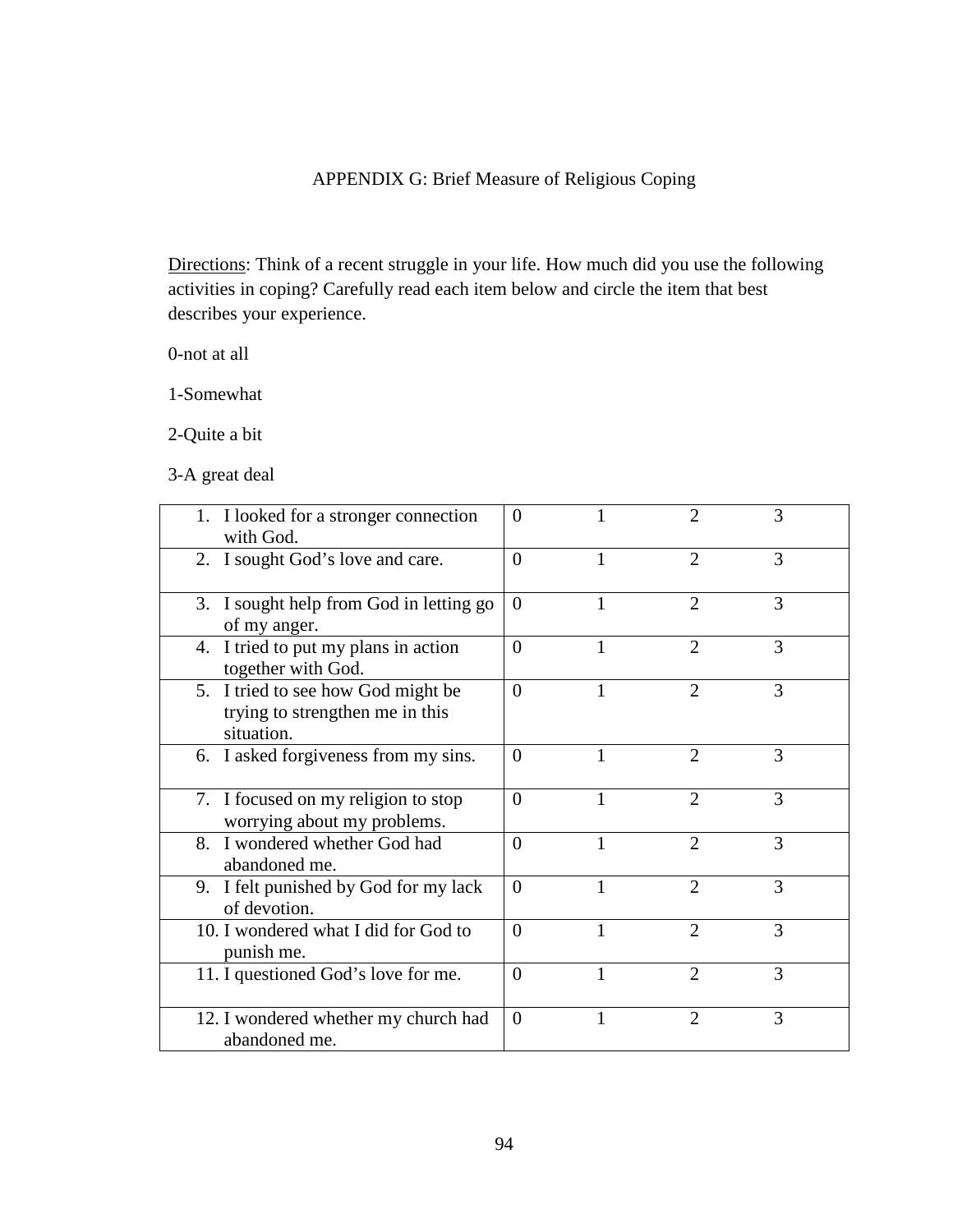# APPENDIX G: Brief Measure of Religious Coping

Directions: Think of a recent struggle in your life. How much did you use the following activities in coping? Carefully read each item below and circle the item that best describes your experience.

0-not at all

1-Somewhat

2-Quite a bit

3-A great deal

| 1. I looked for a stronger connection<br>with God.                                  | $\Omega$ |   |                             | 3 |  |
|-------------------------------------------------------------------------------------|----------|---|-----------------------------|---|--|
| 2. I sought God's love and care.                                                    | $\Omega$ |   | $\overline{2}$              | 3 |  |
| 3. I sought help from God in letting go<br>of my anger.                             | $\Omega$ |   | $\overline{2}$              | 3 |  |
| 4. I tried to put my plans in action<br>together with God.                          | $\theta$ |   | $\overline{2}$              | 3 |  |
| 5. I tried to see how God might be<br>trying to strengthen me in this<br>situation. | $\Omega$ |   | $\overline{2}$              | 3 |  |
| 6. I asked forgiveness from my sins.                                                | $\Omega$ | 1 | $\overline{2}$              | 3 |  |
| 7. I focused on my religion to stop<br>worrying about my problems.                  | $\Omega$ |   | $\mathcal{D}_{\mathcal{L}}$ | 3 |  |
| 8. I wondered whether God had<br>abandoned me.                                      | $\theta$ | 1 | $\overline{2}$              | 3 |  |
| 9. I felt punished by God for my lack<br>of devotion.                               | $\Omega$ | 1 | $\mathfrak{D}$              | 3 |  |
| 10. I wondered what I did for God to<br>punish me.                                  | $\theta$ | 1 | $\overline{2}$              | 3 |  |
| 11. I questioned God's love for me.                                                 | $\Omega$ |   | $\overline{2}$              | 3 |  |
| 12. I wondered whether my church had<br>abandoned me.                               | $\Omega$ |   | $\overline{2}$              | 3 |  |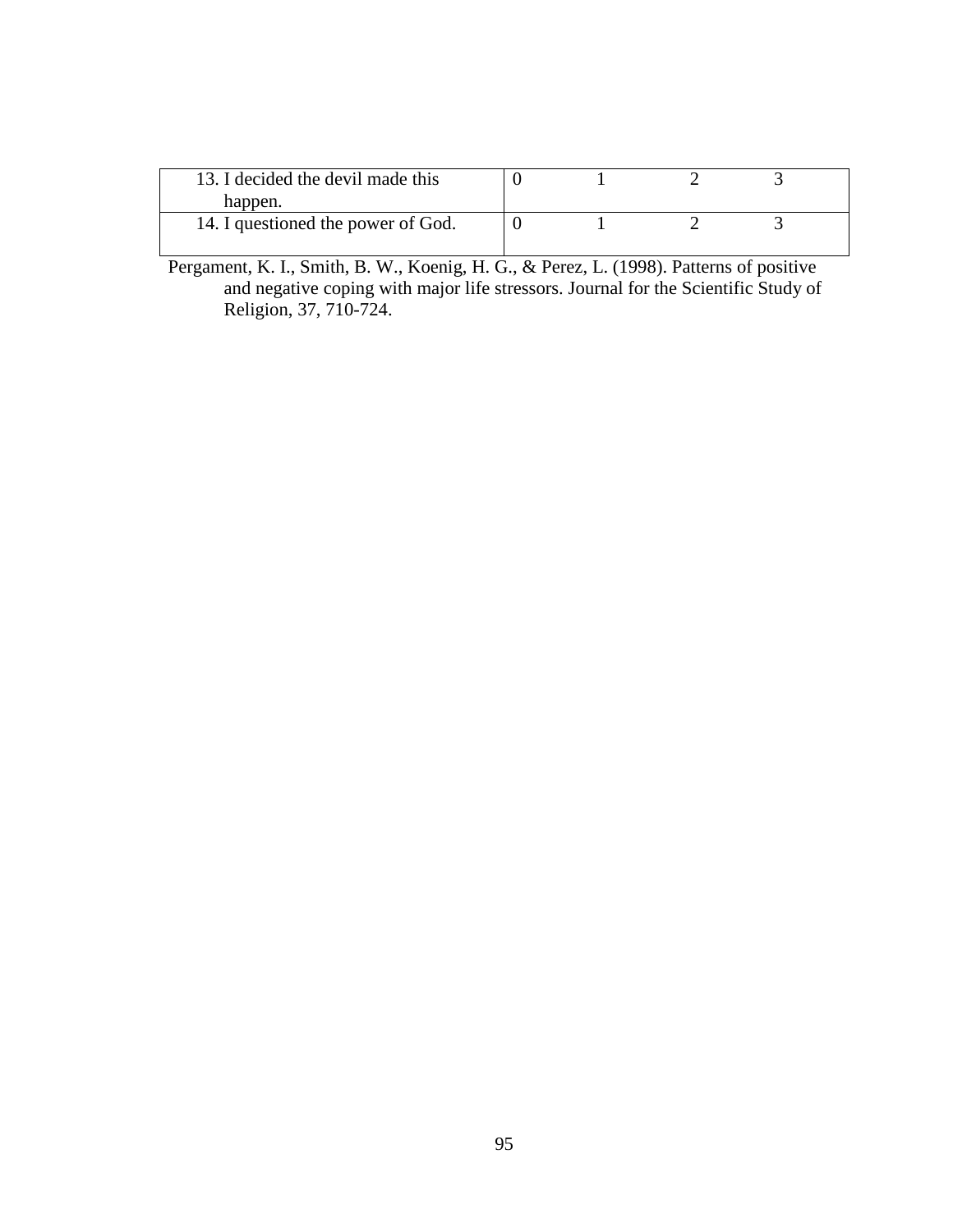| 13. I decided the devil made this  |  |  |
|------------------------------------|--|--|
| happen.                            |  |  |
| 14. I questioned the power of God. |  |  |
|                                    |  |  |

Pergament, K. I., Smith, B. W., Koenig, H. G., & Perez, L. (1998). Patterns of positive and negative coping with major life stressors. Journal for the Scientific Study of Religion, 37, 710-724.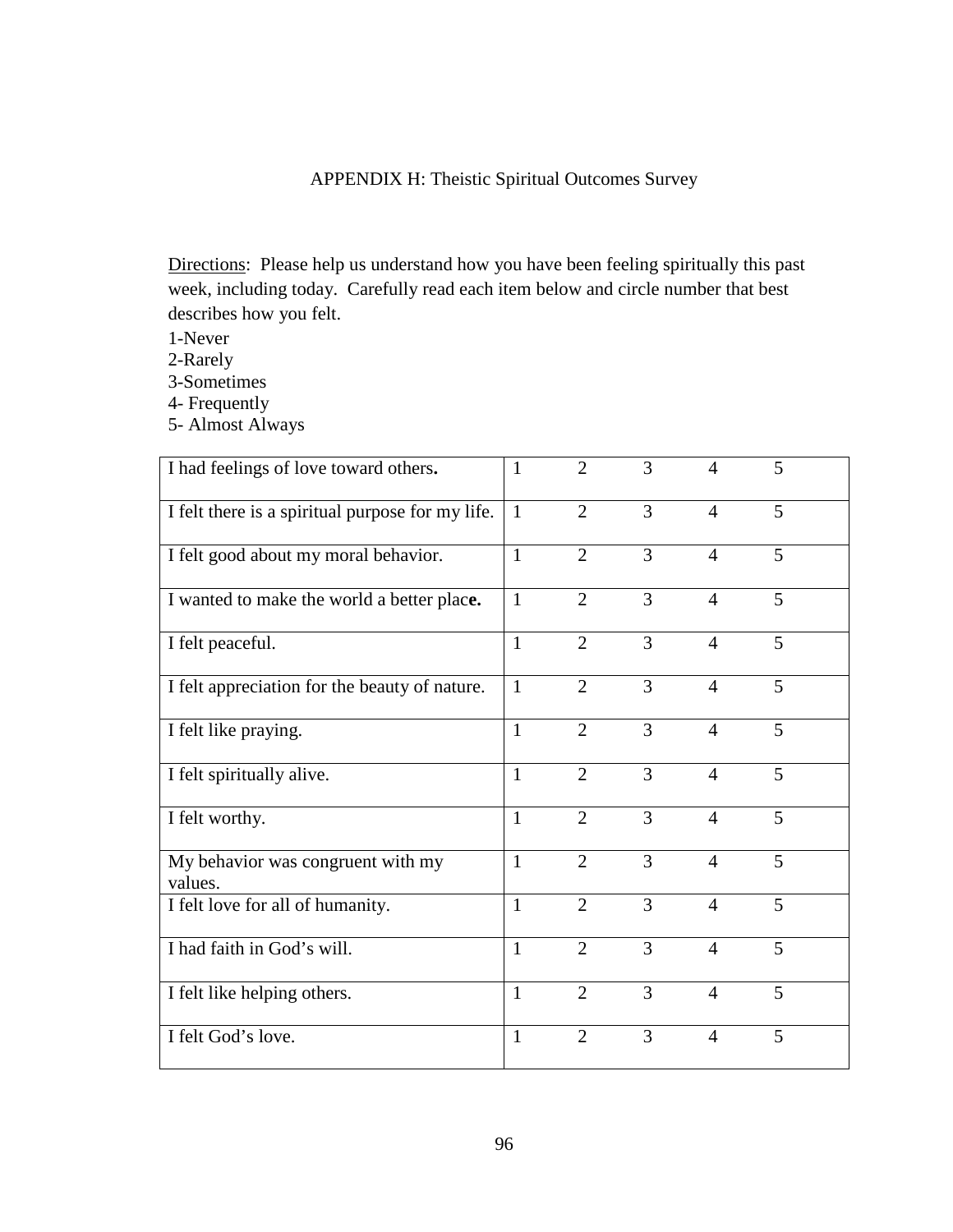# APPENDIX H: Theistic Spiritual Outcomes Survey

Directions: Please help us understand how you have been feeling spiritually this past week, including today. Carefully read each item below and circle number that best describes how you felt.

- 1-Never
- 2-Rarely
- 3-Sometimes
- 4- Frequently
- 5- Almost Always

| I had feelings of love toward others.            | $\mathbf{1}$ | $\overline{2}$ | 3              | 4              | 5 |
|--------------------------------------------------|--------------|----------------|----------------|----------------|---|
| I felt there is a spiritual purpose for my life. | $\mathbf{1}$ | $\overline{2}$ | 3              | $\overline{4}$ | 5 |
| I felt good about my moral behavior.             | $\mathbf{1}$ | $\overline{2}$ | 3              | $\overline{4}$ | 5 |
| I wanted to make the world a better place.       | $\mathbf{1}$ | $\overline{2}$ | 3              | $\overline{4}$ | 5 |
| I felt peaceful.                                 | $\mathbf{1}$ | $\overline{2}$ | 3              | $\overline{4}$ | 5 |
| I felt appreciation for the beauty of nature.    | 1            | $\overline{2}$ | $\overline{3}$ | $\overline{4}$ | 5 |
| I felt like praying.                             | $\mathbf{1}$ | $\overline{2}$ | 3              | $\overline{4}$ | 5 |
| I felt spiritually alive.                        | $\mathbf{1}$ | $\overline{2}$ | 3              | $\overline{4}$ | 5 |
| I felt worthy.                                   | $\mathbf{1}$ | $\overline{2}$ | $\overline{3}$ | $\overline{4}$ | 5 |
| My behavior was congruent with my<br>values.     | $\mathbf{1}$ | $\overline{2}$ | 3              | $\overline{4}$ | 5 |
| I felt love for all of humanity.                 | $\mathbf{1}$ | $\overline{2}$ | 3              | $\overline{4}$ | 5 |
| I had faith in God's will.                       | $\mathbf{1}$ | $\overline{2}$ | 3              | $\overline{4}$ | 5 |
| I felt like helping others.                      | $\mathbf{1}$ | $\overline{2}$ | 3              | $\overline{4}$ | 5 |
| I felt God's love.                               | $\mathbf{1}$ | $\overline{2}$ | 3              | $\overline{4}$ | 5 |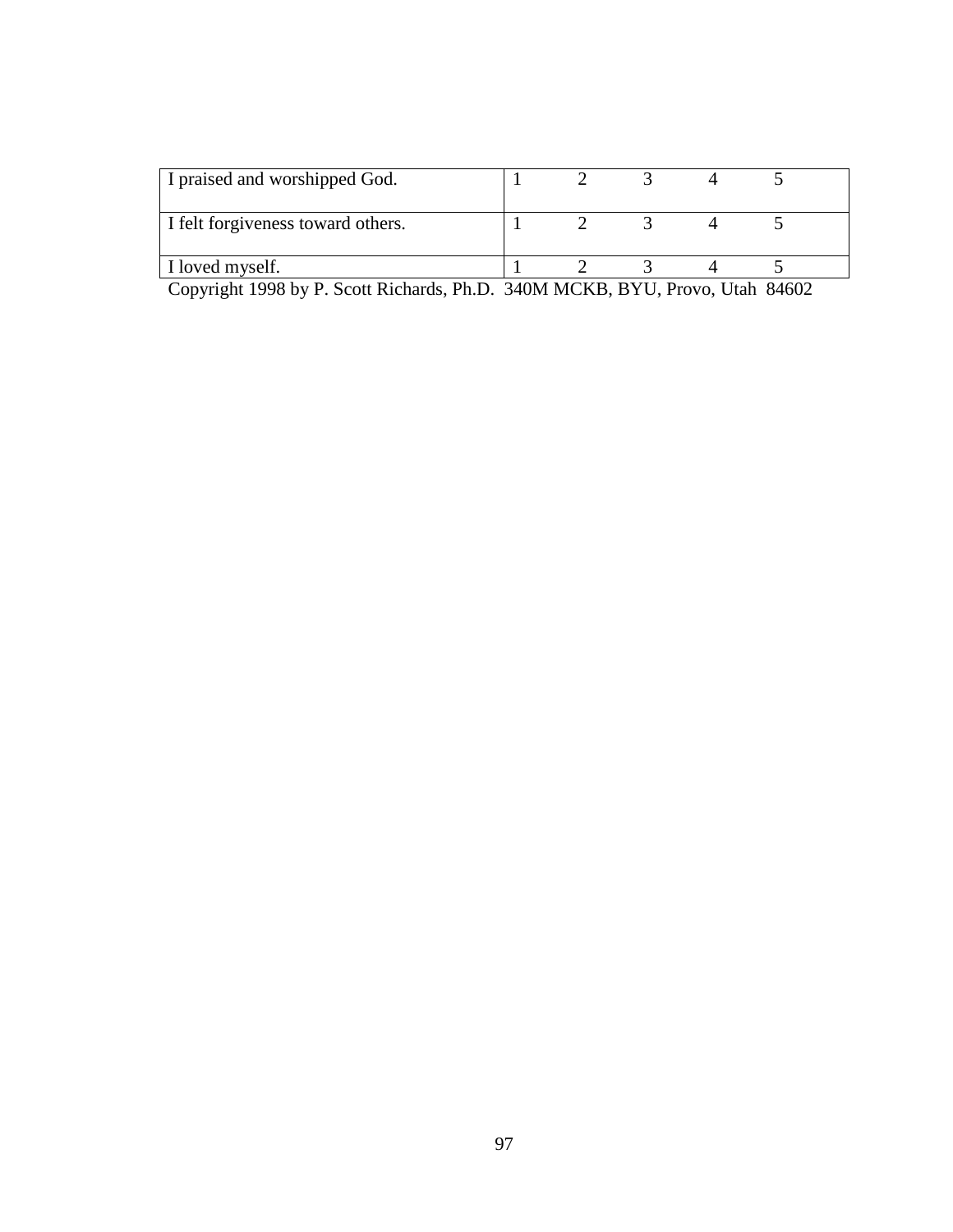| I praised and worshipped God.     |  |  |  |
|-----------------------------------|--|--|--|
| I felt forgiveness toward others. |  |  |  |
| I loved myself.                   |  |  |  |

Copyright 1998 by P. Scott Richards, Ph.D. 340M MCKB, BYU, Provo, Utah 84602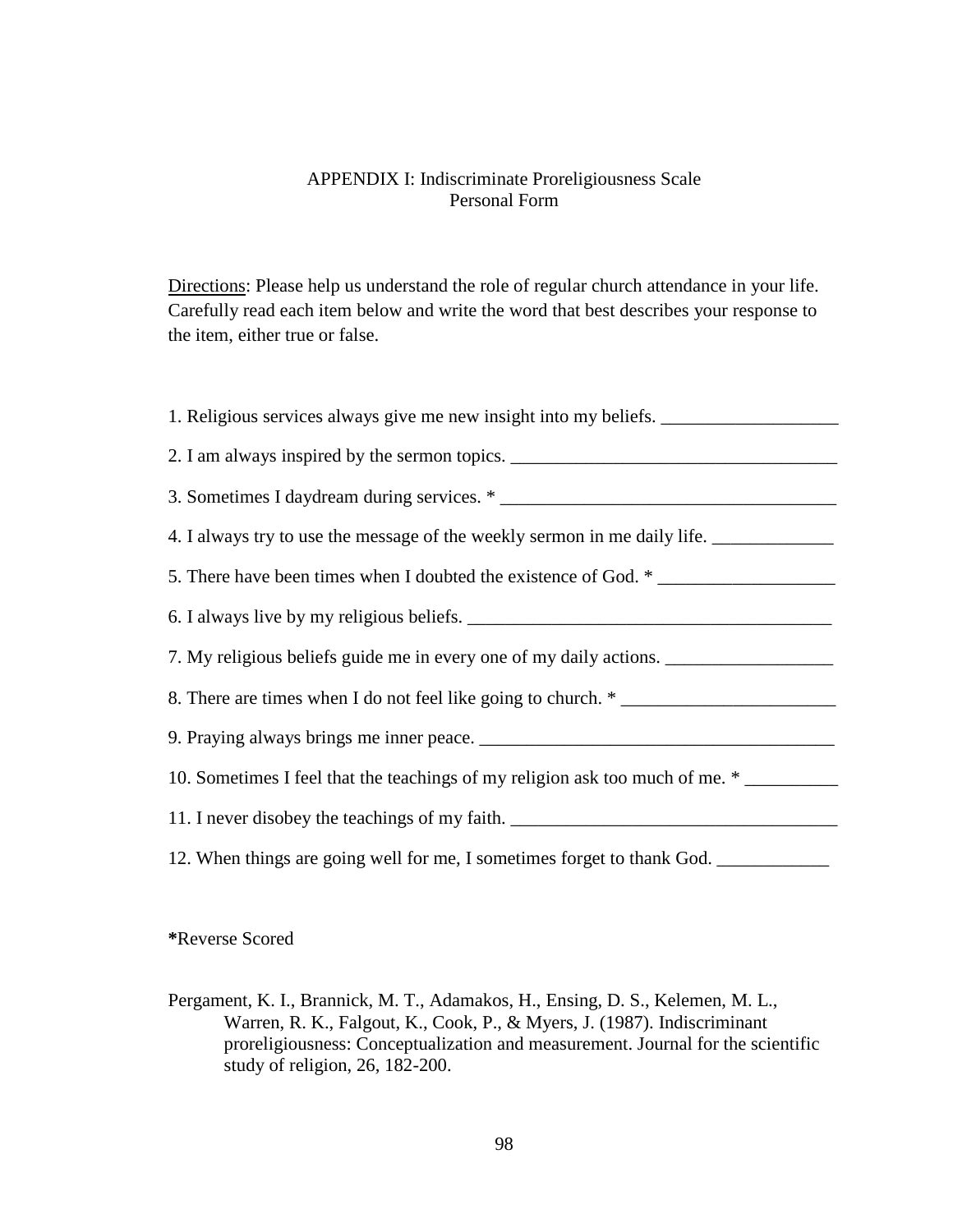### APPENDIX I: Indiscriminate Proreligiousness Scale Personal Form

Directions: Please help us understand the role of regular church attendance in your life. Carefully read each item below and write the word that best describes your response to the item, either true or false.

**\***Reverse Scored

Pergament, K. I., Brannick, M. T., Adamakos, H., Ensing, D. S., Kelemen, M. L., Warren, R. K., Falgout, K., Cook, P., & Myers, J. (1987). Indiscriminant proreligiousness: Conceptualization and measurement. Journal for the scientific study of religion, 26, 182-200.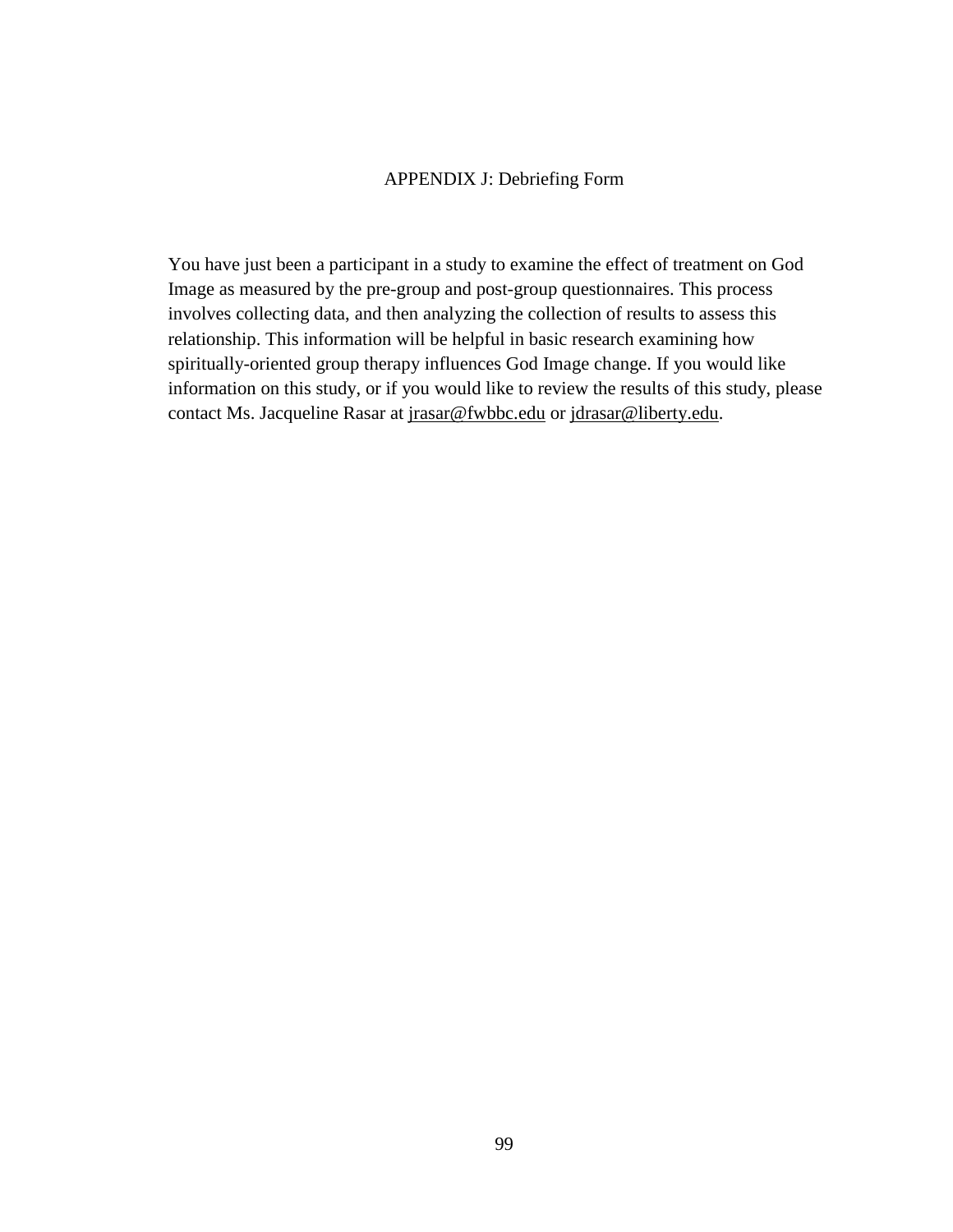#### APPENDIX J: Debriefing Form

You have just been a participant in a study to examine the effect of treatment on God Image as measured by the pre-group and post-group questionnaires. This process involves collecting data, and then analyzing the collection of results to assess this relationship. This information will be helpful in basic research examining how spiritually-oriented group therapy influences God Image change. If you would like information on this study, or if you would like to review the results of this study, please contact Ms. Jacqueline Rasar at jrasar@fwbbc.edu or jdrasar@liberty.edu.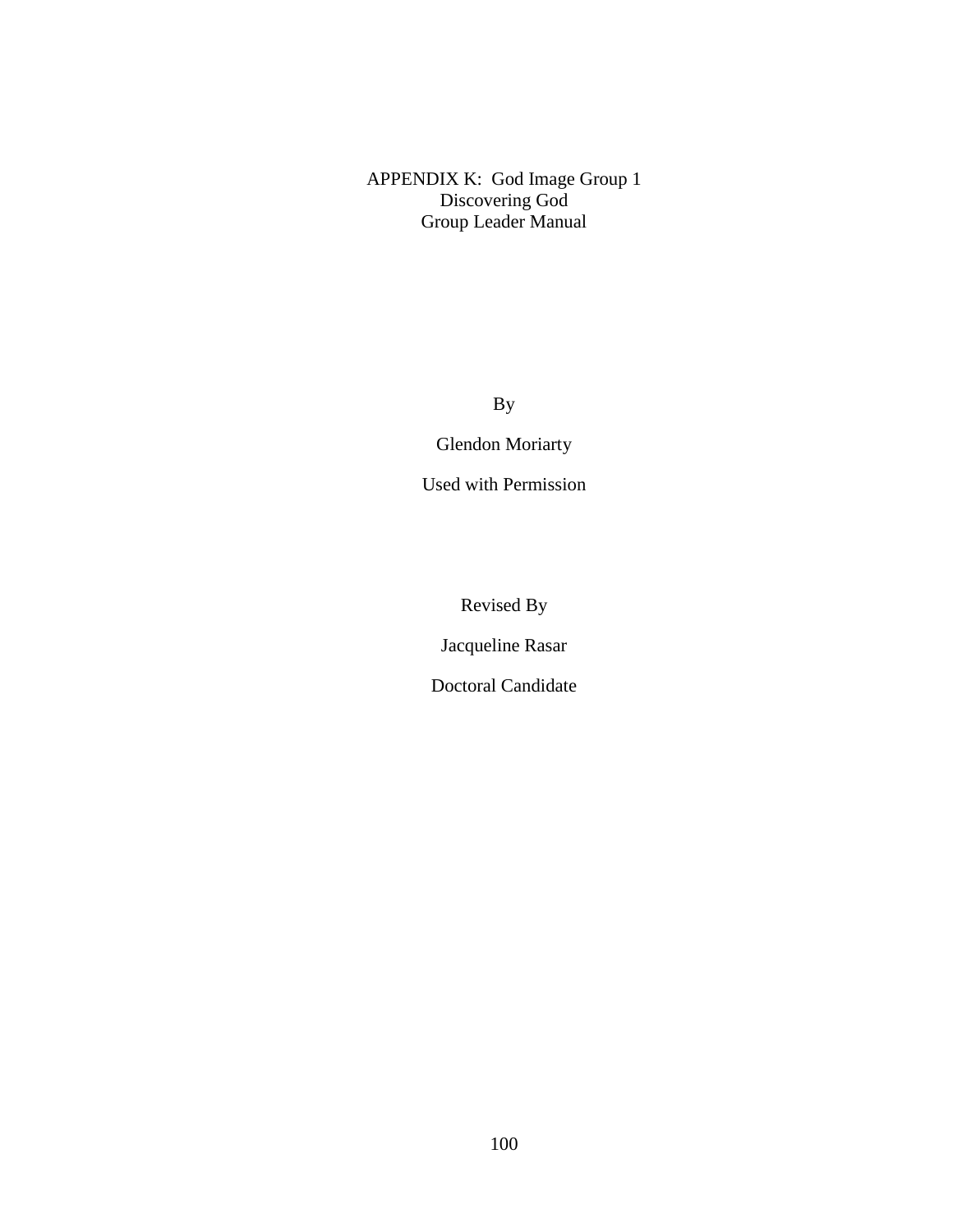APPENDIX K: God Image Group 1 Discovering God Group Leader Manual

By

Glendon Moriarty

Used with Permission

Revised By

Jacqueline Rasar

Doctoral Candidate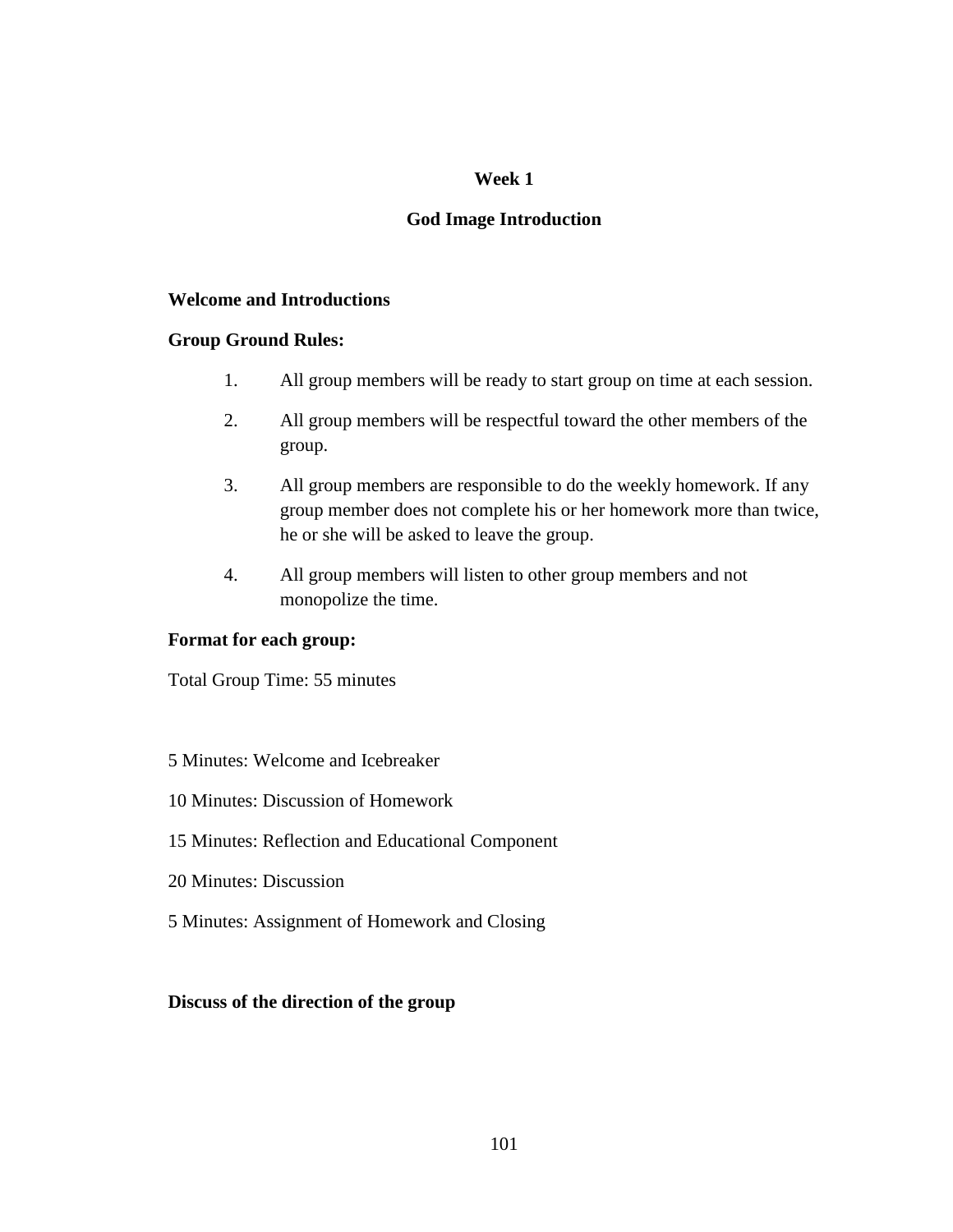# **Week 1**

# **God Image Introduction**

# **Welcome and Introductions**

# **Group Ground Rules:**

- 1. All group members will be ready to start group on time at each session.
- 2. All group members will be respectful toward the other members of the group.
- 3. All group members are responsible to do the weekly homework. If any group member does not complete his or her homework more than twice, he or she will be asked to leave the group.
- 4. All group members will listen to other group members and not monopolize the time.

#### **Format for each group:**

Total Group Time: 55 minutes

# 5 Minutes: Welcome and Icebreaker

- 10 Minutes: Discussion of Homework
- 15 Minutes: Reflection and Educational Component
- 20 Minutes: Discussion
- 5 Minutes: Assignment of Homework and Closing

#### **Discuss of the direction of the group**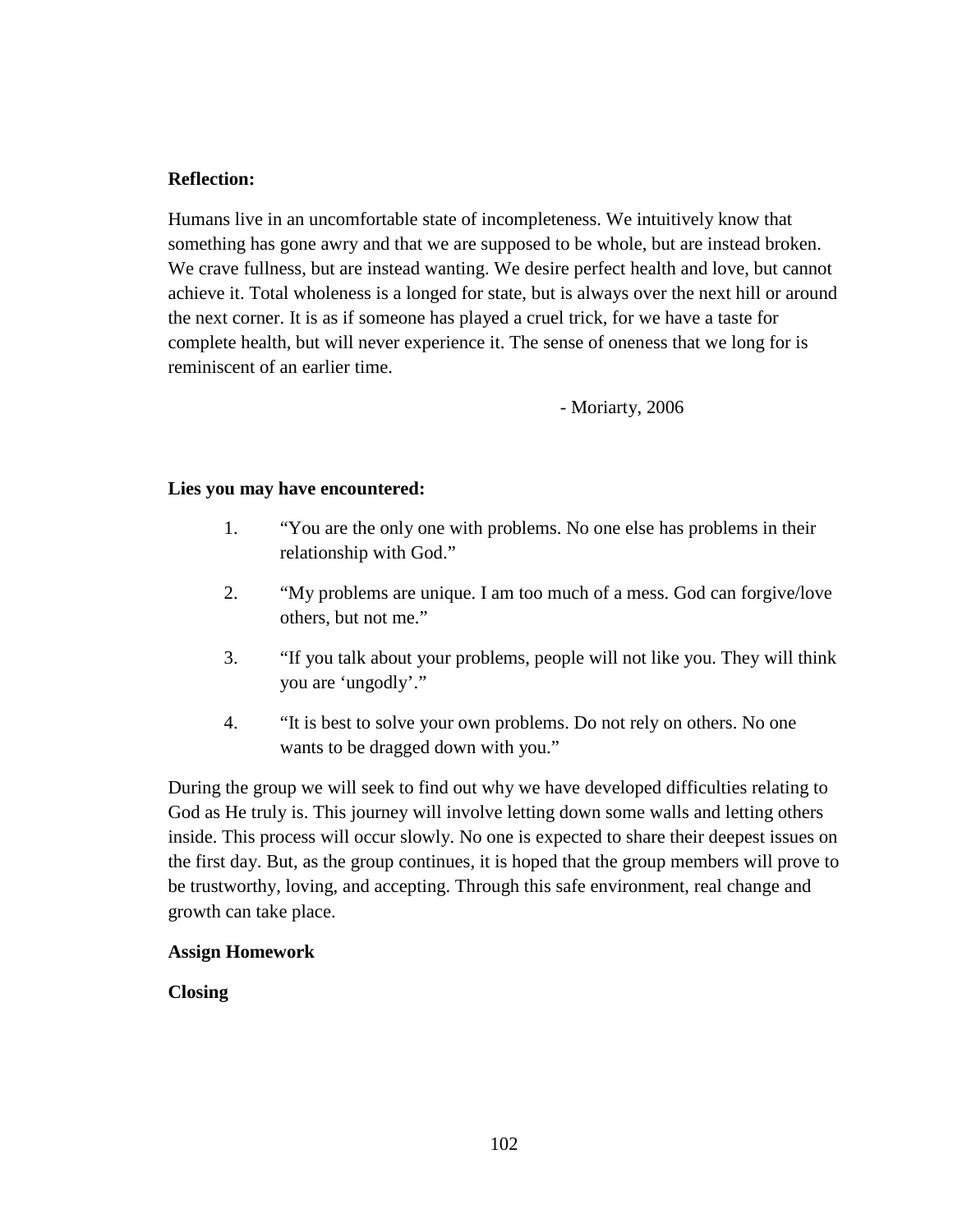# **Reflection:**

Humans live in an uncomfortable state of incompleteness. We intuitively know that something has gone awry and that we are supposed to be whole, but are instead broken. We crave fullness, but are instead wanting. We desire perfect health and love, but cannot achieve it. Total wholeness is a longed for state, but is always over the next hill or around the next corner. It is as if someone has played a cruel trick, for we have a taste for complete health, but will never experience it. The sense of oneness that we long for is reminiscent of an earlier time.

- Moriarty, 2006

#### **Lies you may have encountered:**

- 1. "You are the only one with problems. No one else has problems in their relationship with God."
- 2. "My problems are unique. I am too much of a mess. God can forgive/love others, but not me."
- 3. "If you talk about your problems, people will not like you. They will think you are 'ungodly'."
- 4. "It is best to solve your own problems. Do not rely on others. No one wants to be dragged down with you."

During the group we will seek to find out why we have developed difficulties relating to God as He truly is. This journey will involve letting down some walls and letting others inside. This process will occur slowly. No one is expected to share their deepest issues on the first day. But, as the group continues, it is hoped that the group members will prove to be trustworthy, loving, and accepting. Through this safe environment, real change and growth can take place.

#### **Assign Homework**

**Closing**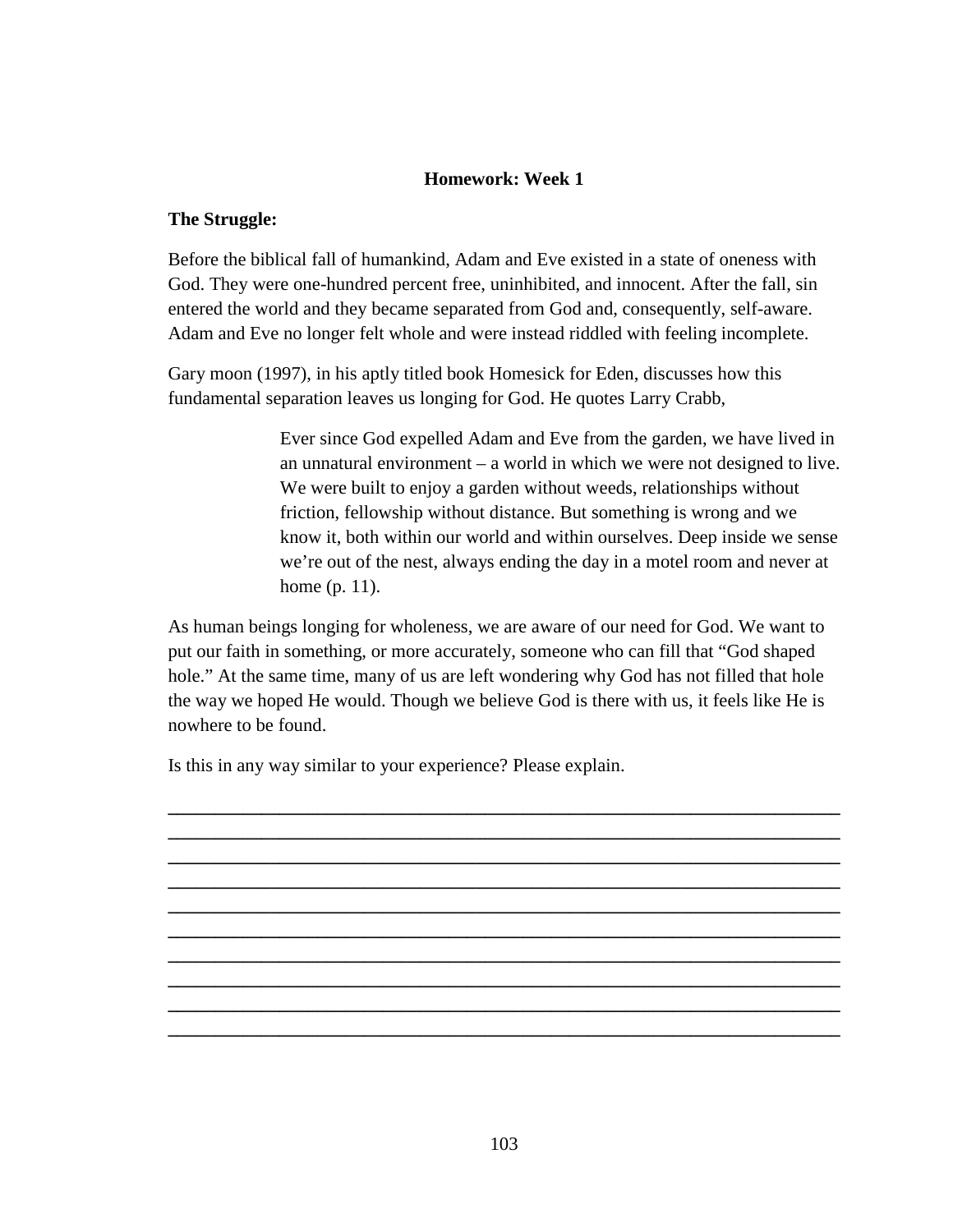# **Homework: Week 1**

#### **The Struggle:**

Before the biblical fall of humankind, Adam and Eve existed in a state of oneness with God. They were one-hundred percent free, uninhibited, and innocent. After the fall, sin entered the world and they became separated from God and, consequently, self-aware. Adam and Eve no longer felt whole and were instead riddled with feeling incomplete.

Gary moon (1997), in his aptly titled book Homesick for Eden, discusses how this fundamental separation leaves us longing for God. He quotes Larry Crabb,

> Ever since God expelled Adam and Eve from the garden, we have lived in an unnatural environment – a world in which we were not designed to live. We were built to enjoy a garden without weeds, relationships without friction, fellowship without distance. But something is wrong and we know it, both within our world and within ourselves. Deep inside we sense we're out of the nest, always ending the day in a motel room and never at home (p. 11).

As human beings longing for wholeness, we are aware of our need for God. We want to put our faith in something, or more accurately, someone who can fill that "God shaped hole." At the same time, many of us are left wondering why God has not filled that hole the way we hoped He would. Though we believe God is there with us, it feels like He is nowhere to be found.

**\_\_\_\_\_\_\_\_\_\_\_\_\_\_\_\_\_\_\_\_\_\_\_\_\_\_\_\_\_\_\_\_\_\_\_\_\_\_\_\_\_\_\_\_\_\_\_\_\_\_\_\_\_\_\_\_\_\_\_\_\_\_\_\_\_\_\_\_\_\_\_\_ \_\_\_\_\_\_\_\_\_\_\_\_\_\_\_\_\_\_\_\_\_\_\_\_\_\_\_\_\_\_\_\_\_\_\_\_\_\_\_\_\_\_\_\_\_\_\_\_\_\_\_\_\_\_\_\_\_\_\_\_\_\_\_\_\_\_\_\_\_\_\_\_ \_\_\_\_\_\_\_\_\_\_\_\_\_\_\_\_\_\_\_\_\_\_\_\_\_\_\_\_\_\_\_\_\_\_\_\_\_\_\_\_\_\_\_\_\_\_\_\_\_\_\_\_\_\_\_\_\_\_\_\_\_\_\_\_\_\_\_\_\_\_\_\_ \_\_\_\_\_\_\_\_\_\_\_\_\_\_\_\_\_\_\_\_\_\_\_\_\_\_\_\_\_\_\_\_\_\_\_\_\_\_\_\_\_\_\_\_\_\_\_\_\_\_\_\_\_\_\_\_\_\_\_\_\_\_\_\_\_\_\_\_\_\_\_\_**

Is this in any way similar to your experience? Please explain.

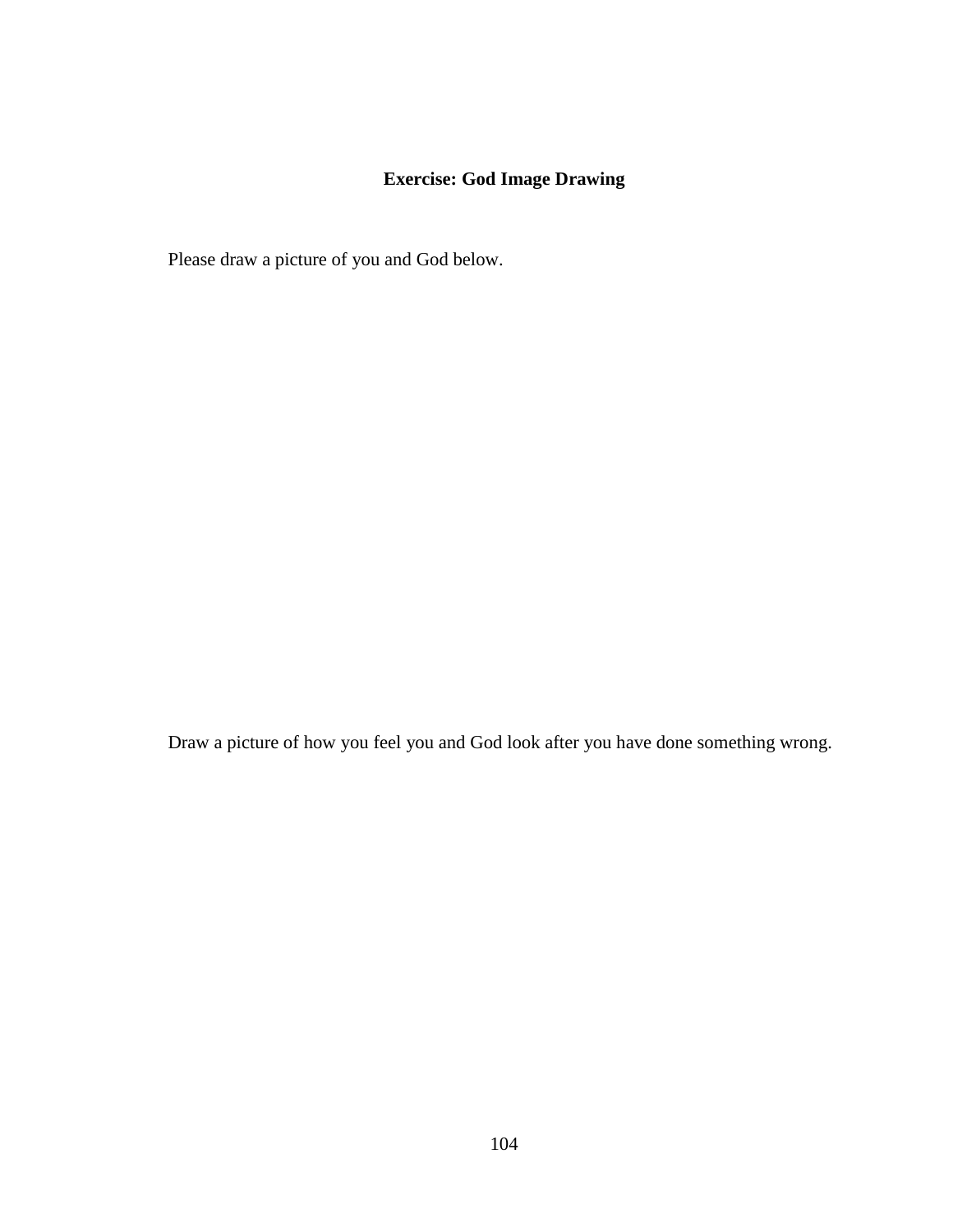# **Exercise: God Image Drawing**

Please draw a picture of you and God below.

Draw a picture of how you feel you and God look after you have done something wrong.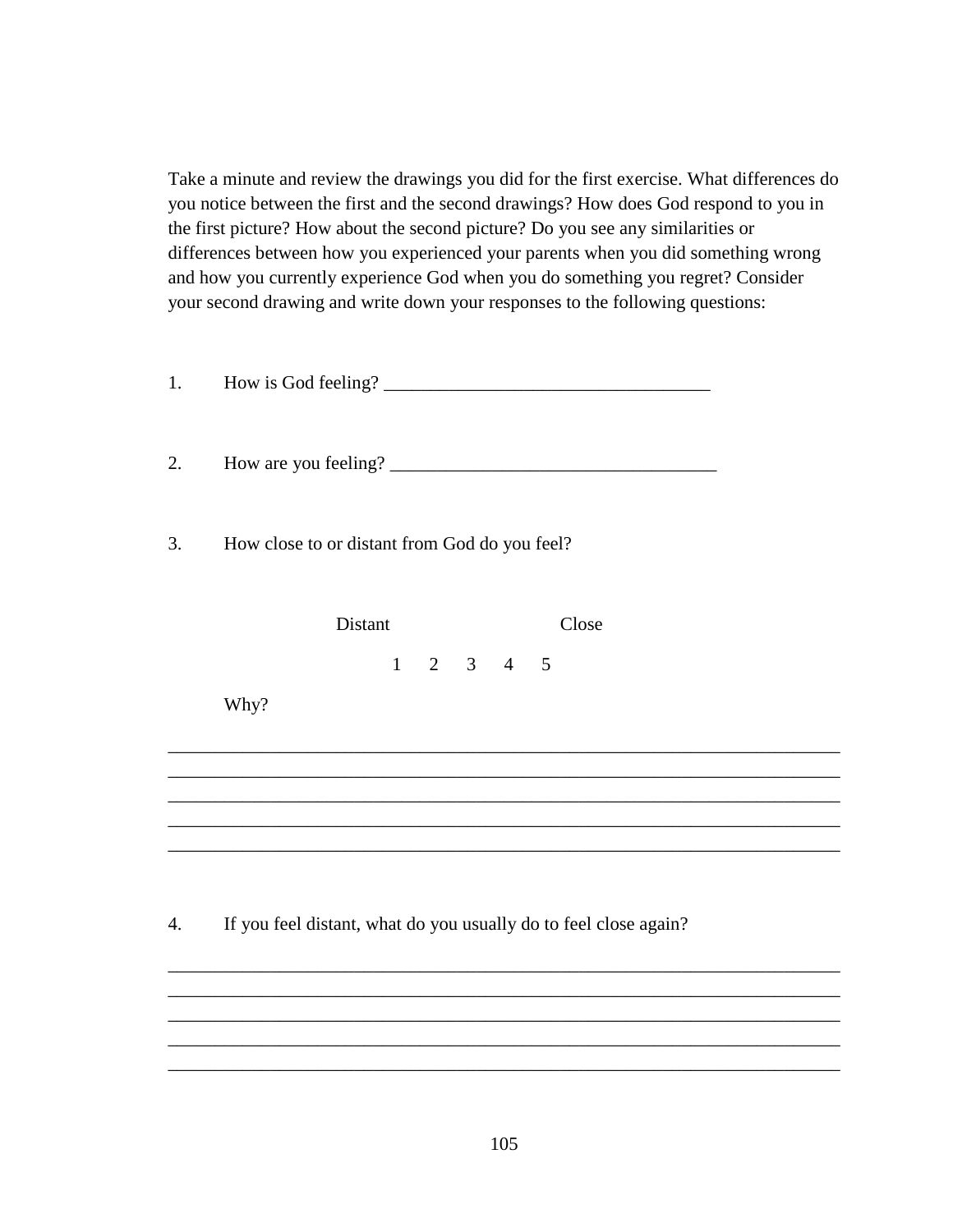Take a minute and review the drawings you did for the first exercise. What differences do you notice between the first and the second drawings? How does God respond to you in the first picture? How about the second picture? Do you see any similarities or differences between how you experienced your parents when you did something wrong and how you currently experience God when you do something you regret? Consider your second drawing and write down your responses to the following questions:

| 1. |                                                                                                                                                       |  |
|----|-------------------------------------------------------------------------------------------------------------------------------------------------------|--|
| 2. |                                                                                                                                                       |  |
| 3. | How close to or distant from God do you feel?                                                                                                         |  |
|    | Distant<br>Close                                                                                                                                      |  |
|    | $1 \t2 \t3 \t4 \t5$<br>Why?                                                                                                                           |  |
|    |                                                                                                                                                       |  |
| 4. | If you feel distant, what do you usually do to feel close again?<br>,我们也不能在这里的时候,我们也不能在这里的时候,我们也不能会在这里的时候,我们也不能会在这里的时候,我们也不能会在这里的时候,我们也不能会在这里的时候,我们也不 |  |
|    |                                                                                                                                                       |  |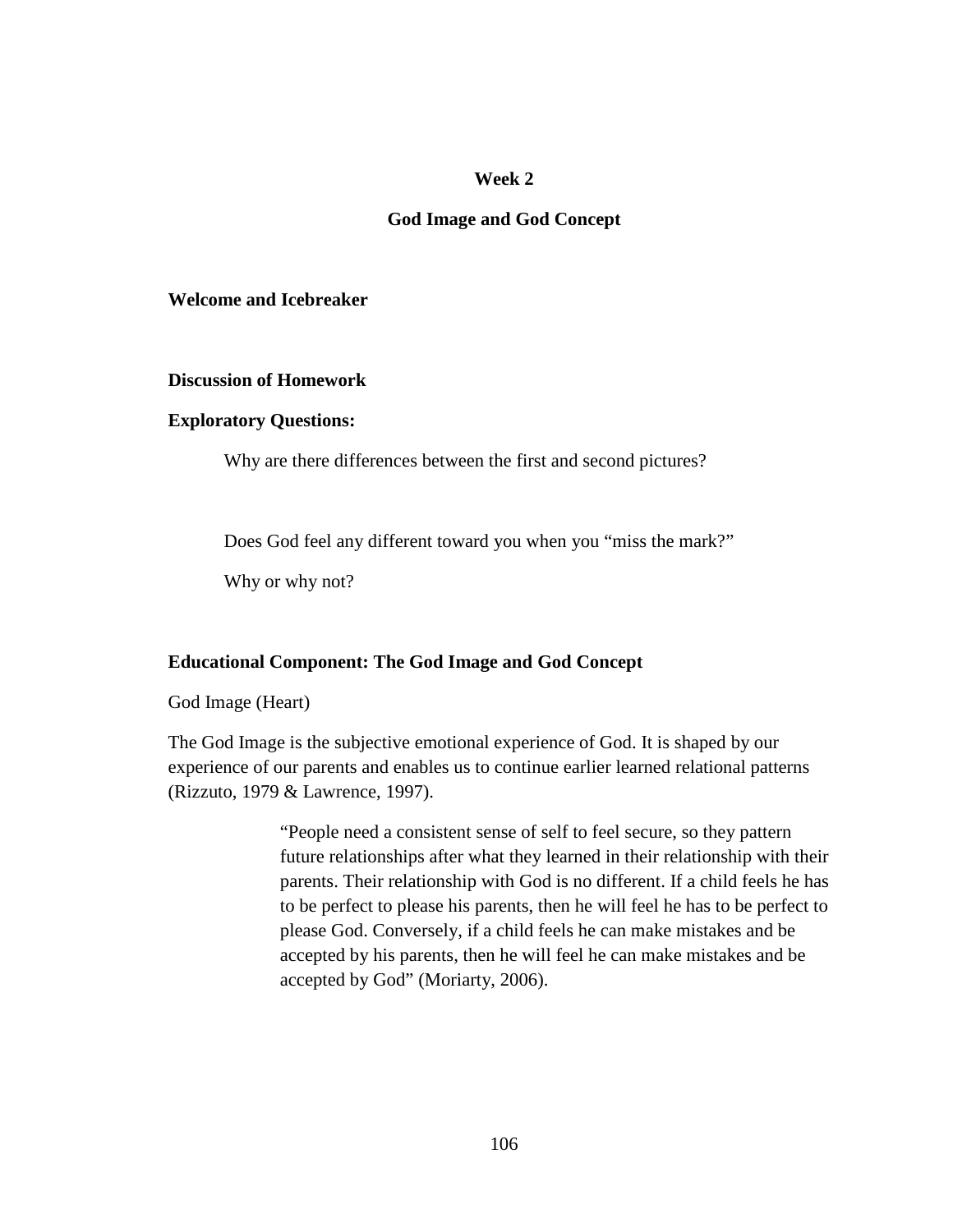#### **Week 2**

#### **God Image and God Concept**

#### **Welcome and Icebreaker**

#### **Discussion of Homework**

#### **Exploratory Questions:**

Why are there differences between the first and second pictures?

Does God feel any different toward you when you "miss the mark?"

Why or why not?

#### **Educational Component: The God Image and God Concept**

God Image (Heart)

The God Image is the subjective emotional experience of God. It is shaped by our experience of our parents and enables us to continue earlier learned relational patterns (Rizzuto, 1979 & Lawrence, 1997).

> "People need a consistent sense of self to feel secure, so they pattern future relationships after what they learned in their relationship with their parents. Their relationship with God is no different. If a child feels he has to be perfect to please his parents, then he will feel he has to be perfect to please God. Conversely, if a child feels he can make mistakes and be accepted by his parents, then he will feel he can make mistakes and be accepted by God" (Moriarty, 2006).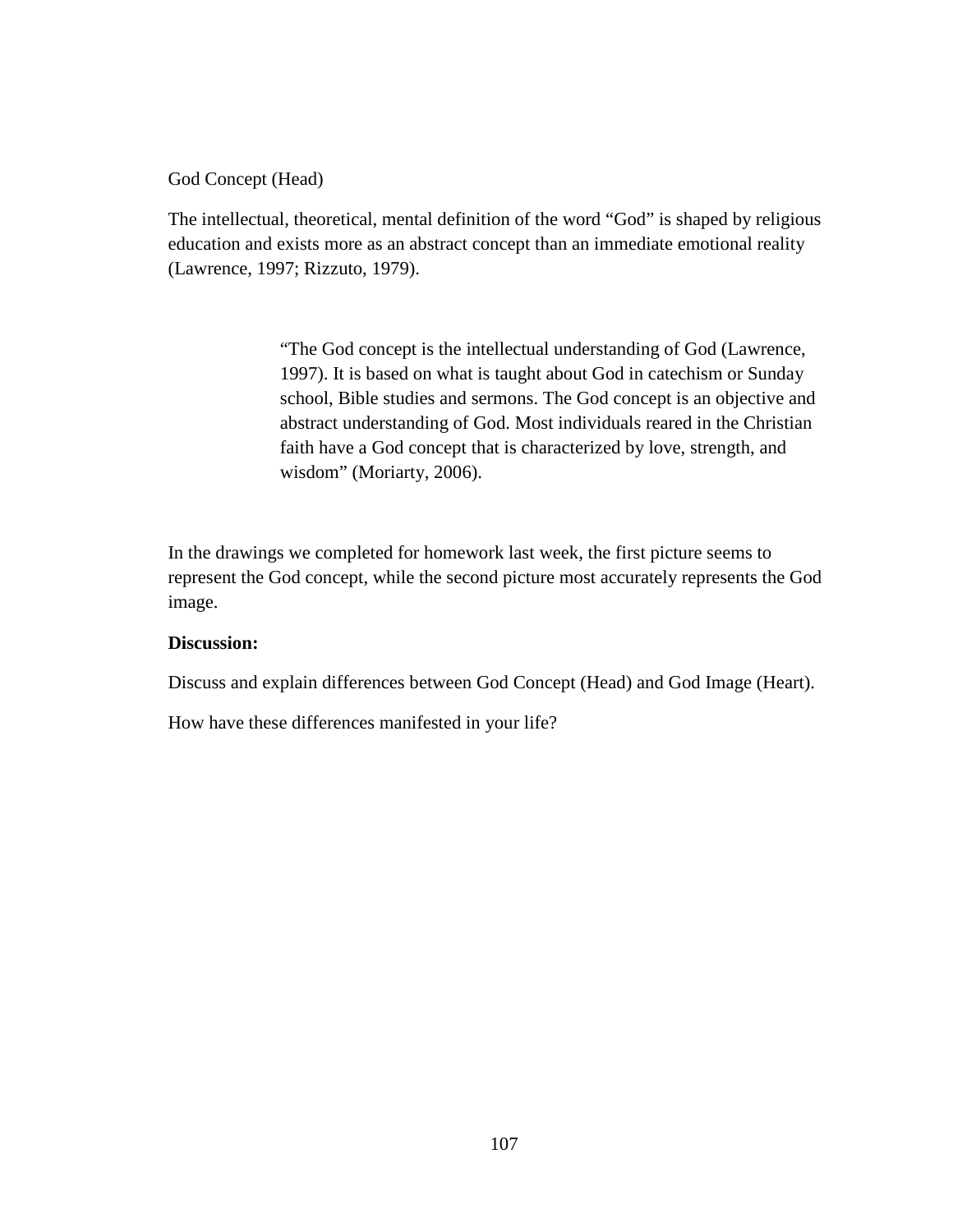God Concept (Head)

The intellectual, theoretical, mental definition of the word "God" is shaped by religious education and exists more as an abstract concept than an immediate emotional reality (Lawrence, 1997; Rizzuto, 1979).

> "The God concept is the intellectual understanding of God (Lawrence, 1997). It is based on what is taught about God in catechism or Sunday school, Bible studies and sermons. The God concept is an objective and abstract understanding of God. Most individuals reared in the Christian faith have a God concept that is characterized by love, strength, and wisdom" (Moriarty, 2006).

In the drawings we completed for homework last week, the first picture seems to represent the God concept, while the second picture most accurately represents the God image.

#### **Discussion:**

Discuss and explain differences between God Concept (Head) and God Image (Heart).

How have these differences manifested in your life?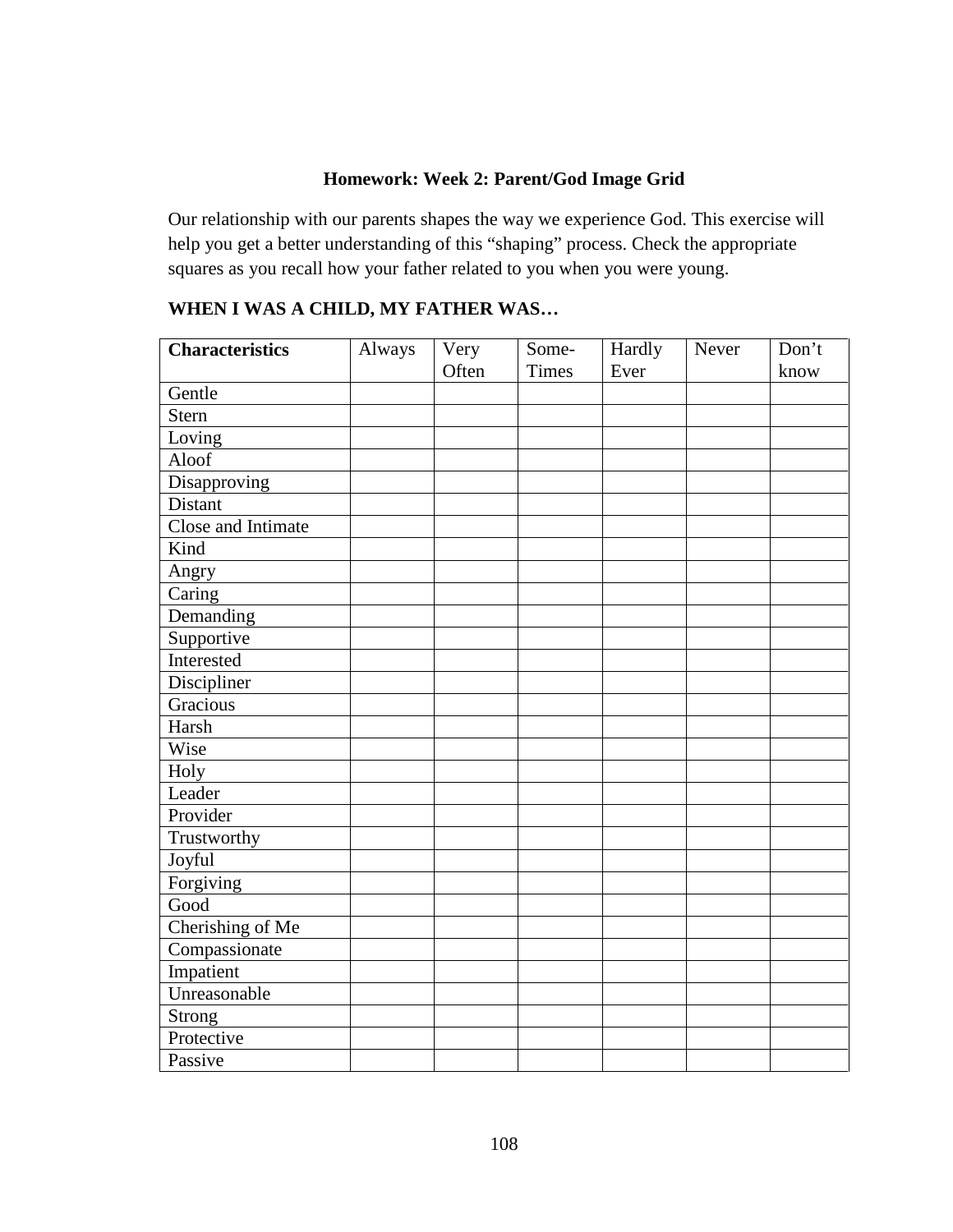# **Homework: Week 2: Parent/God Image Grid**

Our relationship with our parents shapes the way we experience God. This exercise will help you get a better understanding of this "shaping" process. Check the appropriate squares as you recall how your father related to you when you were young.

# **WHEN I WAS A CHILD, MY FATHER WAS…**

| <b>Characteristics</b> | Always | Very  | Some-        | Hardly | Never | Don't |
|------------------------|--------|-------|--------------|--------|-------|-------|
|                        |        | Often | <b>Times</b> | Ever   |       | know  |
| Gentle                 |        |       |              |        |       |       |
| <b>Stern</b>           |        |       |              |        |       |       |
| Loving                 |        |       |              |        |       |       |
| Aloof                  |        |       |              |        |       |       |
| Disapproving           |        |       |              |        |       |       |
| Distant                |        |       |              |        |       |       |
| Close and Intimate     |        |       |              |        |       |       |
| Kind                   |        |       |              |        |       |       |
| Angry                  |        |       |              |        |       |       |
| Caring                 |        |       |              |        |       |       |
| Demanding              |        |       |              |        |       |       |
| Supportive             |        |       |              |        |       |       |
| Interested             |        |       |              |        |       |       |
| Discipliner            |        |       |              |        |       |       |
| Gracious               |        |       |              |        |       |       |
| Harsh                  |        |       |              |        |       |       |
| Wise                   |        |       |              |        |       |       |
| Holy                   |        |       |              |        |       |       |
| Leader                 |        |       |              |        |       |       |
| Provider               |        |       |              |        |       |       |
| Trustworthy            |        |       |              |        |       |       |
| Joyful                 |        |       |              |        |       |       |
| Forgiving              |        |       |              |        |       |       |
| Good                   |        |       |              |        |       |       |
| Cherishing of Me       |        |       |              |        |       |       |
| Compassionate          |        |       |              |        |       |       |
| Impatient              |        |       |              |        |       |       |
| Unreasonable           |        |       |              |        |       |       |
| <b>Strong</b>          |        |       |              |        |       |       |
| Protective             |        |       |              |        |       |       |
| Passive                |        |       |              |        |       |       |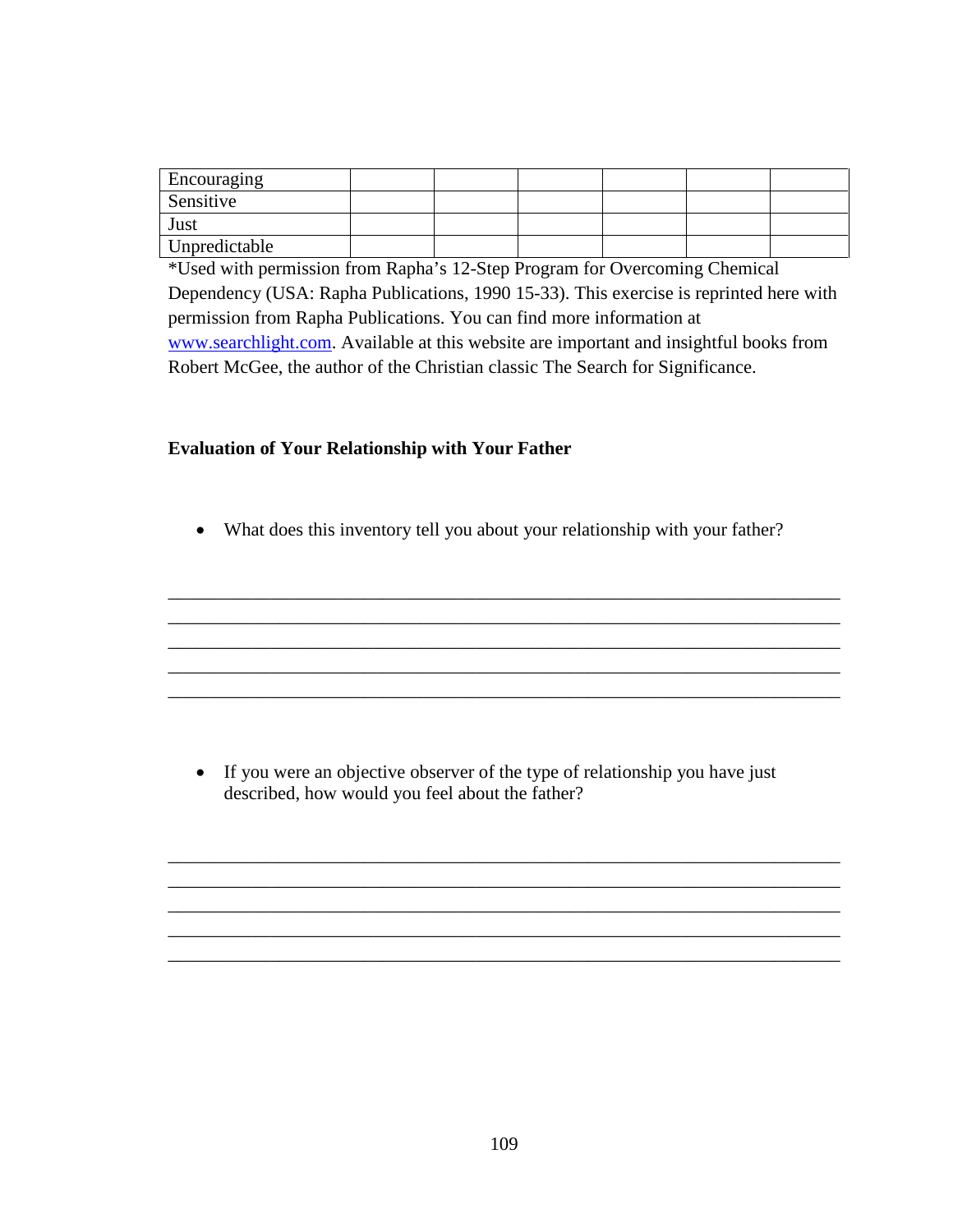| Encouraging   |  |  |  |
|---------------|--|--|--|
| Sensitive     |  |  |  |
| Just          |  |  |  |
| Unpredictable |  |  |  |

\*Used with permission from Rapha's 12-Step Program for Overcoming Chemical Dependency (USA: Rapha Publications, 1990 15-33). This exercise is reprinted here with permission from Rapha Publications. You can find more information at www.searchlight.com. Available at this website are important and insightful books from Robert McGee, the author of the Christian classic The Search for Significance.

#### **Evaluation of Your Relationship with Your Father**

• What does this inventory tell you about your relationship with your father?

\_\_\_\_\_\_\_\_\_\_\_\_\_\_\_\_\_\_\_\_\_\_\_\_\_\_\_\_\_\_\_\_\_\_\_\_\_\_\_\_\_\_\_\_\_\_\_\_\_\_\_\_\_\_\_\_\_\_\_\_\_\_\_\_\_\_\_\_\_\_\_\_ \_\_\_\_\_\_\_\_\_\_\_\_\_\_\_\_\_\_\_\_\_\_\_\_\_\_\_\_\_\_\_\_\_\_\_\_\_\_\_\_\_\_\_\_\_\_\_\_\_\_\_\_\_\_\_\_\_\_\_\_\_\_\_\_\_\_\_\_\_\_\_\_ \_\_\_\_\_\_\_\_\_\_\_\_\_\_\_\_\_\_\_\_\_\_\_\_\_\_\_\_\_\_\_\_\_\_\_\_\_\_\_\_\_\_\_\_\_\_\_\_\_\_\_\_\_\_\_\_\_\_\_\_\_\_\_\_\_\_\_\_\_\_\_\_ \_\_\_\_\_\_\_\_\_\_\_\_\_\_\_\_\_\_\_\_\_\_\_\_\_\_\_\_\_\_\_\_\_\_\_\_\_\_\_\_\_\_\_\_\_\_\_\_\_\_\_\_\_\_\_\_\_\_\_\_\_\_\_\_\_\_\_\_\_\_\_\_ \_\_\_\_\_\_\_\_\_\_\_\_\_\_\_\_\_\_\_\_\_\_\_\_\_\_\_\_\_\_\_\_\_\_\_\_\_\_\_\_\_\_\_\_\_\_\_\_\_\_\_\_\_\_\_\_\_\_\_\_\_\_\_\_\_\_\_\_\_\_\_\_

• If you were an objective observer of the type of relationship you have just described, how would you feel about the father?

\_\_\_\_\_\_\_\_\_\_\_\_\_\_\_\_\_\_\_\_\_\_\_\_\_\_\_\_\_\_\_\_\_\_\_\_\_\_\_\_\_\_\_\_\_\_\_\_\_\_\_\_\_\_\_\_\_\_\_\_\_\_\_\_\_\_\_\_\_\_\_\_ \_\_\_\_\_\_\_\_\_\_\_\_\_\_\_\_\_\_\_\_\_\_\_\_\_\_\_\_\_\_\_\_\_\_\_\_\_\_\_\_\_\_\_\_\_\_\_\_\_\_\_\_\_\_\_\_\_\_\_\_\_\_\_\_\_\_\_\_\_\_\_\_ \_\_\_\_\_\_\_\_\_\_\_\_\_\_\_\_\_\_\_\_\_\_\_\_\_\_\_\_\_\_\_\_\_\_\_\_\_\_\_\_\_\_\_\_\_\_\_\_\_\_\_\_\_\_\_\_\_\_\_\_\_\_\_\_\_\_\_\_\_\_\_\_ \_\_\_\_\_\_\_\_\_\_\_\_\_\_\_\_\_\_\_\_\_\_\_\_\_\_\_\_\_\_\_\_\_\_\_\_\_\_\_\_\_\_\_\_\_\_\_\_\_\_\_\_\_\_\_\_\_\_\_\_\_\_\_\_\_\_\_\_\_\_\_\_ \_\_\_\_\_\_\_\_\_\_\_\_\_\_\_\_\_\_\_\_\_\_\_\_\_\_\_\_\_\_\_\_\_\_\_\_\_\_\_\_\_\_\_\_\_\_\_\_\_\_\_\_\_\_\_\_\_\_\_\_\_\_\_\_\_\_\_\_\_\_\_\_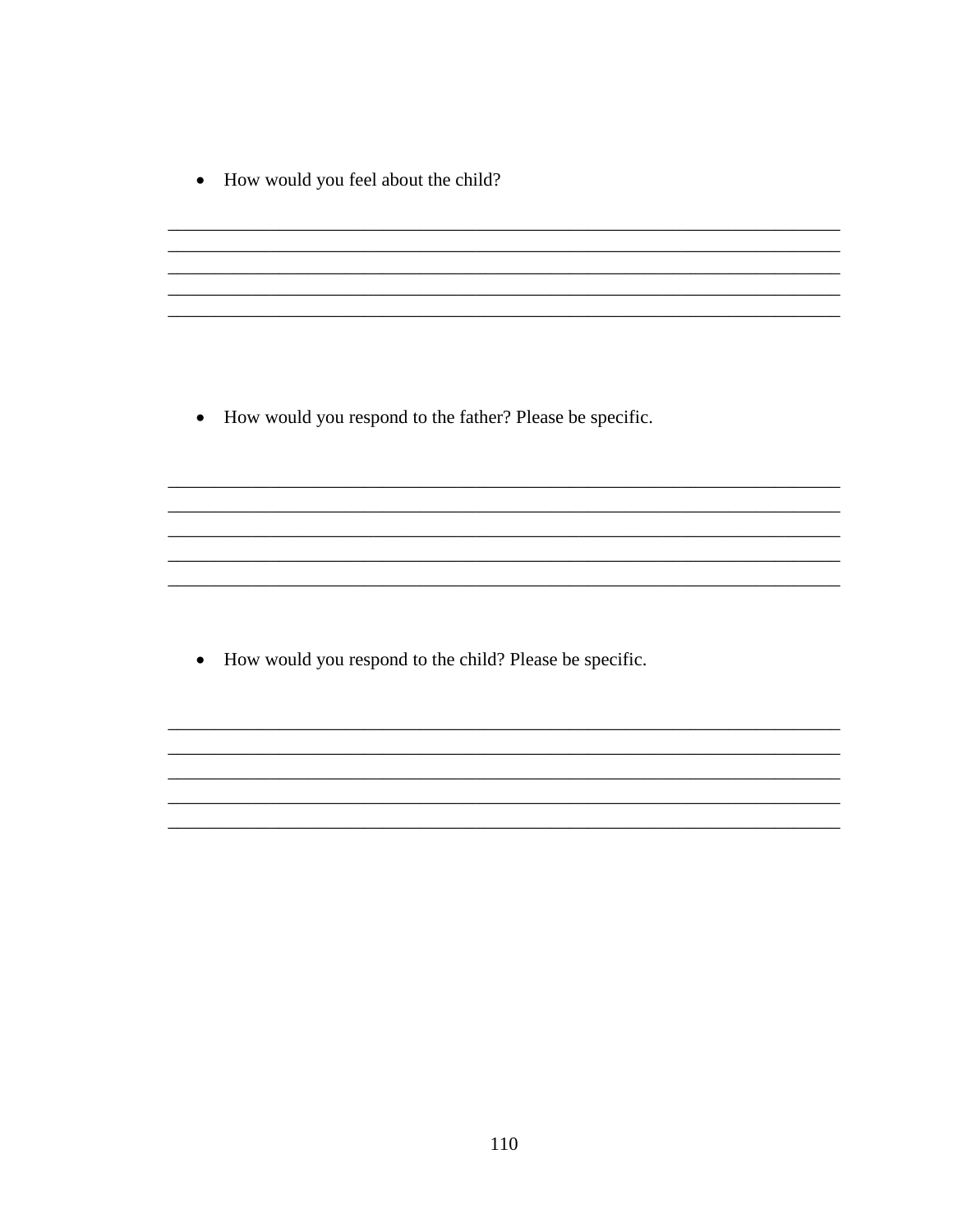• How would you feel about the child?

• How would you respond to the father? Please be specific.

How would you respond to the child? Please be specific.  $\bullet$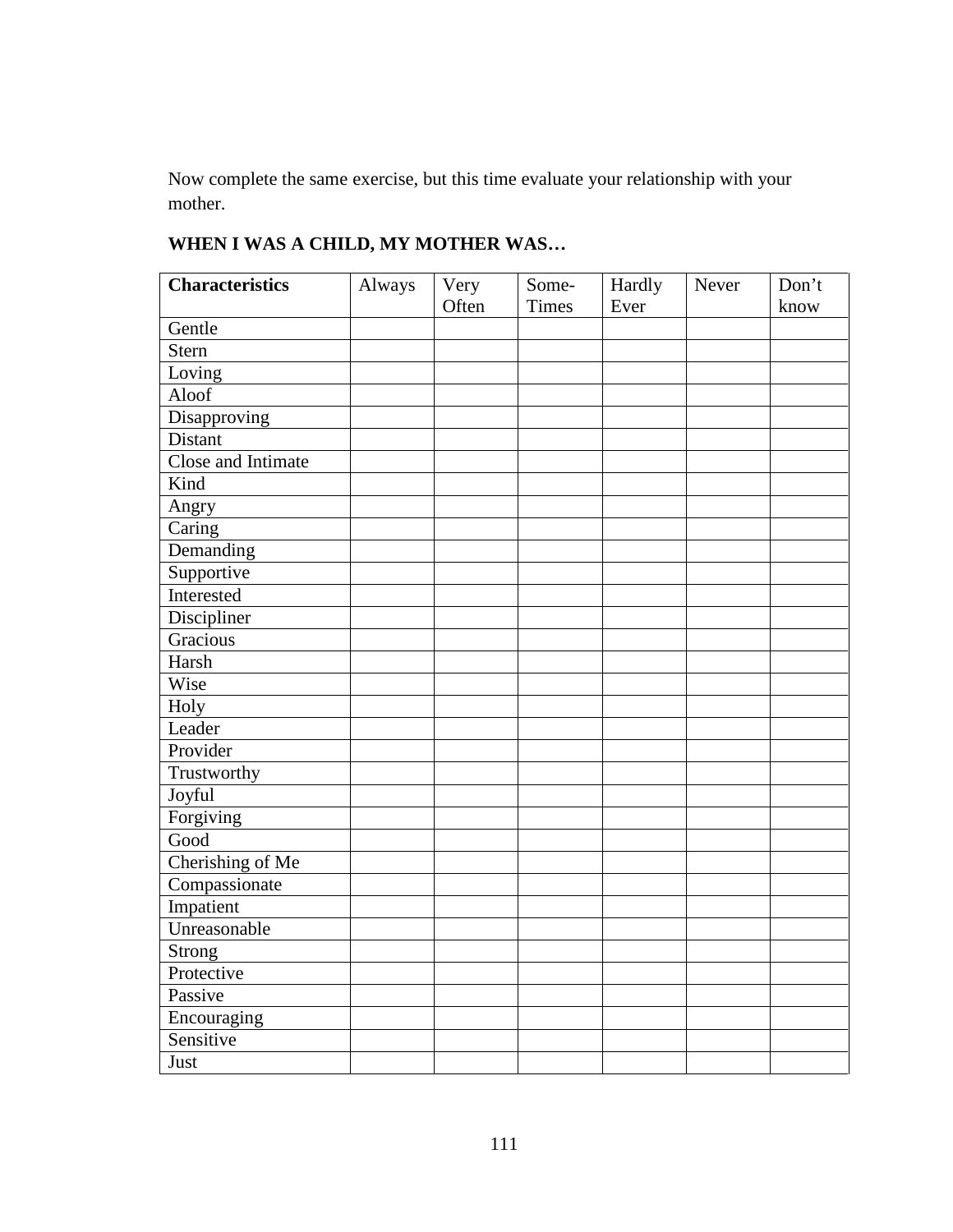Now complete the same exercise, but this time evaluate your relationship with your mother.

| <b>Characteristics</b> | Always | Very  | Some-        | Hardly | Never | Don't |
|------------------------|--------|-------|--------------|--------|-------|-------|
|                        |        | Often | <b>Times</b> | Ever   |       | know  |
| Gentle                 |        |       |              |        |       |       |
| Stern                  |        |       |              |        |       |       |
| Loving                 |        |       |              |        |       |       |
| Aloof                  |        |       |              |        |       |       |
| Disapproving           |        |       |              |        |       |       |
| Distant                |        |       |              |        |       |       |
| Close and Intimate     |        |       |              |        |       |       |
| Kind                   |        |       |              |        |       |       |
| Angry                  |        |       |              |        |       |       |
| Caring                 |        |       |              |        |       |       |
| Demanding              |        |       |              |        |       |       |
| Supportive             |        |       |              |        |       |       |
| Interested             |        |       |              |        |       |       |
| Discipliner            |        |       |              |        |       |       |
| Gracious               |        |       |              |        |       |       |
| Harsh                  |        |       |              |        |       |       |
| Wise                   |        |       |              |        |       |       |
| Holy                   |        |       |              |        |       |       |
| Leader                 |        |       |              |        |       |       |
| Provider               |        |       |              |        |       |       |
| Trustworthy            |        |       |              |        |       |       |
| Joyful                 |        |       |              |        |       |       |
| Forgiving              |        |       |              |        |       |       |
| Good                   |        |       |              |        |       |       |
| Cherishing of Me       |        |       |              |        |       |       |
| Compassionate          |        |       |              |        |       |       |
| Impatient              |        |       |              |        |       |       |
| Unreasonable           |        |       |              |        |       |       |
| Strong                 |        |       |              |        |       |       |
| Protective             |        |       |              |        |       |       |
| Passive                |        |       |              |        |       |       |
| Encouraging            |        |       |              |        |       |       |
| Sensitive              |        |       |              |        |       |       |
| Just                   |        |       |              |        |       |       |

# **WHEN I WAS A CHILD, MY MOTHER WAS…**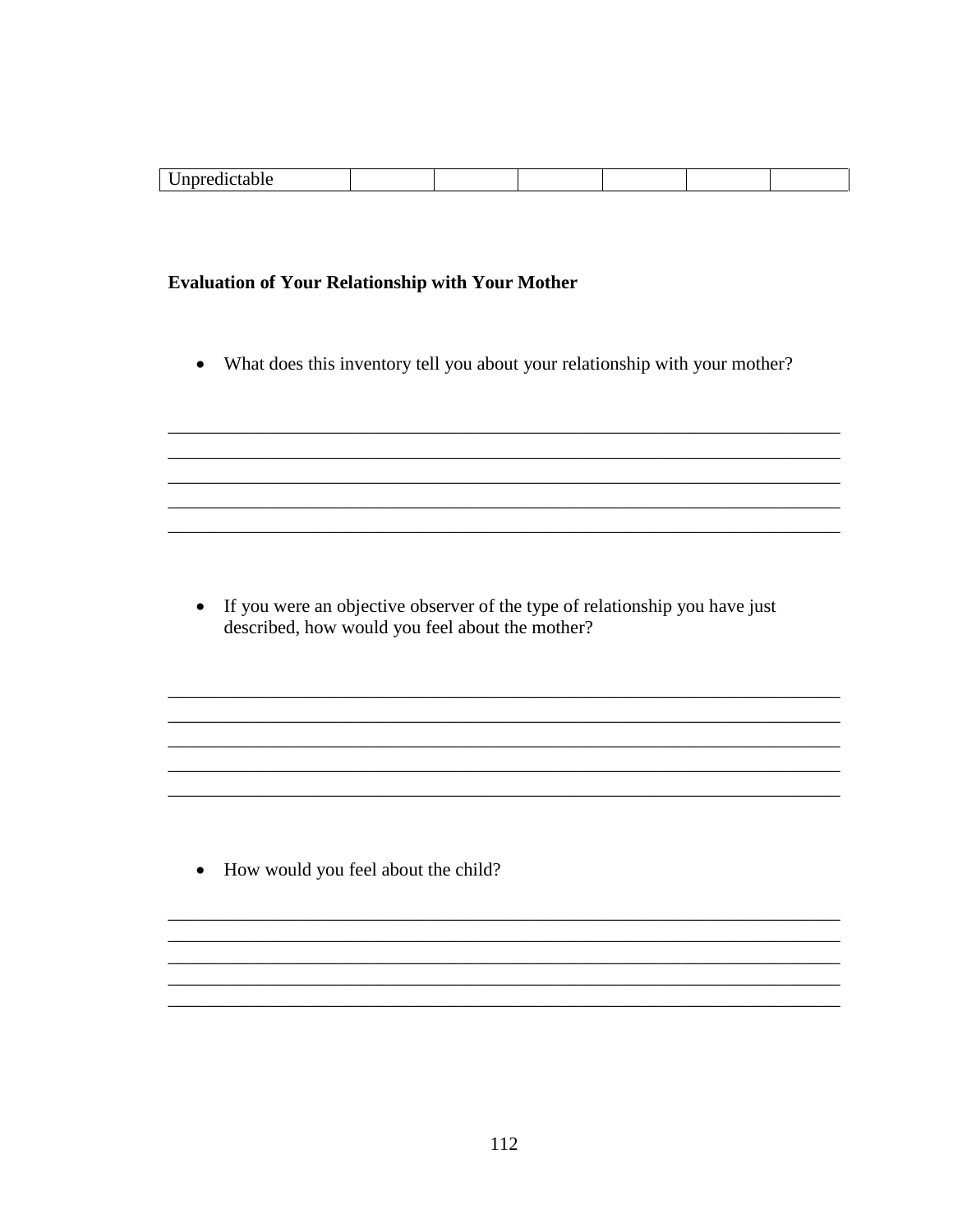| $\lambda$<br>-- |  |  |  |
|-----------------|--|--|--|
|                 |  |  |  |

# **Evaluation of Your Relationship with Your Mother**

What does this inventory tell you about your relationship with your mother?  $\bullet$ 

• If you were an objective observer of the type of relationship you have just described, how would you feel about the mother?

,我们也不能在这里的时候,我们也不能在这里的时候,我们也不能不能不能不能不能不能不能不能不能不能不能不能不能不能不能。""我们的是,我们也不能不能不能不能不能不

• How would you feel about the child?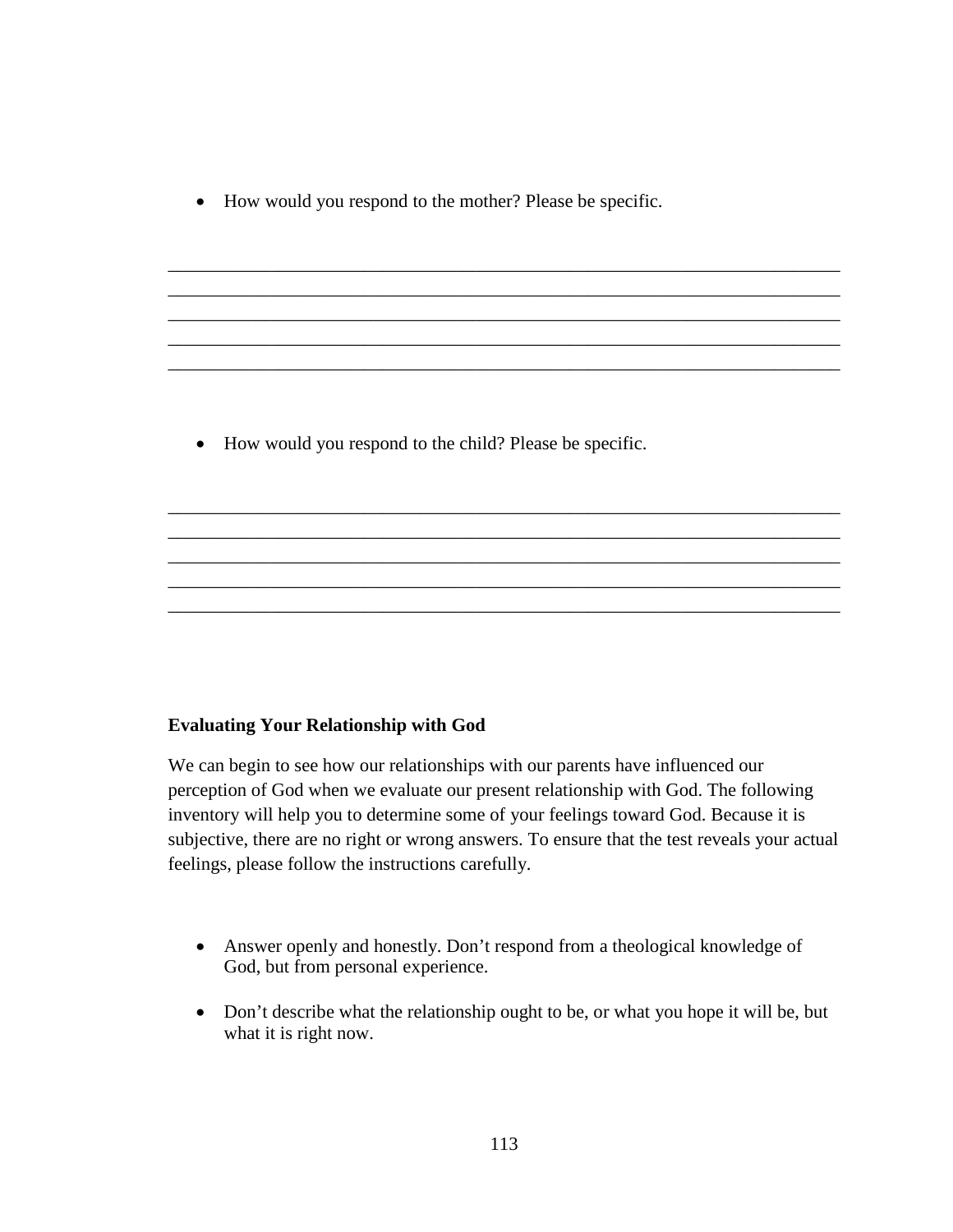• How would you respond to the mother? Please be specific.

\_\_\_\_\_\_\_\_\_\_\_\_\_\_\_\_\_\_\_\_\_\_\_\_\_\_\_\_\_\_\_\_\_\_\_\_\_\_\_\_\_\_\_\_\_\_\_\_\_\_\_\_\_\_\_\_\_\_\_\_\_\_\_\_\_\_\_\_\_\_\_\_ \_\_\_\_\_\_\_\_\_\_\_\_\_\_\_\_\_\_\_\_\_\_\_\_\_\_\_\_\_\_\_\_\_\_\_\_\_\_\_\_\_\_\_\_\_\_\_\_\_\_\_\_\_\_\_\_\_\_\_\_\_\_\_\_\_\_\_\_\_\_\_\_ \_\_\_\_\_\_\_\_\_\_\_\_\_\_\_\_\_\_\_\_\_\_\_\_\_\_\_\_\_\_\_\_\_\_\_\_\_\_\_\_\_\_\_\_\_\_\_\_\_\_\_\_\_\_\_\_\_\_\_\_\_\_\_\_\_\_\_\_\_\_\_\_ \_\_\_\_\_\_\_\_\_\_\_\_\_\_\_\_\_\_\_\_\_\_\_\_\_\_\_\_\_\_\_\_\_\_\_\_\_\_\_\_\_\_\_\_\_\_\_\_\_\_\_\_\_\_\_\_\_\_\_\_\_\_\_\_\_\_\_\_\_\_\_\_ \_\_\_\_\_\_\_\_\_\_\_\_\_\_\_\_\_\_\_\_\_\_\_\_\_\_\_\_\_\_\_\_\_\_\_\_\_\_\_\_\_\_\_\_\_\_\_\_\_\_\_\_\_\_\_\_\_\_\_\_\_\_\_\_\_\_\_\_\_\_\_\_

\_\_\_\_\_\_\_\_\_\_\_\_\_\_\_\_\_\_\_\_\_\_\_\_\_\_\_\_\_\_\_\_\_\_\_\_\_\_\_\_\_\_\_\_\_\_\_\_\_\_\_\_\_\_\_\_\_\_\_\_\_\_\_\_\_\_\_\_\_\_\_\_ \_\_\_\_\_\_\_\_\_\_\_\_\_\_\_\_\_\_\_\_\_\_\_\_\_\_\_\_\_\_\_\_\_\_\_\_\_\_\_\_\_\_\_\_\_\_\_\_\_\_\_\_\_\_\_\_\_\_\_\_\_\_\_\_\_\_\_\_\_\_\_\_ \_\_\_\_\_\_\_\_\_\_\_\_\_\_\_\_\_\_\_\_\_\_\_\_\_\_\_\_\_\_\_\_\_\_\_\_\_\_\_\_\_\_\_\_\_\_\_\_\_\_\_\_\_\_\_\_\_\_\_\_\_\_\_\_\_\_\_\_\_\_\_\_ \_\_\_\_\_\_\_\_\_\_\_\_\_\_\_\_\_\_\_\_\_\_\_\_\_\_\_\_\_\_\_\_\_\_\_\_\_\_\_\_\_\_\_\_\_\_\_\_\_\_\_\_\_\_\_\_\_\_\_\_\_\_\_\_\_\_\_\_\_\_\_\_ \_\_\_\_\_\_\_\_\_\_\_\_\_\_\_\_\_\_\_\_\_\_\_\_\_\_\_\_\_\_\_\_\_\_\_\_\_\_\_\_\_\_\_\_\_\_\_\_\_\_\_\_\_\_\_\_\_\_\_\_\_\_\_\_\_\_\_\_\_\_\_\_

• How would you respond to the child? Please be specific.

# **Evaluating Your Relationship with God**

We can begin to see how our relationships with our parents have influenced our perception of God when we evaluate our present relationship with God. The following inventory will help you to determine some of your feelings toward God. Because it is subjective, there are no right or wrong answers. To ensure that the test reveals your actual feelings, please follow the instructions carefully.

- Answer openly and honestly. Don't respond from a theological knowledge of God, but from personal experience.
- Don't describe what the relationship ought to be, or what you hope it will be, but what it is right now.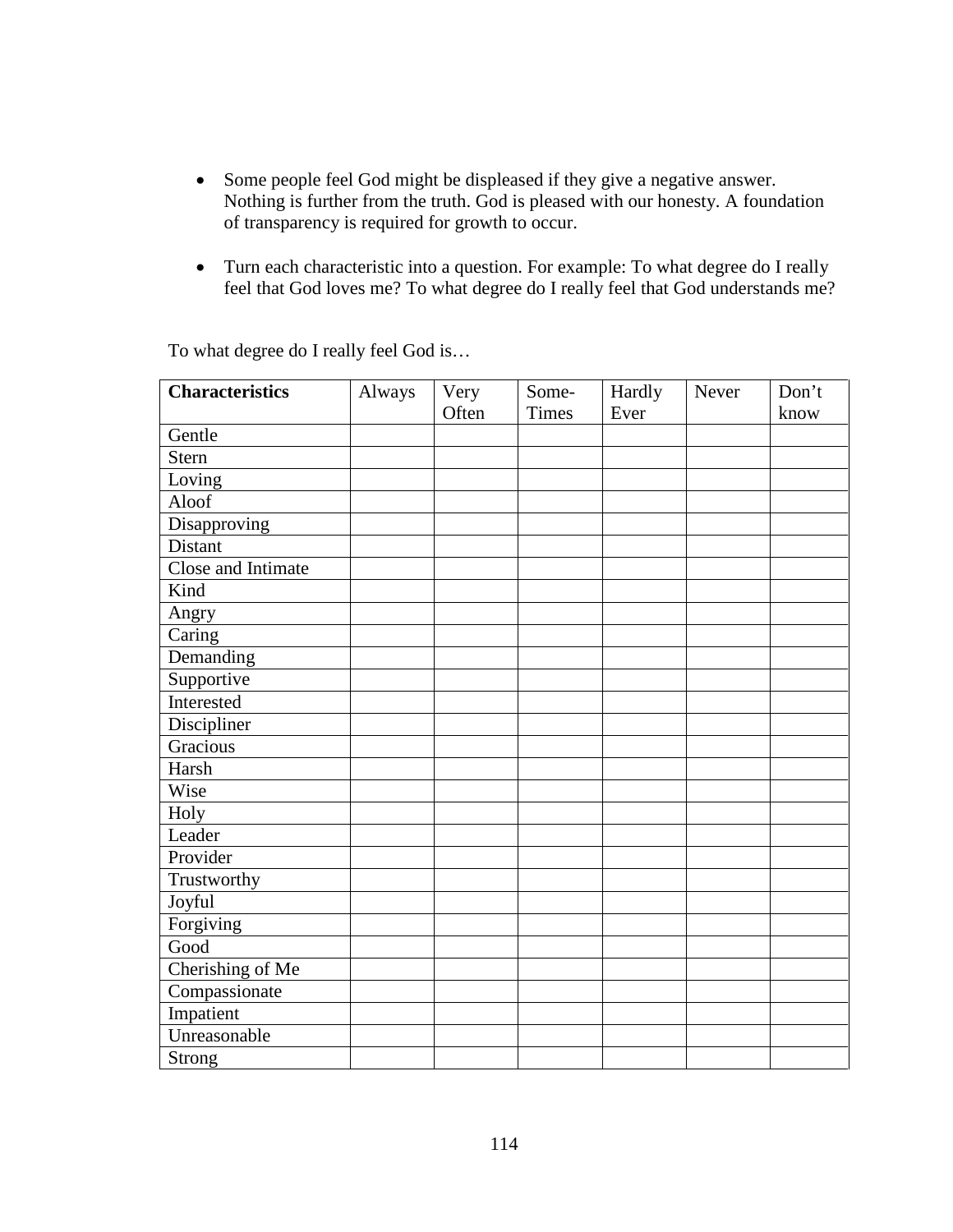- Some people feel God might be displeased if they give a negative answer. Nothing is further from the truth. God is pleased with our honesty. A foundation of transparency is required for growth to occur.
- Turn each characteristic into a question. For example: To what degree do I really feel that God loves me? To what degree do I really feel that God understands me?

| <b>Characteristics</b> | Always | Very  | Some-        | Hardly | Never | Don't |
|------------------------|--------|-------|--------------|--------|-------|-------|
|                        |        | Often | <b>Times</b> | Ever   |       | know  |
| Gentle                 |        |       |              |        |       |       |
| <b>Stern</b>           |        |       |              |        |       |       |
| Loving                 |        |       |              |        |       |       |
| Aloof                  |        |       |              |        |       |       |
| Disapproving           |        |       |              |        |       |       |
| Distant                |        |       |              |        |       |       |
| Close and Intimate     |        |       |              |        |       |       |
| Kind                   |        |       |              |        |       |       |
| Angry                  |        |       |              |        |       |       |
| Caring                 |        |       |              |        |       |       |
| Demanding              |        |       |              |        |       |       |
| Supportive             |        |       |              |        |       |       |
| Interested             |        |       |              |        |       |       |
| Discipliner            |        |       |              |        |       |       |
| Gracious               |        |       |              |        |       |       |
| Harsh                  |        |       |              |        |       |       |
| Wise                   |        |       |              |        |       |       |
| Holy                   |        |       |              |        |       |       |
| Leader                 |        |       |              |        |       |       |
| Provider               |        |       |              |        |       |       |
| Trustworthy            |        |       |              |        |       |       |
| Joyful                 |        |       |              |        |       |       |
| Forgiving              |        |       |              |        |       |       |
| Good                   |        |       |              |        |       |       |
| Cherishing of Me       |        |       |              |        |       |       |
| Compassionate          |        |       |              |        |       |       |
| Impatient              |        |       |              |        |       |       |
| Unreasonable           |        |       |              |        |       |       |
| Strong                 |        |       |              |        |       |       |

To what degree do I really feel God is…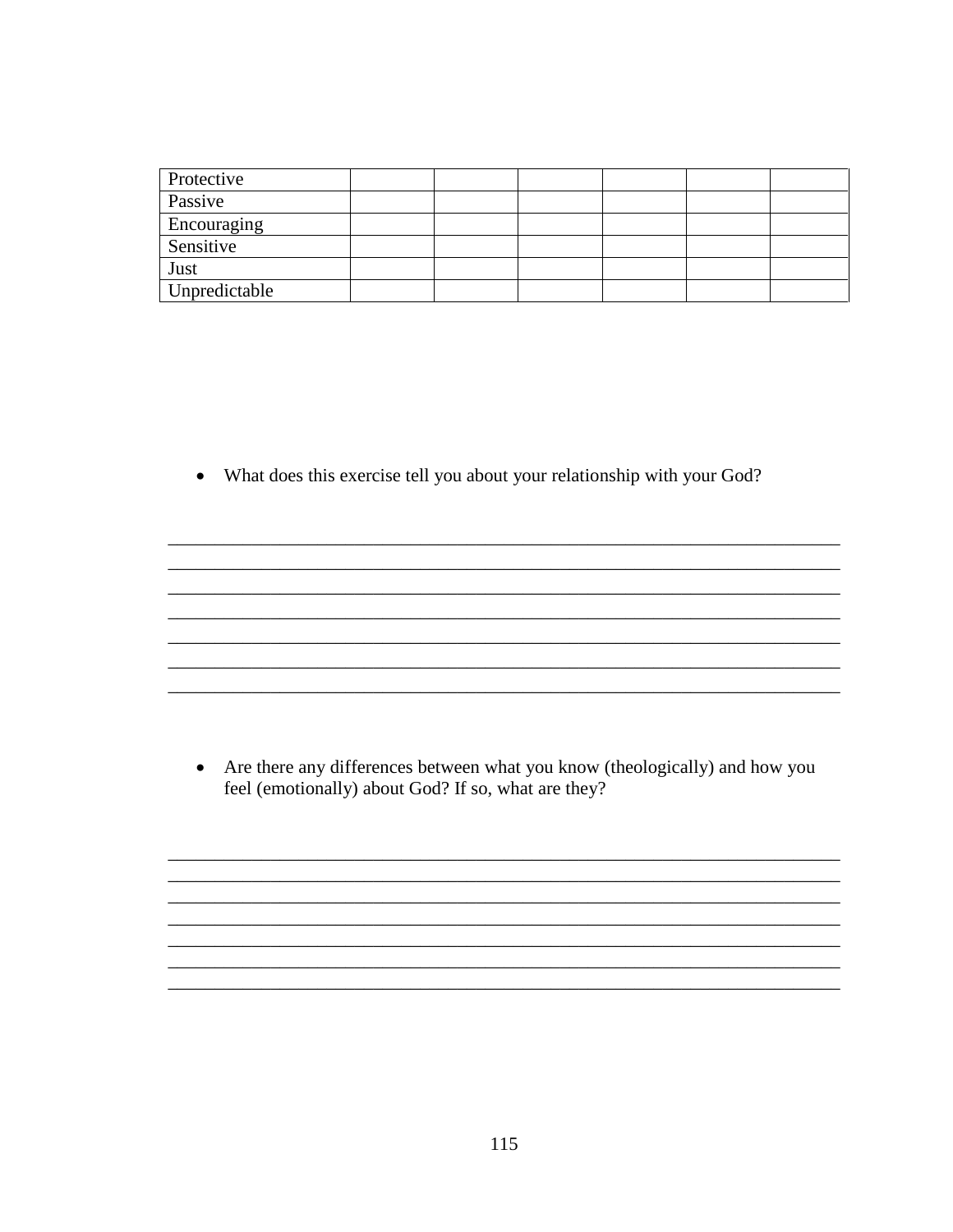| Protective    |  |  |  |
|---------------|--|--|--|
| Passive       |  |  |  |
| Encouraging   |  |  |  |
| Sensitive     |  |  |  |
| Just          |  |  |  |
| Unpredictable |  |  |  |

• What does this exercise tell you about your relationship with your God?

• Are there any differences between what you know (theologically) and how you feel (emotionally) about God? If so, what are they?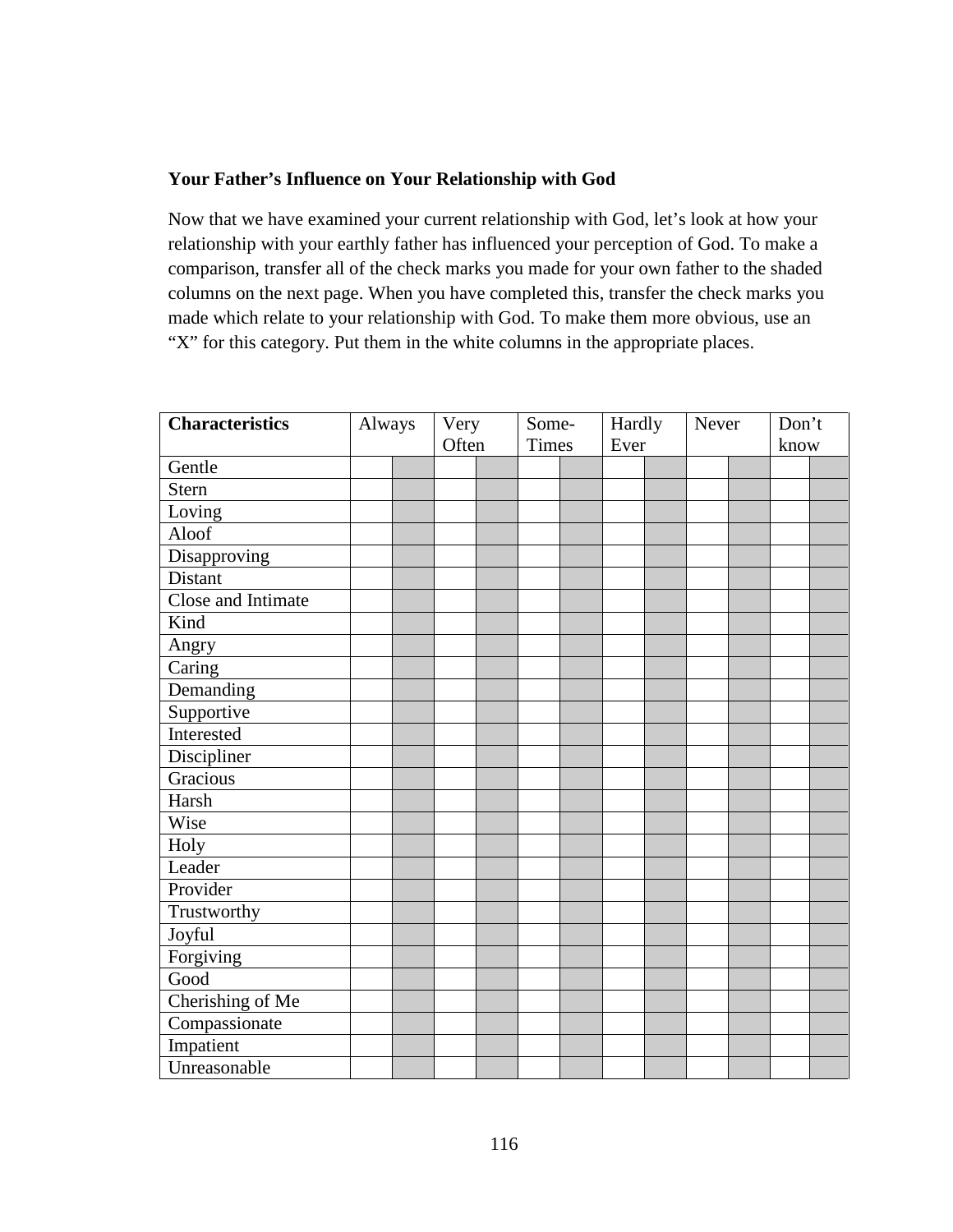# **Your Father's Influence on Your Relationship with God**

Now that we have examined your current relationship with God, let's look at how your relationship with your earthly father has influenced your perception of God. To make a comparison, transfer all of the check marks you made for your own father to the shaded columns on the next page. When you have completed this, transfer the check marks you made which relate to your relationship with God. To make them more obvious, use an "X" for this category. Put them in the white columns in the appropriate places.

| <b>Characteristics</b> | Always |  | Very  |  | Some-        |  | Hardly |  | Never |  | Don't |  |
|------------------------|--------|--|-------|--|--------------|--|--------|--|-------|--|-------|--|
|                        |        |  | Often |  | <b>Times</b> |  | Ever   |  |       |  | know  |  |
| Gentle                 |        |  |       |  |              |  |        |  |       |  |       |  |
| <b>Stern</b>           |        |  |       |  |              |  |        |  |       |  |       |  |
| Loving                 |        |  |       |  |              |  |        |  |       |  |       |  |
| Aloof                  |        |  |       |  |              |  |        |  |       |  |       |  |
| Disapproving           |        |  |       |  |              |  |        |  |       |  |       |  |
| <b>Distant</b>         |        |  |       |  |              |  |        |  |       |  |       |  |
| Close and Intimate     |        |  |       |  |              |  |        |  |       |  |       |  |
| Kind                   |        |  |       |  |              |  |        |  |       |  |       |  |
| Angry                  |        |  |       |  |              |  |        |  |       |  |       |  |
| Caring                 |        |  |       |  |              |  |        |  |       |  |       |  |
| Demanding              |        |  |       |  |              |  |        |  |       |  |       |  |
| Supportive             |        |  |       |  |              |  |        |  |       |  |       |  |
| Interested             |        |  |       |  |              |  |        |  |       |  |       |  |
| Discipliner            |        |  |       |  |              |  |        |  |       |  |       |  |
| Gracious               |        |  |       |  |              |  |        |  |       |  |       |  |
| Harsh                  |        |  |       |  |              |  |        |  |       |  |       |  |
| Wise                   |        |  |       |  |              |  |        |  |       |  |       |  |
| Holy                   |        |  |       |  |              |  |        |  |       |  |       |  |
| Leader                 |        |  |       |  |              |  |        |  |       |  |       |  |
| Provider               |        |  |       |  |              |  |        |  |       |  |       |  |
| Trustworthy            |        |  |       |  |              |  |        |  |       |  |       |  |
| Joyful                 |        |  |       |  |              |  |        |  |       |  |       |  |
| Forgiving              |        |  |       |  |              |  |        |  |       |  |       |  |
| Good                   |        |  |       |  |              |  |        |  |       |  |       |  |
| Cherishing of Me       |        |  |       |  |              |  |        |  |       |  |       |  |
| Compassionate          |        |  |       |  |              |  |        |  |       |  |       |  |
| Impatient              |        |  |       |  |              |  |        |  |       |  |       |  |
| Unreasonable           |        |  |       |  |              |  |        |  |       |  |       |  |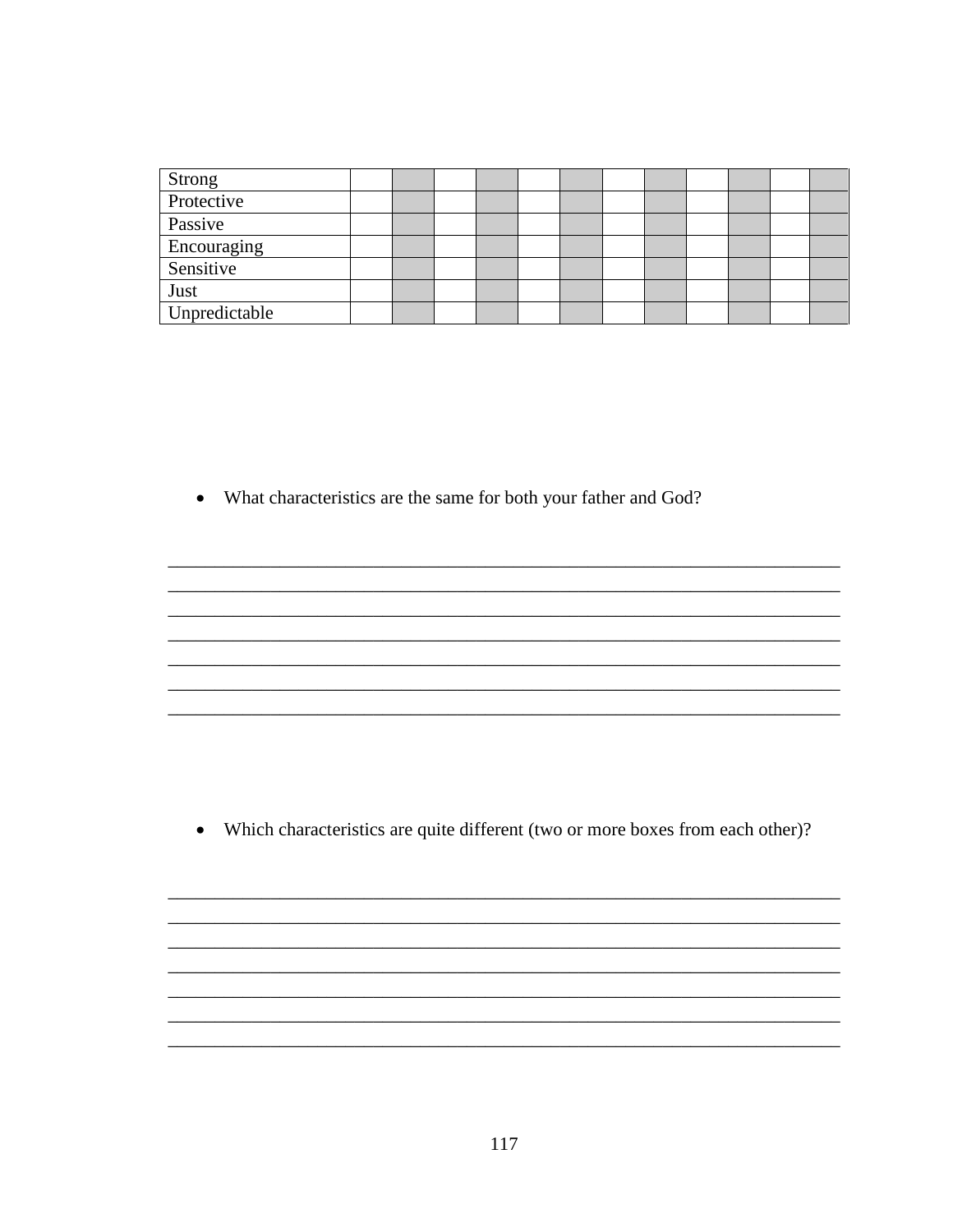| Strong<br>Protective |  |  |  |  |  |  |
|----------------------|--|--|--|--|--|--|
|                      |  |  |  |  |  |  |
| Passive              |  |  |  |  |  |  |
| Encouraging          |  |  |  |  |  |  |
| Sensitive            |  |  |  |  |  |  |
| Just                 |  |  |  |  |  |  |
| Unpredictable        |  |  |  |  |  |  |

• What characteristics are the same for both your father and God?

• Which characteristics are quite different (two or more boxes from each other)?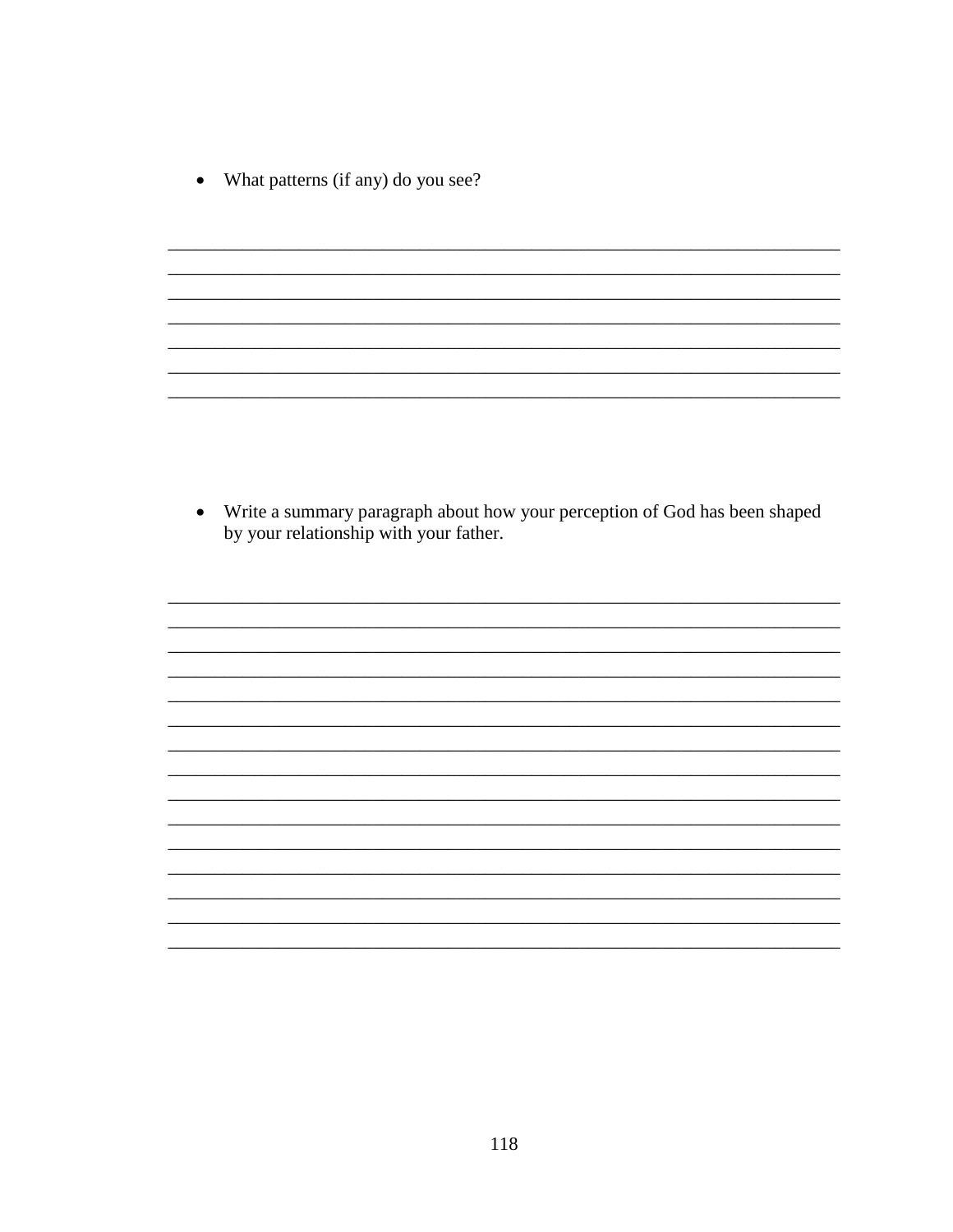What patterns (if any) do you see?  $\bullet$ 

• Write a summary paragraph about how your perception of God has been shaped by your relationship with your father.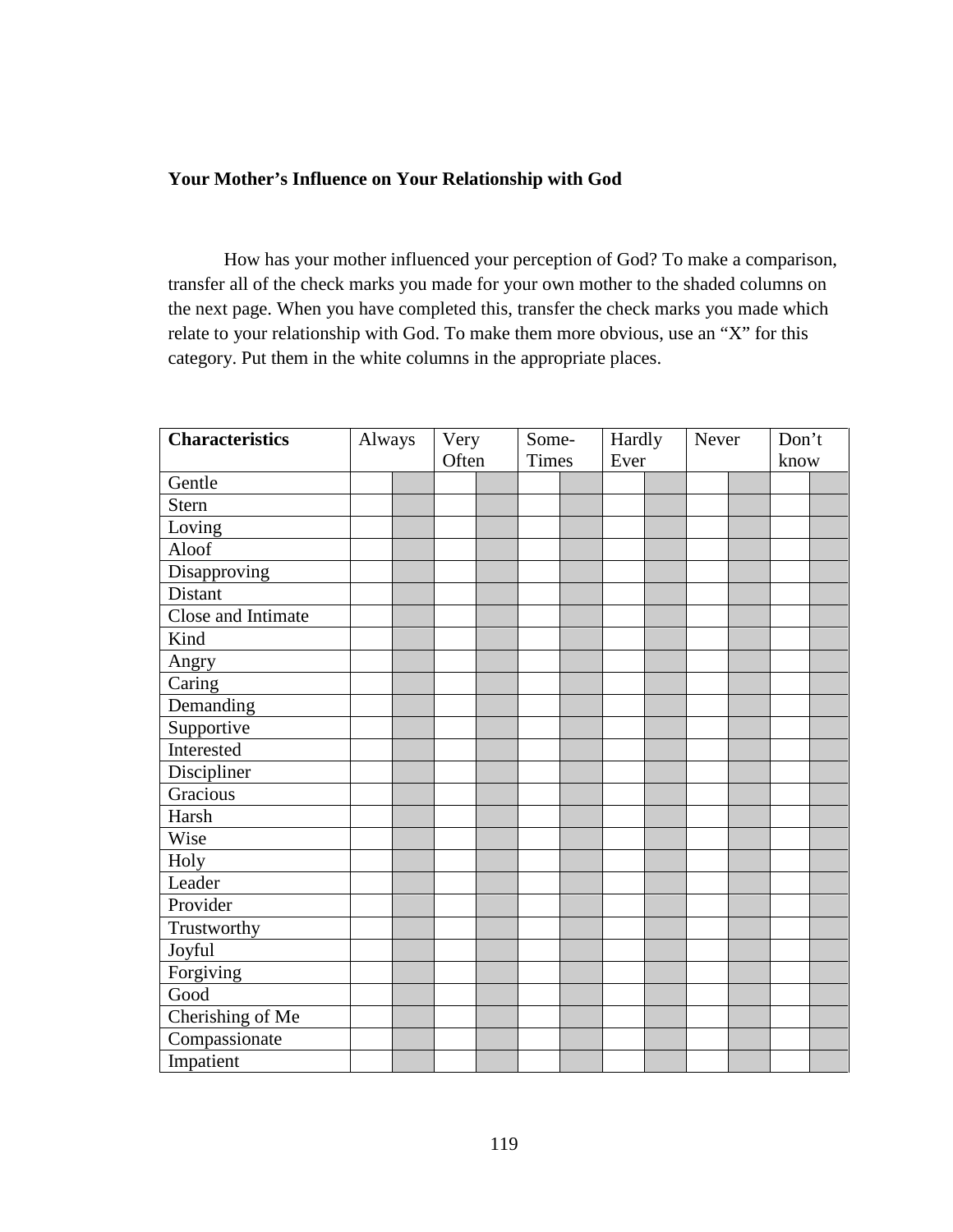# **Your Mother's Influence on Your Relationship with God**

 How has your mother influenced your perception of God? To make a comparison, transfer all of the check marks you made for your own mother to the shaded columns on the next page. When you have completed this, transfer the check marks you made which relate to your relationship with God. To make them more obvious, use an "X" for this category. Put them in the white columns in the appropriate places.

| <b>Characteristics</b> | Always |  | Very  |  | Some-        |  | Hardly |  | Never |  | Don't |  |
|------------------------|--------|--|-------|--|--------------|--|--------|--|-------|--|-------|--|
|                        |        |  | Often |  | <b>Times</b> |  | Ever   |  |       |  | know  |  |
| Gentle                 |        |  |       |  |              |  |        |  |       |  |       |  |
| Stern                  |        |  |       |  |              |  |        |  |       |  |       |  |
| Loving                 |        |  |       |  |              |  |        |  |       |  |       |  |
| Aloof                  |        |  |       |  |              |  |        |  |       |  |       |  |
| Disapproving           |        |  |       |  |              |  |        |  |       |  |       |  |
| Distant                |        |  |       |  |              |  |        |  |       |  |       |  |
| Close and Intimate     |        |  |       |  |              |  |        |  |       |  |       |  |
| Kind                   |        |  |       |  |              |  |        |  |       |  |       |  |
| Angry                  |        |  |       |  |              |  |        |  |       |  |       |  |
| Caring                 |        |  |       |  |              |  |        |  |       |  |       |  |
| Demanding              |        |  |       |  |              |  |        |  |       |  |       |  |
| Supportive             |        |  |       |  |              |  |        |  |       |  |       |  |
| Interested             |        |  |       |  |              |  |        |  |       |  |       |  |
| Discipliner            |        |  |       |  |              |  |        |  |       |  |       |  |
| Gracious               |        |  |       |  |              |  |        |  |       |  |       |  |
| Harsh                  |        |  |       |  |              |  |        |  |       |  |       |  |
| Wise                   |        |  |       |  |              |  |        |  |       |  |       |  |
| Holy                   |        |  |       |  |              |  |        |  |       |  |       |  |
| Leader                 |        |  |       |  |              |  |        |  |       |  |       |  |
| Provider               |        |  |       |  |              |  |        |  |       |  |       |  |
| Trustworthy            |        |  |       |  |              |  |        |  |       |  |       |  |
| Joyful                 |        |  |       |  |              |  |        |  |       |  |       |  |
| Forgiving              |        |  |       |  |              |  |        |  |       |  |       |  |
| Good                   |        |  |       |  |              |  |        |  |       |  |       |  |
| Cherishing of Me       |        |  |       |  |              |  |        |  |       |  |       |  |
| Compassionate          |        |  |       |  |              |  |        |  |       |  |       |  |
| Impatient              |        |  |       |  |              |  |        |  |       |  |       |  |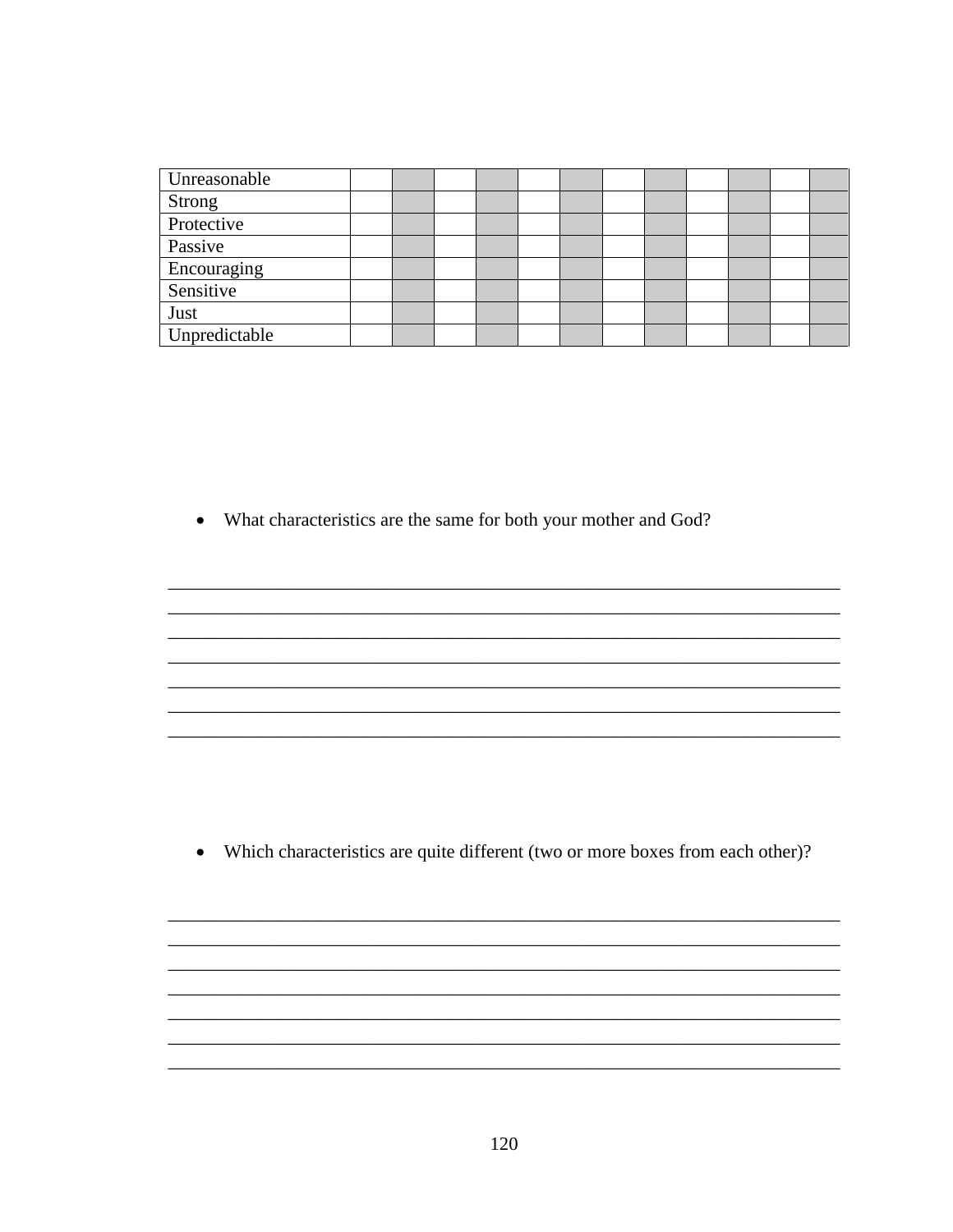| Unreasonable  |  |  |  |  |  |  |
|---------------|--|--|--|--|--|--|
| Strong        |  |  |  |  |  |  |
| Protective    |  |  |  |  |  |  |
| Passive       |  |  |  |  |  |  |
| Encouraging   |  |  |  |  |  |  |
| Sensitive     |  |  |  |  |  |  |
| Just          |  |  |  |  |  |  |
| Unpredictable |  |  |  |  |  |  |

• What characteristics are the same for both your mother and God?

• Which characteristics are quite different (two or more boxes from each other)?

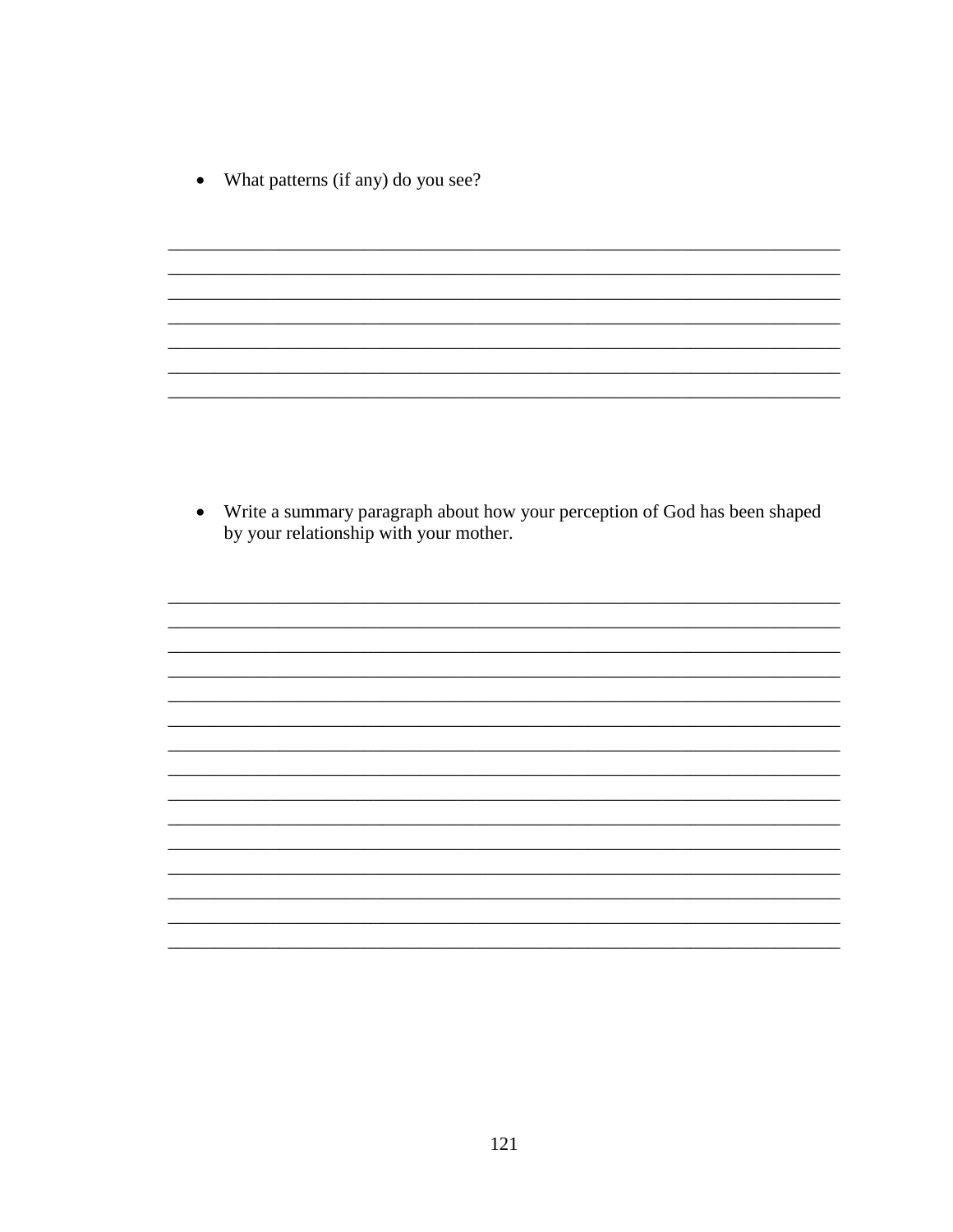What patterns (if any) do you see?  $\bullet$ 

• Write a summary paragraph about how your perception of God has been shaped by your relationship with your mother.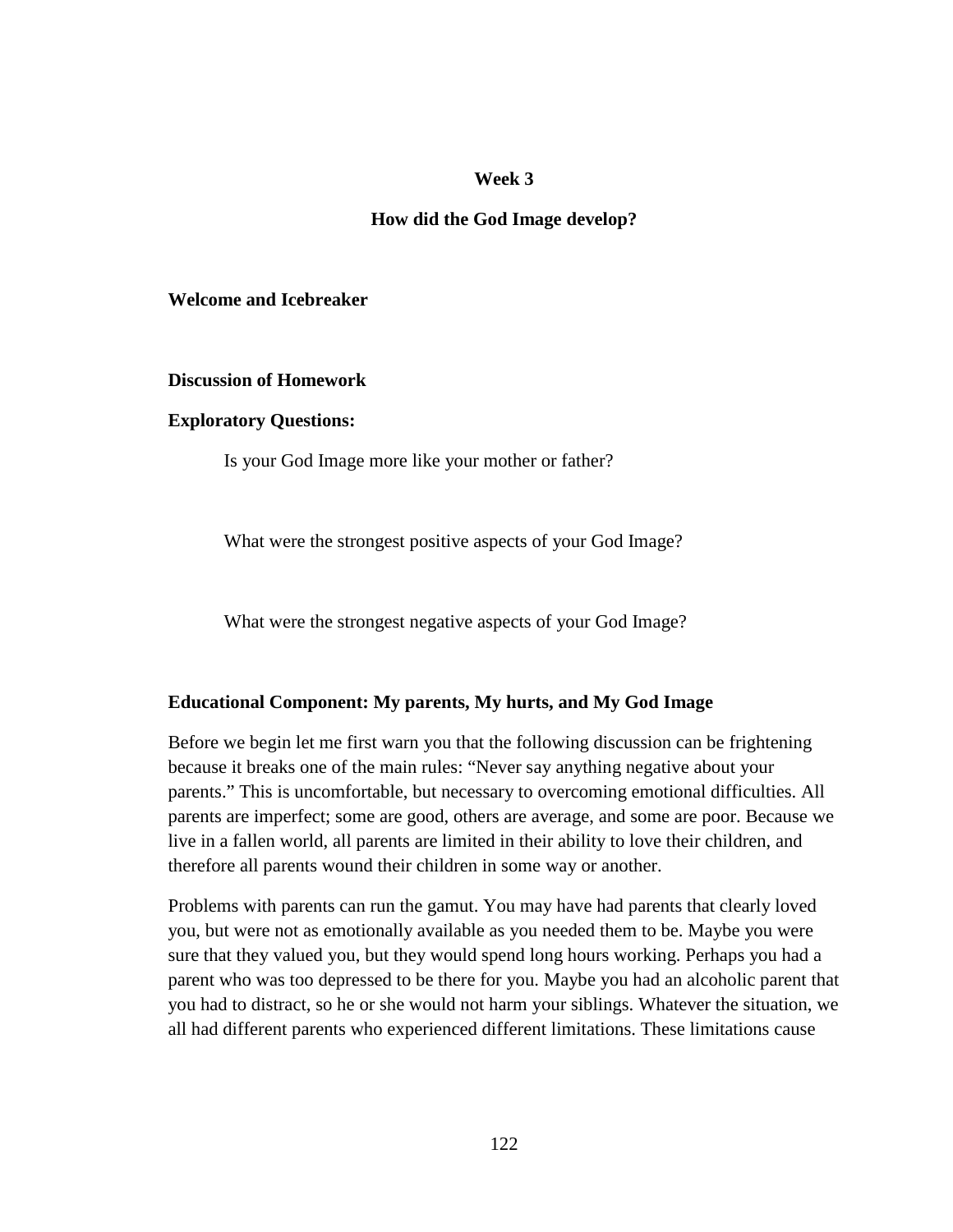#### **Week 3**

#### **How did the God Image develop?**

#### **Welcome and Icebreaker**

#### **Discussion of Homework**

#### **Exploratory Questions:**

Is your God Image more like your mother or father?

What were the strongest positive aspects of your God Image?

What were the strongest negative aspects of your God Image?

#### **Educational Component: My parents, My hurts, and My God Image**

Before we begin let me first warn you that the following discussion can be frightening because it breaks one of the main rules: "Never say anything negative about your parents." This is uncomfortable, but necessary to overcoming emotional difficulties. All parents are imperfect; some are good, others are average, and some are poor. Because we live in a fallen world, all parents are limited in their ability to love their children, and therefore all parents wound their children in some way or another.

Problems with parents can run the gamut. You may have had parents that clearly loved you, but were not as emotionally available as you needed them to be. Maybe you were sure that they valued you, but they would spend long hours working. Perhaps you had a parent who was too depressed to be there for you. Maybe you had an alcoholic parent that you had to distract, so he or she would not harm your siblings. Whatever the situation, we all had different parents who experienced different limitations. These limitations cause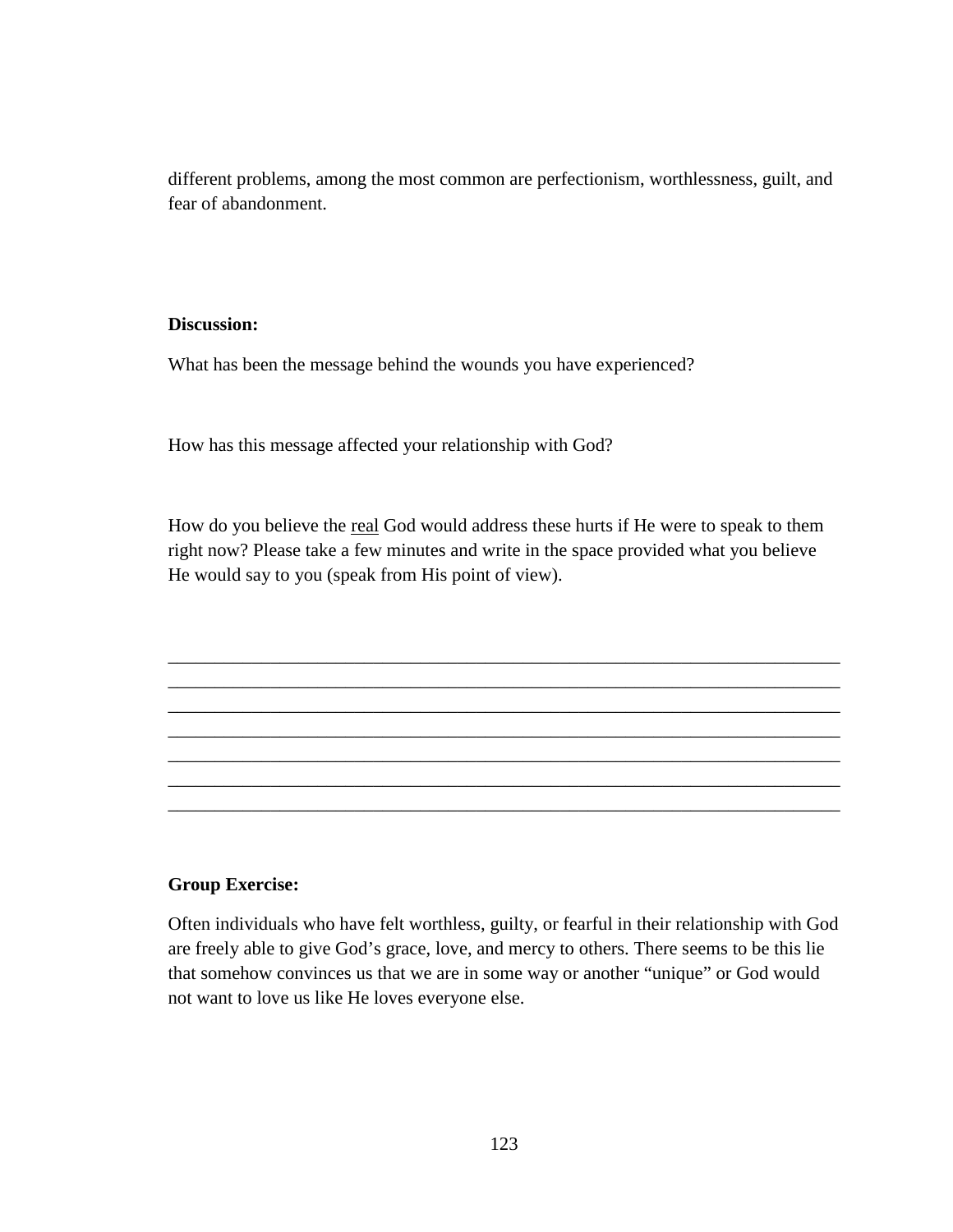different problems, among the most common are perfectionism, worthlessness, guilt, and fear of abandonment.

#### **Discussion:**

What has been the message behind the wounds you have experienced?

How has this message affected your relationship with God?

How do you believe the real God would address these hurts if He were to speak to them right now? Please take a few minutes and write in the space provided what you believe He would say to you (speak from His point of view).

\_\_\_\_\_\_\_\_\_\_\_\_\_\_\_\_\_\_\_\_\_\_\_\_\_\_\_\_\_\_\_\_\_\_\_\_\_\_\_\_\_\_\_\_\_\_\_\_\_\_\_\_\_\_\_\_\_\_\_\_\_\_\_\_\_\_\_\_\_\_\_\_ \_\_\_\_\_\_\_\_\_\_\_\_\_\_\_\_\_\_\_\_\_\_\_\_\_\_\_\_\_\_\_\_\_\_\_\_\_\_\_\_\_\_\_\_\_\_\_\_\_\_\_\_\_\_\_\_\_\_\_\_\_\_\_\_\_\_\_\_\_\_\_\_ \_\_\_\_\_\_\_\_\_\_\_\_\_\_\_\_\_\_\_\_\_\_\_\_\_\_\_\_\_\_\_\_\_\_\_\_\_\_\_\_\_\_\_\_\_\_\_\_\_\_\_\_\_\_\_\_\_\_\_\_\_\_\_\_\_\_\_\_\_\_\_\_ \_\_\_\_\_\_\_\_\_\_\_\_\_\_\_\_\_\_\_\_\_\_\_\_\_\_\_\_\_\_\_\_\_\_\_\_\_\_\_\_\_\_\_\_\_\_\_\_\_\_\_\_\_\_\_\_\_\_\_\_\_\_\_\_\_\_\_\_\_\_\_\_ \_\_\_\_\_\_\_\_\_\_\_\_\_\_\_\_\_\_\_\_\_\_\_\_\_\_\_\_\_\_\_\_\_\_\_\_\_\_\_\_\_\_\_\_\_\_\_\_\_\_\_\_\_\_\_\_\_\_\_\_\_\_\_\_\_\_\_\_\_\_\_\_ \_\_\_\_\_\_\_\_\_\_\_\_\_\_\_\_\_\_\_\_\_\_\_\_\_\_\_\_\_\_\_\_\_\_\_\_\_\_\_\_\_\_\_\_\_\_\_\_\_\_\_\_\_\_\_\_\_\_\_\_\_\_\_\_\_\_\_\_\_\_\_\_ \_\_\_\_\_\_\_\_\_\_\_\_\_\_\_\_\_\_\_\_\_\_\_\_\_\_\_\_\_\_\_\_\_\_\_\_\_\_\_\_\_\_\_\_\_\_\_\_\_\_\_\_\_\_\_\_\_\_\_\_\_\_\_\_\_\_\_\_\_\_\_\_

#### **Group Exercise:**

Often individuals who have felt worthless, guilty, or fearful in their relationship with God are freely able to give God's grace, love, and mercy to others. There seems to be this lie that somehow convinces us that we are in some way or another "unique" or God would not want to love us like He loves everyone else.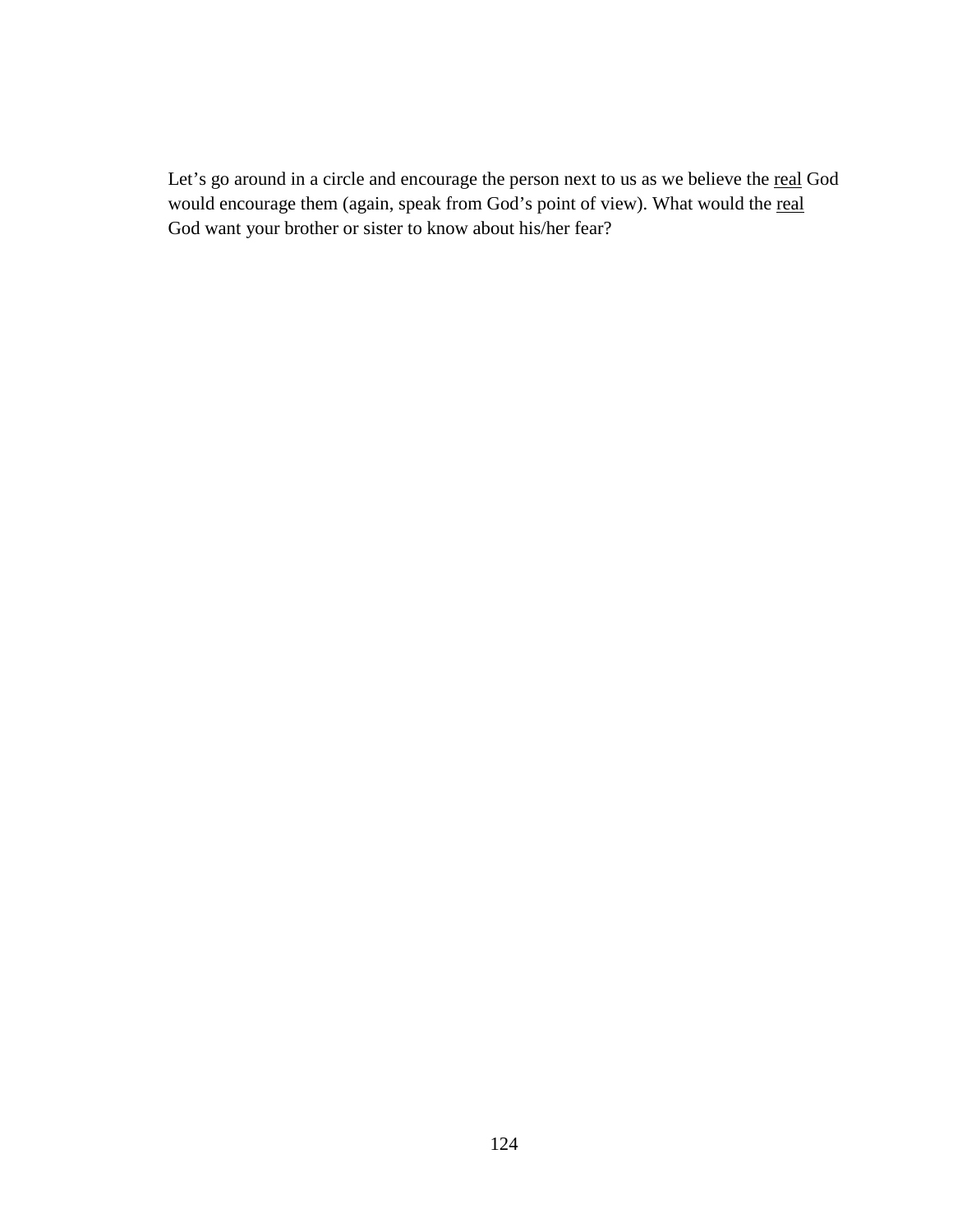Let's go around in a circle and encourage the person next to us as we believe the real God would encourage them (again, speak from God's point of view). What would the real God want your brother or sister to know about his/her fear?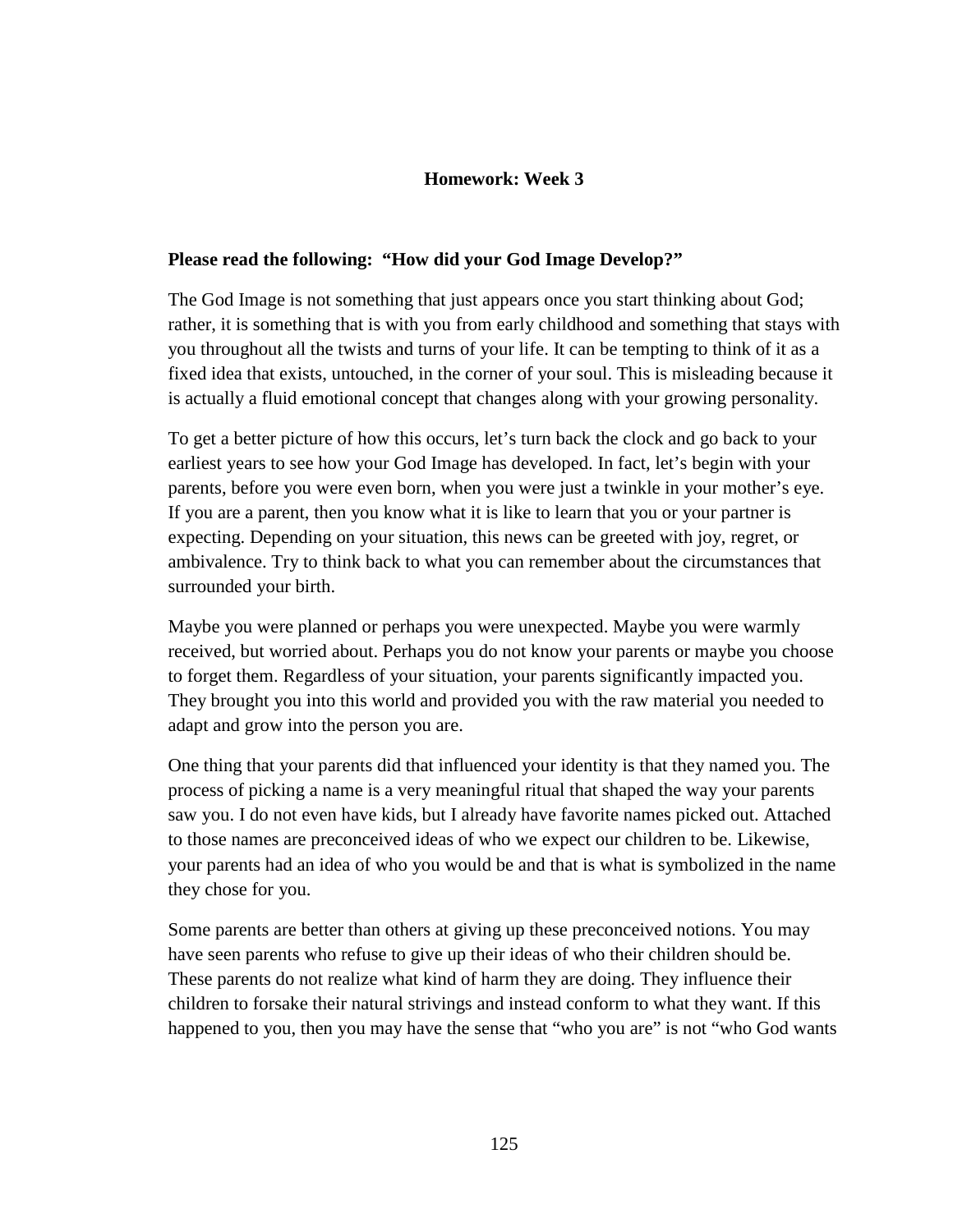# **Homework: Week 3**

#### **Please read the following: "How did your God Image Develop?"**

The God Image is not something that just appears once you start thinking about God; rather, it is something that is with you from early childhood and something that stays with you throughout all the twists and turns of your life. It can be tempting to think of it as a fixed idea that exists, untouched, in the corner of your soul. This is misleading because it is actually a fluid emotional concept that changes along with your growing personality.

To get a better picture of how this occurs, let's turn back the clock and go back to your earliest years to see how your God Image has developed. In fact, let's begin with your parents, before you were even born, when you were just a twinkle in your mother's eye. If you are a parent, then you know what it is like to learn that you or your partner is expecting. Depending on your situation, this news can be greeted with joy, regret, or ambivalence. Try to think back to what you can remember about the circumstances that surrounded your birth.

Maybe you were planned or perhaps you were unexpected. Maybe you were warmly received, but worried about. Perhaps you do not know your parents or maybe you choose to forget them. Regardless of your situation, your parents significantly impacted you. They brought you into this world and provided you with the raw material you needed to adapt and grow into the person you are.

One thing that your parents did that influenced your identity is that they named you. The process of picking a name is a very meaningful ritual that shaped the way your parents saw you. I do not even have kids, but I already have favorite names picked out. Attached to those names are preconceived ideas of who we expect our children to be. Likewise, your parents had an idea of who you would be and that is what is symbolized in the name they chose for you.

Some parents are better than others at giving up these preconceived notions. You may have seen parents who refuse to give up their ideas of who their children should be. These parents do not realize what kind of harm they are doing. They influence their children to forsake their natural strivings and instead conform to what they want. If this happened to you, then you may have the sense that "who you are" is not "who God wants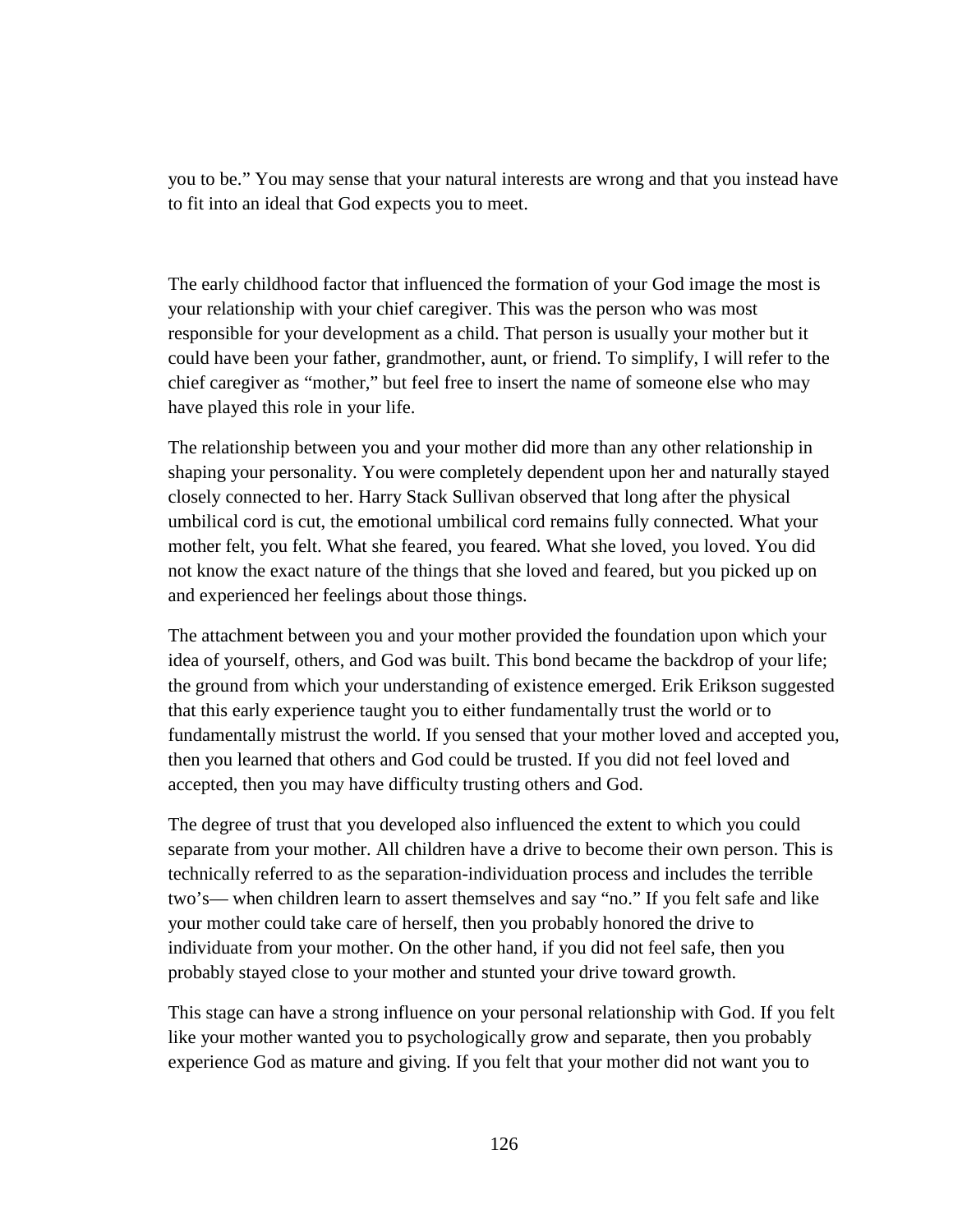you to be." You may sense that your natural interests are wrong and that you instead have to fit into an ideal that God expects you to meet.

The early childhood factor that influenced the formation of your God image the most is your relationship with your chief caregiver. This was the person who was most responsible for your development as a child. That person is usually your mother but it could have been your father, grandmother, aunt, or friend. To simplify, I will refer to the chief caregiver as "mother," but feel free to insert the name of someone else who may have played this role in your life.

The relationship between you and your mother did more than any other relationship in shaping your personality. You were completely dependent upon her and naturally stayed closely connected to her. Harry Stack Sullivan observed that long after the physical umbilical cord is cut, the emotional umbilical cord remains fully connected. What your mother felt, you felt. What she feared, you feared. What she loved, you loved. You did not know the exact nature of the things that she loved and feared, but you picked up on and experienced her feelings about those things.

The attachment between you and your mother provided the foundation upon which your idea of yourself, others, and God was built. This bond became the backdrop of your life; the ground from which your understanding of existence emerged. Erik Erikson suggested that this early experience taught you to either fundamentally trust the world or to fundamentally mistrust the world. If you sensed that your mother loved and accepted you, then you learned that others and God could be trusted. If you did not feel loved and accepted, then you may have difficulty trusting others and God.

The degree of trust that you developed also influenced the extent to which you could separate from your mother. All children have a drive to become their own person. This is technically referred to as the separation-individuation process and includes the terrible two's— when children learn to assert themselves and say "no." If you felt safe and like your mother could take care of herself, then you probably honored the drive to individuate from your mother. On the other hand, if you did not feel safe, then you probably stayed close to your mother and stunted your drive toward growth.

This stage can have a strong influence on your personal relationship with God. If you felt like your mother wanted you to psychologically grow and separate, then you probably experience God as mature and giving. If you felt that your mother did not want you to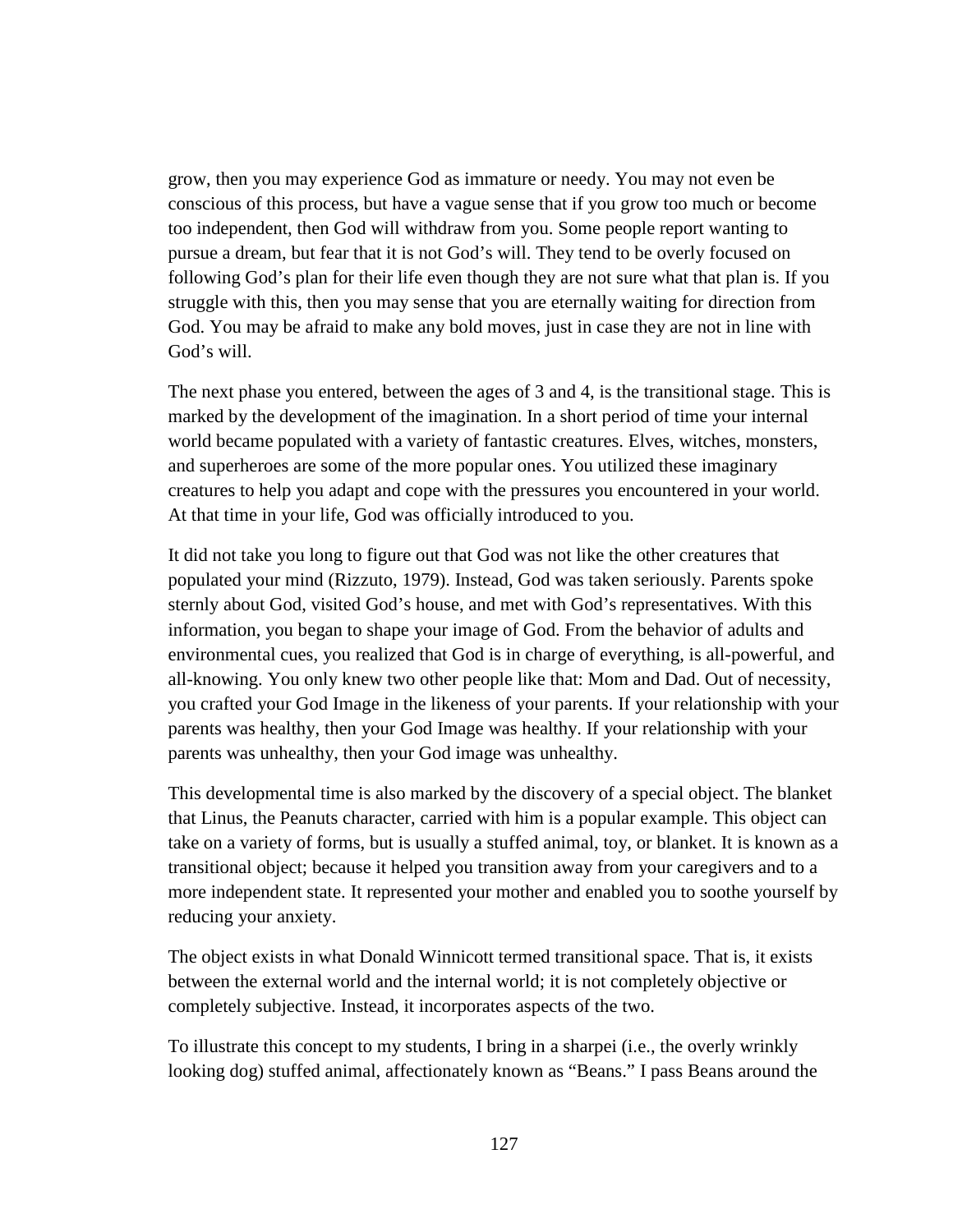grow, then you may experience God as immature or needy. You may not even be conscious of this process, but have a vague sense that if you grow too much or become too independent, then God will withdraw from you. Some people report wanting to pursue a dream, but fear that it is not God's will. They tend to be overly focused on following God's plan for their life even though they are not sure what that plan is. If you struggle with this, then you may sense that you are eternally waiting for direction from God. You may be afraid to make any bold moves, just in case they are not in line with God's will.

The next phase you entered, between the ages of 3 and 4, is the transitional stage. This is marked by the development of the imagination. In a short period of time your internal world became populated with a variety of fantastic creatures. Elves, witches, monsters, and superheroes are some of the more popular ones. You utilized these imaginary creatures to help you adapt and cope with the pressures you encountered in your world. At that time in your life, God was officially introduced to you.

It did not take you long to figure out that God was not like the other creatures that populated your mind (Rizzuto, 1979). Instead, God was taken seriously. Parents spoke sternly about God, visited God's house, and met with God's representatives. With this information, you began to shape your image of God. From the behavior of adults and environmental cues, you realized that God is in charge of everything, is all-powerful, and all-knowing. You only knew two other people like that: Mom and Dad. Out of necessity, you crafted your God Image in the likeness of your parents. If your relationship with your parents was healthy, then your God Image was healthy. If your relationship with your parents was unhealthy, then your God image was unhealthy.

This developmental time is also marked by the discovery of a special object. The blanket that Linus, the Peanuts character, carried with him is a popular example. This object can take on a variety of forms, but is usually a stuffed animal, toy, or blanket. It is known as a transitional object; because it helped you transition away from your caregivers and to a more independent state. It represented your mother and enabled you to soothe yourself by reducing your anxiety.

The object exists in what Donald Winnicott termed transitional space. That is, it exists between the external world and the internal world; it is not completely objective or completely subjective. Instead, it incorporates aspects of the two.

To illustrate this concept to my students, I bring in a sharpei (i.e., the overly wrinkly looking dog) stuffed animal, affectionately known as "Beans." I pass Beans around the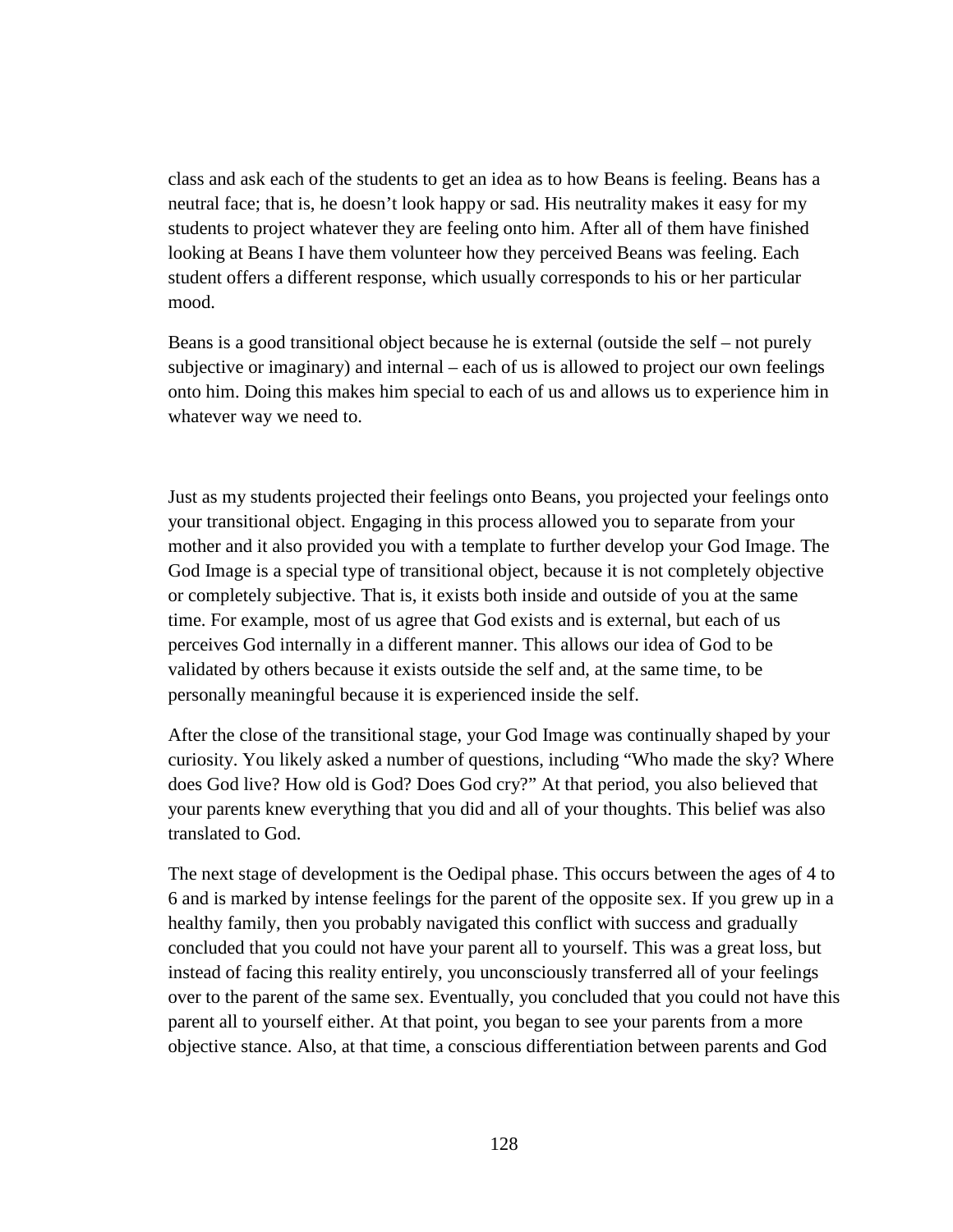class and ask each of the students to get an idea as to how Beans is feeling. Beans has a neutral face; that is, he doesn't look happy or sad. His neutrality makes it easy for my students to project whatever they are feeling onto him. After all of them have finished looking at Beans I have them volunteer how they perceived Beans was feeling. Each student offers a different response, which usually corresponds to his or her particular mood.

Beans is a good transitional object because he is external (outside the self – not purely subjective or imaginary) and internal – each of us is allowed to project our own feelings onto him. Doing this makes him special to each of us and allows us to experience him in whatever way we need to.

Just as my students projected their feelings onto Beans, you projected your feelings onto your transitional object. Engaging in this process allowed you to separate from your mother and it also provided you with a template to further develop your God Image. The God Image is a special type of transitional object, because it is not completely objective or completely subjective. That is, it exists both inside and outside of you at the same time. For example, most of us agree that God exists and is external, but each of us perceives God internally in a different manner. This allows our idea of God to be validated by others because it exists outside the self and, at the same time, to be personally meaningful because it is experienced inside the self.

After the close of the transitional stage, your God Image was continually shaped by your curiosity. You likely asked a number of questions, including "Who made the sky? Where does God live? How old is God? Does God cry?" At that period, you also believed that your parents knew everything that you did and all of your thoughts. This belief was also translated to God.

The next stage of development is the Oedipal phase. This occurs between the ages of 4 to 6 and is marked by intense feelings for the parent of the opposite sex. If you grew up in a healthy family, then you probably navigated this conflict with success and gradually concluded that you could not have your parent all to yourself. This was a great loss, but instead of facing this reality entirely, you unconsciously transferred all of your feelings over to the parent of the same sex. Eventually, you concluded that you could not have this parent all to yourself either. At that point, you began to see your parents from a more objective stance. Also, at that time, a conscious differentiation between parents and God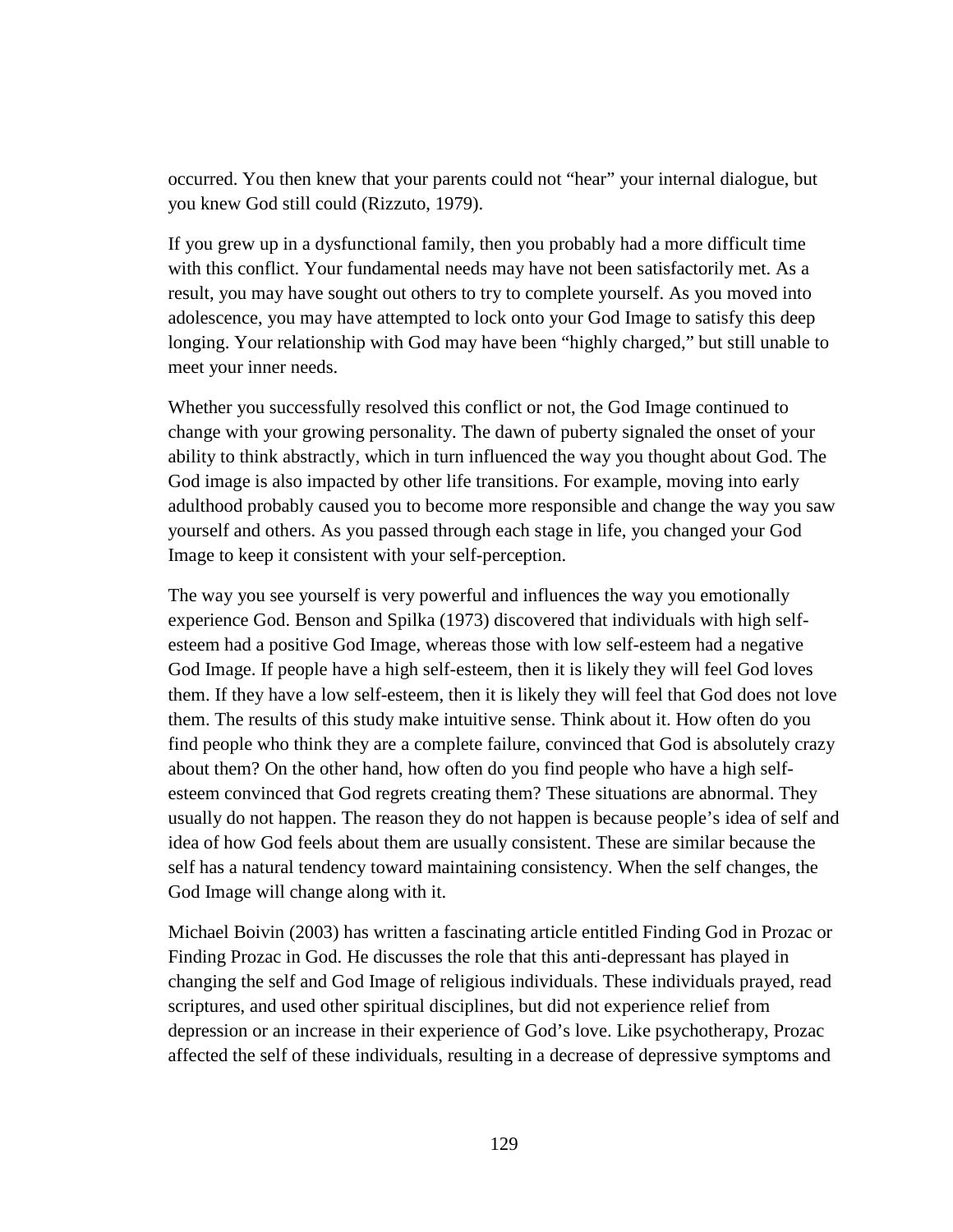occurred. You then knew that your parents could not "hear" your internal dialogue, but you knew God still could (Rizzuto, 1979).

If you grew up in a dysfunctional family, then you probably had a more difficult time with this conflict. Your fundamental needs may have not been satisfactorily met. As a result, you may have sought out others to try to complete yourself. As you moved into adolescence, you may have attempted to lock onto your God Image to satisfy this deep longing. Your relationship with God may have been "highly charged," but still unable to meet your inner needs.

Whether you successfully resolved this conflict or not, the God Image continued to change with your growing personality. The dawn of puberty signaled the onset of your ability to think abstractly, which in turn influenced the way you thought about God. The God image is also impacted by other life transitions. For example, moving into early adulthood probably caused you to become more responsible and change the way you saw yourself and others. As you passed through each stage in life, you changed your God Image to keep it consistent with your self-perception.

The way you see yourself is very powerful and influences the way you emotionally experience God. Benson and Spilka (1973) discovered that individuals with high selfesteem had a positive God Image, whereas those with low self-esteem had a negative God Image. If people have a high self-esteem, then it is likely they will feel God loves them. If they have a low self-esteem, then it is likely they will feel that God does not love them. The results of this study make intuitive sense. Think about it. How often do you find people who think they are a complete failure, convinced that God is absolutely crazy about them? On the other hand, how often do you find people who have a high selfesteem convinced that God regrets creating them? These situations are abnormal. They usually do not happen. The reason they do not happen is because people's idea of self and idea of how God feels about them are usually consistent. These are similar because the self has a natural tendency toward maintaining consistency. When the self changes, the God Image will change along with it.

Michael Boivin (2003) has written a fascinating article entitled Finding God in Prozac or Finding Prozac in God. He discusses the role that this anti-depressant has played in changing the self and God Image of religious individuals. These individuals prayed, read scriptures, and used other spiritual disciplines, but did not experience relief from depression or an increase in their experience of God's love. Like psychotherapy, Prozac affected the self of these individuals, resulting in a decrease of depressive symptoms and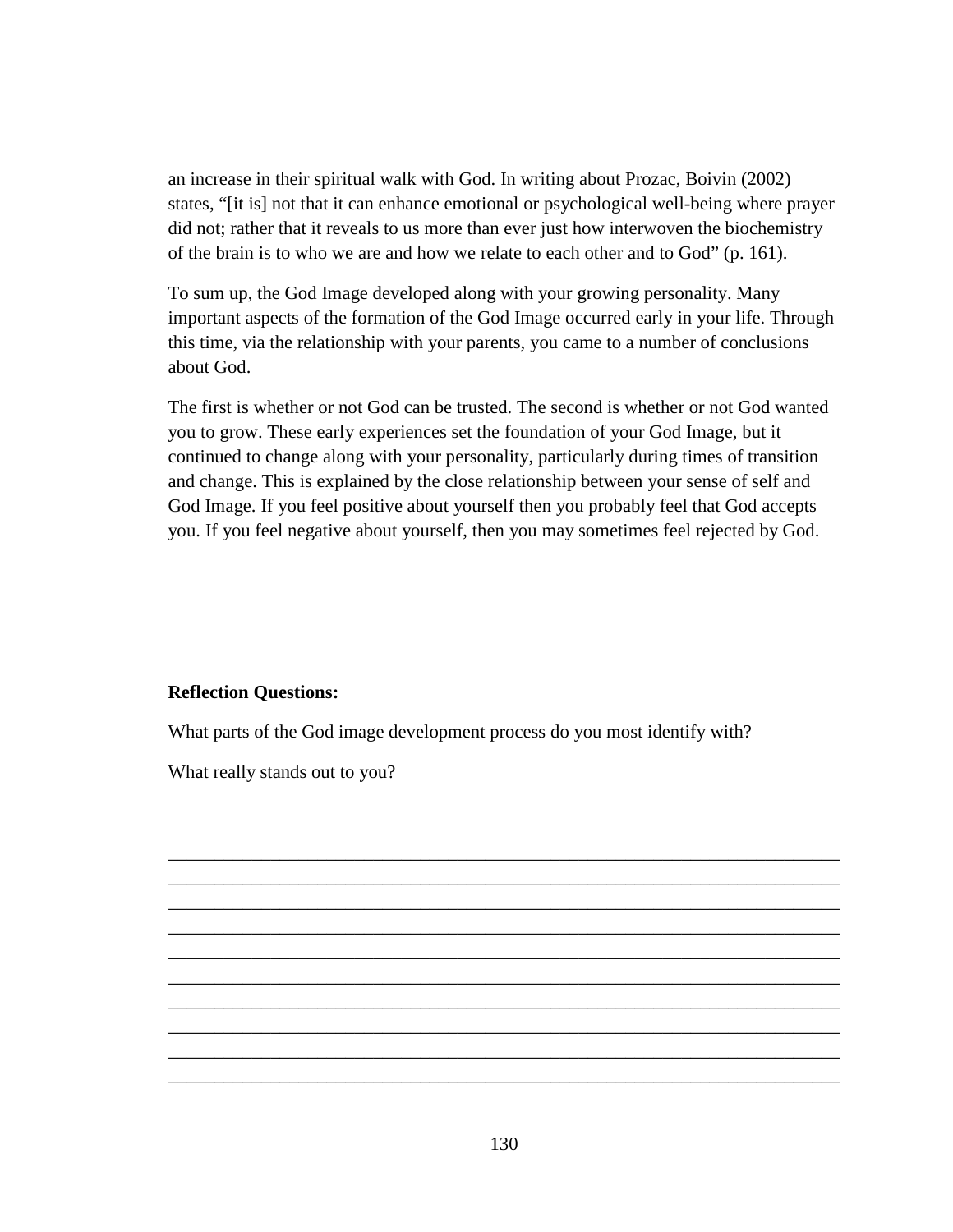an increase in their spiritual walk with God. In writing about Prozac, Boivin (2002) states, "[it is] not that it can enhance emotional or psychological well-being where prayer did not; rather that it reveals to us more than ever just how interwoven the biochemistry of the brain is to who we are and how we relate to each other and to God" (p. 161).

To sum up, the God Image developed along with your growing personality. Many important aspects of the formation of the God Image occurred early in your life. Through this time, via the relationship with your parents, you came to a number of conclusions about God.

The first is whether or not God can be trusted. The second is whether or not God wanted you to grow. These early experiences set the foundation of your God Image, but it continued to change along with your personality, particularly during times of transition and change. This is explained by the close relationship between your sense of self and God Image. If you feel positive about yourself then you probably feel that God accepts you. If you feel negative about yourself, then you may sometimes feel rejected by God.

## **Reflection Questions:**

What parts of the God image development process do you most identify with?

What really stands out to you?

\_\_\_\_\_\_\_\_\_\_\_\_\_\_\_\_\_\_\_\_\_\_\_\_\_\_\_\_\_\_\_\_\_\_\_\_\_\_\_\_\_\_\_\_\_\_\_\_\_\_\_\_\_\_\_\_\_\_\_\_\_\_\_\_\_\_\_\_\_\_\_\_ \_\_\_\_\_\_\_\_\_\_\_\_\_\_\_\_\_\_\_\_\_\_\_\_\_\_\_\_\_\_\_\_\_\_\_\_\_\_\_\_\_\_\_\_\_\_\_\_\_\_\_\_\_\_\_\_\_\_\_\_\_\_\_\_\_\_\_\_\_\_\_\_ \_\_\_\_\_\_\_\_\_\_\_\_\_\_\_\_\_\_\_\_\_\_\_\_\_\_\_\_\_\_\_\_\_\_\_\_\_\_\_\_\_\_\_\_\_\_\_\_\_\_\_\_\_\_\_\_\_\_\_\_\_\_\_\_\_\_\_\_\_\_\_\_ \_\_\_\_\_\_\_\_\_\_\_\_\_\_\_\_\_\_\_\_\_\_\_\_\_\_\_\_\_\_\_\_\_\_\_\_\_\_\_\_\_\_\_\_\_\_\_\_\_\_\_\_\_\_\_\_\_\_\_\_\_\_\_\_\_\_\_\_\_\_\_\_ \_\_\_\_\_\_\_\_\_\_\_\_\_\_\_\_\_\_\_\_\_\_\_\_\_\_\_\_\_\_\_\_\_\_\_\_\_\_\_\_\_\_\_\_\_\_\_\_\_\_\_\_\_\_\_\_\_\_\_\_\_\_\_\_\_\_\_\_\_\_\_\_ \_\_\_\_\_\_\_\_\_\_\_\_\_\_\_\_\_\_\_\_\_\_\_\_\_\_\_\_\_\_\_\_\_\_\_\_\_\_\_\_\_\_\_\_\_\_\_\_\_\_\_\_\_\_\_\_\_\_\_\_\_\_\_\_\_\_\_\_\_\_\_\_ \_\_\_\_\_\_\_\_\_\_\_\_\_\_\_\_\_\_\_\_\_\_\_\_\_\_\_\_\_\_\_\_\_\_\_\_\_\_\_\_\_\_\_\_\_\_\_\_\_\_\_\_\_\_\_\_\_\_\_\_\_\_\_\_\_\_\_\_\_\_\_\_ \_\_\_\_\_\_\_\_\_\_\_\_\_\_\_\_\_\_\_\_\_\_\_\_\_\_\_\_\_\_\_\_\_\_\_\_\_\_\_\_\_\_\_\_\_\_\_\_\_\_\_\_\_\_\_\_\_\_\_\_\_\_\_\_\_\_\_\_\_\_\_\_ \_\_\_\_\_\_\_\_\_\_\_\_\_\_\_\_\_\_\_\_\_\_\_\_\_\_\_\_\_\_\_\_\_\_\_\_\_\_\_\_\_\_\_\_\_\_\_\_\_\_\_\_\_\_\_\_\_\_\_\_\_\_\_\_\_\_\_\_\_\_\_\_ \_\_\_\_\_\_\_\_\_\_\_\_\_\_\_\_\_\_\_\_\_\_\_\_\_\_\_\_\_\_\_\_\_\_\_\_\_\_\_\_\_\_\_\_\_\_\_\_\_\_\_\_\_\_\_\_\_\_\_\_\_\_\_\_\_\_\_\_\_\_\_\_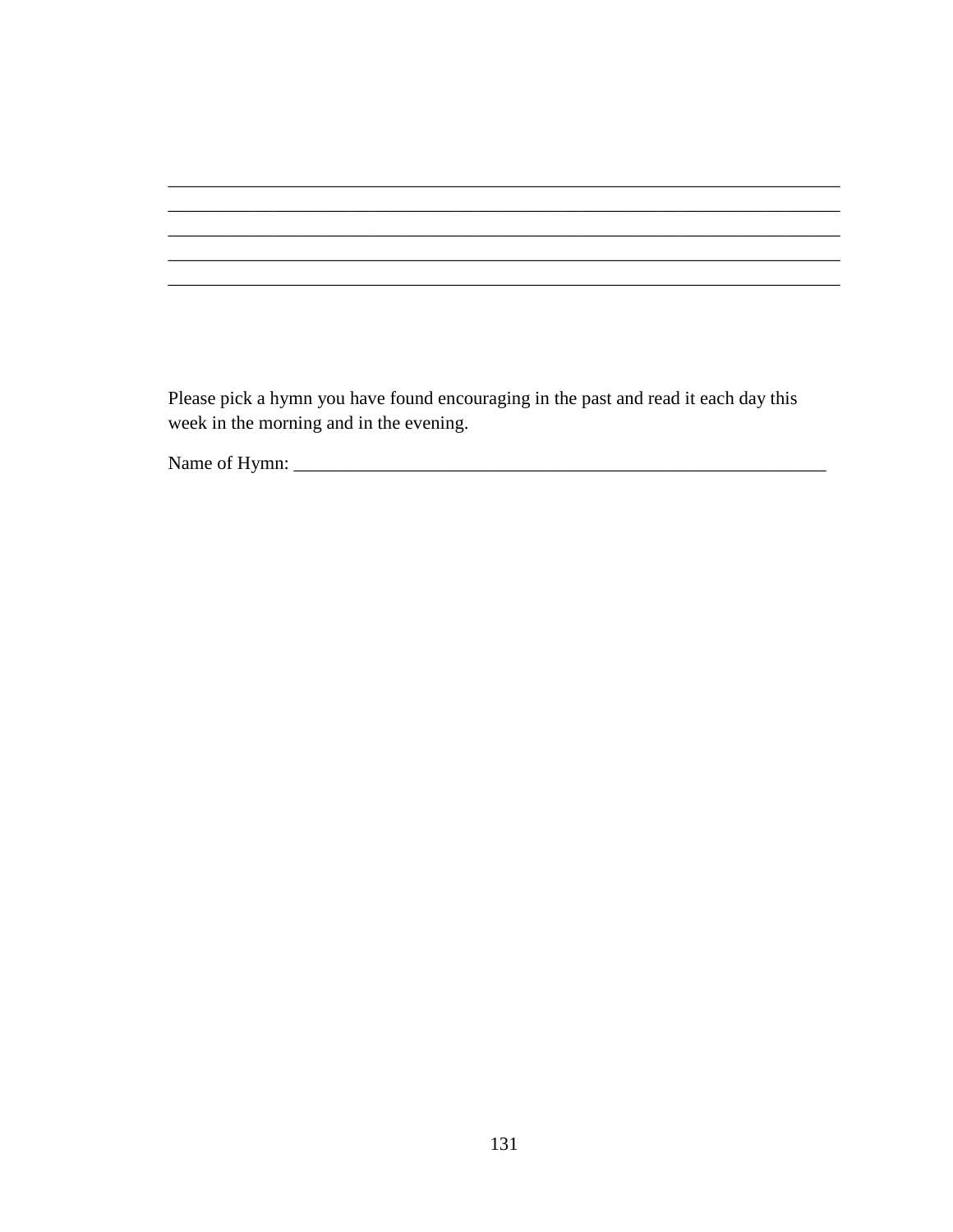Please pick a hymn you have found encouraging in the past and read it each day this week in the morning and in the evening.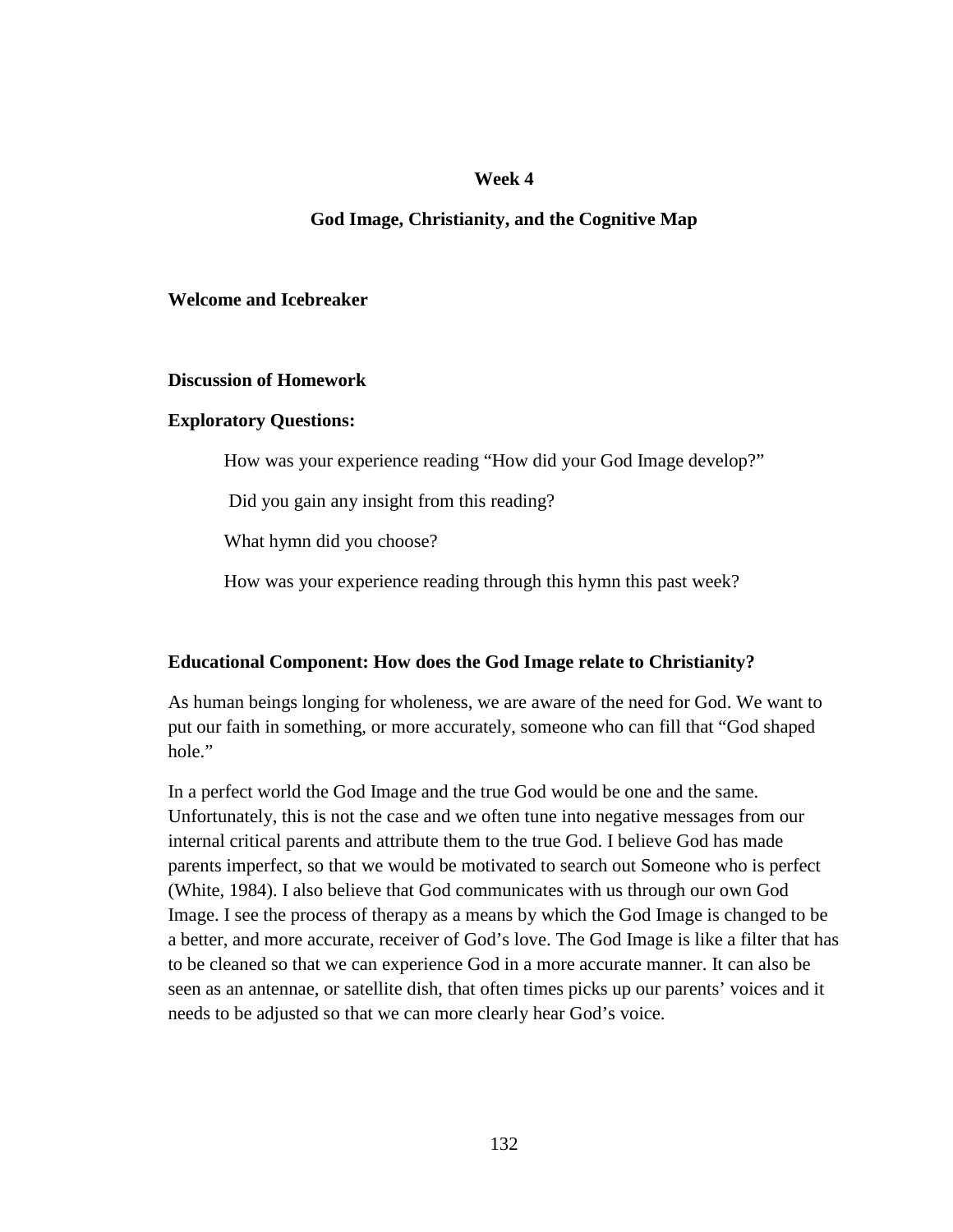## **Week 4**

## **God Image, Christianity, and the Cognitive Map**

## **Welcome and Icebreaker**

### **Discussion of Homework**

## **Exploratory Questions:**

How was your experience reading "How did your God Image develop?"

Did you gain any insight from this reading?

What hymn did you choose?

How was your experience reading through this hymn this past week?

## **Educational Component: How does the God Image relate to Christianity?**

As human beings longing for wholeness, we are aware of the need for God. We want to put our faith in something, or more accurately, someone who can fill that "God shaped hole."

In a perfect world the God Image and the true God would be one and the same. Unfortunately, this is not the case and we often tune into negative messages from our internal critical parents and attribute them to the true God. I believe God has made parents imperfect, so that we would be motivated to search out Someone who is perfect (White, 1984). I also believe that God communicates with us through our own God Image. I see the process of therapy as a means by which the God Image is changed to be a better, and more accurate, receiver of God's love. The God Image is like a filter that has to be cleaned so that we can experience God in a more accurate manner. It can also be seen as an antennae, or satellite dish, that often times picks up our parents' voices and it needs to be adjusted so that we can more clearly hear God's voice.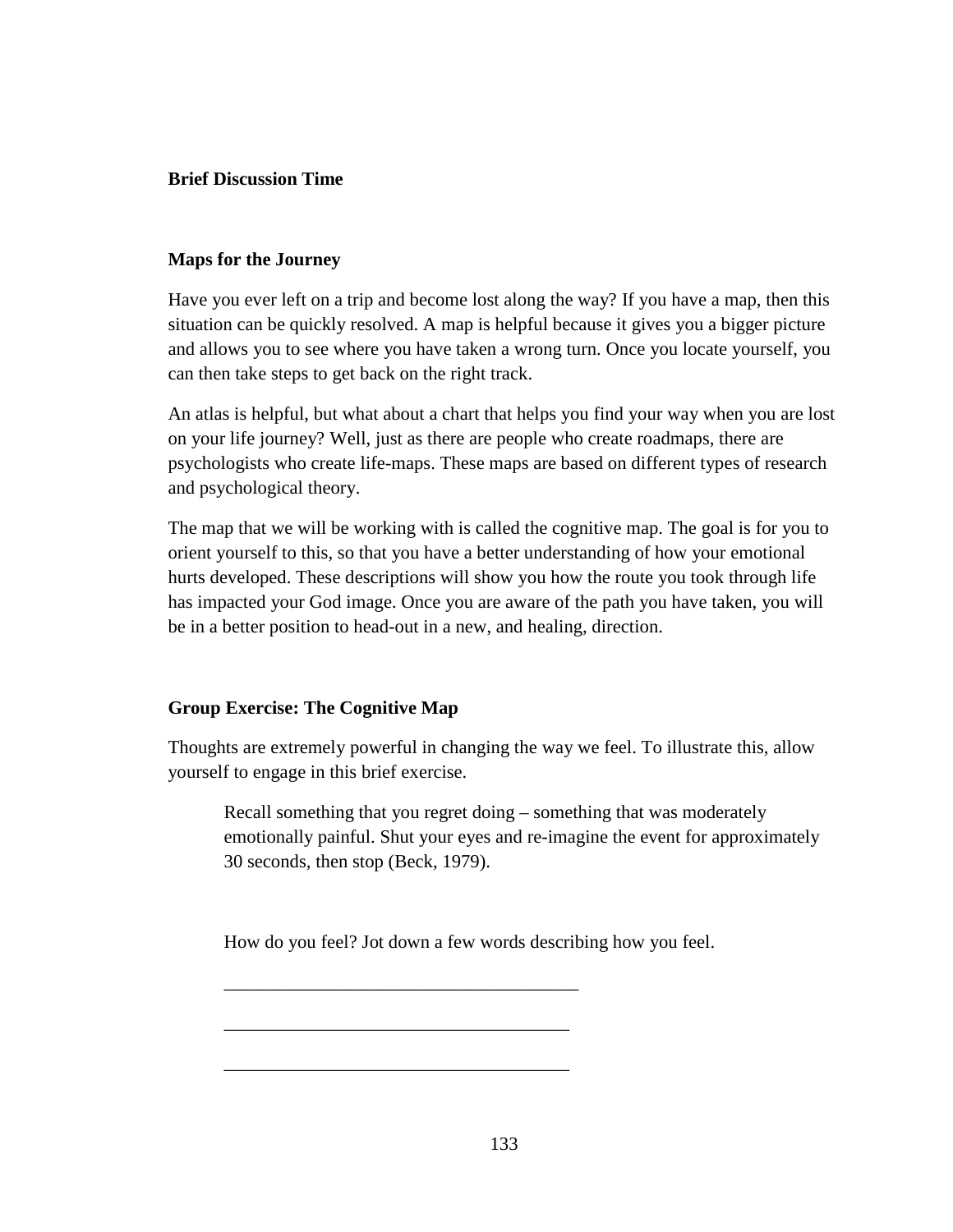## **Brief Discussion Time**

## **Maps for the Journey**

Have you ever left on a trip and become lost along the way? If you have a map, then this situation can be quickly resolved. A map is helpful because it gives you a bigger picture and allows you to see where you have taken a wrong turn. Once you locate yourself, you can then take steps to get back on the right track.

An atlas is helpful, but what about a chart that helps you find your way when you are lost on your life journey? Well, just as there are people who create roadmaps, there are psychologists who create life-maps. These maps are based on different types of research and psychological theory.

The map that we will be working with is called the cognitive map. The goal is for you to orient yourself to this, so that you have a better understanding of how your emotional hurts developed. These descriptions will show you how the route you took through life has impacted your God image. Once you are aware of the path you have taken, you will be in a better position to head-out in a new, and healing, direction.

## **Group Exercise: The Cognitive Map**

Thoughts are extremely powerful in changing the way we feel. To illustrate this, allow yourself to engage in this brief exercise.

Recall something that you regret doing – something that was moderately emotionally painful. Shut your eyes and re-imagine the event for approximately 30 seconds, then stop (Beck, 1979).

How do you feel? Jot down a few words describing how you feel.

\_\_\_\_\_\_\_\_\_\_\_\_\_\_\_\_\_\_\_\_\_\_\_\_\_\_\_\_\_\_\_\_\_\_\_\_\_\_

\_\_\_\_\_\_\_\_\_\_\_\_\_\_\_\_\_\_\_\_\_\_\_\_\_\_\_\_\_\_\_\_\_\_\_\_\_

\_\_\_\_\_\_\_\_\_\_\_\_\_\_\_\_\_\_\_\_\_\_\_\_\_\_\_\_\_\_\_\_\_\_\_\_\_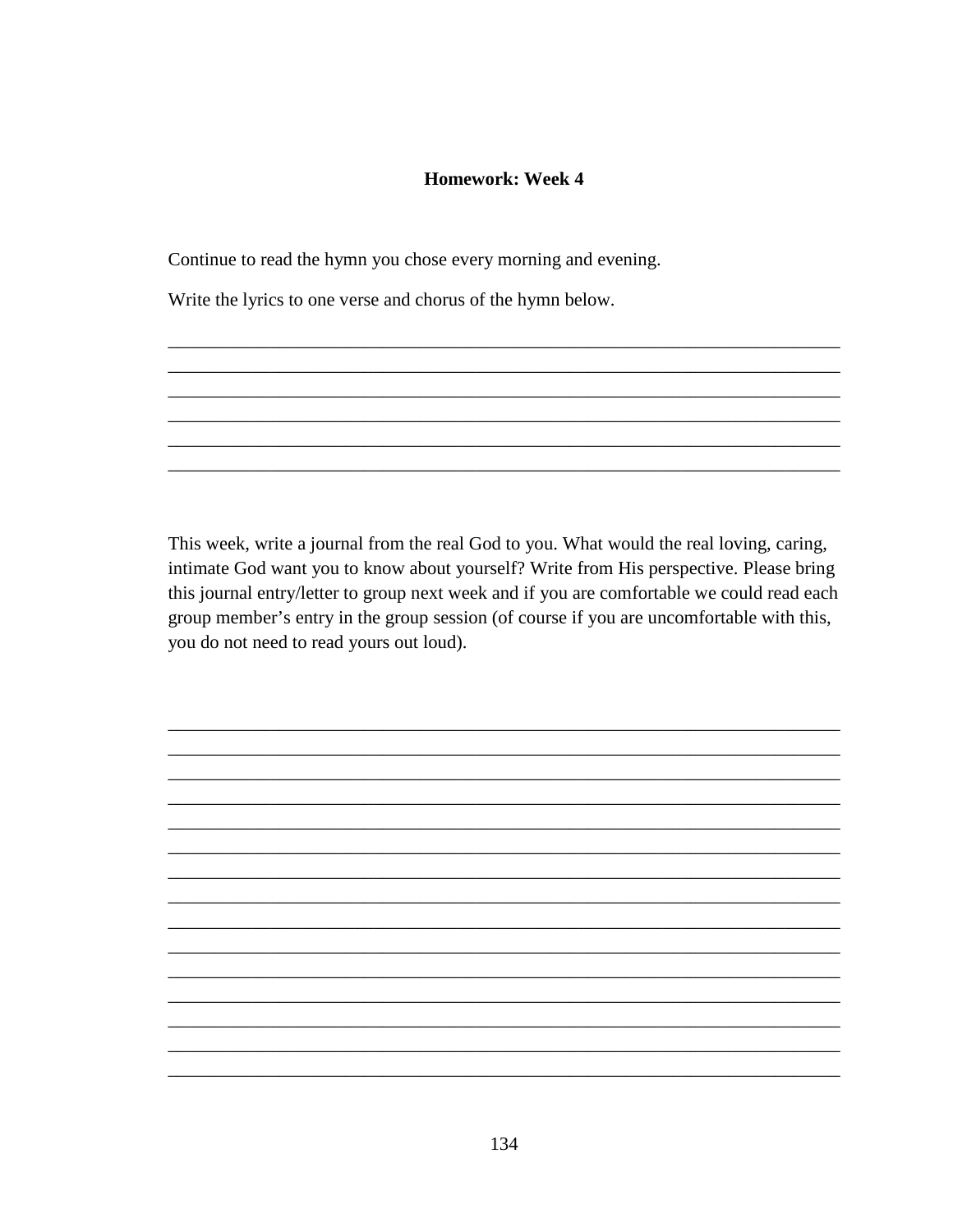## **Homework: Week 4**

Continue to read the hymn you chose every morning and evening.

Write the lyrics to one verse and chorus of the hymn below.

This week, write a journal from the real God to you. What would the real loving, caring, intimate God want you to know about yourself? Write from His perspective. Please bring this journal entry/letter to group next week and if you are comfortable we could read each group member's entry in the group session (of course if you are uncomfortable with this, you do not need to read yours out loud).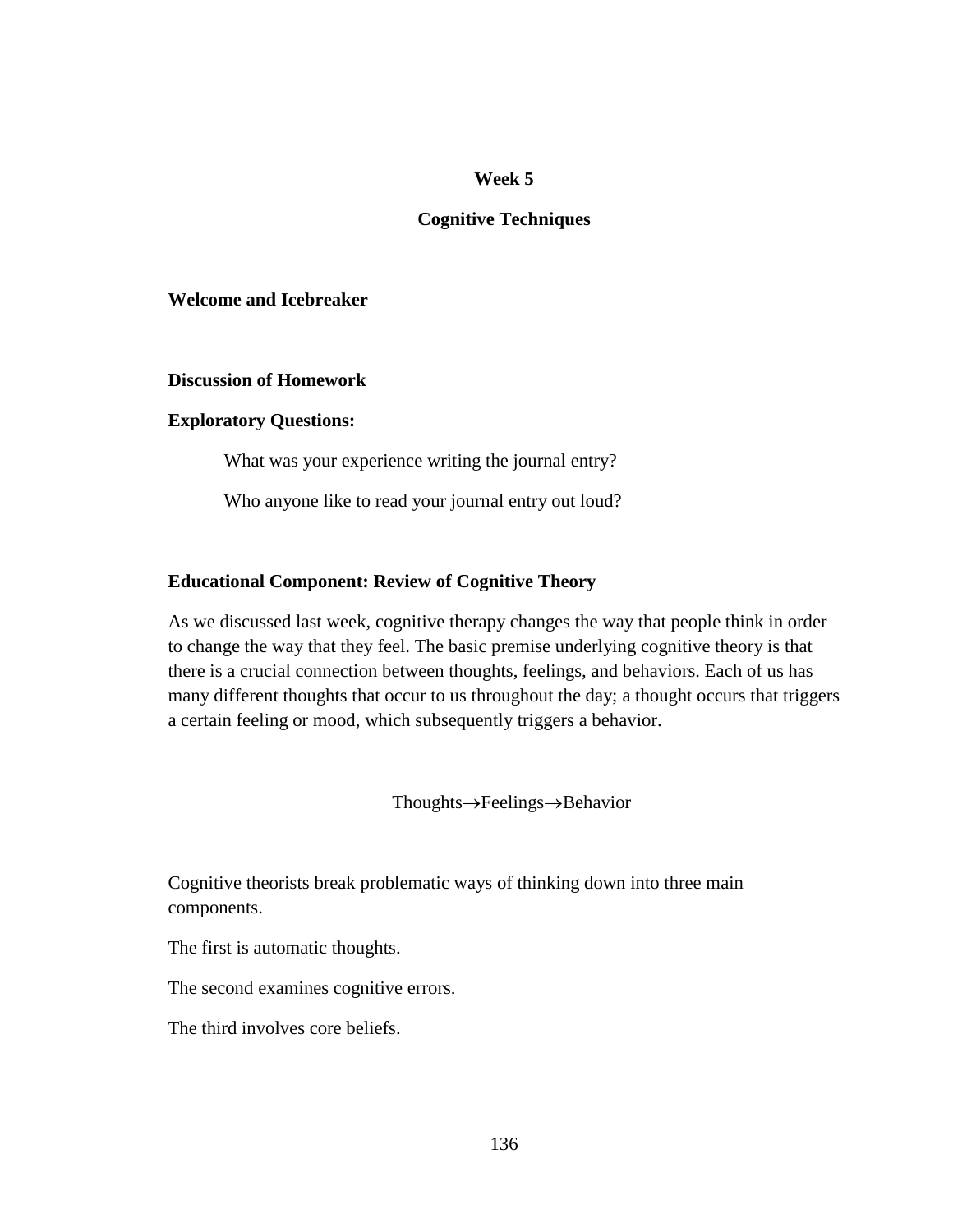## **Week 5**

## **Cognitive Techniques**

## **Welcome and Icebreaker**

## **Discussion of Homework**

### **Exploratory Questions:**

What was your experience writing the journal entry?

Who anyone like to read your journal entry out loud?

### **Educational Component: Review of Cognitive Theory**

As we discussed last week, cognitive therapy changes the way that people think in order to change the way that they feel. The basic premise underlying cognitive theory is that there is a crucial connection between thoughts, feelings, and behaviors. Each of us has many different thoughts that occur to us throughout the day; a thought occurs that triggers a certain feeling or mood, which subsequently triggers a behavior.

Thoughts→Feelings→Behavior

Cognitive theorists break problematic ways of thinking down into three main components.

The first is automatic thoughts.

The second examines cognitive errors.

The third involves core beliefs.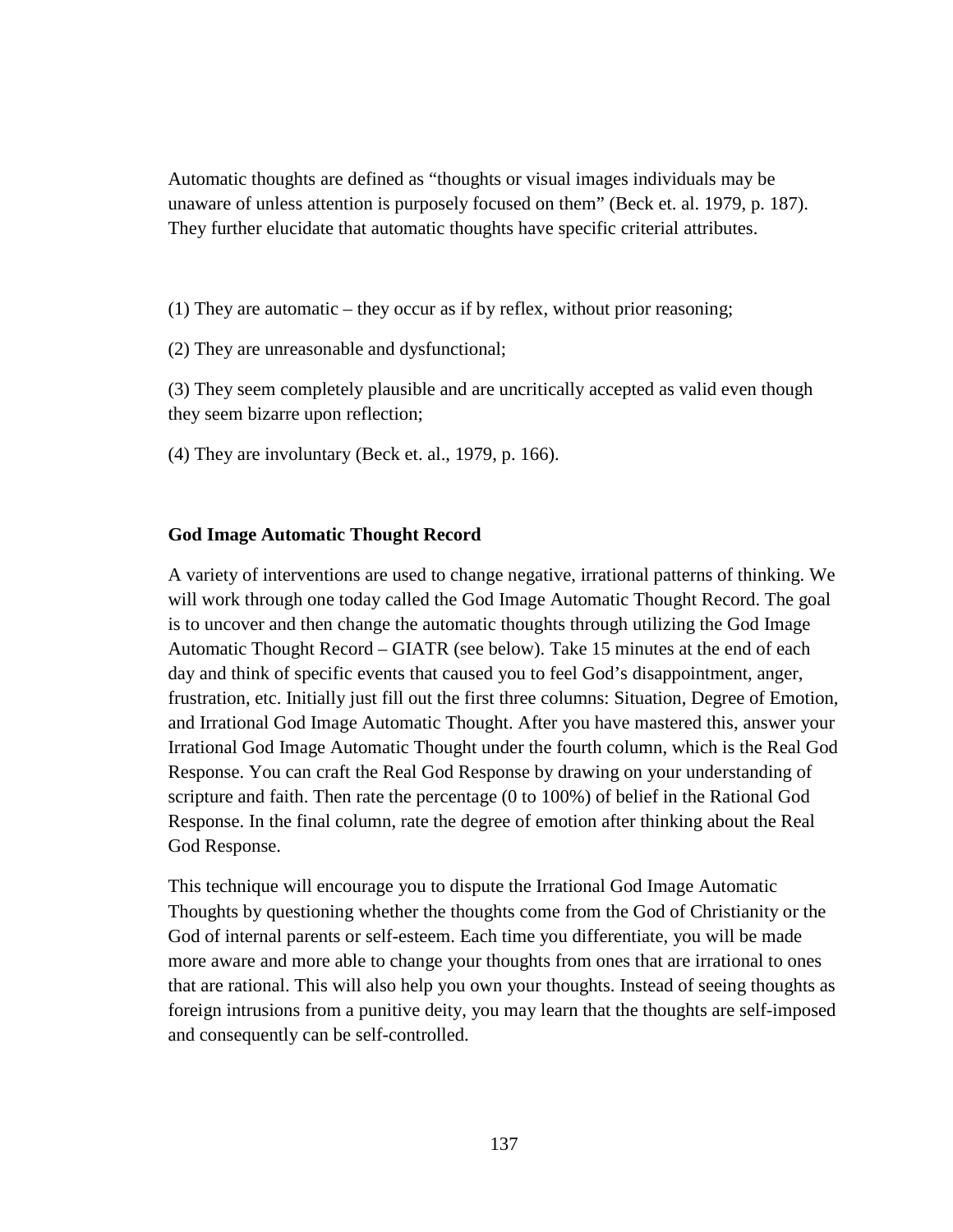Automatic thoughts are defined as "thoughts or visual images individuals may be unaware of unless attention is purposely focused on them" (Beck et. al. 1979, p. 187). They further elucidate that automatic thoughts have specific criterial attributes.

(1) They are automatic – they occur as if by reflex, without prior reasoning;

(2) They are unreasonable and dysfunctional;

(3) They seem completely plausible and are uncritically accepted as valid even though they seem bizarre upon reflection;

(4) They are involuntary (Beck et. al., 1979, p. 166).

### **God Image Automatic Thought Record**

A variety of interventions are used to change negative, irrational patterns of thinking. We will work through one today called the God Image Automatic Thought Record. The goal is to uncover and then change the automatic thoughts through utilizing the God Image Automatic Thought Record – GIATR (see below). Take 15 minutes at the end of each day and think of specific events that caused you to feel God's disappointment, anger, frustration, etc. Initially just fill out the first three columns: Situation, Degree of Emotion, and Irrational God Image Automatic Thought. After you have mastered this, answer your Irrational God Image Automatic Thought under the fourth column, which is the Real God Response. You can craft the Real God Response by drawing on your understanding of scripture and faith. Then rate the percentage (0 to 100%) of belief in the Rational God Response. In the final column, rate the degree of emotion after thinking about the Real God Response.

This technique will encourage you to dispute the Irrational God Image Automatic Thoughts by questioning whether the thoughts come from the God of Christianity or the God of internal parents or self-esteem. Each time you differentiate, you will be made more aware and more able to change your thoughts from ones that are irrational to ones that are rational. This will also help you own your thoughts. Instead of seeing thoughts as foreign intrusions from a punitive deity, you may learn that the thoughts are self-imposed and consequently can be self-controlled.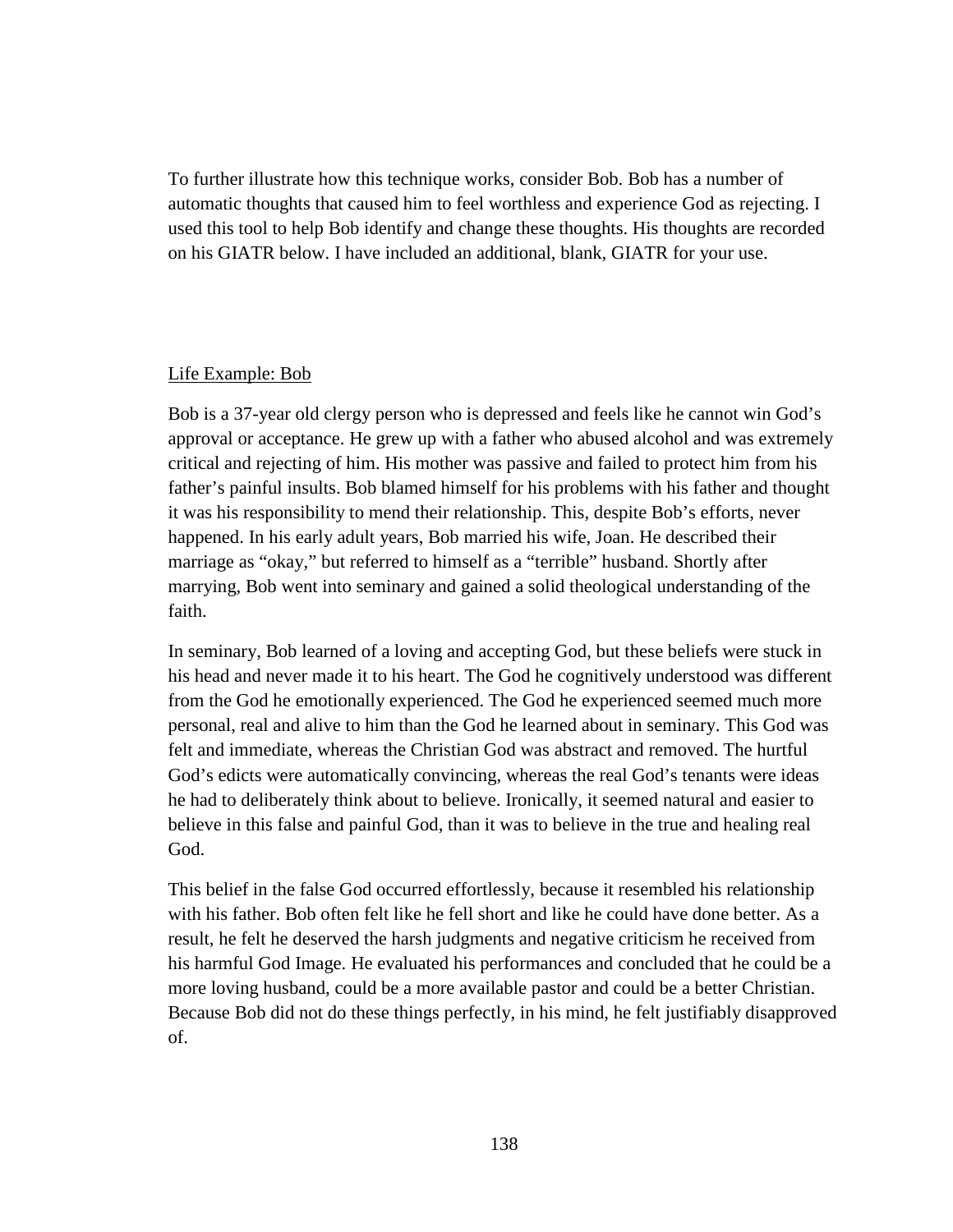To further illustrate how this technique works, consider Bob. Bob has a number of automatic thoughts that caused him to feel worthless and experience God as rejecting. I used this tool to help Bob identify and change these thoughts. His thoughts are recorded on his GIATR below. I have included an additional, blank, GIATR for your use.

## Life Example: Bob

Bob is a 37-year old clergy person who is depressed and feels like he cannot win God's approval or acceptance. He grew up with a father who abused alcohol and was extremely critical and rejecting of him. His mother was passive and failed to protect him from his father's painful insults. Bob blamed himself for his problems with his father and thought it was his responsibility to mend their relationship. This, despite Bob's efforts, never happened. In his early adult years, Bob married his wife, Joan. He described their marriage as "okay," but referred to himself as a "terrible" husband. Shortly after marrying, Bob went into seminary and gained a solid theological understanding of the faith.

In seminary, Bob learned of a loving and accepting God, but these beliefs were stuck in his head and never made it to his heart. The God he cognitively understood was different from the God he emotionally experienced. The God he experienced seemed much more personal, real and alive to him than the God he learned about in seminary. This God was felt and immediate, whereas the Christian God was abstract and removed. The hurtful God's edicts were automatically convincing, whereas the real God's tenants were ideas he had to deliberately think about to believe. Ironically, it seemed natural and easier to believe in this false and painful God, than it was to believe in the true and healing real God.

This belief in the false God occurred effortlessly, because it resembled his relationship with his father. Bob often felt like he fell short and like he could have done better. As a result, he felt he deserved the harsh judgments and negative criticism he received from his harmful God Image. He evaluated his performances and concluded that he could be a more loving husband, could be a more available pastor and could be a better Christian. Because Bob did not do these things perfectly, in his mind, he felt justifiably disapproved of.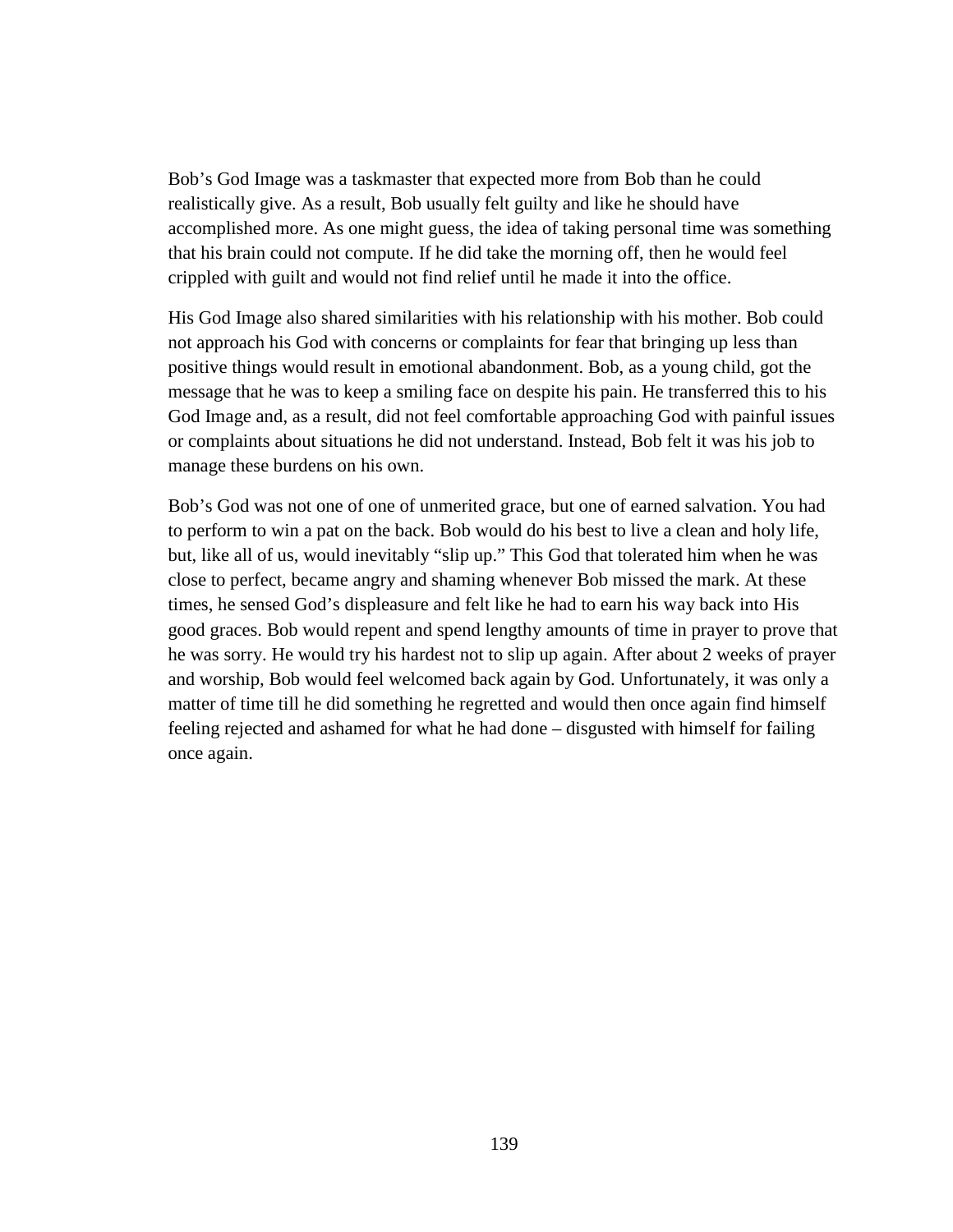Bob's God Image was a taskmaster that expected more from Bob than he could realistically give. As a result, Bob usually felt guilty and like he should have accomplished more. As one might guess, the idea of taking personal time was something that his brain could not compute. If he did take the morning off, then he would feel crippled with guilt and would not find relief until he made it into the office.

His God Image also shared similarities with his relationship with his mother. Bob could not approach his God with concerns or complaints for fear that bringing up less than positive things would result in emotional abandonment. Bob, as a young child, got the message that he was to keep a smiling face on despite his pain. He transferred this to his God Image and, as a result, did not feel comfortable approaching God with painful issues or complaints about situations he did not understand. Instead, Bob felt it was his job to manage these burdens on his own.

Bob's God was not one of one of unmerited grace, but one of earned salvation. You had to perform to win a pat on the back. Bob would do his best to live a clean and holy life, but, like all of us, would inevitably "slip up." This God that tolerated him when he was close to perfect, became angry and shaming whenever Bob missed the mark. At these times, he sensed God's displeasure and felt like he had to earn his way back into His good graces. Bob would repent and spend lengthy amounts of time in prayer to prove that he was sorry. He would try his hardest not to slip up again. After about 2 weeks of prayer and worship, Bob would feel welcomed back again by God. Unfortunately, it was only a matter of time till he did something he regretted and would then once again find himself feeling rejected and ashamed for what he had done – disgusted with himself for failing once again.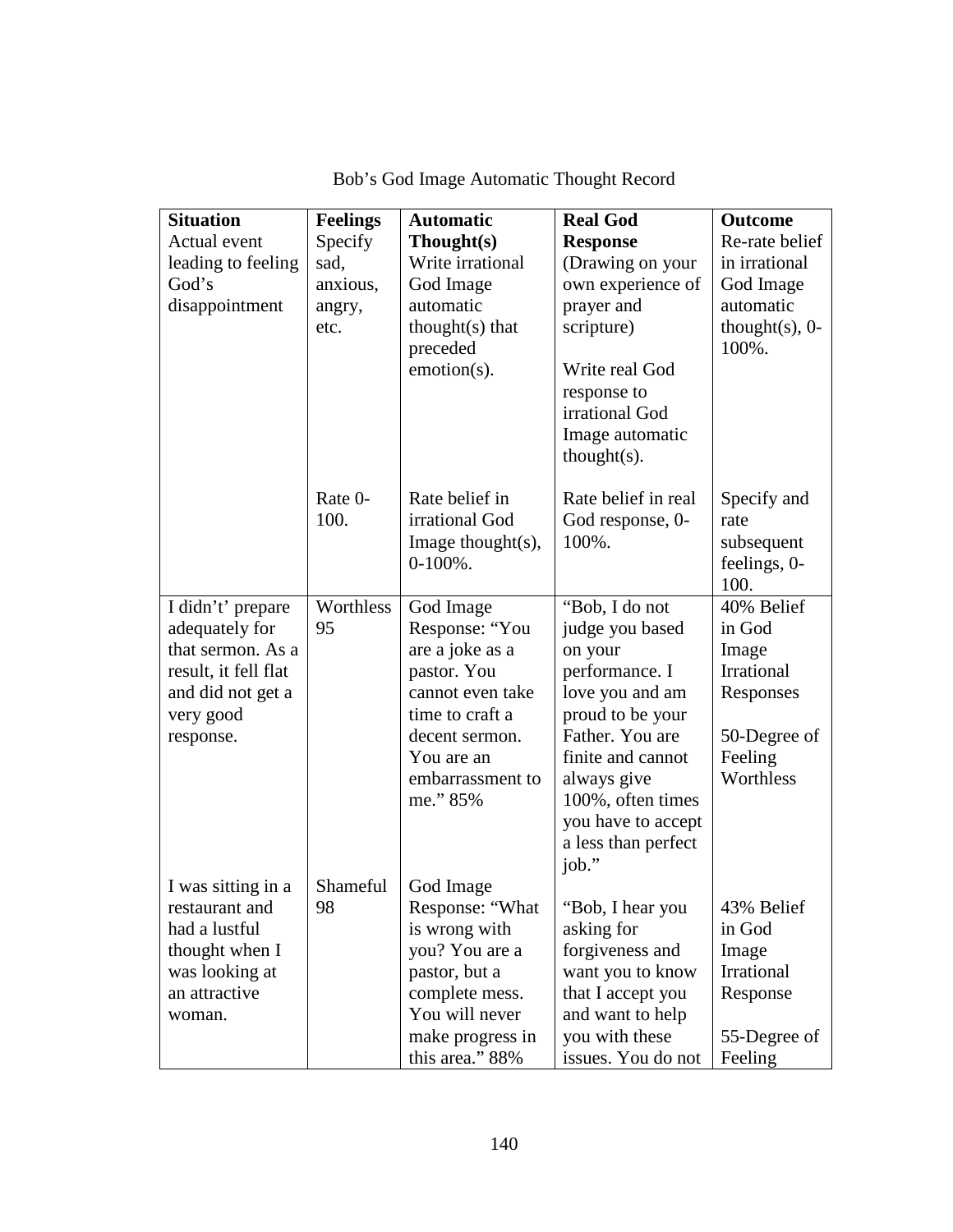| <b>Situation</b><br>Actual event                                                                                                | <b>Feelings</b><br>Specify         | <b>Automatic</b><br>Thought(s)                                                                                                                                       | <b>Real God</b><br><b>Response</b>                                                                                                                                                                                                      | <b>Outcome</b><br>Re-rate belief                                                                 |
|---------------------------------------------------------------------------------------------------------------------------------|------------------------------------|----------------------------------------------------------------------------------------------------------------------------------------------------------------------|-----------------------------------------------------------------------------------------------------------------------------------------------------------------------------------------------------------------------------------------|--------------------------------------------------------------------------------------------------|
| leading to feeling<br>God's<br>disappointment                                                                                   | sad,<br>anxious,<br>angry,<br>etc. | Write irrational<br>God Image<br>automatic<br>$thought(s)$ that<br>preceded<br>emotion(s).                                                                           | (Drawing on your<br>own experience of<br>prayer and<br>scripture)<br>Write real God<br>response to<br>irrational God<br>Image automatic<br>$thought(s)$ .                                                                               | in irrational<br>God Image<br>automatic<br>thought $(s)$ , 0-<br>100%.                           |
|                                                                                                                                 | Rate 0-<br>100.                    | Rate belief in<br>irrational God<br>Image thought $(s)$ ,<br>$0-100\%$ .                                                                                             | Rate belief in real<br>God response, 0-<br>100%.                                                                                                                                                                                        | Specify and<br>rate<br>subsequent<br>feelings, 0-<br>100.                                        |
| I didn't' prepare<br>adequately for<br>that sermon. As a<br>result, it fell flat<br>and did not get a<br>very good<br>response. | Worthless<br>95                    | God Image<br>Response: "You<br>are a joke as a<br>pastor. You<br>cannot even take<br>time to craft a<br>decent sermon.<br>You are an<br>embarrassment to<br>me." 85% | "Bob, I do not<br>judge you based<br>on your<br>performance. I<br>love you and am<br>proud to be your<br>Father. You are<br>finite and cannot<br>always give<br>100%, often times<br>you have to accept<br>a less than perfect<br>job." | 40% Belief<br>in God<br>Image<br>Irrational<br>Responses<br>50-Degree of<br>Feeling<br>Worthless |
| I was sitting in a<br>restaurant and<br>had a lustful<br>thought when I<br>was looking at<br>an attractive<br>woman.            | Shameful<br>98                     | God Image<br>Response: "What<br>is wrong with<br>you? You are a<br>pastor, but a<br>complete mess.<br>You will never<br>make progress in<br>this area." 88%          | "Bob, I hear you<br>asking for<br>forgiveness and<br>want you to know<br>that I accept you<br>and want to help<br>you with these<br>issues. You do not                                                                                  | 43% Belief<br>in God<br>Image<br>Irrational<br>Response<br>55-Degree of<br>Feeling               |

Bob's God Image Automatic Thought Record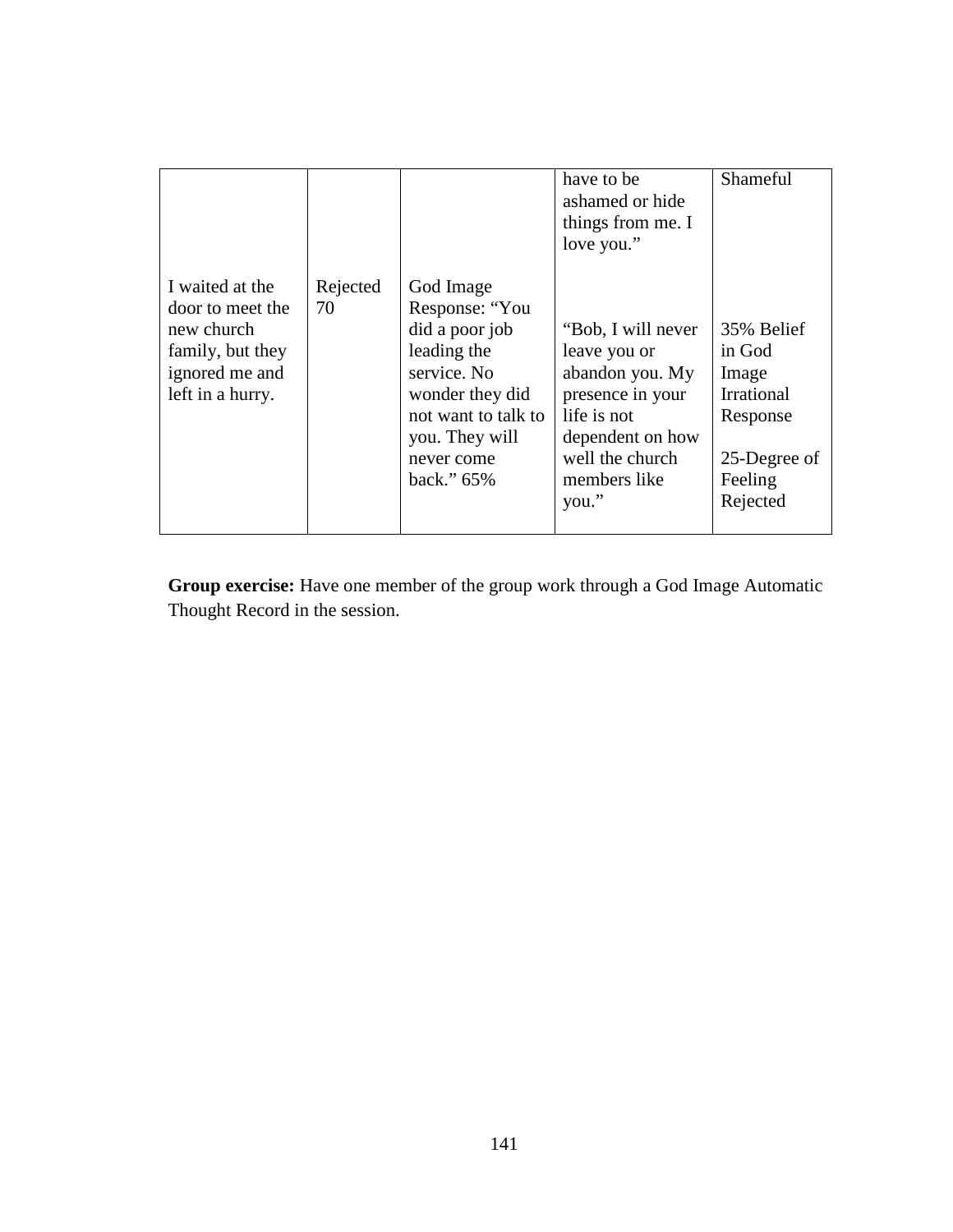|                                                                                                             |                |                                                                                                                                                                        | have to be<br>ashamed or hide<br>things from me. I<br>love you."                                                                                         | Shameful                                                                                              |
|-------------------------------------------------------------------------------------------------------------|----------------|------------------------------------------------------------------------------------------------------------------------------------------------------------------------|----------------------------------------------------------------------------------------------------------------------------------------------------------|-------------------------------------------------------------------------------------------------------|
| I waited at the<br>door to meet the<br>new church<br>family, but they<br>ignored me and<br>left in a hurry. | Rejected<br>70 | God Image<br>Response: "You<br>did a poor job<br>leading the<br>service. No<br>wonder they did<br>not want to talk to<br>you. They will<br>never come<br>back." $65\%$ | "Bob, I will never<br>leave you or<br>abandon you. My<br>presence in your<br>life is not<br>dependent on how<br>well the church<br>members like<br>you." | 35% Belief<br>in God<br>Image<br><b>Irrational</b><br>Response<br>25-Degree of<br>Feeling<br>Rejected |

**Group exercise:** Have one member of the group work through a God Image Automatic Thought Record in the session.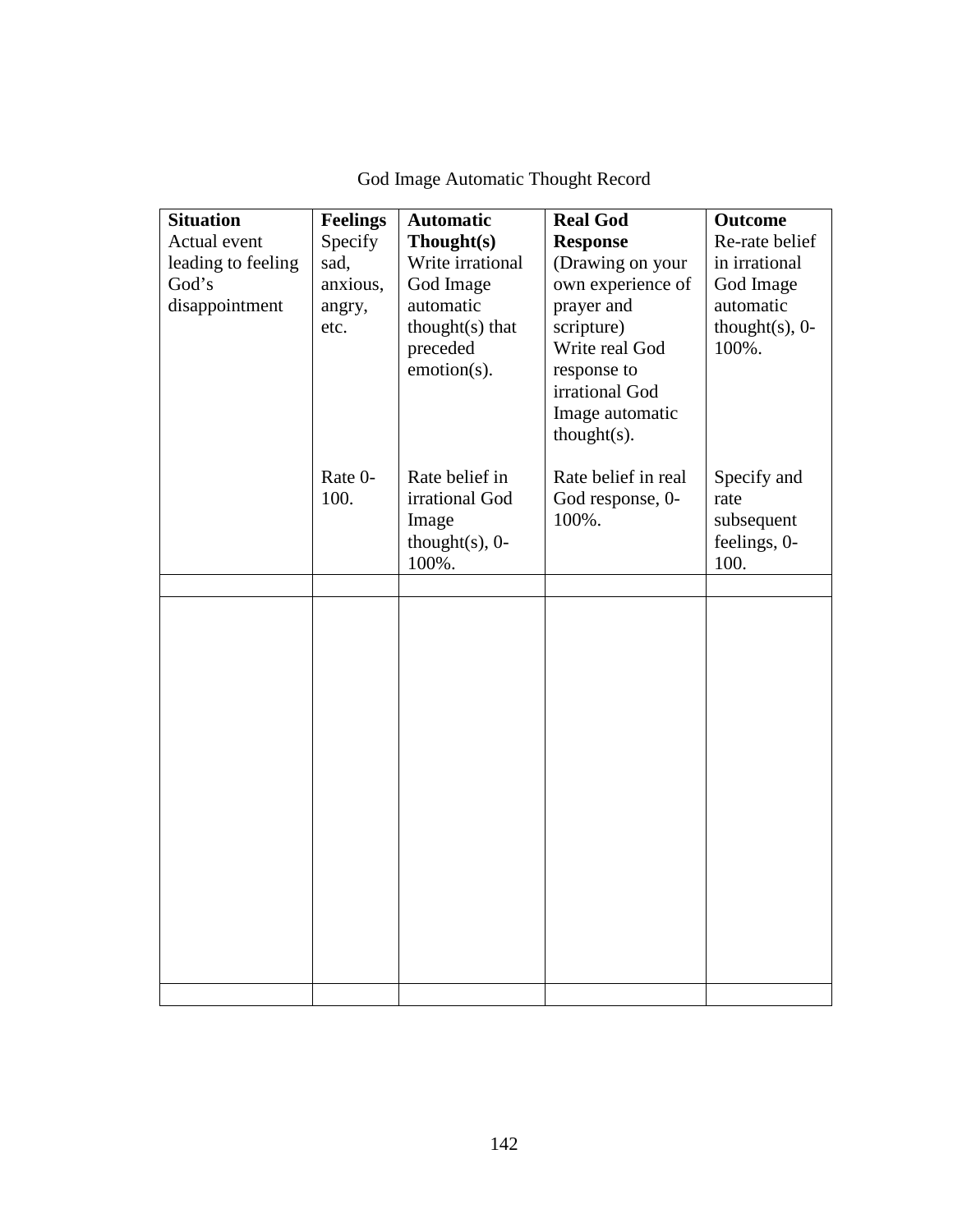| <b>Situation</b>   | <b>Feelings</b> | <b>Automatic</b>   | <b>Real God</b>     | <b>Outcome</b>     |
|--------------------|-----------------|--------------------|---------------------|--------------------|
| Actual event       | Specify         | Thought(s)         | <b>Response</b>     | Re-rate belief     |
| leading to feeling | sad,            | Write irrational   | (Drawing on your    | in irrational      |
| God's              | anxious,        | God Image          | own experience of   | God Image          |
| disappointment     | angry,          | automatic          | prayer and          | automatic          |
|                    | etc.            | thought(s) that    | scripture)          | thought $(s)$ , 0- |
|                    |                 | preceded           | Write real God      | 100%.              |
|                    |                 | emotion(s).        | response to         |                    |
|                    |                 |                    | irrational God      |                    |
|                    |                 |                    | Image automatic     |                    |
|                    |                 |                    | $thought(s)$ .      |                    |
|                    | Rate 0-         | Rate belief in     | Rate belief in real | Specify and        |
|                    | 100.            | irrational God     | God response, 0-    | rate               |
|                    |                 | Image              | 100%.               | subsequent         |
|                    |                 | thought $(s)$ , 0- |                     | feelings, 0-       |
|                    |                 | 100%.              |                     | 100.               |
|                    |                 |                    |                     |                    |
|                    |                 |                    |                     |                    |
|                    |                 |                    |                     |                    |
|                    |                 |                    |                     |                    |
|                    |                 |                    |                     |                    |
|                    |                 |                    |                     |                    |
|                    |                 |                    |                     |                    |
|                    |                 |                    |                     |                    |
|                    |                 |                    |                     |                    |
|                    |                 |                    |                     |                    |
|                    |                 |                    |                     |                    |
|                    |                 |                    |                     |                    |
|                    |                 |                    |                     |                    |
|                    |                 |                    |                     |                    |
|                    |                 |                    |                     |                    |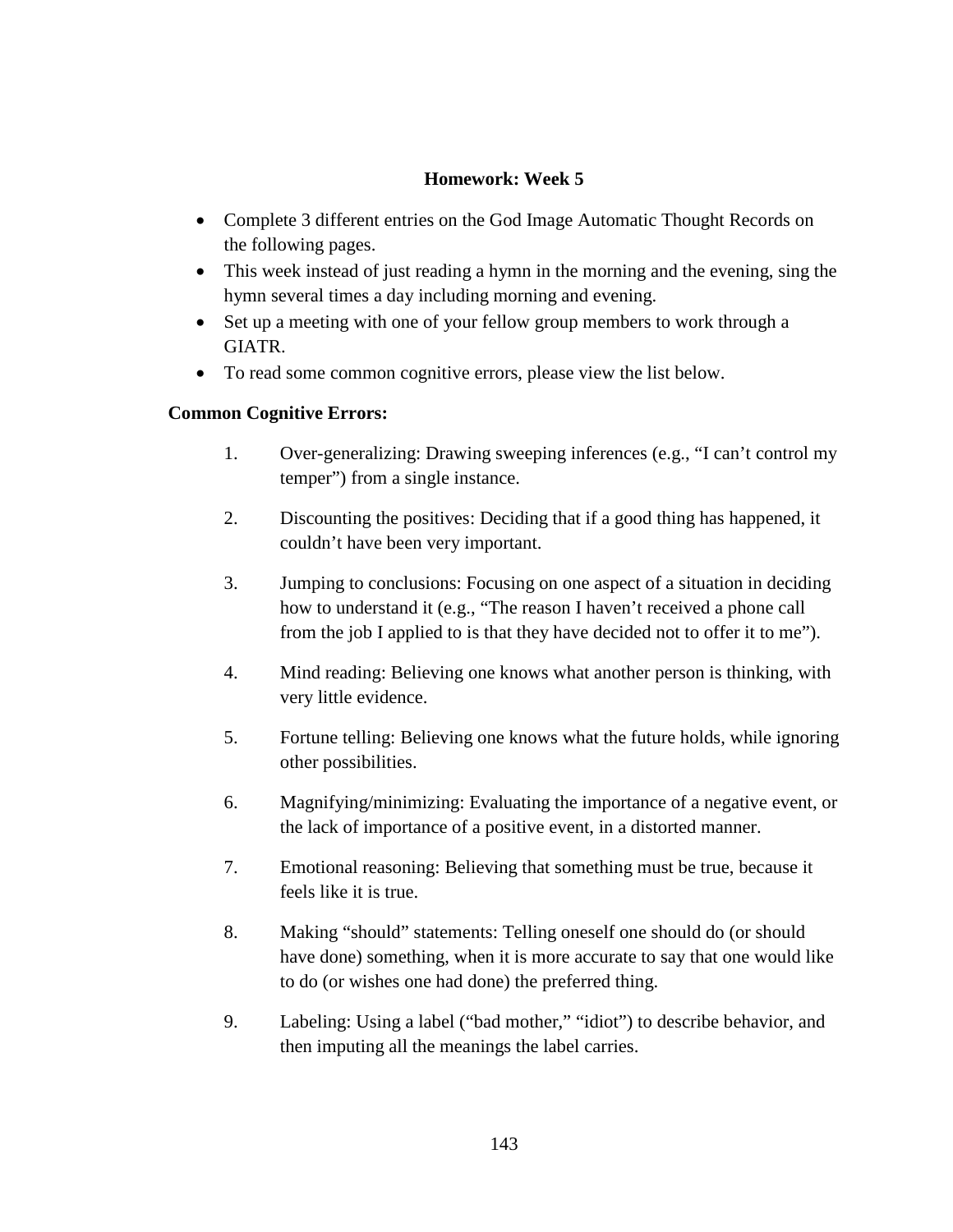## **Homework: Week 5**

- Complete 3 different entries on the God Image Automatic Thought Records on the following pages.
- This week instead of just reading a hymn in the morning and the evening, sing the hymn several times a day including morning and evening.
- Set up a meeting with one of your fellow group members to work through a GIATR.
- To read some common cognitive errors, please view the list below.

## **Common Cognitive Errors:**

- 1. Over-generalizing: Drawing sweeping inferences (e.g., "I can't control my temper") from a single instance.
- 2. Discounting the positives: Deciding that if a good thing has happened, it couldn't have been very important.
- 3. Jumping to conclusions: Focusing on one aspect of a situation in deciding how to understand it (e.g., "The reason I haven't received a phone call from the job I applied to is that they have decided not to offer it to me").
- 4. Mind reading: Believing one knows what another person is thinking, with very little evidence.
- 5. Fortune telling: Believing one knows what the future holds, while ignoring other possibilities.
- 6. Magnifying/minimizing: Evaluating the importance of a negative event, or the lack of importance of a positive event, in a distorted manner.
- 7. Emotional reasoning: Believing that something must be true, because it feels like it is true.
- 8. Making "should" statements: Telling oneself one should do (or should have done) something, when it is more accurate to say that one would like to do (or wishes one had done) the preferred thing.
- 9. Labeling: Using a label ("bad mother," "idiot") to describe behavior, and then imputing all the meanings the label carries.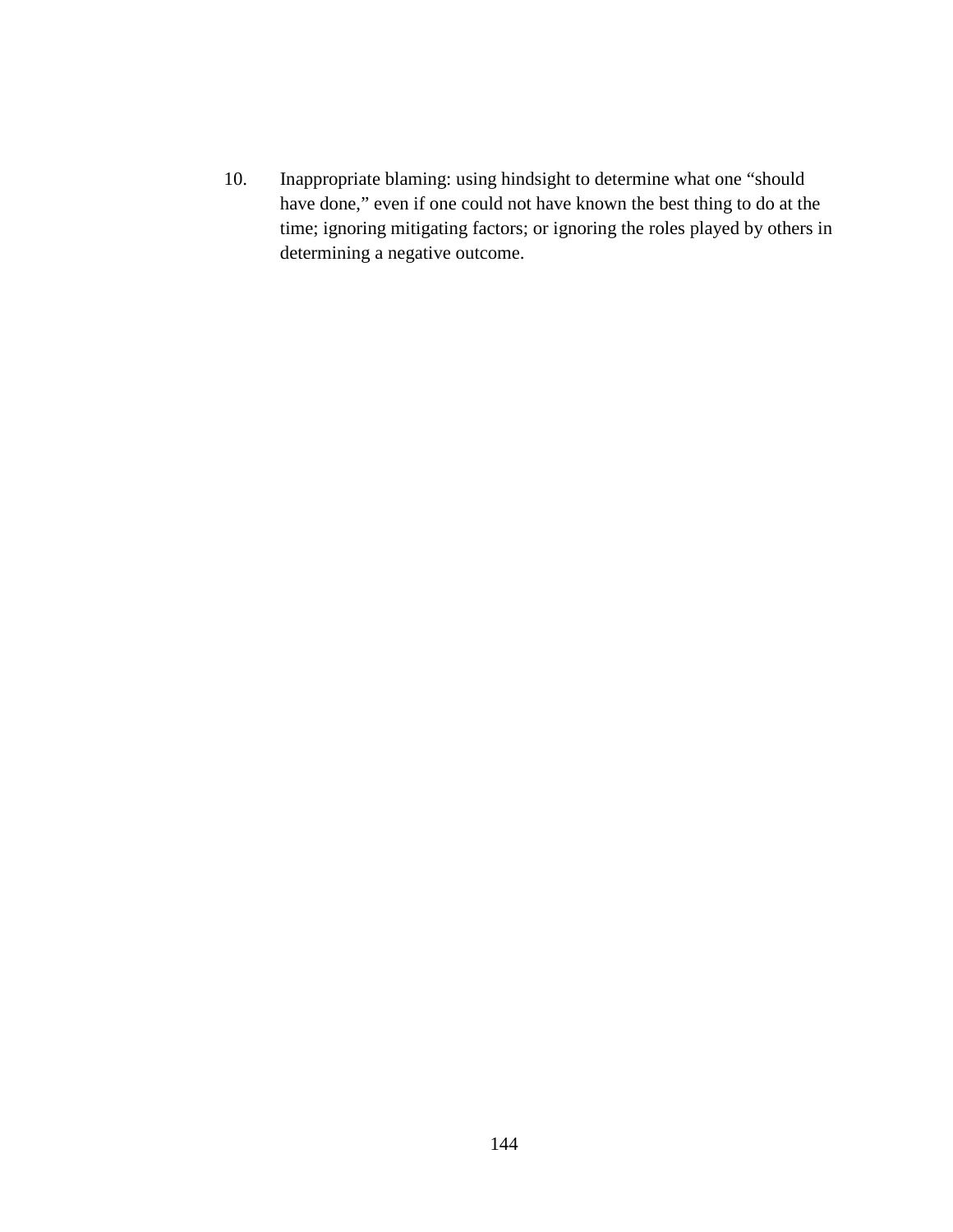10. Inappropriate blaming: using hindsight to determine what one "should have done," even if one could not have known the best thing to do at the time; ignoring mitigating factors; or ignoring the roles played by others in determining a negative outcome.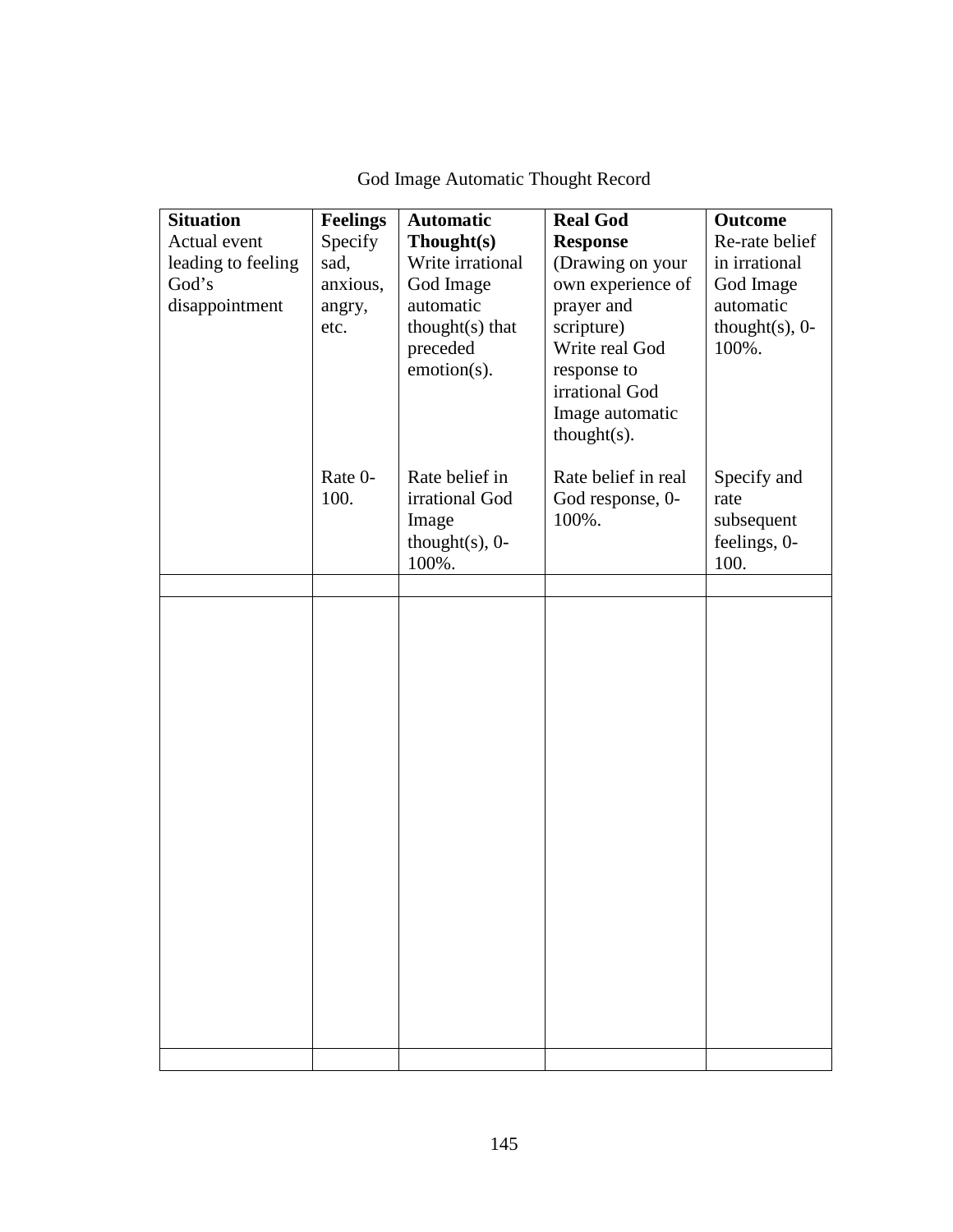| <b>Situation</b><br>Actual event<br>leading to feeling<br>God's<br>disappointment | <b>Feelings</b><br>Specify<br>sad,<br>anxious,<br>angry,<br>etc. | <b>Automatic</b><br>Thought(s)<br>Write irrational<br>God Image<br>automatic<br>thought(s) that<br>preceded<br>emotion(s). | <b>Real God</b><br><b>Response</b><br>(Drawing on your<br>own experience of<br>prayer and<br>scripture)<br>Write real God<br>response to<br>irrational God<br>Image automatic<br>$thought(s)$ . | <b>Outcome</b><br>Re-rate belief<br>in irrational<br>God Image<br>automatic<br>thought $(s)$ , 0-<br>100%. |
|-----------------------------------------------------------------------------------|------------------------------------------------------------------|----------------------------------------------------------------------------------------------------------------------------|-------------------------------------------------------------------------------------------------------------------------------------------------------------------------------------------------|------------------------------------------------------------------------------------------------------------|
|                                                                                   | Rate 0-<br>100.                                                  | Rate belief in<br>irrational God<br>Image<br>thought $(s)$ , 0-<br>100%.                                                   | Rate belief in real<br>God response, 0-<br>100%.                                                                                                                                                | Specify and<br>rate<br>subsequent<br>feelings, 0-<br>100.                                                  |
|                                                                                   |                                                                  |                                                                                                                            |                                                                                                                                                                                                 |                                                                                                            |
|                                                                                   |                                                                  |                                                                                                                            |                                                                                                                                                                                                 |                                                                                                            |
|                                                                                   |                                                                  |                                                                                                                            |                                                                                                                                                                                                 |                                                                                                            |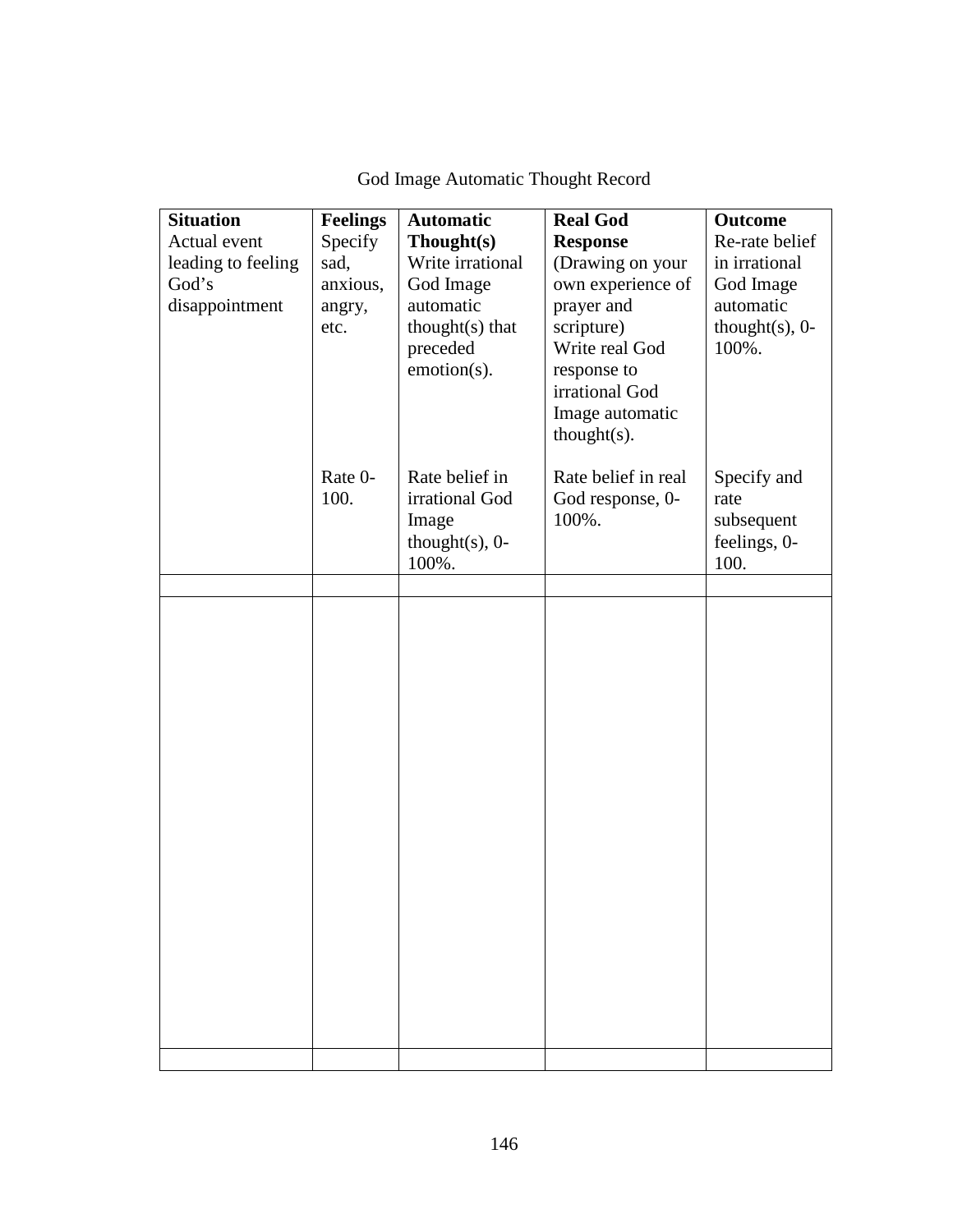| <b>Situation</b><br>Actual event<br>leading to feeling<br>God's<br>disappointment | <b>Feelings</b><br>Specify<br>sad,<br>anxious,<br>angry,<br>etc. | <b>Automatic</b><br>Thought(s)<br>Write irrational<br>God Image<br>automatic<br>thought $(s)$ that<br>preceded<br>emotion(s). | <b>Real God</b><br><b>Response</b><br>(Drawing on your<br>own experience of<br>prayer and<br>scripture)<br>Write real God<br>response to<br>irrational God<br>Image automatic<br>$thought(s)$ . | <b>Outcome</b><br>Re-rate belief<br>in irrational<br>God Image<br>automatic<br>thought $(s)$ , 0-<br>100%. |
|-----------------------------------------------------------------------------------|------------------------------------------------------------------|-------------------------------------------------------------------------------------------------------------------------------|-------------------------------------------------------------------------------------------------------------------------------------------------------------------------------------------------|------------------------------------------------------------------------------------------------------------|
|                                                                                   | Rate 0-<br>100.                                                  | Rate belief in<br>irrational God<br>Image<br>thought $(s)$ , 0-<br>100%.                                                      | Rate belief in real<br>God response, 0-<br>100%.                                                                                                                                                | Specify and<br>rate<br>subsequent<br>feelings, 0-<br>100.                                                  |
|                                                                                   |                                                                  |                                                                                                                               |                                                                                                                                                                                                 |                                                                                                            |
|                                                                                   |                                                                  |                                                                                                                               |                                                                                                                                                                                                 |                                                                                                            |
|                                                                                   |                                                                  |                                                                                                                               |                                                                                                                                                                                                 |                                                                                                            |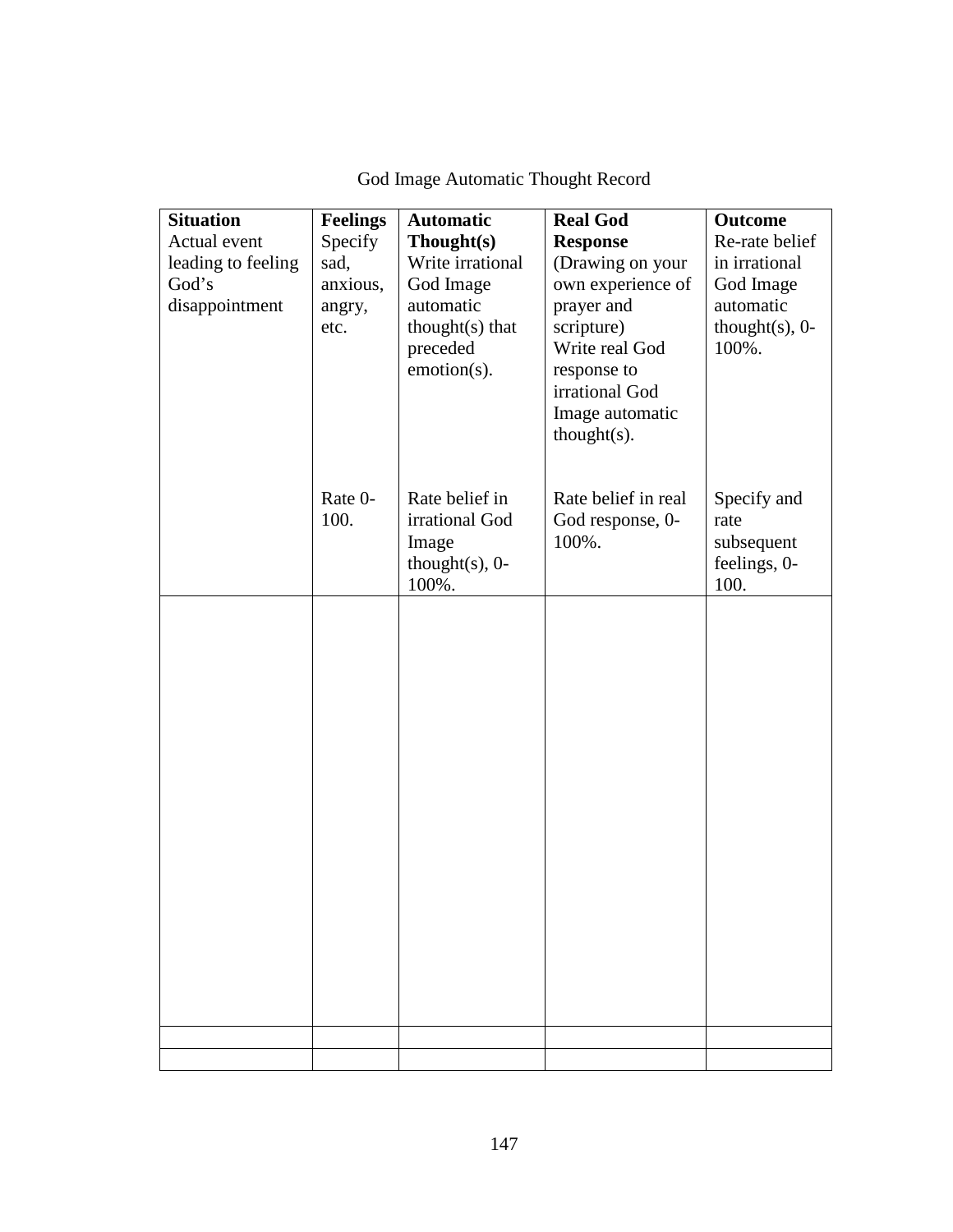| <b>Situation</b><br>Actual event<br>leading to feeling<br>God's<br>disappointment | <b>Feelings</b><br>Specify<br>sad,<br>anxious,<br>angry,<br>etc. | <b>Automatic</b><br>Though(s)<br>Write irrational<br>God Image<br>automatic<br>$thought(s)$ that<br>preceded<br>emotion(s). | <b>Real God</b><br><b>Response</b><br>(Drawing on your<br>own experience of<br>prayer and<br>scripture)<br>Write real God<br>response to<br>irrational God<br>Image automatic<br>$thought(s)$ . | <b>Outcome</b><br>Re-rate belief<br>in irrational<br>God Image<br>automatic<br>thought $(s)$ , 0-<br>100%. |
|-----------------------------------------------------------------------------------|------------------------------------------------------------------|-----------------------------------------------------------------------------------------------------------------------------|-------------------------------------------------------------------------------------------------------------------------------------------------------------------------------------------------|------------------------------------------------------------------------------------------------------------|
|                                                                                   | Rate 0-<br>100.                                                  | Rate belief in<br>irrational God<br>Image<br>thought $(s)$ , 0-<br>100%.                                                    | Rate belief in real<br>God response, 0-<br>100%.                                                                                                                                                | Specify and<br>rate<br>subsequent<br>feelings, 0-<br>100.                                                  |
|                                                                                   |                                                                  |                                                                                                                             |                                                                                                                                                                                                 |                                                                                                            |
|                                                                                   |                                                                  |                                                                                                                             |                                                                                                                                                                                                 |                                                                                                            |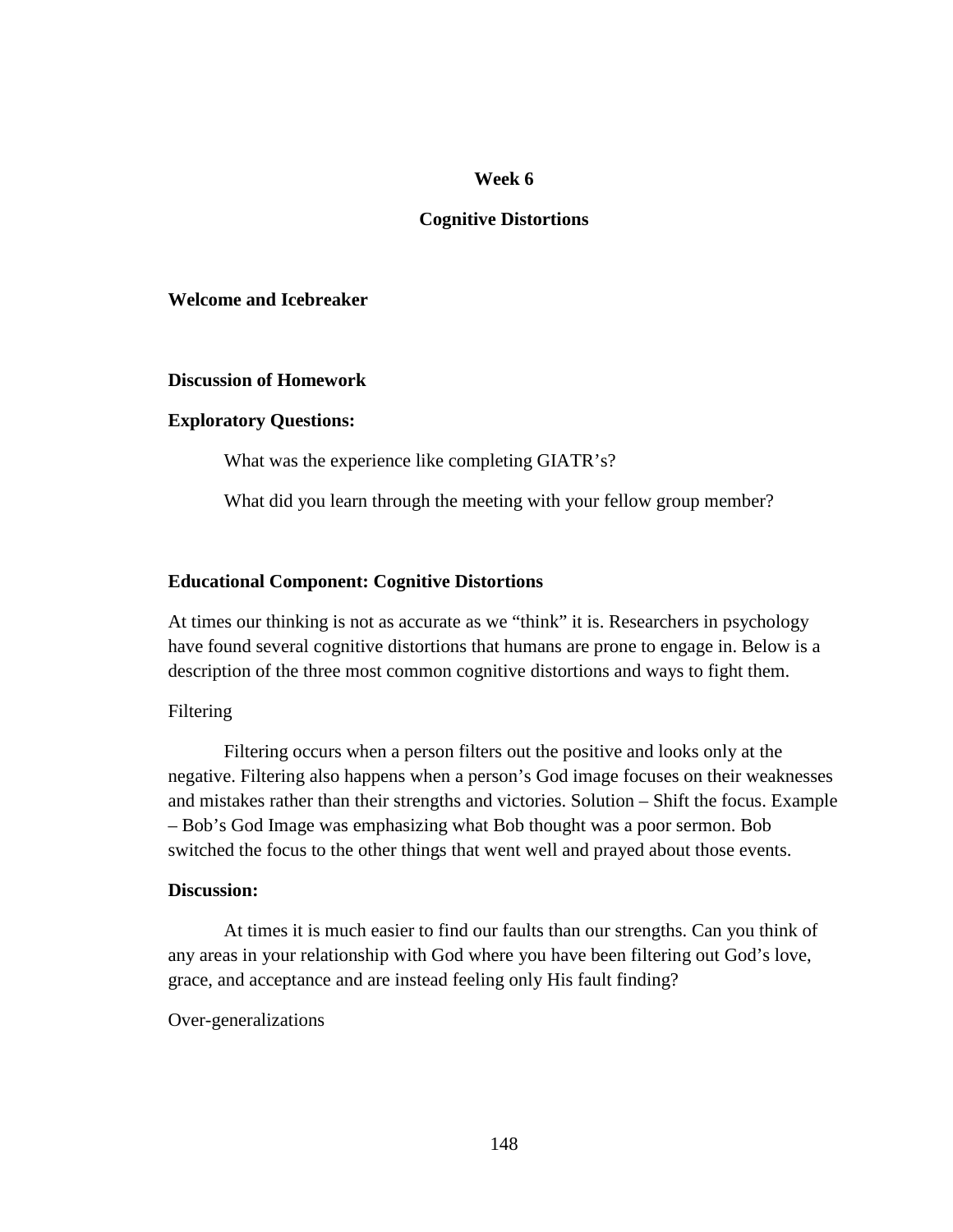#### **Week 6**

### **Cognitive Distortions**

## **Welcome and Icebreaker**

#### **Discussion of Homework**

#### **Exploratory Questions:**

What was the experience like completing GIATR's?

What did you learn through the meeting with your fellow group member?

## **Educational Component: Cognitive Distortions**

At times our thinking is not as accurate as we "think" it is. Researchers in psychology have found several cognitive distortions that humans are prone to engage in. Below is a description of the three most common cognitive distortions and ways to fight them.

## Filtering

 Filtering occurs when a person filters out the positive and looks only at the negative. Filtering also happens when a person's God image focuses on their weaknesses and mistakes rather than their strengths and victories. Solution – Shift the focus. Example – Bob's God Image was emphasizing what Bob thought was a poor sermon. Bob switched the focus to the other things that went well and prayed about those events.

## **Discussion:**

 At times it is much easier to find our faults than our strengths. Can you think of any areas in your relationship with God where you have been filtering out God's love, grace, and acceptance and are instead feeling only His fault finding?

#### Over-generalizations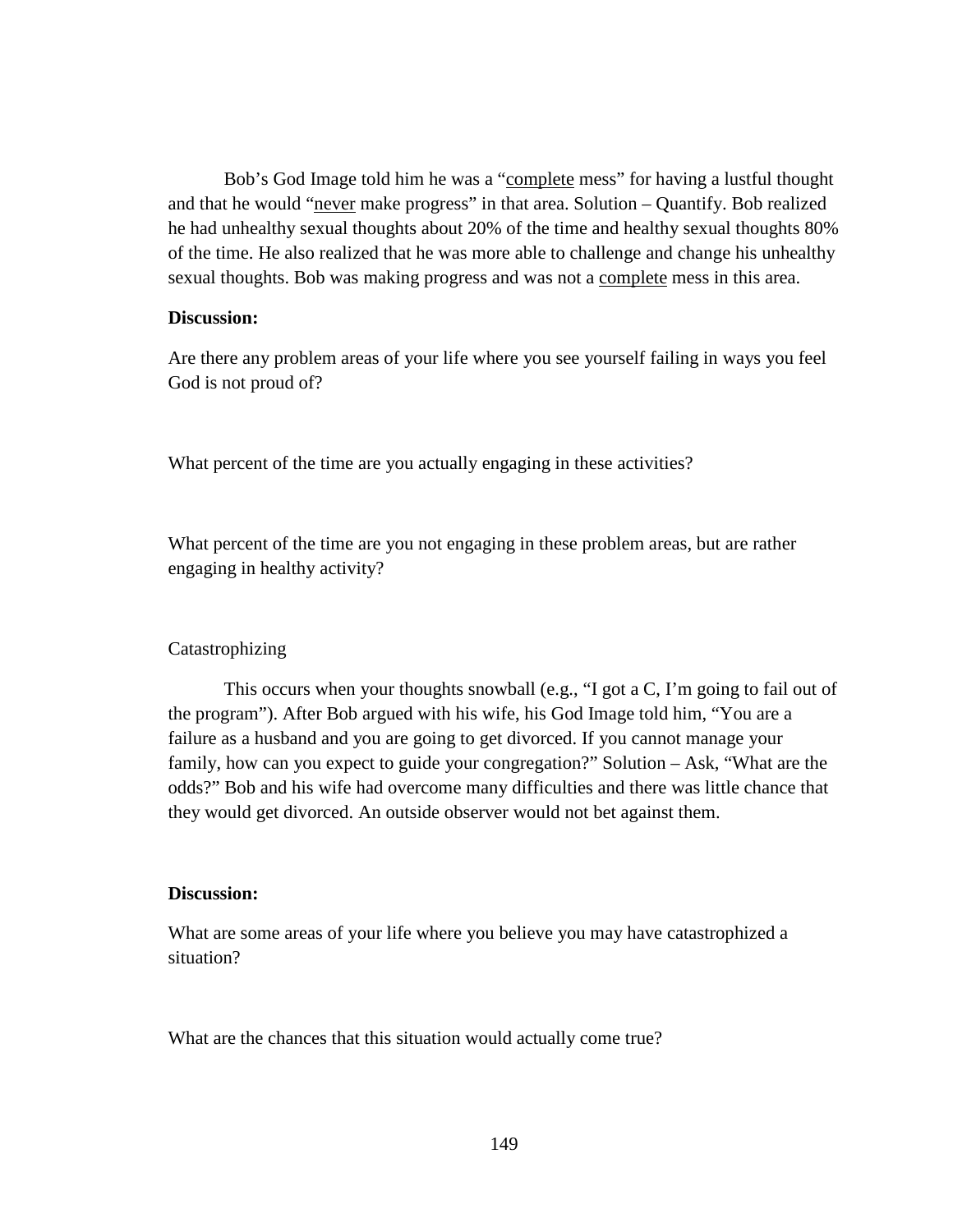Bob's God Image told him he was a "complete mess" for having a lustful thought and that he would "never make progress" in that area. Solution – Quantify. Bob realized he had unhealthy sexual thoughts about 20% of the time and healthy sexual thoughts 80% of the time. He also realized that he was more able to challenge and change his unhealthy sexual thoughts. Bob was making progress and was not a complete mess in this area.

## **Discussion:**

Are there any problem areas of your life where you see yourself failing in ways you feel God is not proud of?

What percent of the time are you actually engaging in these activities?

What percent of the time are you not engaging in these problem areas, but are rather engaging in healthy activity?

### Catastrophizing

 This occurs when your thoughts snowball (e.g., "I got a C, I'm going to fail out of the program"). After Bob argued with his wife, his God Image told him, "You are a failure as a husband and you are going to get divorced. If you cannot manage your family, how can you expect to guide your congregation?" Solution – Ask, "What are the odds?" Bob and his wife had overcome many difficulties and there was little chance that they would get divorced. An outside observer would not bet against them.

## **Discussion:**

What are some areas of your life where you believe you may have catastrophized a situation?

What are the chances that this situation would actually come true?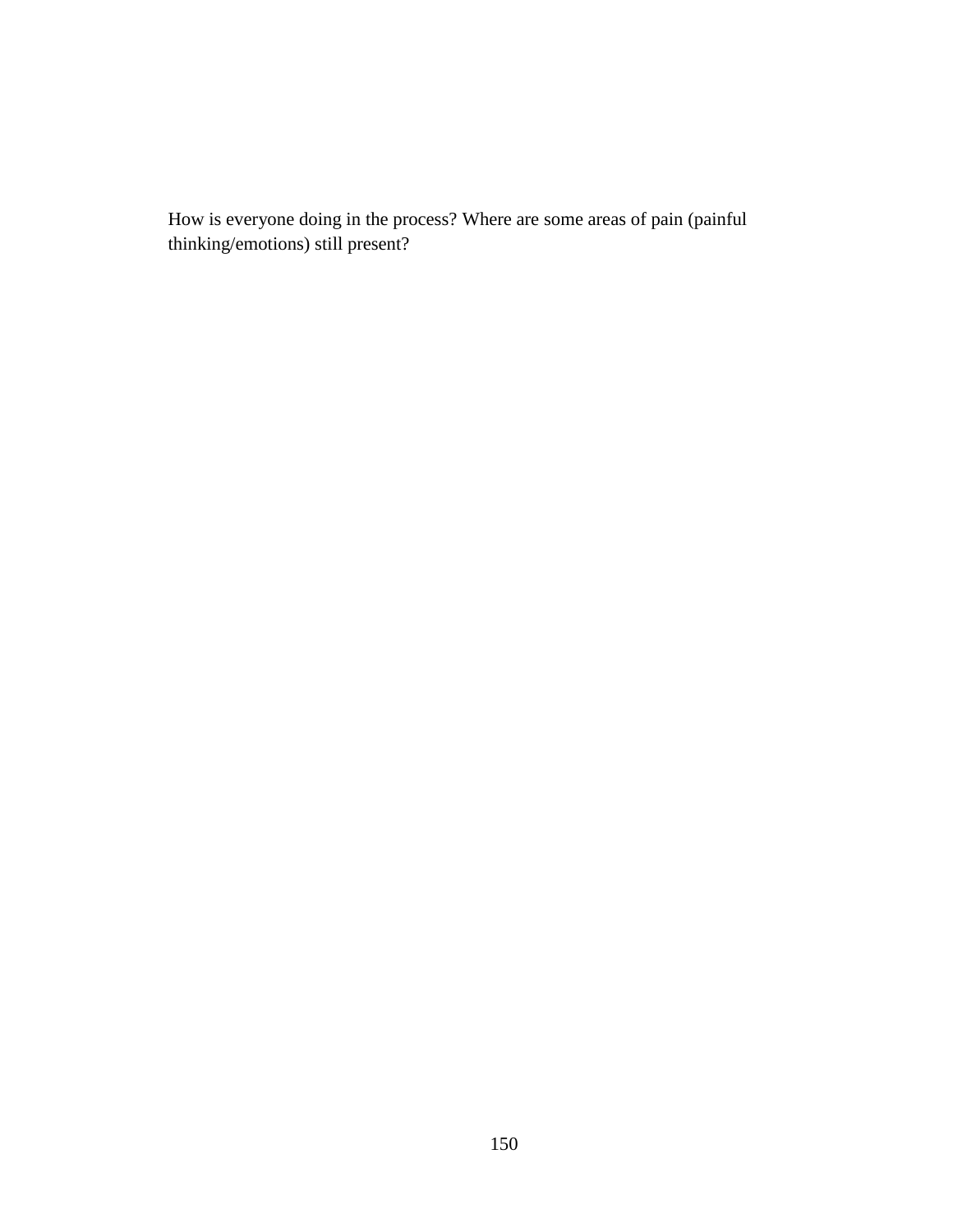How is everyone doing in the process? Where are some areas of pain (painful thinking/emotions) still present?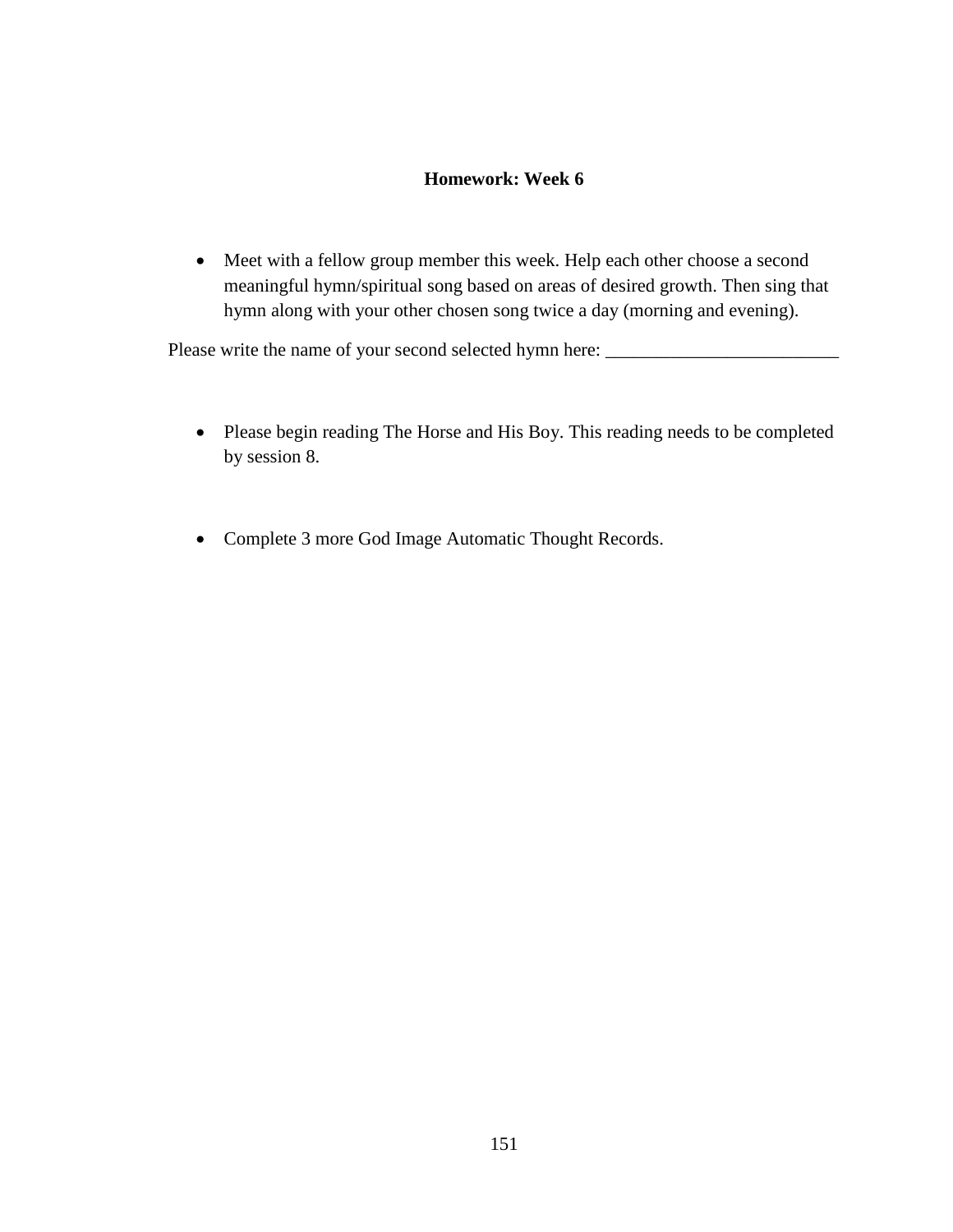## **Homework: Week 6**

• Meet with a fellow group member this week. Help each other choose a second meaningful hymn/spiritual song based on areas of desired growth. Then sing that hymn along with your other chosen song twice a day (morning and evening).

Please write the name of your second selected hymn here:

- Please begin reading The Horse and His Boy. This reading needs to be completed by session 8.
- Complete 3 more God Image Automatic Thought Records.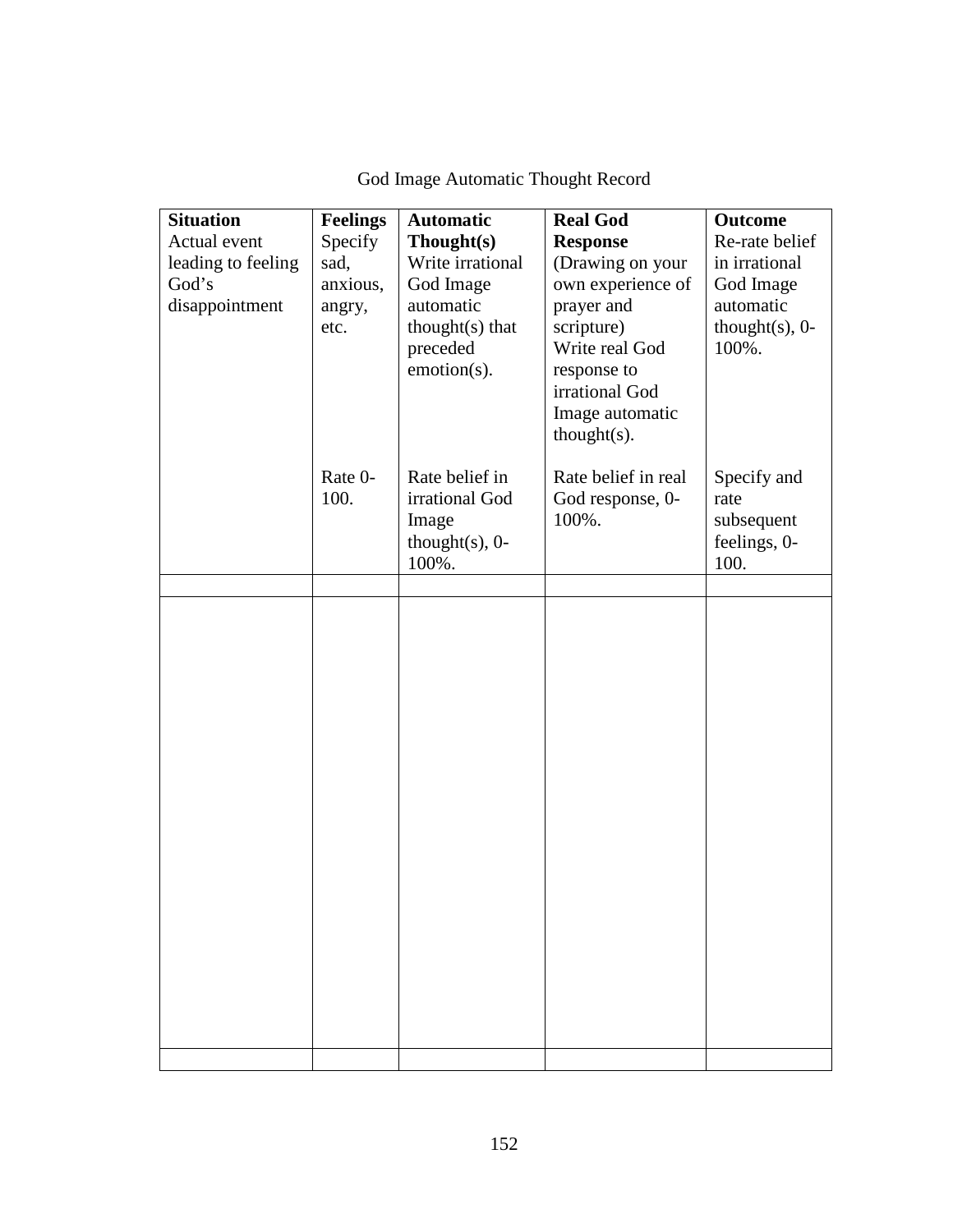| <b>Situation</b><br>Actual event<br>leading to feeling<br>God's<br>disappointment | <b>Feelings</b><br>Specify<br>sad,<br>anxious,<br>angry,<br>etc. | <b>Automatic</b><br>Thought(s)<br>Write irrational<br>God Image<br>automatic<br>thought(s) that<br>preceded<br>emotion(s). | <b>Real God</b><br><b>Response</b><br>(Drawing on your<br>own experience of<br>prayer and<br>scripture)<br>Write real God<br>response to<br>irrational God<br>Image automatic<br>$thought(s)$ . | <b>Outcome</b><br>Re-rate belief<br>in irrational<br>God Image<br>automatic<br>thought $(s)$ , 0-<br>100%. |
|-----------------------------------------------------------------------------------|------------------------------------------------------------------|----------------------------------------------------------------------------------------------------------------------------|-------------------------------------------------------------------------------------------------------------------------------------------------------------------------------------------------|------------------------------------------------------------------------------------------------------------|
|                                                                                   | Rate 0-<br>100.                                                  | Rate belief in<br>irrational God<br>Image<br>thought $(s)$ , 0-<br>100%.                                                   | Rate belief in real<br>God response, 0-<br>100%.                                                                                                                                                | Specify and<br>rate<br>subsequent<br>feelings, 0-<br>100.                                                  |
|                                                                                   |                                                                  |                                                                                                                            |                                                                                                                                                                                                 |                                                                                                            |
|                                                                                   |                                                                  |                                                                                                                            |                                                                                                                                                                                                 |                                                                                                            |
|                                                                                   |                                                                  |                                                                                                                            |                                                                                                                                                                                                 |                                                                                                            |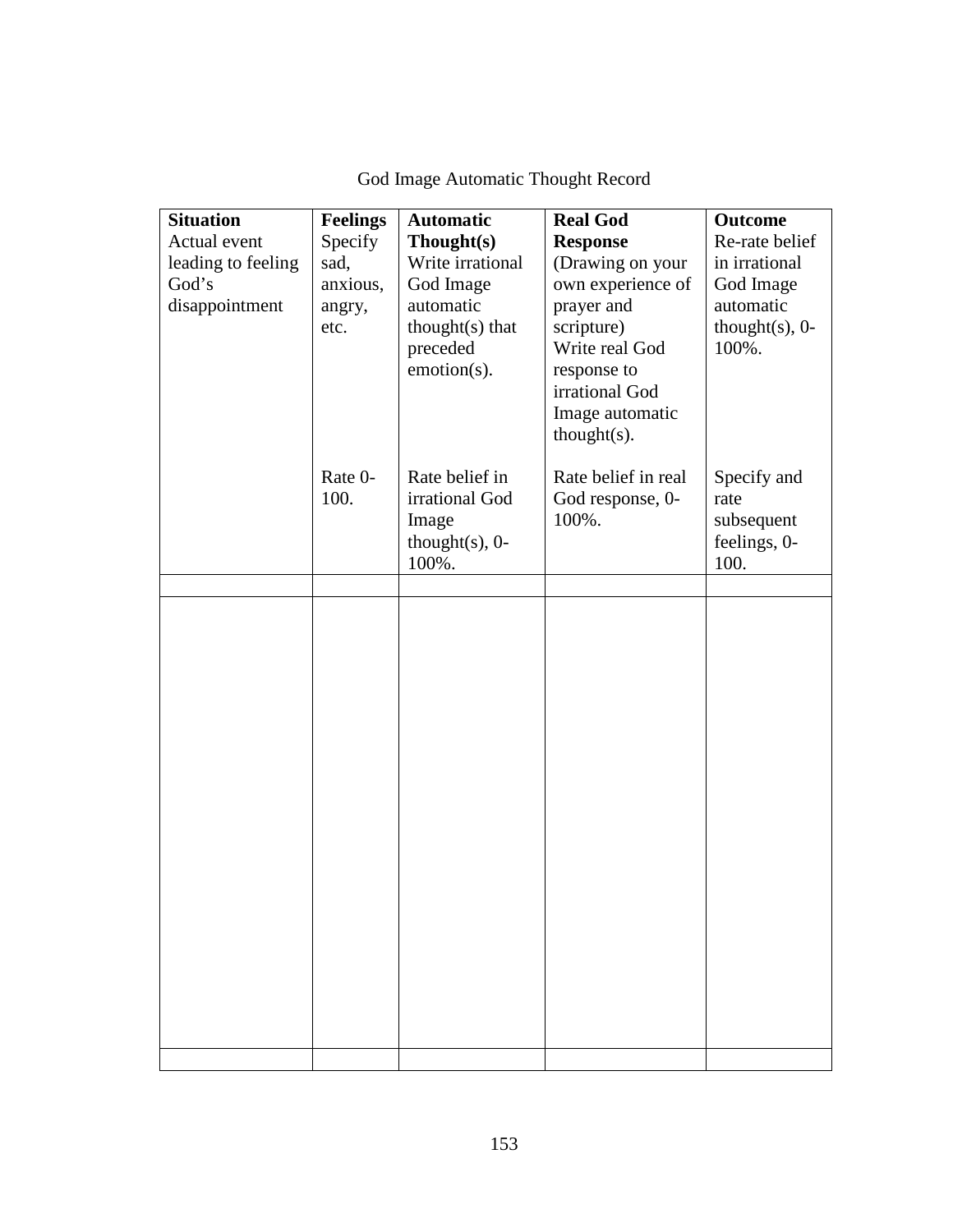| <b>Situation</b><br>Actual event<br>leading to feeling<br>God's<br>disappointment | <b>Feelings</b><br>Specify<br>sad,<br>anxious,<br>angry,<br>etc. | <b>Automatic</b><br>Thought(s)<br>Write irrational<br>God Image<br>automatic<br>thought(s) that<br>preceded<br>emotion(s). | <b>Real God</b><br><b>Response</b><br>(Drawing on your<br>own experience of<br>prayer and<br>scripture)<br>Write real God<br>response to<br>irrational God<br>Image automatic<br>$thought(s)$ . | <b>Outcome</b><br>Re-rate belief<br>in irrational<br>God Image<br>automatic<br>thought $(s)$ , 0-<br>100%. |
|-----------------------------------------------------------------------------------|------------------------------------------------------------------|----------------------------------------------------------------------------------------------------------------------------|-------------------------------------------------------------------------------------------------------------------------------------------------------------------------------------------------|------------------------------------------------------------------------------------------------------------|
|                                                                                   | Rate 0-<br>100.                                                  | Rate belief in<br>irrational God<br>Image<br>thought $(s)$ , 0-<br>100%.                                                   | Rate belief in real<br>God response, 0-<br>100%.                                                                                                                                                | Specify and<br>rate<br>subsequent<br>feelings, 0-<br>100.                                                  |
|                                                                                   |                                                                  |                                                                                                                            |                                                                                                                                                                                                 |                                                                                                            |
|                                                                                   |                                                                  |                                                                                                                            |                                                                                                                                                                                                 |                                                                                                            |
|                                                                                   |                                                                  |                                                                                                                            |                                                                                                                                                                                                 |                                                                                                            |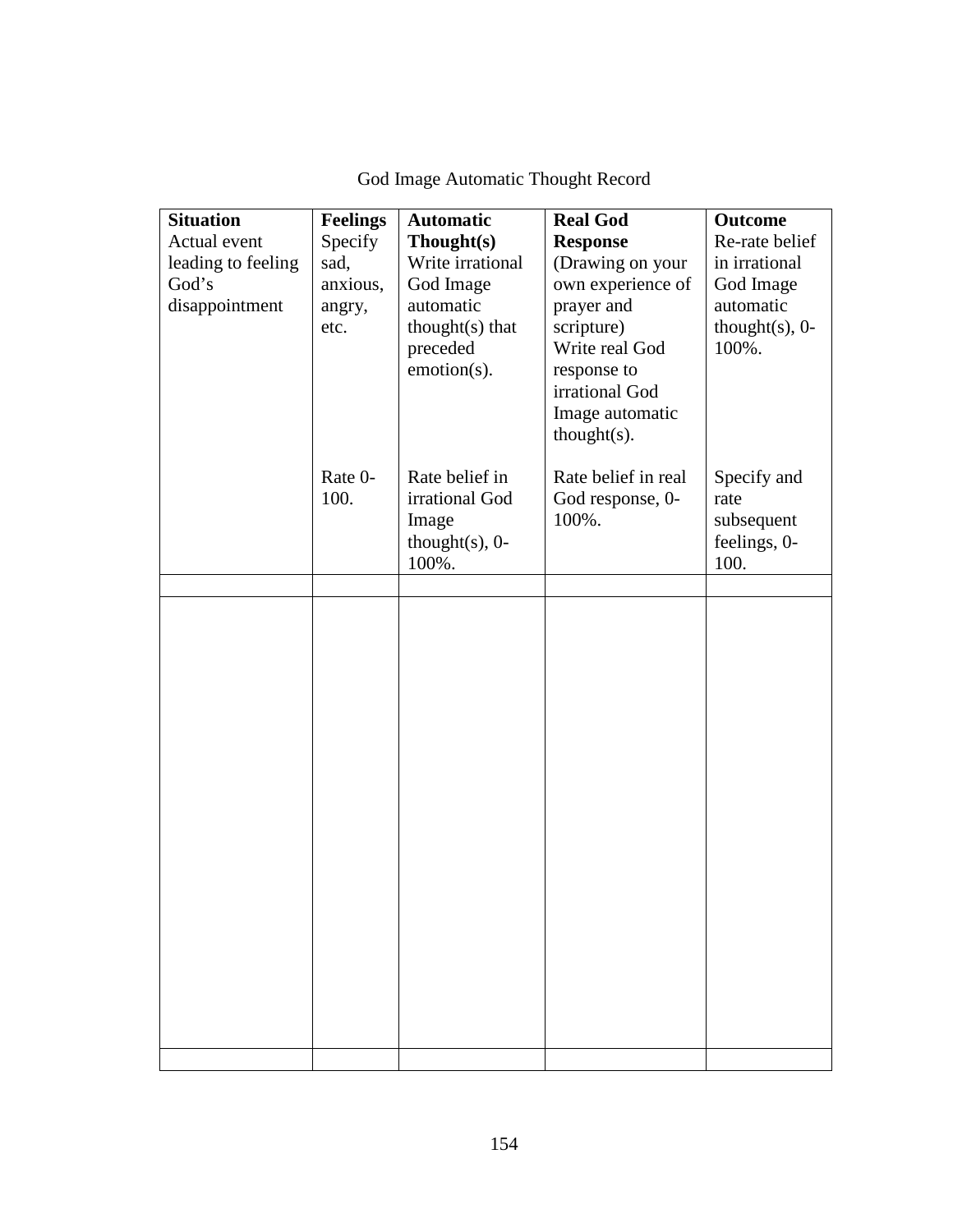| <b>Situation</b><br>Actual event<br>leading to feeling<br>God's<br>disappointment | <b>Feelings</b><br>Specify<br>sad,<br>anxious,<br>angry,<br>etc. | <b>Automatic</b><br>Thought(s)<br>Write irrational<br>God Image<br>automatic<br>thought(s) that<br>preceded<br>emotion(s). | <b>Real God</b><br><b>Response</b><br>(Drawing on your<br>own experience of<br>prayer and<br>scripture)<br>Write real God<br>response to<br>irrational God<br>Image automatic<br>$thought(s)$ . | <b>Outcome</b><br>Re-rate belief<br>in irrational<br>God Image<br>automatic<br>thought $(s)$ , 0-<br>100%. |
|-----------------------------------------------------------------------------------|------------------------------------------------------------------|----------------------------------------------------------------------------------------------------------------------------|-------------------------------------------------------------------------------------------------------------------------------------------------------------------------------------------------|------------------------------------------------------------------------------------------------------------|
|                                                                                   | Rate 0-<br>100.                                                  | Rate belief in<br>irrational God<br>Image<br>thought $(s)$ , 0-<br>100%.                                                   | Rate belief in real<br>God response, 0-<br>100%.                                                                                                                                                | Specify and<br>rate<br>subsequent<br>feelings, 0-<br>100.                                                  |
|                                                                                   |                                                                  |                                                                                                                            |                                                                                                                                                                                                 |                                                                                                            |
|                                                                                   |                                                                  |                                                                                                                            |                                                                                                                                                                                                 |                                                                                                            |
|                                                                                   |                                                                  |                                                                                                                            |                                                                                                                                                                                                 |                                                                                                            |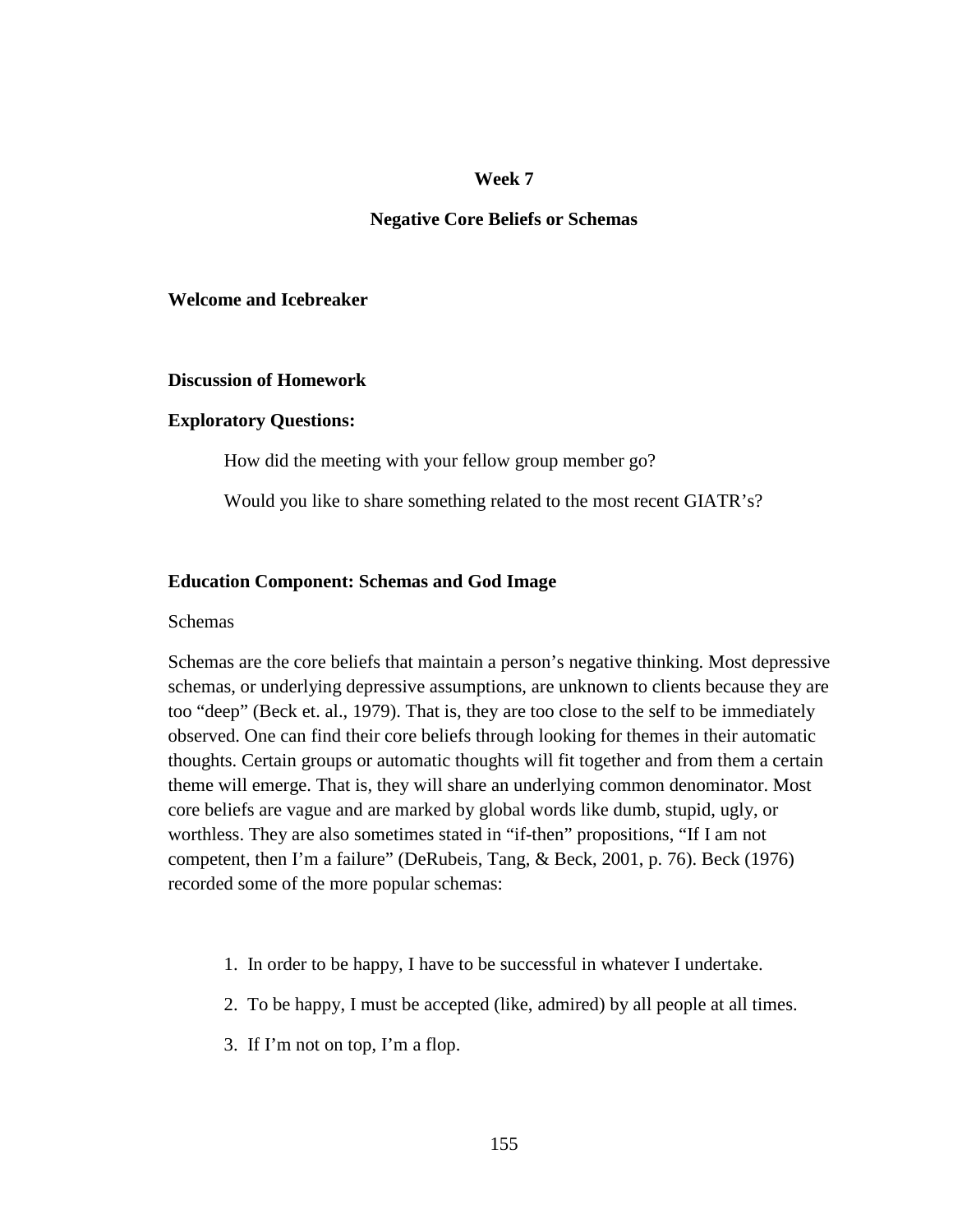#### **Week 7**

#### **Negative Core Beliefs or Schemas**

### **Welcome and Icebreaker**

#### **Discussion of Homework**

#### **Exploratory Questions:**

How did the meeting with your fellow group member go?

Would you like to share something related to the most recent GIATR's?

### **Education Component: Schemas and God Image**

#### Schemas

Schemas are the core beliefs that maintain a person's negative thinking. Most depressive schemas, or underlying depressive assumptions, are unknown to clients because they are too "deep" (Beck et. al., 1979). That is, they are too close to the self to be immediately observed. One can find their core beliefs through looking for themes in their automatic thoughts. Certain groups or automatic thoughts will fit together and from them a certain theme will emerge. That is, they will share an underlying common denominator. Most core beliefs are vague and are marked by global words like dumb, stupid, ugly, or worthless. They are also sometimes stated in "if-then" propositions, "If I am not competent, then I'm a failure" (DeRubeis, Tang, & Beck, 2001, p. 76). Beck (1976) recorded some of the more popular schemas:

- 1. In order to be happy, I have to be successful in whatever I undertake.
- 2. To be happy, I must be accepted (like, admired) by all people at all times.
- 3. If I'm not on top, I'm a flop.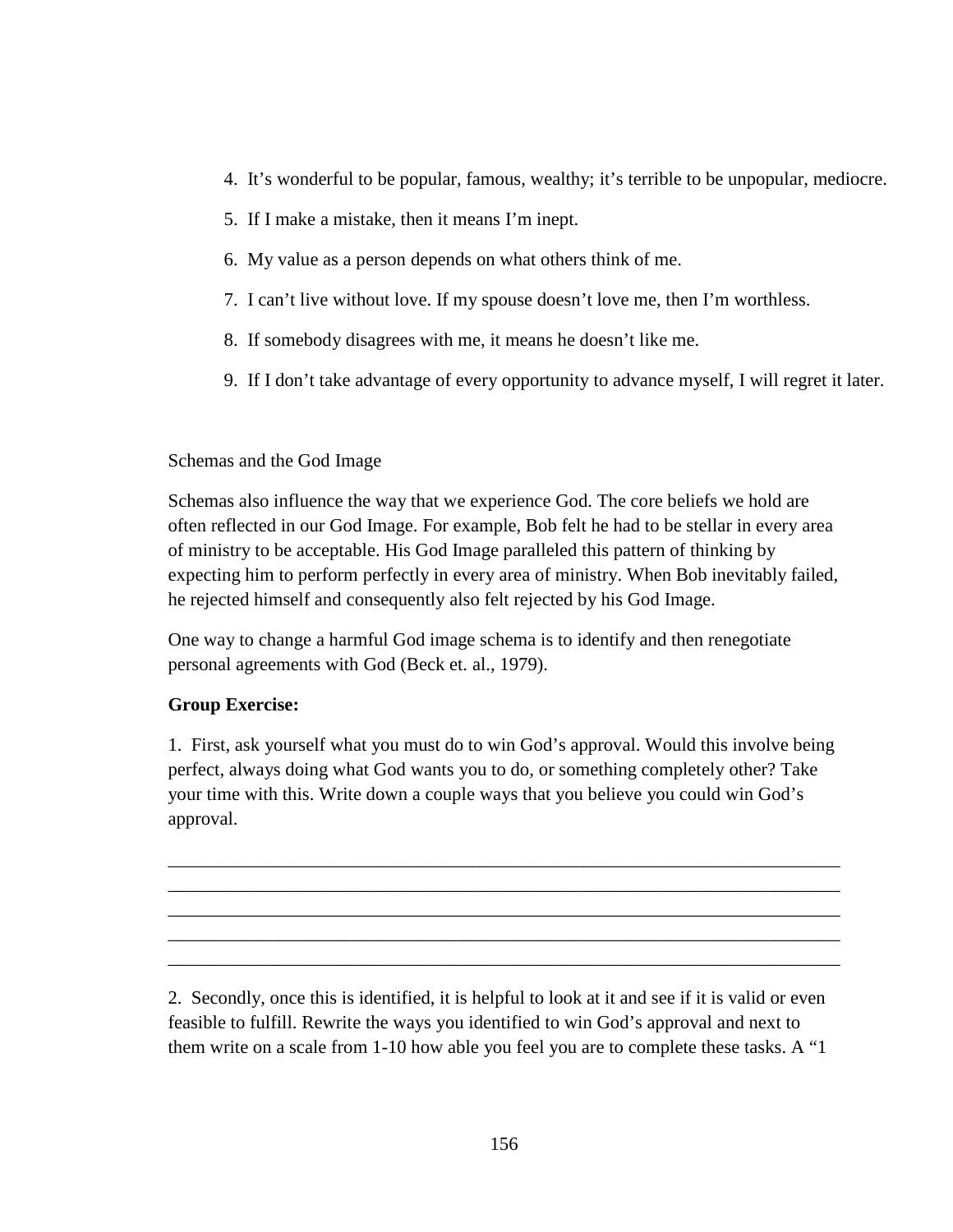- 4. It's wonderful to be popular, famous, wealthy; it's terrible to be unpopular, mediocre.
- 5. If I make a mistake, then it means I'm inept.
- 6. My value as a person depends on what others think of me.
- 7. I can't live without love. If my spouse doesn't love me, then I'm worthless.
- 8. If somebody disagrees with me, it means he doesn't like me.
- 9. If I don't take advantage of every opportunity to advance myself, I will regret it later.

## Schemas and the God Image

Schemas also influence the way that we experience God. The core beliefs we hold are often reflected in our God Image. For example, Bob felt he had to be stellar in every area of ministry to be acceptable. His God Image paralleled this pattern of thinking by expecting him to perform perfectly in every area of ministry. When Bob inevitably failed, he rejected himself and consequently also felt rejected by his God Image.

One way to change a harmful God image schema is to identify and then renegotiate personal agreements with God (Beck et. al., 1979).

## **Group Exercise:**

1. First, ask yourself what you must do to win God's approval. Would this involve being perfect, always doing what God wants you to do, or something completely other? Take your time with this. Write down a couple ways that you believe you could win God's approval.

\_\_\_\_\_\_\_\_\_\_\_\_\_\_\_\_\_\_\_\_\_\_\_\_\_\_\_\_\_\_\_\_\_\_\_\_\_\_\_\_\_\_\_\_\_\_\_\_\_\_\_\_\_\_\_\_\_\_\_\_\_\_\_\_\_\_\_\_\_\_\_\_ \_\_\_\_\_\_\_\_\_\_\_\_\_\_\_\_\_\_\_\_\_\_\_\_\_\_\_\_\_\_\_\_\_\_\_\_\_\_\_\_\_\_\_\_\_\_\_\_\_\_\_\_\_\_\_\_\_\_\_\_\_\_\_\_\_\_\_\_\_\_\_\_ \_\_\_\_\_\_\_\_\_\_\_\_\_\_\_\_\_\_\_\_\_\_\_\_\_\_\_\_\_\_\_\_\_\_\_\_\_\_\_\_\_\_\_\_\_\_\_\_\_\_\_\_\_\_\_\_\_\_\_\_\_\_\_\_\_\_\_\_\_\_\_\_ \_\_\_\_\_\_\_\_\_\_\_\_\_\_\_\_\_\_\_\_\_\_\_\_\_\_\_\_\_\_\_\_\_\_\_\_\_\_\_\_\_\_\_\_\_\_\_\_\_\_\_\_\_\_\_\_\_\_\_\_\_\_\_\_\_\_\_\_\_\_\_\_ \_\_\_\_\_\_\_\_\_\_\_\_\_\_\_\_\_\_\_\_\_\_\_\_\_\_\_\_\_\_\_\_\_\_\_\_\_\_\_\_\_\_\_\_\_\_\_\_\_\_\_\_\_\_\_\_\_\_\_\_\_\_\_\_\_\_\_\_\_\_\_\_

2. Secondly, once this is identified, it is helpful to look at it and see if it is valid or even feasible to fulfill. Rewrite the ways you identified to win God's approval and next to them write on a scale from 1-10 how able you feel you are to complete these tasks. A "1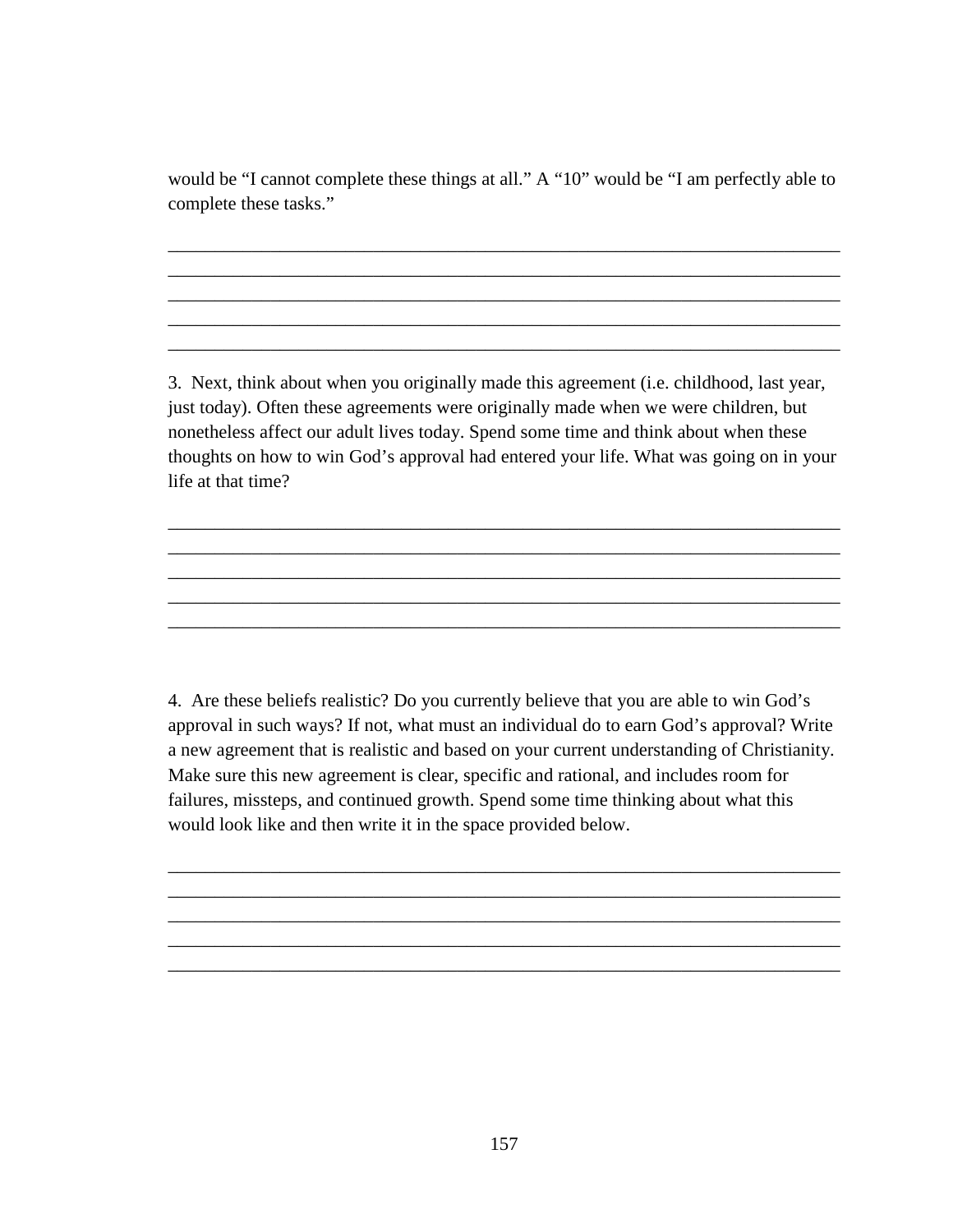would be "I cannot complete these things at all." A "10" would be "I am perfectly able to complete these tasks."

\_\_\_\_\_\_\_\_\_\_\_\_\_\_\_\_\_\_\_\_\_\_\_\_\_\_\_\_\_\_\_\_\_\_\_\_\_\_\_\_\_\_\_\_\_\_\_\_\_\_\_\_\_\_\_\_\_\_\_\_\_\_\_\_\_\_\_\_\_\_\_\_ \_\_\_\_\_\_\_\_\_\_\_\_\_\_\_\_\_\_\_\_\_\_\_\_\_\_\_\_\_\_\_\_\_\_\_\_\_\_\_\_\_\_\_\_\_\_\_\_\_\_\_\_\_\_\_\_\_\_\_\_\_\_\_\_\_\_\_\_\_\_\_\_ \_\_\_\_\_\_\_\_\_\_\_\_\_\_\_\_\_\_\_\_\_\_\_\_\_\_\_\_\_\_\_\_\_\_\_\_\_\_\_\_\_\_\_\_\_\_\_\_\_\_\_\_\_\_\_\_\_\_\_\_\_\_\_\_\_\_\_\_\_\_\_\_ \_\_\_\_\_\_\_\_\_\_\_\_\_\_\_\_\_\_\_\_\_\_\_\_\_\_\_\_\_\_\_\_\_\_\_\_\_\_\_\_\_\_\_\_\_\_\_\_\_\_\_\_\_\_\_\_\_\_\_\_\_\_\_\_\_\_\_\_\_\_\_\_ \_\_\_\_\_\_\_\_\_\_\_\_\_\_\_\_\_\_\_\_\_\_\_\_\_\_\_\_\_\_\_\_\_\_\_\_\_\_\_\_\_\_\_\_\_\_\_\_\_\_\_\_\_\_\_\_\_\_\_\_\_\_\_\_\_\_\_\_\_\_\_\_

3. Next, think about when you originally made this agreement (i.e. childhood, last year, just today). Often these agreements were originally made when we were children, but nonetheless affect our adult lives today. Spend some time and think about when these thoughts on how to win God's approval had entered your life. What was going on in your life at that time?

\_\_\_\_\_\_\_\_\_\_\_\_\_\_\_\_\_\_\_\_\_\_\_\_\_\_\_\_\_\_\_\_\_\_\_\_\_\_\_\_\_\_\_\_\_\_\_\_\_\_\_\_\_\_\_\_\_\_\_\_\_\_\_\_\_\_\_\_\_\_\_\_ \_\_\_\_\_\_\_\_\_\_\_\_\_\_\_\_\_\_\_\_\_\_\_\_\_\_\_\_\_\_\_\_\_\_\_\_\_\_\_\_\_\_\_\_\_\_\_\_\_\_\_\_\_\_\_\_\_\_\_\_\_\_\_\_\_\_\_\_\_\_\_\_ \_\_\_\_\_\_\_\_\_\_\_\_\_\_\_\_\_\_\_\_\_\_\_\_\_\_\_\_\_\_\_\_\_\_\_\_\_\_\_\_\_\_\_\_\_\_\_\_\_\_\_\_\_\_\_\_\_\_\_\_\_\_\_\_\_\_\_\_\_\_\_\_ \_\_\_\_\_\_\_\_\_\_\_\_\_\_\_\_\_\_\_\_\_\_\_\_\_\_\_\_\_\_\_\_\_\_\_\_\_\_\_\_\_\_\_\_\_\_\_\_\_\_\_\_\_\_\_\_\_\_\_\_\_\_\_\_\_\_\_\_\_\_\_\_ \_\_\_\_\_\_\_\_\_\_\_\_\_\_\_\_\_\_\_\_\_\_\_\_\_\_\_\_\_\_\_\_\_\_\_\_\_\_\_\_\_\_\_\_\_\_\_\_\_\_\_\_\_\_\_\_\_\_\_\_\_\_\_\_\_\_\_\_\_\_\_\_

4. Are these beliefs realistic? Do you currently believe that you are able to win God's approval in such ways? If not, what must an individual do to earn God's approval? Write a new agreement that is realistic and based on your current understanding of Christianity. Make sure this new agreement is clear, specific and rational, and includes room for failures, missteps, and continued growth. Spend some time thinking about what this would look like and then write it in the space provided below.

\_\_\_\_\_\_\_\_\_\_\_\_\_\_\_\_\_\_\_\_\_\_\_\_\_\_\_\_\_\_\_\_\_\_\_\_\_\_\_\_\_\_\_\_\_\_\_\_\_\_\_\_\_\_\_\_\_\_\_\_\_\_\_\_\_\_\_\_\_\_\_\_ \_\_\_\_\_\_\_\_\_\_\_\_\_\_\_\_\_\_\_\_\_\_\_\_\_\_\_\_\_\_\_\_\_\_\_\_\_\_\_\_\_\_\_\_\_\_\_\_\_\_\_\_\_\_\_\_\_\_\_\_\_\_\_\_\_\_\_\_\_\_\_\_ \_\_\_\_\_\_\_\_\_\_\_\_\_\_\_\_\_\_\_\_\_\_\_\_\_\_\_\_\_\_\_\_\_\_\_\_\_\_\_\_\_\_\_\_\_\_\_\_\_\_\_\_\_\_\_\_\_\_\_\_\_\_\_\_\_\_\_\_\_\_\_\_ \_\_\_\_\_\_\_\_\_\_\_\_\_\_\_\_\_\_\_\_\_\_\_\_\_\_\_\_\_\_\_\_\_\_\_\_\_\_\_\_\_\_\_\_\_\_\_\_\_\_\_\_\_\_\_\_\_\_\_\_\_\_\_\_\_\_\_\_\_\_\_\_ \_\_\_\_\_\_\_\_\_\_\_\_\_\_\_\_\_\_\_\_\_\_\_\_\_\_\_\_\_\_\_\_\_\_\_\_\_\_\_\_\_\_\_\_\_\_\_\_\_\_\_\_\_\_\_\_\_\_\_\_\_\_\_\_\_\_\_\_\_\_\_\_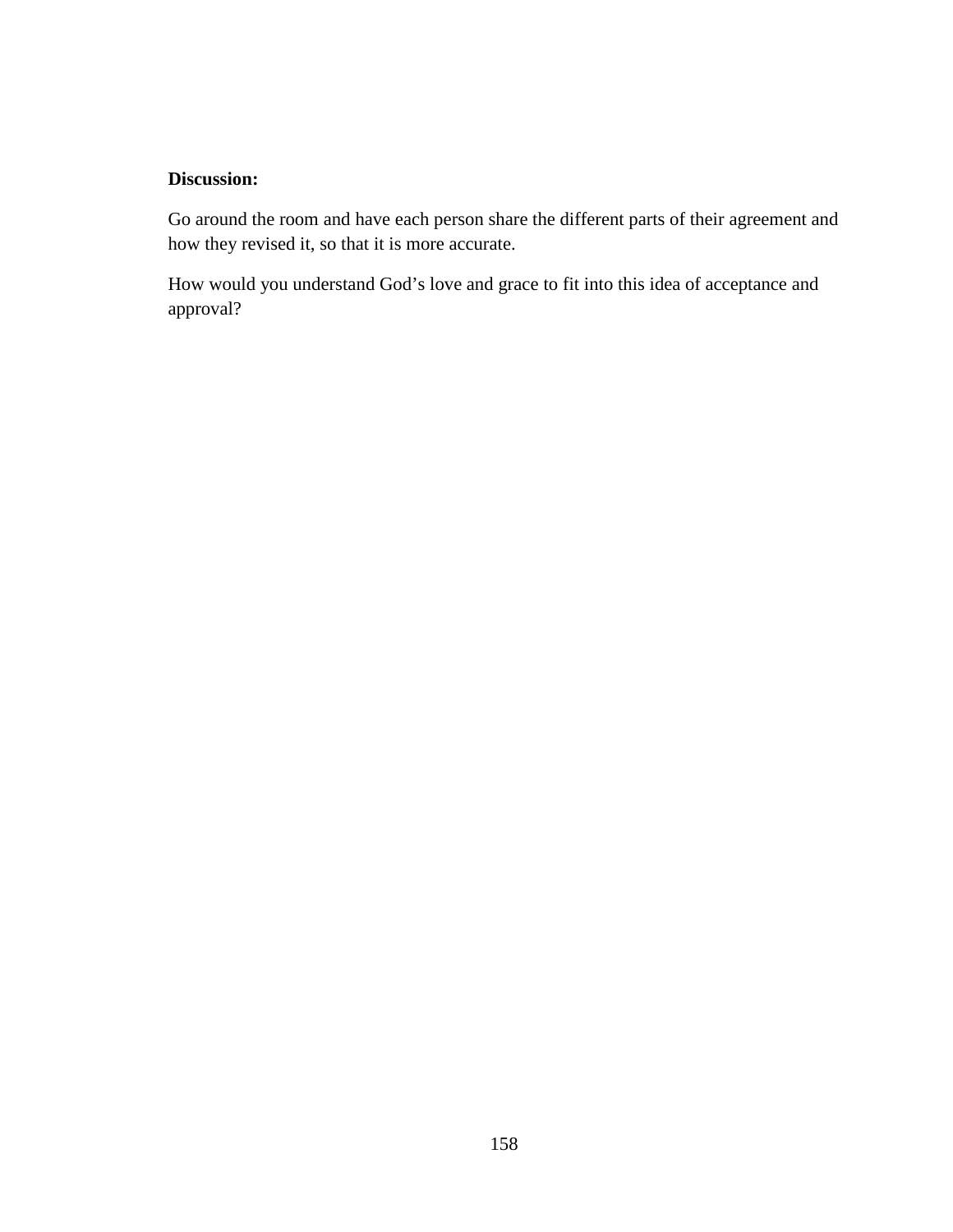## **Discussion:**

Go around the room and have each person share the different parts of their agreement and how they revised it, so that it is more accurate.

How would you understand God's love and grace to fit into this idea of acceptance and approval?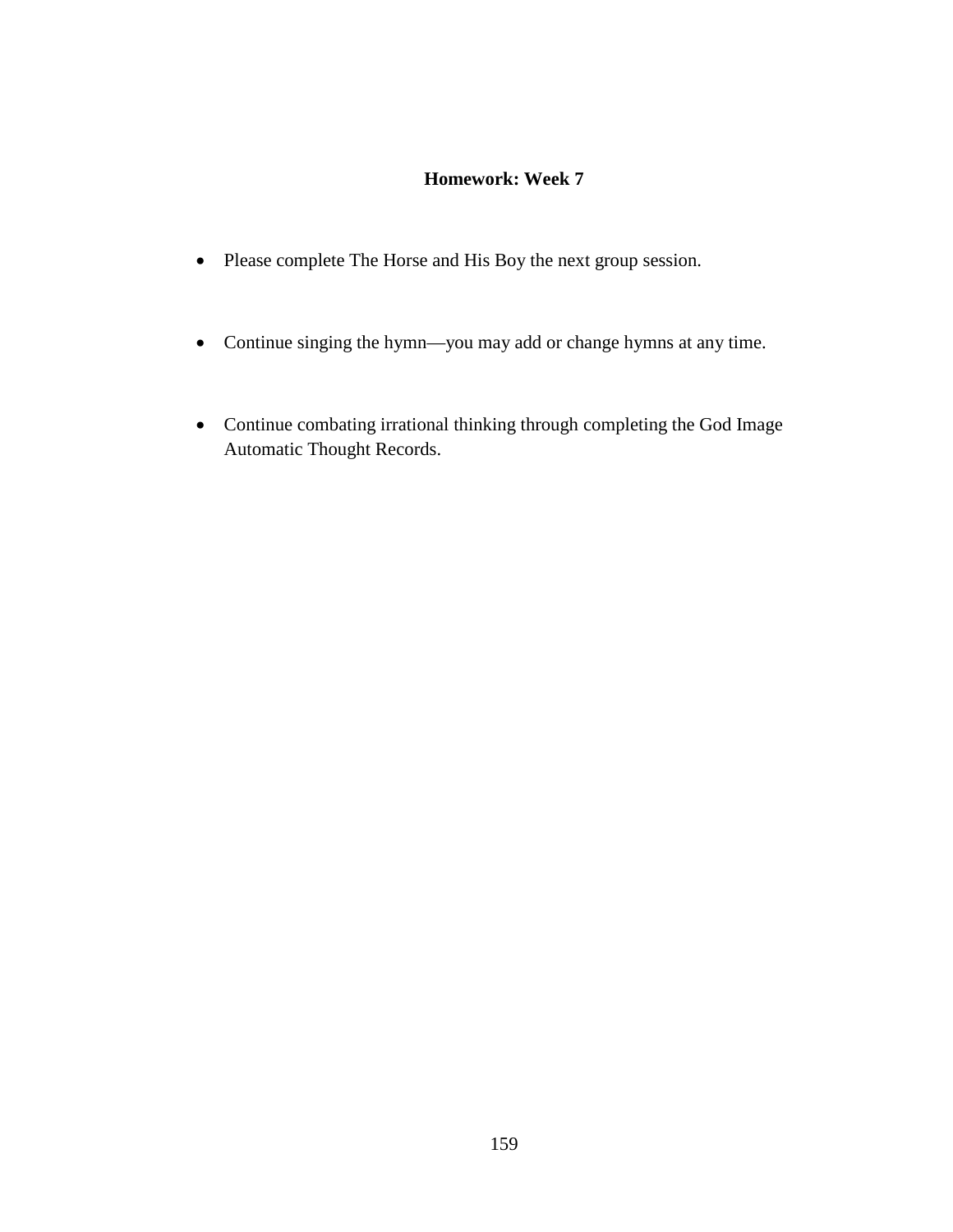## **Homework: Week 7**

- Please complete The Horse and His Boy the next group session.
- Continue singing the hymn—you may add or change hymns at any time.
- Continue combating irrational thinking through completing the God Image Automatic Thought Records.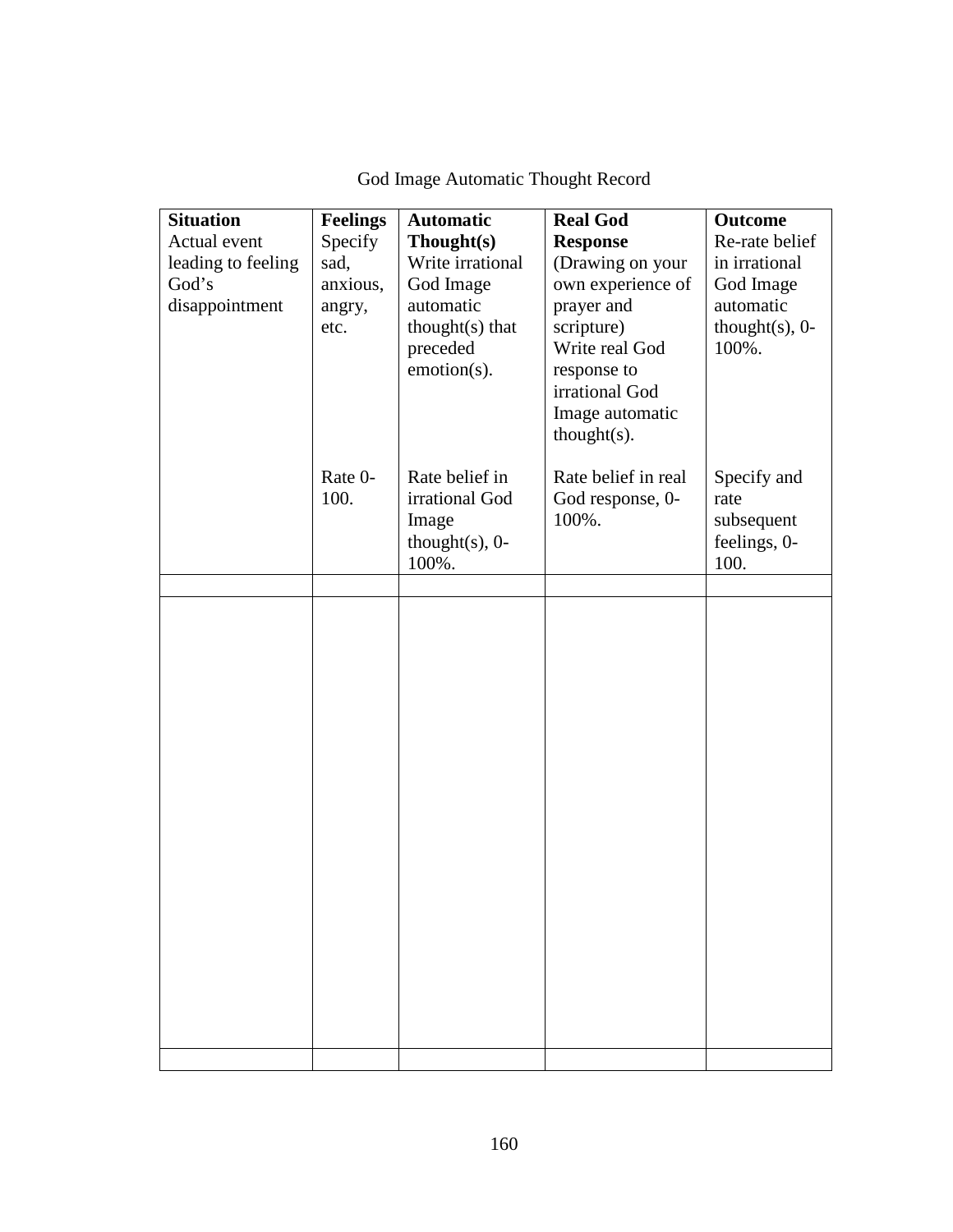| <b>Situation</b><br>Actual event<br>leading to feeling<br>God's<br>disappointment | <b>Feelings</b><br>Specify<br>sad,<br>anxious,<br>angry,<br>etc. | <b>Automatic</b><br>Thought(s)<br>Write irrational<br>God Image<br>automatic<br>thought(s) that<br>preceded<br>emotion(s). | <b>Real God</b><br><b>Response</b><br>(Drawing on your<br>own experience of<br>prayer and<br>scripture)<br>Write real God<br>response to<br>irrational God<br>Image automatic<br>$thought(s)$ . | <b>Outcome</b><br>Re-rate belief<br>in irrational<br>God Image<br>automatic<br>thought $(s)$ , 0-<br>100%. |
|-----------------------------------------------------------------------------------|------------------------------------------------------------------|----------------------------------------------------------------------------------------------------------------------------|-------------------------------------------------------------------------------------------------------------------------------------------------------------------------------------------------|------------------------------------------------------------------------------------------------------------|
|                                                                                   | Rate 0-<br>100.                                                  | Rate belief in<br>irrational God<br>Image<br>thought $(s)$ , 0-<br>100%.                                                   | Rate belief in real<br>God response, 0-<br>100%.                                                                                                                                                | Specify and<br>rate<br>subsequent<br>feelings, 0-<br>100.                                                  |
|                                                                                   |                                                                  |                                                                                                                            |                                                                                                                                                                                                 |                                                                                                            |
|                                                                                   |                                                                  |                                                                                                                            |                                                                                                                                                                                                 |                                                                                                            |
|                                                                                   |                                                                  |                                                                                                                            |                                                                                                                                                                                                 |                                                                                                            |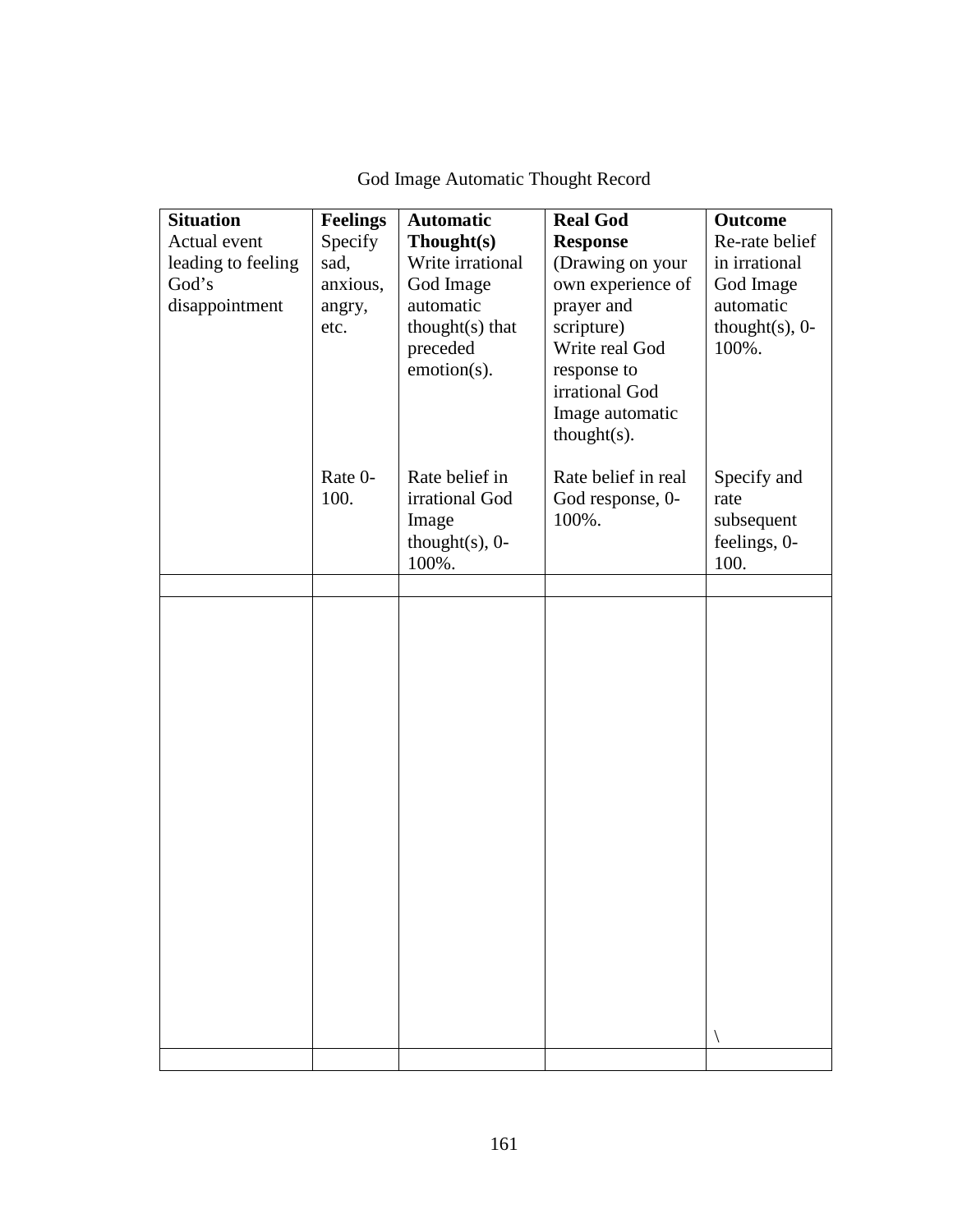| <b>Situation</b><br>Actual event<br>leading to feeling<br>God's<br>disappointment | <b>Feelings</b><br>Specify<br>sad,<br>anxious,<br>angry,<br>etc. | <b>Automatic</b><br>Thought(s)<br>Write irrational<br>God Image<br>automatic<br>thought(s) that<br>preceded<br>emotion(s). | <b>Real God</b><br><b>Response</b><br>(Drawing on your<br>own experience of<br>prayer and<br>scripture)<br>Write real God<br>response to<br>irrational God<br>Image automatic<br>$thought(s)$ . | <b>Outcome</b><br>Re-rate belief<br>in irrational<br>God Image<br>automatic<br>thought $(s)$ , 0-<br>100%. |
|-----------------------------------------------------------------------------------|------------------------------------------------------------------|----------------------------------------------------------------------------------------------------------------------------|-------------------------------------------------------------------------------------------------------------------------------------------------------------------------------------------------|------------------------------------------------------------------------------------------------------------|
|                                                                                   | Rate 0-<br>100.                                                  | Rate belief in<br>irrational God<br>Image<br>thought $(s)$ , 0-<br>100%.                                                   | Rate belief in real<br>God response, 0-<br>100%.                                                                                                                                                | Specify and<br>rate<br>subsequent<br>feelings, 0-<br>100.                                                  |
|                                                                                   |                                                                  |                                                                                                                            |                                                                                                                                                                                                 |                                                                                                            |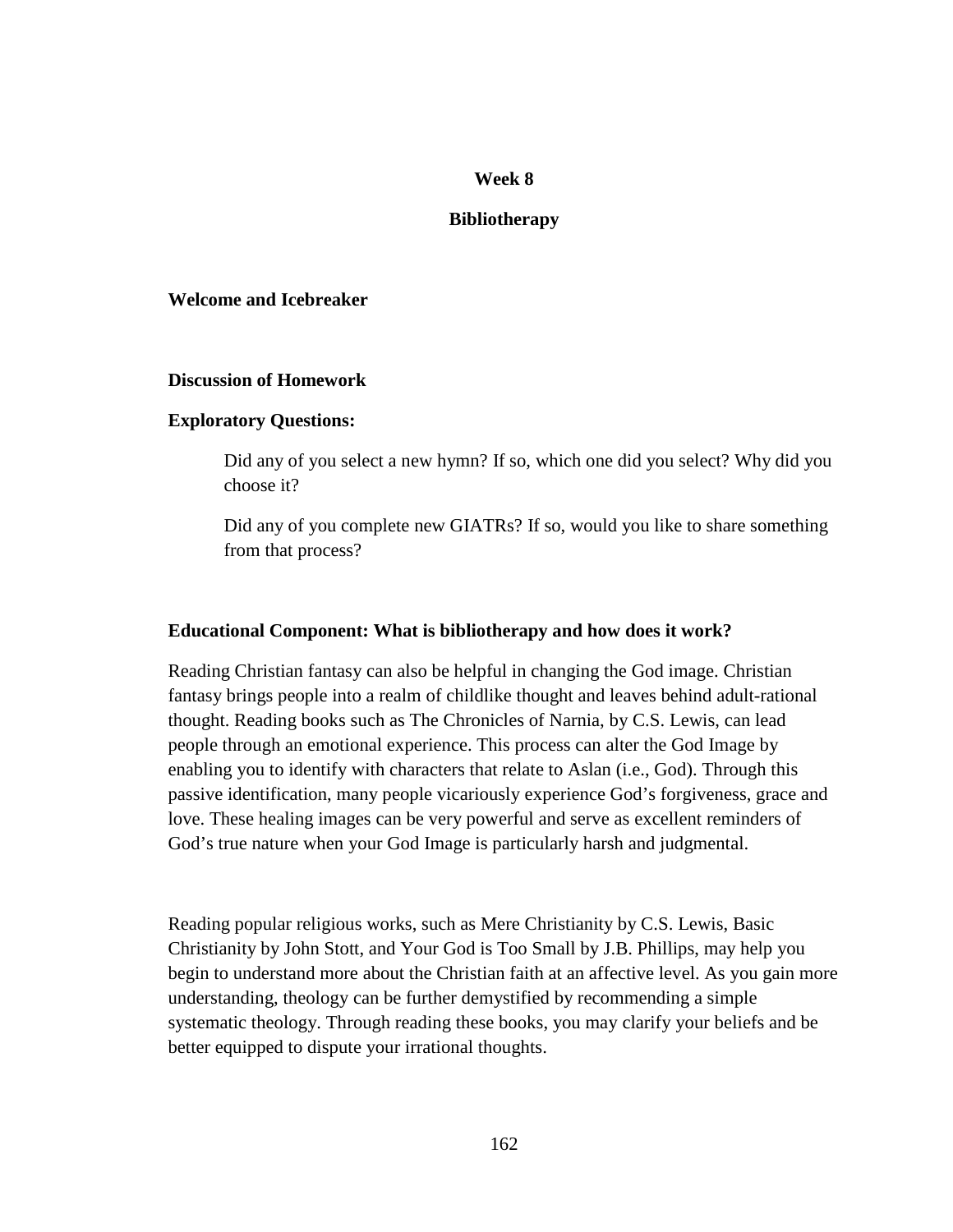## **Week 8**

## **Bibliotherapy**

## **Welcome and Icebreaker**

### **Discussion of Homework**

### **Exploratory Questions:**

Did any of you select a new hymn? If so, which one did you select? Why did you choose it?

Did any of you complete new GIATRs? If so, would you like to share something from that process?

### **Educational Component: What is bibliotherapy and how does it work?**

Reading Christian fantasy can also be helpful in changing the God image. Christian fantasy brings people into a realm of childlike thought and leaves behind adult-rational thought. Reading books such as The Chronicles of Narnia, by C.S. Lewis, can lead people through an emotional experience. This process can alter the God Image by enabling you to identify with characters that relate to Aslan (i.e., God). Through this passive identification, many people vicariously experience God's forgiveness, grace and love. These healing images can be very powerful and serve as excellent reminders of God's true nature when your God Image is particularly harsh and judgmental.

Reading popular religious works, such as Mere Christianity by C.S. Lewis, Basic Christianity by John Stott, and Your God is Too Small by J.B. Phillips, may help you begin to understand more about the Christian faith at an affective level. As you gain more understanding, theology can be further demystified by recommending a simple systematic theology. Through reading these books, you may clarify your beliefs and be better equipped to dispute your irrational thoughts.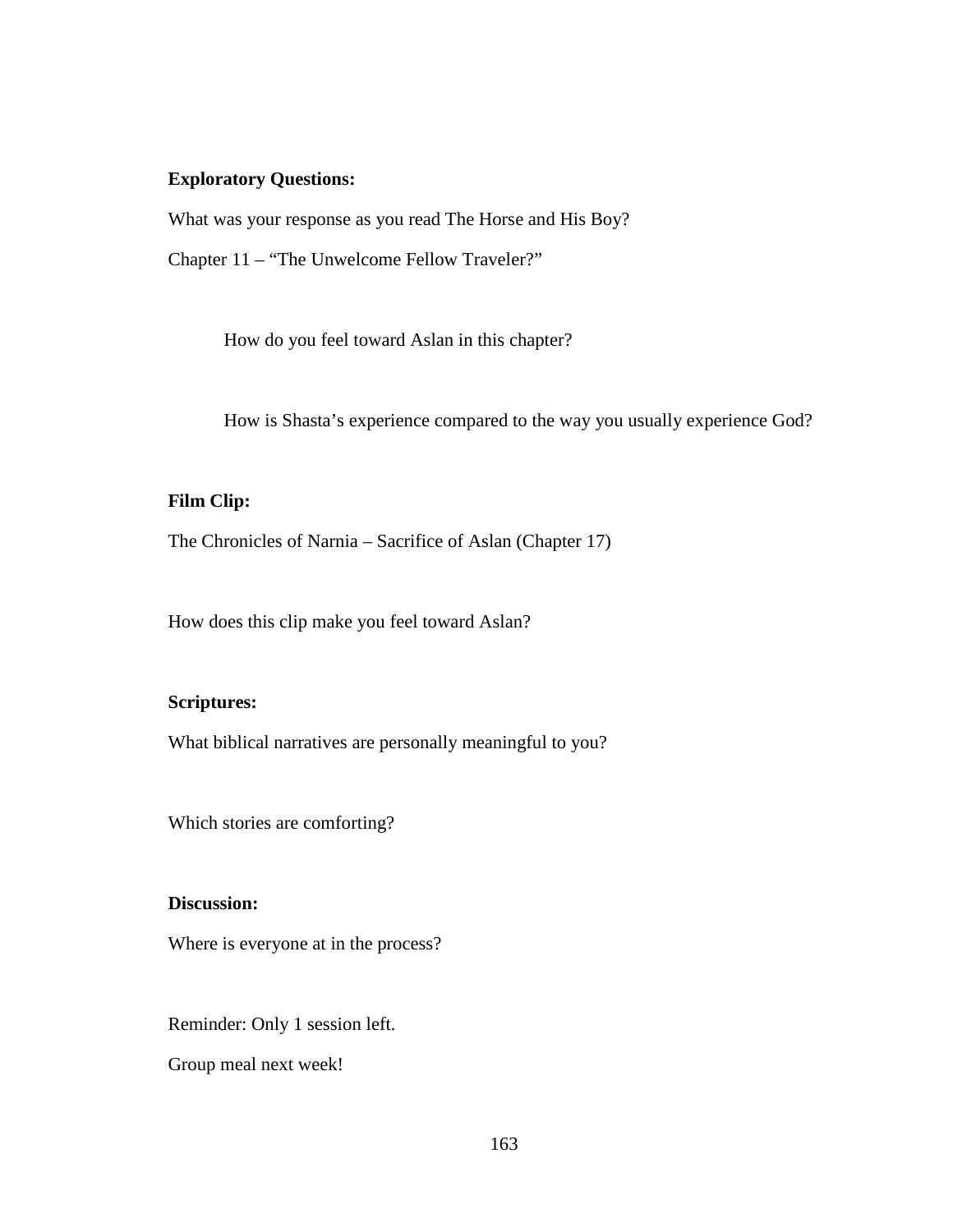## **Exploratory Questions:**

What was your response as you read The Horse and His Boy?

Chapter 11 – "The Unwelcome Fellow Traveler?"

How do you feel toward Aslan in this chapter?

How is Shasta's experience compared to the way you usually experience God?

## **Film Clip:**

The Chronicles of Narnia – Sacrifice of Aslan (Chapter 17)

How does this clip make you feel toward Aslan?

## **Scriptures:**

What biblical narratives are personally meaningful to you?

Which stories are comforting?

## **Discussion:**

Where is everyone at in the process?

Reminder: Only 1 session left.

Group meal next week!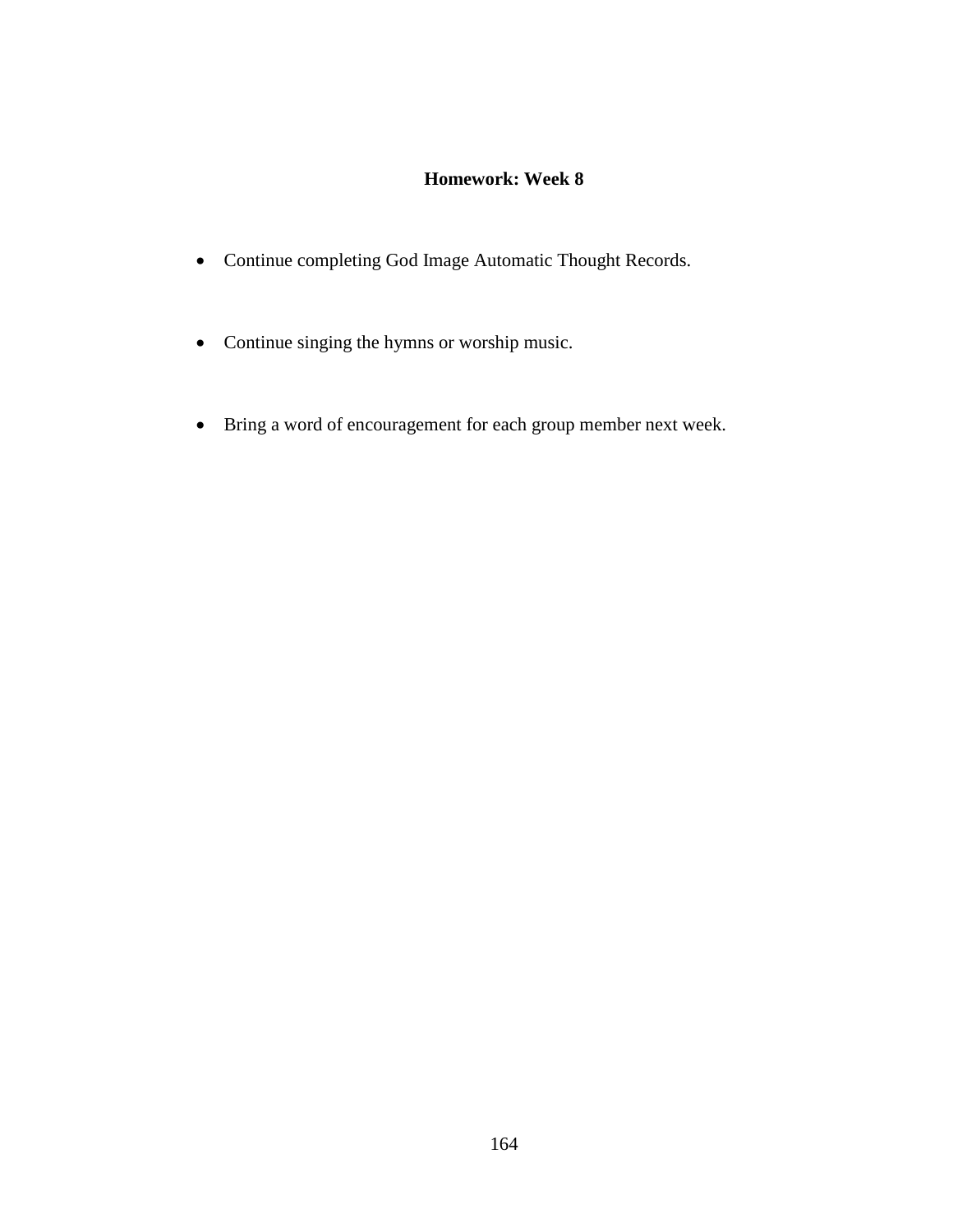# **Homework: Week 8**

- Continue completing God Image Automatic Thought Records.
- Continue singing the hymns or worship music.
- Bring a word of encouragement for each group member next week.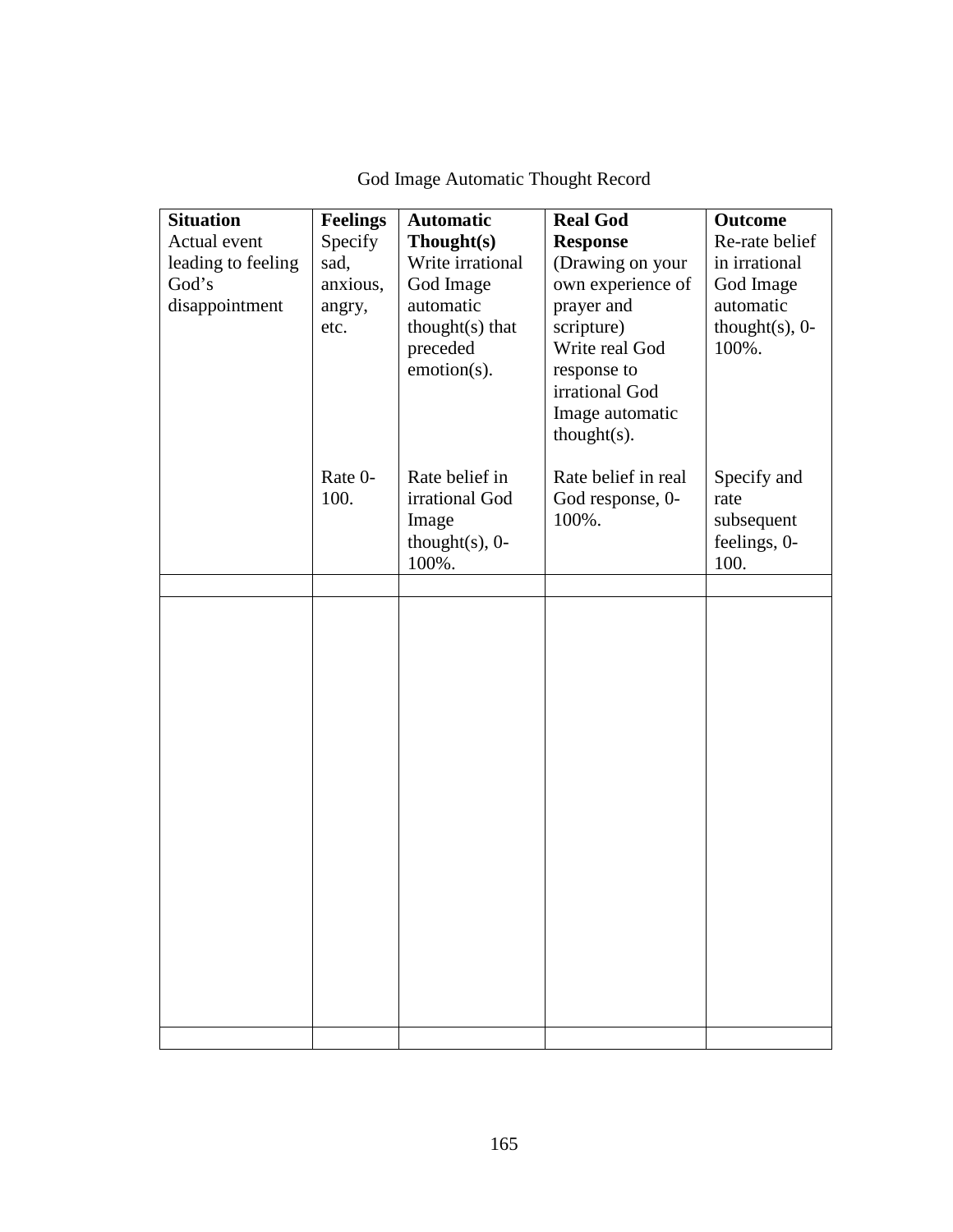| <b>Situation</b><br>Actual event<br>leading to feeling<br>God's<br>disappointment | <b>Feelings</b><br>Specify<br>sad,<br>anxious,<br>angry,<br>etc. | <b>Automatic</b><br>Though(s)<br>Write irrational<br>God Image<br>automatic<br>thought $(s)$ that<br>preceded<br>emotion(s). | <b>Real God</b><br><b>Response</b><br>(Drawing on your<br>own experience of<br>prayer and<br>scripture)<br>Write real God<br>response to<br>irrational God<br>Image automatic<br>$thought(s)$ . | <b>Outcome</b><br>Re-rate belief<br>in irrational<br>God Image<br>automatic<br>thought $(s)$ , 0-<br>100%. |
|-----------------------------------------------------------------------------------|------------------------------------------------------------------|------------------------------------------------------------------------------------------------------------------------------|-------------------------------------------------------------------------------------------------------------------------------------------------------------------------------------------------|------------------------------------------------------------------------------------------------------------|
|                                                                                   | Rate 0-<br>100.                                                  | Rate belief in<br>irrational God<br>Image<br>thought $(s)$ , 0-<br>100%.                                                     | Rate belief in real<br>God response, 0-<br>100%.                                                                                                                                                | Specify and<br>rate<br>subsequent<br>feelings, 0-<br>100.                                                  |
|                                                                                   |                                                                  |                                                                                                                              |                                                                                                                                                                                                 |                                                                                                            |
|                                                                                   |                                                                  |                                                                                                                              |                                                                                                                                                                                                 |                                                                                                            |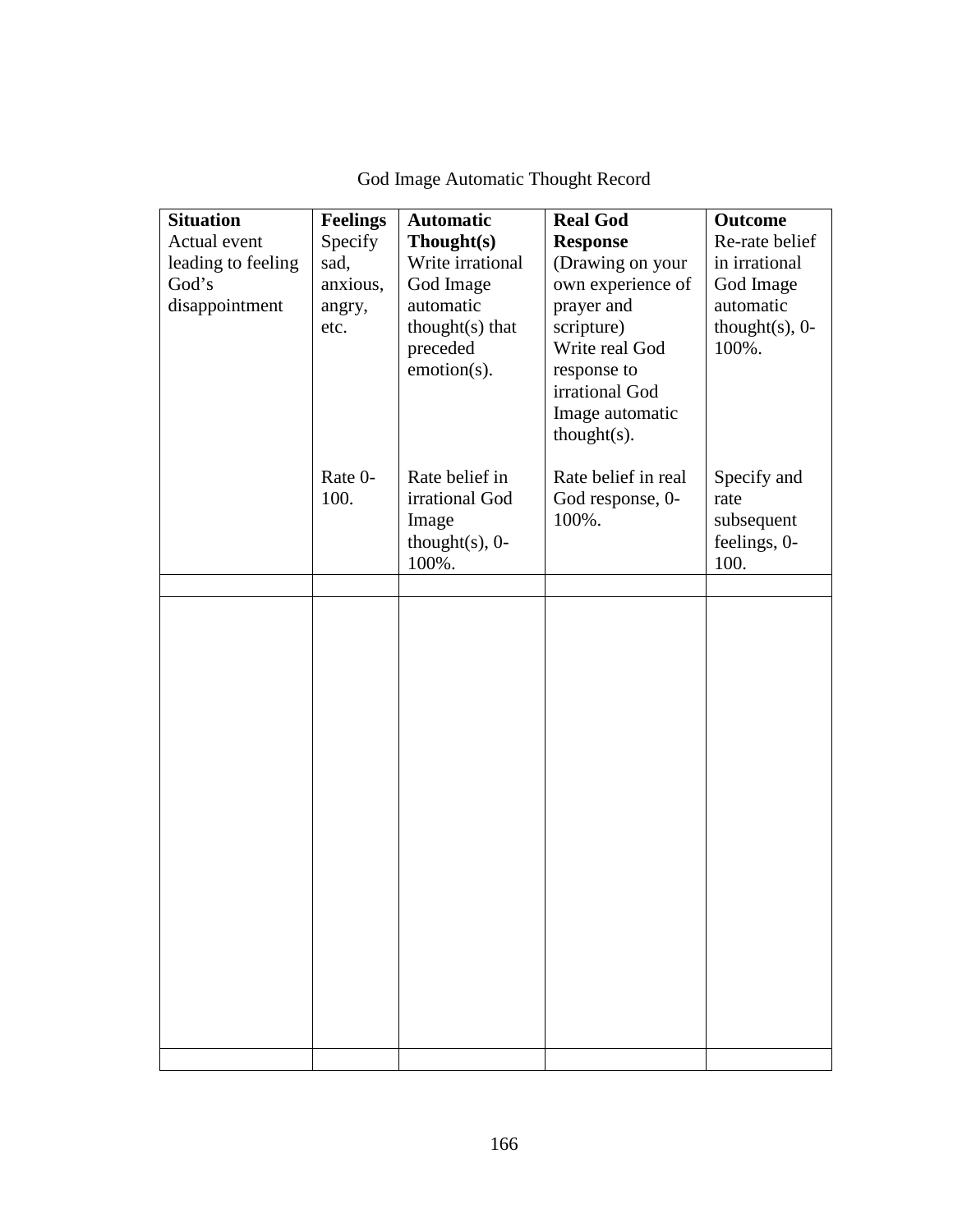| <b>Situation</b><br>Actual event<br>leading to feeling<br>God's<br>disappointment | <b>Feelings</b><br>Specify<br>sad,<br>anxious,<br>angry,<br>etc. | <b>Automatic</b><br>Thought(s)<br>Write irrational<br>God Image<br>automatic<br>thought(s) that<br>preceded<br>emotion(s). | <b>Real God</b><br><b>Response</b><br>(Drawing on your<br>own experience of<br>prayer and<br>scripture)<br>Write real God<br>response to<br>irrational God<br>Image automatic<br>$thought(s)$ . | <b>Outcome</b><br>Re-rate belief<br>in irrational<br>God Image<br>automatic<br>thought $(s)$ , 0-<br>100%. |
|-----------------------------------------------------------------------------------|------------------------------------------------------------------|----------------------------------------------------------------------------------------------------------------------------|-------------------------------------------------------------------------------------------------------------------------------------------------------------------------------------------------|------------------------------------------------------------------------------------------------------------|
|                                                                                   | Rate 0-<br>100.                                                  | Rate belief in<br>irrational God<br>Image<br>thought $(s)$ , 0-<br>100%.                                                   | Rate belief in real<br>God response, 0-<br>100%.                                                                                                                                                | Specify and<br>rate<br>subsequent<br>feelings, 0-<br>100.                                                  |
|                                                                                   |                                                                  |                                                                                                                            |                                                                                                                                                                                                 |                                                                                                            |
|                                                                                   |                                                                  |                                                                                                                            |                                                                                                                                                                                                 |                                                                                                            |
|                                                                                   |                                                                  |                                                                                                                            |                                                                                                                                                                                                 |                                                                                                            |

# God Image Automatic Thought Record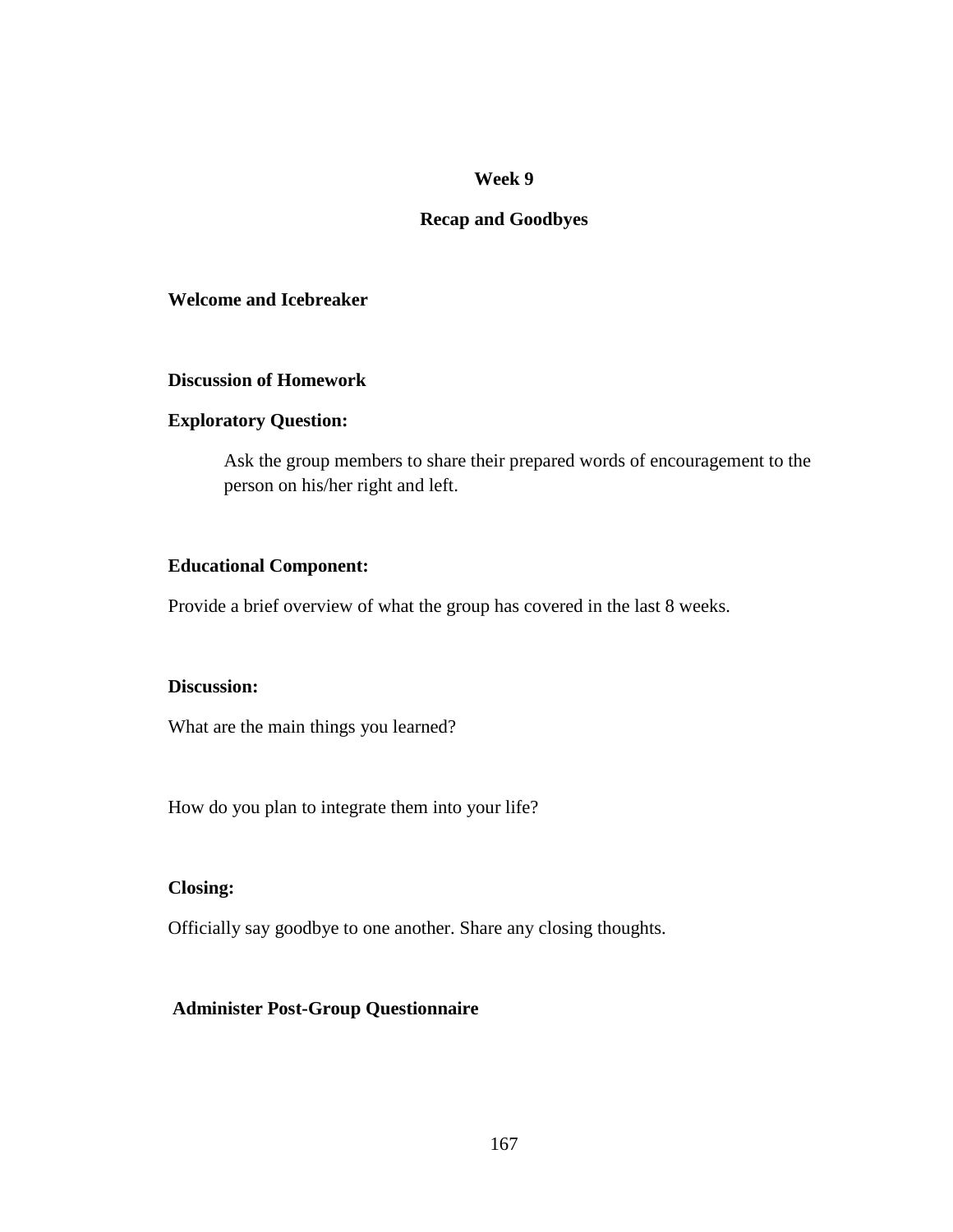## **Week 9**

#### **Recap and Goodbyes**

#### **Welcome and Icebreaker**

#### **Discussion of Homework**

#### **Exploratory Question:**

Ask the group members to share their prepared words of encouragement to the person on his/her right and left.

## **Educational Component:**

Provide a brief overview of what the group has covered in the last 8 weeks.

#### **Discussion:**

What are the main things you learned?

How do you plan to integrate them into your life?

#### **Closing:**

Officially say goodbye to one another. Share any closing thoughts.

#### **Administer Post-Group Questionnaire**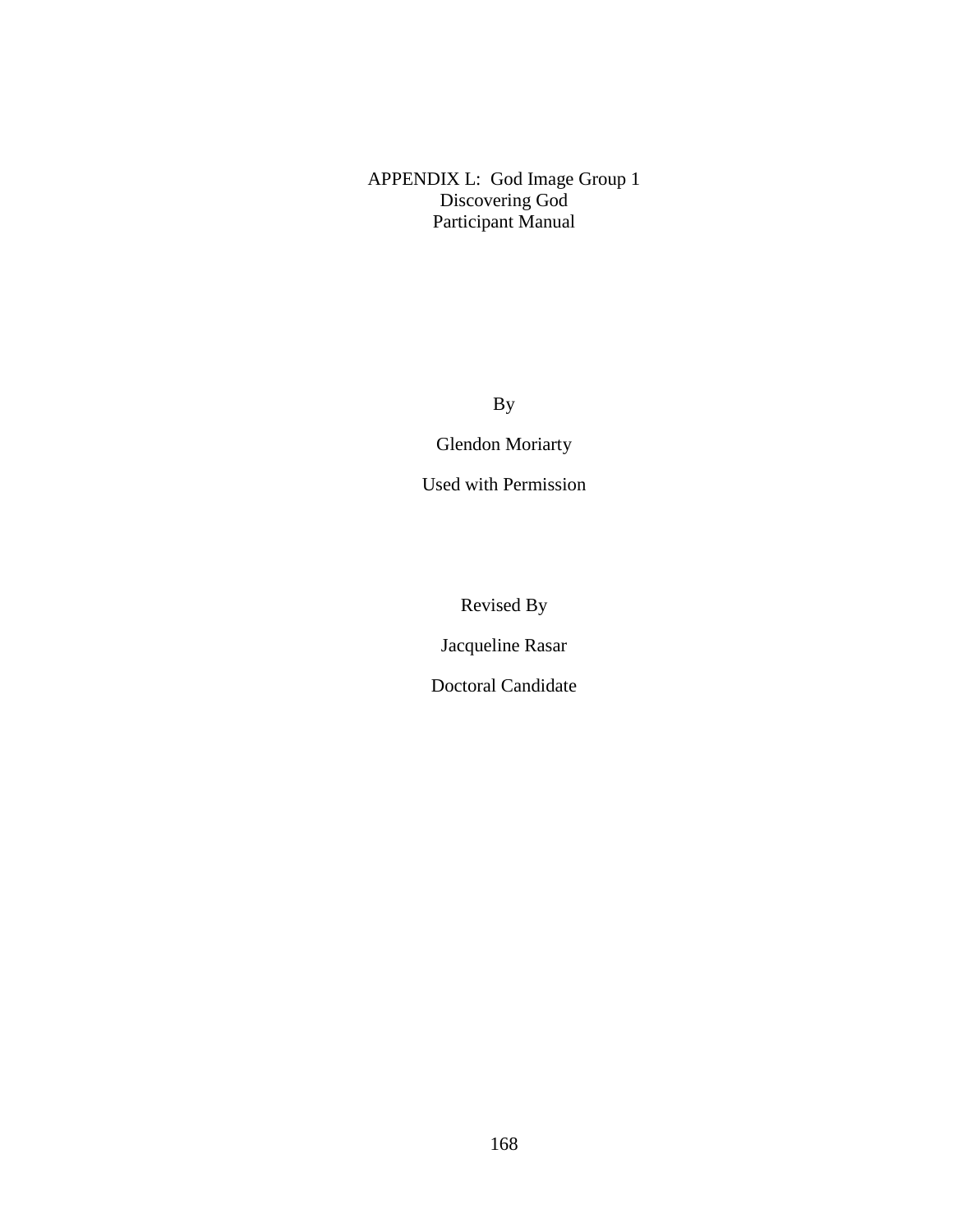APPENDIX L: God Image Group 1 Discovering God Participant Manual

By

Glendon Moriarty

Used with Permission

Revised By

Jacqueline Rasar

Doctoral Candidate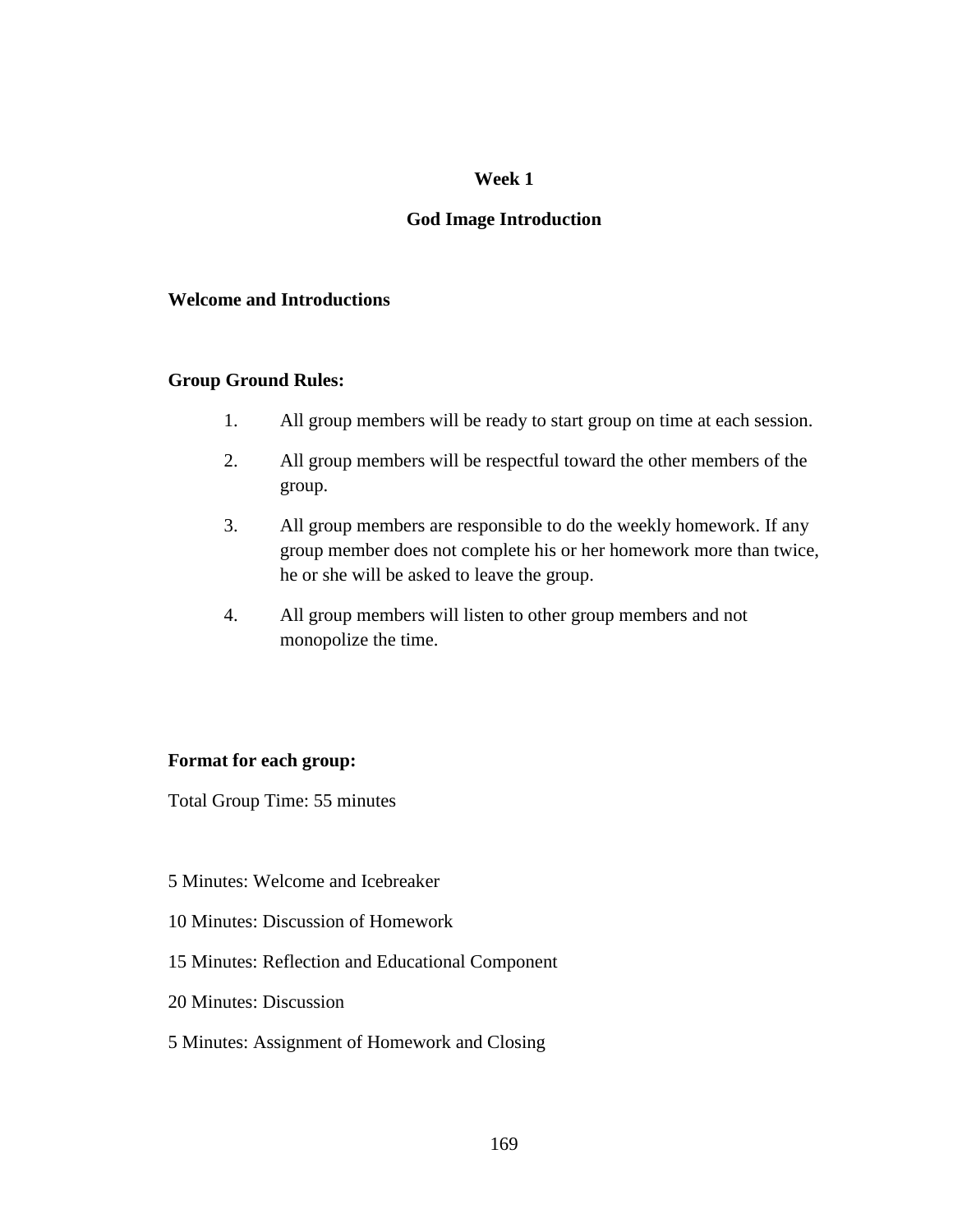## **Week 1**

# **God Image Introduction**

## **Welcome and Introductions**

#### **Group Ground Rules:**

- 1. All group members will be ready to start group on time at each session.
- 2. All group members will be respectful toward the other members of the group.
- 3. All group members are responsible to do the weekly homework. If any group member does not complete his or her homework more than twice, he or she will be asked to leave the group.
- 4. All group members will listen to other group members and not monopolize the time.

## **Format for each group:**

Total Group Time: 55 minutes

- 5 Minutes: Welcome and Icebreaker
- 10 Minutes: Discussion of Homework
- 15 Minutes: Reflection and Educational Component
- 20 Minutes: Discussion

#### 5 Minutes: Assignment of Homework and Closing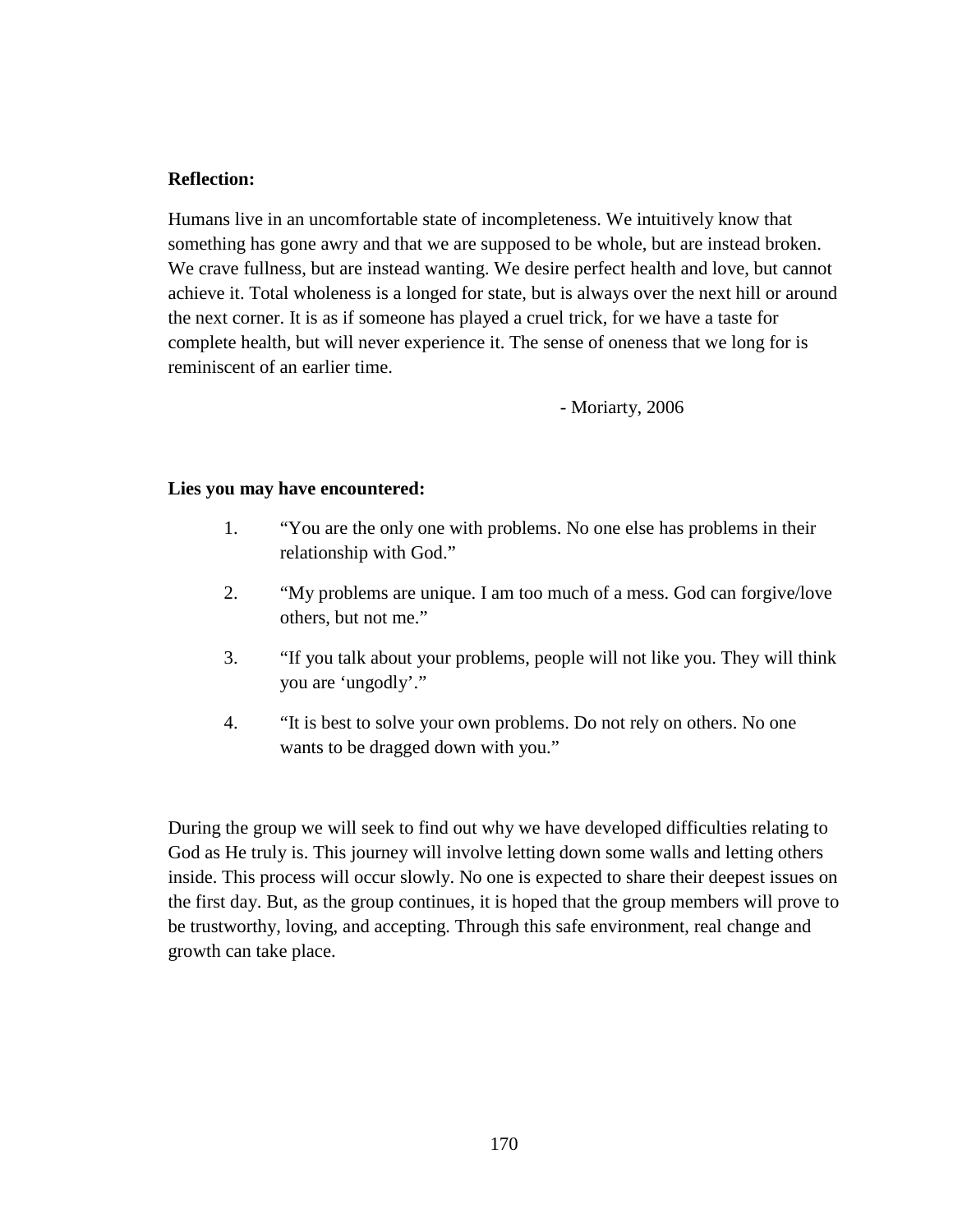## **Reflection:**

Humans live in an uncomfortable state of incompleteness. We intuitively know that something has gone awry and that we are supposed to be whole, but are instead broken. We crave fullness, but are instead wanting. We desire perfect health and love, but cannot achieve it. Total wholeness is a longed for state, but is always over the next hill or around the next corner. It is as if someone has played a cruel trick, for we have a taste for complete health, but will never experience it. The sense of oneness that we long for is reminiscent of an earlier time.

- Moriarty, 2006

## **Lies you may have encountered:**

- 1. "You are the only one with problems. No one else has problems in their relationship with God."
- 2. "My problems are unique. I am too much of a mess. God can forgive/love others, but not me."
- 3. "If you talk about your problems, people will not like you. They will think you are 'ungodly'."
- 4. "It is best to solve your own problems. Do not rely on others. No one wants to be dragged down with you."

During the group we will seek to find out why we have developed difficulties relating to God as He truly is. This journey will involve letting down some walls and letting others inside. This process will occur slowly. No one is expected to share their deepest issues on the first day. But, as the group continues, it is hoped that the group members will prove to be trustworthy, loving, and accepting. Through this safe environment, real change and growth can take place.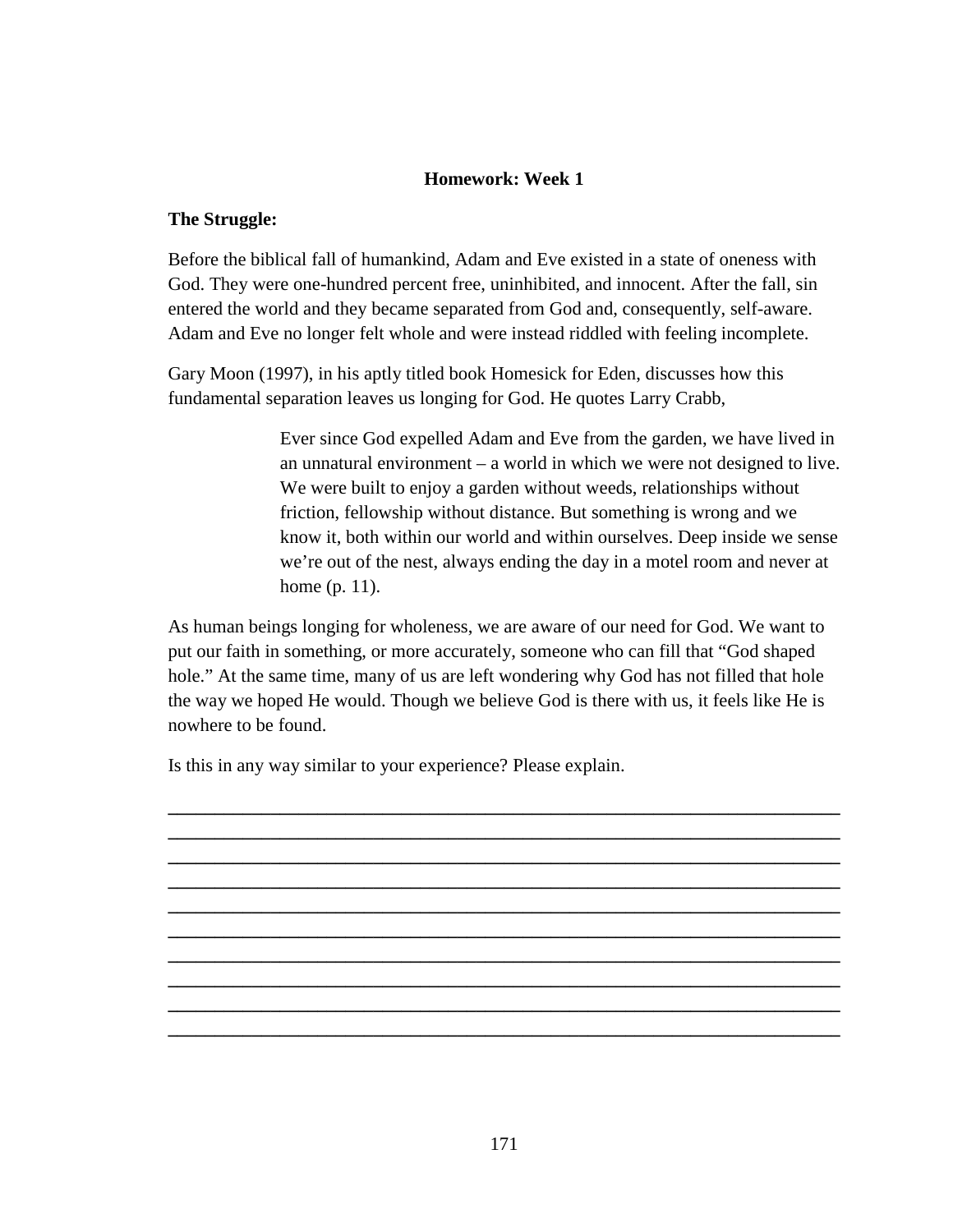# **Homework: Week 1**

#### **The Struggle:**

Before the biblical fall of humankind, Adam and Eve existed in a state of oneness with God. They were one-hundred percent free, uninhibited, and innocent. After the fall, sin entered the world and they became separated from God and, consequently, self-aware. Adam and Eve no longer felt whole and were instead riddled with feeling incomplete.

Gary Moon (1997), in his aptly titled book Homesick for Eden, discusses how this fundamental separation leaves us longing for God. He quotes Larry Crabb,

> Ever since God expelled Adam and Eve from the garden, we have lived in an unnatural environment – a world in which we were not designed to live. We were built to enjoy a garden without weeds, relationships without friction, fellowship without distance. But something is wrong and we know it, both within our world and within ourselves. Deep inside we sense we're out of the nest, always ending the day in a motel room and never at home (p. 11).

As human beings longing for wholeness, we are aware of our need for God. We want to put our faith in something, or more accurately, someone who can fill that "God shaped hole." At the same time, many of us are left wondering why God has not filled that hole the way we hoped He would. Though we believe God is there with us, it feels like He is nowhere to be found.

**\_\_\_\_\_\_\_\_\_\_\_\_\_\_\_\_\_\_\_\_\_\_\_\_\_\_\_\_\_\_\_\_\_\_\_\_\_\_\_\_\_\_\_\_\_\_\_\_\_\_\_\_\_\_\_\_\_\_\_\_\_\_\_\_\_\_\_\_\_\_\_\_ \_\_\_\_\_\_\_\_\_\_\_\_\_\_\_\_\_\_\_\_\_\_\_\_\_\_\_\_\_\_\_\_\_\_\_\_\_\_\_\_\_\_\_\_\_\_\_\_\_\_\_\_\_\_\_\_\_\_\_\_\_\_\_\_\_\_\_\_\_\_\_\_ \_\_\_\_\_\_\_\_\_\_\_\_\_\_\_\_\_\_\_\_\_\_\_\_\_\_\_\_\_\_\_\_\_\_\_\_\_\_\_\_\_\_\_\_\_\_\_\_\_\_\_\_\_\_\_\_\_\_\_\_\_\_\_\_\_\_\_\_\_\_\_\_ \_\_\_\_\_\_\_\_\_\_\_\_\_\_\_\_\_\_\_\_\_\_\_\_\_\_\_\_\_\_\_\_\_\_\_\_\_\_\_\_\_\_\_\_\_\_\_\_\_\_\_\_\_\_\_\_\_\_\_\_\_\_\_\_\_\_\_\_\_\_\_\_ \_\_\_\_\_\_\_\_\_\_\_\_\_\_\_\_\_\_\_\_\_\_\_\_\_\_\_\_\_\_\_\_\_\_\_\_\_\_\_\_\_\_\_\_\_\_\_\_\_\_\_\_\_\_\_\_\_\_\_\_\_\_\_\_\_\_\_\_\_\_\_\_ \_\_\_\_\_\_\_\_\_\_\_\_\_\_\_\_\_\_\_\_\_\_\_\_\_\_\_\_\_\_\_\_\_\_\_\_\_\_\_\_\_\_\_\_\_\_\_\_\_\_\_\_\_\_\_\_\_\_\_\_\_\_\_\_\_\_\_\_\_\_\_\_ \_\_\_\_\_\_\_\_\_\_\_\_\_\_\_\_\_\_\_\_\_\_\_\_\_\_\_\_\_\_\_\_\_\_\_\_\_\_\_\_\_\_\_\_\_\_\_\_\_\_\_\_\_\_\_\_\_\_\_\_\_\_\_\_\_\_\_\_\_\_\_\_ \_\_\_\_\_\_\_\_\_\_\_\_\_\_\_\_\_\_\_\_\_\_\_\_\_\_\_\_\_\_\_\_\_\_\_\_\_\_\_\_\_\_\_\_\_\_\_\_\_\_\_\_\_\_\_\_\_\_\_\_\_\_\_\_\_\_\_\_\_\_\_\_ \_\_\_\_\_\_\_\_\_\_\_\_\_\_\_\_\_\_\_\_\_\_\_\_\_\_\_\_\_\_\_\_\_\_\_\_\_\_\_\_\_\_\_\_\_\_\_\_\_\_\_\_\_\_\_\_\_\_\_\_\_\_\_\_\_\_\_\_\_\_\_\_ \_\_\_\_\_\_\_\_\_\_\_\_\_\_\_\_\_\_\_\_\_\_\_\_\_\_\_\_\_\_\_\_\_\_\_\_\_\_\_\_\_\_\_\_\_\_\_\_\_\_\_\_\_\_\_\_\_\_\_\_\_\_\_\_\_\_\_\_\_\_\_\_** 

Is this in any way similar to your experience? Please explain.

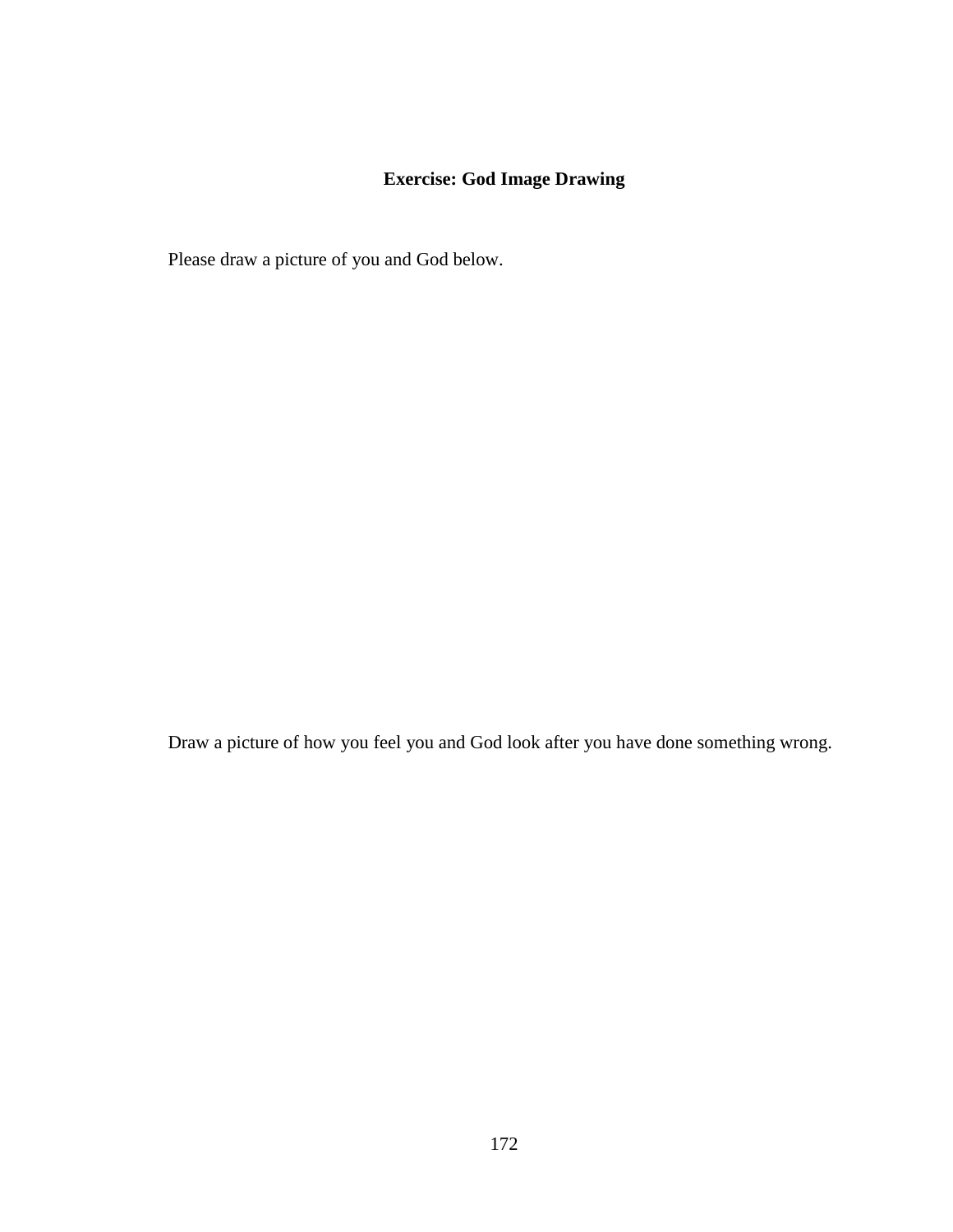# **Exercise: God Image Drawing**

Please draw a picture of you and God below.

Draw a picture of how you feel you and God look after you have done something wrong.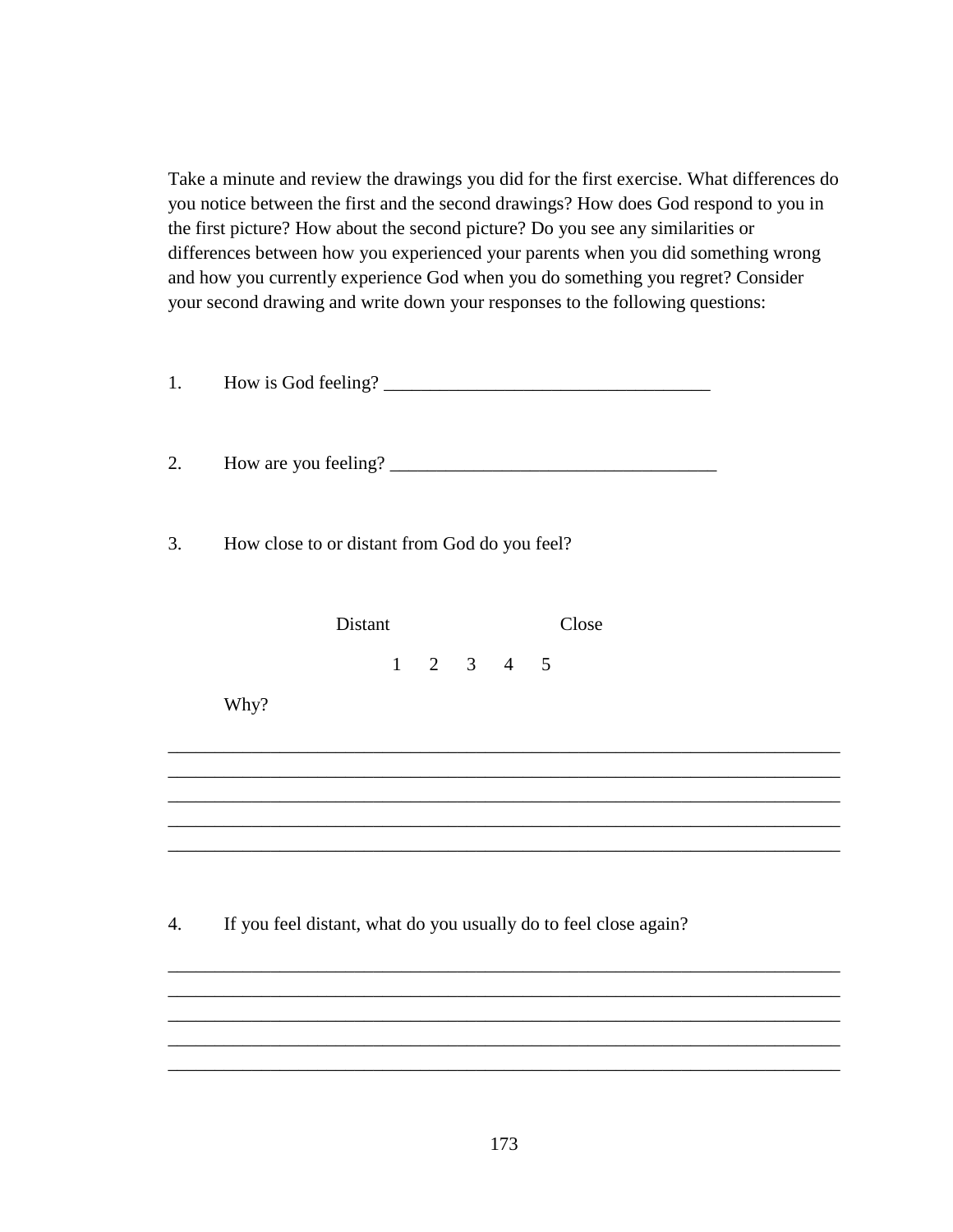Take a minute and review the drawings you did for the first exercise. What differences do you notice between the first and the second drawings? How does God respond to you in the first picture? How about the second picture? Do you see any similarities or differences between how you experienced your parents when you did something wrong and how you currently experience God when you do something you regret? Consider your second drawing and write down your responses to the following questions:

| 1. |                                                                                                                                                       |  |
|----|-------------------------------------------------------------------------------------------------------------------------------------------------------|--|
| 2. |                                                                                                                                                       |  |
| 3. | How close to or distant from God do you feel?                                                                                                         |  |
|    | Distant<br>Close                                                                                                                                      |  |
|    | $1 \t2 \t3 \t4 \t5$<br>Why?                                                                                                                           |  |
|    |                                                                                                                                                       |  |
| 4. | If you feel distant, what do you usually do to feel close again?<br>,我们也不能在这里的时候,我们也不能在这里的时候,我们也不能会在这里的时候,我们也不能会在这里的时候,我们也不能会在这里的时候,我们也不能会在这里的时候,我们也不 |  |
|    |                                                                                                                                                       |  |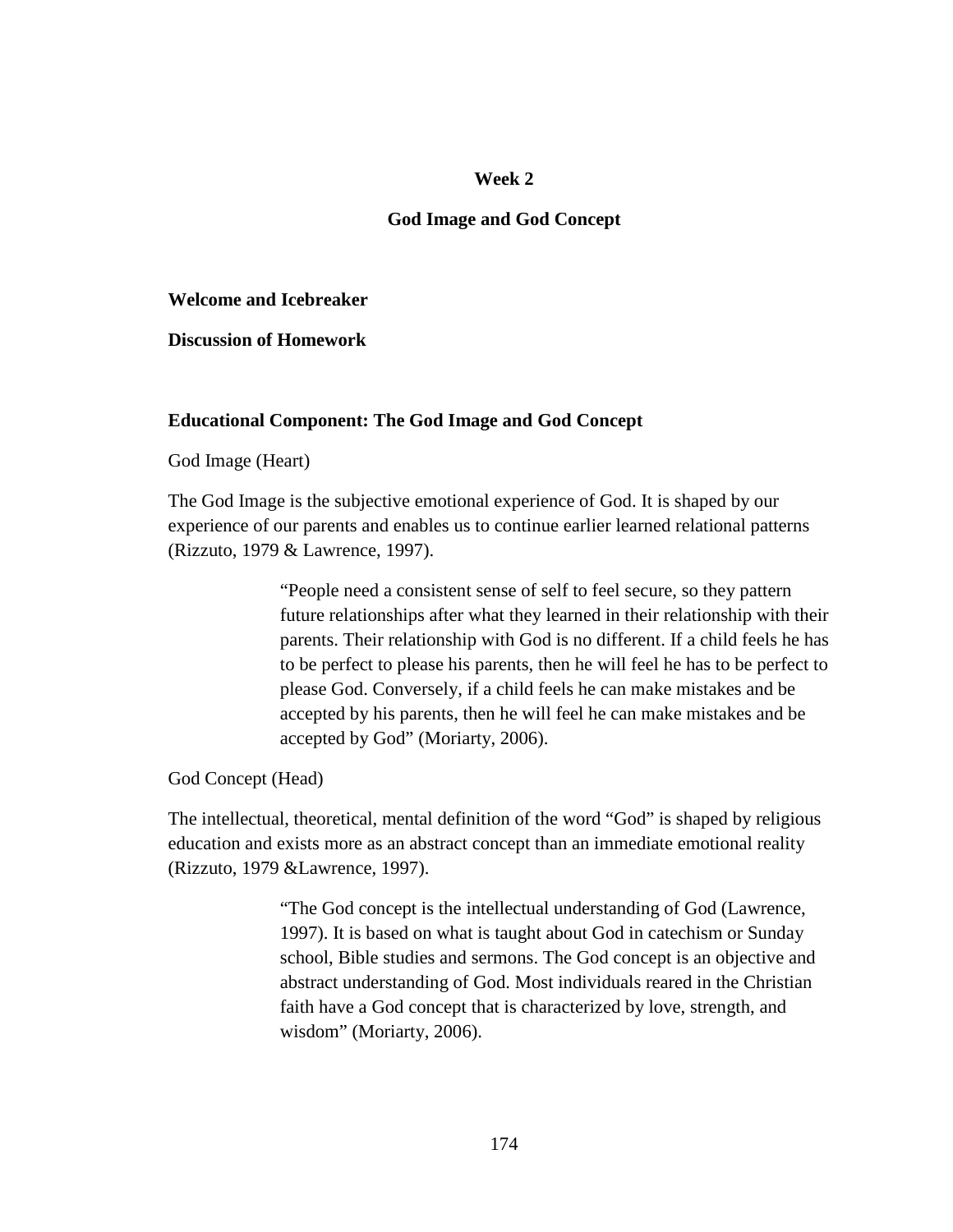#### **Week 2**

#### **God Image and God Concept**

#### **Welcome and Icebreaker**

**Discussion of Homework** 

#### **Educational Component: The God Image and God Concept**

#### God Image (Heart)

The God Image is the subjective emotional experience of God. It is shaped by our experience of our parents and enables us to continue earlier learned relational patterns (Rizzuto, 1979 & Lawrence, 1997).

> "People need a consistent sense of self to feel secure, so they pattern future relationships after what they learned in their relationship with their parents. Their relationship with God is no different. If a child feels he has to be perfect to please his parents, then he will feel he has to be perfect to please God. Conversely, if a child feels he can make mistakes and be accepted by his parents, then he will feel he can make mistakes and be accepted by God" (Moriarty, 2006).

God Concept (Head)

The intellectual, theoretical, mental definition of the word "God" is shaped by religious education and exists more as an abstract concept than an immediate emotional reality (Rizzuto, 1979 &Lawrence, 1997).

> "The God concept is the intellectual understanding of God (Lawrence, 1997). It is based on what is taught about God in catechism or Sunday school, Bible studies and sermons. The God concept is an objective and abstract understanding of God. Most individuals reared in the Christian faith have a God concept that is characterized by love, strength, and wisdom" (Moriarty, 2006).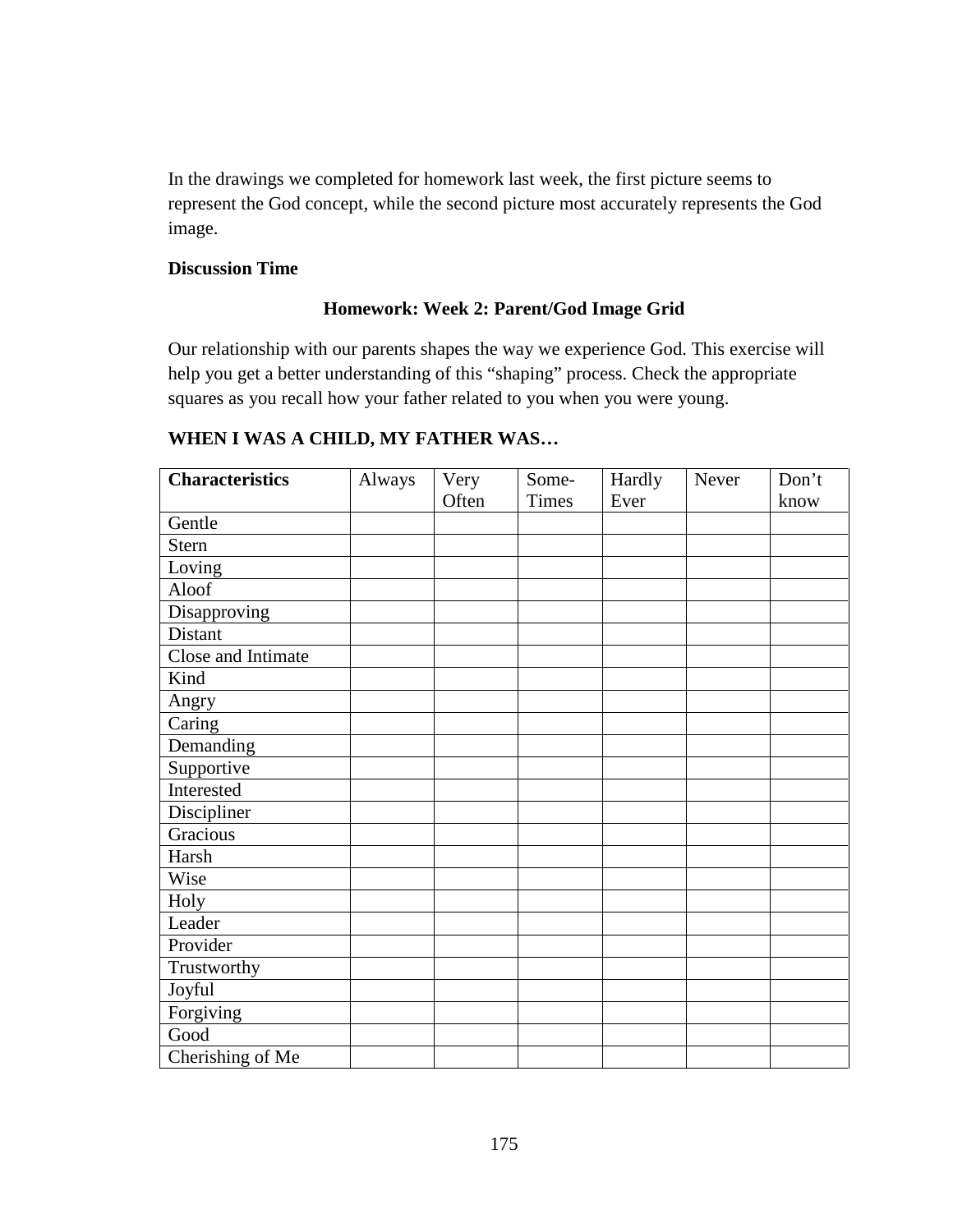In the drawings we completed for homework last week, the first picture seems to represent the God concept, while the second picture most accurately represents the God image.

## **Discussion Time**

# **Homework: Week 2: Parent/God Image Grid**

Our relationship with our parents shapes the way we experience God. This exercise will help you get a better understanding of this "shaping" process. Check the appropriate squares as you recall how your father related to you when you were young.

| <b>Characteristics</b> | Always | Very  | Some-        | Hardly | Never | Don't |
|------------------------|--------|-------|--------------|--------|-------|-------|
|                        |        | Often | <b>Times</b> | Ever   |       | know  |
| Gentle                 |        |       |              |        |       |       |
| <b>Stern</b>           |        |       |              |        |       |       |
| Loving                 |        |       |              |        |       |       |
| Aloof                  |        |       |              |        |       |       |
| Disapproving           |        |       |              |        |       |       |
| Distant                |        |       |              |        |       |       |
| Close and Intimate     |        |       |              |        |       |       |
| Kind                   |        |       |              |        |       |       |
| Angry                  |        |       |              |        |       |       |
| Caring                 |        |       |              |        |       |       |
| Demanding              |        |       |              |        |       |       |
| Supportive             |        |       |              |        |       |       |
| Interested             |        |       |              |        |       |       |
| Discipliner            |        |       |              |        |       |       |
| Gracious               |        |       |              |        |       |       |
| Harsh                  |        |       |              |        |       |       |
| Wise                   |        |       |              |        |       |       |
| Holy                   |        |       |              |        |       |       |
| Leader                 |        |       |              |        |       |       |
| Provider               |        |       |              |        |       |       |
| Trustworthy            |        |       |              |        |       |       |
| Joyful                 |        |       |              |        |       |       |
| Forgiving              |        |       |              |        |       |       |
| Good                   |        |       |              |        |       |       |
| Cherishing of Me       |        |       |              |        |       |       |

# **WHEN I WAS A CHILD, MY FATHER WAS…**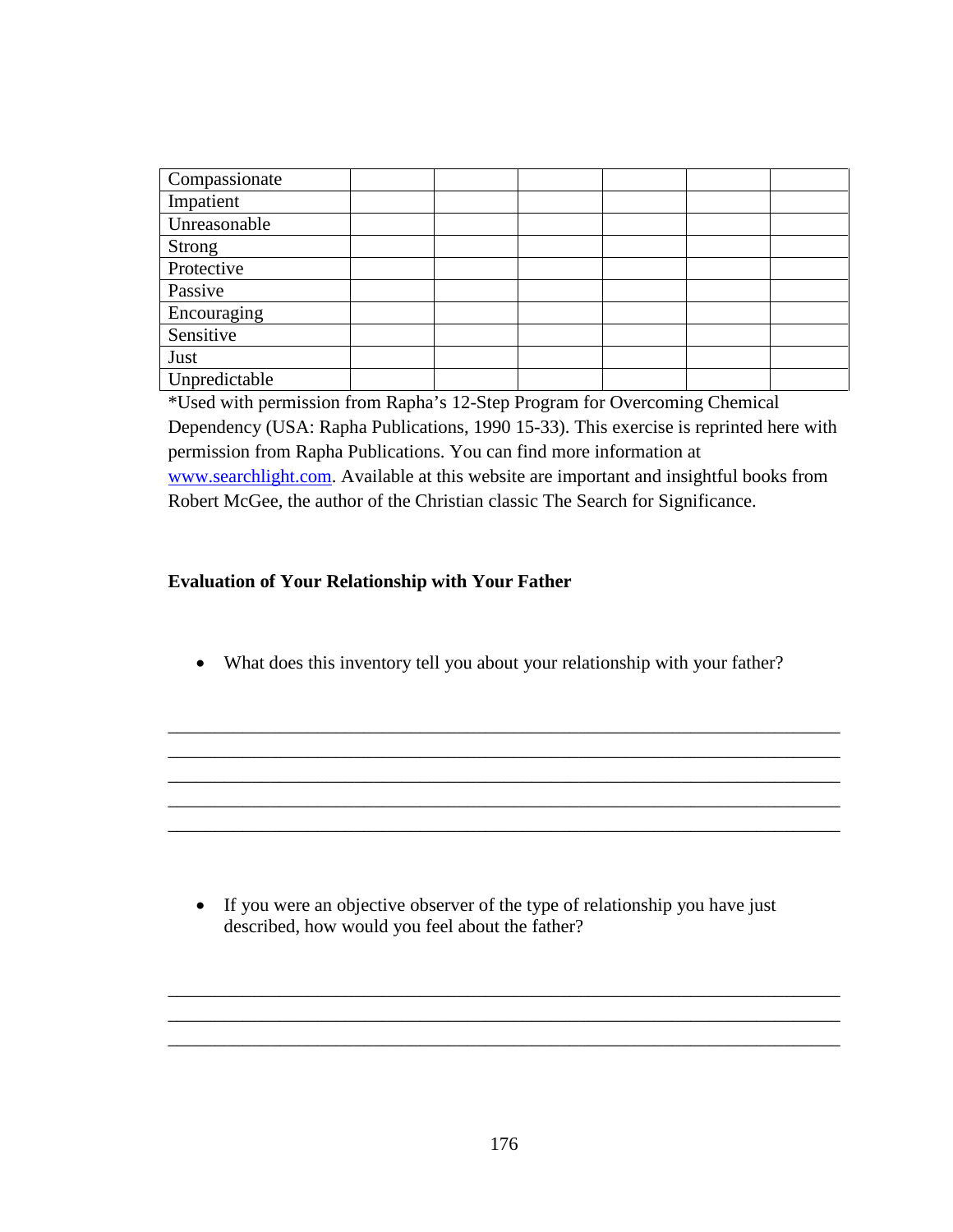| Compassionate |  |  |  |
|---------------|--|--|--|
| Impatient     |  |  |  |
| Unreasonable  |  |  |  |
| <b>Strong</b> |  |  |  |
| Protective    |  |  |  |
| Passive       |  |  |  |
| Encouraging   |  |  |  |
| Sensitive     |  |  |  |
| Just          |  |  |  |
| Unpredictable |  |  |  |

\*Used with permission from Rapha's 12-Step Program for Overcoming Chemical Dependency (USA: Rapha Publications, 1990 15-33). This exercise is reprinted here with permission from Rapha Publications. You can find more information at www.searchlight.com. Available at this website are important and insightful books from Robert McGee, the author of the Christian classic The Search for Significance.

## **Evaluation of Your Relationship with Your Father**

• What does this inventory tell you about your relationship with your father?

\_\_\_\_\_\_\_\_\_\_\_\_\_\_\_\_\_\_\_\_\_\_\_\_\_\_\_\_\_\_\_\_\_\_\_\_\_\_\_\_\_\_\_\_\_\_\_\_\_\_\_\_\_\_\_\_\_\_\_\_\_\_\_\_\_\_\_\_\_\_\_\_ \_\_\_\_\_\_\_\_\_\_\_\_\_\_\_\_\_\_\_\_\_\_\_\_\_\_\_\_\_\_\_\_\_\_\_\_\_\_\_\_\_\_\_\_\_\_\_\_\_\_\_\_\_\_\_\_\_\_\_\_\_\_\_\_\_\_\_\_\_\_\_\_ \_\_\_\_\_\_\_\_\_\_\_\_\_\_\_\_\_\_\_\_\_\_\_\_\_\_\_\_\_\_\_\_\_\_\_\_\_\_\_\_\_\_\_\_\_\_\_\_\_\_\_\_\_\_\_\_\_\_\_\_\_\_\_\_\_\_\_\_\_\_\_\_ \_\_\_\_\_\_\_\_\_\_\_\_\_\_\_\_\_\_\_\_\_\_\_\_\_\_\_\_\_\_\_\_\_\_\_\_\_\_\_\_\_\_\_\_\_\_\_\_\_\_\_\_\_\_\_\_\_\_\_\_\_\_\_\_\_\_\_\_\_\_\_\_ \_\_\_\_\_\_\_\_\_\_\_\_\_\_\_\_\_\_\_\_\_\_\_\_\_\_\_\_\_\_\_\_\_\_\_\_\_\_\_\_\_\_\_\_\_\_\_\_\_\_\_\_\_\_\_\_\_\_\_\_\_\_\_\_\_\_\_\_\_\_\_\_

• If you were an objective observer of the type of relationship you have just described, how would you feel about the father?

\_\_\_\_\_\_\_\_\_\_\_\_\_\_\_\_\_\_\_\_\_\_\_\_\_\_\_\_\_\_\_\_\_\_\_\_\_\_\_\_\_\_\_\_\_\_\_\_\_\_\_\_\_\_\_\_\_\_\_\_\_\_\_\_\_\_\_\_\_\_\_\_ \_\_\_\_\_\_\_\_\_\_\_\_\_\_\_\_\_\_\_\_\_\_\_\_\_\_\_\_\_\_\_\_\_\_\_\_\_\_\_\_\_\_\_\_\_\_\_\_\_\_\_\_\_\_\_\_\_\_\_\_\_\_\_\_\_\_\_\_\_\_\_\_ \_\_\_\_\_\_\_\_\_\_\_\_\_\_\_\_\_\_\_\_\_\_\_\_\_\_\_\_\_\_\_\_\_\_\_\_\_\_\_\_\_\_\_\_\_\_\_\_\_\_\_\_\_\_\_\_\_\_\_\_\_\_\_\_\_\_\_\_\_\_\_\_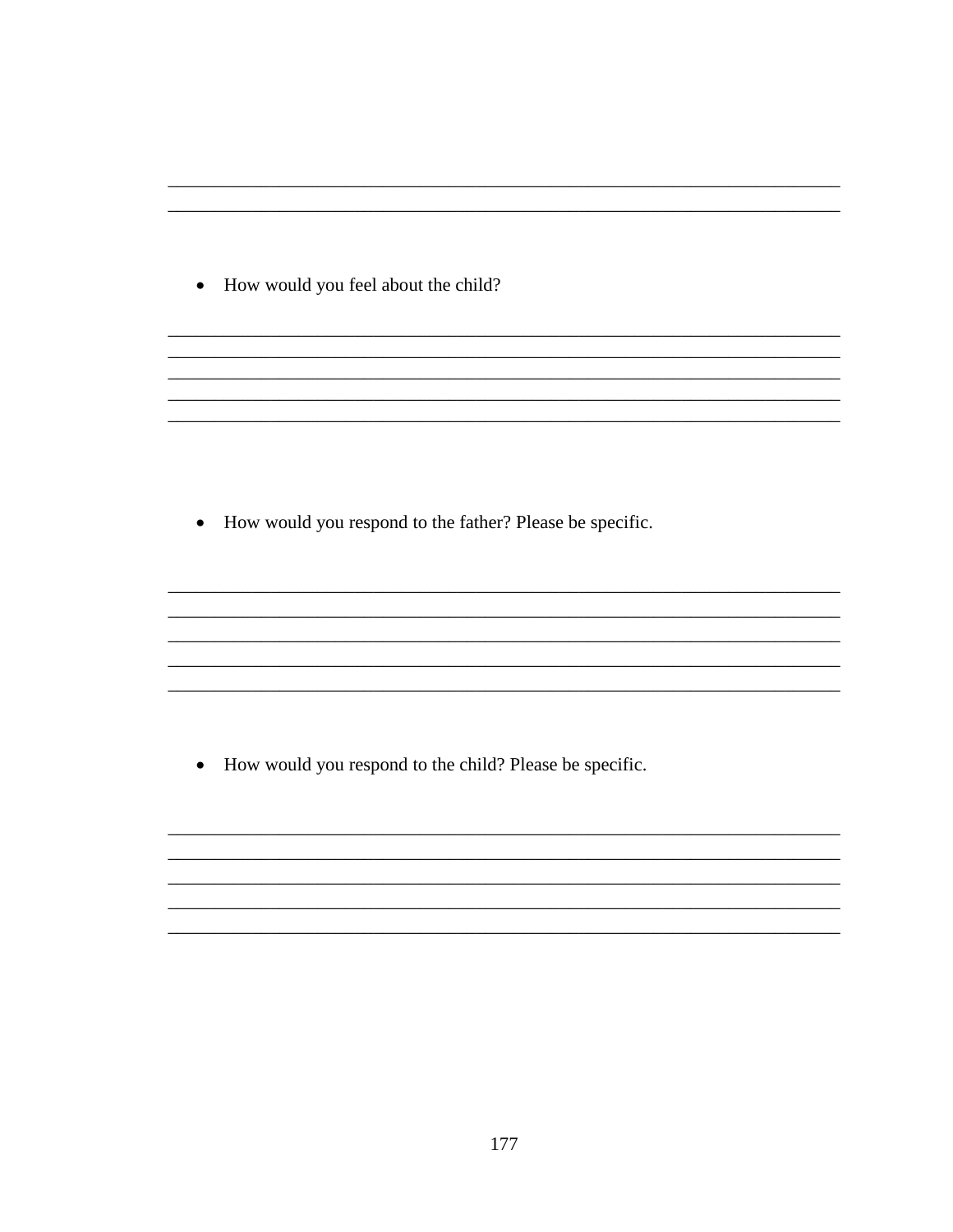• How would you feel about the child?

• How would you respond to the father? Please be specific.

• How would you respond to the child? Please be specific.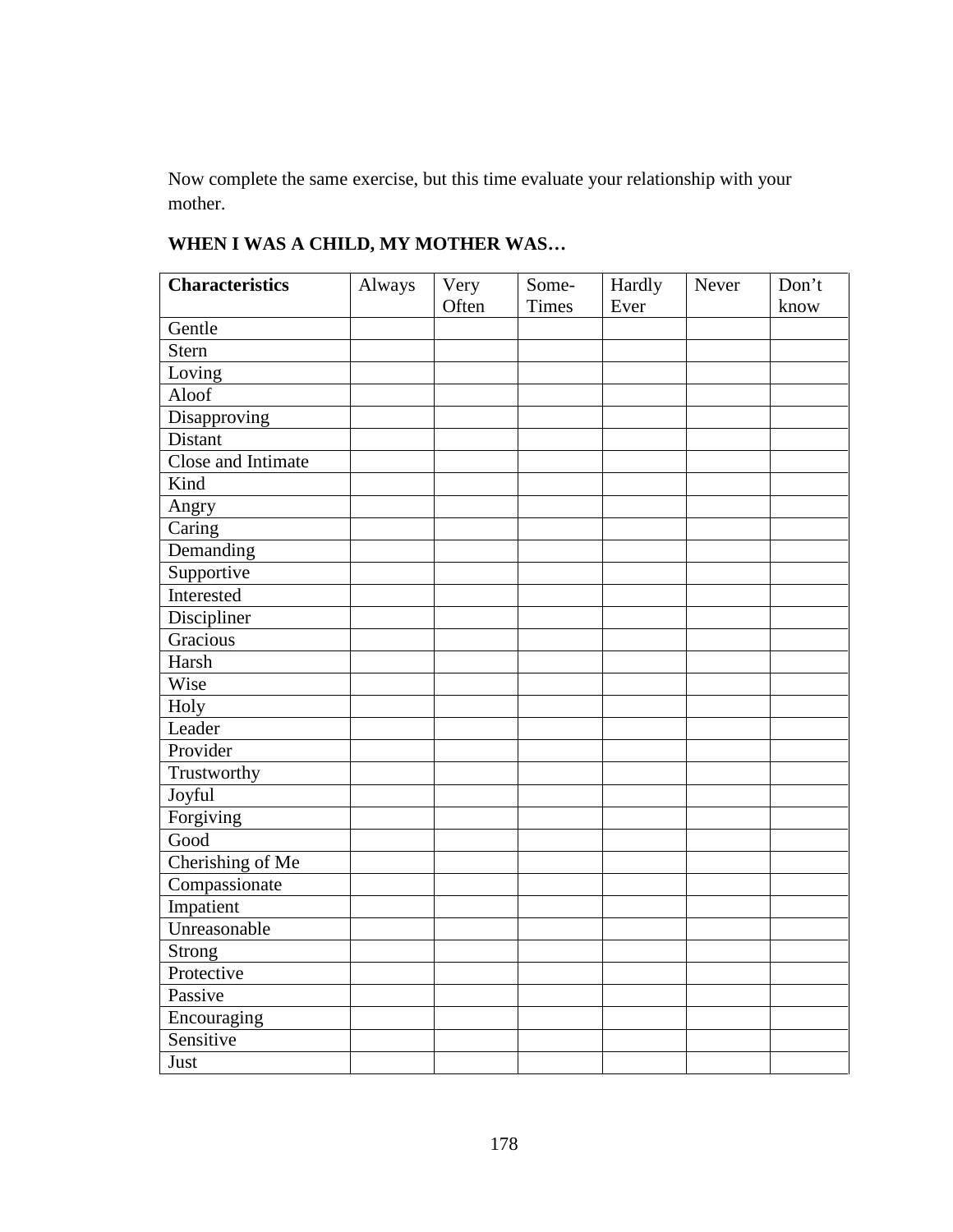Now complete the same exercise, but this time evaluate your relationship with your mother.

| <b>Characteristics</b> | Always | Very  | Some-        | Hardly | Never | Don't |
|------------------------|--------|-------|--------------|--------|-------|-------|
|                        |        | Often | <b>Times</b> | Ever   |       | know  |
| Gentle                 |        |       |              |        |       |       |
| Stern                  |        |       |              |        |       |       |
| Loving                 |        |       |              |        |       |       |
| Aloof                  |        |       |              |        |       |       |
| Disapproving           |        |       |              |        |       |       |
| Distant                |        |       |              |        |       |       |
| Close and Intimate     |        |       |              |        |       |       |
| Kind                   |        |       |              |        |       |       |
| Angry                  |        |       |              |        |       |       |
| Caring                 |        |       |              |        |       |       |
| Demanding              |        |       |              |        |       |       |
| Supportive             |        |       |              |        |       |       |
| Interested             |        |       |              |        |       |       |
| Discipliner            |        |       |              |        |       |       |
| Gracious               |        |       |              |        |       |       |
| Harsh                  |        |       |              |        |       |       |
| Wise                   |        |       |              |        |       |       |
| Holy                   |        |       |              |        |       |       |
| Leader                 |        |       |              |        |       |       |
| Provider               |        |       |              |        |       |       |
| Trustworthy            |        |       |              |        |       |       |
| Joyful                 |        |       |              |        |       |       |
| Forgiving              |        |       |              |        |       |       |
| Good                   |        |       |              |        |       |       |
| Cherishing of Me       |        |       |              |        |       |       |
| Compassionate          |        |       |              |        |       |       |
| Impatient              |        |       |              |        |       |       |
| Unreasonable           |        |       |              |        |       |       |
| <b>Strong</b>          |        |       |              |        |       |       |
| Protective             |        |       |              |        |       |       |
| Passive                |        |       |              |        |       |       |
| Encouraging            |        |       |              |        |       |       |
| Sensitive              |        |       |              |        |       |       |
| Just                   |        |       |              |        |       |       |

# **WHEN I WAS A CHILD, MY MOTHER WAS…**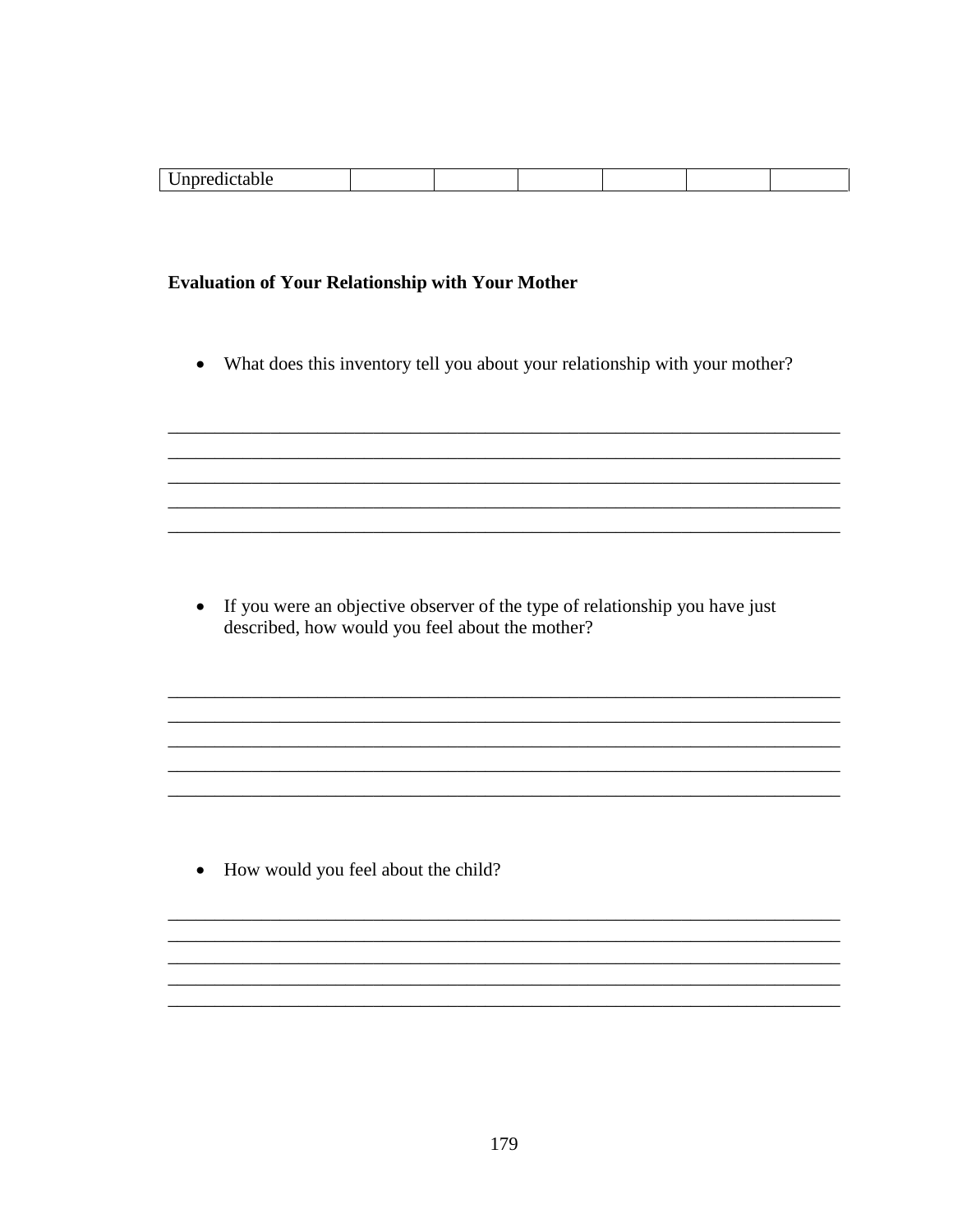| . . |  |  |  |
|-----|--|--|--|
|     |  |  |  |

## **Evaluation of Your Relationship with Your Mother**

What does this inventory tell you about your relationship with your mother?  $\bullet$ 

• If you were an objective observer of the type of relationship you have just described, how would you feel about the mother?

,我们也不能在这里的时候,我们也不能在这里的时候,我们也不能会在这里的时候,我们也不能会在这里的时候,我们也不能会在这里的时候,我们也不能会在这里的时候,我们也不

• How would you feel about the child?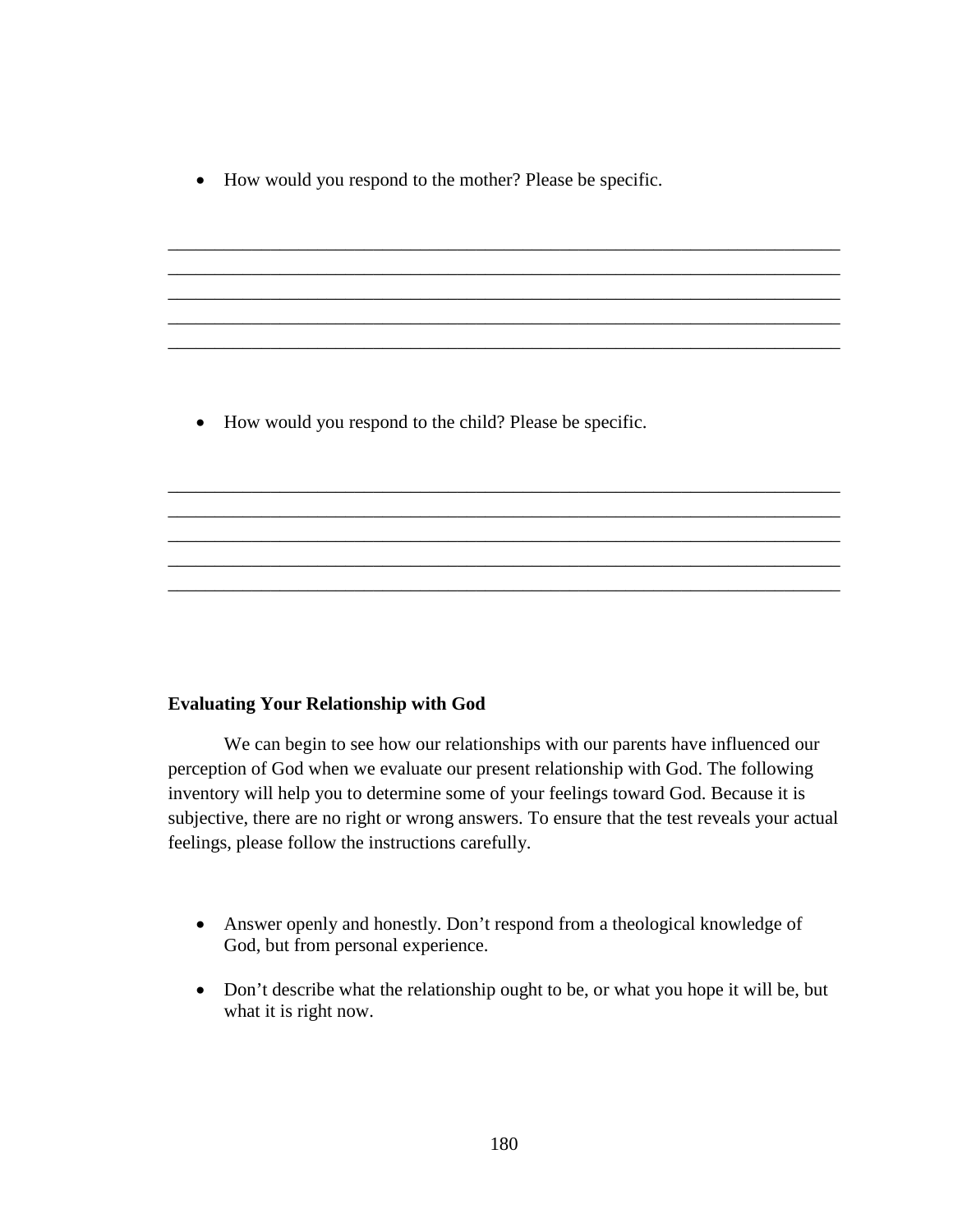• How would you respond to the mother? Please be specific.

\_\_\_\_\_\_\_\_\_\_\_\_\_\_\_\_\_\_\_\_\_\_\_\_\_\_\_\_\_\_\_\_\_\_\_\_\_\_\_\_\_\_\_\_\_\_\_\_\_\_\_\_\_\_\_\_\_\_\_\_\_\_\_\_\_\_\_\_\_\_\_\_ \_\_\_\_\_\_\_\_\_\_\_\_\_\_\_\_\_\_\_\_\_\_\_\_\_\_\_\_\_\_\_\_\_\_\_\_\_\_\_\_\_\_\_\_\_\_\_\_\_\_\_\_\_\_\_\_\_\_\_\_\_\_\_\_\_\_\_\_\_\_\_\_ \_\_\_\_\_\_\_\_\_\_\_\_\_\_\_\_\_\_\_\_\_\_\_\_\_\_\_\_\_\_\_\_\_\_\_\_\_\_\_\_\_\_\_\_\_\_\_\_\_\_\_\_\_\_\_\_\_\_\_\_\_\_\_\_\_\_\_\_\_\_\_\_ \_\_\_\_\_\_\_\_\_\_\_\_\_\_\_\_\_\_\_\_\_\_\_\_\_\_\_\_\_\_\_\_\_\_\_\_\_\_\_\_\_\_\_\_\_\_\_\_\_\_\_\_\_\_\_\_\_\_\_\_\_\_\_\_\_\_\_\_\_\_\_\_ \_\_\_\_\_\_\_\_\_\_\_\_\_\_\_\_\_\_\_\_\_\_\_\_\_\_\_\_\_\_\_\_\_\_\_\_\_\_\_\_\_\_\_\_\_\_\_\_\_\_\_\_\_\_\_\_\_\_\_\_\_\_\_\_\_\_\_\_\_\_\_\_

\_\_\_\_\_\_\_\_\_\_\_\_\_\_\_\_\_\_\_\_\_\_\_\_\_\_\_\_\_\_\_\_\_\_\_\_\_\_\_\_\_\_\_\_\_\_\_\_\_\_\_\_\_\_\_\_\_\_\_\_\_\_\_\_\_\_\_\_\_\_\_\_ \_\_\_\_\_\_\_\_\_\_\_\_\_\_\_\_\_\_\_\_\_\_\_\_\_\_\_\_\_\_\_\_\_\_\_\_\_\_\_\_\_\_\_\_\_\_\_\_\_\_\_\_\_\_\_\_\_\_\_\_\_\_\_\_\_\_\_\_\_\_\_\_ \_\_\_\_\_\_\_\_\_\_\_\_\_\_\_\_\_\_\_\_\_\_\_\_\_\_\_\_\_\_\_\_\_\_\_\_\_\_\_\_\_\_\_\_\_\_\_\_\_\_\_\_\_\_\_\_\_\_\_\_\_\_\_\_\_\_\_\_\_\_\_\_ \_\_\_\_\_\_\_\_\_\_\_\_\_\_\_\_\_\_\_\_\_\_\_\_\_\_\_\_\_\_\_\_\_\_\_\_\_\_\_\_\_\_\_\_\_\_\_\_\_\_\_\_\_\_\_\_\_\_\_\_\_\_\_\_\_\_\_\_\_\_\_\_ \_\_\_\_\_\_\_\_\_\_\_\_\_\_\_\_\_\_\_\_\_\_\_\_\_\_\_\_\_\_\_\_\_\_\_\_\_\_\_\_\_\_\_\_\_\_\_\_\_\_\_\_\_\_\_\_\_\_\_\_\_\_\_\_\_\_\_\_\_\_\_\_

• How would you respond to the child? Please be specific.

#### **Evaluating Your Relationship with God**

 We can begin to see how our relationships with our parents have influenced our perception of God when we evaluate our present relationship with God. The following inventory will help you to determine some of your feelings toward God. Because it is subjective, there are no right or wrong answers. To ensure that the test reveals your actual feelings, please follow the instructions carefully.

- Answer openly and honestly. Don't respond from a theological knowledge of God, but from personal experience.
- Don't describe what the relationship ought to be, or what you hope it will be, but what it is right now.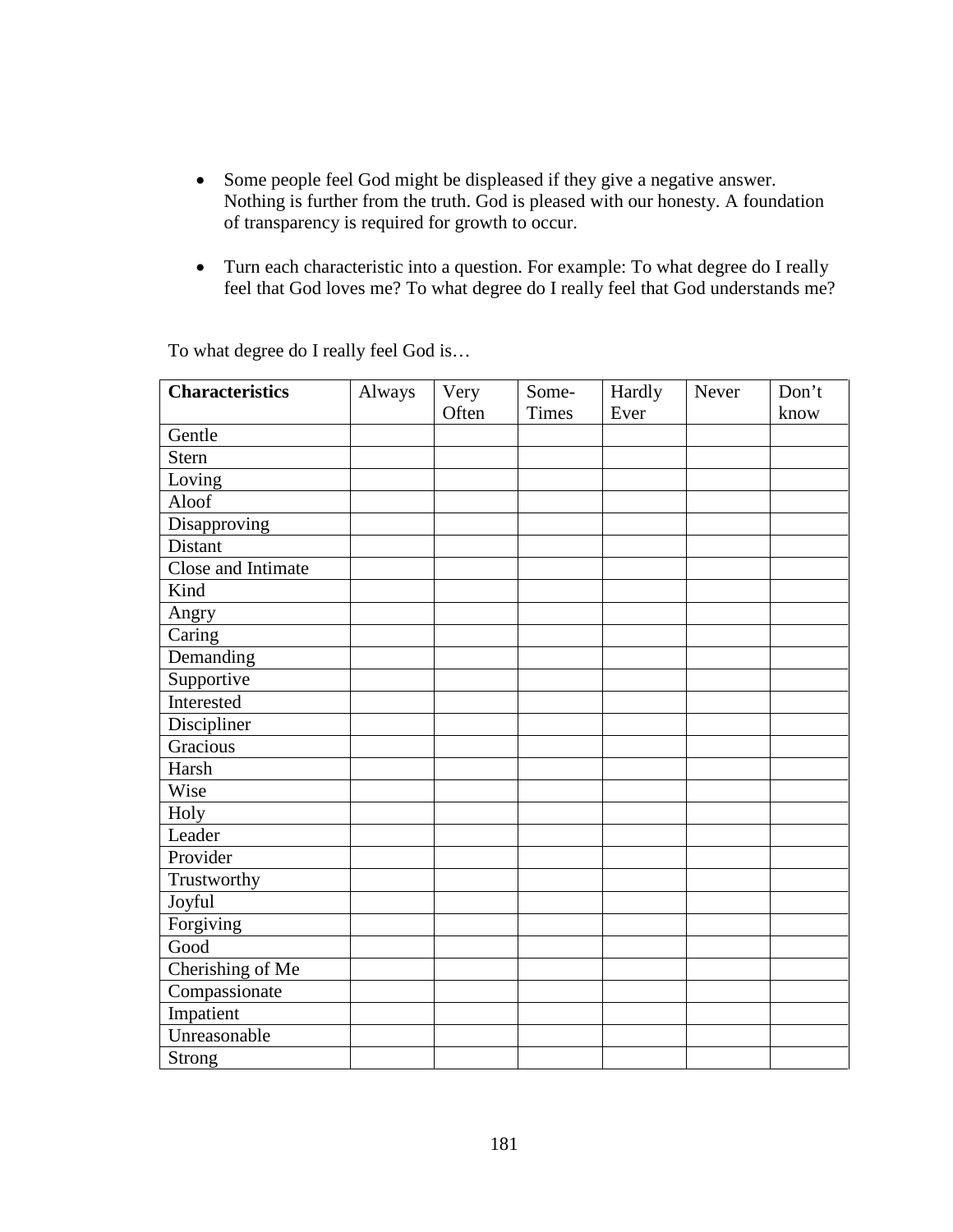- Some people feel God might be displeased if they give a negative answer. Nothing is further from the truth. God is pleased with our honesty. A foundation of transparency is required for growth to occur.
- Turn each characteristic into a question. For example: To what degree do I really feel that God loves me? To what degree do I really feel that God understands me?

| <b>Characteristics</b> | Always | Very  | Some-        | Hardly | Never | Don't |
|------------------------|--------|-------|--------------|--------|-------|-------|
|                        |        | Often | <b>Times</b> | Ever   |       | know  |
| Gentle                 |        |       |              |        |       |       |
| <b>Stern</b>           |        |       |              |        |       |       |
| Loving                 |        |       |              |        |       |       |
| Aloof                  |        |       |              |        |       |       |
| Disapproving           |        |       |              |        |       |       |
| Distant                |        |       |              |        |       |       |
| Close and Intimate     |        |       |              |        |       |       |
| Kind                   |        |       |              |        |       |       |
| Angry                  |        |       |              |        |       |       |
| Caring                 |        |       |              |        |       |       |
| Demanding              |        |       |              |        |       |       |
| Supportive             |        |       |              |        |       |       |
| Interested             |        |       |              |        |       |       |
| Discipliner            |        |       |              |        |       |       |
| Gracious               |        |       |              |        |       |       |
| Harsh                  |        |       |              |        |       |       |
| Wise                   |        |       |              |        |       |       |
| Holy                   |        |       |              |        |       |       |
| Leader                 |        |       |              |        |       |       |
| Provider               |        |       |              |        |       |       |
| Trustworthy            |        |       |              |        |       |       |
| Joyful                 |        |       |              |        |       |       |
| Forgiving              |        |       |              |        |       |       |
| Good                   |        |       |              |        |       |       |
| Cherishing of Me       |        |       |              |        |       |       |
| Compassionate          |        |       |              |        |       |       |
| Impatient              |        |       |              |        |       |       |
| Unreasonable           |        |       |              |        |       |       |
| <b>Strong</b>          |        |       |              |        |       |       |

To what degree do I really feel God is…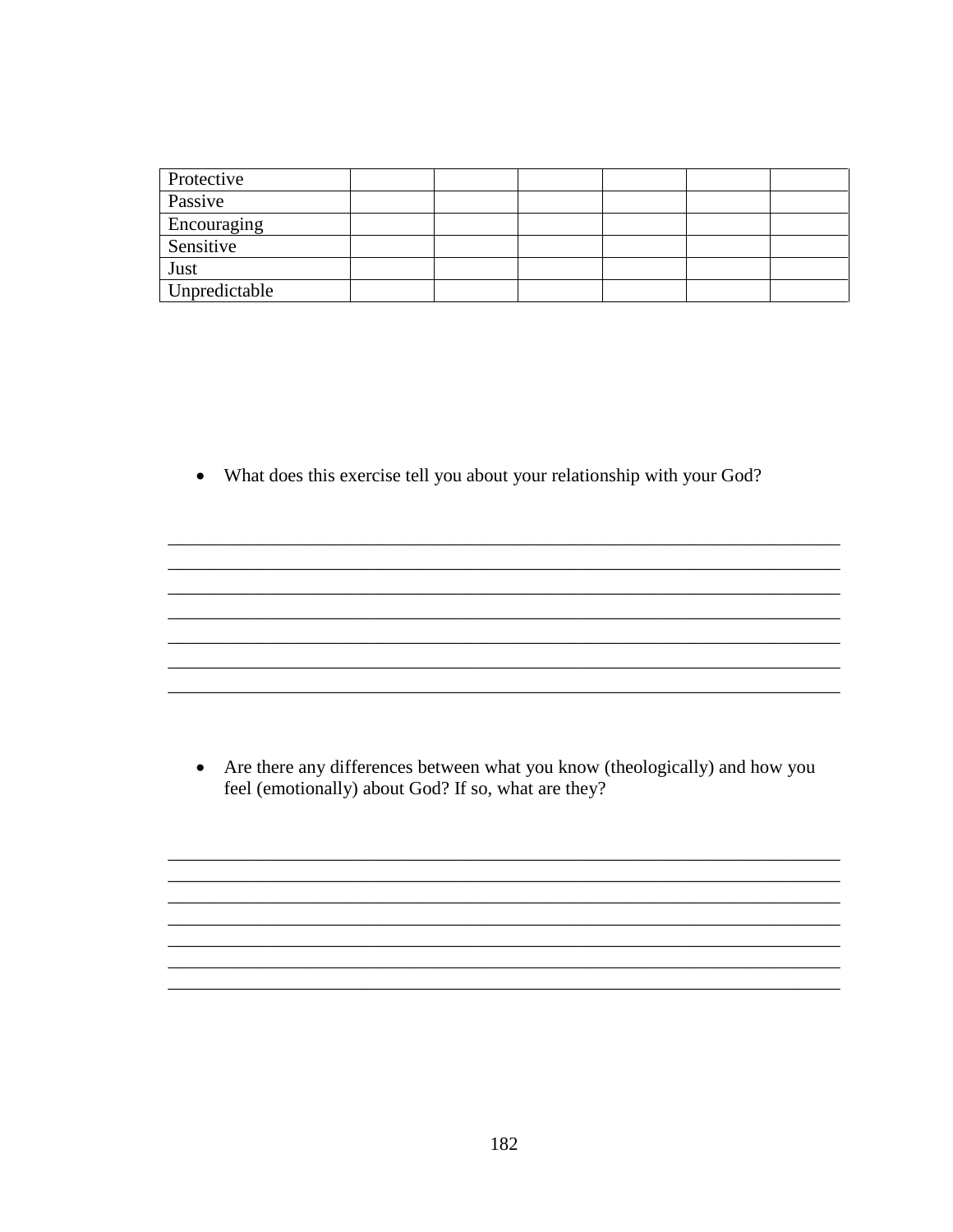| Protective    |  |  |  |
|---------------|--|--|--|
| Passive       |  |  |  |
| Encouraging   |  |  |  |
| Sensitive     |  |  |  |
| Just          |  |  |  |
| Unpredictable |  |  |  |

• What does this exercise tell you about your relationship with your God?

• Are there any differences between what you know (theologically) and how you feel (emotionally) about God? If so, what are they?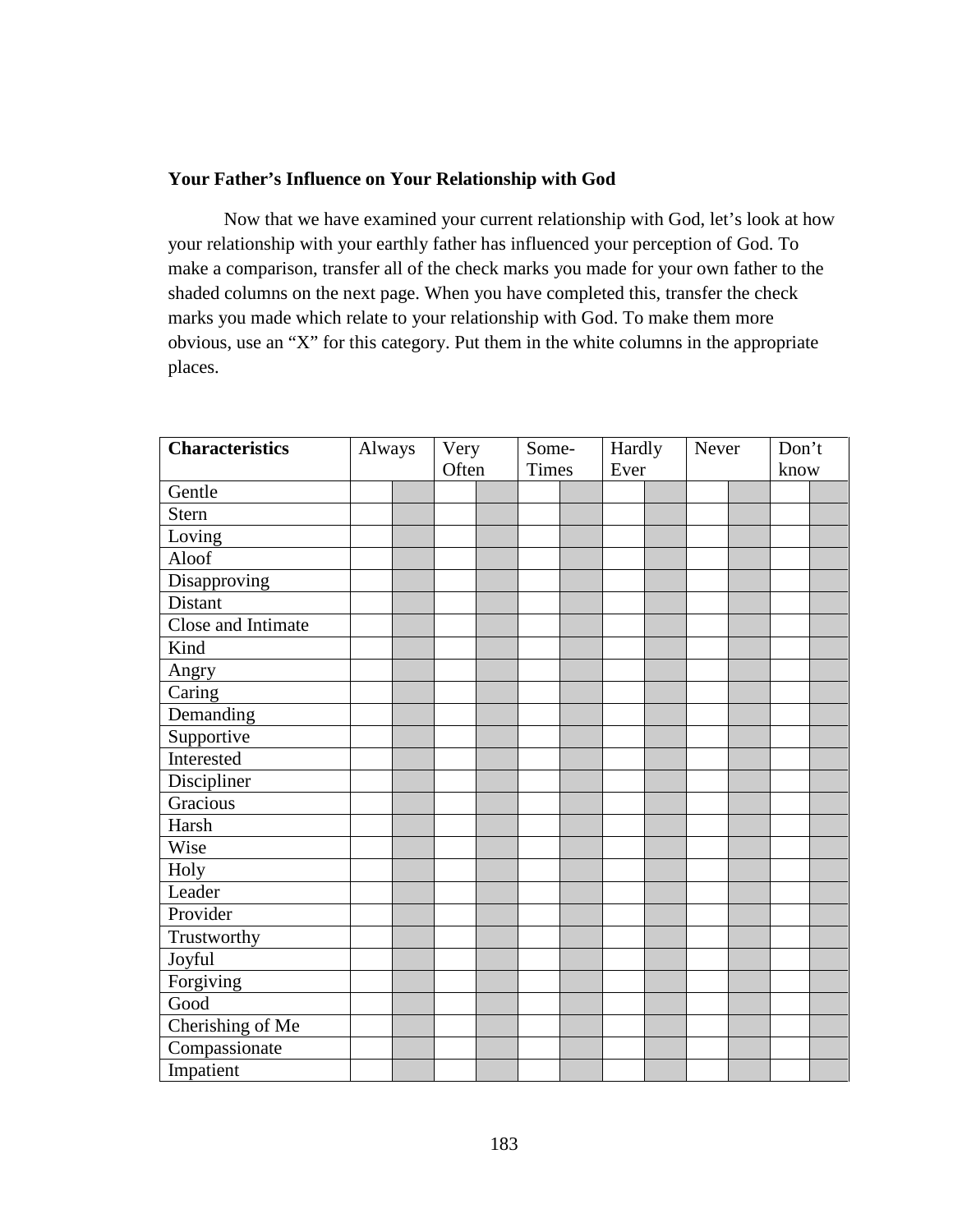### **Your Father's Influence on Your Relationship with God**

 Now that we have examined your current relationship with God, let's look at how your relationship with your earthly father has influenced your perception of God. To make a comparison, transfer all of the check marks you made for your own father to the shaded columns on the next page. When you have completed this, transfer the check marks you made which relate to your relationship with God. To make them more obvious, use an "X" for this category. Put them in the white columns in the appropriate places.

| <b>Characteristics</b> | Always |  | Very  |  | Some-        |      | Hardly | Never | Don't |  |
|------------------------|--------|--|-------|--|--------------|------|--------|-------|-------|--|
|                        |        |  | Often |  | <b>Times</b> | Ever |        |       | know  |  |
| Gentle                 |        |  |       |  |              |      |        |       |       |  |
| <b>Stern</b>           |        |  |       |  |              |      |        |       |       |  |
| Loving                 |        |  |       |  |              |      |        |       |       |  |
| Aloof                  |        |  |       |  |              |      |        |       |       |  |
| Disapproving           |        |  |       |  |              |      |        |       |       |  |
| Distant                |        |  |       |  |              |      |        |       |       |  |
| Close and Intimate     |        |  |       |  |              |      |        |       |       |  |
| Kind                   |        |  |       |  |              |      |        |       |       |  |
| Angry                  |        |  |       |  |              |      |        |       |       |  |
| Caring                 |        |  |       |  |              |      |        |       |       |  |
| Demanding              |        |  |       |  |              |      |        |       |       |  |
| Supportive             |        |  |       |  |              |      |        |       |       |  |
| Interested             |        |  |       |  |              |      |        |       |       |  |
| Discipliner            |        |  |       |  |              |      |        |       |       |  |
| Gracious               |        |  |       |  |              |      |        |       |       |  |
| Harsh                  |        |  |       |  |              |      |        |       |       |  |
| Wise                   |        |  |       |  |              |      |        |       |       |  |
| Holy                   |        |  |       |  |              |      |        |       |       |  |
| Leader                 |        |  |       |  |              |      |        |       |       |  |
| Provider               |        |  |       |  |              |      |        |       |       |  |
| Trustworthy            |        |  |       |  |              |      |        |       |       |  |
| Joyful                 |        |  |       |  |              |      |        |       |       |  |
| Forgiving              |        |  |       |  |              |      |        |       |       |  |
| Good                   |        |  |       |  |              |      |        |       |       |  |
| Cherishing of Me       |        |  |       |  |              |      |        |       |       |  |
| Compassionate          |        |  |       |  |              |      |        |       |       |  |
| Impatient              |        |  |       |  |              |      |        |       |       |  |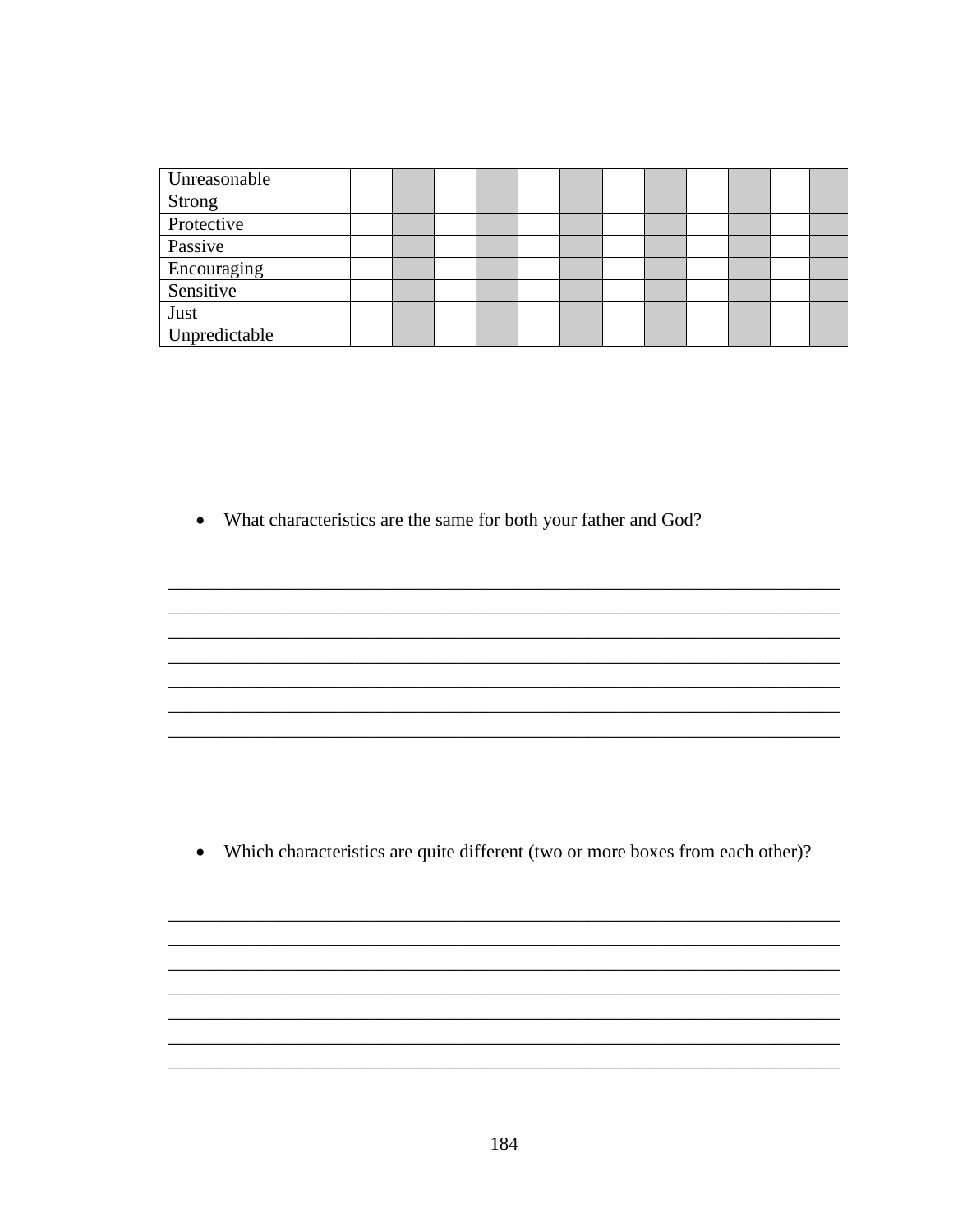| Unreasonable  |  |  |  |  |  |  |
|---------------|--|--|--|--|--|--|
| Strong        |  |  |  |  |  |  |
| Protective    |  |  |  |  |  |  |
| Passive       |  |  |  |  |  |  |
| Encouraging   |  |  |  |  |  |  |
| Sensitive     |  |  |  |  |  |  |
| Just          |  |  |  |  |  |  |
| Unpredictable |  |  |  |  |  |  |

• What characteristics are the same for both your father and God?

• Which characteristics are quite different (two or more boxes from each other)?

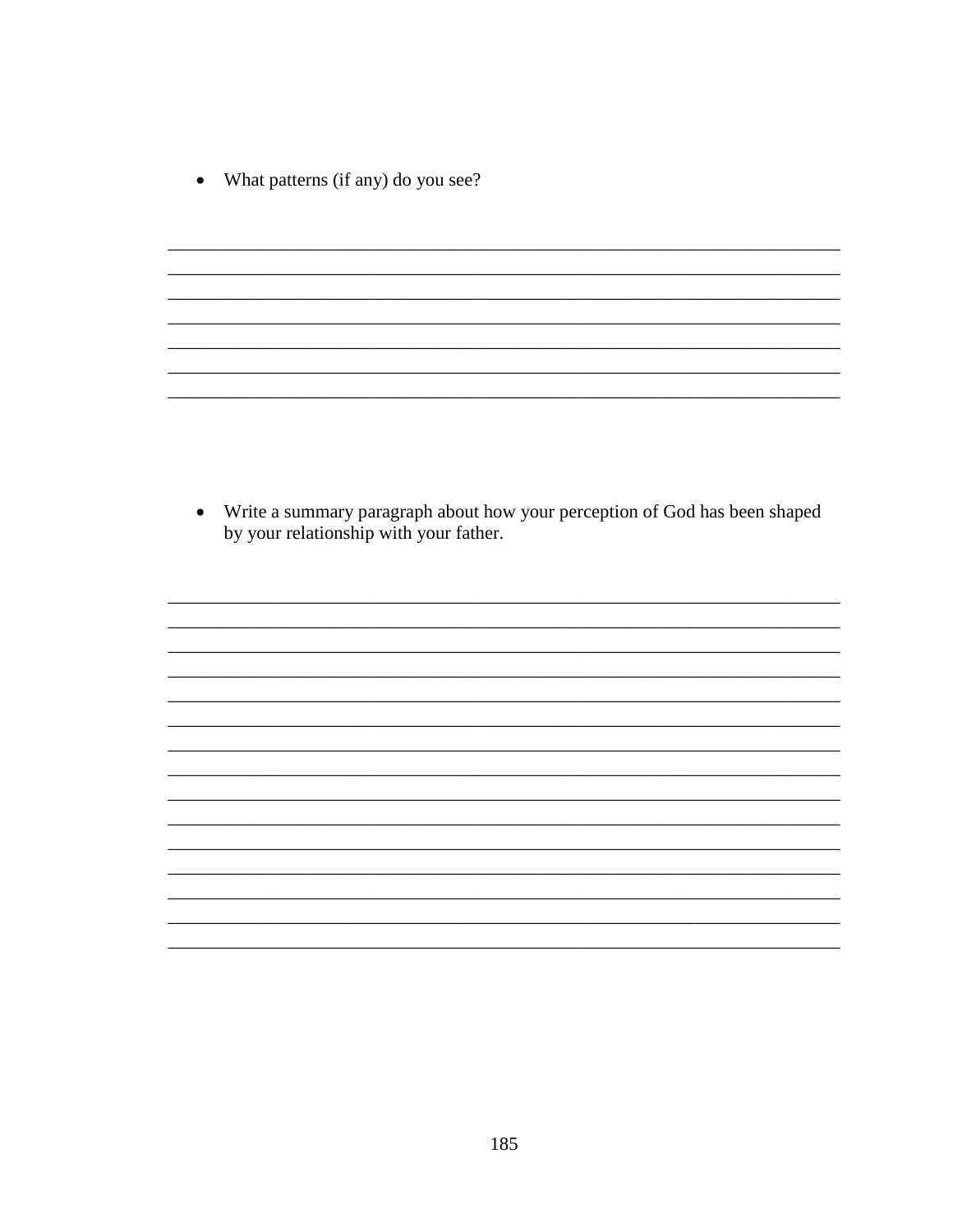What patterns (if any) do you see?  $\bullet$ 

• Write a summary paragraph about how your perception of God has been shaped by your relationship with your father.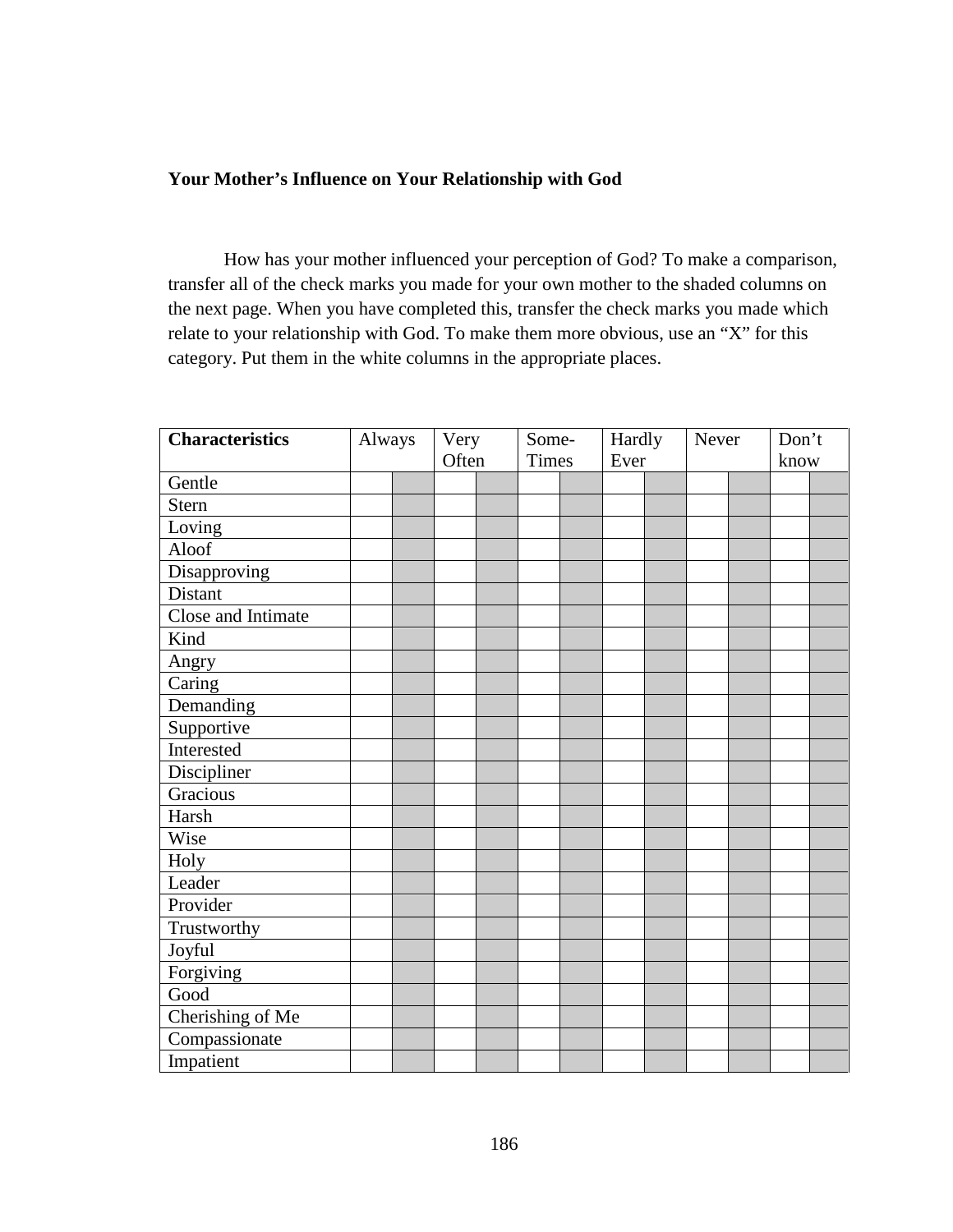## **Your Mother's Influence on Your Relationship with God**

 How has your mother influenced your perception of God? To make a comparison, transfer all of the check marks you made for your own mother to the shaded columns on the next page. When you have completed this, transfer the check marks you made which relate to your relationship with God. To make them more obvious, use an "X" for this category. Put them in the white columns in the appropriate places.

| <b>Characteristics</b> | Always | Very |       | Some- |              | Hardly | Never | Don't |  |
|------------------------|--------|------|-------|-------|--------------|--------|-------|-------|--|
|                        |        |      | Often |       | <b>Times</b> | Ever   |       | know  |  |
| Gentle                 |        |      |       |       |              |        |       |       |  |
| Stern                  |        |      |       |       |              |        |       |       |  |
| Loving                 |        |      |       |       |              |        |       |       |  |
| Aloof                  |        |      |       |       |              |        |       |       |  |
| Disapproving           |        |      |       |       |              |        |       |       |  |
| Distant                |        |      |       |       |              |        |       |       |  |
| Close and Intimate     |        |      |       |       |              |        |       |       |  |
| Kind                   |        |      |       |       |              |        |       |       |  |
| Angry                  |        |      |       |       |              |        |       |       |  |
| Caring                 |        |      |       |       |              |        |       |       |  |
| Demanding              |        |      |       |       |              |        |       |       |  |
| Supportive             |        |      |       |       |              |        |       |       |  |
| Interested             |        |      |       |       |              |        |       |       |  |
| Discipliner            |        |      |       |       |              |        |       |       |  |
| Gracious               |        |      |       |       |              |        |       |       |  |
| Harsh                  |        |      |       |       |              |        |       |       |  |
| Wise                   |        |      |       |       |              |        |       |       |  |
| Holy                   |        |      |       |       |              |        |       |       |  |
| Leader                 |        |      |       |       |              |        |       |       |  |
| Provider               |        |      |       |       |              |        |       |       |  |
| Trustworthy            |        |      |       |       |              |        |       |       |  |
| Joyful                 |        |      |       |       |              |        |       |       |  |
| Forgiving              |        |      |       |       |              |        |       |       |  |
| Good                   |        |      |       |       |              |        |       |       |  |
| Cherishing of Me       |        |      |       |       |              |        |       |       |  |
| Compassionate          |        |      |       |       |              |        |       |       |  |
| Impatient              |        |      |       |       |              |        |       |       |  |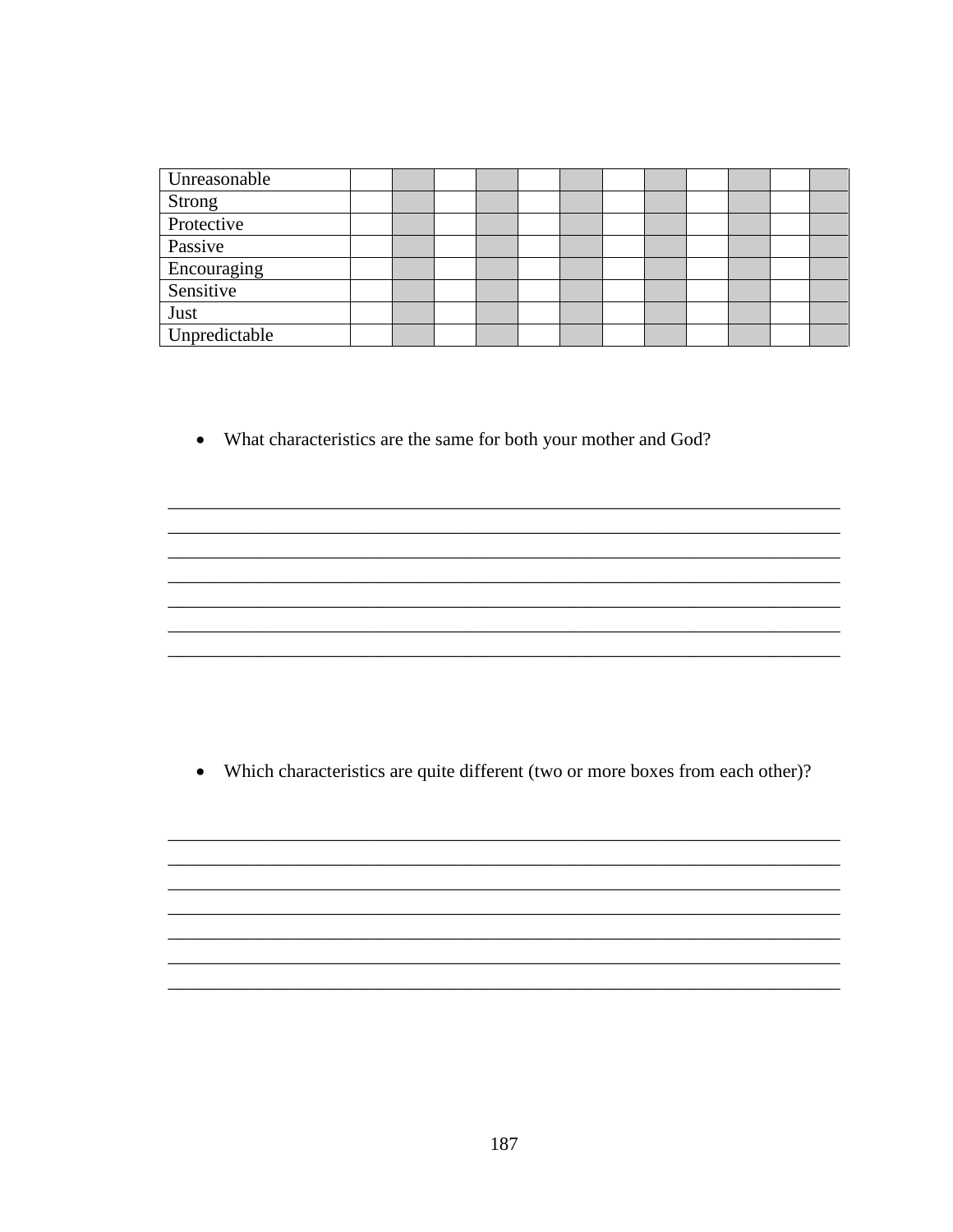| Unreasonable  |  |  |  |  |  |  |
|---------------|--|--|--|--|--|--|
| <b>Strong</b> |  |  |  |  |  |  |
| Protective    |  |  |  |  |  |  |
| Passive       |  |  |  |  |  |  |
| Encouraging   |  |  |  |  |  |  |
| Sensitive     |  |  |  |  |  |  |
| Just          |  |  |  |  |  |  |
| Unpredictable |  |  |  |  |  |  |

• What characteristics are the same for both your mother and God?

• Which characteristics are quite different (two or more boxes from each other)?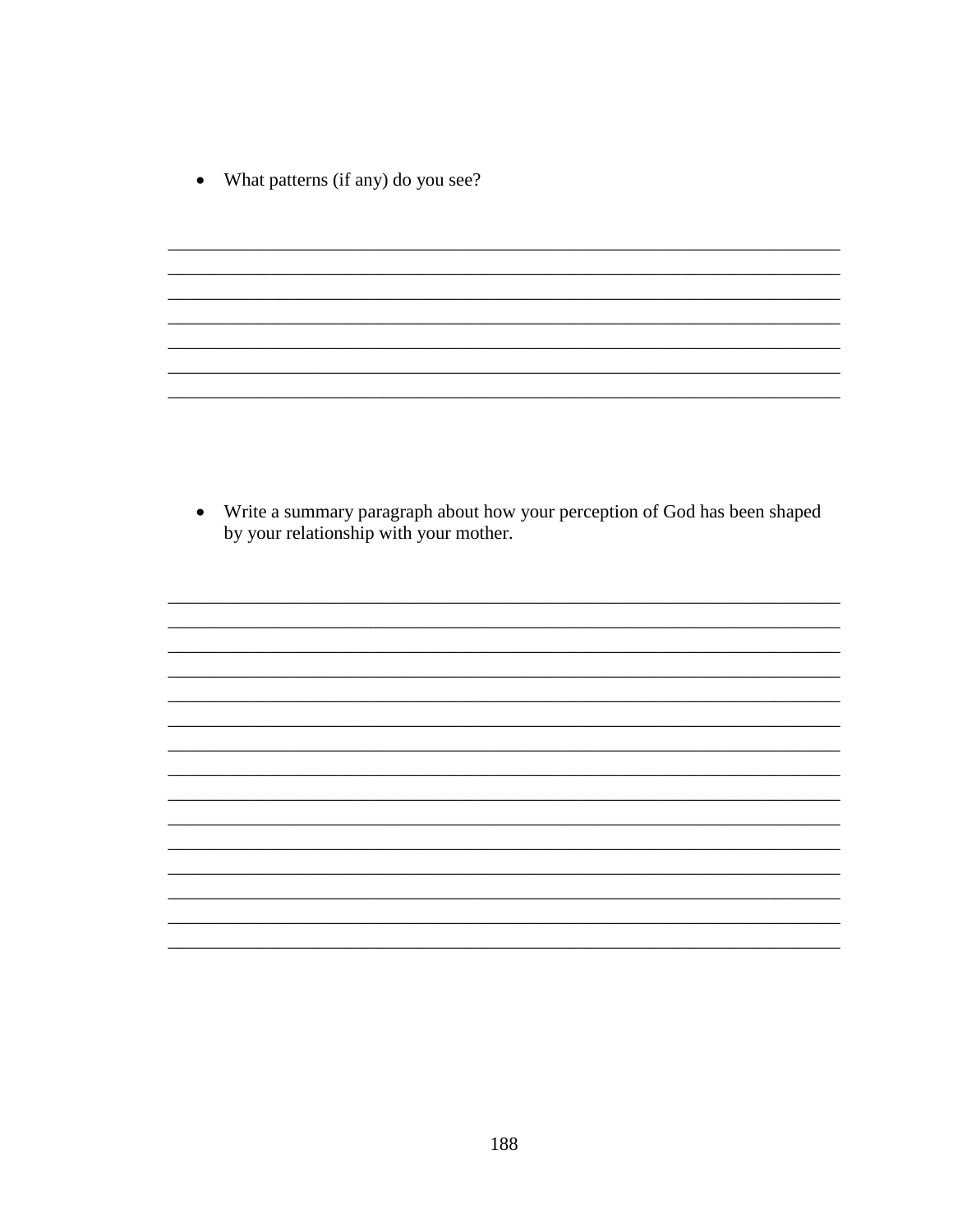What patterns (if any) do you see?  $\bullet$ 

• Write a summary paragraph about how your perception of God has been shaped by your relationship with your mother.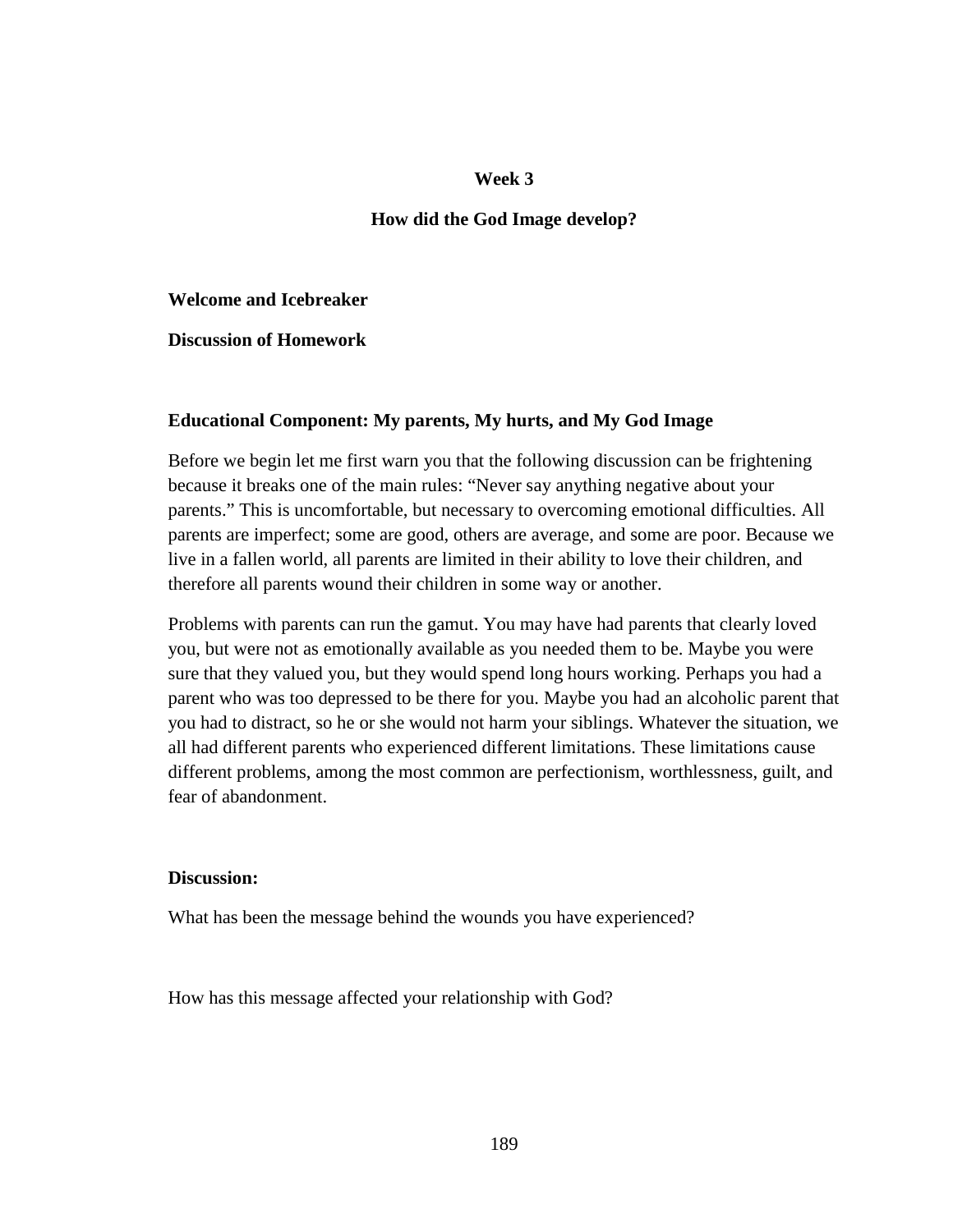#### **Week 3**

#### **How did the God Image develop?**

**Welcome and Icebreaker** 

**Discussion of Homework** 

#### **Educational Component: My parents, My hurts, and My God Image**

Before we begin let me first warn you that the following discussion can be frightening because it breaks one of the main rules: "Never say anything negative about your parents." This is uncomfortable, but necessary to overcoming emotional difficulties. All parents are imperfect; some are good, others are average, and some are poor. Because we live in a fallen world, all parents are limited in their ability to love their children, and therefore all parents wound their children in some way or another.

Problems with parents can run the gamut. You may have had parents that clearly loved you, but were not as emotionally available as you needed them to be. Maybe you were sure that they valued you, but they would spend long hours working. Perhaps you had a parent who was too depressed to be there for you. Maybe you had an alcoholic parent that you had to distract, so he or she would not harm your siblings. Whatever the situation, we all had different parents who experienced different limitations. These limitations cause different problems, among the most common are perfectionism, worthlessness, guilt, and fear of abandonment.

#### **Discussion:**

What has been the message behind the wounds you have experienced?

How has this message affected your relationship with God?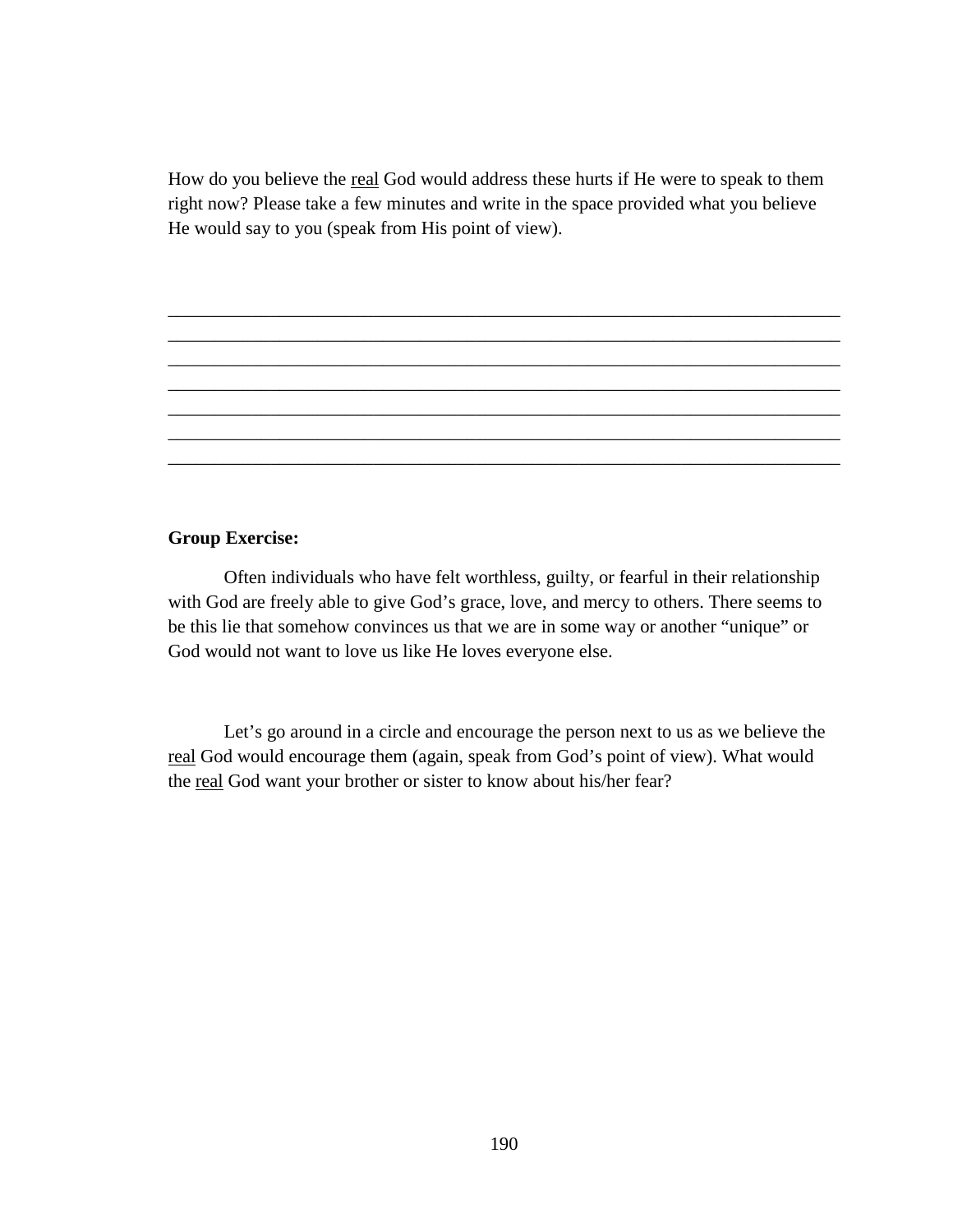How do you believe the real God would address these hurts if He were to speak to them right now? Please take a few minutes and write in the space provided what you believe He would say to you (speak from His point of view).

\_\_\_\_\_\_\_\_\_\_\_\_\_\_\_\_\_\_\_\_\_\_\_\_\_\_\_\_\_\_\_\_\_\_\_\_\_\_\_\_\_\_\_\_\_\_\_\_\_\_\_\_\_\_\_\_\_\_\_\_\_\_\_\_\_\_\_\_\_\_\_\_ \_\_\_\_\_\_\_\_\_\_\_\_\_\_\_\_\_\_\_\_\_\_\_\_\_\_\_\_\_\_\_\_\_\_\_\_\_\_\_\_\_\_\_\_\_\_\_\_\_\_\_\_\_\_\_\_\_\_\_\_\_\_\_\_\_\_\_\_\_\_\_\_ \_\_\_\_\_\_\_\_\_\_\_\_\_\_\_\_\_\_\_\_\_\_\_\_\_\_\_\_\_\_\_\_\_\_\_\_\_\_\_\_\_\_\_\_\_\_\_\_\_\_\_\_\_\_\_\_\_\_\_\_\_\_\_\_\_\_\_\_\_\_\_\_ \_\_\_\_\_\_\_\_\_\_\_\_\_\_\_\_\_\_\_\_\_\_\_\_\_\_\_\_\_\_\_\_\_\_\_\_\_\_\_\_\_\_\_\_\_\_\_\_\_\_\_\_\_\_\_\_\_\_\_\_\_\_\_\_\_\_\_\_\_\_\_\_ \_\_\_\_\_\_\_\_\_\_\_\_\_\_\_\_\_\_\_\_\_\_\_\_\_\_\_\_\_\_\_\_\_\_\_\_\_\_\_\_\_\_\_\_\_\_\_\_\_\_\_\_\_\_\_\_\_\_\_\_\_\_\_\_\_\_\_\_\_\_\_\_ \_\_\_\_\_\_\_\_\_\_\_\_\_\_\_\_\_\_\_\_\_\_\_\_\_\_\_\_\_\_\_\_\_\_\_\_\_\_\_\_\_\_\_\_\_\_\_\_\_\_\_\_\_\_\_\_\_\_\_\_\_\_\_\_\_\_\_\_\_\_\_\_ \_\_\_\_\_\_\_\_\_\_\_\_\_\_\_\_\_\_\_\_\_\_\_\_\_\_\_\_\_\_\_\_\_\_\_\_\_\_\_\_\_\_\_\_\_\_\_\_\_\_\_\_\_\_\_\_\_\_\_\_\_\_\_\_\_\_\_\_\_\_\_\_

#### **Group Exercise:**

 Often individuals who have felt worthless, guilty, or fearful in their relationship with God are freely able to give God's grace, love, and mercy to others. There seems to be this lie that somehow convinces us that we are in some way or another "unique" or God would not want to love us like He loves everyone else.

Let's go around in a circle and encourage the person next to us as we believe the real God would encourage them (again, speak from God's point of view). What would the real God want your brother or sister to know about his/her fear?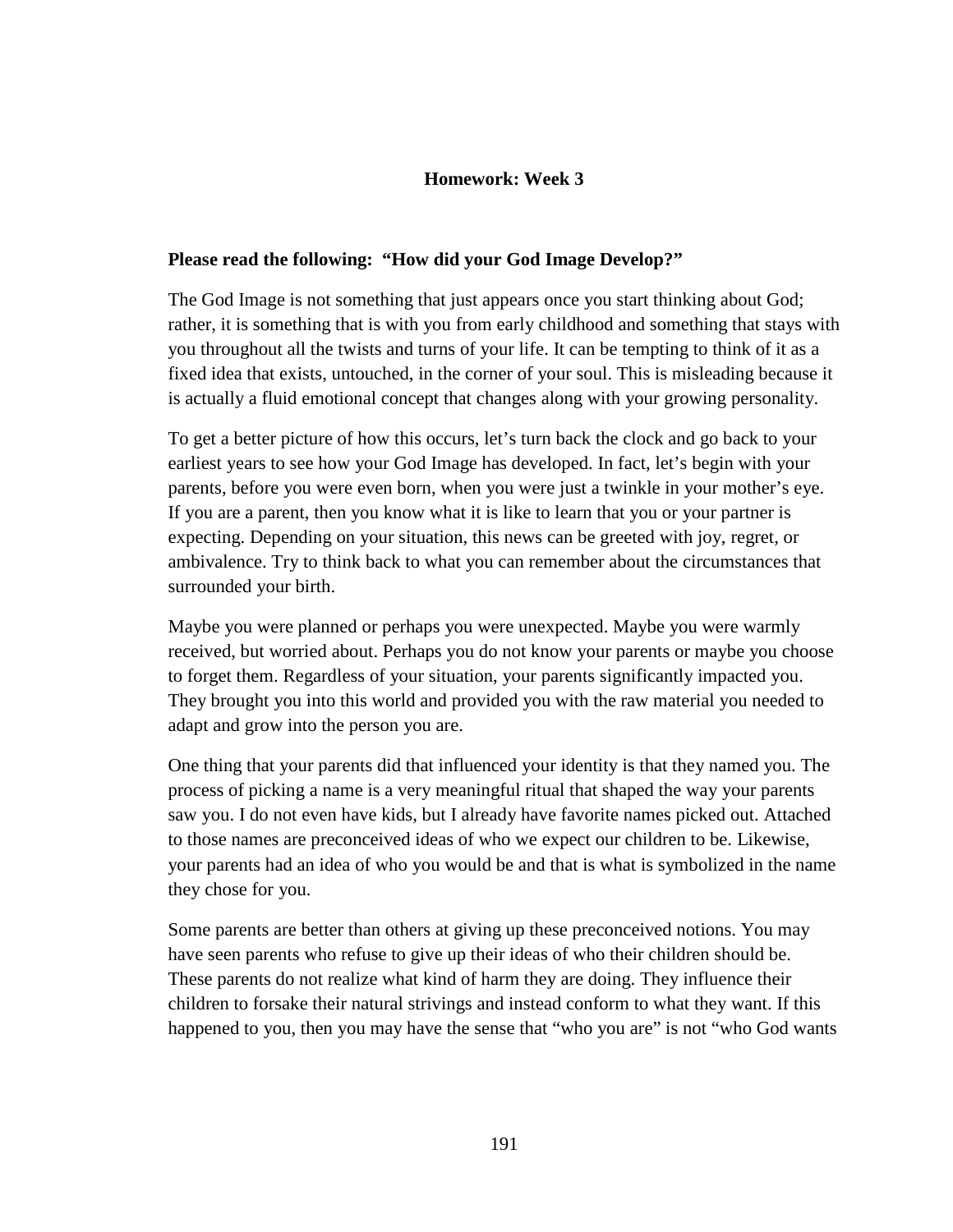# **Homework: Week 3**

### **Please read the following: "How did your God Image Develop?"**

The God Image is not something that just appears once you start thinking about God; rather, it is something that is with you from early childhood and something that stays with you throughout all the twists and turns of your life. It can be tempting to think of it as a fixed idea that exists, untouched, in the corner of your soul. This is misleading because it is actually a fluid emotional concept that changes along with your growing personality.

To get a better picture of how this occurs, let's turn back the clock and go back to your earliest years to see how your God Image has developed. In fact, let's begin with your parents, before you were even born, when you were just a twinkle in your mother's eye. If you are a parent, then you know what it is like to learn that you or your partner is expecting. Depending on your situation, this news can be greeted with joy, regret, or ambivalence. Try to think back to what you can remember about the circumstances that surrounded your birth.

Maybe you were planned or perhaps you were unexpected. Maybe you were warmly received, but worried about. Perhaps you do not know your parents or maybe you choose to forget them. Regardless of your situation, your parents significantly impacted you. They brought you into this world and provided you with the raw material you needed to adapt and grow into the person you are.

One thing that your parents did that influenced your identity is that they named you. The process of picking a name is a very meaningful ritual that shaped the way your parents saw you. I do not even have kids, but I already have favorite names picked out. Attached to those names are preconceived ideas of who we expect our children to be. Likewise, your parents had an idea of who you would be and that is what is symbolized in the name they chose for you.

Some parents are better than others at giving up these preconceived notions. You may have seen parents who refuse to give up their ideas of who their children should be. These parents do not realize what kind of harm they are doing. They influence their children to forsake their natural strivings and instead conform to what they want. If this happened to you, then you may have the sense that "who you are" is not "who God wants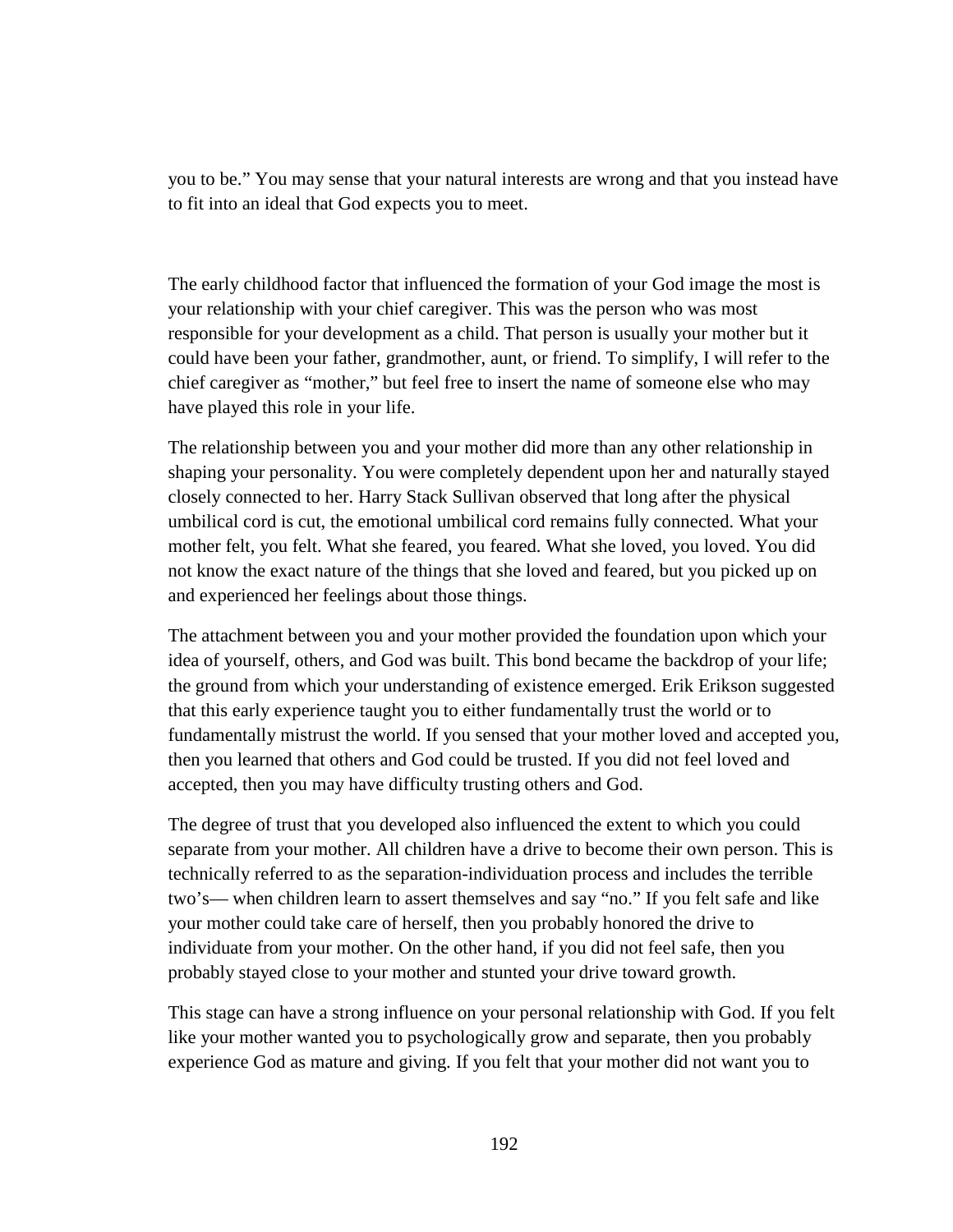you to be." You may sense that your natural interests are wrong and that you instead have to fit into an ideal that God expects you to meet.

The early childhood factor that influenced the formation of your God image the most is your relationship with your chief caregiver. This was the person who was most responsible for your development as a child. That person is usually your mother but it could have been your father, grandmother, aunt, or friend. To simplify, I will refer to the chief caregiver as "mother," but feel free to insert the name of someone else who may have played this role in your life.

The relationship between you and your mother did more than any other relationship in shaping your personality. You were completely dependent upon her and naturally stayed closely connected to her. Harry Stack Sullivan observed that long after the physical umbilical cord is cut, the emotional umbilical cord remains fully connected. What your mother felt, you felt. What she feared, you feared. What she loved, you loved. You did not know the exact nature of the things that she loved and feared, but you picked up on and experienced her feelings about those things.

The attachment between you and your mother provided the foundation upon which your idea of yourself, others, and God was built. This bond became the backdrop of your life; the ground from which your understanding of existence emerged. Erik Erikson suggested that this early experience taught you to either fundamentally trust the world or to fundamentally mistrust the world. If you sensed that your mother loved and accepted you, then you learned that others and God could be trusted. If you did not feel loved and accepted, then you may have difficulty trusting others and God.

The degree of trust that you developed also influenced the extent to which you could separate from your mother. All children have a drive to become their own person. This is technically referred to as the separation-individuation process and includes the terrible two's— when children learn to assert themselves and say "no." If you felt safe and like your mother could take care of herself, then you probably honored the drive to individuate from your mother. On the other hand, if you did not feel safe, then you probably stayed close to your mother and stunted your drive toward growth.

This stage can have a strong influence on your personal relationship with God. If you felt like your mother wanted you to psychologically grow and separate, then you probably experience God as mature and giving. If you felt that your mother did not want you to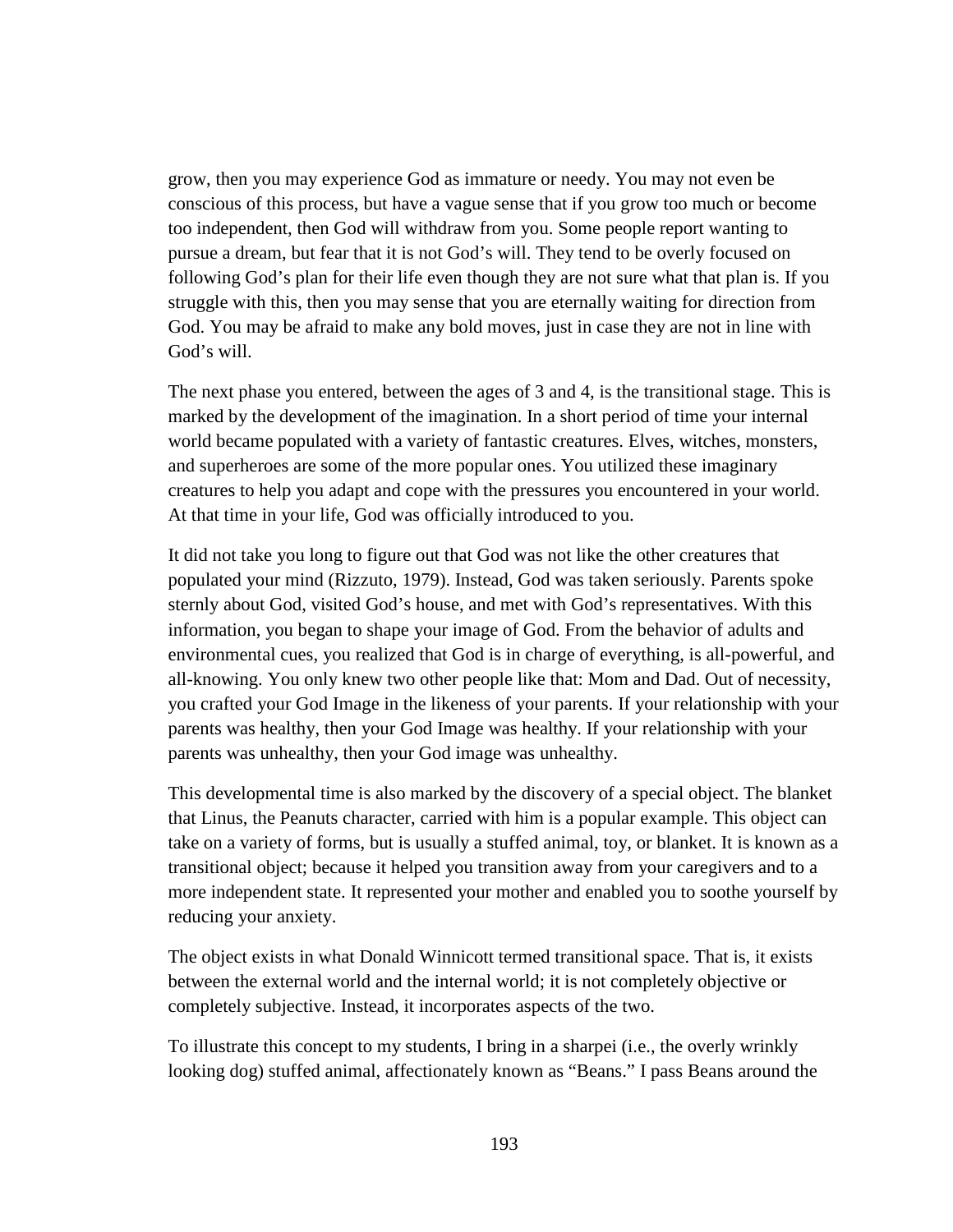grow, then you may experience God as immature or needy. You may not even be conscious of this process, but have a vague sense that if you grow too much or become too independent, then God will withdraw from you. Some people report wanting to pursue a dream, but fear that it is not God's will. They tend to be overly focused on following God's plan for their life even though they are not sure what that plan is. If you struggle with this, then you may sense that you are eternally waiting for direction from God. You may be afraid to make any bold moves, just in case they are not in line with God's will.

The next phase you entered, between the ages of 3 and 4, is the transitional stage. This is marked by the development of the imagination. In a short period of time your internal world became populated with a variety of fantastic creatures. Elves, witches, monsters, and superheroes are some of the more popular ones. You utilized these imaginary creatures to help you adapt and cope with the pressures you encountered in your world. At that time in your life, God was officially introduced to you.

It did not take you long to figure out that God was not like the other creatures that populated your mind (Rizzuto, 1979). Instead, God was taken seriously. Parents spoke sternly about God, visited God's house, and met with God's representatives. With this information, you began to shape your image of God. From the behavior of adults and environmental cues, you realized that God is in charge of everything, is all-powerful, and all-knowing. You only knew two other people like that: Mom and Dad. Out of necessity, you crafted your God Image in the likeness of your parents. If your relationship with your parents was healthy, then your God Image was healthy. If your relationship with your parents was unhealthy, then your God image was unhealthy.

This developmental time is also marked by the discovery of a special object. The blanket that Linus, the Peanuts character, carried with him is a popular example. This object can take on a variety of forms, but is usually a stuffed animal, toy, or blanket. It is known as a transitional object; because it helped you transition away from your caregivers and to a more independent state. It represented your mother and enabled you to soothe yourself by reducing your anxiety.

The object exists in what Donald Winnicott termed transitional space. That is, it exists between the external world and the internal world; it is not completely objective or completely subjective. Instead, it incorporates aspects of the two.

To illustrate this concept to my students, I bring in a sharpei (i.e., the overly wrinkly looking dog) stuffed animal, affectionately known as "Beans." I pass Beans around the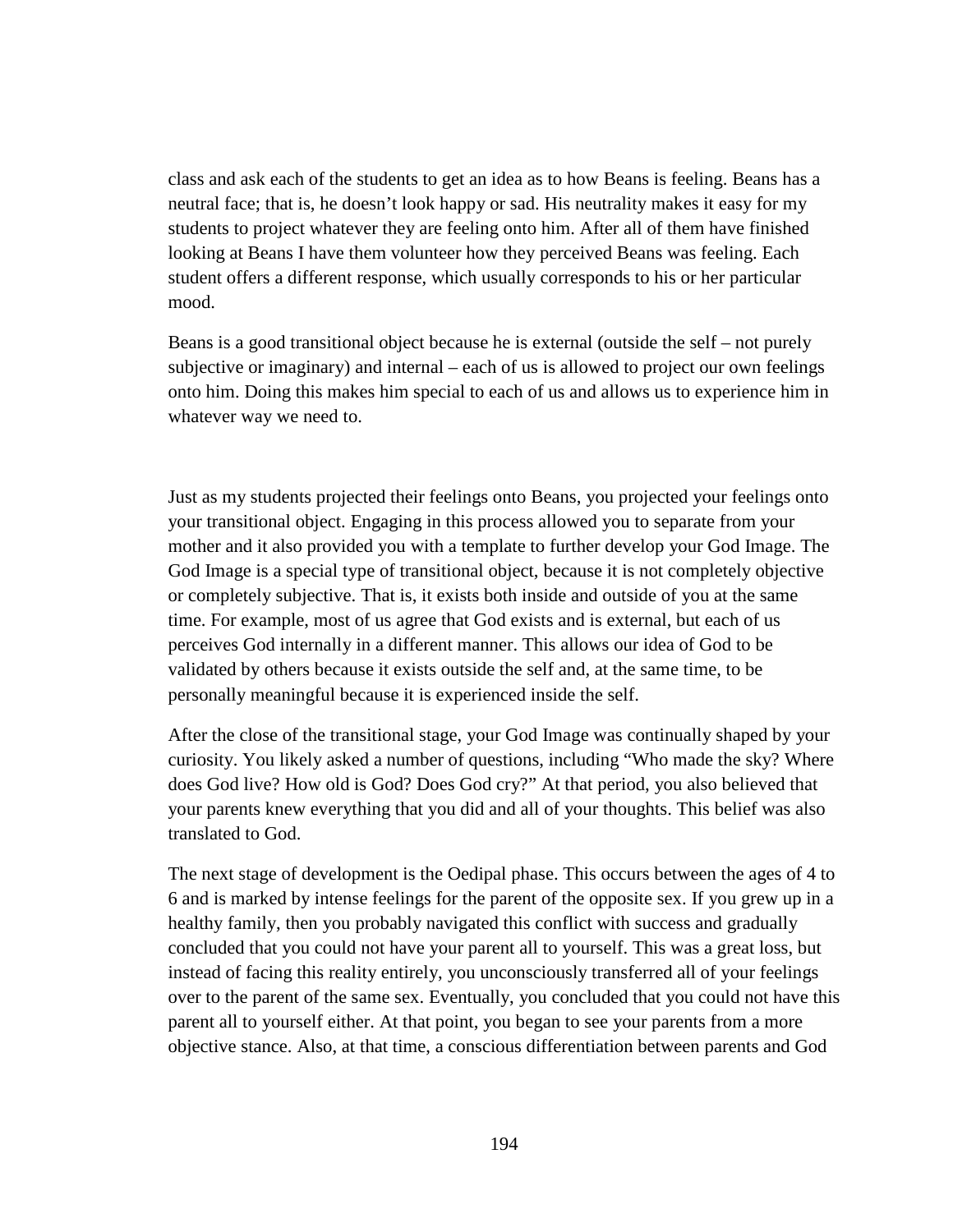class and ask each of the students to get an idea as to how Beans is feeling. Beans has a neutral face; that is, he doesn't look happy or sad. His neutrality makes it easy for my students to project whatever they are feeling onto him. After all of them have finished looking at Beans I have them volunteer how they perceived Beans was feeling. Each student offers a different response, which usually corresponds to his or her particular mood.

Beans is a good transitional object because he is external (outside the self – not purely subjective or imaginary) and internal – each of us is allowed to project our own feelings onto him. Doing this makes him special to each of us and allows us to experience him in whatever way we need to.

Just as my students projected their feelings onto Beans, you projected your feelings onto your transitional object. Engaging in this process allowed you to separate from your mother and it also provided you with a template to further develop your God Image. The God Image is a special type of transitional object, because it is not completely objective or completely subjective. That is, it exists both inside and outside of you at the same time. For example, most of us agree that God exists and is external, but each of us perceives God internally in a different manner. This allows our idea of God to be validated by others because it exists outside the self and, at the same time, to be personally meaningful because it is experienced inside the self.

After the close of the transitional stage, your God Image was continually shaped by your curiosity. You likely asked a number of questions, including "Who made the sky? Where does God live? How old is God? Does God cry?" At that period, you also believed that your parents knew everything that you did and all of your thoughts. This belief was also translated to God.

The next stage of development is the Oedipal phase. This occurs between the ages of 4 to 6 and is marked by intense feelings for the parent of the opposite sex. If you grew up in a healthy family, then you probably navigated this conflict with success and gradually concluded that you could not have your parent all to yourself. This was a great loss, but instead of facing this reality entirely, you unconsciously transferred all of your feelings over to the parent of the same sex. Eventually, you concluded that you could not have this parent all to yourself either. At that point, you began to see your parents from a more objective stance. Also, at that time, a conscious differentiation between parents and God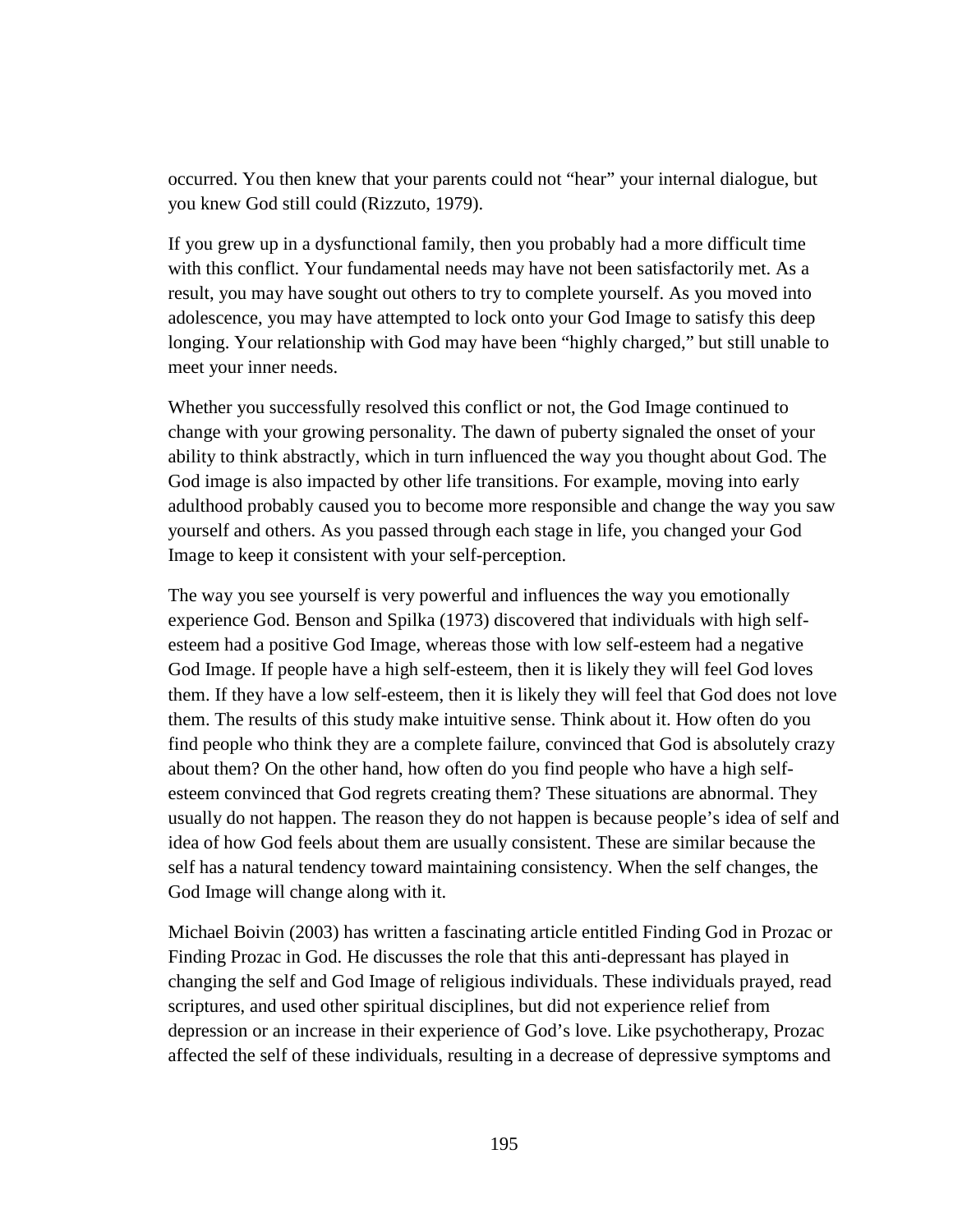occurred. You then knew that your parents could not "hear" your internal dialogue, but you knew God still could (Rizzuto, 1979).

If you grew up in a dysfunctional family, then you probably had a more difficult time with this conflict. Your fundamental needs may have not been satisfactorily met. As a result, you may have sought out others to try to complete yourself. As you moved into adolescence, you may have attempted to lock onto your God Image to satisfy this deep longing. Your relationship with God may have been "highly charged," but still unable to meet your inner needs.

Whether you successfully resolved this conflict or not, the God Image continued to change with your growing personality. The dawn of puberty signaled the onset of your ability to think abstractly, which in turn influenced the way you thought about God. The God image is also impacted by other life transitions. For example, moving into early adulthood probably caused you to become more responsible and change the way you saw yourself and others. As you passed through each stage in life, you changed your God Image to keep it consistent with your self-perception.

The way you see yourself is very powerful and influences the way you emotionally experience God. Benson and Spilka (1973) discovered that individuals with high selfesteem had a positive God Image, whereas those with low self-esteem had a negative God Image. If people have a high self-esteem, then it is likely they will feel God loves them. If they have a low self-esteem, then it is likely they will feel that God does not love them. The results of this study make intuitive sense. Think about it. How often do you find people who think they are a complete failure, convinced that God is absolutely crazy about them? On the other hand, how often do you find people who have a high selfesteem convinced that God regrets creating them? These situations are abnormal. They usually do not happen. The reason they do not happen is because people's idea of self and idea of how God feels about them are usually consistent. These are similar because the self has a natural tendency toward maintaining consistency. When the self changes, the God Image will change along with it.

Michael Boivin (2003) has written a fascinating article entitled Finding God in Prozac or Finding Prozac in God. He discusses the role that this anti-depressant has played in changing the self and God Image of religious individuals. These individuals prayed, read scriptures, and used other spiritual disciplines, but did not experience relief from depression or an increase in their experience of God's love. Like psychotherapy, Prozac affected the self of these individuals, resulting in a decrease of depressive symptoms and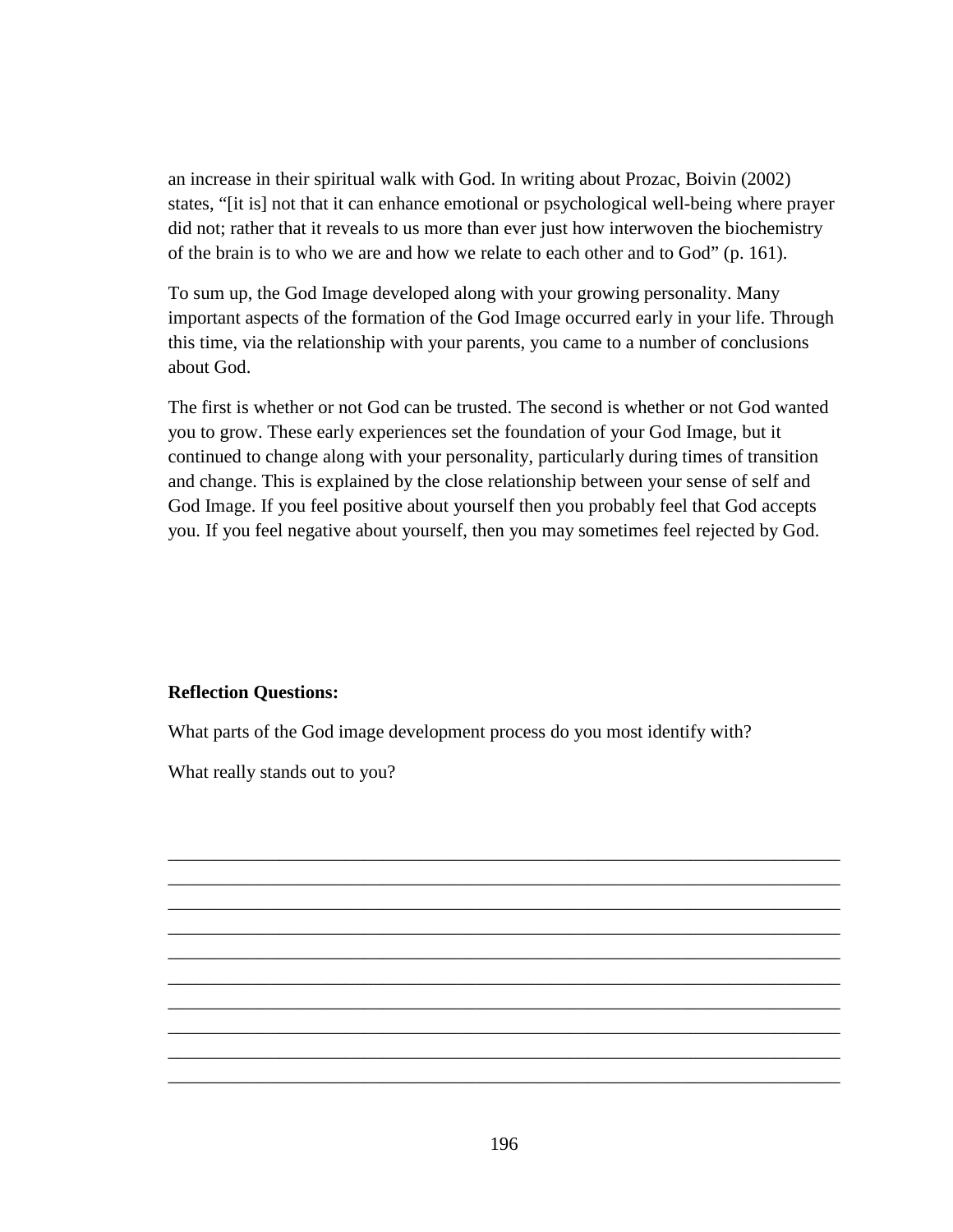an increase in their spiritual walk with God. In writing about Prozac, Boivin (2002) states, "[it is] not that it can enhance emotional or psychological well-being where prayer did not; rather that it reveals to us more than ever just how interwoven the biochemistry of the brain is to who we are and how we relate to each other and to God" (p. 161).

To sum up, the God Image developed along with your growing personality. Many important aspects of the formation of the God Image occurred early in your life. Through this time, via the relationship with your parents, you came to a number of conclusions about God.

The first is whether or not God can be trusted. The second is whether or not God wanted you to grow. These early experiences set the foundation of your God Image, but it continued to change along with your personality, particularly during times of transition and change. This is explained by the close relationship between your sense of self and God Image. If you feel positive about yourself then you probably feel that God accepts you. If you feel negative about yourself, then you may sometimes feel rejected by God.

## **Reflection Questions:**

What parts of the God image development process do you most identify with?

What really stands out to you?

\_\_\_\_\_\_\_\_\_\_\_\_\_\_\_\_\_\_\_\_\_\_\_\_\_\_\_\_\_\_\_\_\_\_\_\_\_\_\_\_\_\_\_\_\_\_\_\_\_\_\_\_\_\_\_\_\_\_\_\_\_\_\_\_\_\_\_\_\_\_\_\_ \_\_\_\_\_\_\_\_\_\_\_\_\_\_\_\_\_\_\_\_\_\_\_\_\_\_\_\_\_\_\_\_\_\_\_\_\_\_\_\_\_\_\_\_\_\_\_\_\_\_\_\_\_\_\_\_\_\_\_\_\_\_\_\_\_\_\_\_\_\_\_\_ \_\_\_\_\_\_\_\_\_\_\_\_\_\_\_\_\_\_\_\_\_\_\_\_\_\_\_\_\_\_\_\_\_\_\_\_\_\_\_\_\_\_\_\_\_\_\_\_\_\_\_\_\_\_\_\_\_\_\_\_\_\_\_\_\_\_\_\_\_\_\_\_ \_\_\_\_\_\_\_\_\_\_\_\_\_\_\_\_\_\_\_\_\_\_\_\_\_\_\_\_\_\_\_\_\_\_\_\_\_\_\_\_\_\_\_\_\_\_\_\_\_\_\_\_\_\_\_\_\_\_\_\_\_\_\_\_\_\_\_\_\_\_\_\_ \_\_\_\_\_\_\_\_\_\_\_\_\_\_\_\_\_\_\_\_\_\_\_\_\_\_\_\_\_\_\_\_\_\_\_\_\_\_\_\_\_\_\_\_\_\_\_\_\_\_\_\_\_\_\_\_\_\_\_\_\_\_\_\_\_\_\_\_\_\_\_\_ \_\_\_\_\_\_\_\_\_\_\_\_\_\_\_\_\_\_\_\_\_\_\_\_\_\_\_\_\_\_\_\_\_\_\_\_\_\_\_\_\_\_\_\_\_\_\_\_\_\_\_\_\_\_\_\_\_\_\_\_\_\_\_\_\_\_\_\_\_\_\_\_ \_\_\_\_\_\_\_\_\_\_\_\_\_\_\_\_\_\_\_\_\_\_\_\_\_\_\_\_\_\_\_\_\_\_\_\_\_\_\_\_\_\_\_\_\_\_\_\_\_\_\_\_\_\_\_\_\_\_\_\_\_\_\_\_\_\_\_\_\_\_\_\_ \_\_\_\_\_\_\_\_\_\_\_\_\_\_\_\_\_\_\_\_\_\_\_\_\_\_\_\_\_\_\_\_\_\_\_\_\_\_\_\_\_\_\_\_\_\_\_\_\_\_\_\_\_\_\_\_\_\_\_\_\_\_\_\_\_\_\_\_\_\_\_\_ \_\_\_\_\_\_\_\_\_\_\_\_\_\_\_\_\_\_\_\_\_\_\_\_\_\_\_\_\_\_\_\_\_\_\_\_\_\_\_\_\_\_\_\_\_\_\_\_\_\_\_\_\_\_\_\_\_\_\_\_\_\_\_\_\_\_\_\_\_\_\_\_ \_\_\_\_\_\_\_\_\_\_\_\_\_\_\_\_\_\_\_\_\_\_\_\_\_\_\_\_\_\_\_\_\_\_\_\_\_\_\_\_\_\_\_\_\_\_\_\_\_\_\_\_\_\_\_\_\_\_\_\_\_\_\_\_\_\_\_\_\_\_\_\_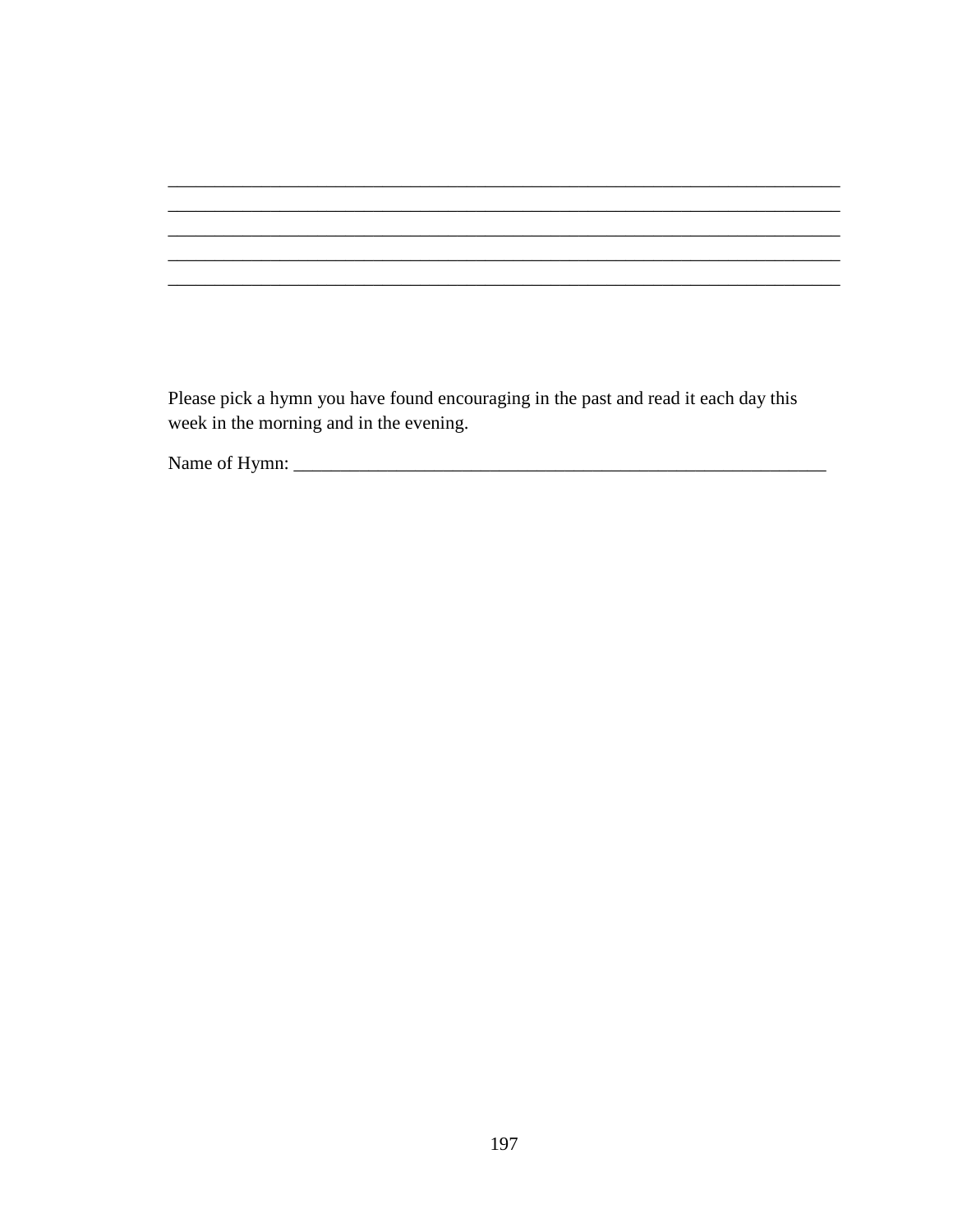Please pick a hymn you have found encouraging in the past and read it each day this week in the morning and in the evening.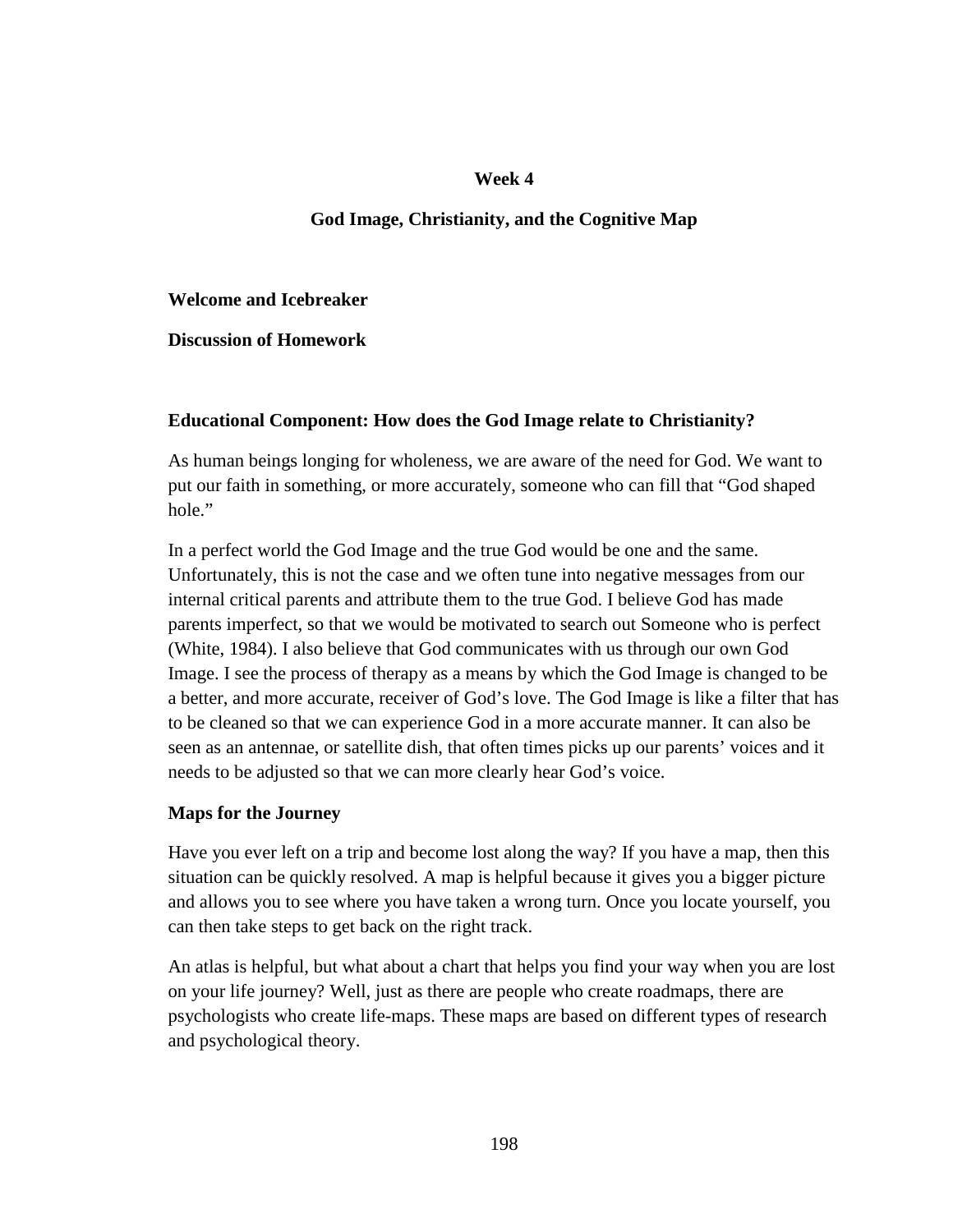## **Week 4**

# **God Image, Christianity, and the Cognitive Map**

**Welcome and Icebreaker** 

**Discussion of Homework** 

## **Educational Component: How does the God Image relate to Christianity?**

As human beings longing for wholeness, we are aware of the need for God. We want to put our faith in something, or more accurately, someone who can fill that "God shaped hole."

In a perfect world the God Image and the true God would be one and the same. Unfortunately, this is not the case and we often tune into negative messages from our internal critical parents and attribute them to the true God. I believe God has made parents imperfect, so that we would be motivated to search out Someone who is perfect (White, 1984). I also believe that God communicates with us through our own God Image. I see the process of therapy as a means by which the God Image is changed to be a better, and more accurate, receiver of God's love. The God Image is like a filter that has to be cleaned so that we can experience God in a more accurate manner. It can also be seen as an antennae, or satellite dish, that often times picks up our parents' voices and it needs to be adjusted so that we can more clearly hear God's voice.

# **Maps for the Journey**

Have you ever left on a trip and become lost along the way? If you have a map, then this situation can be quickly resolved. A map is helpful because it gives you a bigger picture and allows you to see where you have taken a wrong turn. Once you locate yourself, you can then take steps to get back on the right track.

An atlas is helpful, but what about a chart that helps you find your way when you are lost on your life journey? Well, just as there are people who create roadmaps, there are psychologists who create life-maps. These maps are based on different types of research and psychological theory.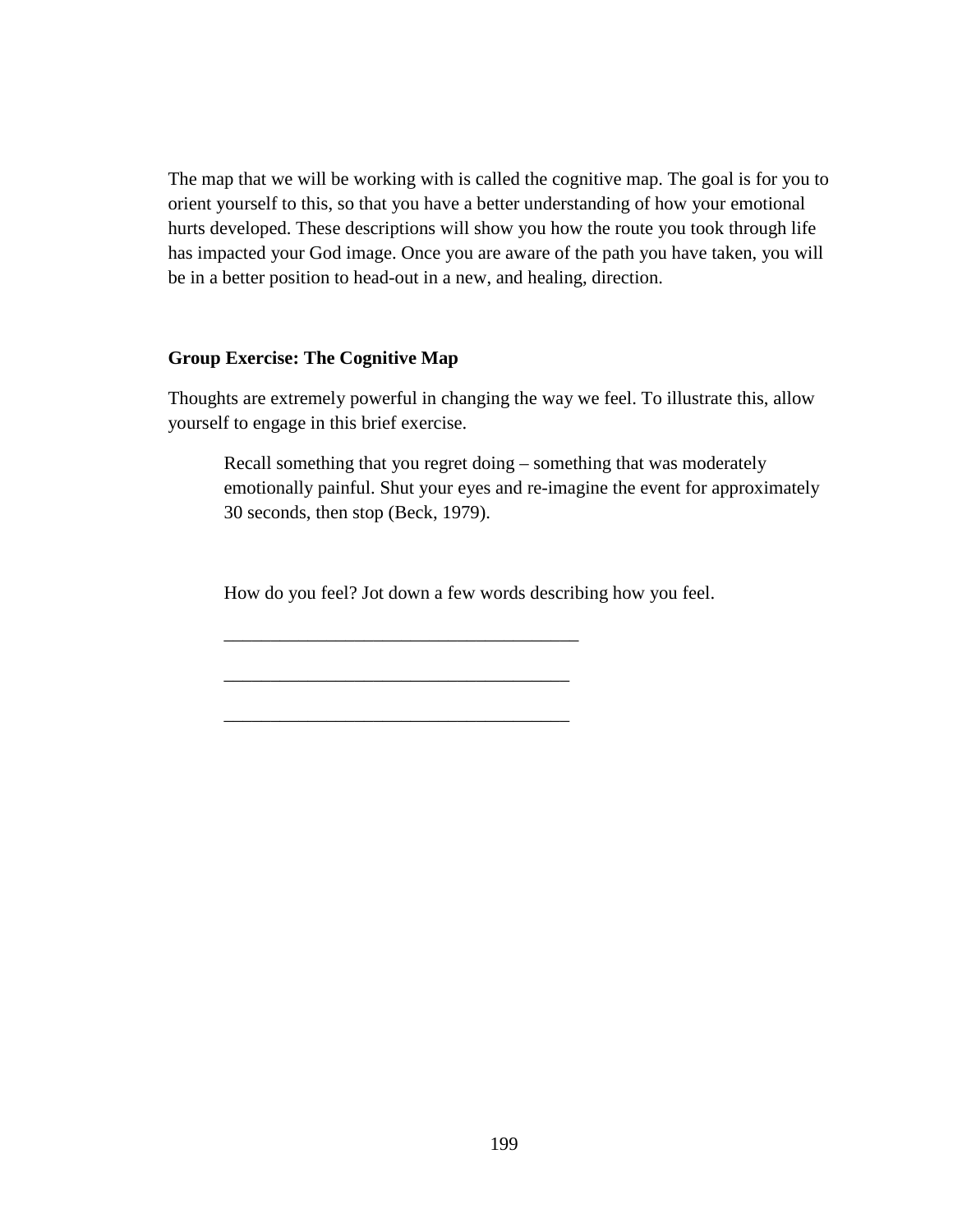The map that we will be working with is called the cognitive map. The goal is for you to orient yourself to this, so that you have a better understanding of how your emotional hurts developed. These descriptions will show you how the route you took through life has impacted your God image. Once you are aware of the path you have taken, you will be in a better position to head-out in a new, and healing, direction.

#### **Group Exercise: The Cognitive Map**

Thoughts are extremely powerful in changing the way we feel. To illustrate this, allow yourself to engage in this brief exercise.

Recall something that you regret doing – something that was moderately emotionally painful. Shut your eyes and re-imagine the event for approximately 30 seconds, then stop (Beck, 1979).

How do you feel? Jot down a few words describing how you feel.

\_\_\_\_\_\_\_\_\_\_\_\_\_\_\_\_\_\_\_\_\_\_\_\_\_\_\_\_\_\_\_\_\_\_\_\_\_\_

\_\_\_\_\_\_\_\_\_\_\_\_\_\_\_\_\_\_\_\_\_\_\_\_\_\_\_\_\_\_\_\_\_\_\_\_\_

\_\_\_\_\_\_\_\_\_\_\_\_\_\_\_\_\_\_\_\_\_\_\_\_\_\_\_\_\_\_\_\_\_\_\_\_\_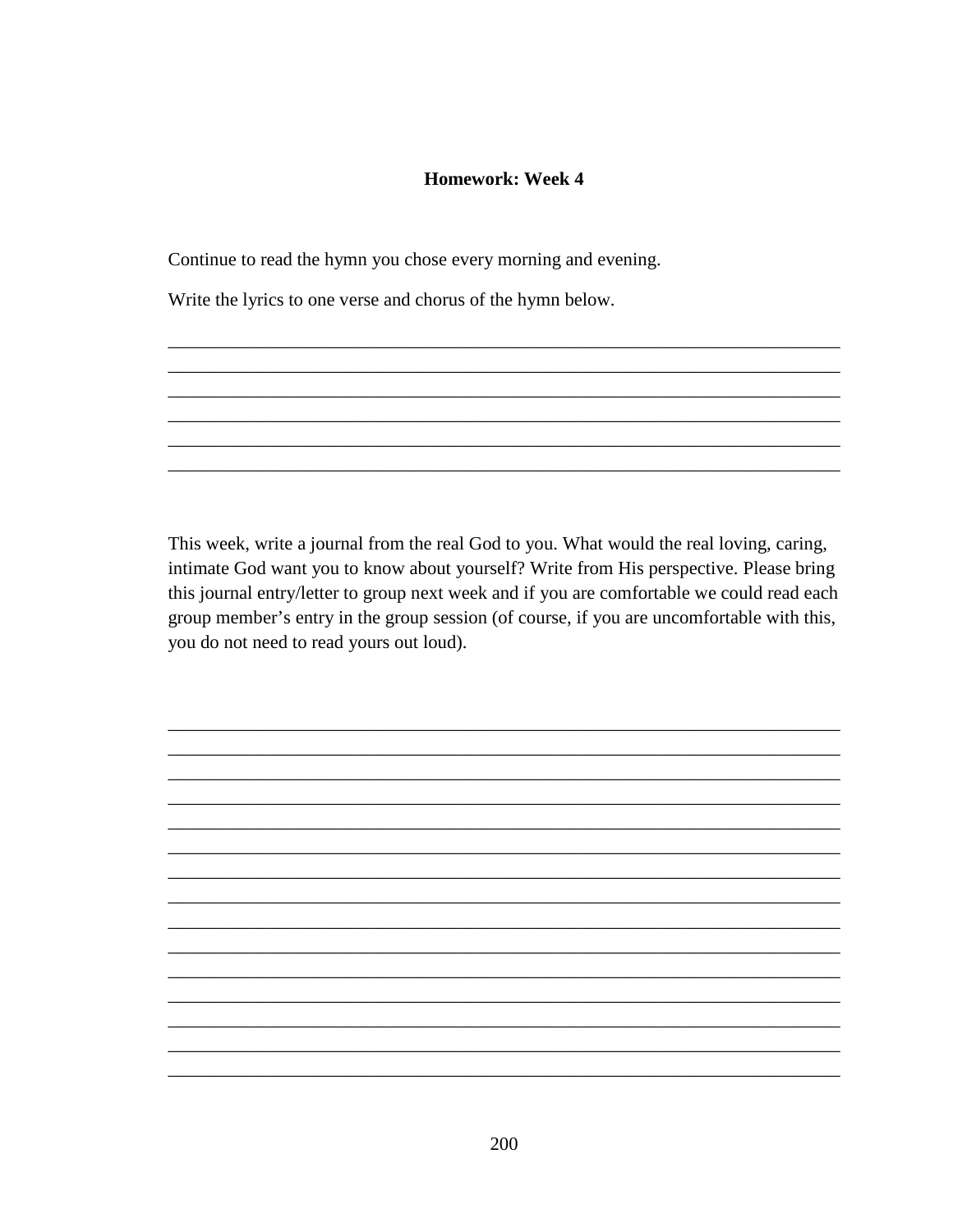## **Homework: Week 4**

Continue to read the hymn you chose every morning and evening.

Write the lyrics to one verse and chorus of the hymn below.

This week, write a journal from the real God to you. What would the real loving, caring, intimate God want you to know about yourself? Write from His perspective. Please bring this journal entry/letter to group next week and if you are comfortable we could read each group member's entry in the group session (of course, if you are uncomfortable with this, you do not need to read yours out loud).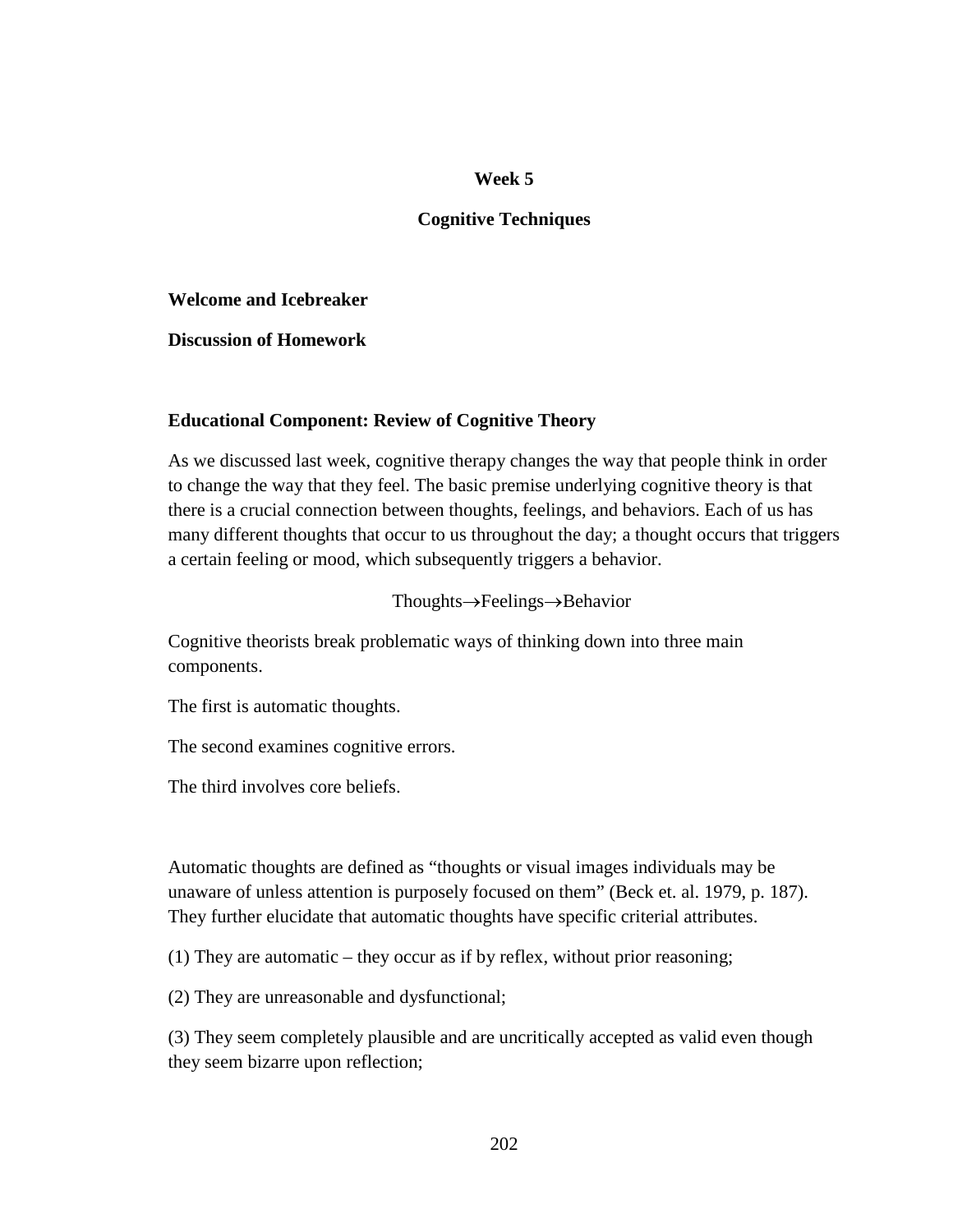## **Cognitive Techniques**

**Welcome and Icebreaker** 

**Discussion of Homework** 

### **Educational Component: Review of Cognitive Theory**

As we discussed last week, cognitive therapy changes the way that people think in order to change the way that they feel. The basic premise underlying cognitive theory is that there is a crucial connection between thoughts, feelings, and behaviors. Each of us has many different thoughts that occur to us throughout the day; a thought occurs that triggers a certain feeling or mood, which subsequently triggers a behavior.

Thoughts→Feelings→Behavior

Cognitive theorists break problematic ways of thinking down into three main components.

The first is automatic thoughts.

The second examines cognitive errors.

The third involves core beliefs.

Automatic thoughts are defined as "thoughts or visual images individuals may be unaware of unless attention is purposely focused on them" (Beck et. al. 1979, p. 187). They further elucidate that automatic thoughts have specific criterial attributes.

(1) They are automatic – they occur as if by reflex, without prior reasoning;

(2) They are unreasonable and dysfunctional;

(3) They seem completely plausible and are uncritically accepted as valid even though they seem bizarre upon reflection;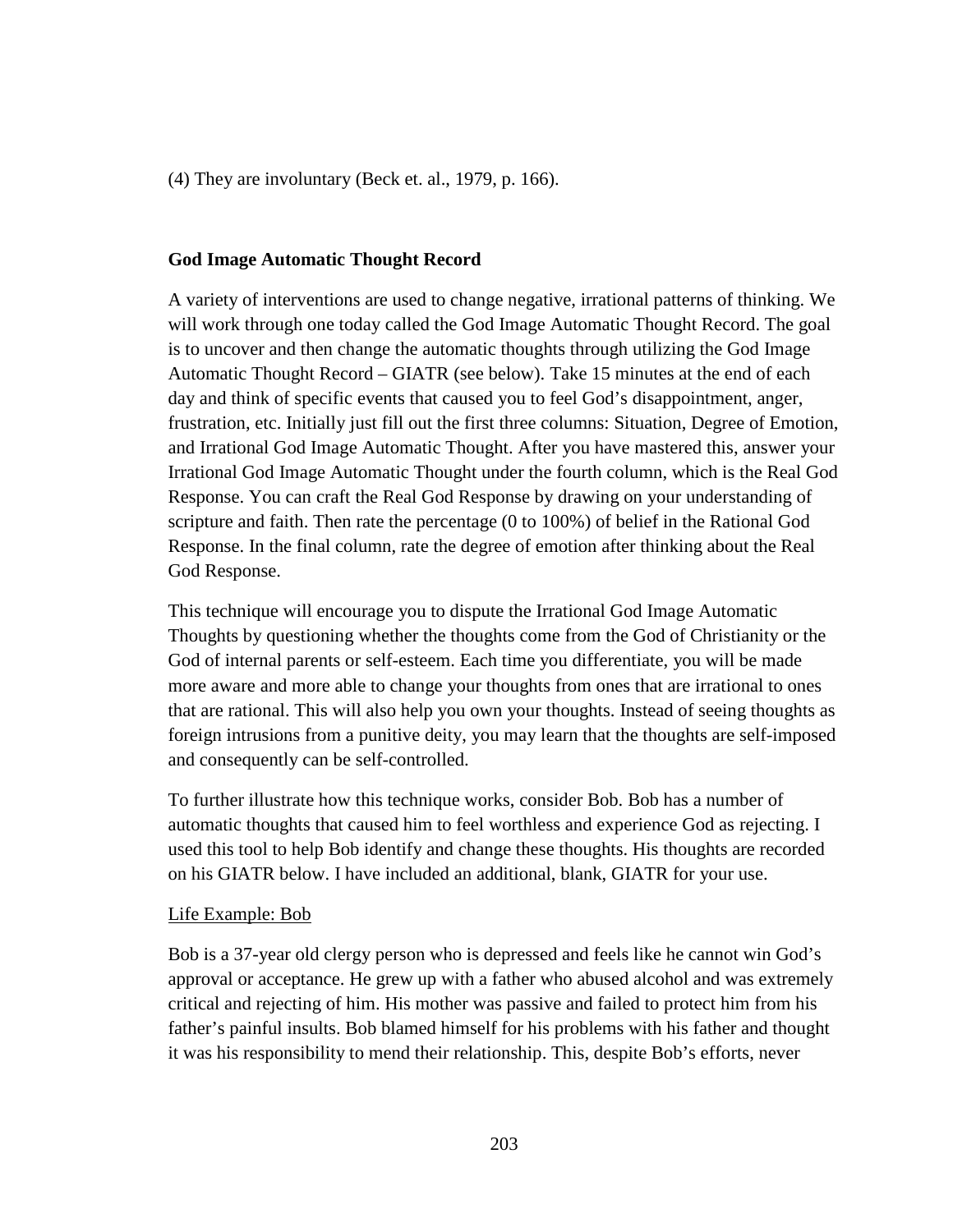(4) They are involuntary (Beck et. al., 1979, p. 166).

#### **God Image Automatic Thought Record**

A variety of interventions are used to change negative, irrational patterns of thinking. We will work through one today called the God Image Automatic Thought Record. The goal is to uncover and then change the automatic thoughts through utilizing the God Image Automatic Thought Record – GIATR (see below). Take 15 minutes at the end of each day and think of specific events that caused you to feel God's disappointment, anger, frustration, etc. Initially just fill out the first three columns: Situation, Degree of Emotion, and Irrational God Image Automatic Thought. After you have mastered this, answer your Irrational God Image Automatic Thought under the fourth column, which is the Real God Response. You can craft the Real God Response by drawing on your understanding of scripture and faith. Then rate the percentage (0 to 100%) of belief in the Rational God Response. In the final column, rate the degree of emotion after thinking about the Real God Response.

This technique will encourage you to dispute the Irrational God Image Automatic Thoughts by questioning whether the thoughts come from the God of Christianity or the God of internal parents or self-esteem. Each time you differentiate, you will be made more aware and more able to change your thoughts from ones that are irrational to ones that are rational. This will also help you own your thoughts. Instead of seeing thoughts as foreign intrusions from a punitive deity, you may learn that the thoughts are self-imposed and consequently can be self-controlled.

To further illustrate how this technique works, consider Bob. Bob has a number of automatic thoughts that caused him to feel worthless and experience God as rejecting. I used this tool to help Bob identify and change these thoughts. His thoughts are recorded on his GIATR below. I have included an additional, blank, GIATR for your use.

#### Life Example: Bob

Bob is a 37-year old clergy person who is depressed and feels like he cannot win God's approval or acceptance. He grew up with a father who abused alcohol and was extremely critical and rejecting of him. His mother was passive and failed to protect him from his father's painful insults. Bob blamed himself for his problems with his father and thought it was his responsibility to mend their relationship. This, despite Bob's efforts, never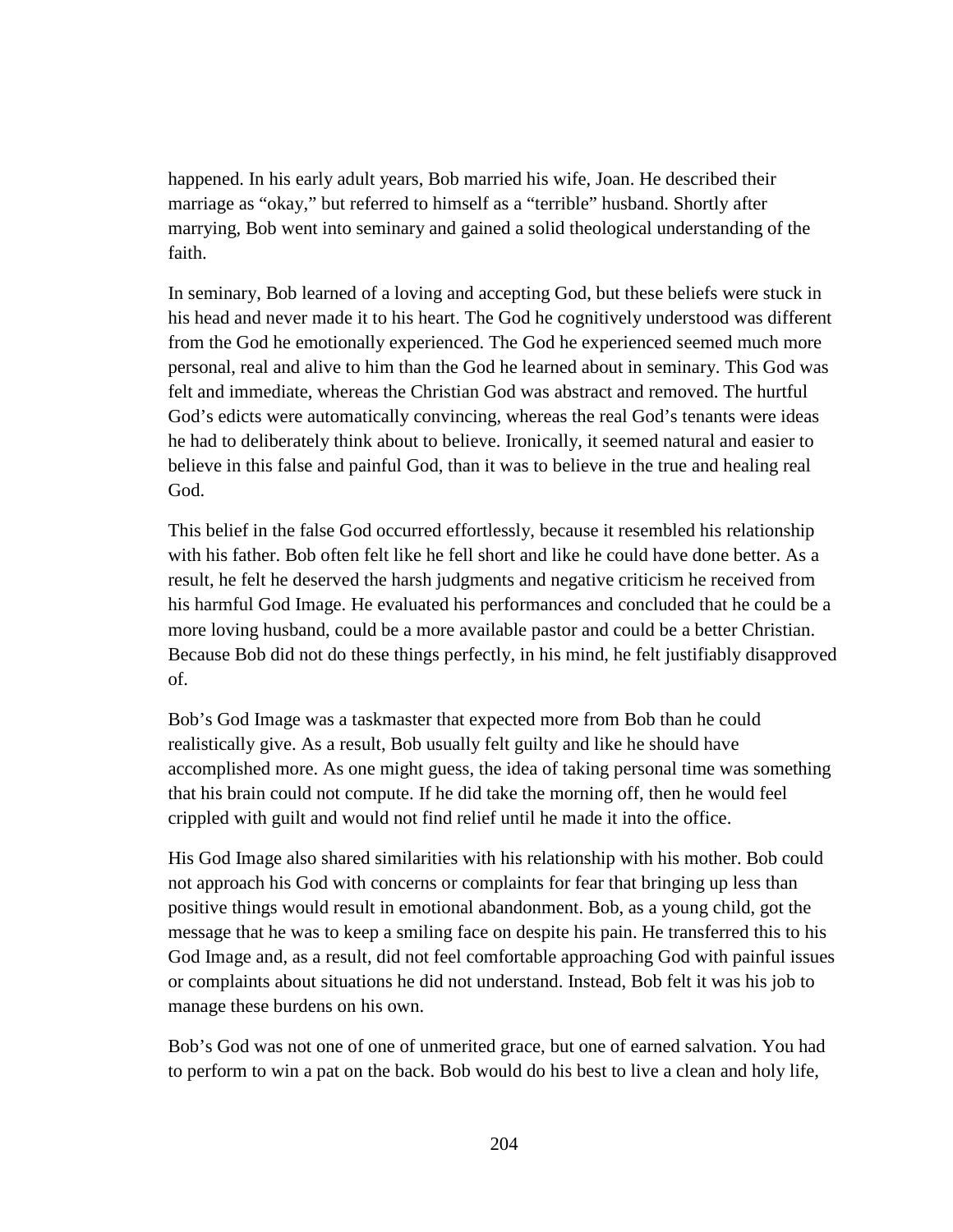happened. In his early adult years, Bob married his wife, Joan. He described their marriage as "okay," but referred to himself as a "terrible" husband. Shortly after marrying, Bob went into seminary and gained a solid theological understanding of the faith.

In seminary, Bob learned of a loving and accepting God, but these beliefs were stuck in his head and never made it to his heart. The God he cognitively understood was different from the God he emotionally experienced. The God he experienced seemed much more personal, real and alive to him than the God he learned about in seminary. This God was felt and immediate, whereas the Christian God was abstract and removed. The hurtful God's edicts were automatically convincing, whereas the real God's tenants were ideas he had to deliberately think about to believe. Ironically, it seemed natural and easier to believe in this false and painful God, than it was to believe in the true and healing real God.

This belief in the false God occurred effortlessly, because it resembled his relationship with his father. Bob often felt like he fell short and like he could have done better. As a result, he felt he deserved the harsh judgments and negative criticism he received from his harmful God Image. He evaluated his performances and concluded that he could be a more loving husband, could be a more available pastor and could be a better Christian. Because Bob did not do these things perfectly, in his mind, he felt justifiably disapproved of.

Bob's God Image was a taskmaster that expected more from Bob than he could realistically give. As a result, Bob usually felt guilty and like he should have accomplished more. As one might guess, the idea of taking personal time was something that his brain could not compute. If he did take the morning off, then he would feel crippled with guilt and would not find relief until he made it into the office.

His God Image also shared similarities with his relationship with his mother. Bob could not approach his God with concerns or complaints for fear that bringing up less than positive things would result in emotional abandonment. Bob, as a young child, got the message that he was to keep a smiling face on despite his pain. He transferred this to his God Image and, as a result, did not feel comfortable approaching God with painful issues or complaints about situations he did not understand. Instead, Bob felt it was his job to manage these burdens on his own.

Bob's God was not one of one of unmerited grace, but one of earned salvation. You had to perform to win a pat on the back. Bob would do his best to live a clean and holy life,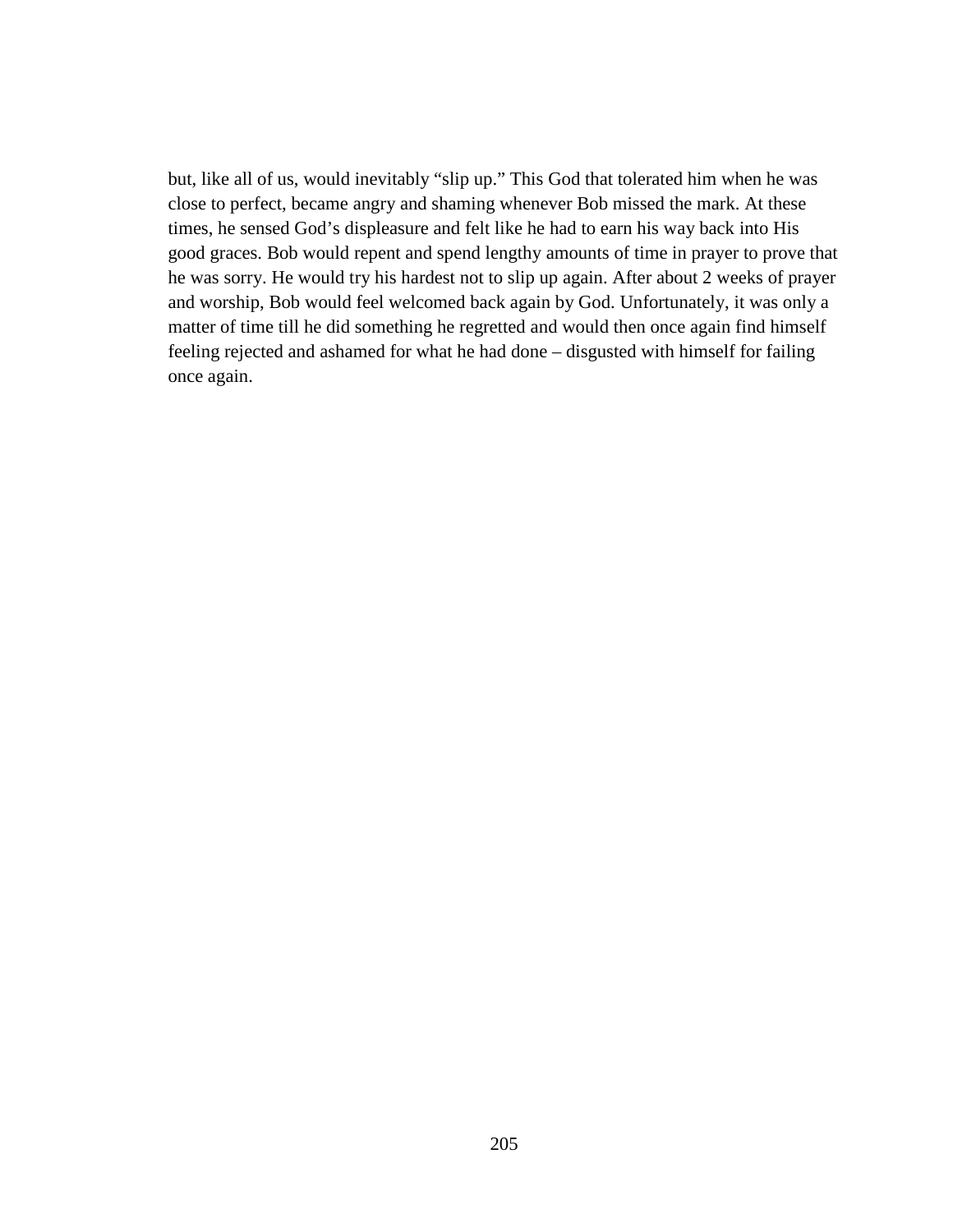but, like all of us, would inevitably "slip up." This God that tolerated him when he was close to perfect, became angry and shaming whenever Bob missed the mark. At these times, he sensed God's displeasure and felt like he had to earn his way back into His good graces. Bob would repent and spend lengthy amounts of time in prayer to prove that he was sorry. He would try his hardest not to slip up again. After about 2 weeks of prayer and worship, Bob would feel welcomed back again by God. Unfortunately, it was only a matter of time till he did something he regretted and would then once again find himself feeling rejected and ashamed for what he had done – disgusted with himself for failing once again.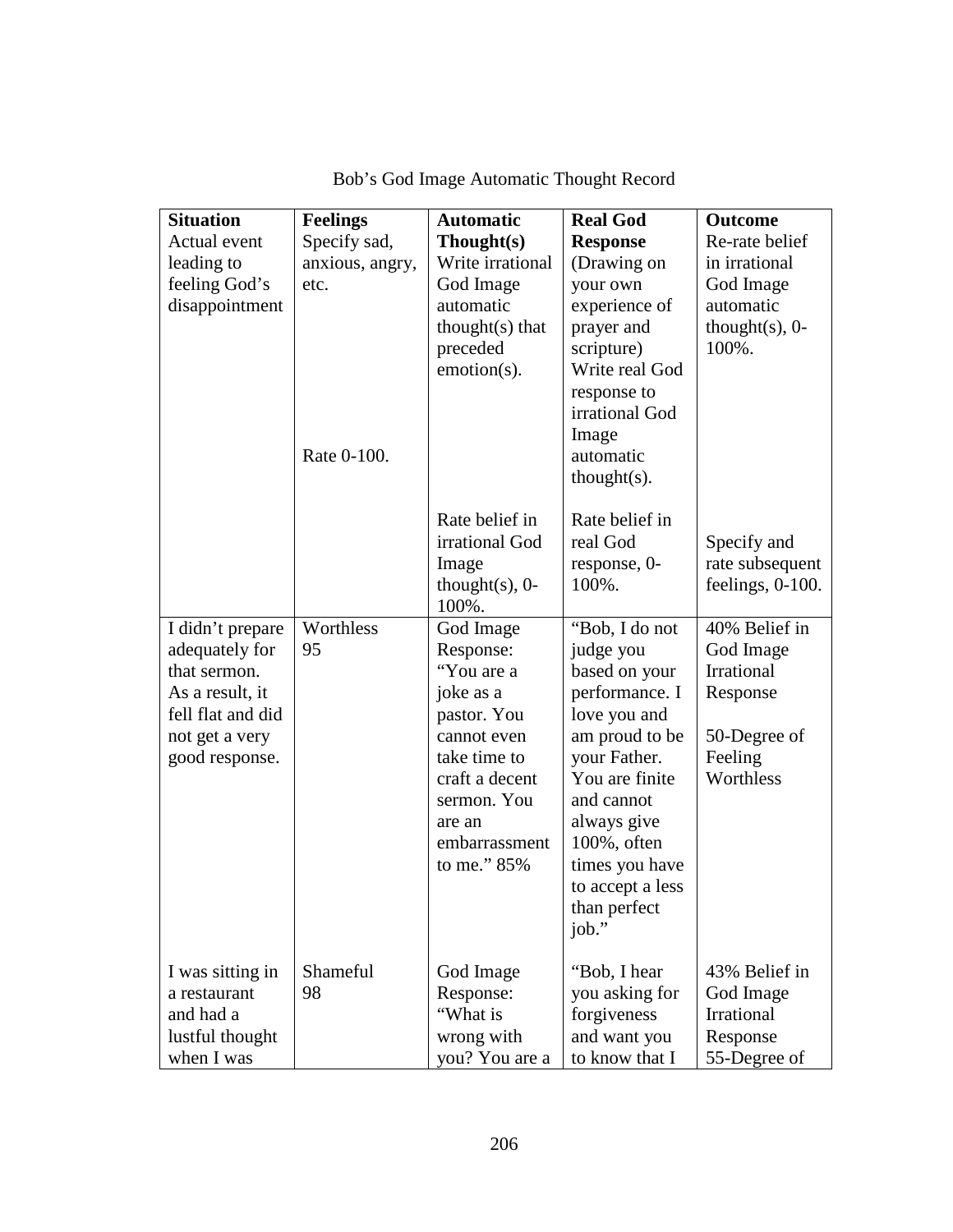| <b>Situation</b>  | <b>Feelings</b> | <b>Automatic</b>   | <b>Real God</b>       | <b>Outcome</b>      |
|-------------------|-----------------|--------------------|-----------------------|---------------------|
| Actual event      | Specify sad,    | Thought(s)         | <b>Response</b>       | Re-rate belief      |
| leading to        | anxious, angry, | Write irrational   | (Drawing on           | in irrational       |
| feeling God's     | etc.            | God Image          | your own              | God Image           |
| disappointment    |                 | automatic          | experience of         | automatic           |
|                   |                 | thought $(s)$ that | prayer and            | thought $(s)$ , 0-  |
|                   |                 | preceded           | scripture)            | 100%.               |
|                   |                 | emotion(s).        | Write real God        |                     |
|                   |                 |                    | response to           |                     |
|                   |                 |                    | irrational God        |                     |
|                   |                 |                    | Image                 |                     |
|                   | Rate 0-100.     |                    | automatic             |                     |
|                   |                 |                    | $thought(s)$ .        |                     |
|                   |                 | Rate belief in     | Rate belief in        |                     |
|                   |                 | irrational God     | real God              | Specify and         |
|                   |                 | Image              | response, 0-          | rate subsequent     |
|                   |                 | thought $(s)$ , 0- | 100%.                 | feelings, $0-100$ . |
|                   |                 | 100%.              |                       |                     |
| I didn't prepare  | Worthless       | God Image          | "Bob, I do not        | 40% Belief in       |
| adequately for    | 95              | Response:          | judge you             | God Image           |
| that sermon.      |                 | "You are a         | based on your         | Irrational          |
| As a result, it   |                 | joke as a          | performance. I        | Response            |
| fell flat and did |                 | pastor. You        | love you and          |                     |
| not get a very    |                 | cannot even        | am proud to be        | 50-Degree of        |
| good response.    |                 | take time to       | your Father.          | Feeling             |
|                   |                 | craft a decent     | You are finite        | Worthless           |
|                   |                 | sermon. You        | and cannot            |                     |
|                   |                 | are an             | always give           |                     |
|                   |                 | embarrassment      | 100%, often           |                     |
|                   |                 | to me." 85%        | times you have        |                     |
|                   |                 |                    | to accept a less      |                     |
|                   |                 |                    | than perfect<br>job." |                     |
|                   |                 |                    |                       |                     |
| I was sitting in  | Shameful        | God Image          | "Bob, I hear          | 43% Belief in       |
| a restaurant      | 98              | Response:          | you asking for        | God Image           |
| and had a         |                 | "What is           | forgiveness           | Irrational          |
| lustful thought   |                 | wrong with         | and want you          | Response            |
| when I was        |                 | you? You are a     | to know that I        | 55-Degree of        |

Bob's God Image Automatic Thought Record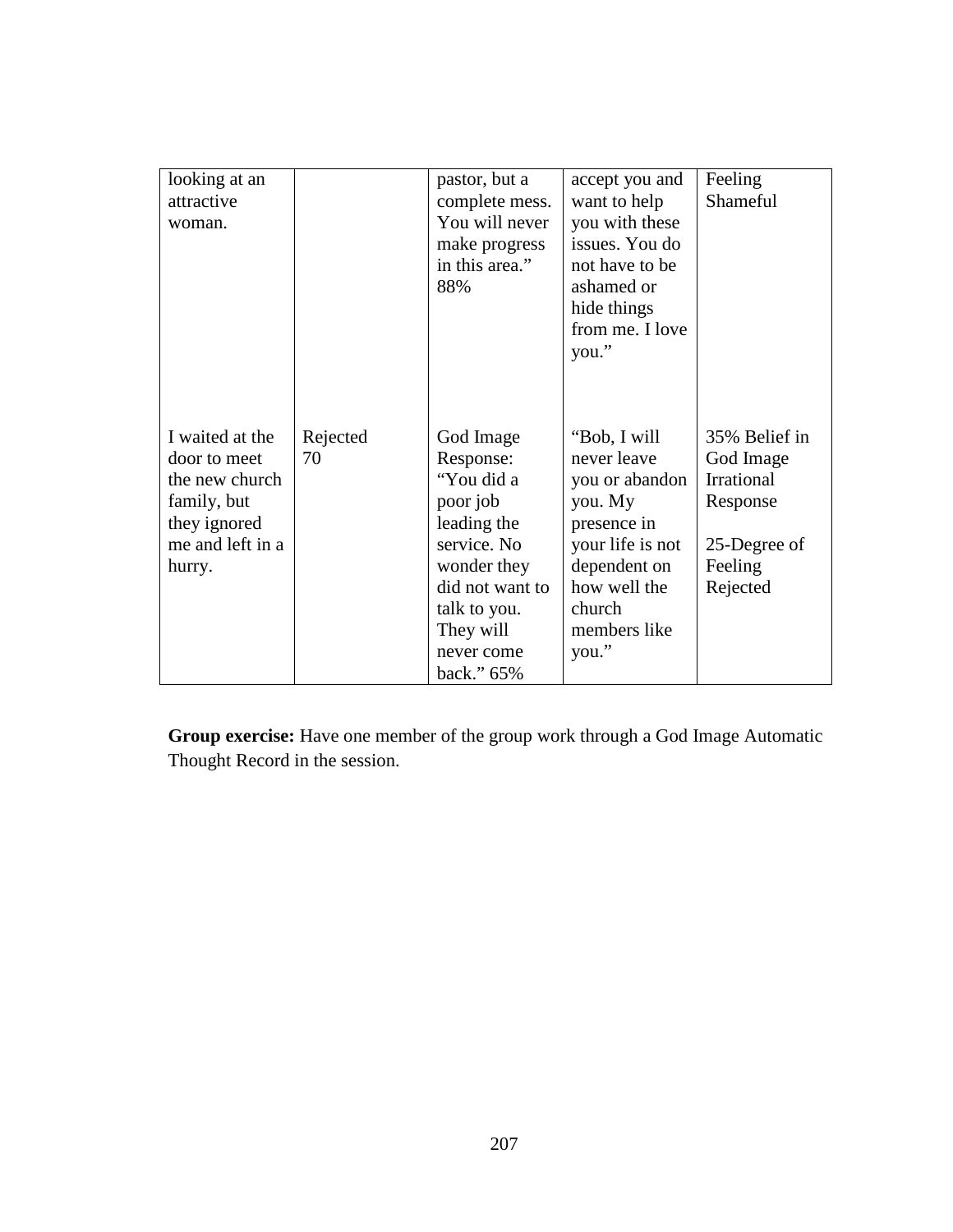| looking at an<br>attractive<br>woman.                                                                          |                | pastor, but a<br>complete mess.<br>You will never<br>make progress<br>in this area."<br>88%                                                                               | accept you and<br>want to help<br>you with these<br>issues. You do<br>not have to be<br>ashamed or<br>hide things<br>from me. I love<br>you."                  | Feeling<br>Shameful                                                                         |
|----------------------------------------------------------------------------------------------------------------|----------------|---------------------------------------------------------------------------------------------------------------------------------------------------------------------------|----------------------------------------------------------------------------------------------------------------------------------------------------------------|---------------------------------------------------------------------------------------------|
| I waited at the<br>door to meet<br>the new church<br>family, but<br>they ignored<br>me and left in a<br>hurry. | Rejected<br>70 | God Image<br>Response:<br>"You did a<br>poor job<br>leading the<br>service. No<br>wonder they<br>did not want to<br>talk to you.<br>They will<br>never come<br>back." 65% | "Bob, I will<br>never leave<br>you or abandon<br>you. My<br>presence in<br>your life is not<br>dependent on<br>how well the<br>church<br>members like<br>you." | 35% Belief in<br>God Image<br>Irrational<br>Response<br>25-Degree of<br>Feeling<br>Rejected |

**Group exercise:** Have one member of the group work through a God Image Automatic Thought Record in the session.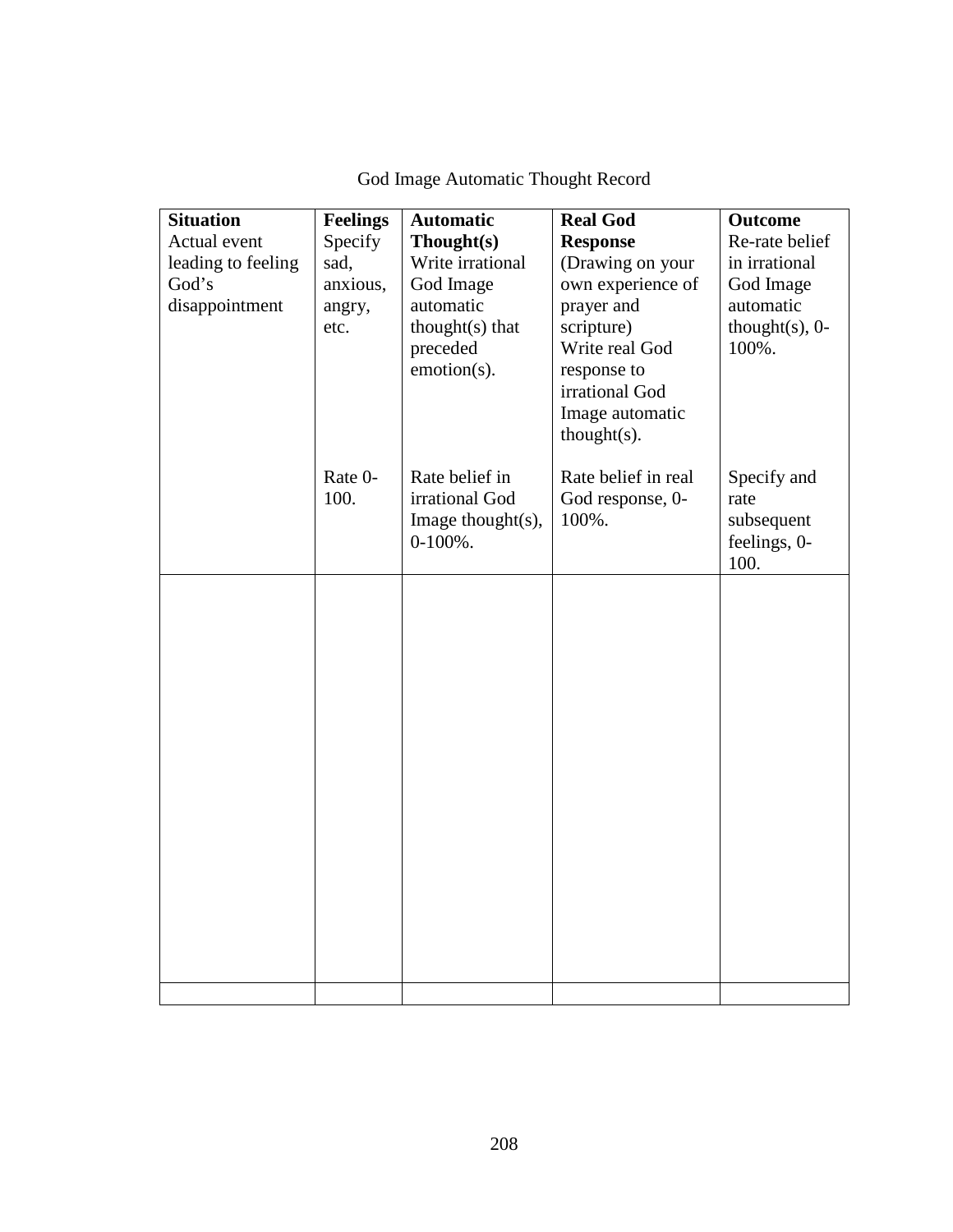| <b>Situation</b>   | <b>Feelings</b> | <b>Automatic</b>  | <b>Real God</b>     | <b>Outcome</b>     |
|--------------------|-----------------|-------------------|---------------------|--------------------|
| Actual event       | Specify         | Thought(s)        | <b>Response</b>     | Re-rate belief     |
| leading to feeling | sad,            | Write irrational  | (Drawing on your    | in irrational      |
| God's              | anxious,        | God Image         | own experience of   | God Image          |
| disappointment     | angry,          | automatic         | prayer and          | automatic          |
|                    | etc.            | thought(s) that   | scripture)          | thought $(s)$ , 0- |
|                    |                 | preceded          | Write real God      | 100%.              |
|                    |                 | emotion(s).       | response to         |                    |
|                    |                 |                   | irrational God      |                    |
|                    |                 |                   | Image automatic     |                    |
|                    |                 |                   | $thought(s)$ .      |                    |
|                    | Rate 0-         | Rate belief in    | Rate belief in real | Specify and        |
|                    | 100.            | irrational God    | God response, 0-    | rate               |
|                    |                 | Image thought(s), | 100%.               | subsequent         |
|                    |                 | $0-100\%$ .       |                     | feelings, 0-       |
|                    |                 |                   |                     | 100.               |
|                    |                 |                   |                     |                    |
|                    |                 |                   |                     |                    |
|                    |                 |                   |                     |                    |
|                    |                 |                   |                     |                    |
|                    |                 |                   |                     |                    |
|                    |                 |                   |                     |                    |
|                    |                 |                   |                     |                    |
|                    |                 |                   |                     |                    |
|                    |                 |                   |                     |                    |
|                    |                 |                   |                     |                    |
|                    |                 |                   |                     |                    |
|                    |                 |                   |                     |                    |
|                    |                 |                   |                     |                    |
|                    |                 |                   |                     |                    |
|                    |                 |                   |                     |                    |
|                    |                 |                   |                     |                    |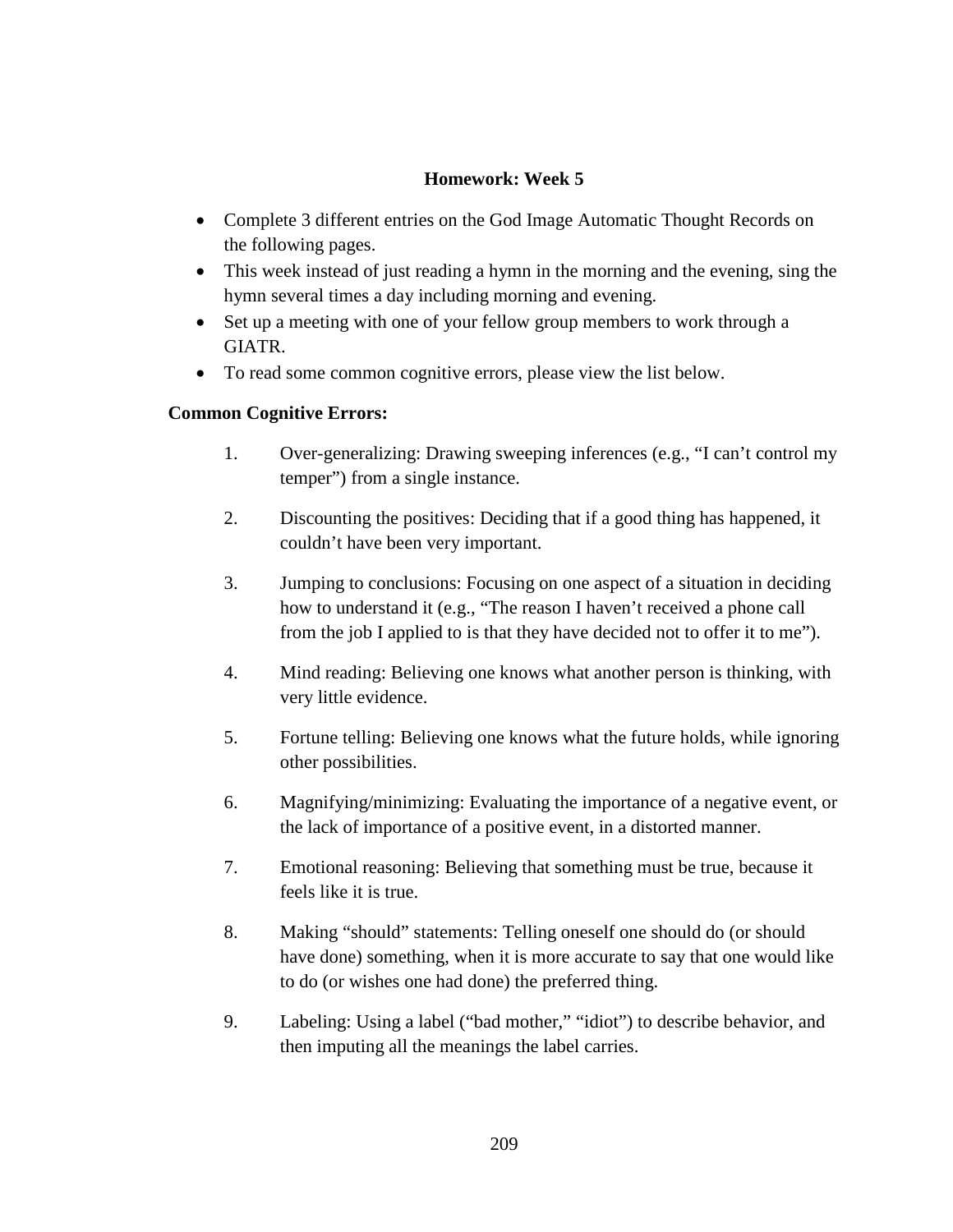# **Homework: Week 5**

- Complete 3 different entries on the God Image Automatic Thought Records on the following pages.
- This week instead of just reading a hymn in the morning and the evening, sing the hymn several times a day including morning and evening.
- Set up a meeting with one of your fellow group members to work through a GIATR.
- To read some common cognitive errors, please view the list below.

# **Common Cognitive Errors:**

- 1. Over-generalizing: Drawing sweeping inferences (e.g., "I can't control my temper") from a single instance.
- 2. Discounting the positives: Deciding that if a good thing has happened, it couldn't have been very important.
- 3. Jumping to conclusions: Focusing on one aspect of a situation in deciding how to understand it (e.g., "The reason I haven't received a phone call from the job I applied to is that they have decided not to offer it to me").
- 4. Mind reading: Believing one knows what another person is thinking, with very little evidence.
- 5. Fortune telling: Believing one knows what the future holds, while ignoring other possibilities.
- 6. Magnifying/minimizing: Evaluating the importance of a negative event, or the lack of importance of a positive event, in a distorted manner.
- 7. Emotional reasoning: Believing that something must be true, because it feels like it is true.
- 8. Making "should" statements: Telling oneself one should do (or should have done) something, when it is more accurate to say that one would like to do (or wishes one had done) the preferred thing.
- 9. Labeling: Using a label ("bad mother," "idiot") to describe behavior, and then imputing all the meanings the label carries.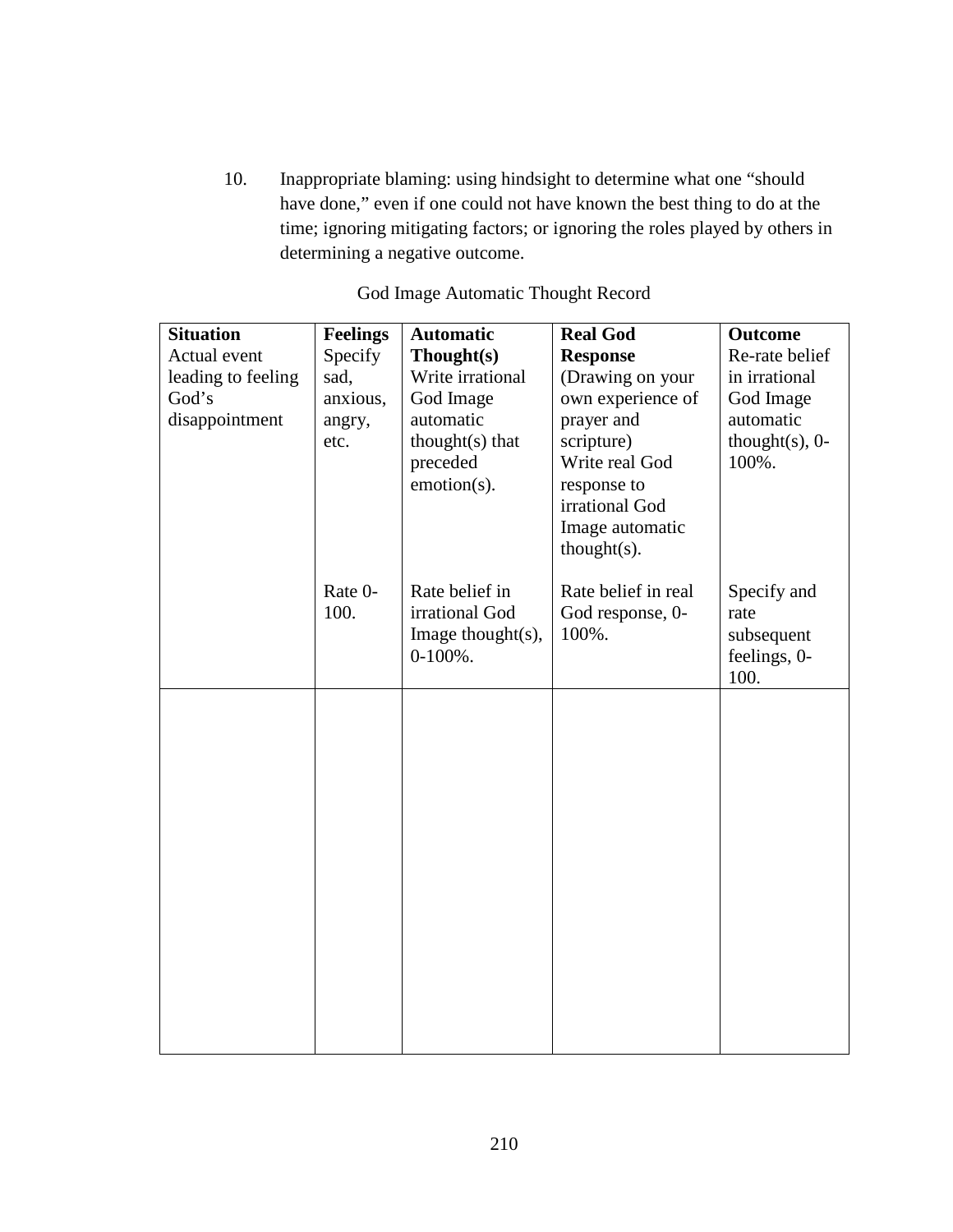10. Inappropriate blaming: using hindsight to determine what one "should have done," even if one could not have known the best thing to do at the time; ignoring mitigating factors; or ignoring the roles played by others in determining a negative outcome.

| <b>Situation</b>   | <b>Feelings</b> | <b>Automatic</b>      | <b>Real God</b>     | <b>Outcome</b>     |
|--------------------|-----------------|-----------------------|---------------------|--------------------|
| Actual event       | Specify         | Thought(s)            | <b>Response</b>     | Re-rate belief     |
| leading to feeling | sad,            | Write irrational      | (Drawing on your    | in irrational      |
| God's              | anxious,        | God Image             | own experience of   | God Image          |
| disappointment     | angry,          | automatic             | prayer and          | automatic          |
|                    | etc.            | thought(s) that       | scripture)          | thought $(s)$ , 0- |
|                    |                 | preceded              | Write real God      | 100%.              |
|                    |                 | emotion(s).           | response to         |                    |
|                    |                 |                       | irrational God      |                    |
|                    |                 |                       | Image automatic     |                    |
|                    |                 |                       | $thought(s)$ .      |                    |
|                    | Rate 0-         | Rate belief in        | Rate belief in real | Specify and        |
|                    | 100.            | irrational God        | God response, 0-    | rate               |
|                    |                 | Image thought $(s)$ , | 100%.               | subsequent         |
|                    |                 | $0-100\%$ .           |                     | feelings, 0-       |
|                    |                 |                       |                     | 100.               |
|                    |                 |                       |                     |                    |
|                    |                 |                       |                     |                    |
|                    |                 |                       |                     |                    |
|                    |                 |                       |                     |                    |
|                    |                 |                       |                     |                    |
|                    |                 |                       |                     |                    |
|                    |                 |                       |                     |                    |
|                    |                 |                       |                     |                    |
|                    |                 |                       |                     |                    |
|                    |                 |                       |                     |                    |
|                    |                 |                       |                     |                    |
|                    |                 |                       |                     |                    |
|                    |                 |                       |                     |                    |
|                    |                 |                       |                     |                    |
|                    |                 |                       |                     |                    |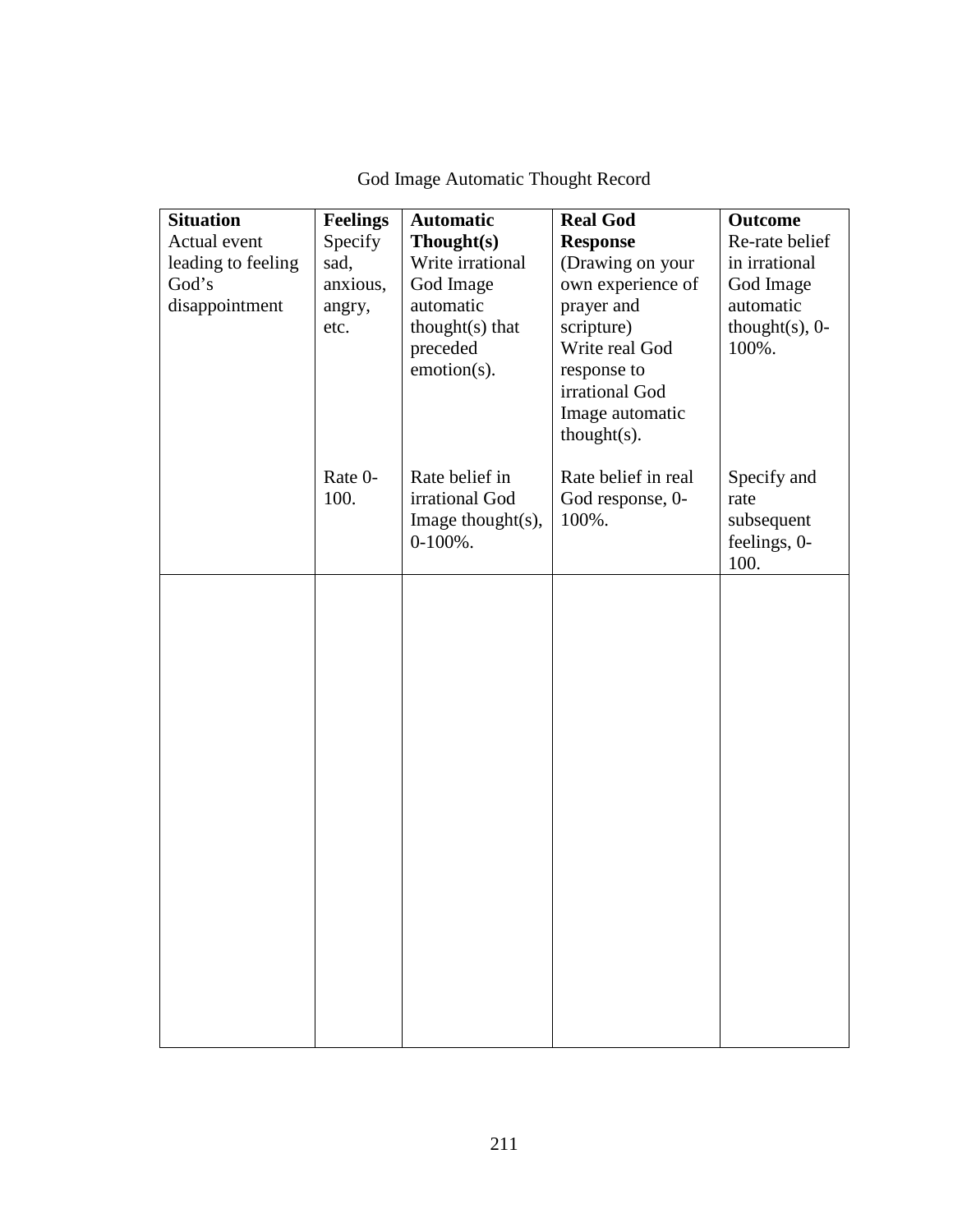| <b>Situation</b><br>Actual event<br>leading to feeling<br>God's<br>disappointment | <b>Feelings</b><br>Specify<br>sad,<br>anxious,<br>angry,<br>etc. | <b>Automatic</b><br>Thought(s)<br>Write irrational<br>God Image<br>automatic<br>thought $(s)$ that<br>preceded<br>emotion(s). | <b>Real God</b><br><b>Response</b><br>(Drawing on your<br>own experience of<br>prayer and<br>scripture)<br>Write real God<br>response to<br>irrational God<br>Image automatic<br>$thought(s)$ . | <b>Outcome</b><br>Re-rate belief<br>in irrational<br>God Image<br>automatic<br>thought $(s)$ , 0-<br>100%. |
|-----------------------------------------------------------------------------------|------------------------------------------------------------------|-------------------------------------------------------------------------------------------------------------------------------|-------------------------------------------------------------------------------------------------------------------------------------------------------------------------------------------------|------------------------------------------------------------------------------------------------------------|
|                                                                                   | Rate 0-<br>100.                                                  | Rate belief in<br>irrational God<br>Image thought $(s)$ ,<br>$0-100%$ .                                                       | Rate belief in real<br>God response, 0-<br>100%.                                                                                                                                                | Specify and<br>rate<br>subsequent<br>feelings, 0-<br>100.                                                  |
|                                                                                   |                                                                  |                                                                                                                               |                                                                                                                                                                                                 |                                                                                                            |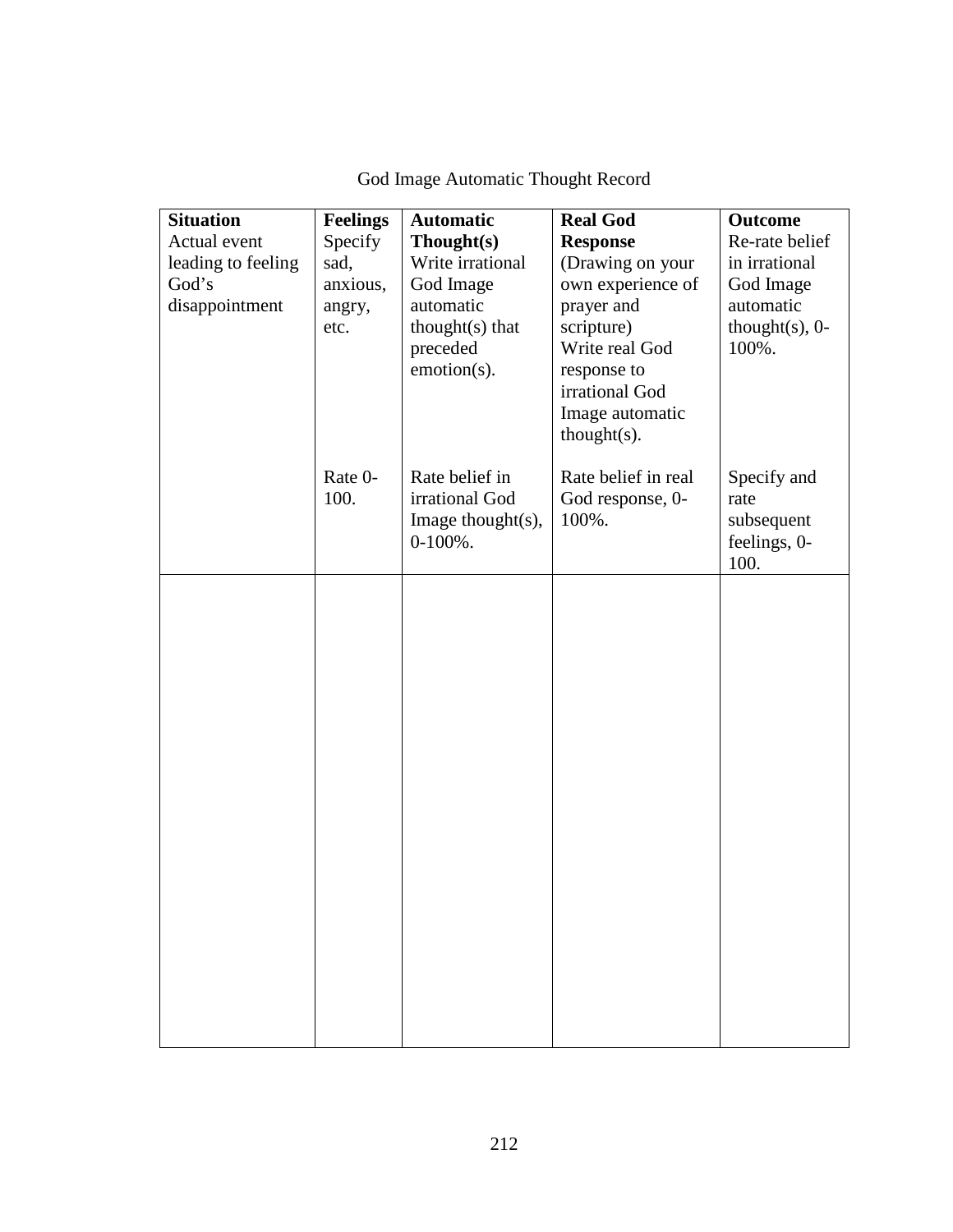| <b>Situation</b><br>Actual event<br>leading to feeling<br>God's<br>disappointment | <b>Feelings</b><br>Specify<br>sad,<br>anxious,<br>angry,<br>etc. | <b>Automatic</b><br>Thought(s)<br>Write irrational<br>God Image<br>automatic<br>thought $(s)$ that<br>preceded<br>emotion(s). | <b>Real God</b><br><b>Response</b><br>(Drawing on your<br>own experience of<br>prayer and<br>scripture)<br>Write real God<br>response to<br>irrational God<br>Image automatic<br>$thought(s)$ . | <b>Outcome</b><br>Re-rate belief<br>in irrational<br>God Image<br>automatic<br>thought $(s)$ , 0-<br>100%. |
|-----------------------------------------------------------------------------------|------------------------------------------------------------------|-------------------------------------------------------------------------------------------------------------------------------|-------------------------------------------------------------------------------------------------------------------------------------------------------------------------------------------------|------------------------------------------------------------------------------------------------------------|
|                                                                                   | Rate 0-<br>100.                                                  | Rate belief in<br>irrational God<br>Image thought $(s)$ ,<br>$0-100%$ .                                                       | Rate belief in real<br>God response, 0-<br>100%.                                                                                                                                                | Specify and<br>rate<br>subsequent<br>feelings, 0-<br>100.                                                  |
|                                                                                   |                                                                  |                                                                                                                               |                                                                                                                                                                                                 |                                                                                                            |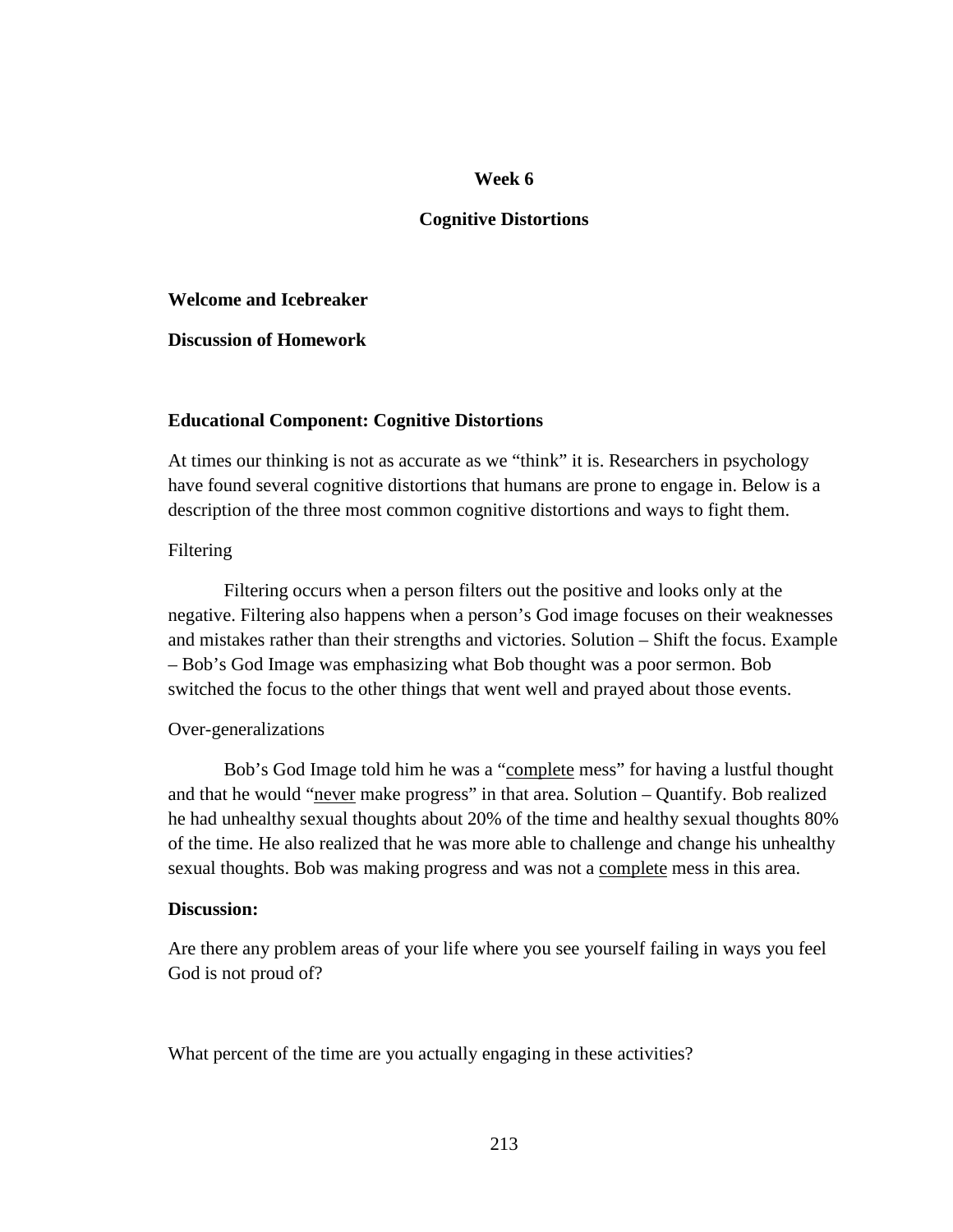### **Cognitive Distortions**

#### **Welcome and Icebreaker**

**Discussion of Homework** 

### **Educational Component: Cognitive Distortions**

At times our thinking is not as accurate as we "think" it is. Researchers in psychology have found several cognitive distortions that humans are prone to engage in. Below is a description of the three most common cognitive distortions and ways to fight them.

### Filtering

 Filtering occurs when a person filters out the positive and looks only at the negative. Filtering also happens when a person's God image focuses on their weaknesses and mistakes rather than their strengths and victories. Solution – Shift the focus. Example – Bob's God Image was emphasizing what Bob thought was a poor sermon. Bob switched the focus to the other things that went well and prayed about those events.

### Over-generalizations

 Bob's God Image told him he was a "complete mess" for having a lustful thought and that he would "never make progress" in that area. Solution – Quantify. Bob realized he had unhealthy sexual thoughts about 20% of the time and healthy sexual thoughts 80% of the time. He also realized that he was more able to challenge and change his unhealthy sexual thoughts. Bob was making progress and was not a complete mess in this area.

### **Discussion:**

Are there any problem areas of your life where you see yourself failing in ways you feel God is not proud of?

What percent of the time are you actually engaging in these activities?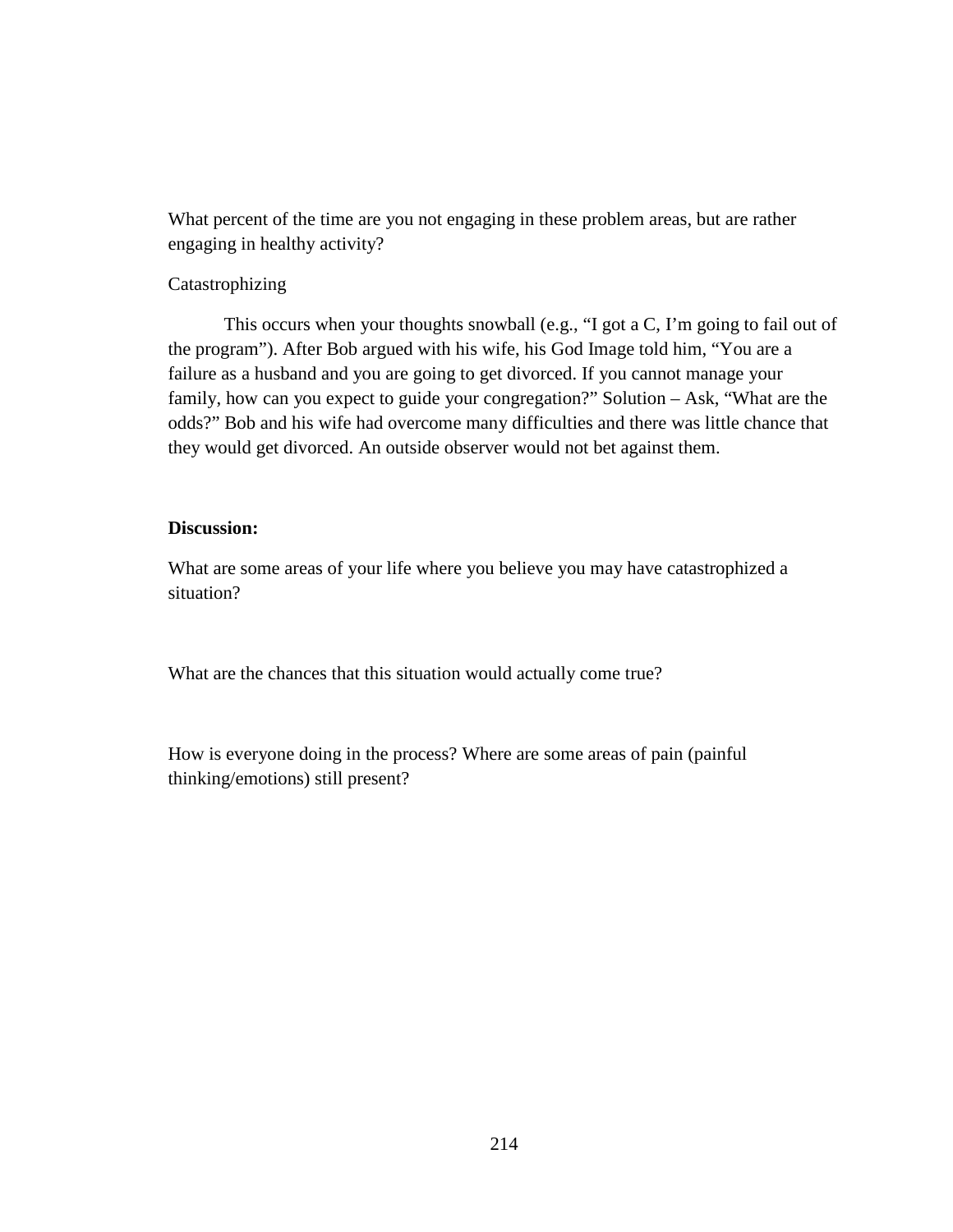What percent of the time are you not engaging in these problem areas, but are rather engaging in healthy activity?

## Catastrophizing

 This occurs when your thoughts snowball (e.g., "I got a C, I'm going to fail out of the program"). After Bob argued with his wife, his God Image told him, "You are a failure as a husband and you are going to get divorced. If you cannot manage your family, how can you expect to guide your congregation?" Solution – Ask, "What are the odds?" Bob and his wife had overcome many difficulties and there was little chance that they would get divorced. An outside observer would not bet against them.

## **Discussion:**

What are some areas of your life where you believe you may have catastrophized a situation?

What are the chances that this situation would actually come true?

How is everyone doing in the process? Where are some areas of pain (painful thinking/emotions) still present?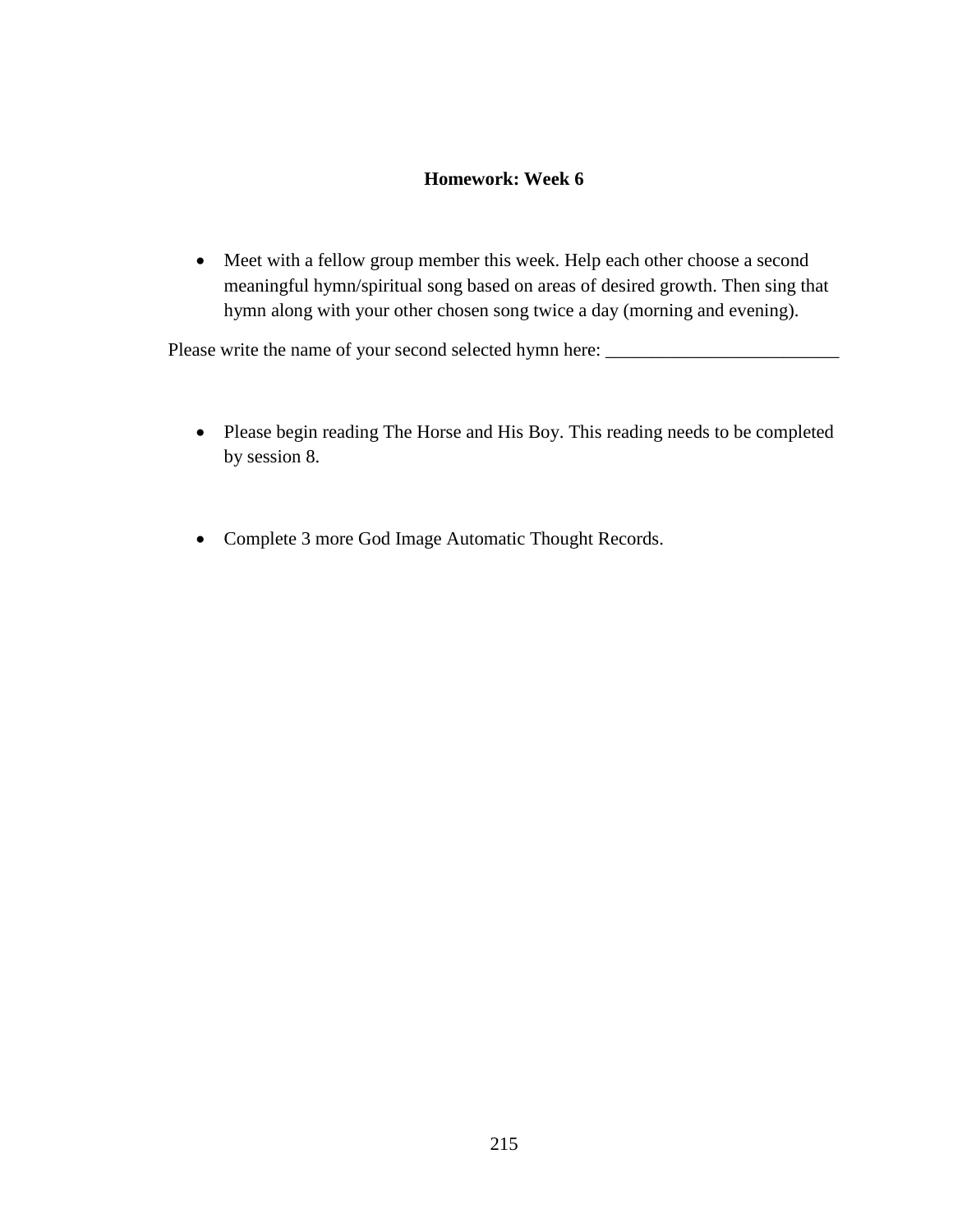## **Homework: Week 6**

• Meet with a fellow group member this week. Help each other choose a second meaningful hymn/spiritual song based on areas of desired growth. Then sing that hymn along with your other chosen song twice a day (morning and evening).

Please write the name of your second selected hymn here:

- Please begin reading The Horse and His Boy. This reading needs to be completed by session 8.
- Complete 3 more God Image Automatic Thought Records.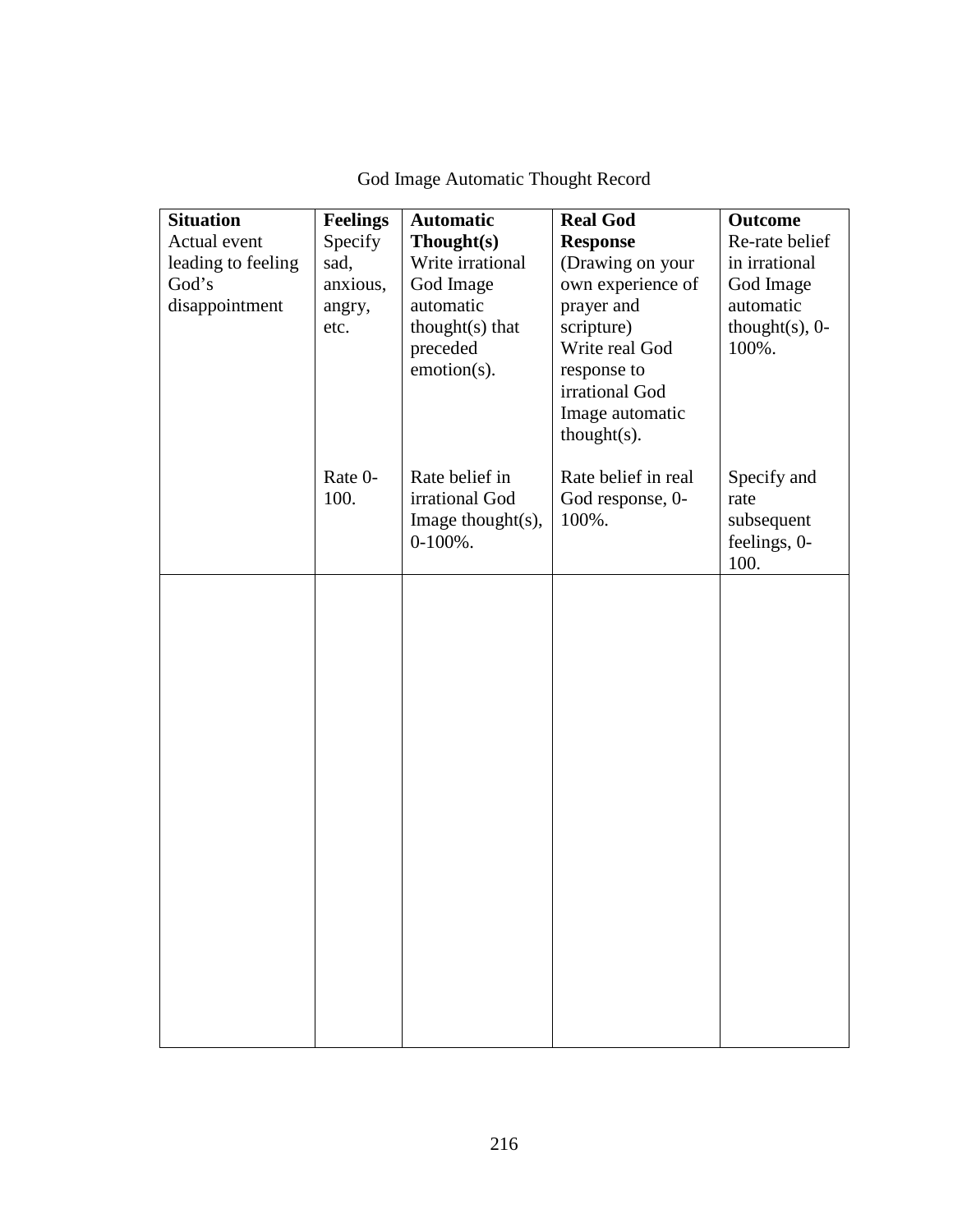| <b>Situation</b><br>Actual event<br>leading to feeling<br>God's<br>disappointment | <b>Feelings</b><br>Specify<br>sad,<br>anxious,<br>angry,<br>etc. | <b>Automatic</b><br>Thought(s)<br>Write irrational<br>God Image<br>automatic<br>thought $(s)$ that<br>preceded<br>emotion(s). | <b>Real God</b><br><b>Response</b><br>(Drawing on your<br>own experience of<br>prayer and<br>scripture)<br>Write real God<br>response to<br>irrational God<br>Image automatic<br>$thought(s)$ . | <b>Outcome</b><br>Re-rate belief<br>in irrational<br>God Image<br>automatic<br>thought $(s)$ , 0-<br>100%. |
|-----------------------------------------------------------------------------------|------------------------------------------------------------------|-------------------------------------------------------------------------------------------------------------------------------|-------------------------------------------------------------------------------------------------------------------------------------------------------------------------------------------------|------------------------------------------------------------------------------------------------------------|
|                                                                                   | Rate 0-<br>100.                                                  | Rate belief in<br>irrational God<br>Image thought $(s)$ ,<br>$0-100%$ .                                                       | Rate belief in real<br>God response, 0-<br>100%.                                                                                                                                                | Specify and<br>rate<br>subsequent<br>feelings, 0-<br>100.                                                  |
|                                                                                   |                                                                  |                                                                                                                               |                                                                                                                                                                                                 |                                                                                                            |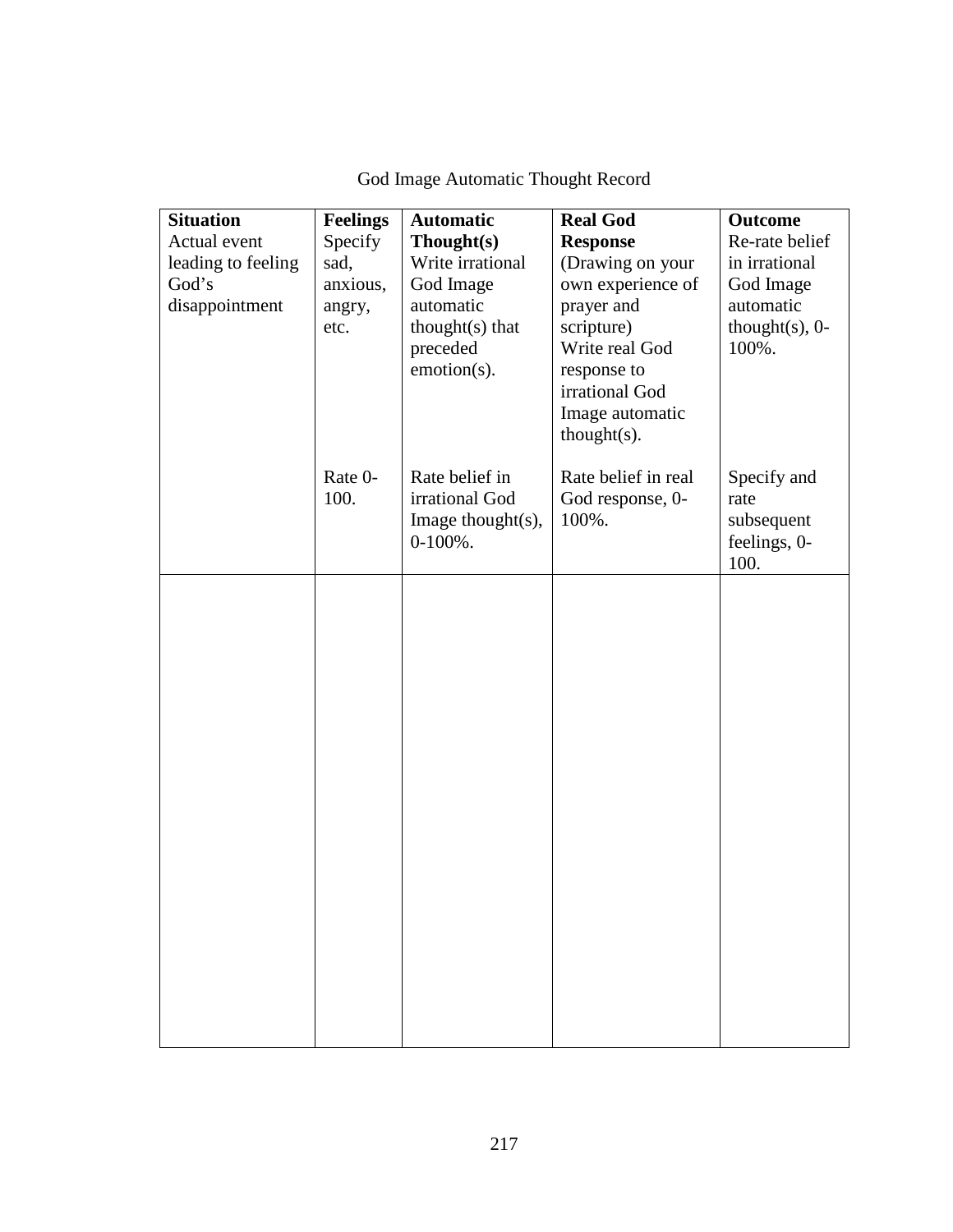| <b>Situation</b><br>Actual event<br>leading to feeling<br>God's<br>disappointment | <b>Feelings</b><br>Specify<br>sad,<br>anxious,<br>angry,<br>etc. | <b>Automatic</b><br>Thought(s)<br>Write irrational<br>God Image<br>automatic<br>thought $(s)$ that<br>preceded<br>emotion(s). | <b>Real God</b><br><b>Response</b><br>(Drawing on your<br>own experience of<br>prayer and<br>scripture)<br>Write real God<br>response to<br>irrational God<br>Image automatic<br>$thought(s)$ . | <b>Outcome</b><br>Re-rate belief<br>in irrational<br>God Image<br>automatic<br>thought $(s)$ , 0-<br>100%. |
|-----------------------------------------------------------------------------------|------------------------------------------------------------------|-------------------------------------------------------------------------------------------------------------------------------|-------------------------------------------------------------------------------------------------------------------------------------------------------------------------------------------------|------------------------------------------------------------------------------------------------------------|
|                                                                                   | Rate 0-<br>100.                                                  | Rate belief in<br>irrational God<br>Image thought $(s)$ ,<br>$0-100%$ .                                                       | Rate belief in real<br>God response, 0-<br>100%.                                                                                                                                                | Specify and<br>rate<br>subsequent<br>feelings, 0-<br>100.                                                  |
|                                                                                   |                                                                  |                                                                                                                               |                                                                                                                                                                                                 |                                                                                                            |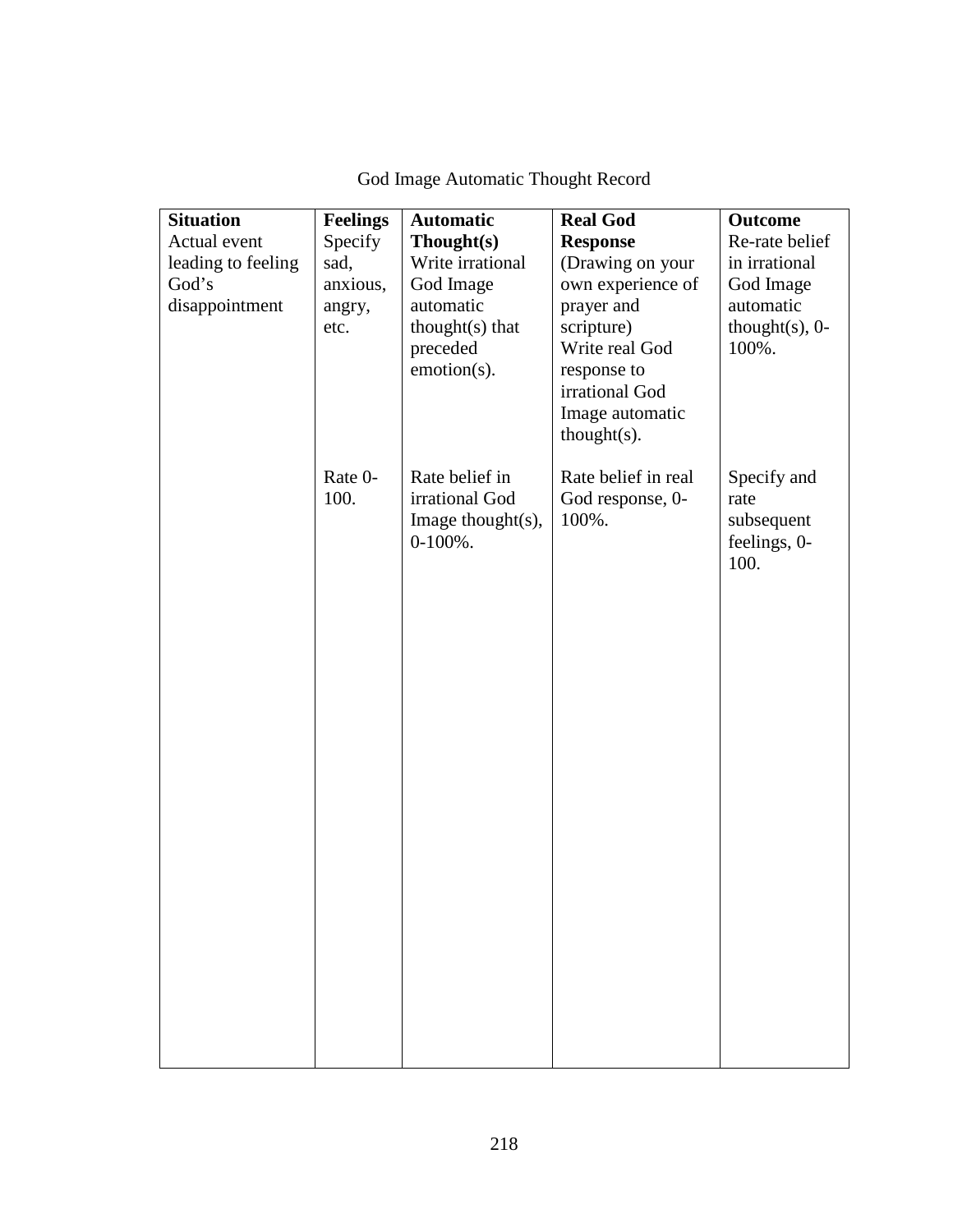| <b>Situation</b>   | <b>Feelings</b> | <b>Automatic</b>      | <b>Real God</b>               | <b>Outcome</b>     |
|--------------------|-----------------|-----------------------|-------------------------------|--------------------|
| Actual event       | Specify         | Though(s)             | <b>Response</b>               | Re-rate belief     |
| leading to feeling | sad,            | Write irrational      | (Drawing on your              | in irrational      |
| God's              | anxious,        | God Image             | own experience of             | God Image          |
| disappointment     | angry,          | automatic             | prayer and                    | automatic          |
|                    | etc.            | $thought(s)$ that     | scripture)                    | thought $(s)$ , 0- |
|                    |                 | preceded              | Write real God                | 100%.              |
|                    |                 | emotion(s).           | response to<br>irrational God |                    |
|                    |                 |                       | Image automatic               |                    |
|                    |                 |                       | $thought(s)$ .                |                    |
|                    |                 |                       |                               |                    |
|                    | Rate 0-         | Rate belief in        | Rate belief in real           | Specify and        |
|                    | 100.            | irrational God        | God response, 0-              | rate               |
|                    |                 | Image thought $(s)$ , | 100%.                         | subsequent         |
|                    |                 | $0-100\%$ .           |                               | feelings, 0-       |
|                    |                 |                       |                               | 100.               |
|                    |                 |                       |                               |                    |
|                    |                 |                       |                               |                    |
|                    |                 |                       |                               |                    |
|                    |                 |                       |                               |                    |
|                    |                 |                       |                               |                    |
|                    |                 |                       |                               |                    |
|                    |                 |                       |                               |                    |
|                    |                 |                       |                               |                    |
|                    |                 |                       |                               |                    |
|                    |                 |                       |                               |                    |
|                    |                 |                       |                               |                    |
|                    |                 |                       |                               |                    |
|                    |                 |                       |                               |                    |
|                    |                 |                       |                               |                    |
|                    |                 |                       |                               |                    |
|                    |                 |                       |                               |                    |
|                    |                 |                       |                               |                    |
|                    |                 |                       |                               |                    |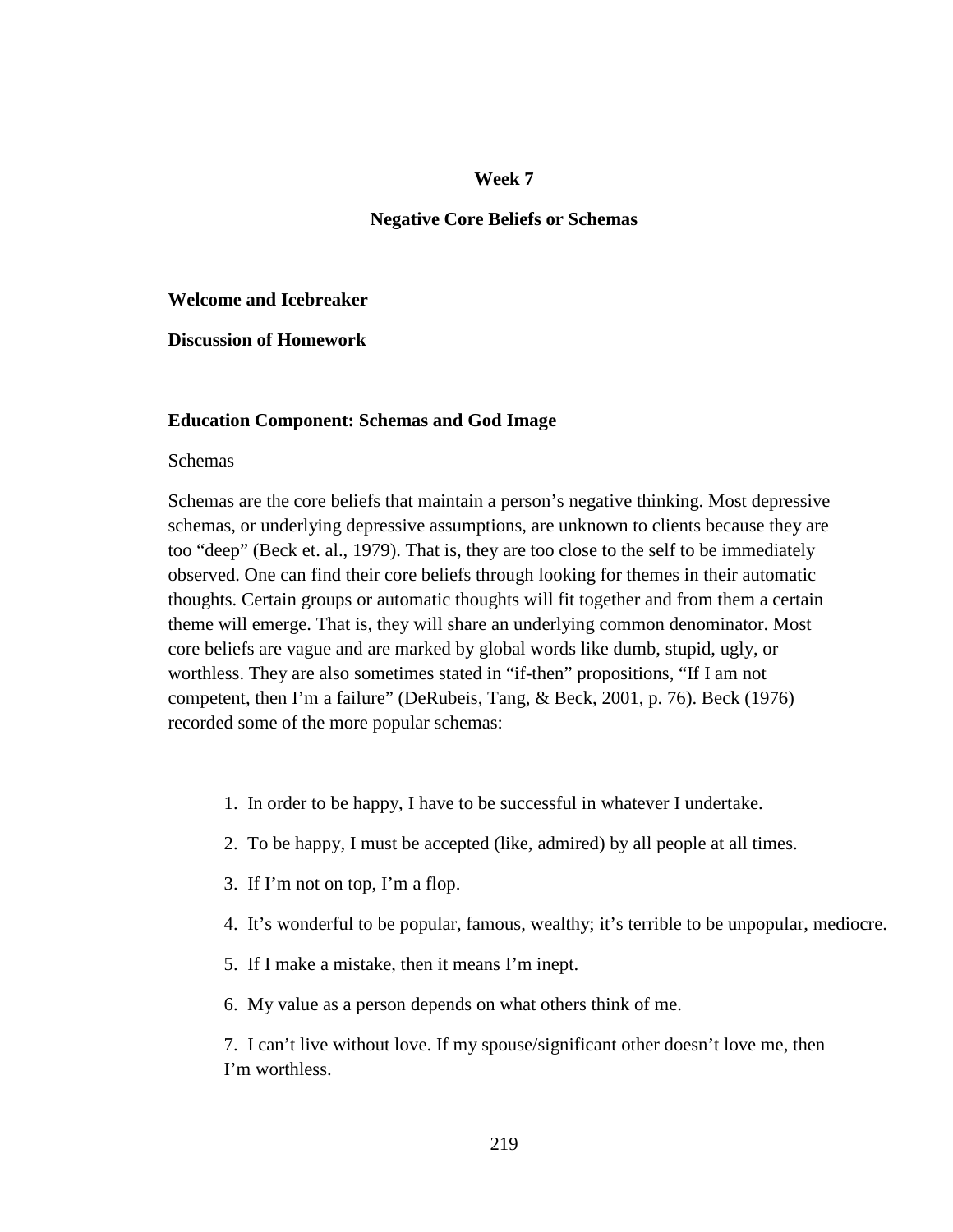### **Negative Core Beliefs or Schemas**

### **Welcome and Icebreaker**

**Discussion of Homework** 

#### **Education Component: Schemas and God Image**

### Schemas

Schemas are the core beliefs that maintain a person's negative thinking. Most depressive schemas, or underlying depressive assumptions, are unknown to clients because they are too "deep" (Beck et. al., 1979). That is, they are too close to the self to be immediately observed. One can find their core beliefs through looking for themes in their automatic thoughts. Certain groups or automatic thoughts will fit together and from them a certain theme will emerge. That is, they will share an underlying common denominator. Most core beliefs are vague and are marked by global words like dumb, stupid, ugly, or worthless. They are also sometimes stated in "if-then" propositions, "If I am not competent, then I'm a failure" (DeRubeis, Tang, & Beck, 2001, p. 76). Beck (1976) recorded some of the more popular schemas:

- 1. In order to be happy, I have to be successful in whatever I undertake.
- 2. To be happy, I must be accepted (like, admired) by all people at all times.
- 3. If I'm not on top, I'm a flop.
- 4. It's wonderful to be popular, famous, wealthy; it's terrible to be unpopular, mediocre.
- 5. If I make a mistake, then it means I'm inept.
- 6. My value as a person depends on what others think of me.

7. I can't live without love. If my spouse/significant other doesn't love me, then I'm worthless.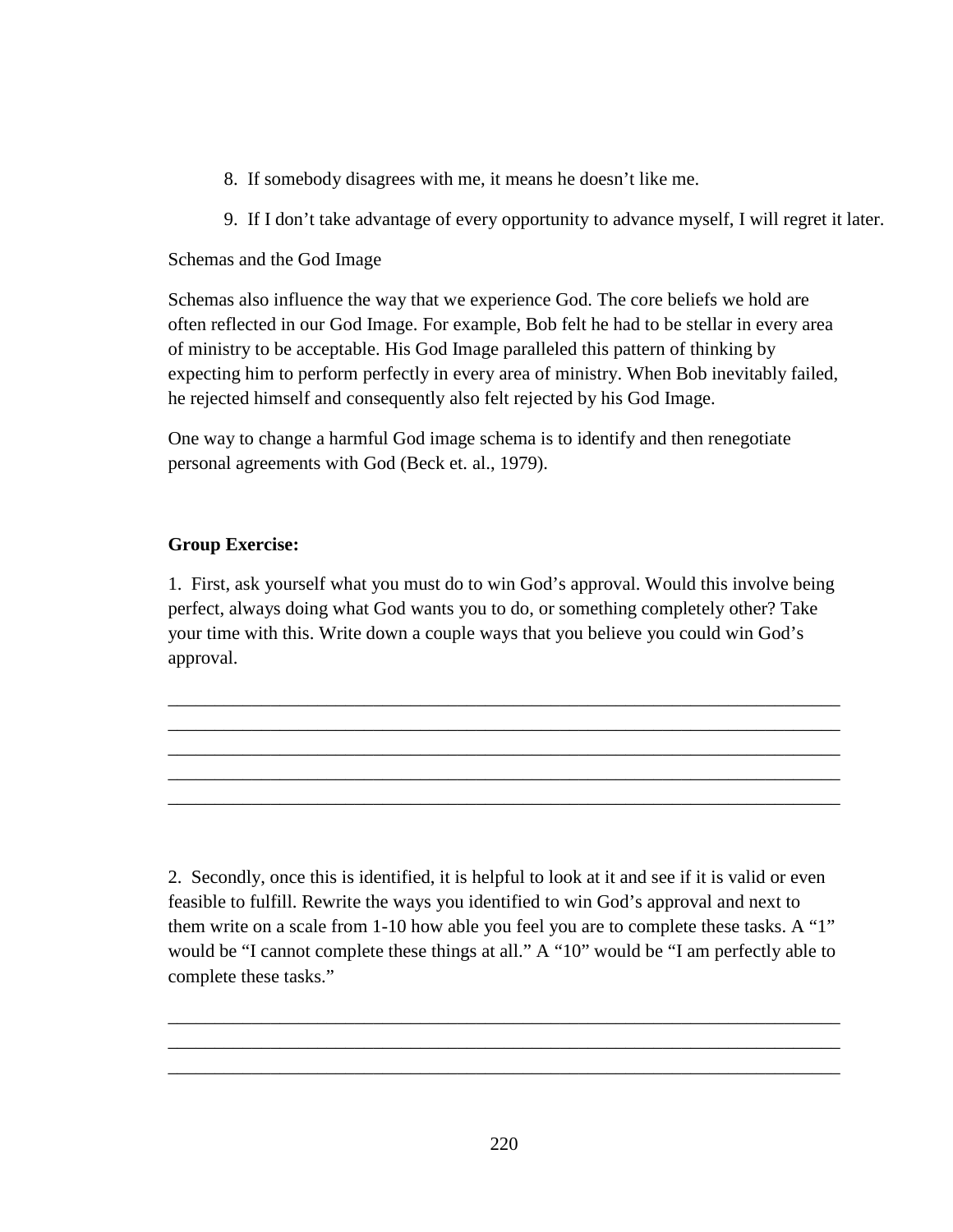- 8. If somebody disagrees with me, it means he doesn't like me.
- 9. If I don't take advantage of every opportunity to advance myself, I will regret it later.

# Schemas and the God Image

Schemas also influence the way that we experience God. The core beliefs we hold are often reflected in our God Image. For example, Bob felt he had to be stellar in every area of ministry to be acceptable. His God Image paralleled this pattern of thinking by expecting him to perform perfectly in every area of ministry. When Bob inevitably failed, he rejected himself and consequently also felt rejected by his God Image.

One way to change a harmful God image schema is to identify and then renegotiate personal agreements with God (Beck et. al., 1979).

# **Group Exercise:**

1. First, ask yourself what you must do to win God's approval. Would this involve being perfect, always doing what God wants you to do, or something completely other? Take your time with this. Write down a couple ways that you believe you could win God's approval.

\_\_\_\_\_\_\_\_\_\_\_\_\_\_\_\_\_\_\_\_\_\_\_\_\_\_\_\_\_\_\_\_\_\_\_\_\_\_\_\_\_\_\_\_\_\_\_\_\_\_\_\_\_\_\_\_\_\_\_\_\_\_\_\_\_\_\_\_\_\_\_\_ \_\_\_\_\_\_\_\_\_\_\_\_\_\_\_\_\_\_\_\_\_\_\_\_\_\_\_\_\_\_\_\_\_\_\_\_\_\_\_\_\_\_\_\_\_\_\_\_\_\_\_\_\_\_\_\_\_\_\_\_\_\_\_\_\_\_\_\_\_\_\_\_ \_\_\_\_\_\_\_\_\_\_\_\_\_\_\_\_\_\_\_\_\_\_\_\_\_\_\_\_\_\_\_\_\_\_\_\_\_\_\_\_\_\_\_\_\_\_\_\_\_\_\_\_\_\_\_\_\_\_\_\_\_\_\_\_\_\_\_\_\_\_\_\_ \_\_\_\_\_\_\_\_\_\_\_\_\_\_\_\_\_\_\_\_\_\_\_\_\_\_\_\_\_\_\_\_\_\_\_\_\_\_\_\_\_\_\_\_\_\_\_\_\_\_\_\_\_\_\_\_\_\_\_\_\_\_\_\_\_\_\_\_\_\_\_\_ \_\_\_\_\_\_\_\_\_\_\_\_\_\_\_\_\_\_\_\_\_\_\_\_\_\_\_\_\_\_\_\_\_\_\_\_\_\_\_\_\_\_\_\_\_\_\_\_\_\_\_\_\_\_\_\_\_\_\_\_\_\_\_\_\_\_\_\_\_\_\_\_

2. Secondly, once this is identified, it is helpful to look at it and see if it is valid or even feasible to fulfill. Rewrite the ways you identified to win God's approval and next to them write on a scale from 1-10 how able you feel you are to complete these tasks. A "1" would be "I cannot complete these things at all." A "10" would be "I am perfectly able to complete these tasks."

\_\_\_\_\_\_\_\_\_\_\_\_\_\_\_\_\_\_\_\_\_\_\_\_\_\_\_\_\_\_\_\_\_\_\_\_\_\_\_\_\_\_\_\_\_\_\_\_\_\_\_\_\_\_\_\_\_\_\_\_\_\_\_\_\_\_\_\_\_\_\_\_ \_\_\_\_\_\_\_\_\_\_\_\_\_\_\_\_\_\_\_\_\_\_\_\_\_\_\_\_\_\_\_\_\_\_\_\_\_\_\_\_\_\_\_\_\_\_\_\_\_\_\_\_\_\_\_\_\_\_\_\_\_\_\_\_\_\_\_\_\_\_\_\_ \_\_\_\_\_\_\_\_\_\_\_\_\_\_\_\_\_\_\_\_\_\_\_\_\_\_\_\_\_\_\_\_\_\_\_\_\_\_\_\_\_\_\_\_\_\_\_\_\_\_\_\_\_\_\_\_\_\_\_\_\_\_\_\_\_\_\_\_\_\_\_\_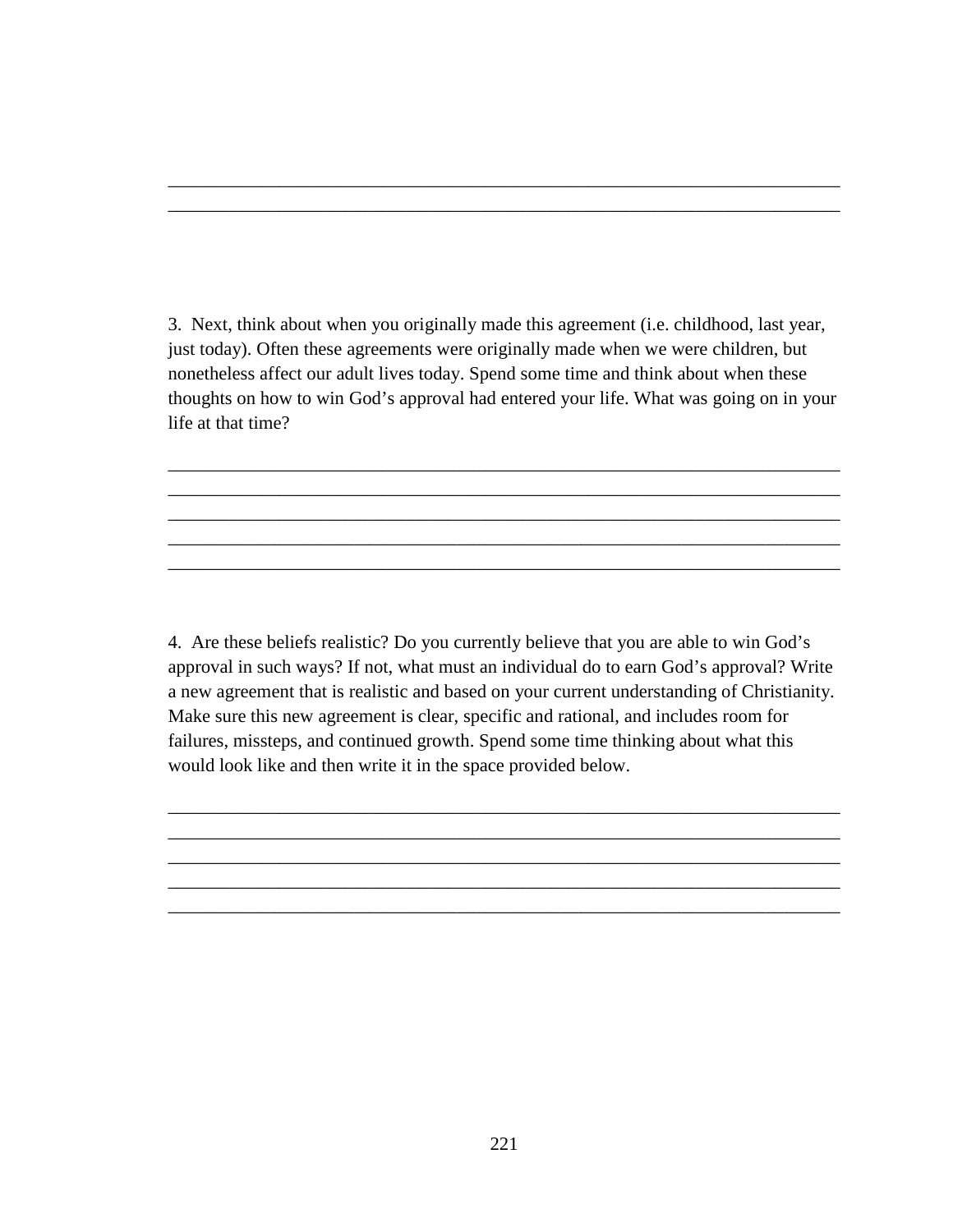3. Next, think about when you originally made this agreement (i.e. childhood, last year, just today). Often these agreements were originally made when we were children, but nonetheless affect our adult lives today. Spend some time and think about when these thoughts on how to win God's approval had entered your life. What was going on in your life at that time?

\_\_\_\_\_\_\_\_\_\_\_\_\_\_\_\_\_\_\_\_\_\_\_\_\_\_\_\_\_\_\_\_\_\_\_\_\_\_\_\_\_\_\_\_\_\_\_\_\_\_\_\_\_\_\_\_\_\_\_\_\_\_\_\_\_\_\_\_\_\_\_\_ \_\_\_\_\_\_\_\_\_\_\_\_\_\_\_\_\_\_\_\_\_\_\_\_\_\_\_\_\_\_\_\_\_\_\_\_\_\_\_\_\_\_\_\_\_\_\_\_\_\_\_\_\_\_\_\_\_\_\_\_\_\_\_\_\_\_\_\_\_\_\_\_ \_\_\_\_\_\_\_\_\_\_\_\_\_\_\_\_\_\_\_\_\_\_\_\_\_\_\_\_\_\_\_\_\_\_\_\_\_\_\_\_\_\_\_\_\_\_\_\_\_\_\_\_\_\_\_\_\_\_\_\_\_\_\_\_\_\_\_\_\_\_\_\_ \_\_\_\_\_\_\_\_\_\_\_\_\_\_\_\_\_\_\_\_\_\_\_\_\_\_\_\_\_\_\_\_\_\_\_\_\_\_\_\_\_\_\_\_\_\_\_\_\_\_\_\_\_\_\_\_\_\_\_\_\_\_\_\_\_\_\_\_\_\_\_\_ \_\_\_\_\_\_\_\_\_\_\_\_\_\_\_\_\_\_\_\_\_\_\_\_\_\_\_\_\_\_\_\_\_\_\_\_\_\_\_\_\_\_\_\_\_\_\_\_\_\_\_\_\_\_\_\_\_\_\_\_\_\_\_\_\_\_\_\_\_\_\_\_

\_\_\_\_\_\_\_\_\_\_\_\_\_\_\_\_\_\_\_\_\_\_\_\_\_\_\_\_\_\_\_\_\_\_\_\_\_\_\_\_\_\_\_\_\_\_\_\_\_\_\_\_\_\_\_\_\_\_\_\_\_\_\_\_\_\_\_\_\_\_\_\_ \_\_\_\_\_\_\_\_\_\_\_\_\_\_\_\_\_\_\_\_\_\_\_\_\_\_\_\_\_\_\_\_\_\_\_\_\_\_\_\_\_\_\_\_\_\_\_\_\_\_\_\_\_\_\_\_\_\_\_\_\_\_\_\_\_\_\_\_\_\_\_\_

4. Are these beliefs realistic? Do you currently believe that you are able to win God's approval in such ways? If not, what must an individual do to earn God's approval? Write a new agreement that is realistic and based on your current understanding of Christianity. Make sure this new agreement is clear, specific and rational, and includes room for failures, missteps, and continued growth. Spend some time thinking about what this would look like and then write it in the space provided below.

\_\_\_\_\_\_\_\_\_\_\_\_\_\_\_\_\_\_\_\_\_\_\_\_\_\_\_\_\_\_\_\_\_\_\_\_\_\_\_\_\_\_\_\_\_\_\_\_\_\_\_\_\_\_\_\_\_\_\_\_\_\_\_\_\_\_\_\_\_\_\_\_ \_\_\_\_\_\_\_\_\_\_\_\_\_\_\_\_\_\_\_\_\_\_\_\_\_\_\_\_\_\_\_\_\_\_\_\_\_\_\_\_\_\_\_\_\_\_\_\_\_\_\_\_\_\_\_\_\_\_\_\_\_\_\_\_\_\_\_\_\_\_\_\_ \_\_\_\_\_\_\_\_\_\_\_\_\_\_\_\_\_\_\_\_\_\_\_\_\_\_\_\_\_\_\_\_\_\_\_\_\_\_\_\_\_\_\_\_\_\_\_\_\_\_\_\_\_\_\_\_\_\_\_\_\_\_\_\_\_\_\_\_\_\_\_\_ \_\_\_\_\_\_\_\_\_\_\_\_\_\_\_\_\_\_\_\_\_\_\_\_\_\_\_\_\_\_\_\_\_\_\_\_\_\_\_\_\_\_\_\_\_\_\_\_\_\_\_\_\_\_\_\_\_\_\_\_\_\_\_\_\_\_\_\_\_\_\_\_ \_\_\_\_\_\_\_\_\_\_\_\_\_\_\_\_\_\_\_\_\_\_\_\_\_\_\_\_\_\_\_\_\_\_\_\_\_\_\_\_\_\_\_\_\_\_\_\_\_\_\_\_\_\_\_\_\_\_\_\_\_\_\_\_\_\_\_\_\_\_\_\_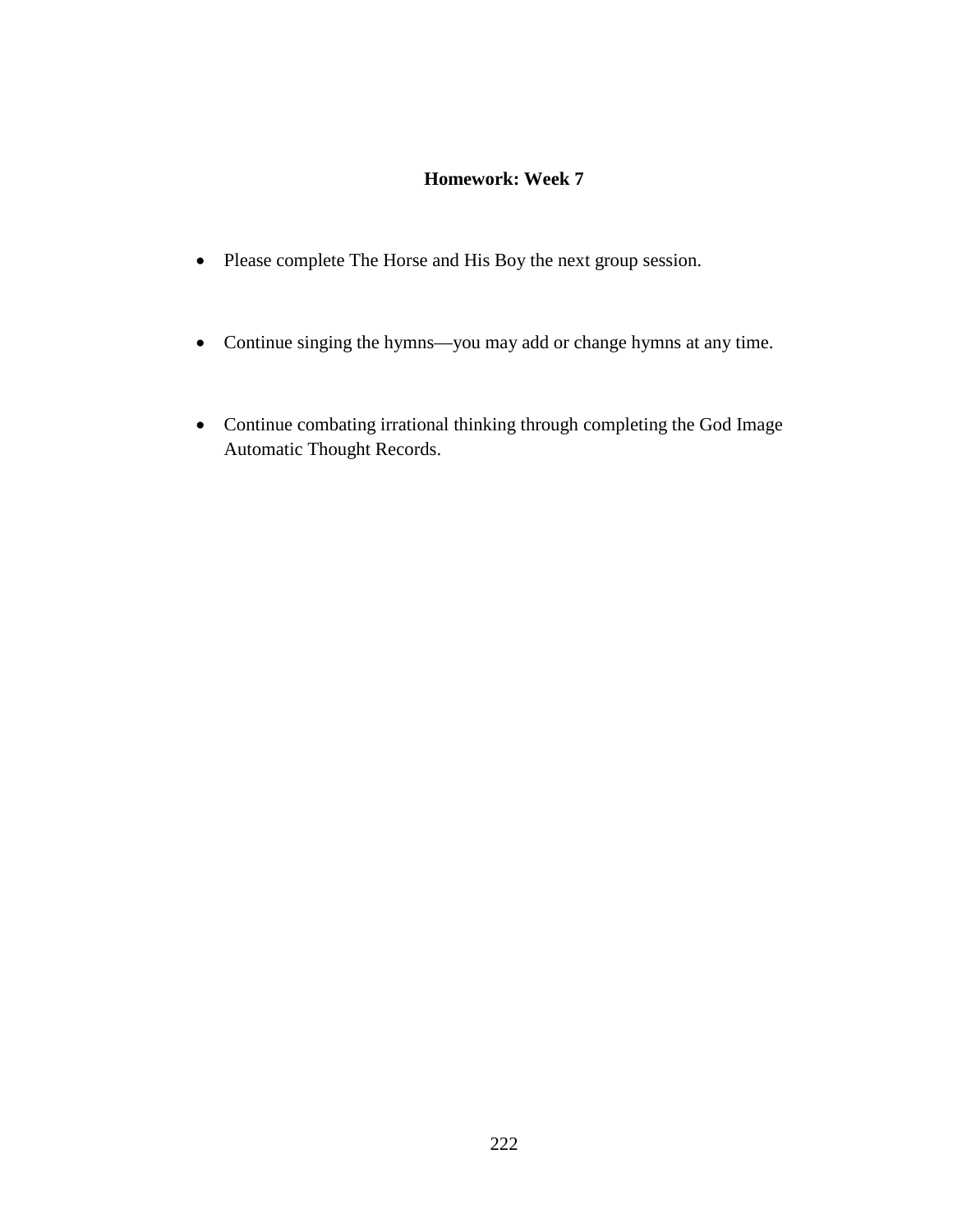# **Homework: Week 7**

- Please complete The Horse and His Boy the next group session.
- Continue singing the hymns—you may add or change hymns at any time.
- Continue combating irrational thinking through completing the God Image Automatic Thought Records.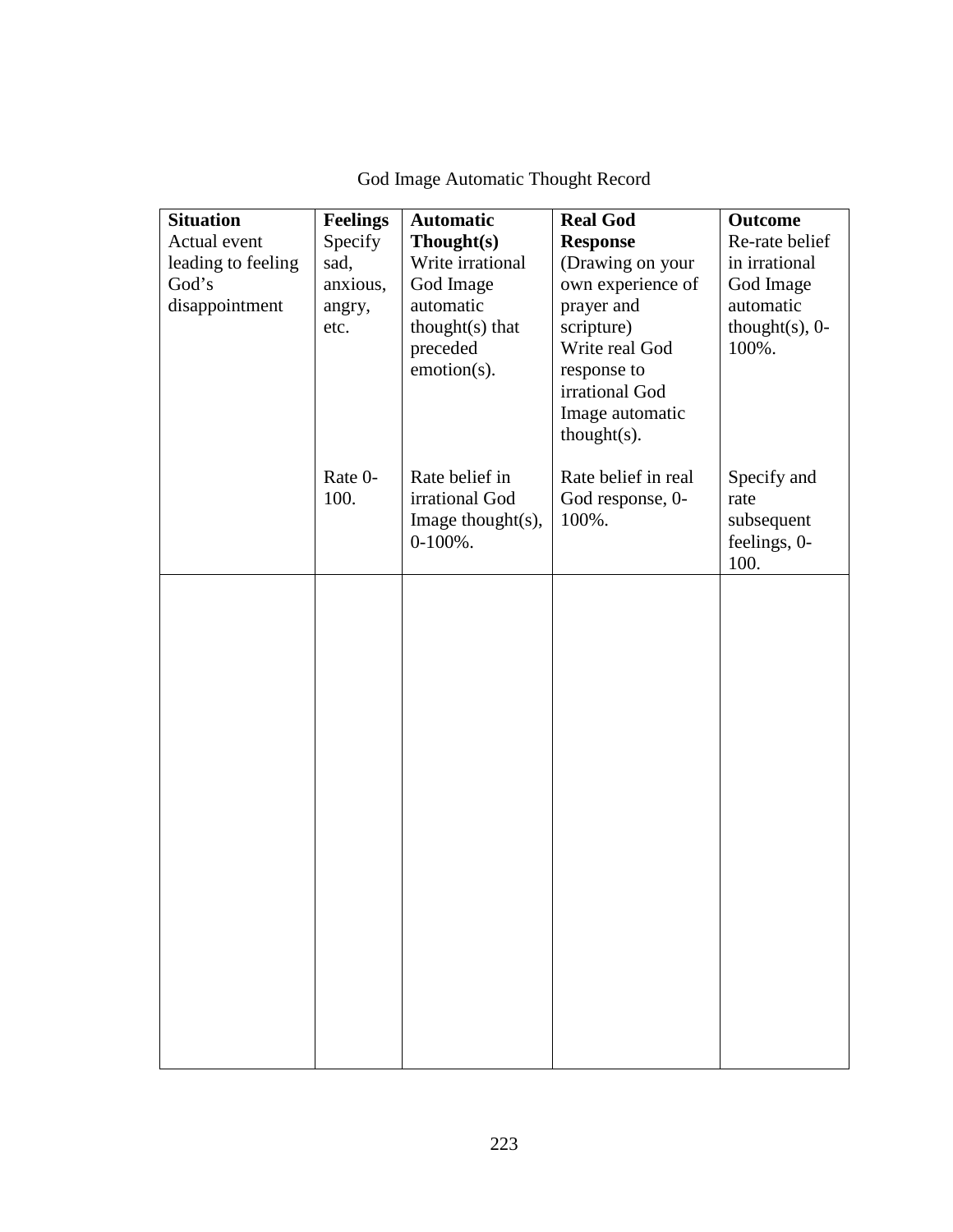| <b>Situation</b>            | <b>Feelings</b>  | <b>Automatic</b>              | <b>Real God</b>                       | <b>Outcome</b>             |
|-----------------------------|------------------|-------------------------------|---------------------------------------|----------------------------|
| Actual event                | Specify          | Thought(s)                    | <b>Response</b>                       | Re-rate belief             |
| leading to feeling<br>God's | sad,<br>anxious, | Write irrational<br>God Image | (Drawing on your<br>own experience of | in irrational<br>God Image |
| disappointment              | angry,           | automatic                     | prayer and                            | automatic                  |
|                             | etc.             | thought $(s)$ that            | scripture)                            | thought $(s)$ , 0-         |
|                             |                  | preceded                      | Write real God                        | 100%.                      |
|                             |                  | emotion(s).                   | response to                           |                            |
|                             |                  |                               | irrational God                        |                            |
|                             |                  |                               | Image automatic                       |                            |
|                             |                  |                               | $thought(s)$ .                        |                            |
|                             | Rate 0-          | Rate belief in                | Rate belief in real                   | Specify and                |
|                             | 100.             | irrational God                | God response, 0-                      | rate                       |
|                             |                  | Image thought $(s)$ ,         | 100%.                                 | subsequent                 |
|                             |                  | $0-100%$ .                    |                                       | feelings, 0-               |
|                             |                  |                               |                                       | 100.                       |
|                             |                  |                               |                                       |                            |
|                             |                  |                               |                                       |                            |
|                             |                  |                               |                                       |                            |
|                             |                  |                               |                                       |                            |
|                             |                  |                               |                                       |                            |
|                             |                  |                               |                                       |                            |
|                             |                  |                               |                                       |                            |
|                             |                  |                               |                                       |                            |
|                             |                  |                               |                                       |                            |
|                             |                  |                               |                                       |                            |
|                             |                  |                               |                                       |                            |
|                             |                  |                               |                                       |                            |
|                             |                  |                               |                                       |                            |
|                             |                  |                               |                                       |                            |
|                             |                  |                               |                                       |                            |
|                             |                  |                               |                                       |                            |
|                             |                  |                               |                                       |                            |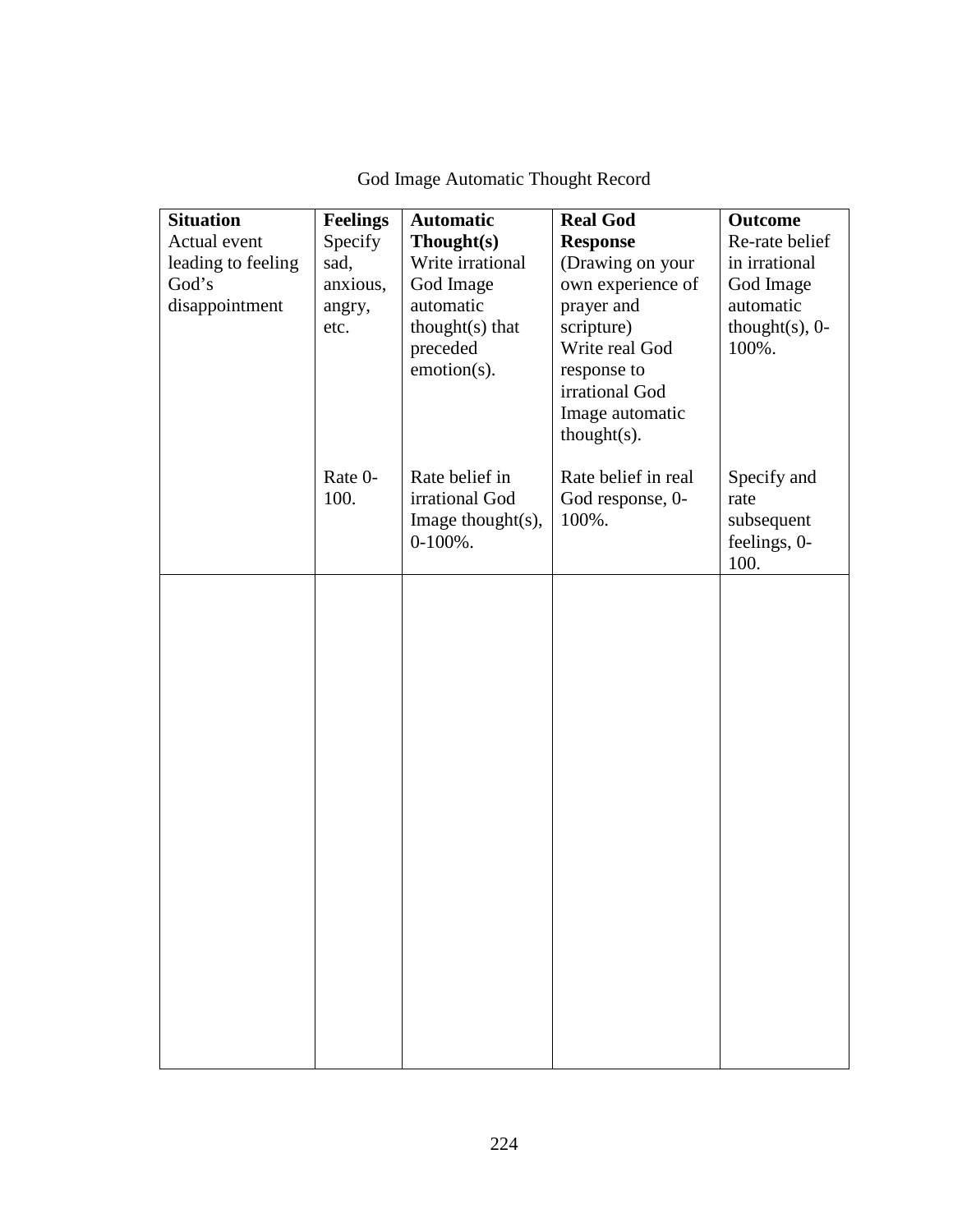| <b>Situation</b>   | <b>Feelings</b> | <b>Automatic</b>       | <b>Real God</b>          | <b>Outcome</b>         |
|--------------------|-----------------|------------------------|--------------------------|------------------------|
| Actual event       | Specify         | Thought(s)             | <b>Response</b>          | Re-rate belief         |
| leading to feeling | sad,            | Write irrational       | (Drawing on your         | in irrational          |
| God's              | anxious,        | God Image<br>automatic | own experience of        | God Image<br>automatic |
| disappointment     | angry,<br>etc.  | thought $(s)$ that     | prayer and<br>scripture) | thought $(s)$ , 0-     |
|                    |                 | preceded               | Write real God           | 100%.                  |
|                    |                 | emotion(s).            | response to              |                        |
|                    |                 |                        | irrational God           |                        |
|                    |                 |                        | Image automatic          |                        |
|                    |                 |                        | $thought(s)$ .           |                        |
|                    |                 |                        |                          |                        |
|                    | Rate 0-         | Rate belief in         | Rate belief in real      | Specify and            |
|                    | 100.            | irrational God         | God response, 0-         | rate                   |
|                    |                 | Image thought $(s)$ ,  | 100%.                    | subsequent             |
|                    |                 | $0-100%$ .             |                          | feelings, 0-           |
|                    |                 |                        |                          | 100.                   |
|                    |                 |                        |                          |                        |
|                    |                 |                        |                          |                        |
|                    |                 |                        |                          |                        |
|                    |                 |                        |                          |                        |
|                    |                 |                        |                          |                        |
|                    |                 |                        |                          |                        |
|                    |                 |                        |                          |                        |
|                    |                 |                        |                          |                        |
|                    |                 |                        |                          |                        |
|                    |                 |                        |                          |                        |
|                    |                 |                        |                          |                        |
|                    |                 |                        |                          |                        |
|                    |                 |                        |                          |                        |
|                    |                 |                        |                          |                        |
|                    |                 |                        |                          |                        |
|                    |                 |                        |                          |                        |
|                    |                 |                        |                          |                        |
|                    |                 |                        |                          |                        |
|                    |                 |                        |                          |                        |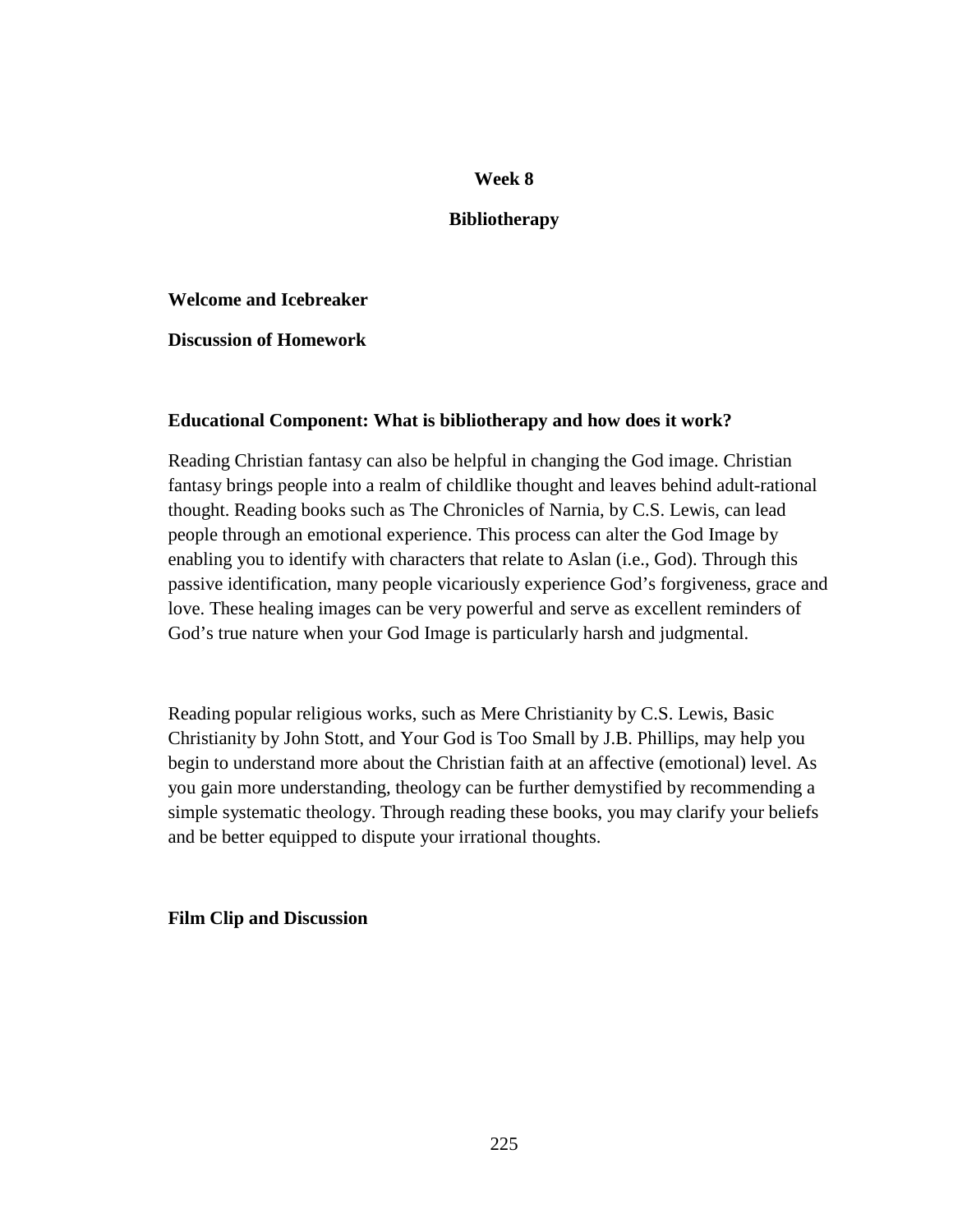### **Bibliotherapy**

**Welcome and Icebreaker** 

**Discussion of Homework** 

### **Educational Component: What is bibliotherapy and how does it work?**

Reading Christian fantasy can also be helpful in changing the God image. Christian fantasy brings people into a realm of childlike thought and leaves behind adult-rational thought. Reading books such as The Chronicles of Narnia, by C.S. Lewis, can lead people through an emotional experience. This process can alter the God Image by enabling you to identify with characters that relate to Aslan (i.e., God). Through this passive identification, many people vicariously experience God's forgiveness, grace and love. These healing images can be very powerful and serve as excellent reminders of God's true nature when your God Image is particularly harsh and judgmental.

Reading popular religious works, such as Mere Christianity by C.S. Lewis, Basic Christianity by John Stott, and Your God is Too Small by J.B. Phillips, may help you begin to understand more about the Christian faith at an affective (emotional) level. As you gain more understanding, theology can be further demystified by recommending a simple systematic theology. Through reading these books, you may clarify your beliefs and be better equipped to dispute your irrational thoughts.

**Film Clip and Discussion**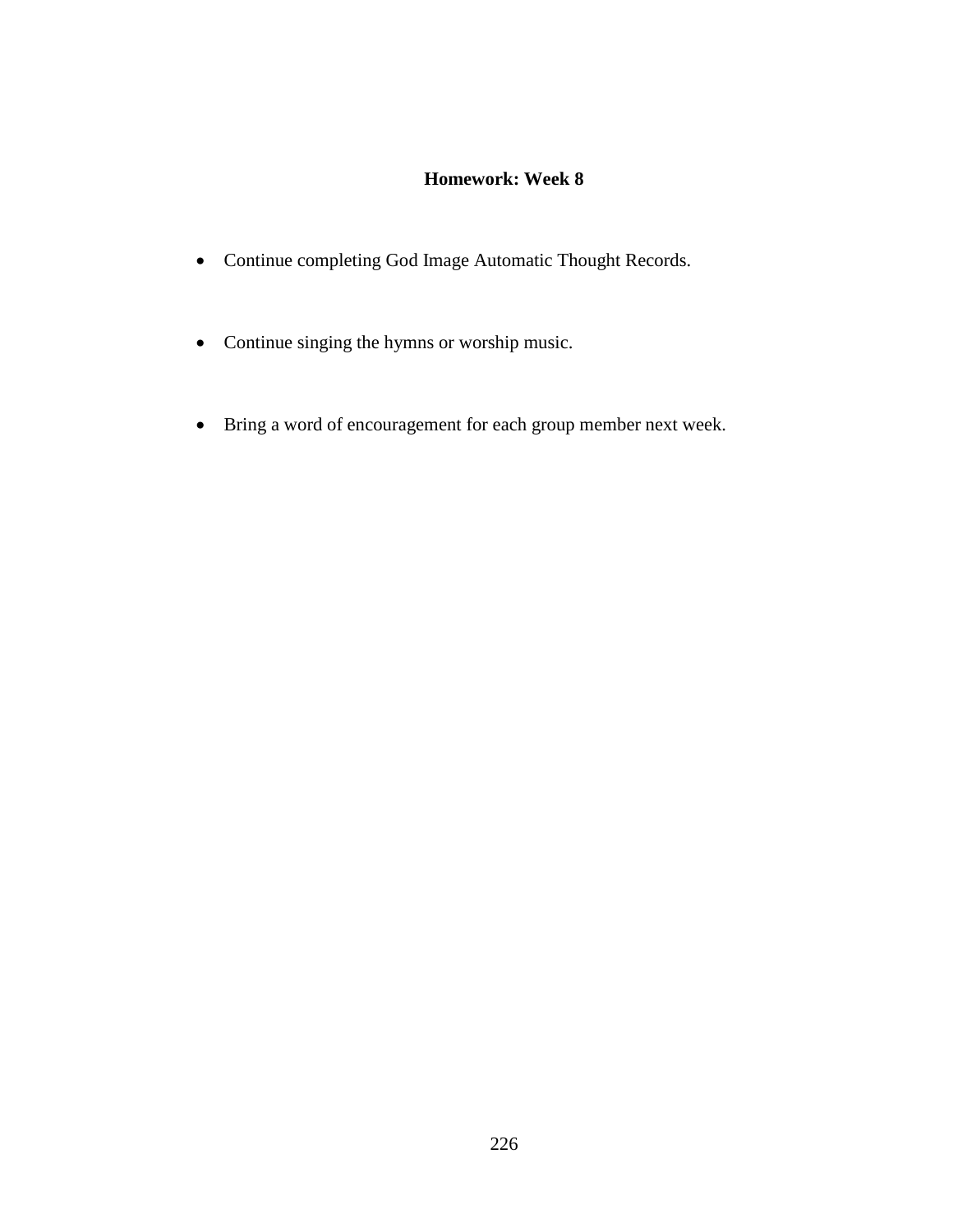# **Homework: Week 8**

- Continue completing God Image Automatic Thought Records.
- Continue singing the hymns or worship music.
- Bring a word of encouragement for each group member next week.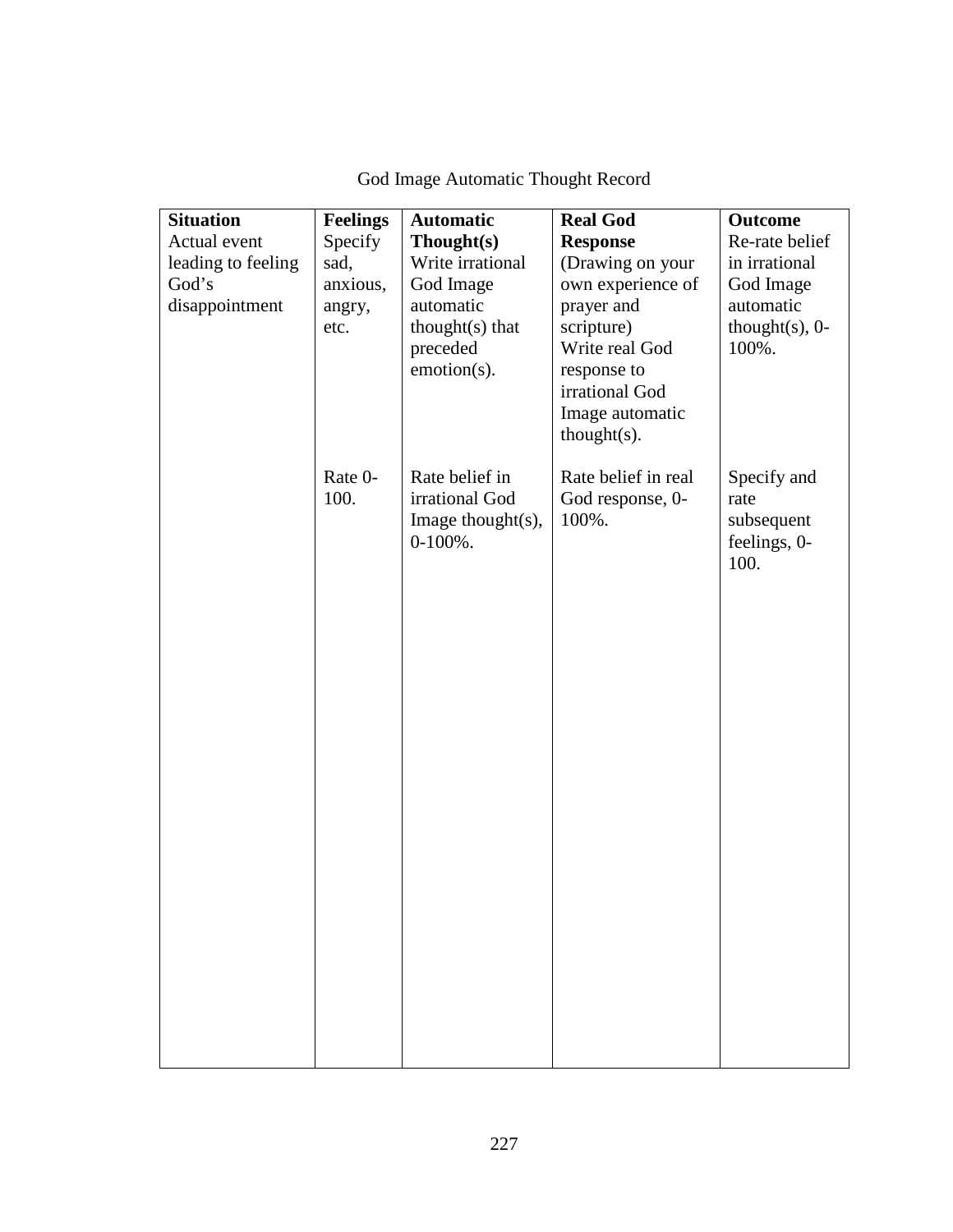| <b>Situation</b>   | <b>Feelings</b> | <b>Automatic</b>      | <b>Real God</b>               | <b>Outcome</b>     |
|--------------------|-----------------|-----------------------|-------------------------------|--------------------|
| Actual event       | Specify         | Though(s)             | <b>Response</b>               | Re-rate belief     |
| leading to feeling | sad,            | Write irrational      | (Drawing on your              | in irrational      |
| God's              | anxious,        | God Image             | own experience of             | God Image          |
| disappointment     | angry,          | automatic             | prayer and                    | automatic          |
|                    | etc.            | $thought(s)$ that     | scripture)                    | thought $(s)$ , 0- |
|                    |                 | preceded              | Write real God                | 100%.              |
|                    |                 | emotion(s).           | response to<br>irrational God |                    |
|                    |                 |                       | Image automatic               |                    |
|                    |                 |                       | $thought(s)$ .                |                    |
|                    |                 |                       |                               |                    |
|                    | Rate 0-         | Rate belief in        | Rate belief in real           | Specify and        |
|                    | 100.            | irrational God        | God response, 0-              | rate               |
|                    |                 | Image thought $(s)$ , | 100%.                         | subsequent         |
|                    |                 | $0-100\%$ .           |                               | feelings, 0-       |
|                    |                 |                       |                               | 100.               |
|                    |                 |                       |                               |                    |
|                    |                 |                       |                               |                    |
|                    |                 |                       |                               |                    |
|                    |                 |                       |                               |                    |
|                    |                 |                       |                               |                    |
|                    |                 |                       |                               |                    |
|                    |                 |                       |                               |                    |
|                    |                 |                       |                               |                    |
|                    |                 |                       |                               |                    |
|                    |                 |                       |                               |                    |
|                    |                 |                       |                               |                    |
|                    |                 |                       |                               |                    |
|                    |                 |                       |                               |                    |
|                    |                 |                       |                               |                    |
|                    |                 |                       |                               |                    |
|                    |                 |                       |                               |                    |
|                    |                 |                       |                               |                    |
|                    |                 |                       |                               |                    |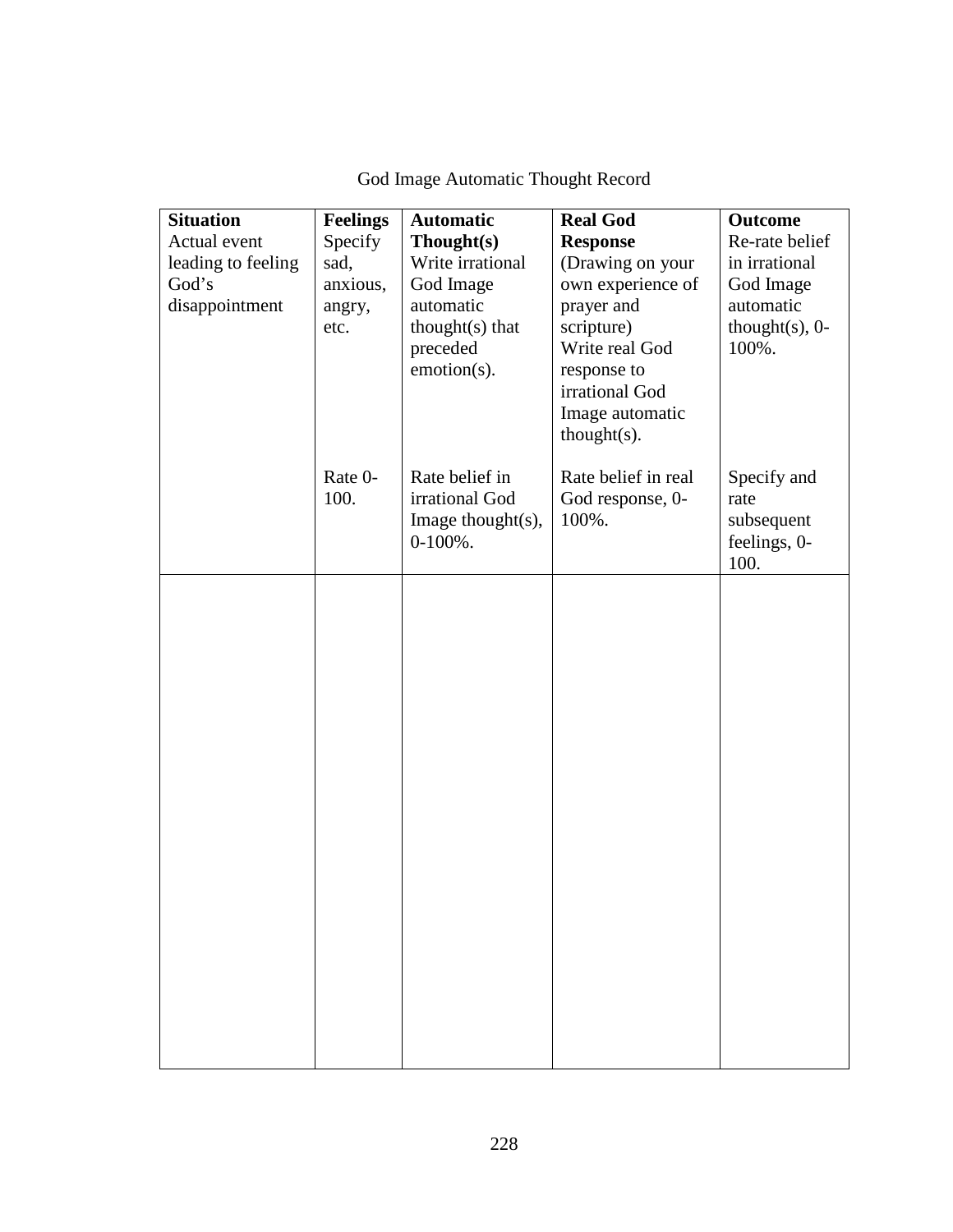| <b>Situation</b>            | <b>Feelings</b> | <b>Automatic</b>                                                        | <b>Real God</b>                                  | <b>Outcome</b>                                    |
|-----------------------------|-----------------|-------------------------------------------------------------------------|--------------------------------------------------|---------------------------------------------------|
| Actual event                | Specify         | Thought(s)                                                              | <b>Response</b>                                  | Re-rate belief                                    |
| leading to feeling<br>God's | sad,            | Write irrational                                                        | (Drawing on your                                 | in irrational                                     |
| disappointment              | anxious,        | God Image<br>automatic                                                  | own experience of<br>prayer and                  | God Image<br>automatic                            |
|                             | angry,<br>etc.  | thought $(s)$ that                                                      | scripture)                                       | thought $(s)$ , 0-                                |
|                             |                 | preceded                                                                | Write real God                                   | 100%.                                             |
|                             |                 | emotion(s).                                                             | response to                                      |                                                   |
|                             |                 |                                                                         | irrational God                                   |                                                   |
|                             |                 |                                                                         | Image automatic                                  |                                                   |
|                             |                 |                                                                         | $thought(s)$ .                                   |                                                   |
|                             | Rate 0-<br>100. | Rate belief in<br>irrational God<br>Image thought $(s)$ ,<br>$0-100%$ . | Rate belief in real<br>God response, 0-<br>100%. | Specify and<br>rate<br>subsequent<br>feelings, 0- |
|                             |                 |                                                                         |                                                  | 100.                                              |
|                             |                 |                                                                         |                                                  |                                                   |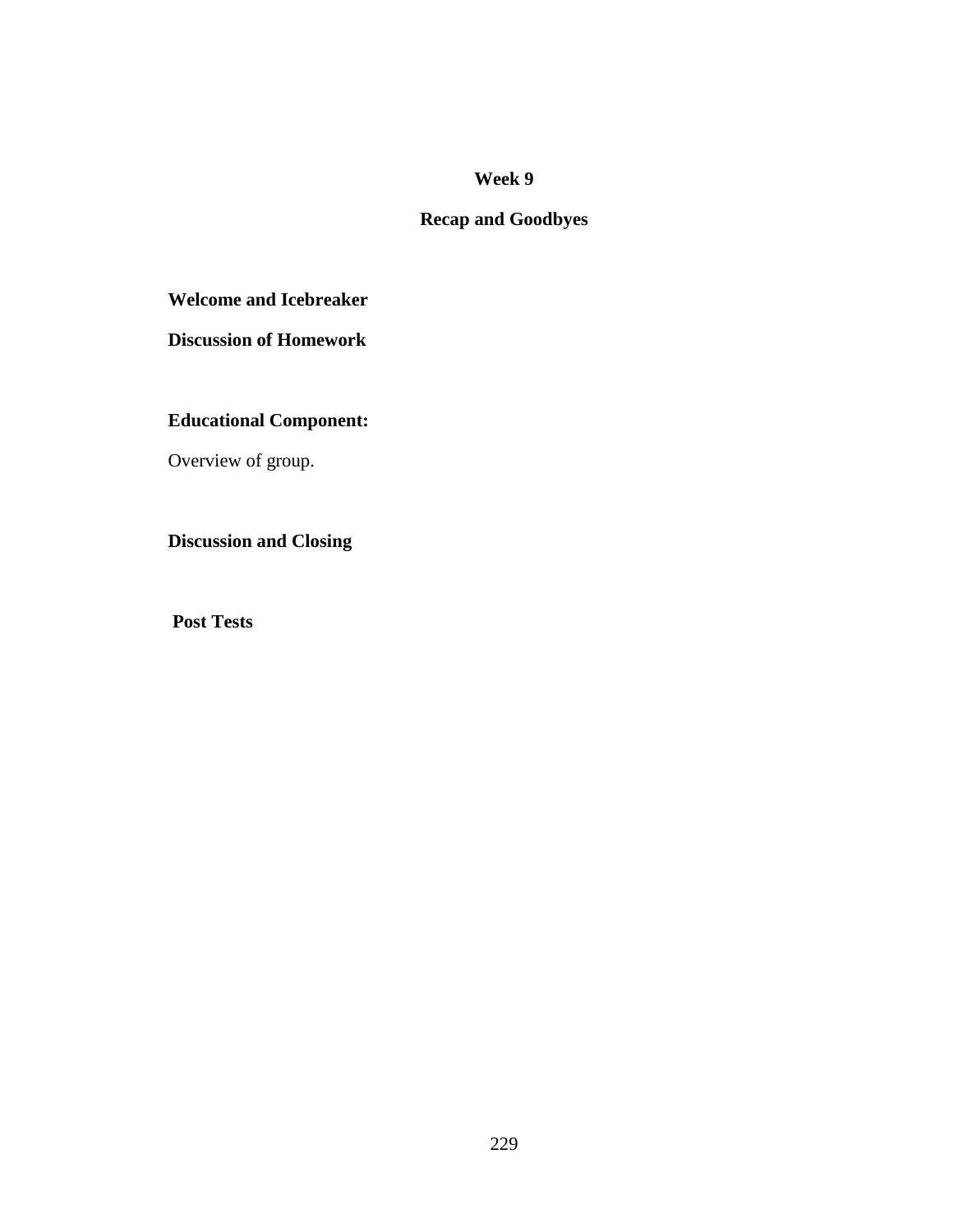# **Recap and Goodbyes**

## **Welcome and Icebreaker**

**Discussion of Homework** 

# **Educational Component:**

Overview of group.

# **Discussion and Closing**

**Post Tests**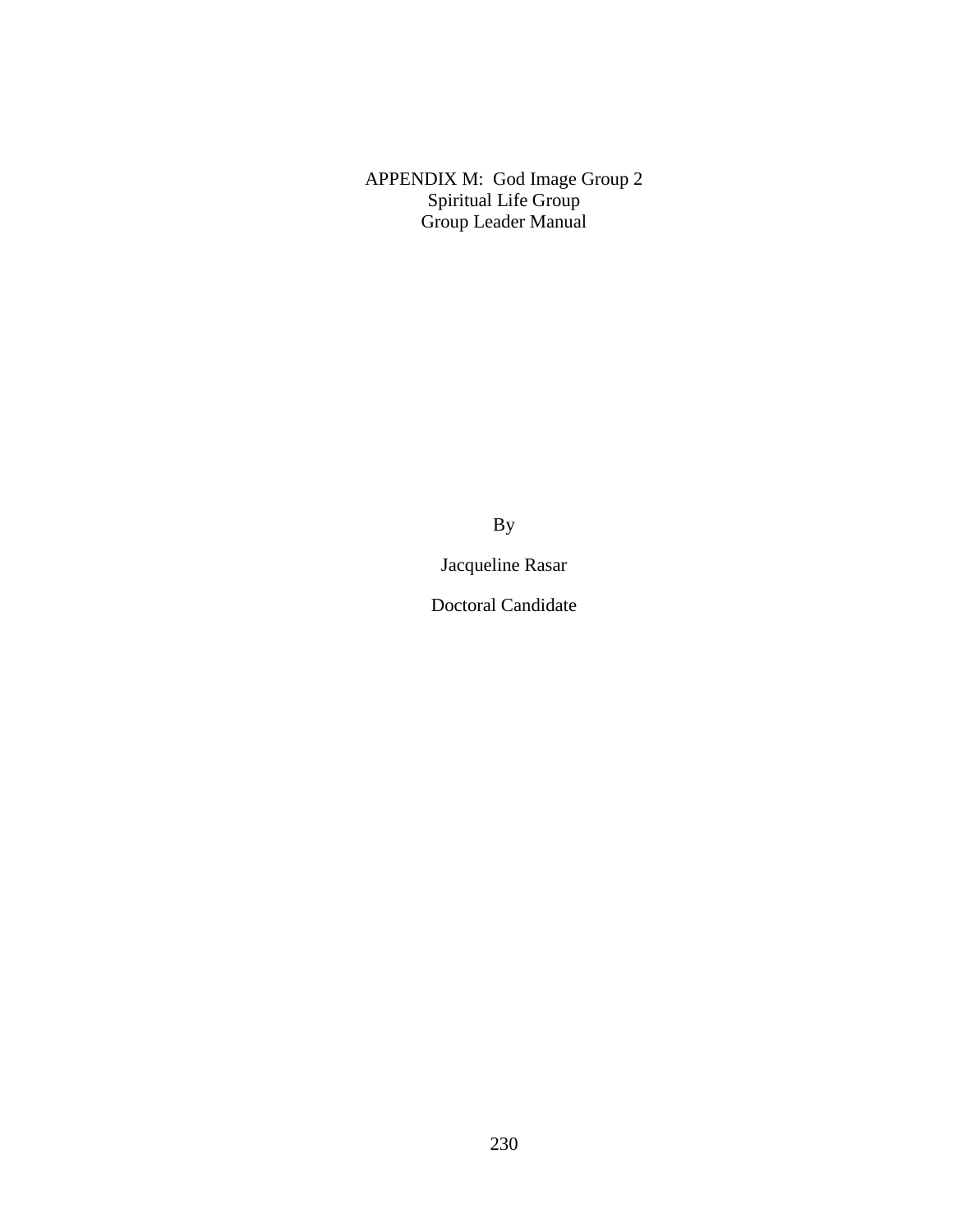APPENDIX M: God Image Group 2 Spiritual Life Group Group Leader Manual

By

Jacqueline Rasar

Doctoral Candidate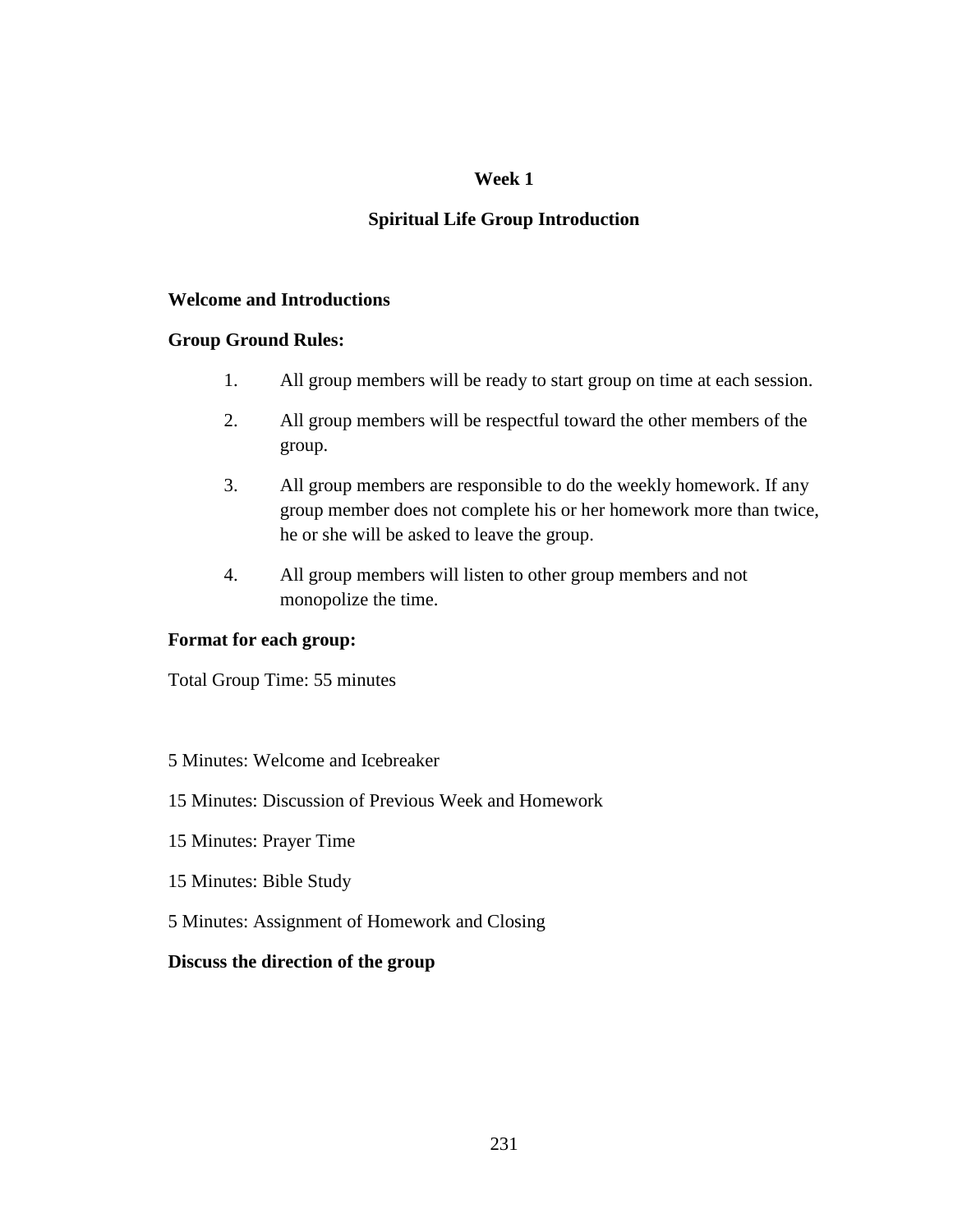# **Spiritual Life Group Introduction**

## **Welcome and Introductions**

## **Group Ground Rules:**

- 1. All group members will be ready to start group on time at each session.
- 2. All group members will be respectful toward the other members of the group.
- 3. All group members are responsible to do the weekly homework. If any group member does not complete his or her homework more than twice, he or she will be asked to leave the group.
- 4. All group members will listen to other group members and not monopolize the time.

## **Format for each group:**

Total Group Time: 55 minutes

## 5 Minutes: Welcome and Icebreaker

## 15 Minutes: Discussion of Previous Week and Homework

- 15 Minutes: Prayer Time
- 15 Minutes: Bible Study
- 5 Minutes: Assignment of Homework and Closing

## **Discuss the direction of the group**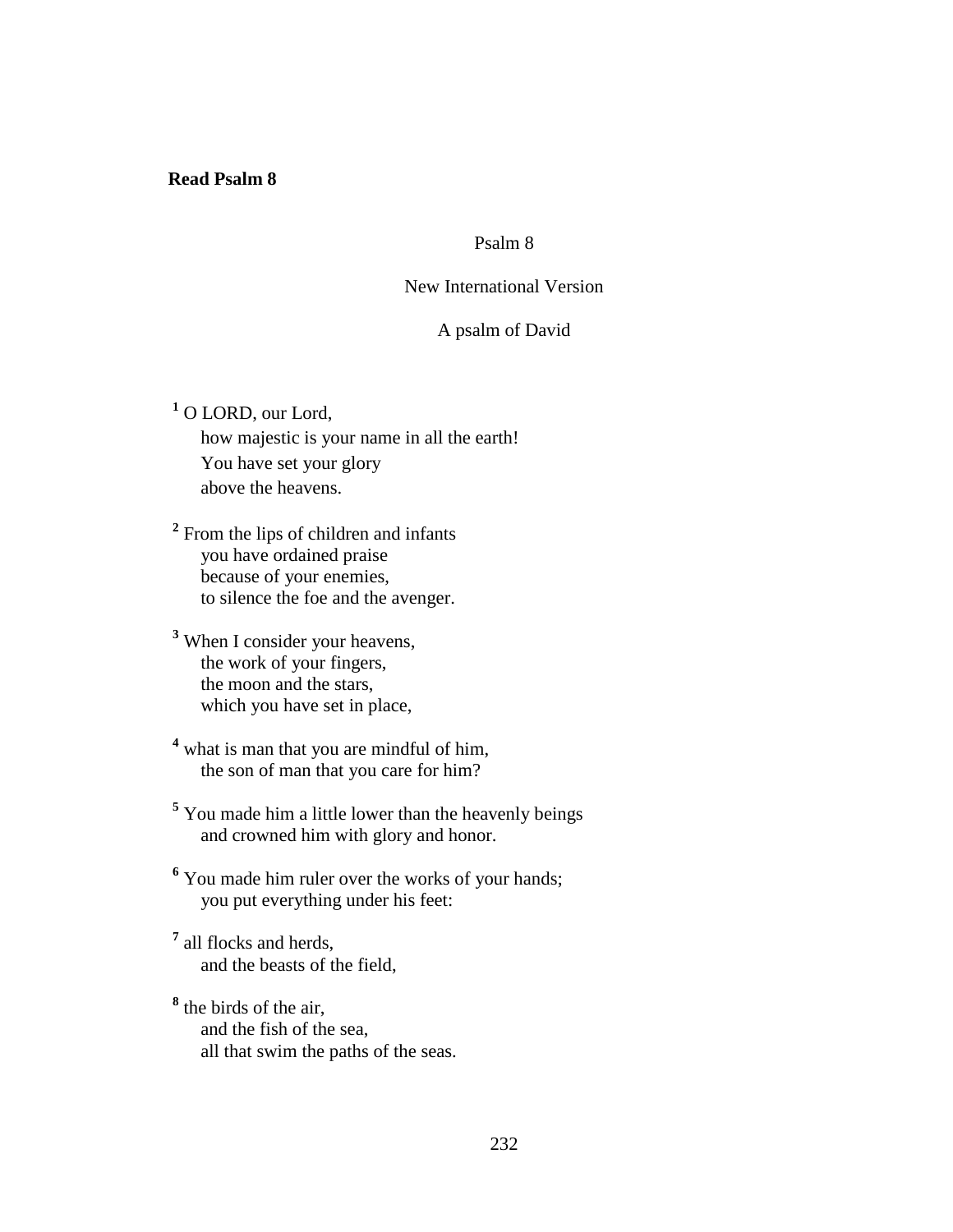### **Read Psalm 8**

## Psalm 8

## New International Version

## A psalm of David

**1** O LORD, our Lord, how majestic is your name in all the earth! You have set your glory above the heavens.

<sup>2</sup> From the lips of children and infants you have ordained praise because of your enemies, to silence the foe and the avenger.

- **3** When I consider your heavens, the work of your fingers, the moon and the stars, which you have set in place,
- <sup>4</sup> what is man that you are mindful of him, the son of man that you care for him?
- <sup>5</sup> You made him a little lower than the heavenly beings and crowned him with glory and honor.
- <sup>6</sup> You made him ruler over the works of your hands; you put everything under his feet:
- **7** all flocks and herds, and the beasts of the field,
- **8** the birds of the air, and the fish of the sea, all that swim the paths of the seas.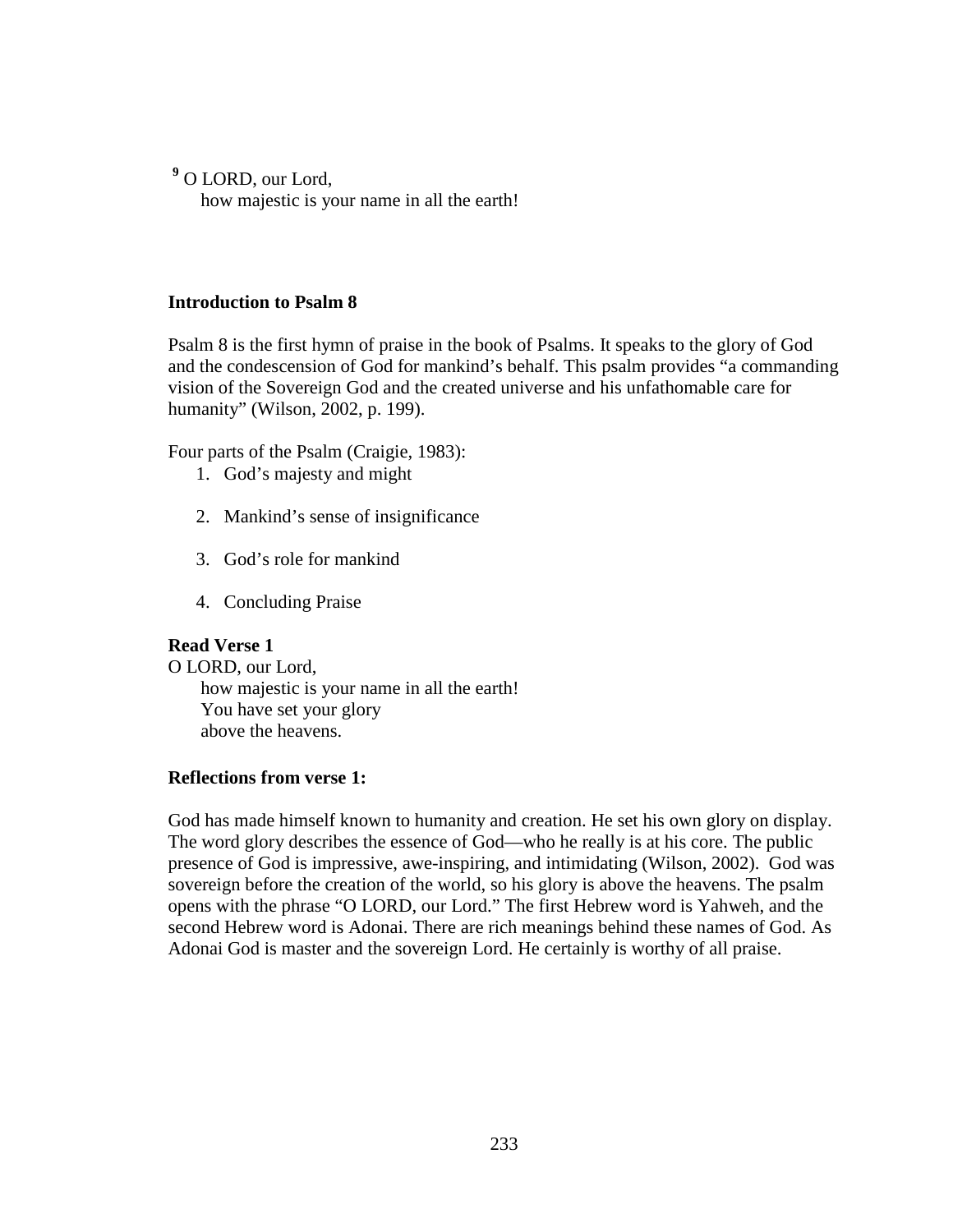**9** O LORD, our Lord,

how majestic is your name in all the earth!

## **Introduction to Psalm 8**

Psalm 8 is the first hymn of praise in the book of Psalms. It speaks to the glory of God and the condescension of God for mankind's behalf. This psalm provides "a commanding vision of the Sovereign God and the created universe and his unfathomable care for humanity" (Wilson, 2002, p. 199).

Four parts of the Psalm (Craigie, 1983):

- 1. God's majesty and might
- 2. Mankind's sense of insignificance
- 3. God's role for mankind
- 4. Concluding Praise

# **Read Verse 1**

O LORD, our Lord, how majestic is your name in all the earth! You have set your glory above the heavens.

# **Reflections from verse 1:**

God has made himself known to humanity and creation. He set his own glory on display. The word glory describes the essence of God—who he really is at his core. The public presence of God is impressive, awe-inspiring, and intimidating (Wilson, 2002). God was sovereign before the creation of the world, so his glory is above the heavens. The psalm opens with the phrase "O LORD, our Lord." The first Hebrew word is Yahweh, and the second Hebrew word is Adonai. There are rich meanings behind these names of God. As Adonai God is master and the sovereign Lord. He certainly is worthy of all praise.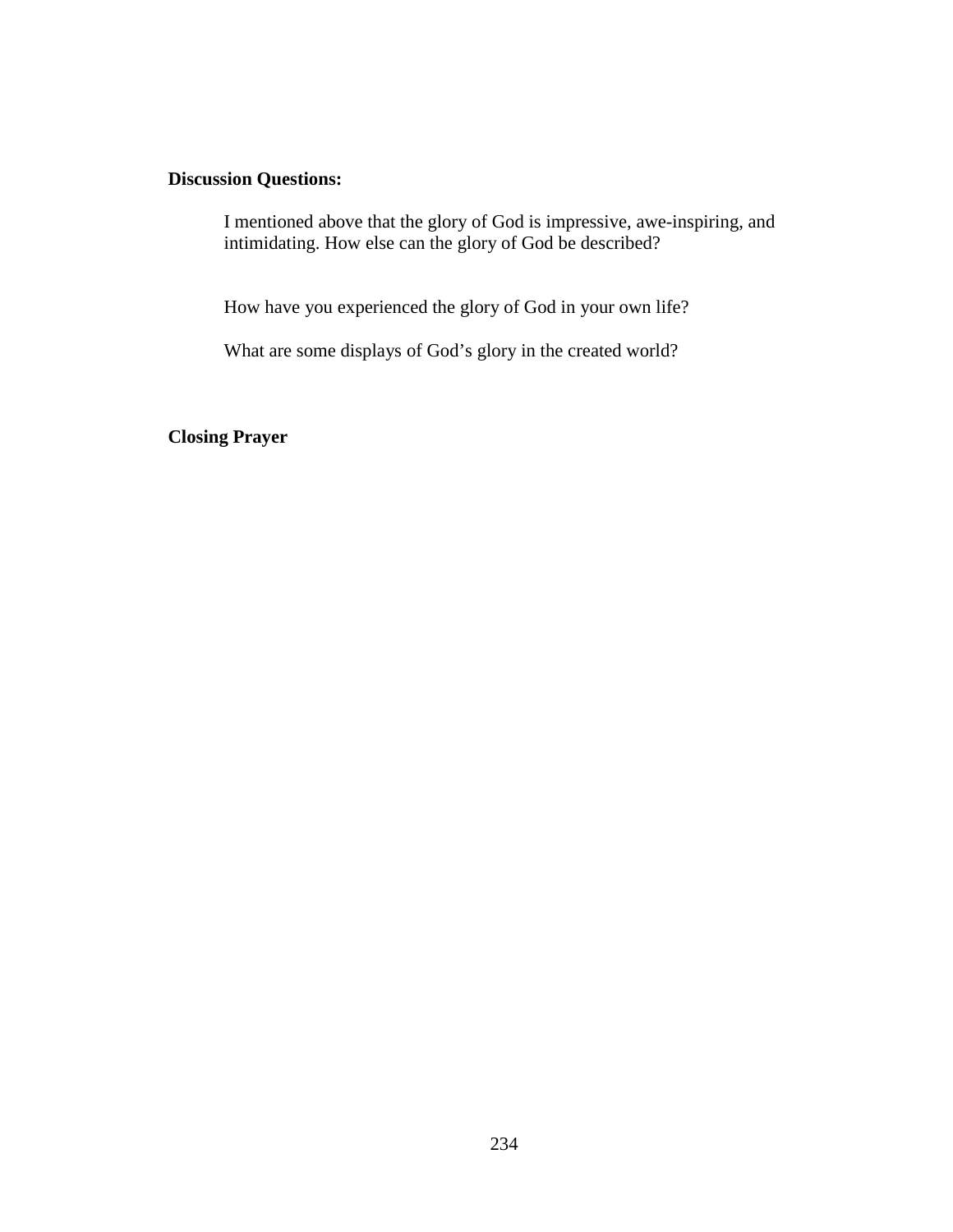## **Discussion Questions:**

 I mentioned above that the glory of God is impressive, awe-inspiring, and intimidating. How else can the glory of God be described?

How have you experienced the glory of God in your own life?

What are some displays of God's glory in the created world?

**Closing Prayer**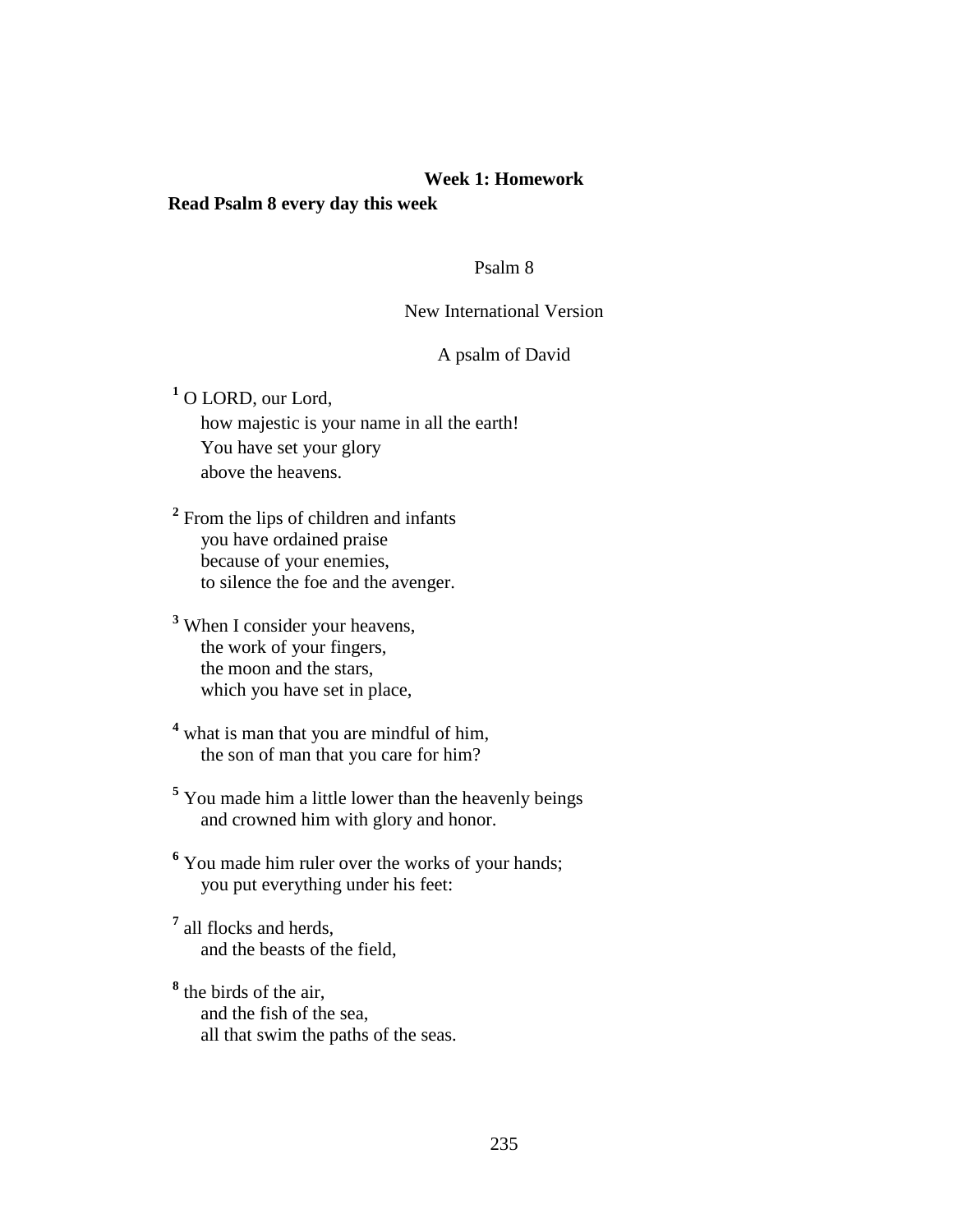### **Week 1: Homework**

## **Read Psalm 8 every day this week**

### Psalm 8

## New International Version

## A psalm of David

**1** O LORD, our Lord,

 how majestic is your name in all the earth! You have set your glory above the heavens.

<sup>2</sup> From the lips of children and infants you have ordained praise because of your enemies, to silence the foe and the avenger.

**3** When I consider your heavens, the work of your fingers, the moon and the stars, which you have set in place,

<sup>4</sup> what is man that you are mindful of him, the son of man that you care for him?

<sup>5</sup> You made him a little lower than the heavenly beings and crowned him with glory and honor.

<sup>6</sup> You made him ruler over the works of your hands; you put everything under his feet:

**7** all flocks and herds, and the beasts of the field,

**8** the birds of the air, and the fish of the sea, all that swim the paths of the seas.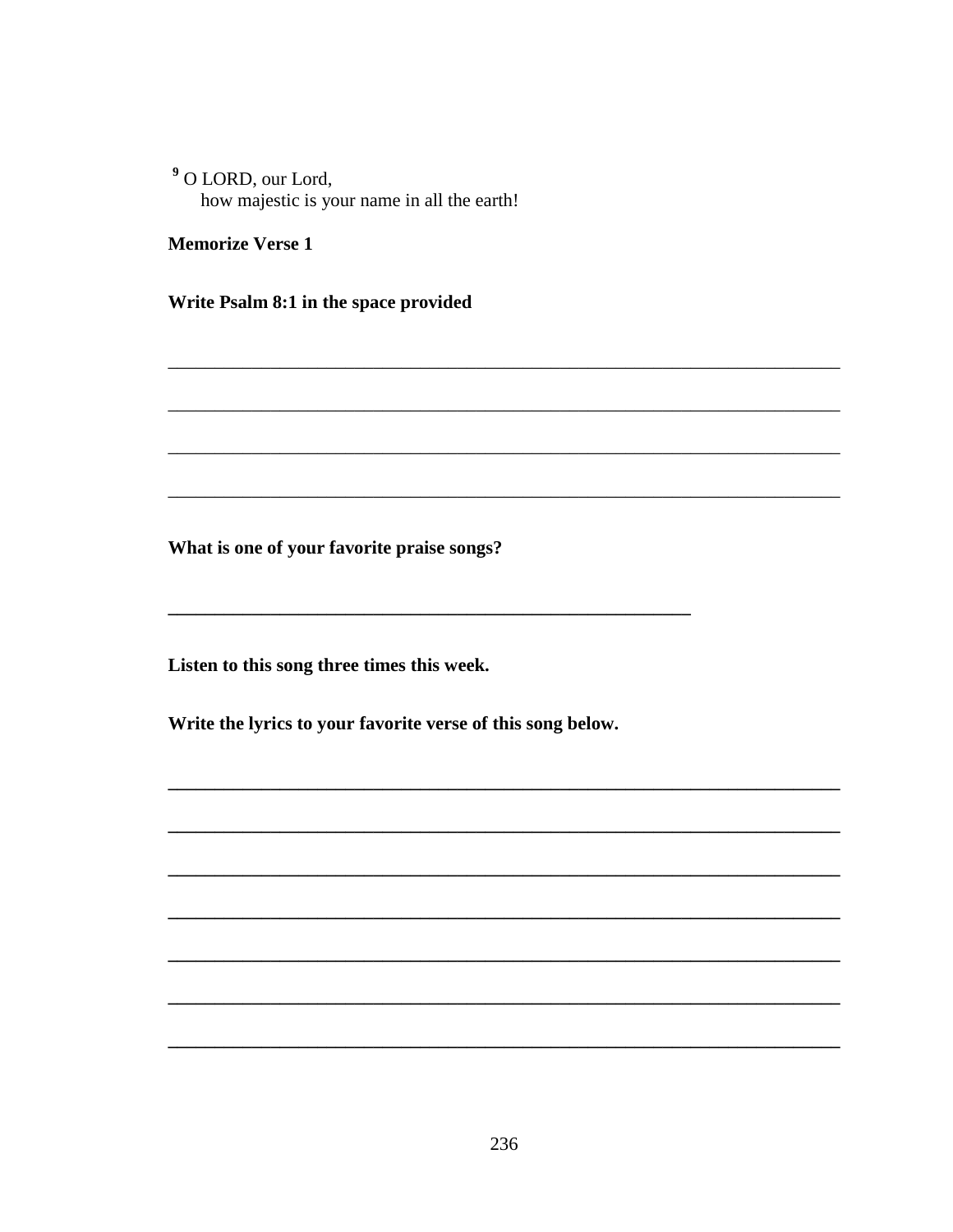<sup>9</sup> O LORD, our Lord, how majestic is your name in all the earth!

**Memorize Verse 1** 

Write Psalm 8:1 in the space provided

What is one of your favorite praise songs?

Listen to this song three times this week.

Write the lyrics to your favorite verse of this song below.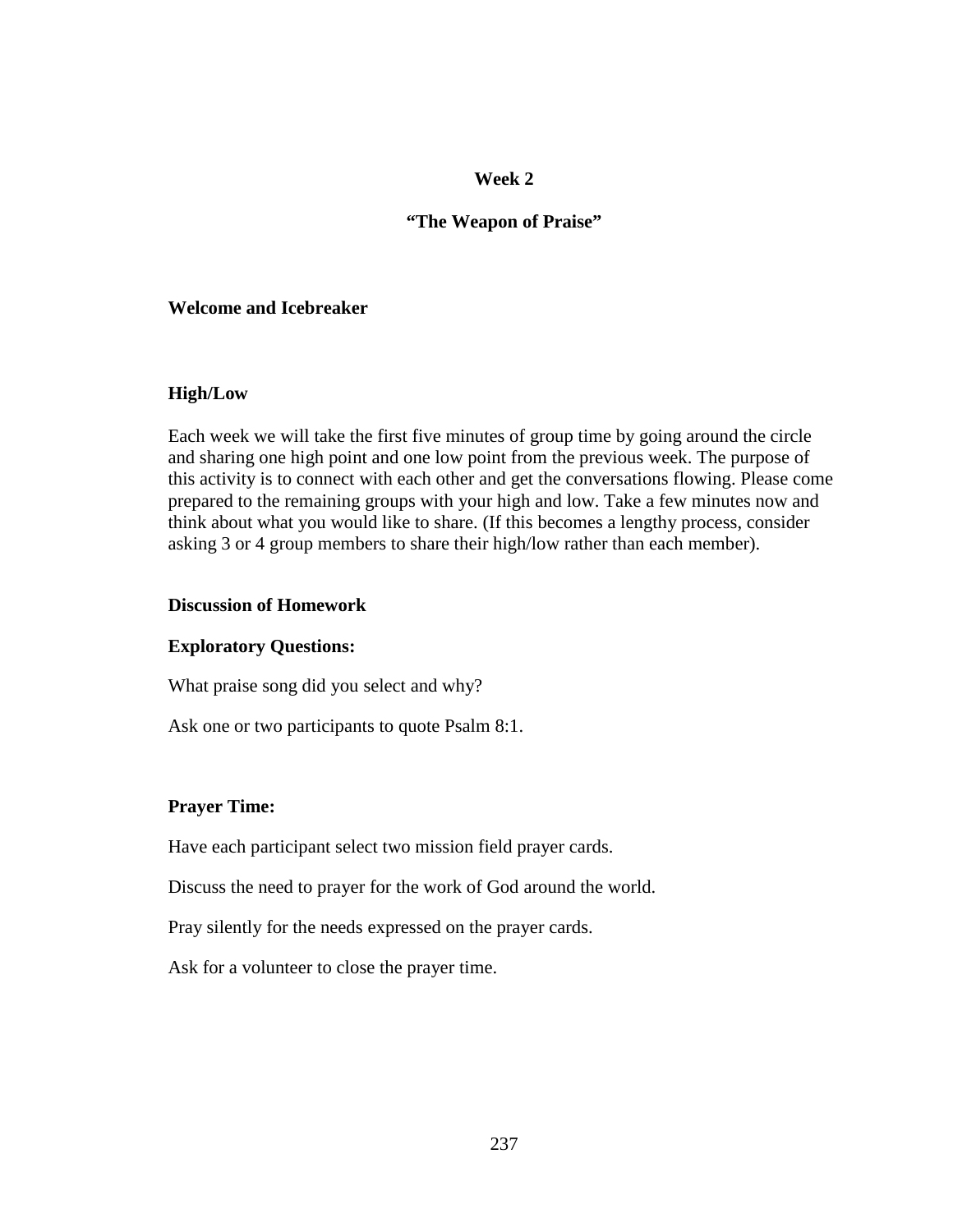## **"The Weapon of Praise"**

### **Welcome and Icebreaker**

### **High/Low**

Each week we will take the first five minutes of group time by going around the circle and sharing one high point and one low point from the previous week. The purpose of this activity is to connect with each other and get the conversations flowing. Please come prepared to the remaining groups with your high and low. Take a few minutes now and think about what you would like to share. (If this becomes a lengthy process, consider asking 3 or 4 group members to share their high/low rather than each member).

### **Discussion of Homework**

## **Exploratory Questions:**

What praise song did you select and why?

Ask one or two participants to quote Psalm 8:1.

## **Prayer Time:**

Have each participant select two mission field prayer cards.

Discuss the need to prayer for the work of God around the world.

Pray silently for the needs expressed on the prayer cards.

Ask for a volunteer to close the prayer time.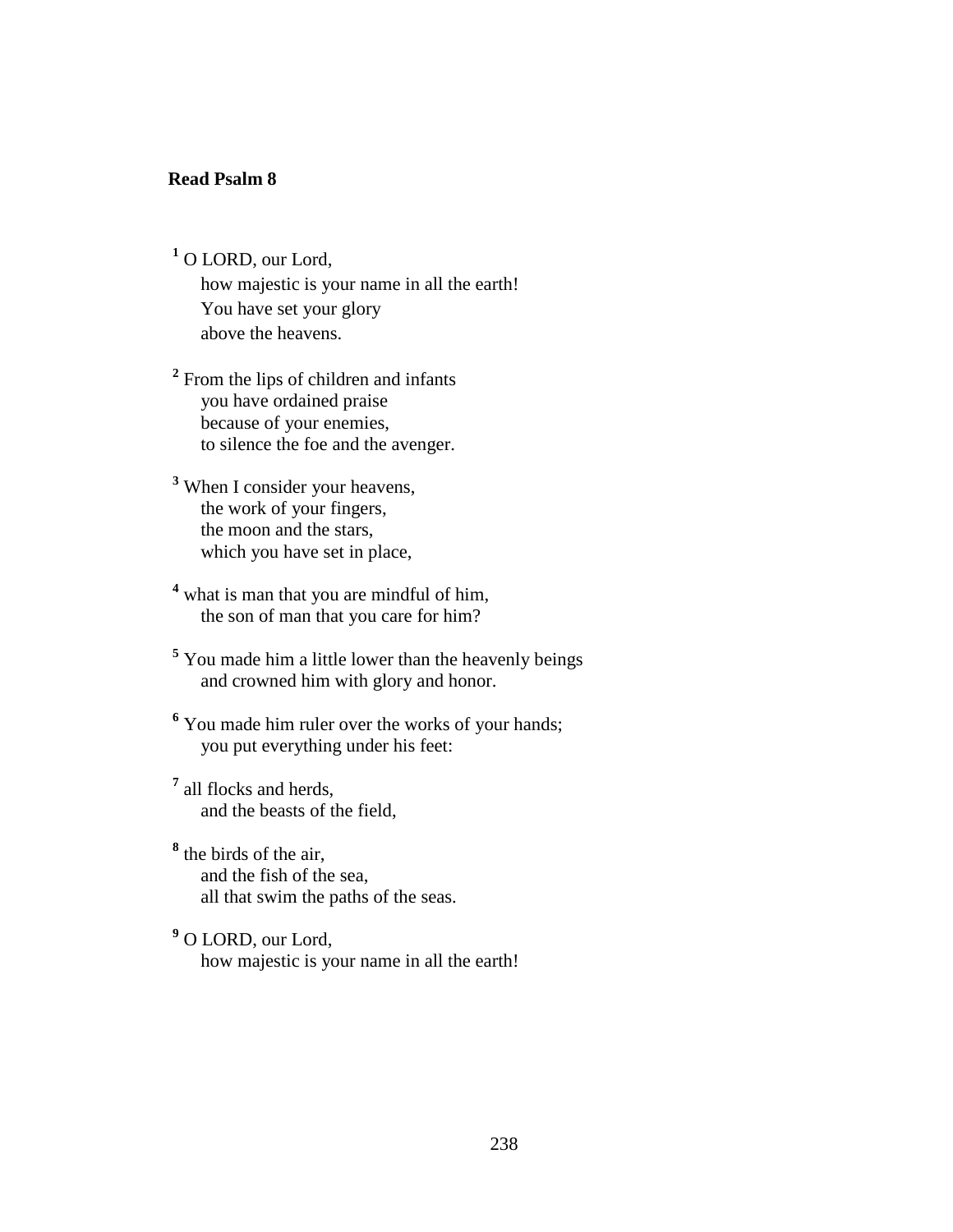#### **Read Psalm 8**

**1** O LORD, our Lord,

 how majestic is your name in all the earth! You have set your glory above the heavens.

<sup>2</sup> From the lips of children and infants you have ordained praise because of your enemies, to silence the foe and the avenger.

- **3** When I consider your heavens, the work of your fingers, the moon and the stars, which you have set in place,
- <sup>4</sup> what is man that you are mindful of him, the son of man that you care for him?
- **5** You made him a little lower than the heavenly beings and crowned him with glory and honor.
- <sup>6</sup> You made him ruler over the works of your hands; you put everything under his feet:
- **7** all flocks and herds, and the beasts of the field,
- **8** the birds of the air, and the fish of the sea, all that swim the paths of the seas.
- **9** O LORD, our Lord, how majestic is your name in all the earth!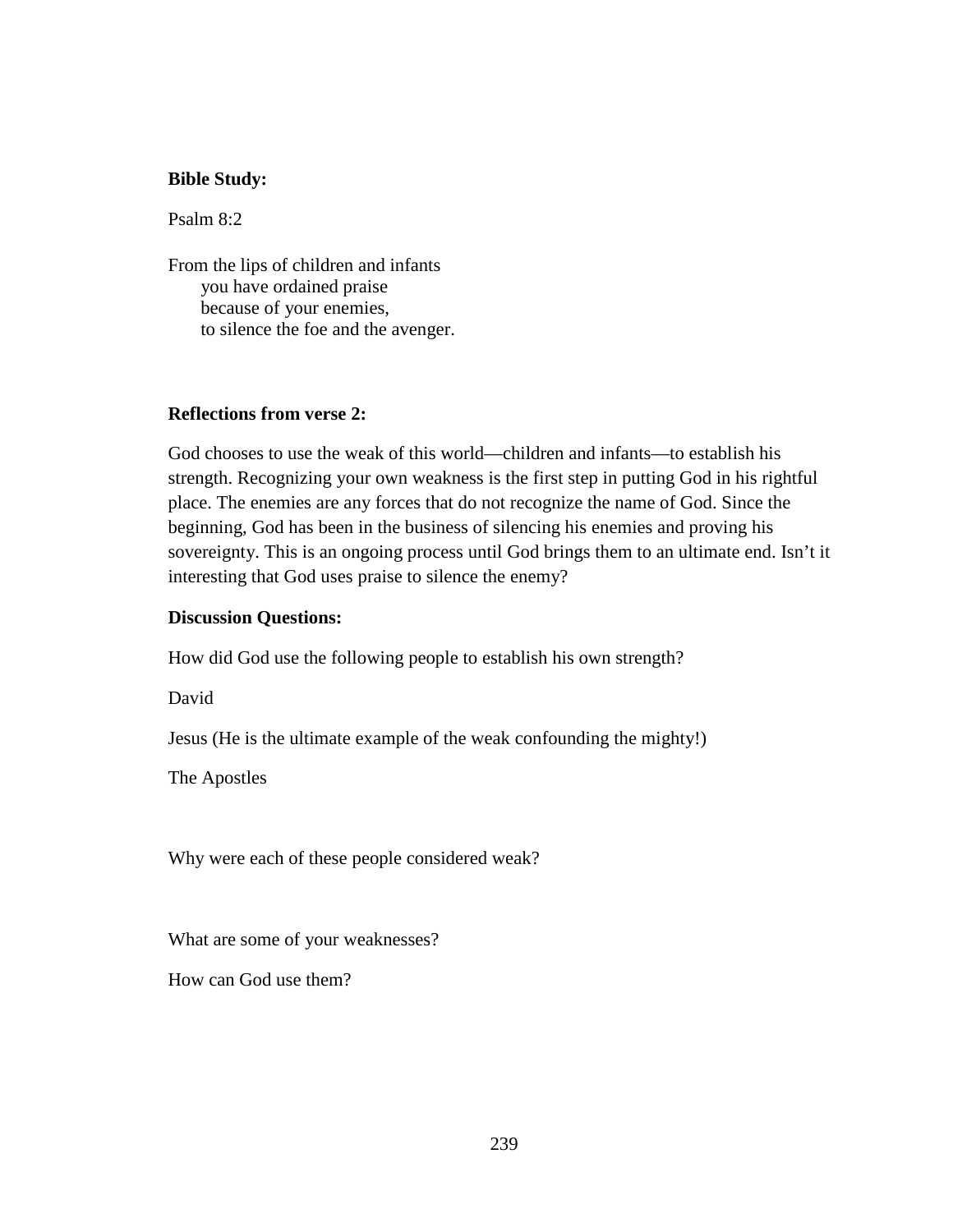#### **Bible Study:**

Psalm 8:2

From the lips of children and infants you have ordained praise because of your enemies, to silence the foe and the avenger.

#### **Reflections from verse 2:**

God chooses to use the weak of this world—children and infants—to establish his strength. Recognizing your own weakness is the first step in putting God in his rightful place. The enemies are any forces that do not recognize the name of God. Since the beginning, God has been in the business of silencing his enemies and proving his sovereignty. This is an ongoing process until God brings them to an ultimate end. Isn't it interesting that God uses praise to silence the enemy?

#### **Discussion Questions:**

How did God use the following people to establish his own strength?

David

Jesus (He is the ultimate example of the weak confounding the mighty!)

The Apostles

Why were each of these people considered weak?

What are some of your weaknesses?

How can God use them?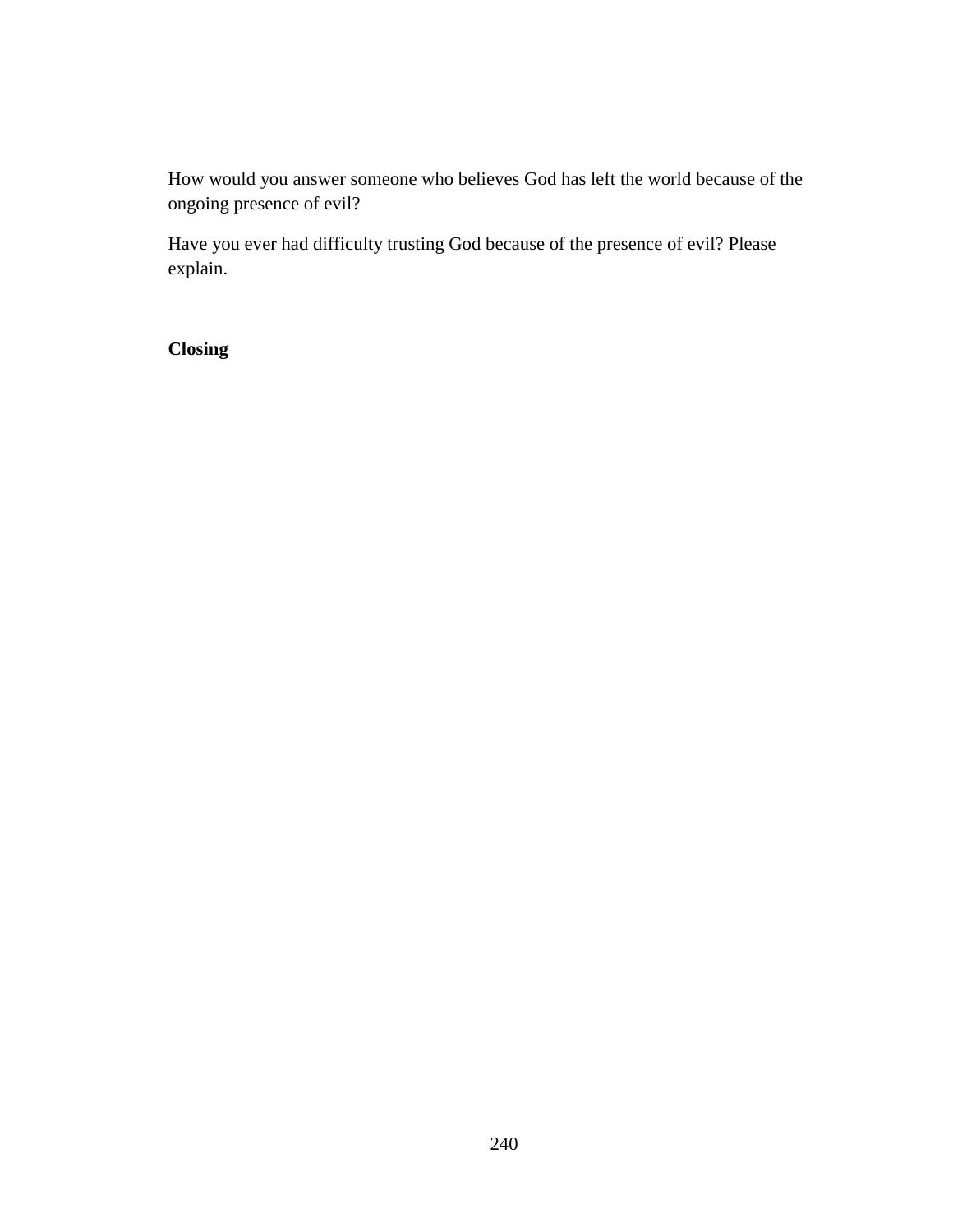How would you answer someone who believes God has left the world because of the ongoing presence of evil?

Have you ever had difficulty trusting God because of the presence of evil? Please explain.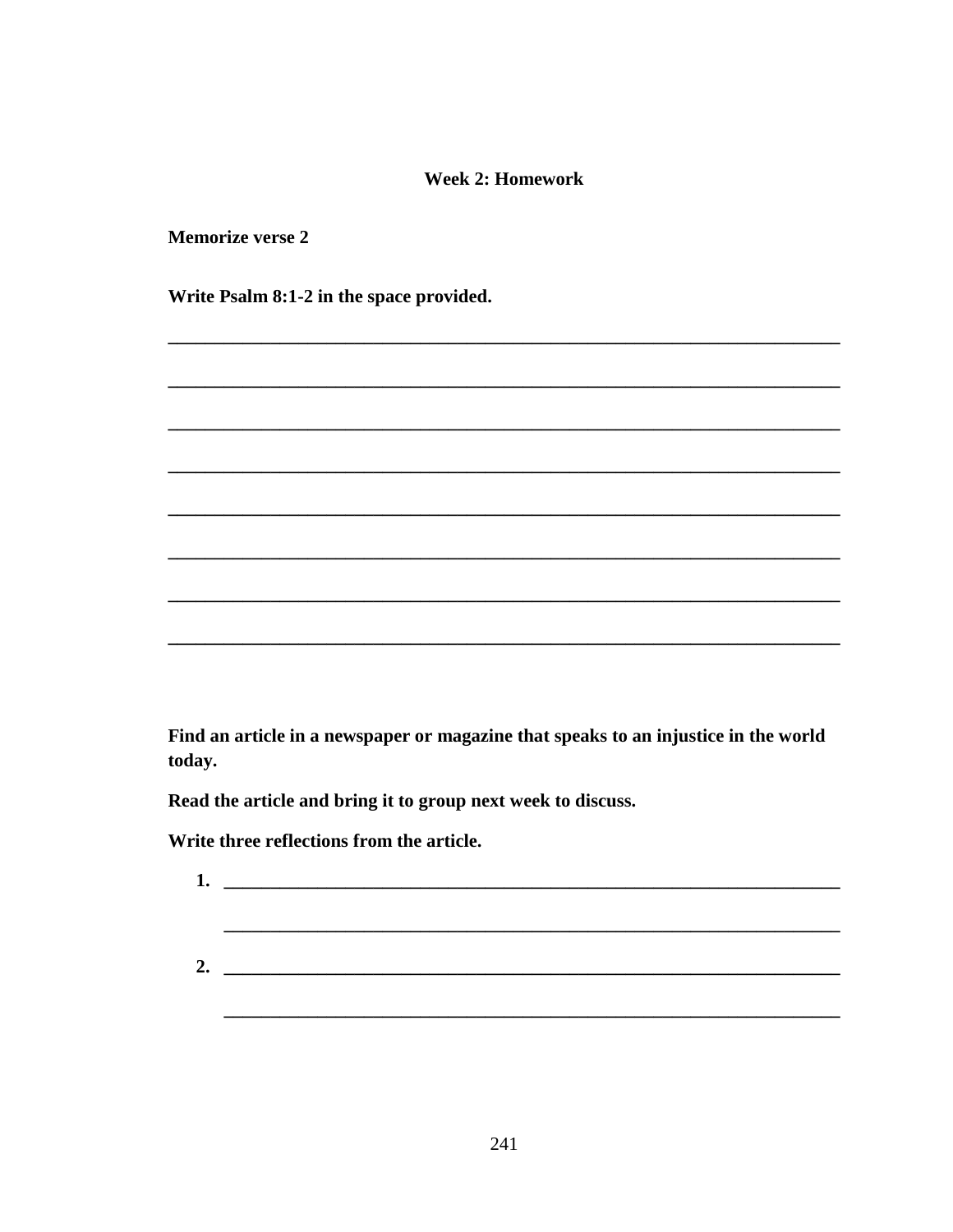### **Week 2: Homework**

**Memorize verse 2** 

Write Psalm 8:1-2 in the space provided.

Find an article in a newspaper or magazine that speaks to an injustice in the world today.

Read the article and bring it to group next week to discuss.

Write three reflections from the article.

| 1. | <u> 1980 - Jan Berlin, mars and der Stadt and der Stadt and der Stadt and der Stadt and der Stadt and der Stadt an</u> |  |  |
|----|------------------------------------------------------------------------------------------------------------------------|--|--|
|    |                                                                                                                        |  |  |
|    |                                                                                                                        |  |  |
| 2. |                                                                                                                        |  |  |
|    |                                                                                                                        |  |  |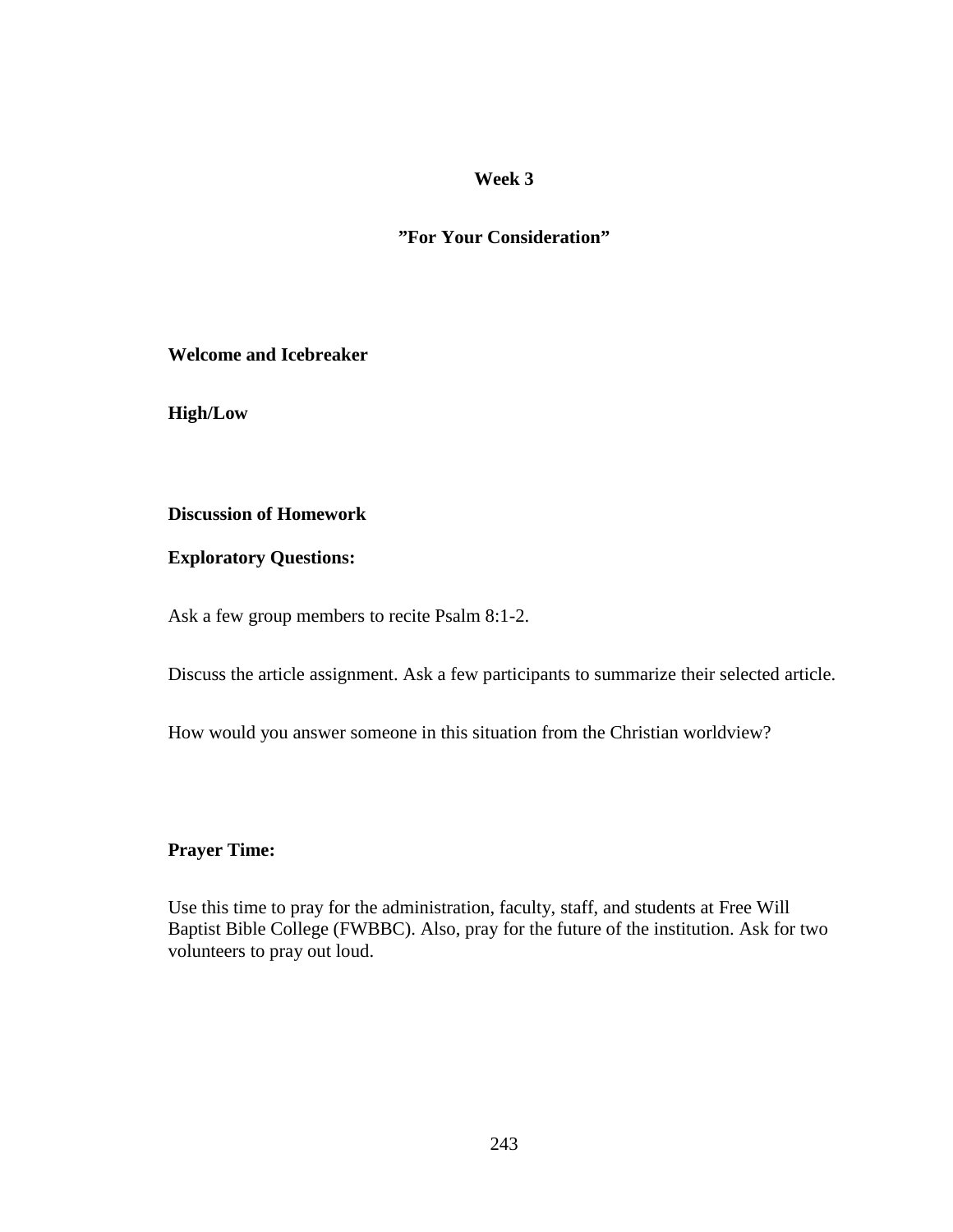**"For Your Consideration"** 

**Welcome and Icebreaker** 

**High/Low** 

#### **Discussion of Homework**

#### **Exploratory Questions:**

Ask a few group members to recite Psalm 8:1-2.

Discuss the article assignment. Ask a few participants to summarize their selected article.

How would you answer someone in this situation from the Christian worldview?

#### **Prayer Time:**

Use this time to pray for the administration, faculty, staff, and students at Free Will Baptist Bible College (FWBBC). Also, pray for the future of the institution. Ask for two volunteers to pray out loud.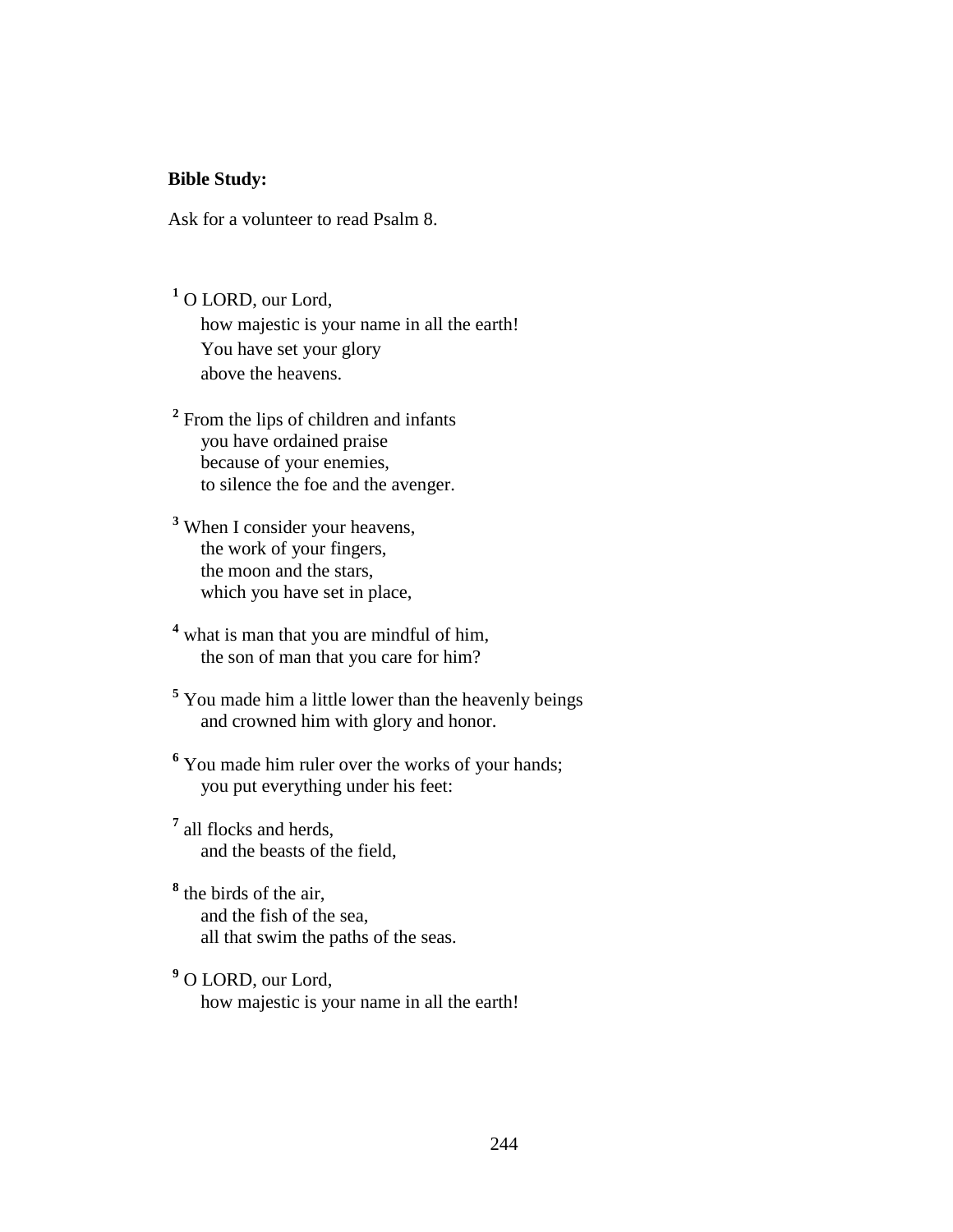#### **Bible Study:**

Ask for a volunteer to read Psalm 8.

**1** O LORD, our Lord, how majestic is your name in all the earth! You have set your glory above the heavens.

<sup>2</sup> From the lips of children and infants you have ordained praise because of your enemies, to silence the foe and the avenger.

- **3** When I consider your heavens, the work of your fingers, the moon and the stars, which you have set in place,
- <sup>4</sup> what is man that you are mindful of him, the son of man that you care for him?
- **5** You made him a little lower than the heavenly beings and crowned him with glory and honor.
- <sup>6</sup> You made him ruler over the works of your hands; you put everything under his feet:
- **7** all flocks and herds, and the beasts of the field,

**8** the birds of the air, and the fish of the sea, all that swim the paths of the seas.

**9** O LORD, our Lord, how majestic is your name in all the earth!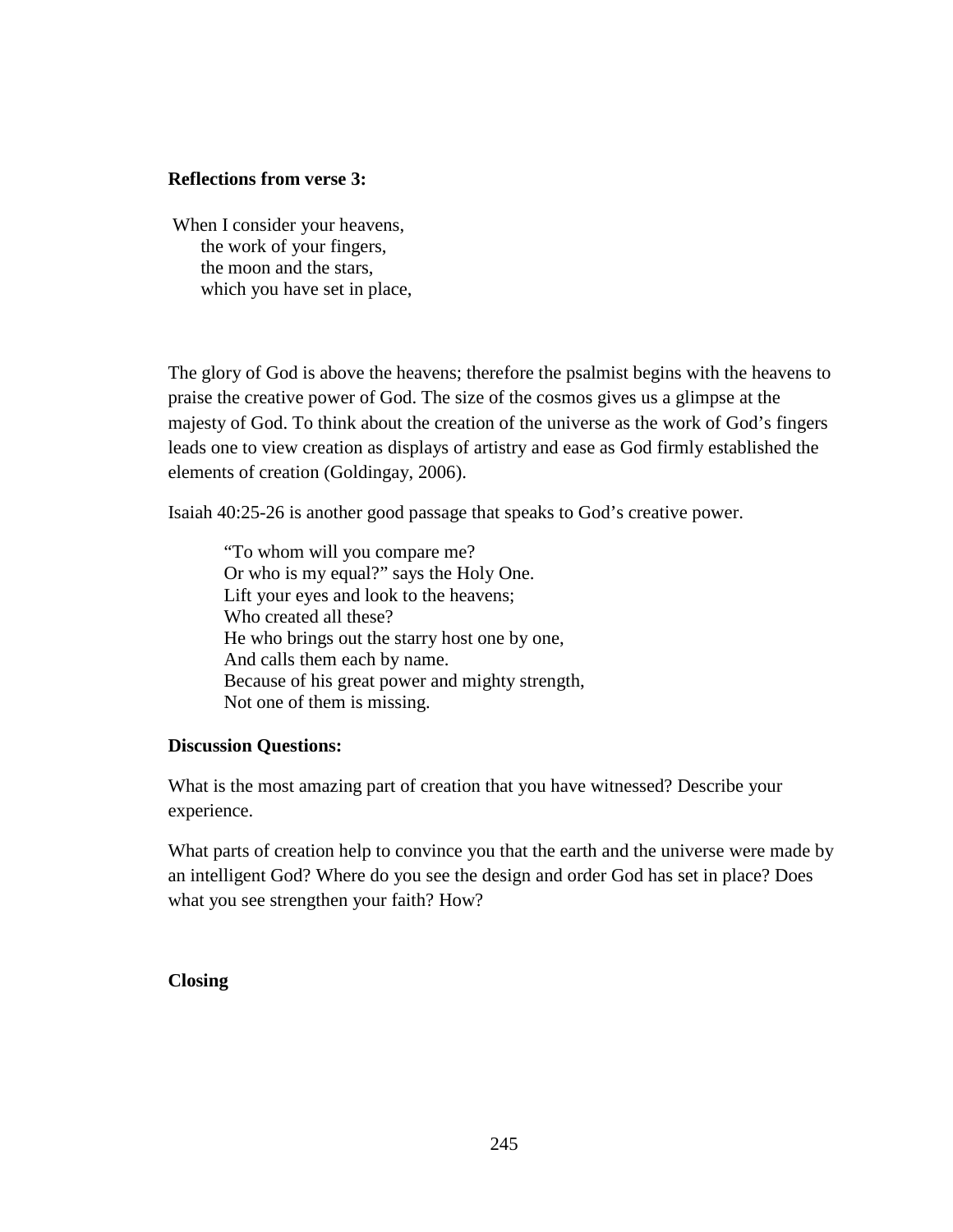#### **Reflections from verse 3:**

 When I consider your heavens, the work of your fingers, the moon and the stars, which you have set in place,

The glory of God is above the heavens; therefore the psalmist begins with the heavens to praise the creative power of God. The size of the cosmos gives us a glimpse at the majesty of God. To think about the creation of the universe as the work of God's fingers leads one to view creation as displays of artistry and ease as God firmly established the elements of creation (Goldingay, 2006).

Isaiah 40:25-26 is another good passage that speaks to God's creative power.

 "To whom will you compare me? Or who is my equal?" says the Holy One. Lift your eyes and look to the heavens; Who created all these? He who brings out the starry host one by one, And calls them each by name. Because of his great power and mighty strength, Not one of them is missing.

### **Discussion Questions:**

What is the most amazing part of creation that you have witnessed? Describe your experience.

What parts of creation help to convince you that the earth and the universe were made by an intelligent God? Where do you see the design and order God has set in place? Does what you see strengthen your faith? How?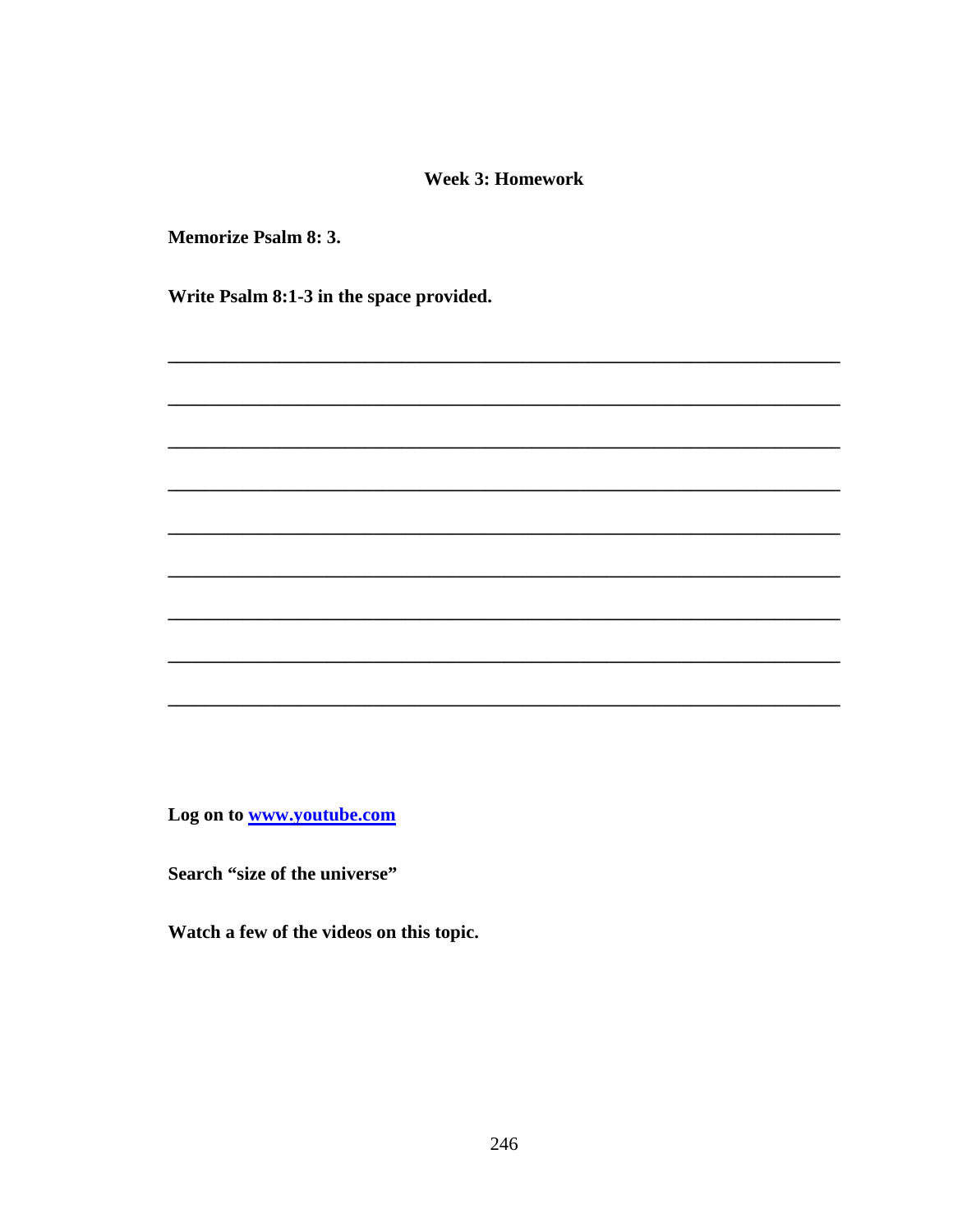#### **Week 3: Homework**

**Memorize Psalm 8: 3.** 

Write Psalm 8:1-3 in the space provided.

Log on to www.youtube.com

Search "size of the universe"

Watch a few of the videos on this topic.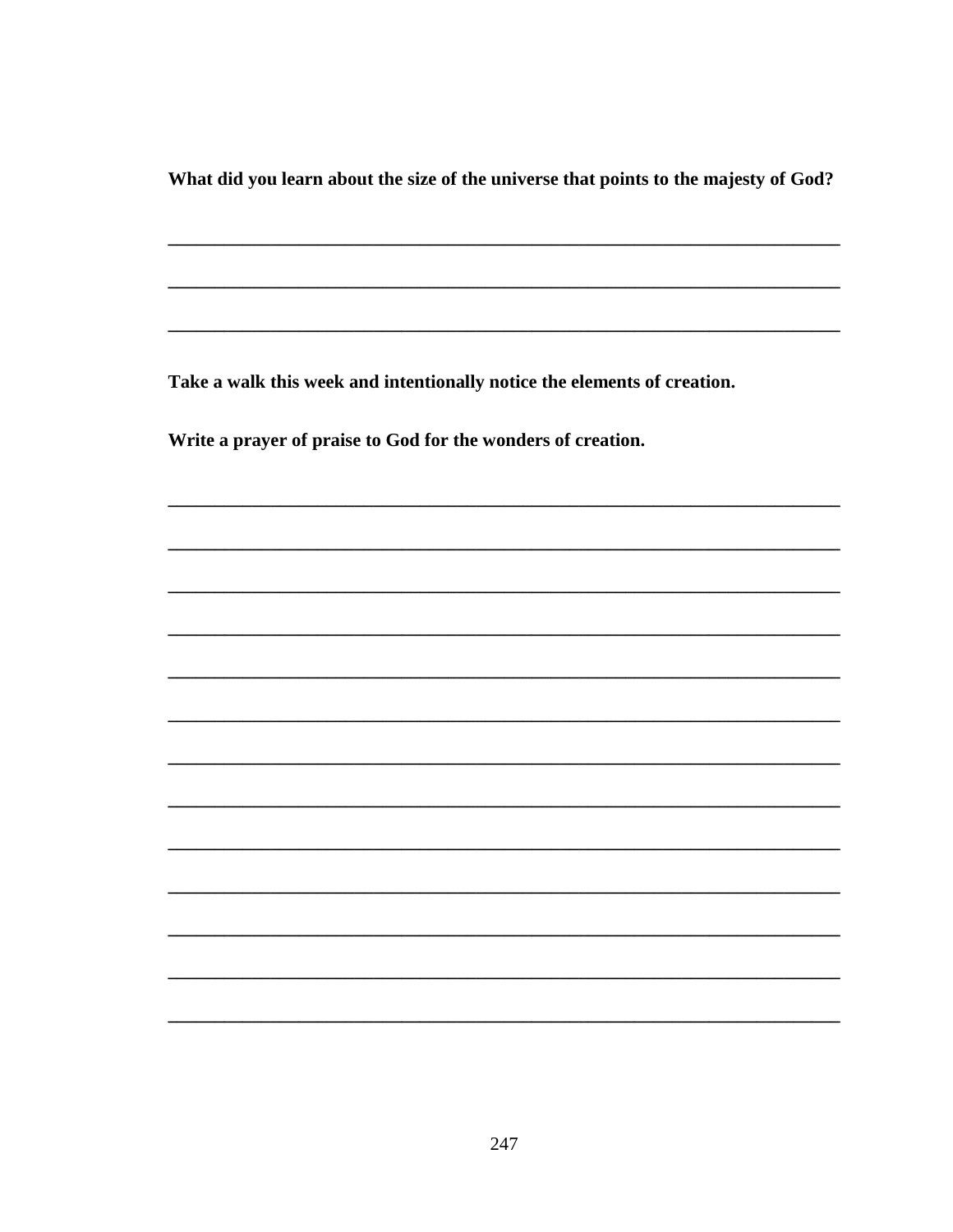What did you learn about the size of the universe that points to the majesty of God?

Take a walk this week and intentionally notice the elements of creation.

Write a prayer of praise to God for the wonders of creation.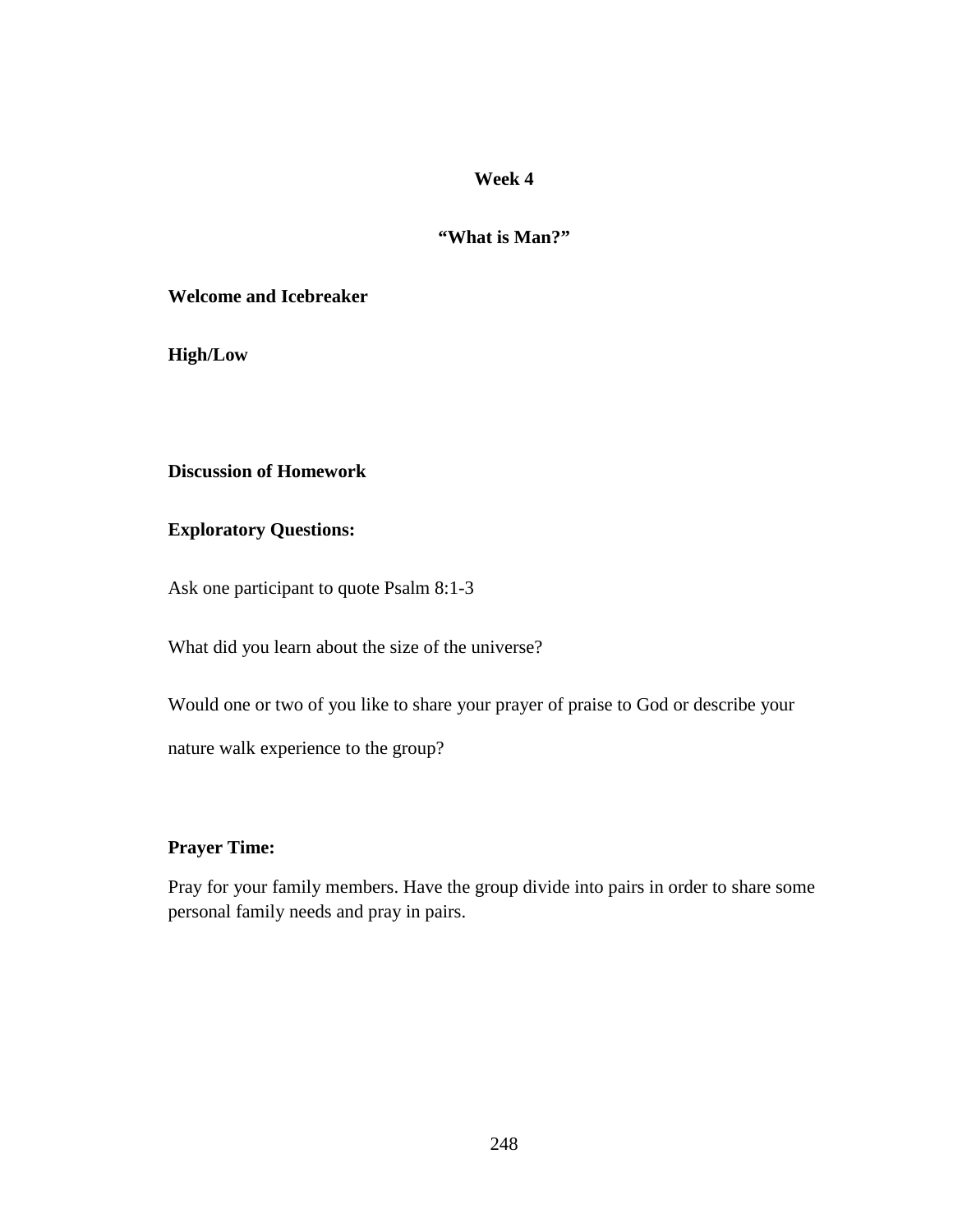# **"What is Man?"**

#### **Welcome and Icebreaker**

**High/Low** 

# **Discussion of Homework**

### **Exploratory Questions:**

Ask one participant to quote Psalm 8:1-3

What did you learn about the size of the universe?

Would one or two of you like to share your prayer of praise to God or describe your

nature walk experience to the group?

## **Prayer Time:**

Pray for your family members. Have the group divide into pairs in order to share some personal family needs and pray in pairs.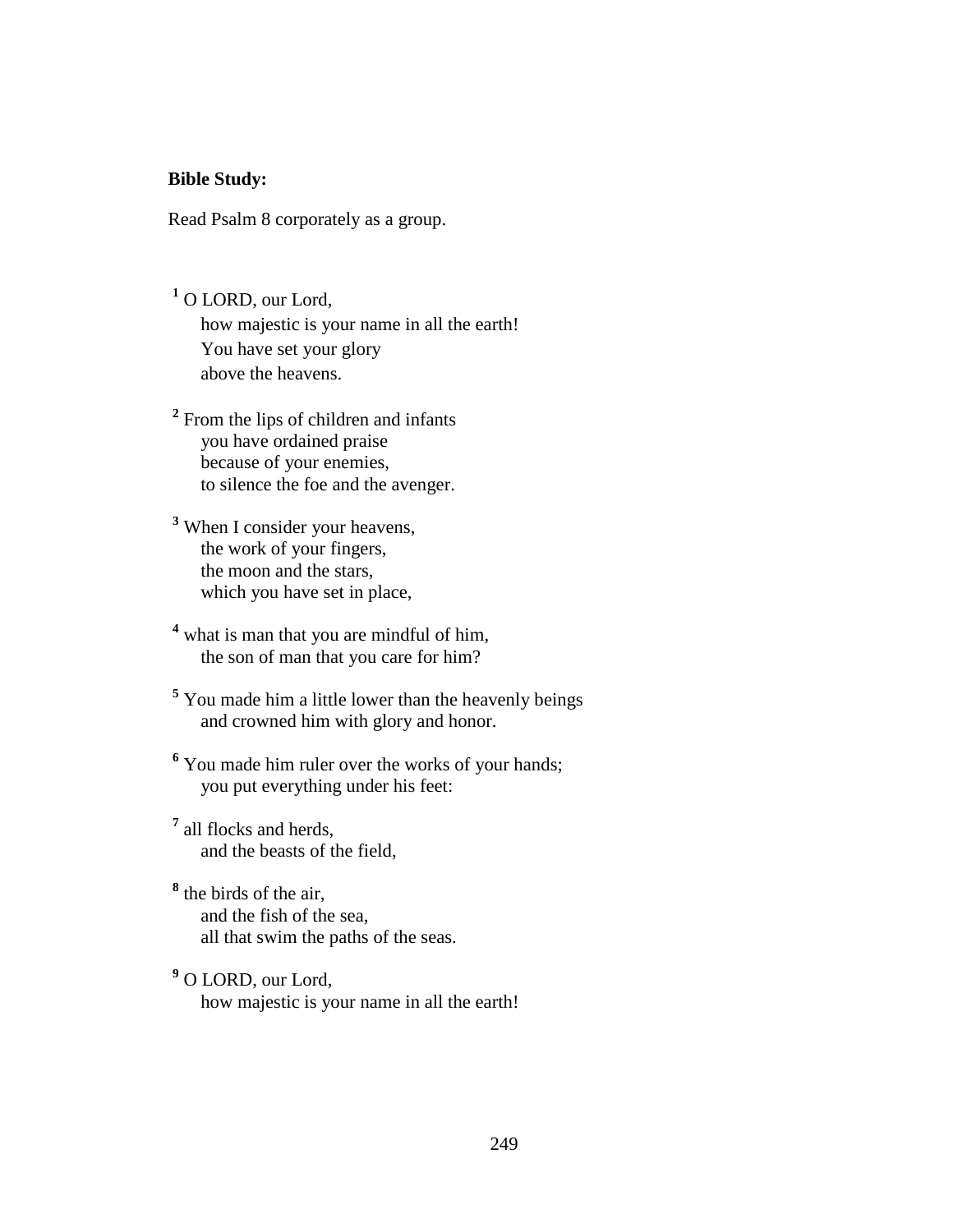#### **Bible Study:**

Read Psalm 8 corporately as a group.

- **1** O LORD, our Lord, how majestic is your name in all the earth! You have set your glory above the heavens.
- <sup>2</sup> From the lips of children and infants you have ordained praise because of your enemies, to silence the foe and the avenger.
- **3** When I consider your heavens, the work of your fingers, the moon and the stars, which you have set in place,
- <sup>4</sup> what is man that you are mindful of him, the son of man that you care for him?
- **5** You made him a little lower than the heavenly beings and crowned him with glory and honor.
- <sup>6</sup> You made him ruler over the works of your hands; you put everything under his feet:
- **7** all flocks and herds, and the beasts of the field,
- **8** the birds of the air, and the fish of the sea, all that swim the paths of the seas.
- **9** O LORD, our Lord, how majestic is your name in all the earth!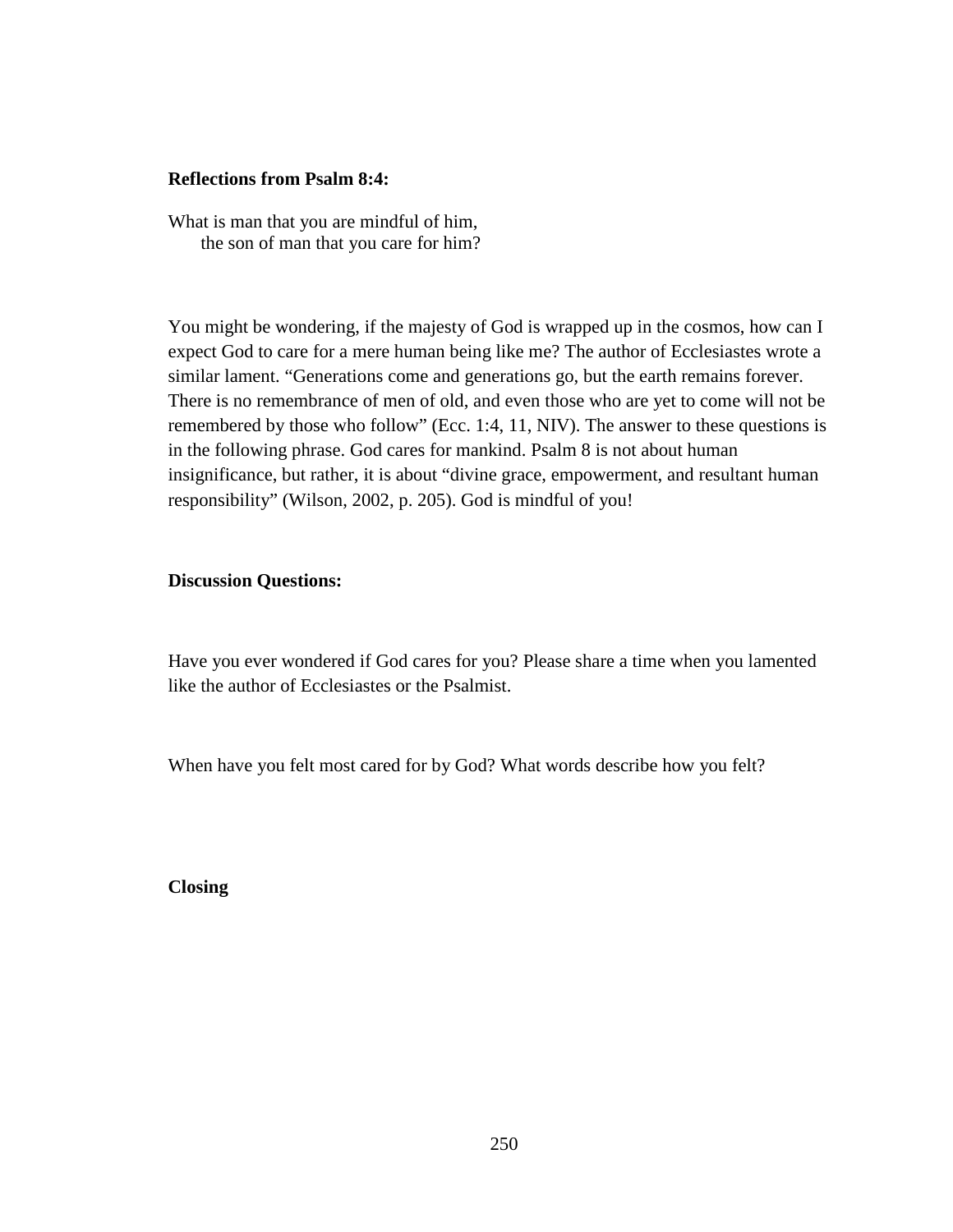#### **Reflections from Psalm 8:4:**

What is man that you are mindful of him, the son of man that you care for him?

You might be wondering, if the majesty of God is wrapped up in the cosmos, how can I expect God to care for a mere human being like me? The author of Ecclesiastes wrote a similar lament. "Generations come and generations go, but the earth remains forever. There is no remembrance of men of old, and even those who are yet to come will not be remembered by those who follow" (Ecc. 1:4, 11, NIV). The answer to these questions is in the following phrase. God cares for mankind. Psalm 8 is not about human insignificance, but rather, it is about "divine grace, empowerment, and resultant human responsibility" (Wilson, 2002, p. 205). God is mindful of you!

#### **Discussion Questions:**

Have you ever wondered if God cares for you? Please share a time when you lamented like the author of Ecclesiastes or the Psalmist.

When have you felt most cared for by God? What words describe how you felt?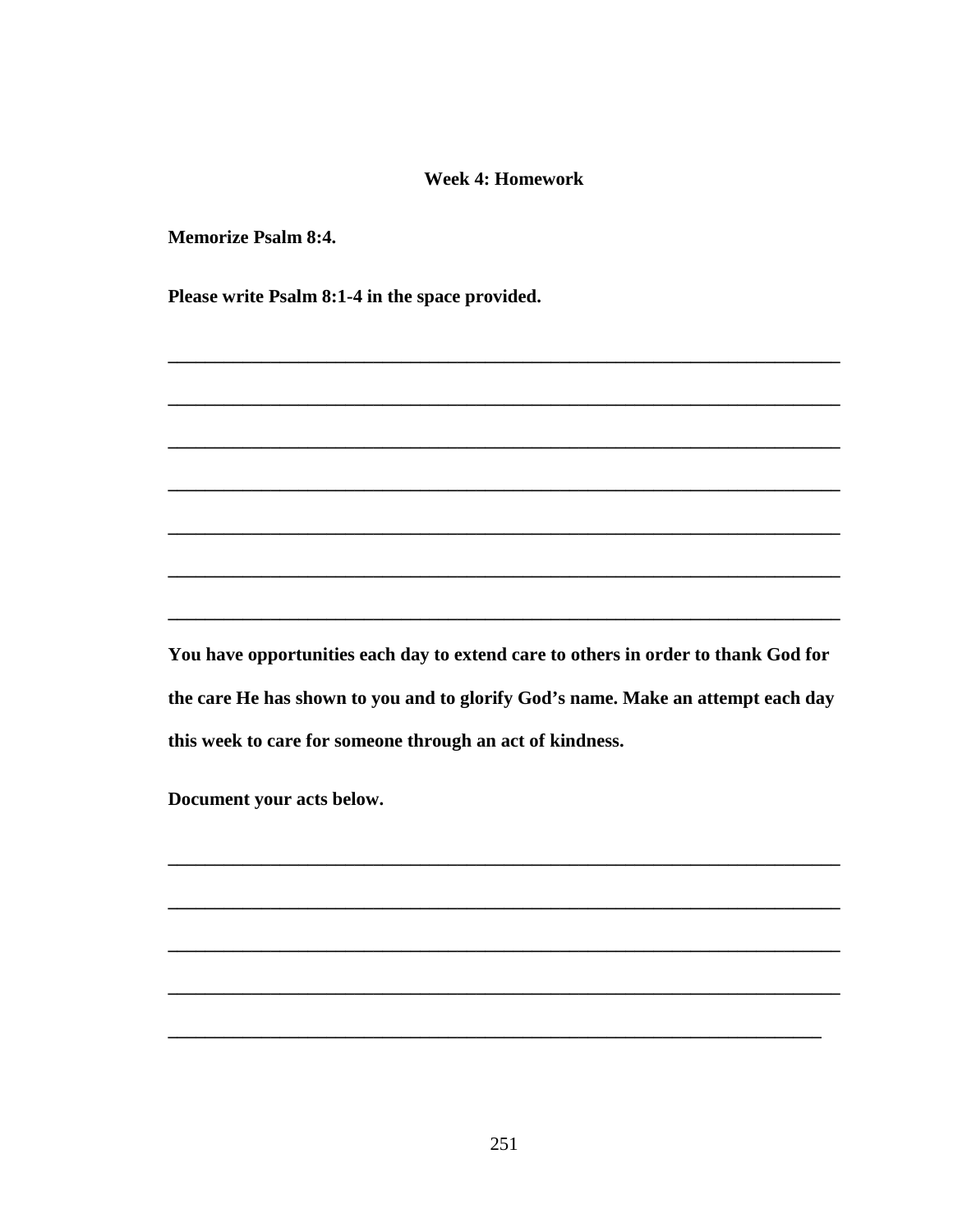#### **Week 4: Homework**

**Memorize Psalm 8:4.** 

Please write Psalm 8:1-4 in the space provided.

You have opportunities each day to extend care to others in order to thank God for the care He has shown to you and to glorify God's name. Make an attempt each day this week to care for someone through an act of kindness.

 $\overline{\phantom{0}}$ 

Document your acts below.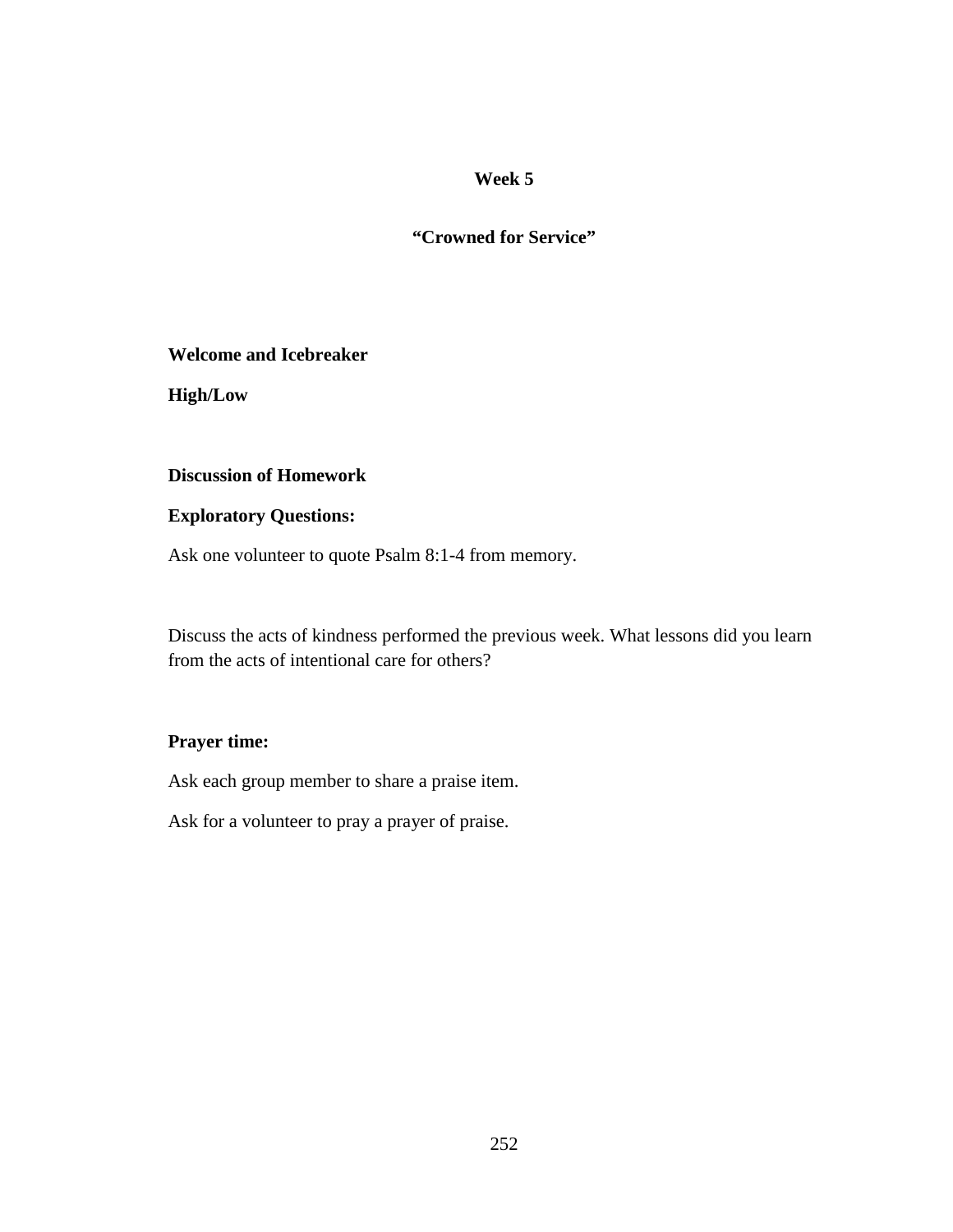**"Crowned for Service"** 

#### **Welcome and Icebreaker**

**High/Low** 

# **Discussion of Homework**

### **Exploratory Questions:**

Ask one volunteer to quote Psalm 8:1-4 from memory.

Discuss the acts of kindness performed the previous week. What lessons did you learn from the acts of intentional care for others?

### **Prayer time:**

Ask each group member to share a praise item.

Ask for a volunteer to pray a prayer of praise.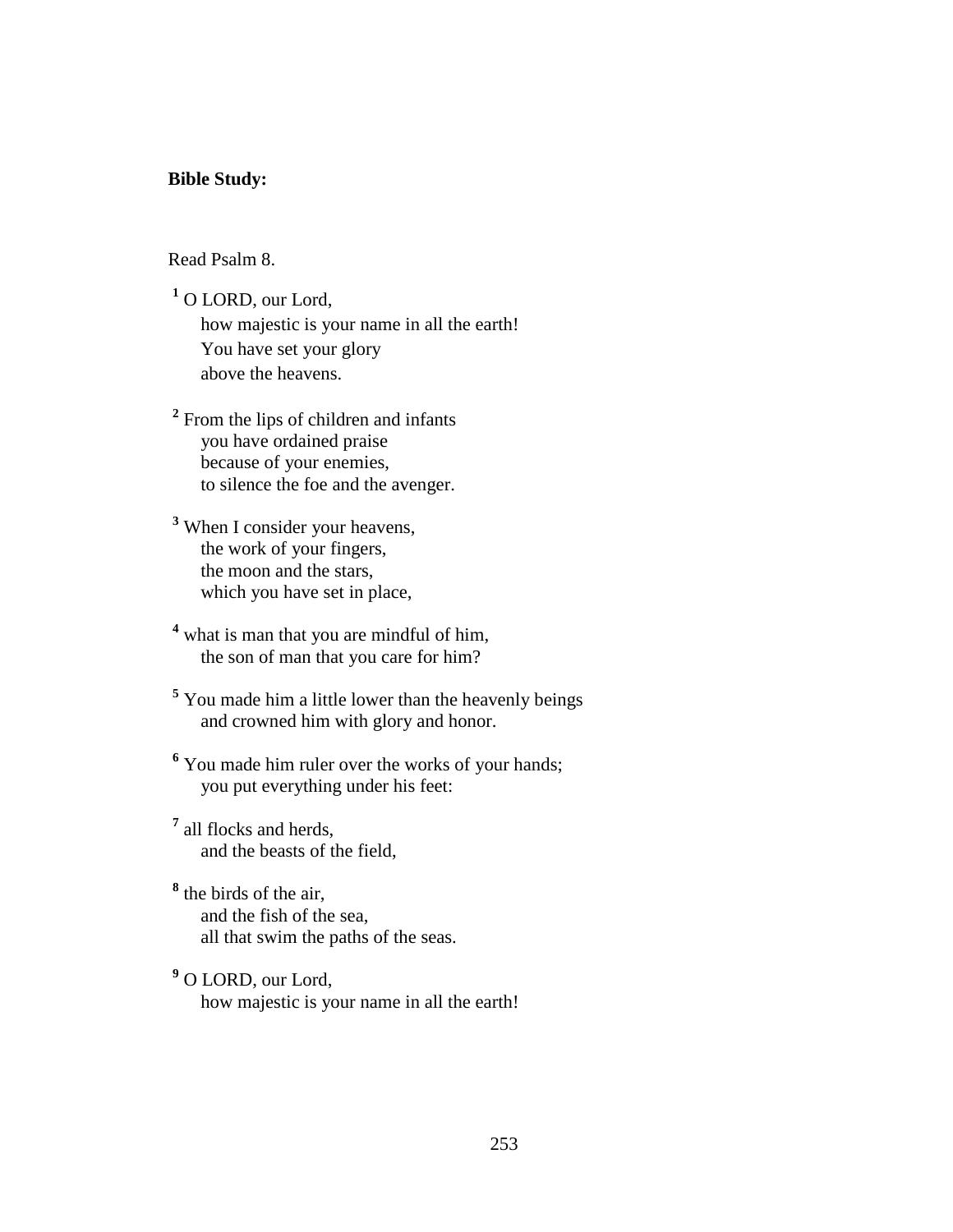#### **Bible Study:**

### Read Psalm 8.

**1** O LORD, our Lord, how majestic is your name in all the earth! You have set your glory above the heavens.

<sup>2</sup> From the lips of children and infants you have ordained praise because of your enemies, to silence the foe and the avenger.

**3** When I consider your heavens, the work of your fingers, the moon and the stars, which you have set in place,

<sup>4</sup> what is man that you are mindful of him, the son of man that you care for him?

**5** You made him a little lower than the heavenly beings and crowned him with glory and honor.

<sup>6</sup> You made him ruler over the works of your hands; you put everything under his feet:

**7** all flocks and herds, and the beasts of the field,

**8** the birds of the air, and the fish of the sea, all that swim the paths of the seas.

**9** O LORD, our Lord, how majestic is your name in all the earth!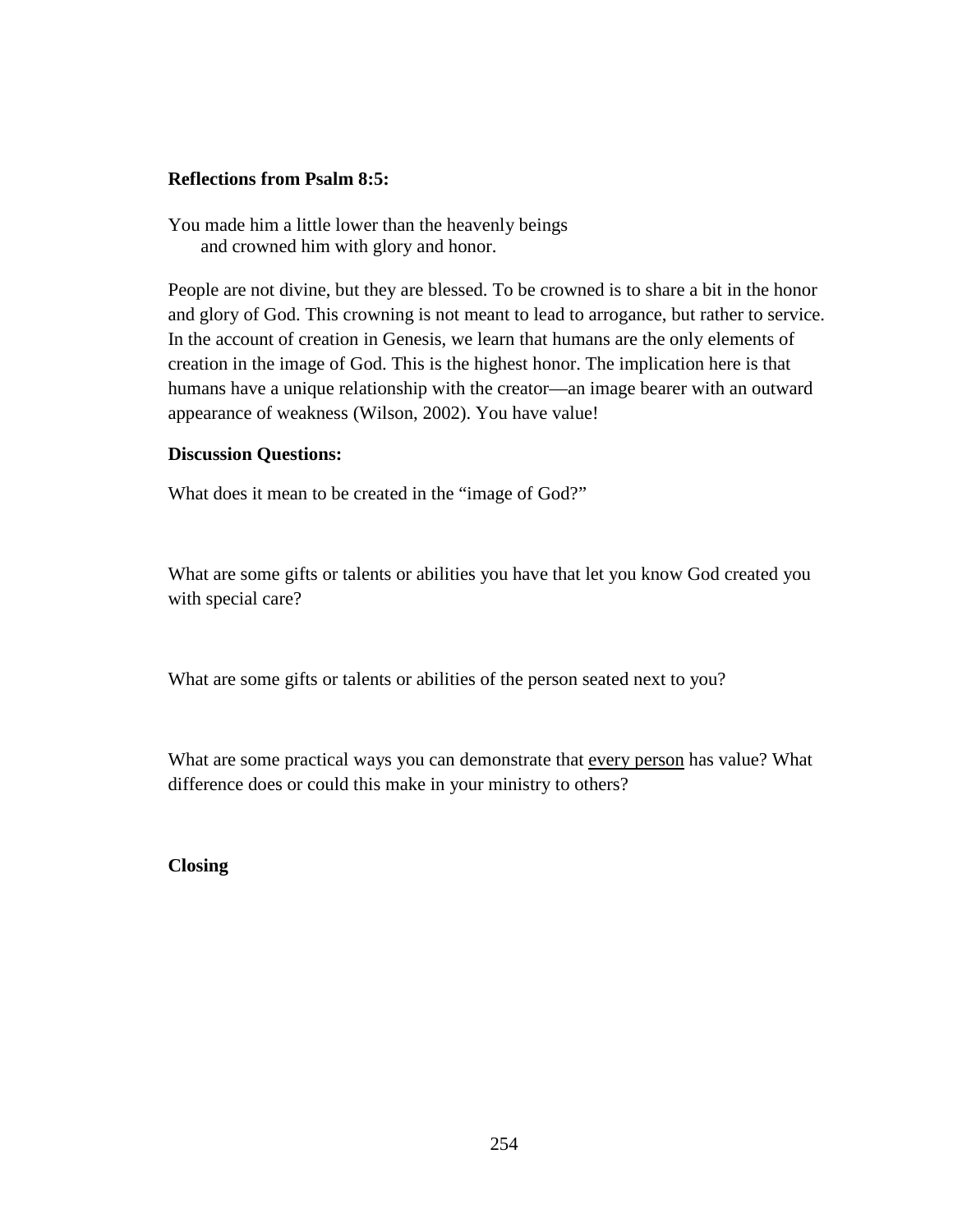### **Reflections from Psalm 8:5:**

You made him a little lower than the heavenly beings and crowned him with glory and honor.

People are not divine, but they are blessed. To be crowned is to share a bit in the honor and glory of God. This crowning is not meant to lead to arrogance, but rather to service. In the account of creation in Genesis, we learn that humans are the only elements of creation in the image of God. This is the highest honor. The implication here is that humans have a unique relationship with the creator—an image bearer with an outward appearance of weakness (Wilson, 2002). You have value!

### **Discussion Questions:**

What does it mean to be created in the "image of God?"

What are some gifts or talents or abilities you have that let you know God created you with special care?

What are some gifts or talents or abilities of the person seated next to you?

What are some practical ways you can demonstrate that every person has value? What difference does or could this make in your ministry to others?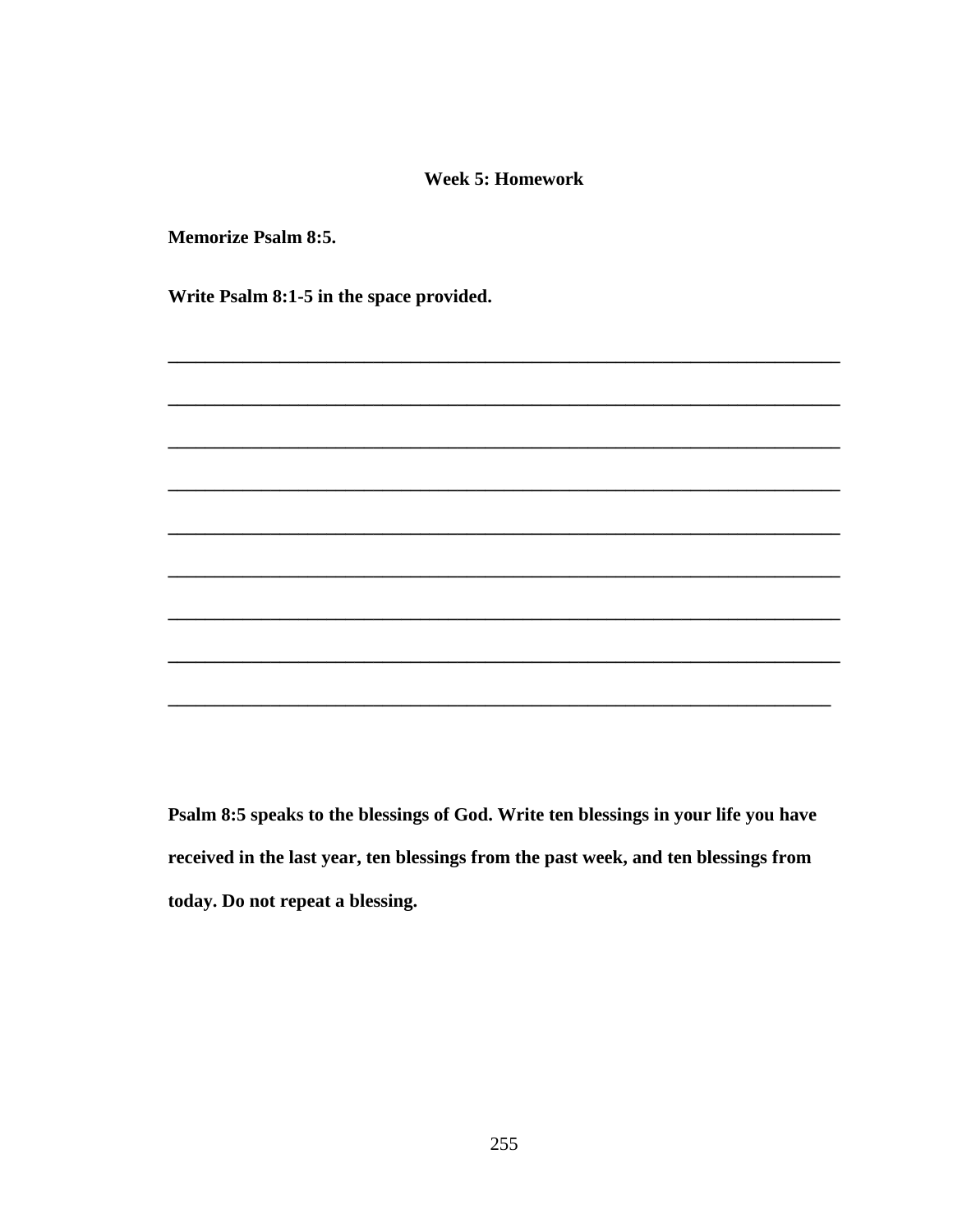#### **Week 5: Homework**

**Memorize Psalm 8:5.** 

Write Psalm 8:1-5 in the space provided.

Psalm 8:5 speaks to the blessings of God. Write ten blessings in your life you have received in the last year, ten blessings from the past week, and ten blessings from today. Do not repeat a blessing.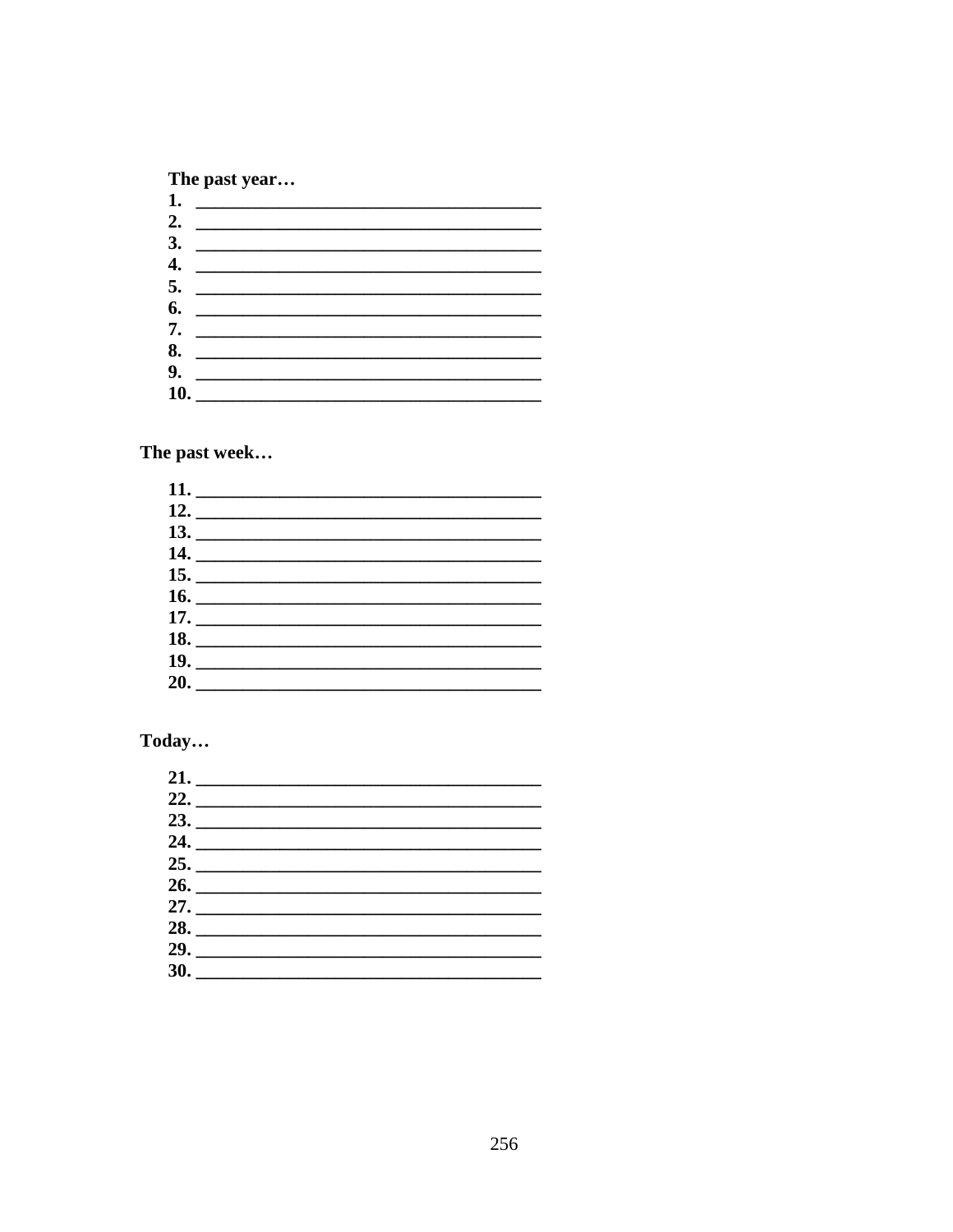# The past year...

| 2. $\qquad \qquad$ |
|--------------------|
|                    |
| $\frac{3}{2}$      |
|                    |
|                    |
|                    |
|                    |
|                    |
| 8.                 |
|                    |
|                    |
|                    |

The past week...

| 18. |  |  |
|-----|--|--|
|     |  |  |
|     |  |  |
|     |  |  |

# Today...

| 24.                 |  | <u> 1990 - John Barn Barn, amerikansk politiker</u>                     |
|---------------------|--|-------------------------------------------------------------------------|
|                     |  | <u> 1989 - Andrea State Barbara, president a la provincia del conte</u> |
|                     |  |                                                                         |
|                     |  |                                                                         |
| 28. $\qquad \qquad$ |  |                                                                         |
|                     |  |                                                                         |
|                     |  |                                                                         |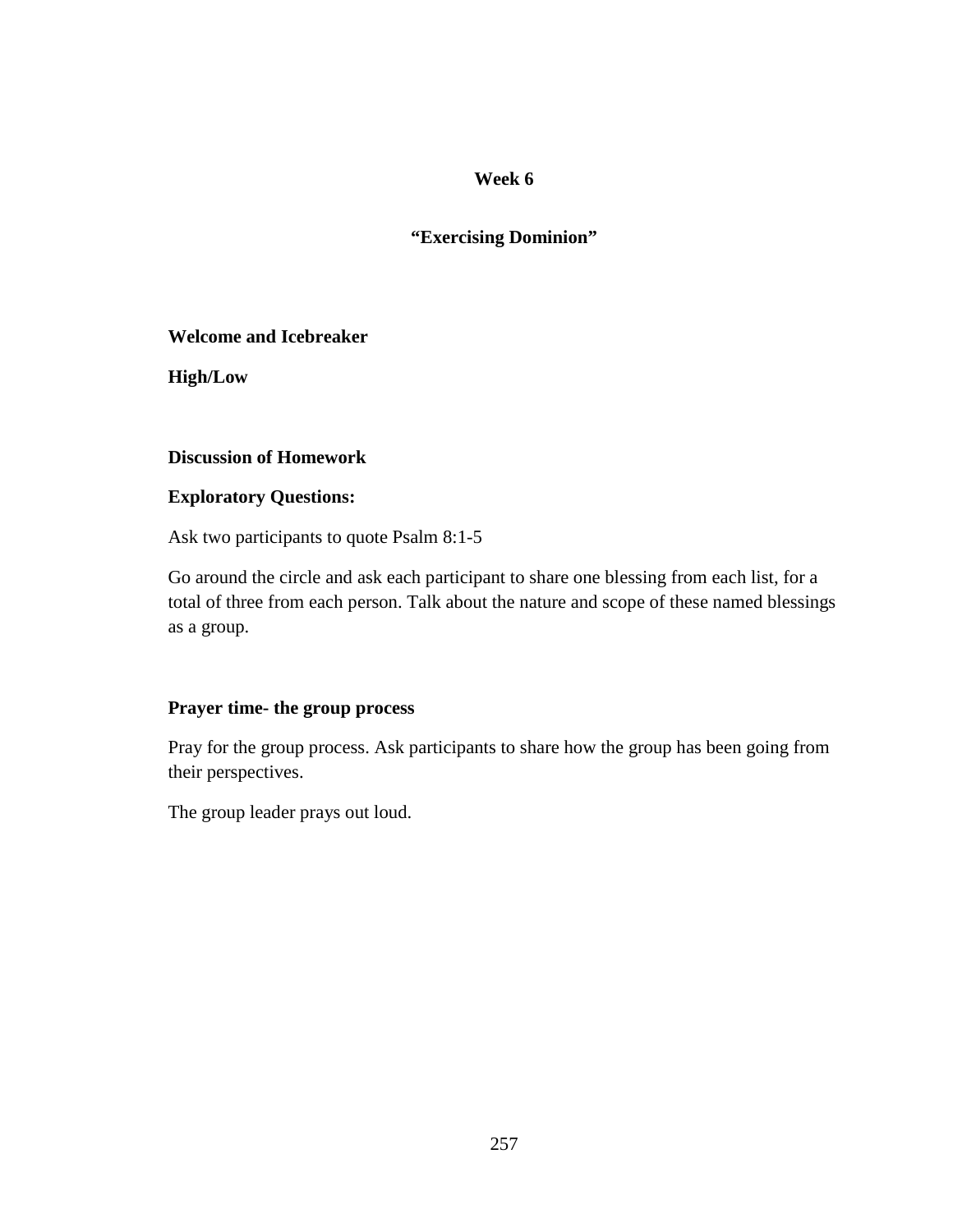# **"Exercising Dominion"**

**Welcome and Icebreaker** 

**High/Low** 

### **Discussion of Homework**

# **Exploratory Questions:**

Ask two participants to quote Psalm 8:1-5

Go around the circle and ask each participant to share one blessing from each list, for a total of three from each person. Talk about the nature and scope of these named blessings as a group.

# **Prayer time- the group process**

Pray for the group process. Ask participants to share how the group has been going from their perspectives.

The group leader prays out loud.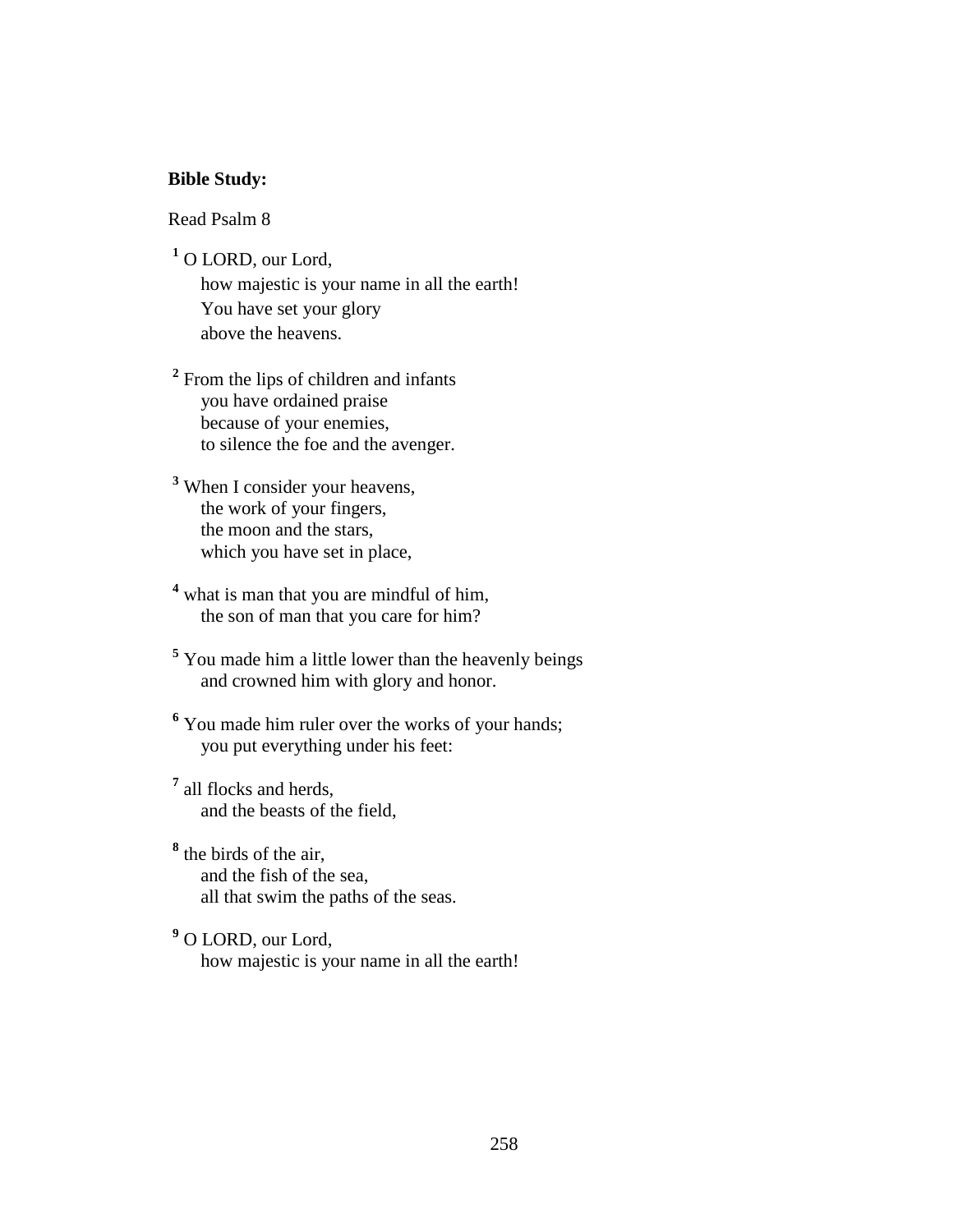#### **Bible Study:**

Read Psalm 8

**1** O LORD, our Lord,

 how majestic is your name in all the earth! You have set your glory above the heavens.

<sup>2</sup> From the lips of children and infants you have ordained praise because of your enemies, to silence the foe and the avenger.

- **3** When I consider your heavens, the work of your fingers, the moon and the stars, which you have set in place,
- <sup>4</sup> what is man that you are mindful of him, the son of man that you care for him?
- **5** You made him a little lower than the heavenly beings and crowned him with glory and honor.
- <sup>6</sup> You made him ruler over the works of your hands; you put everything under his feet:
- **7** all flocks and herds, and the beasts of the field,
- **8** the birds of the air, and the fish of the sea, all that swim the paths of the seas.
- **9** O LORD, our Lord, how majestic is your name in all the earth!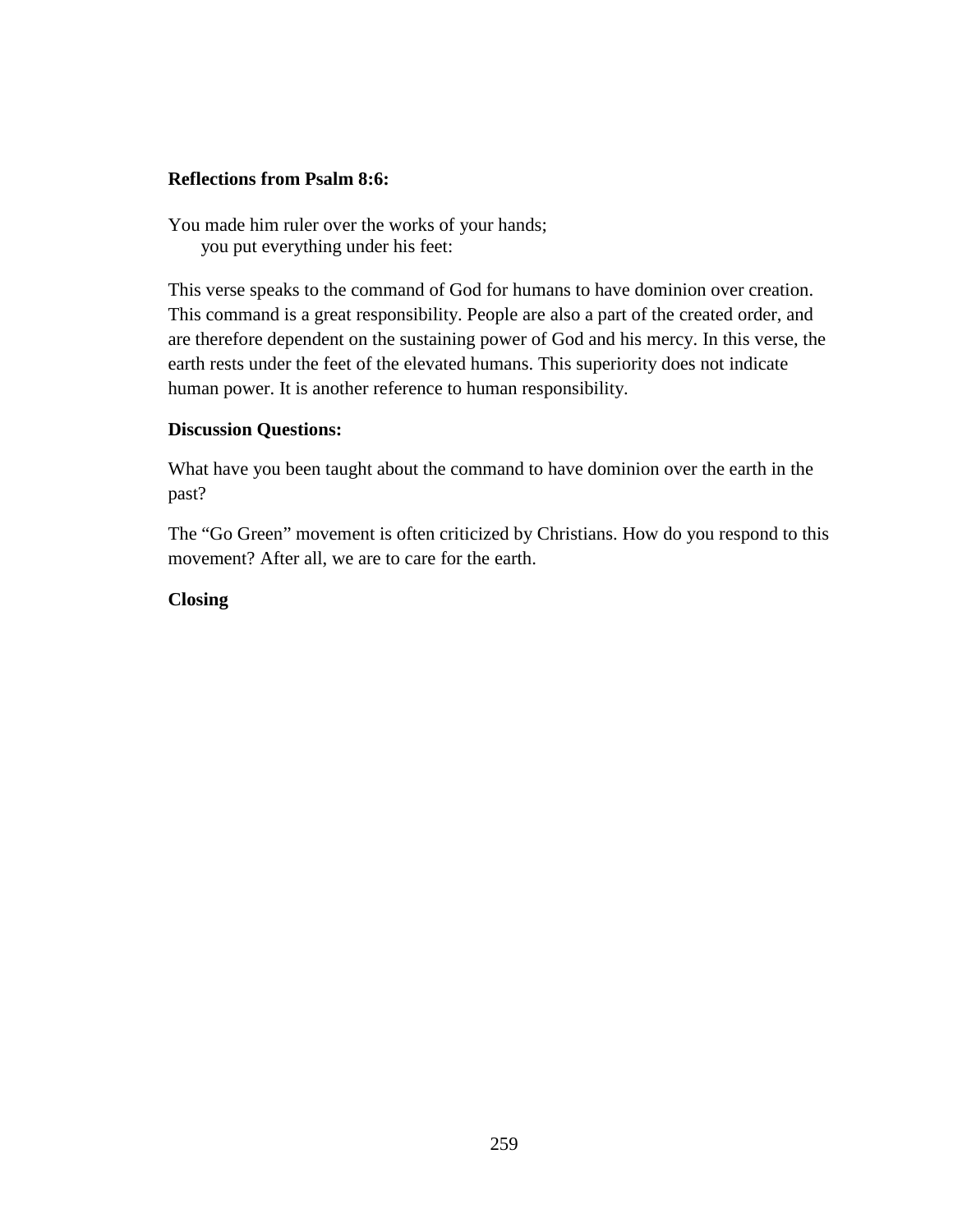## **Reflections from Psalm 8:6:**

You made him ruler over the works of your hands; you put everything under his feet:

This verse speaks to the command of God for humans to have dominion over creation. This command is a great responsibility. People are also a part of the created order, and are therefore dependent on the sustaining power of God and his mercy. In this verse, the earth rests under the feet of the elevated humans. This superiority does not indicate human power. It is another reference to human responsibility.

### **Discussion Questions:**

What have you been taught about the command to have dominion over the earth in the past?

The "Go Green" movement is often criticized by Christians. How do you respond to this movement? After all, we are to care for the earth.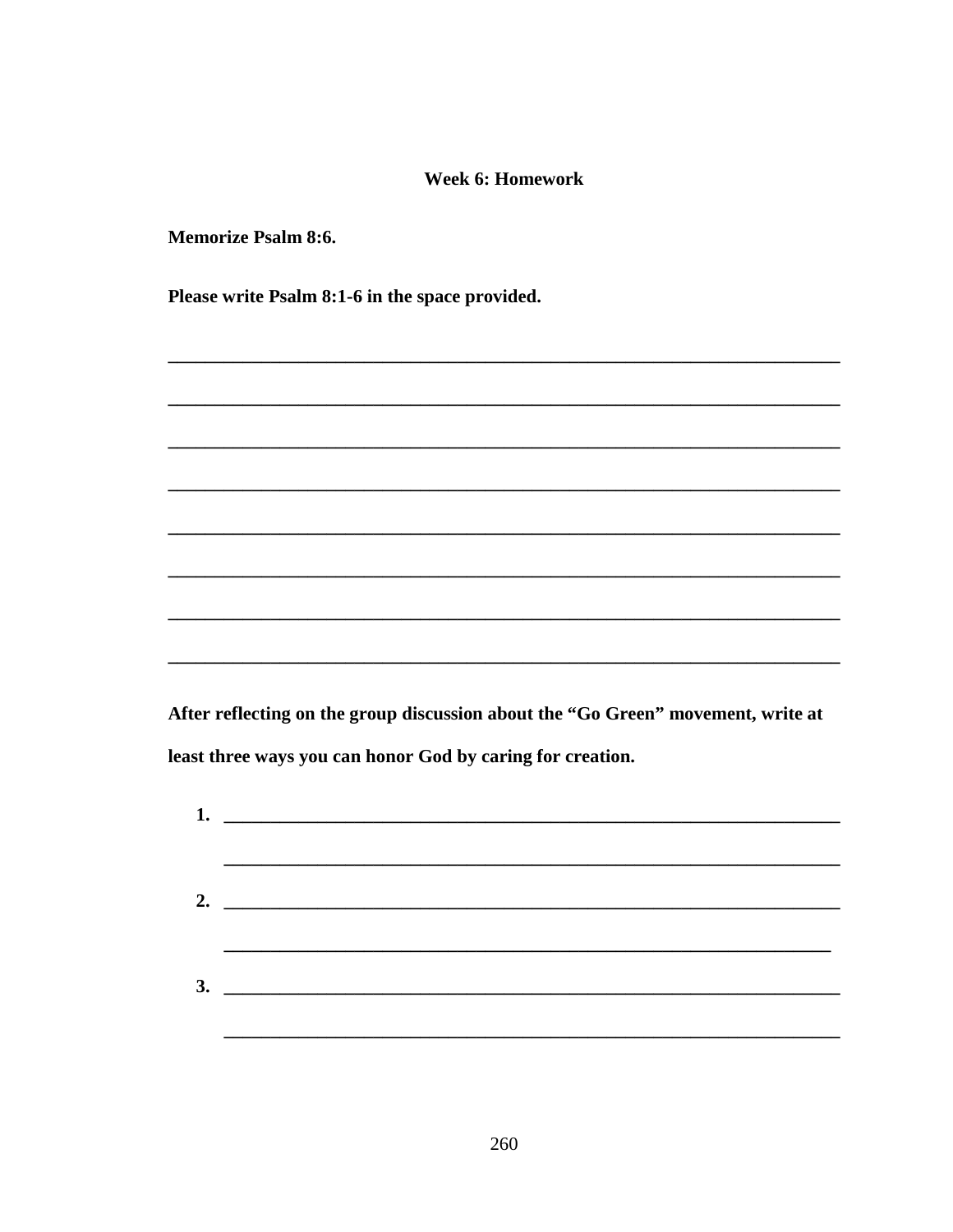#### **Week 6: Homework**

**Memorize Psalm 8:6.** 

Please write Psalm 8:1-6 in the space provided.

After reflecting on the group discussion about the "Go Green" movement, write at least three ways you can honor God by caring for creation.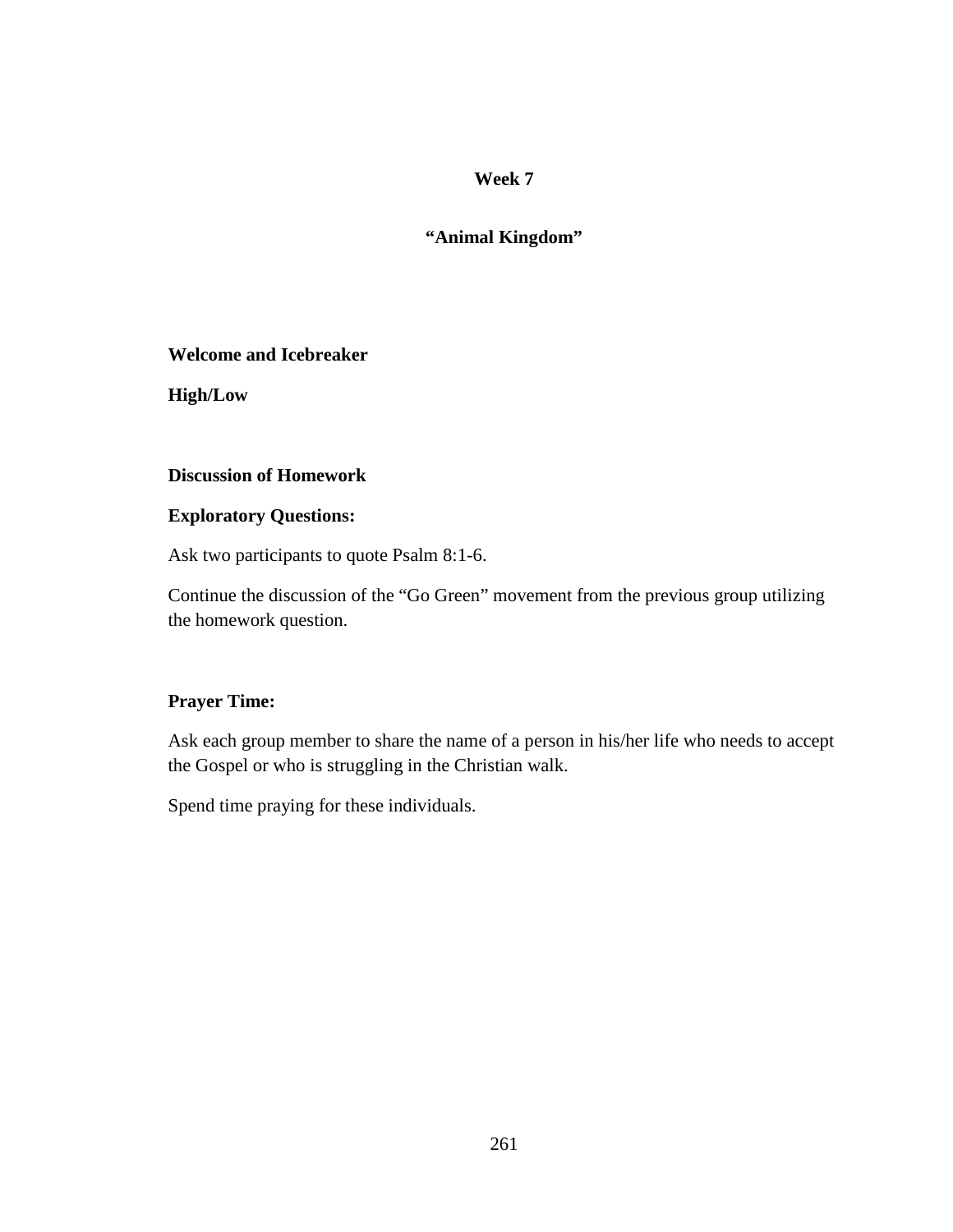# **"Animal Kingdom"**

### **Welcome and Icebreaker**

**High/Low** 

# **Discussion of Homework**

# **Exploratory Questions:**

Ask two participants to quote Psalm 8:1-6.

Continue the discussion of the "Go Green" movement from the previous group utilizing the homework question.

# **Prayer Time:**

Ask each group member to share the name of a person in his/her life who needs to accept the Gospel or who is struggling in the Christian walk.

Spend time praying for these individuals.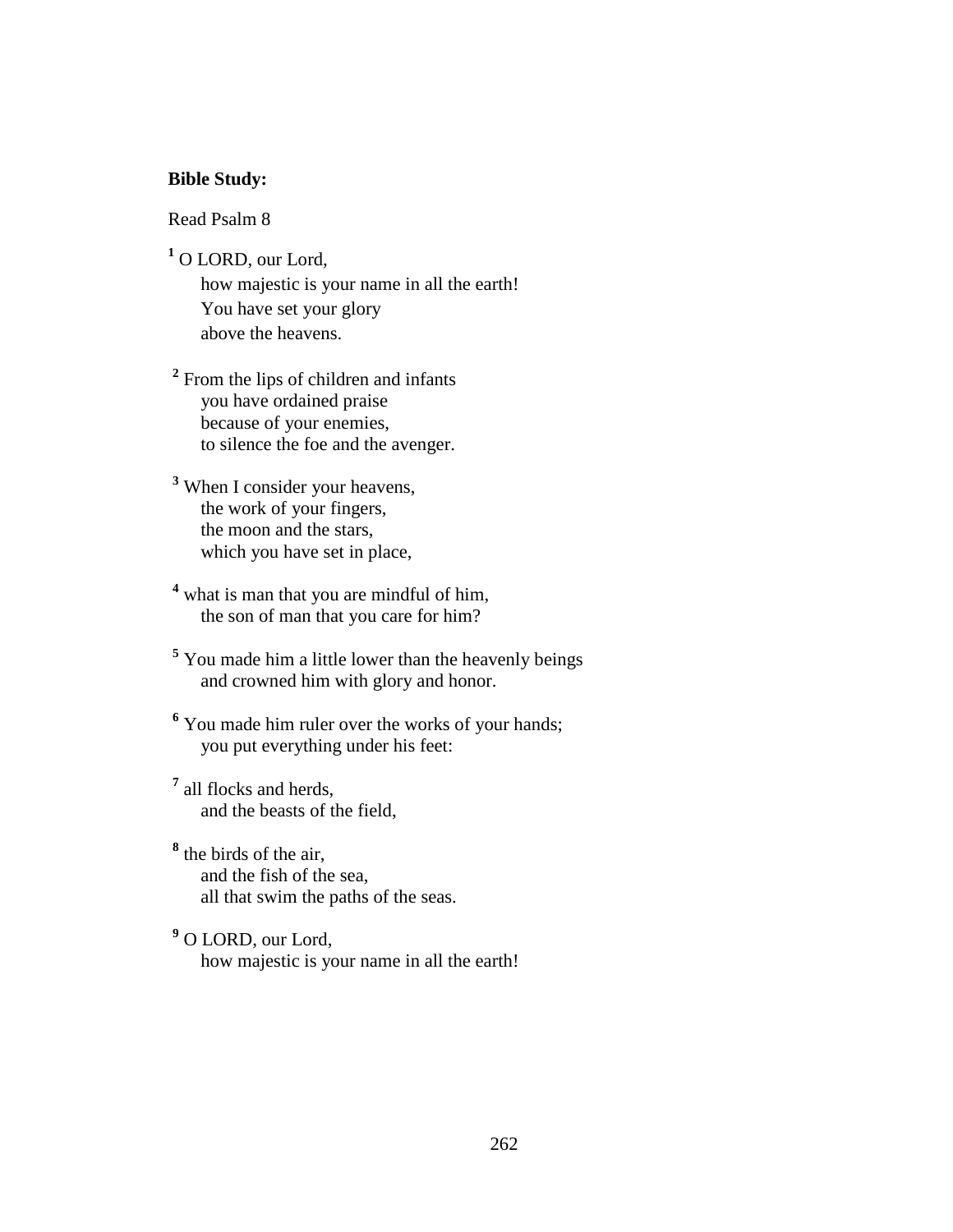#### **Bible Study:**

Read Psalm 8

**1** O LORD, our Lord,

 how majestic is your name in all the earth! You have set your glory above the heavens.

<sup>2</sup> From the lips of children and infants you have ordained praise because of your enemies, to silence the foe and the avenger.

- **3** When I consider your heavens, the work of your fingers, the moon and the stars, which you have set in place,
- <sup>4</sup> what is man that you are mindful of him, the son of man that you care for him?
- **5** You made him a little lower than the heavenly beings and crowned him with glory and honor.
- <sup>6</sup> You made him ruler over the works of your hands; you put everything under his feet:
- **7** all flocks and herds, and the beasts of the field,
- **8** the birds of the air, and the fish of the sea, all that swim the paths of the seas.
- **9** O LORD, our Lord, how majestic is your name in all the earth!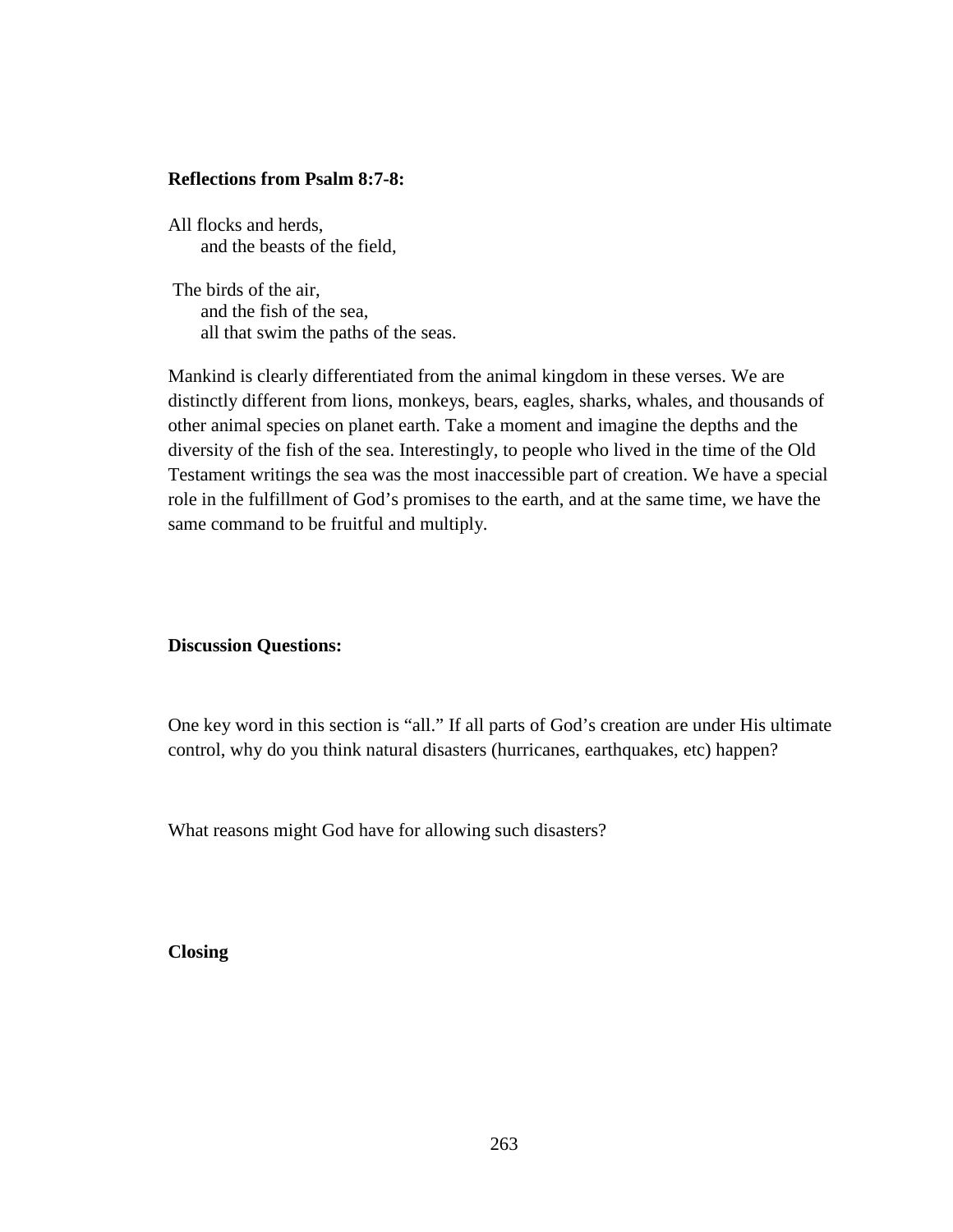#### **Reflections from Psalm 8:7-8:**

All flocks and herds, and the beasts of the field,

 The birds of the air, and the fish of the sea, all that swim the paths of the seas.

Mankind is clearly differentiated from the animal kingdom in these verses. We are distinctly different from lions, monkeys, bears, eagles, sharks, whales, and thousands of other animal species on planet earth. Take a moment and imagine the depths and the diversity of the fish of the sea. Interestingly, to people who lived in the time of the Old Testament writings the sea was the most inaccessible part of creation. We have a special role in the fulfillment of God's promises to the earth, and at the same time, we have the same command to be fruitful and multiply.

#### **Discussion Questions:**

One key word in this section is "all." If all parts of God's creation are under His ultimate control, why do you think natural disasters (hurricanes, earthquakes, etc) happen?

What reasons might God have for allowing such disasters?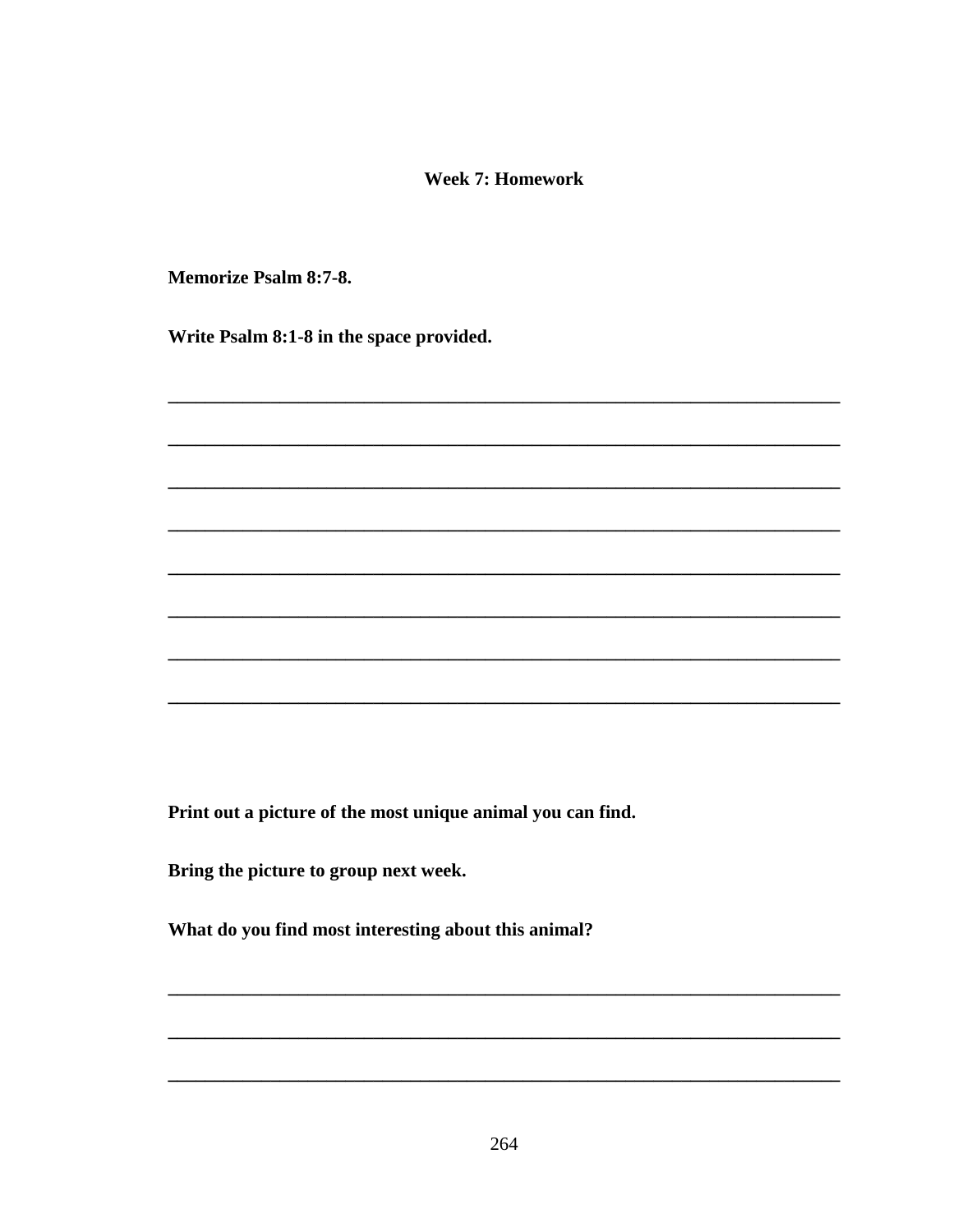#### **Week 7: Homework**

**Memorize Psalm 8:7-8.** 

Write Psalm 8:1-8 in the space provided.

Print out a picture of the most unique animal you can find.

Bring the picture to group next week.

What do you find most interesting about this animal?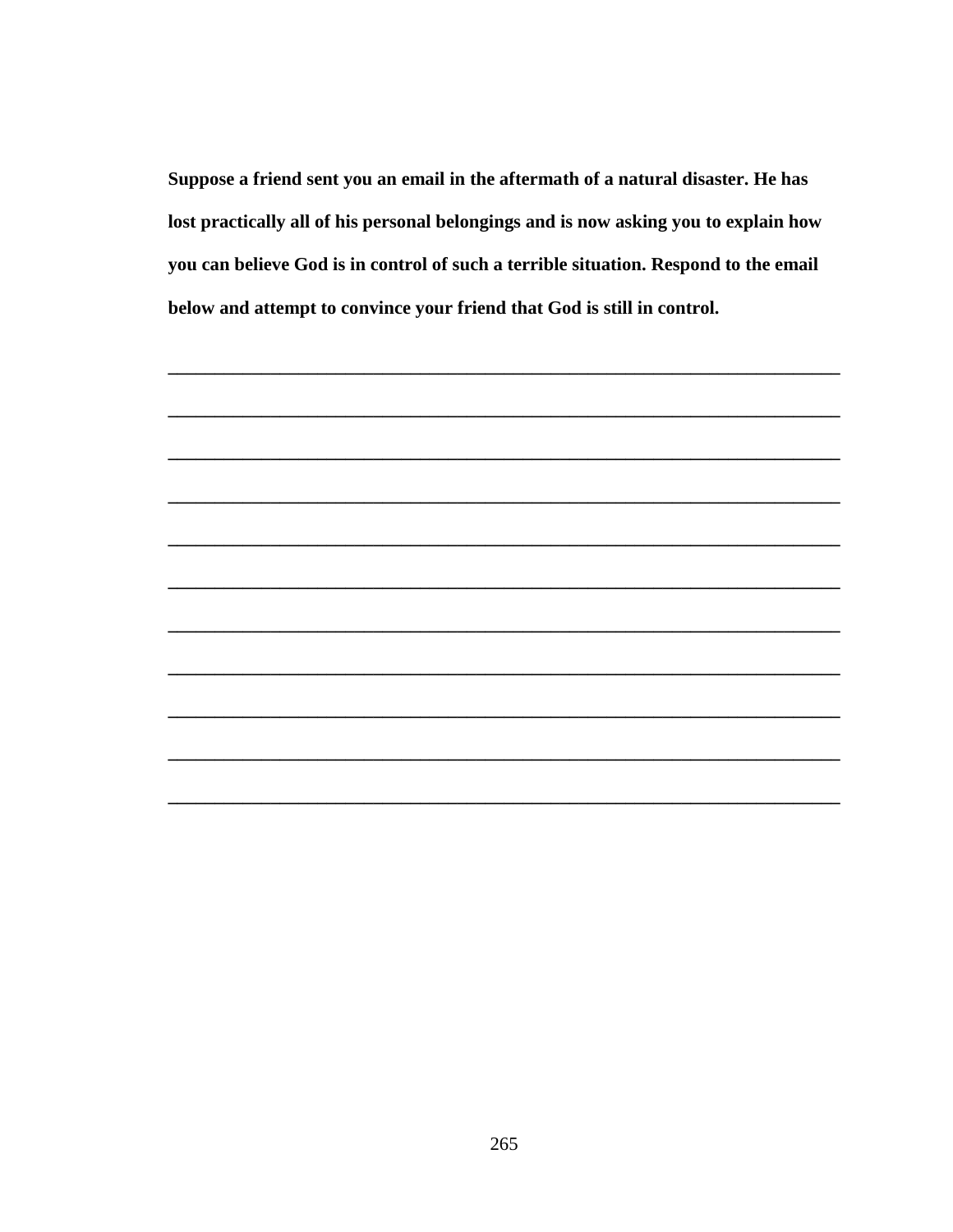Suppose a friend sent you an email in the aftermath of a natural disaster. He has lost practically all of his personal belongings and is now asking you to explain how you can believe God is in control of such a terrible situation. Respond to the email below and attempt to convince your friend that God is still in control.

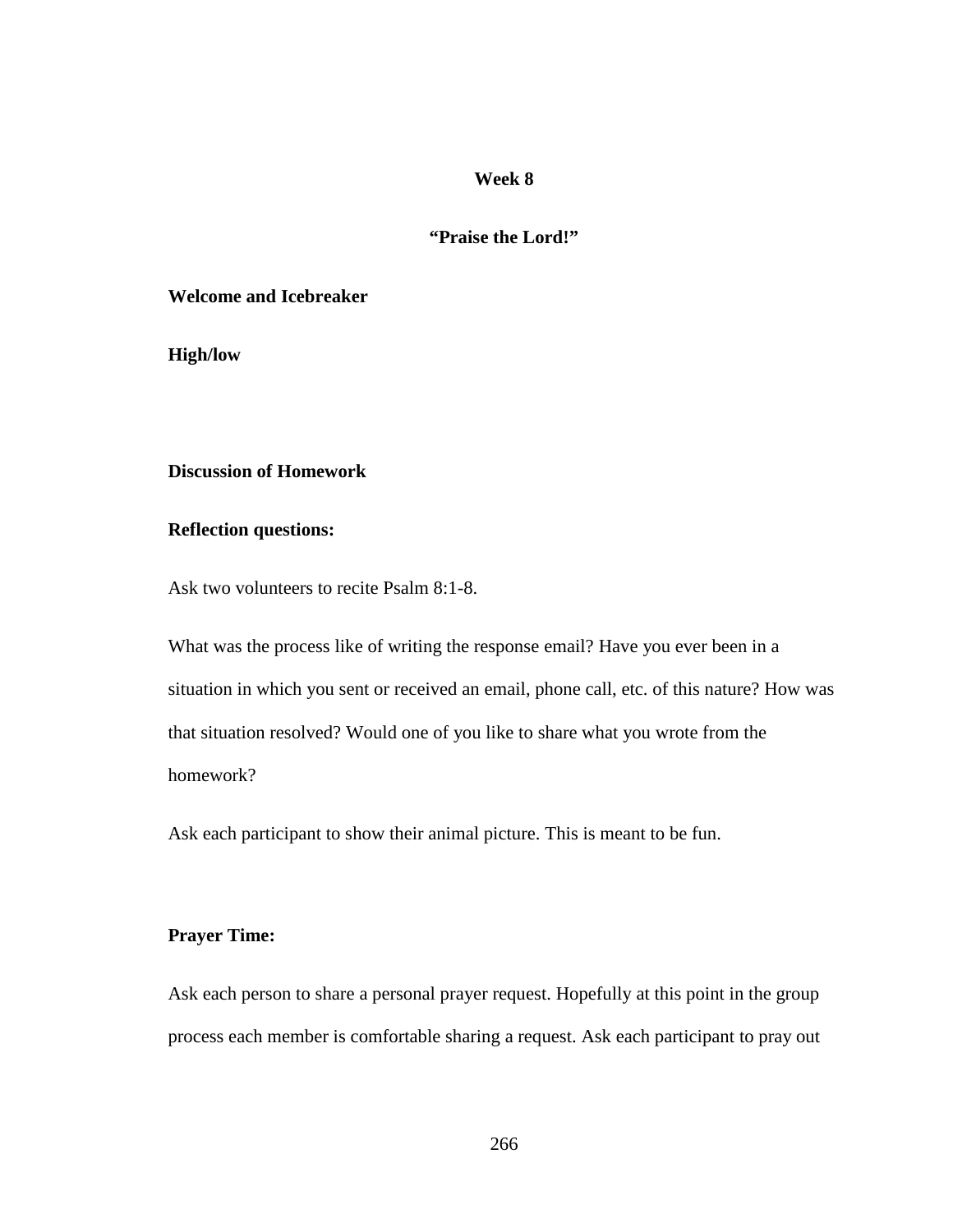#### **"Praise the Lord!"**

#### **Welcome and Icebreaker**

**High/low** 

## **Discussion of Homework**

### **Reflection questions:**

Ask two volunteers to recite Psalm 8:1-8.

What was the process like of writing the response email? Have you ever been in a situation in which you sent or received an email, phone call, etc. of this nature? How was that situation resolved? Would one of you like to share what you wrote from the homework?

Ask each participant to show their animal picture. This is meant to be fun.

#### **Prayer Time:**

Ask each person to share a personal prayer request. Hopefully at this point in the group process each member is comfortable sharing a request. Ask each participant to pray out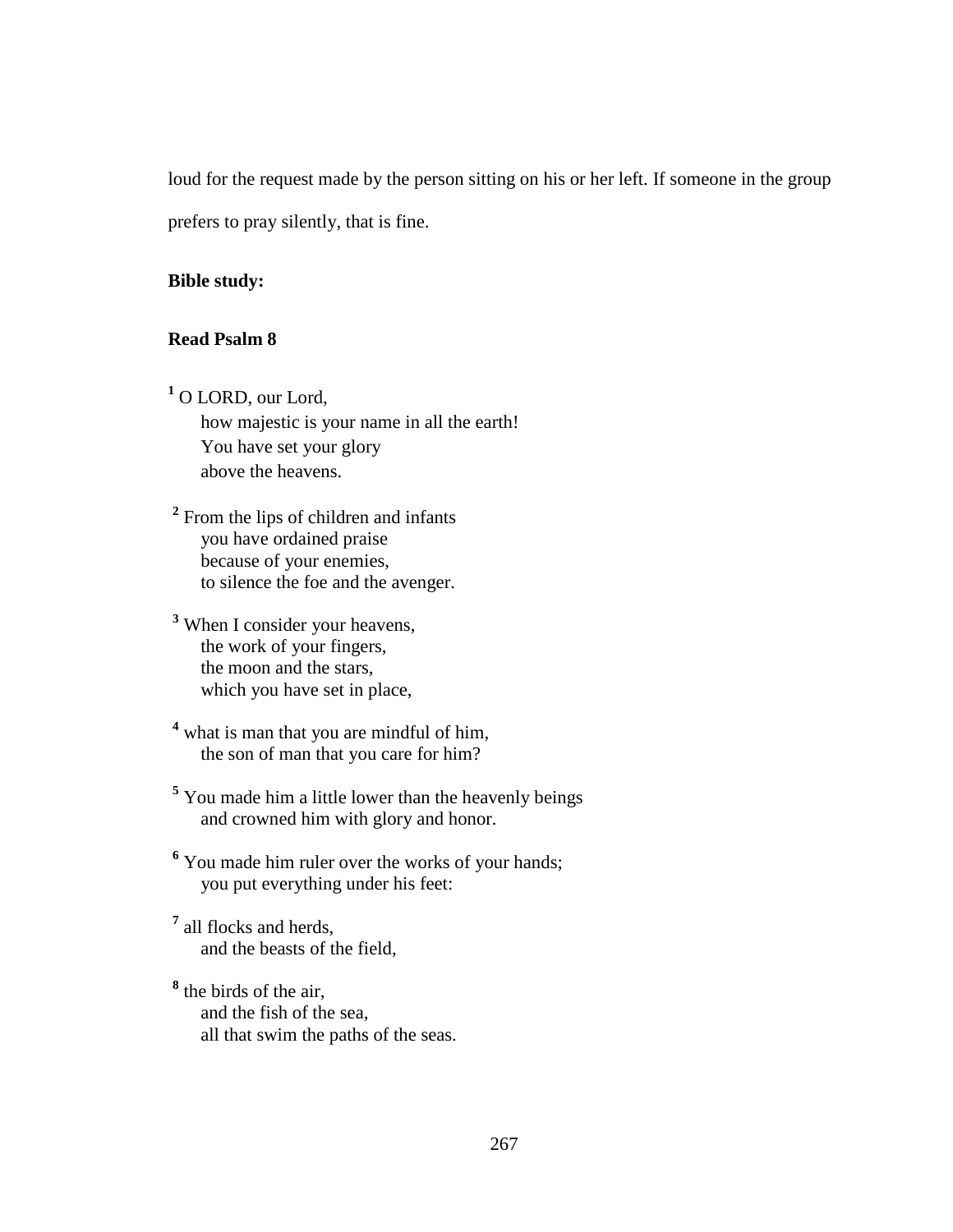loud for the request made by the person sitting on his or her left. If someone in the group prefers to pray silently, that is fine.

#### **Bible study:**

### **Read Psalm 8**

**1** O LORD, our Lord, how majestic is your name in all the earth! You have set your glory above the heavens.

<sup>2</sup> From the lips of children and infants you have ordained praise because of your enemies, to silence the foe and the avenger.

**3** When I consider your heavens, the work of your fingers, the moon and the stars, which you have set in place,

<sup>4</sup> what is man that you are mindful of him, the son of man that you care for him?

<sup>5</sup> You made him a little lower than the heavenly beings and crowned him with glory and honor.

<sup>6</sup> You made him ruler over the works of your hands; you put everything under his feet:

**7** all flocks and herds, and the beasts of the field,

**8** the birds of the air, and the fish of the sea, all that swim the paths of the seas.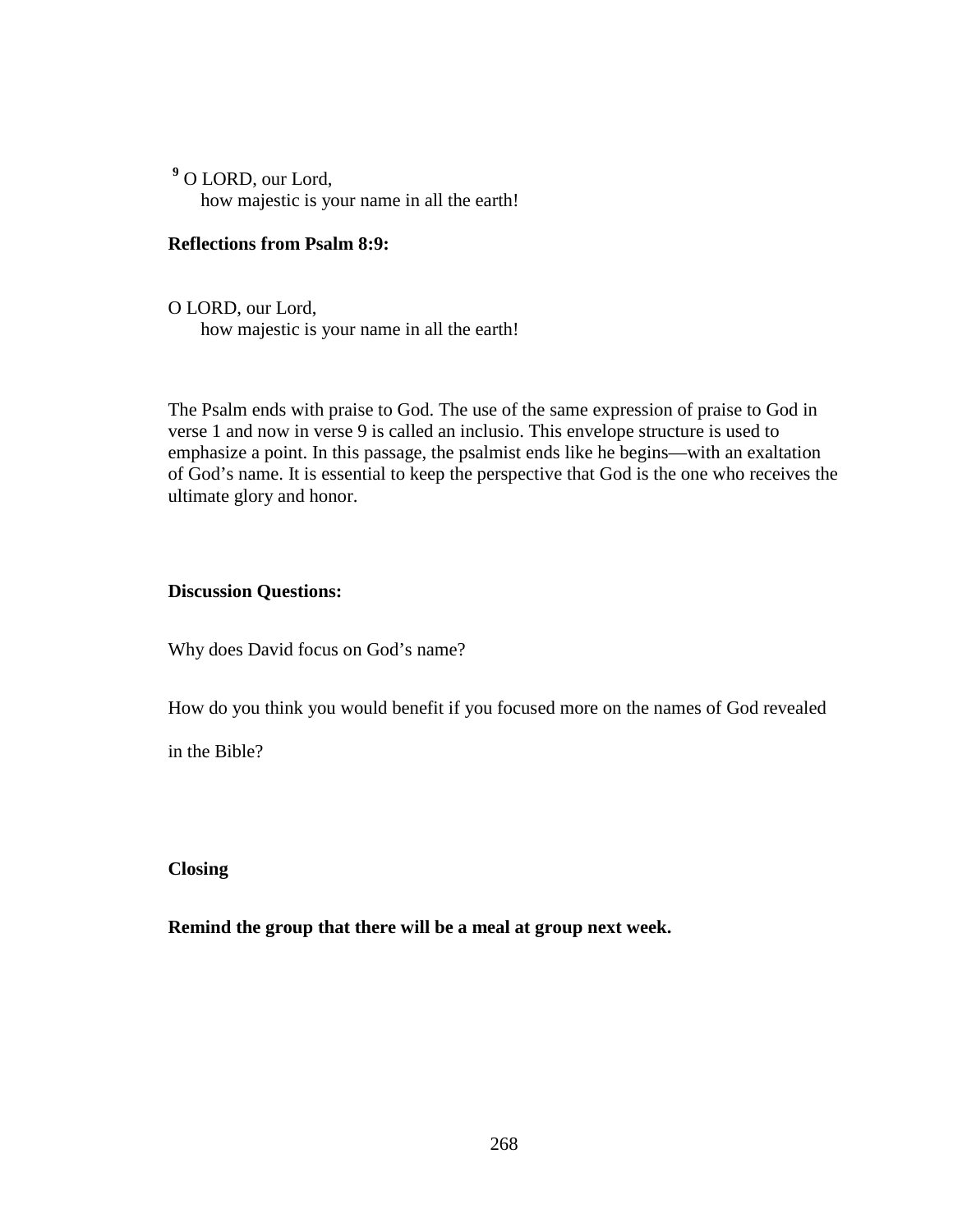**9** O LORD, our Lord, how majestic is your name in all the earth!

#### **Reflections from Psalm 8:9:**

O LORD, our Lord, how majestic is your name in all the earth!

The Psalm ends with praise to God. The use of the same expression of praise to God in verse 1 and now in verse 9 is called an inclusio. This envelope structure is used to emphasize a point. In this passage, the psalmist ends like he begins—with an exaltation of God's name. It is essential to keep the perspective that God is the one who receives the ultimate glory and honor.

#### **Discussion Questions:**

Why does David focus on God's name?

How do you think you would benefit if you focused more on the names of God revealed

in the Bible?

**Closing** 

**Remind the group that there will be a meal at group next week.**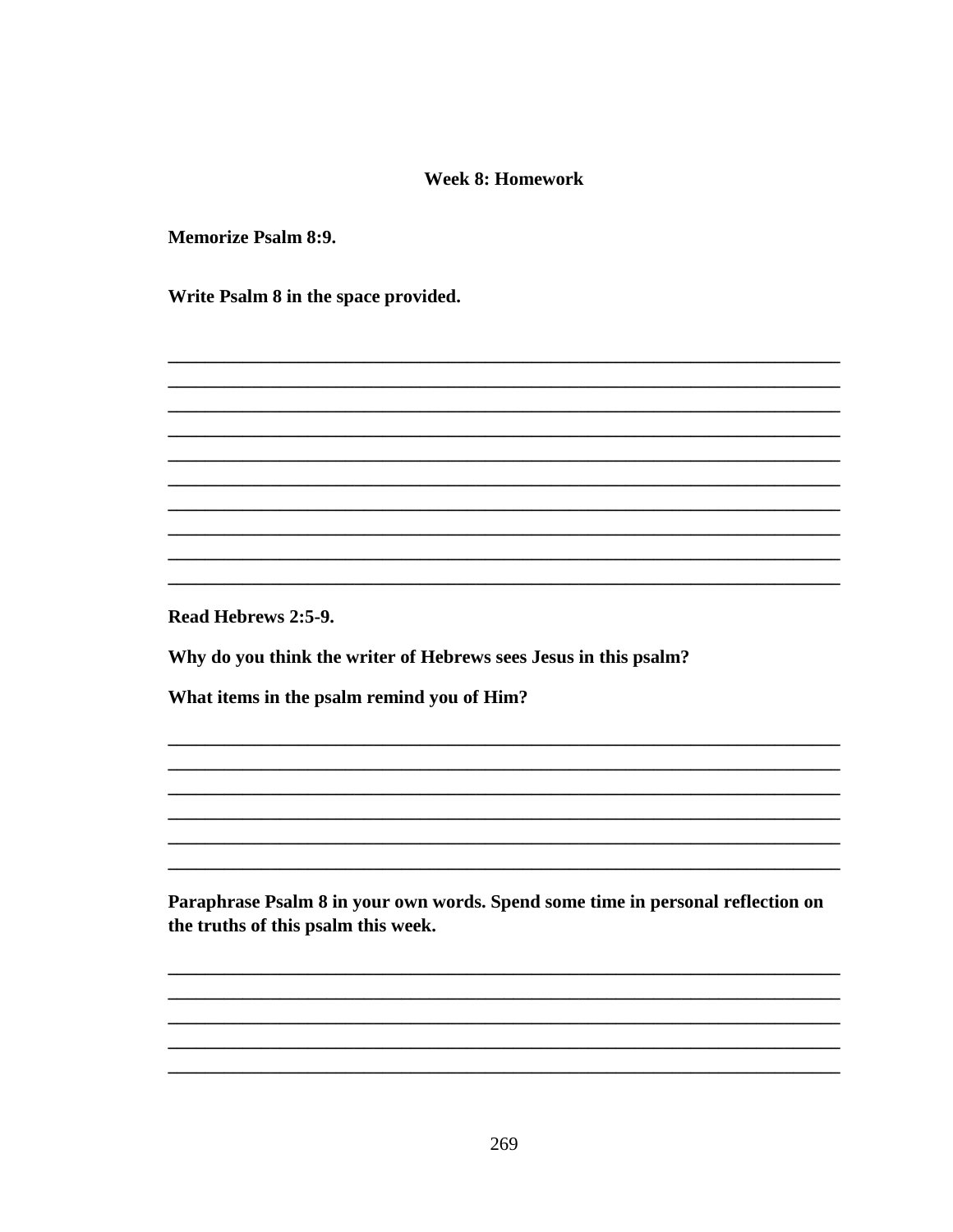### **Week 8: Homework**

**Memorize Psalm 8:9.** 

Write Psalm 8 in the space provided.

Read Hebrews 2:5-9.

Why do you think the writer of Hebrews sees Jesus in this psalm?

What items in the psalm remind you of Him?

Paraphrase Psalm 8 in your own words. Spend some time in personal reflection on the truths of this psalm this week.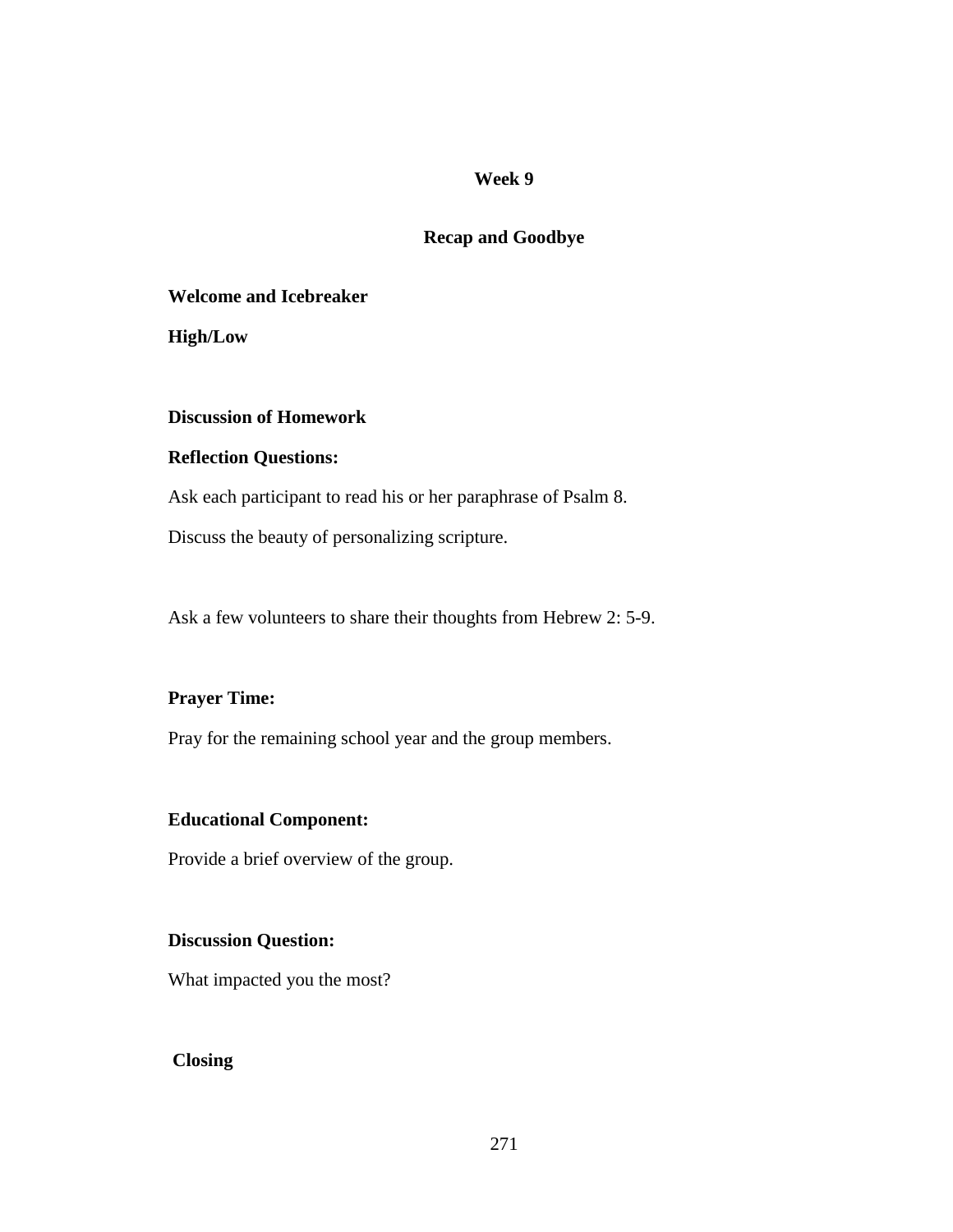### **Recap and Goodbye**

#### **Welcome and Icebreaker**

**High/Low** 

#### **Discussion of Homework**

#### **Reflection Questions:**

Ask each participant to read his or her paraphrase of Psalm 8.

Discuss the beauty of personalizing scripture.

Ask a few volunteers to share their thoughts from Hebrew 2: 5-9.

### **Prayer Time:**

Pray for the remaining school year and the group members.

#### **Educational Component:**

Provide a brief overview of the group.

#### **Discussion Question:**

What impacted you the most?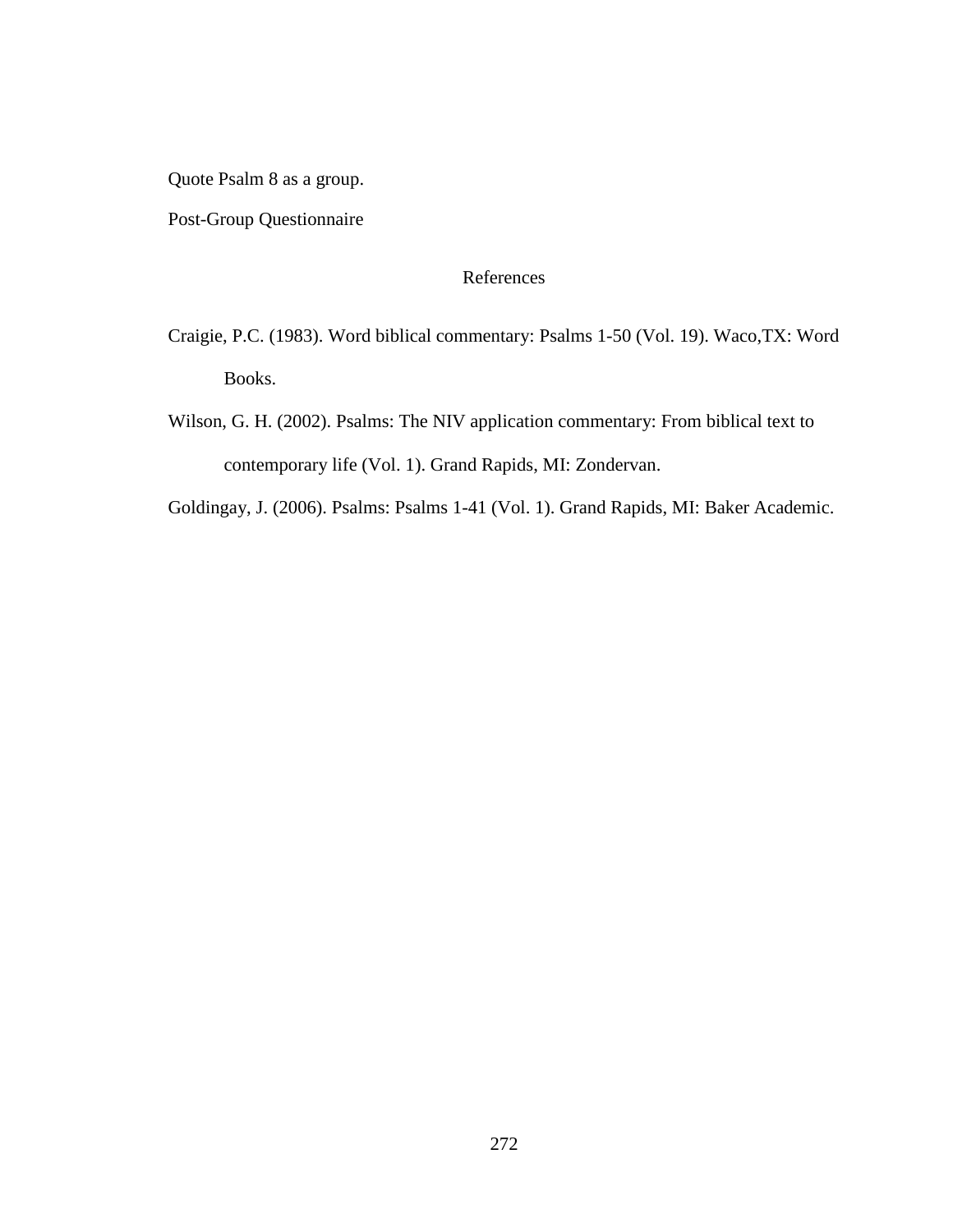Quote Psalm 8 as a group.

Post-Group Questionnaire

### References

- Craigie, P.C. (1983). Word biblical commentary: Psalms 1-50 (Vol. 19). Waco,TX: Word Books.
- Wilson, G. H. (2002). Psalms: The NIV application commentary: From biblical text to contemporary life (Vol. 1). Grand Rapids, MI: Zondervan.

Goldingay, J. (2006). Psalms: Psalms 1-41 (Vol. 1). Grand Rapids, MI: Baker Academic.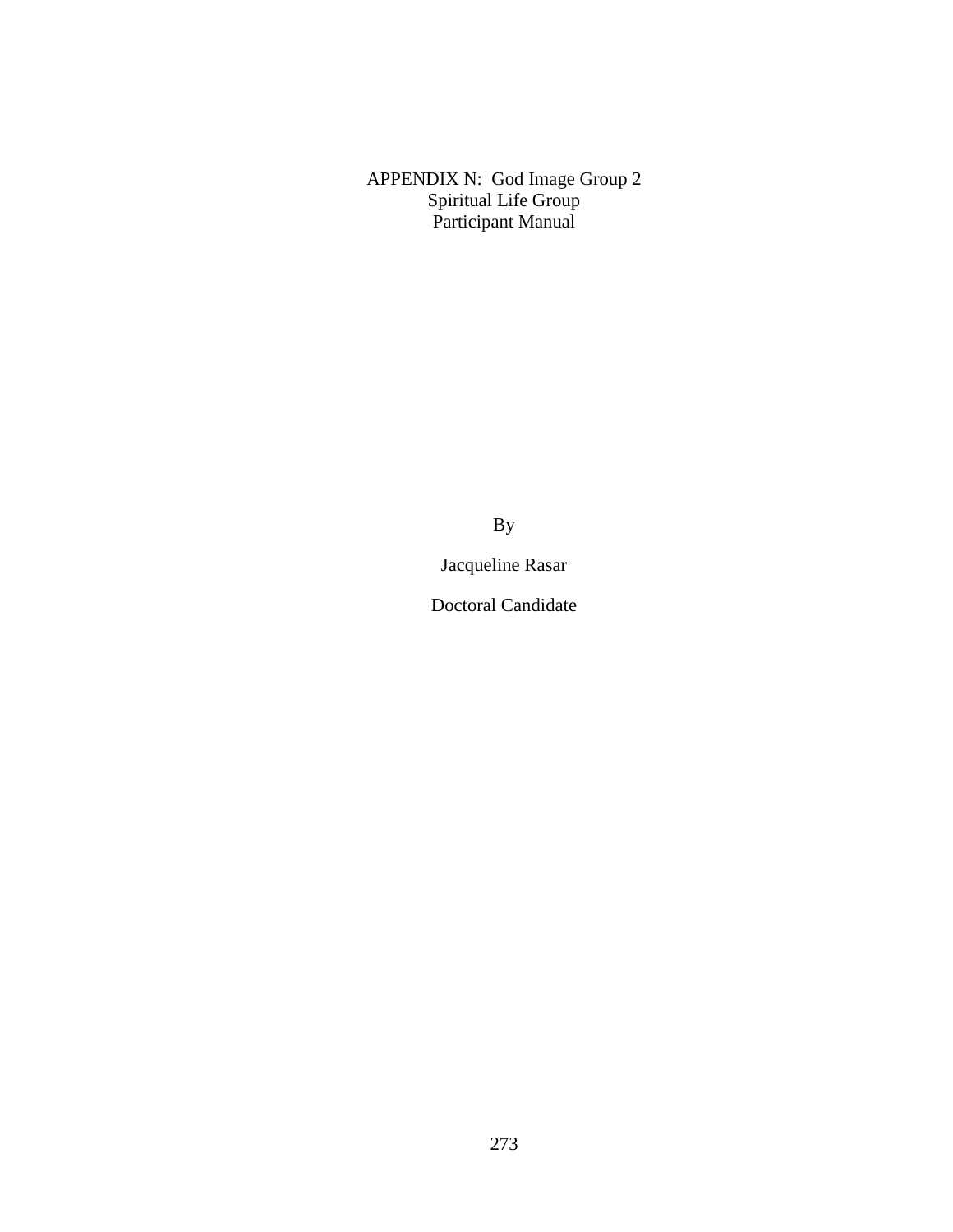APPENDIX N: God Image Group 2 Spiritual Life Group Participant Manual

By

Jacqueline Rasar

Doctoral Candidate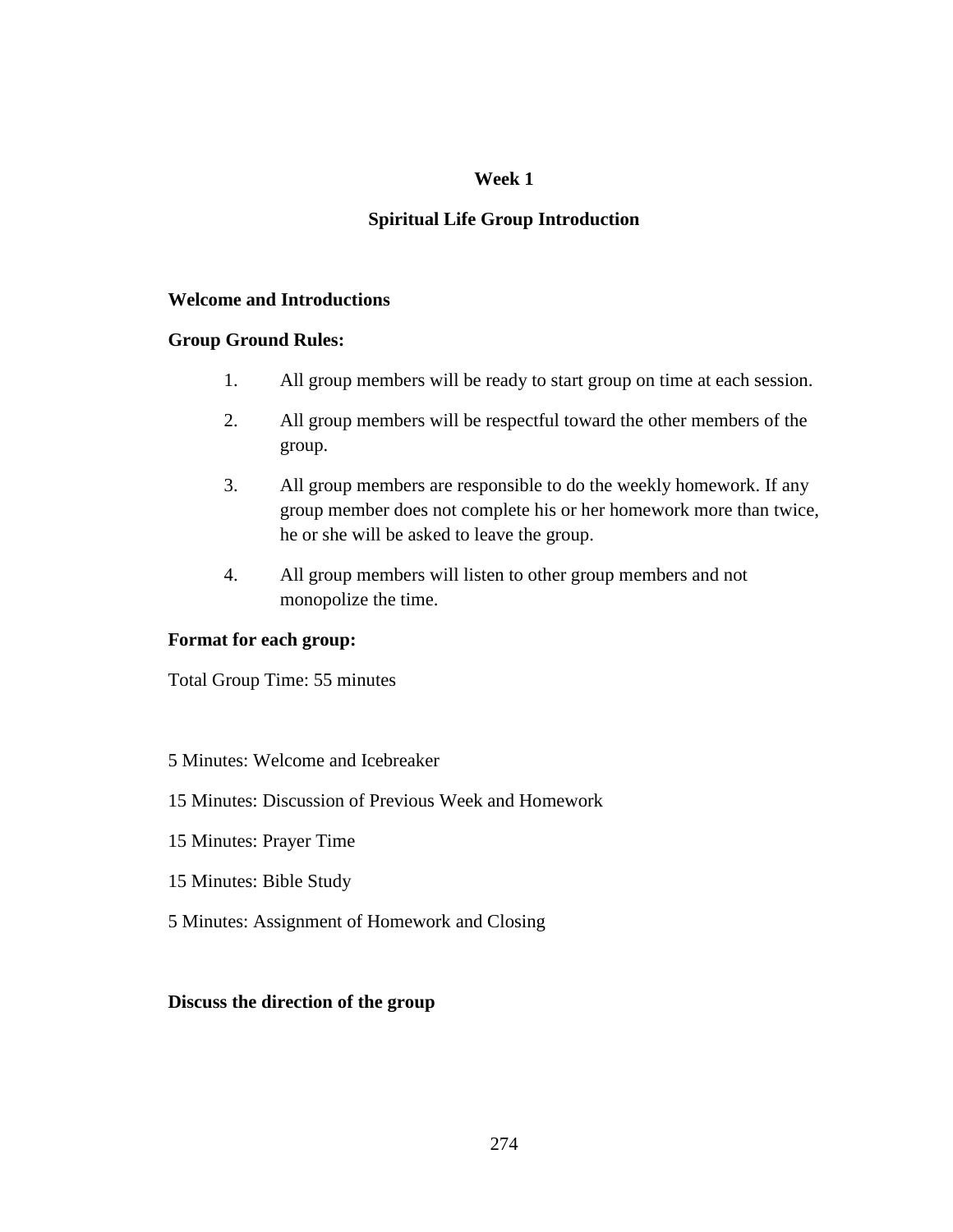## **Spiritual Life Group Introduction**

## **Welcome and Introductions**

## **Group Ground Rules:**

- 1. All group members will be ready to start group on time at each session.
- 2. All group members will be respectful toward the other members of the group.
- 3. All group members are responsible to do the weekly homework. If any group member does not complete his or her homework more than twice, he or she will be asked to leave the group.
- 4. All group members will listen to other group members and not monopolize the time.

## **Format for each group:**

Total Group Time: 55 minutes

## 5 Minutes: Welcome and Icebreaker

## 15 Minutes: Discussion of Previous Week and Homework

- 15 Minutes: Prayer Time
- 15 Minutes: Bible Study
- 5 Minutes: Assignment of Homework and Closing

## **Discuss the direction of the group**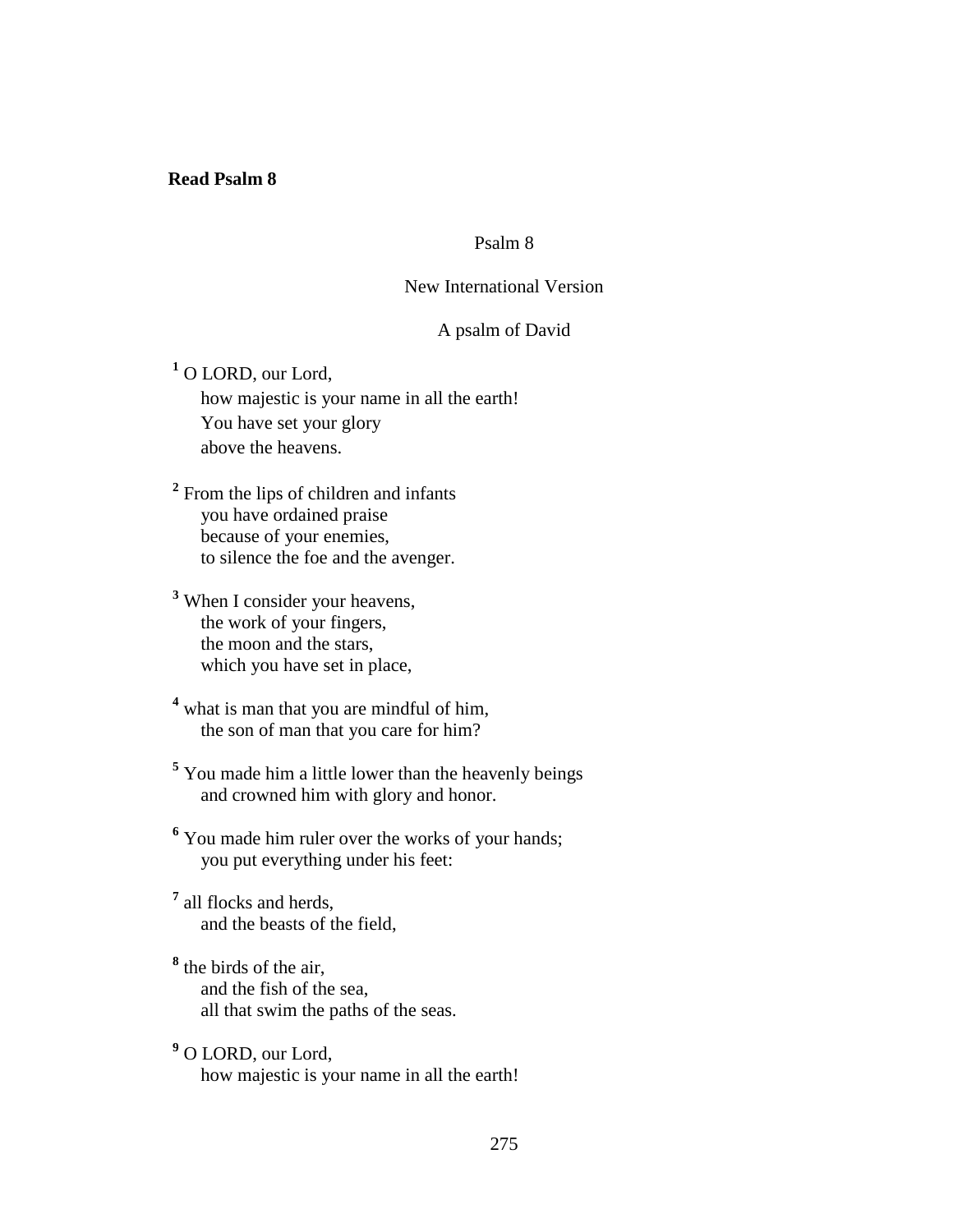### **Read Psalm 8**

## Psalm 8

## New International Version

## A psalm of David

**1** O LORD, our Lord, how majestic is your name in all the earth! You have set your glory above the heavens.

<sup>2</sup> From the lips of children and infants you have ordained praise because of your enemies, to silence the foe and the avenger.

**3** When I consider your heavens, the work of your fingers, the moon and the stars, which you have set in place,

<sup>4</sup> what is man that you are mindful of him, the son of man that you care for him?

<sup>5</sup> You made him a little lower than the heavenly beings and crowned him with glory and honor.

<sup>6</sup> You made him ruler over the works of your hands; you put everything under his feet:

**7** all flocks and herds, and the beasts of the field,

**8** the birds of the air, and the fish of the sea, all that swim the paths of the seas.

**9** O LORD, our Lord, how majestic is your name in all the earth!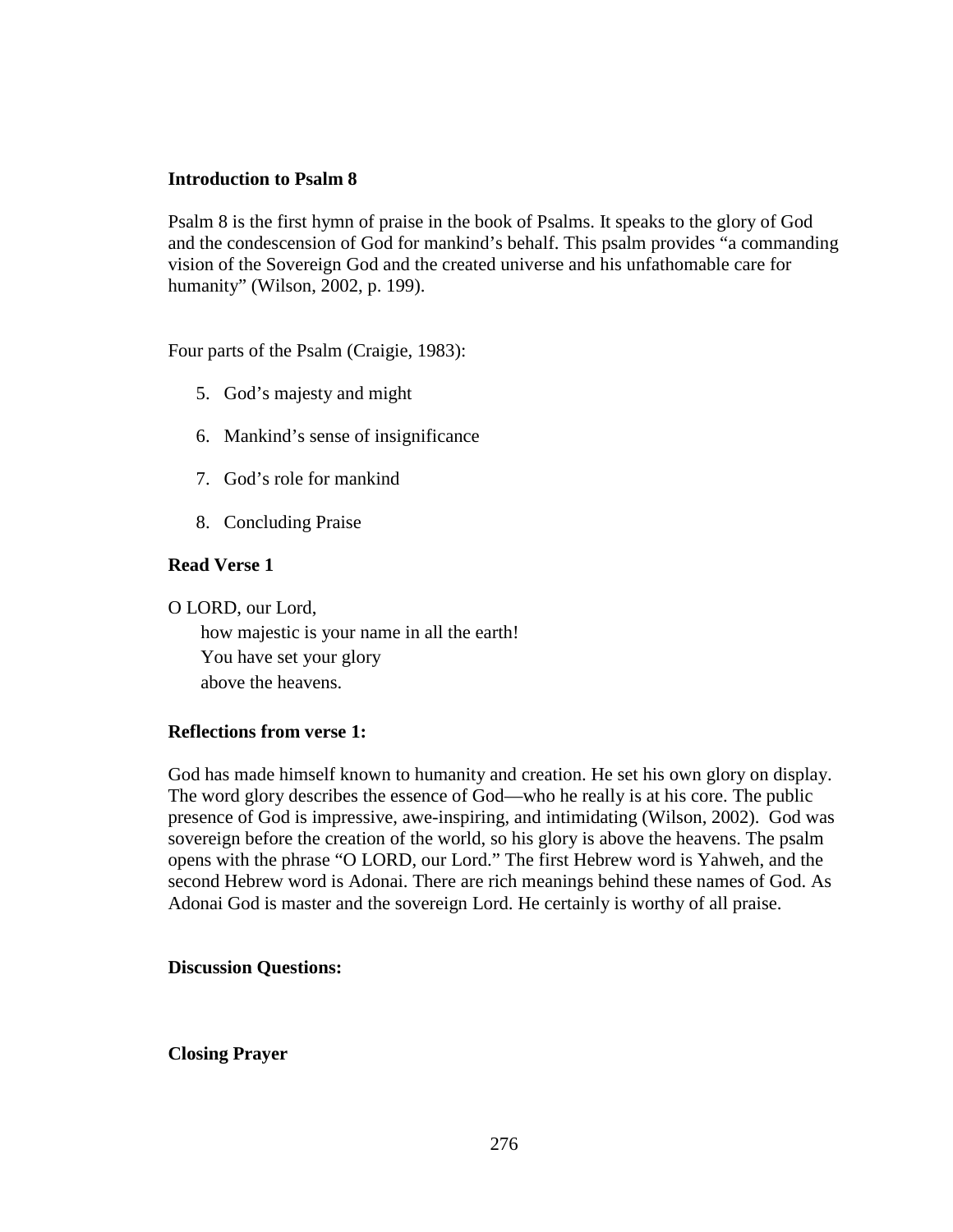## **Introduction to Psalm 8**

Psalm 8 is the first hymn of praise in the book of Psalms. It speaks to the glory of God and the condescension of God for mankind's behalf. This psalm provides "a commanding vision of the Sovereign God and the created universe and his unfathomable care for humanity" (Wilson, 2002, p. 199).

Four parts of the Psalm (Craigie, 1983):

- 5. God's majesty and might
- 6. Mankind's sense of insignificance
- 7. God's role for mankind
- 8. Concluding Praise

## **Read Verse 1**

O LORD, our Lord,

 how majestic is your name in all the earth! You have set your glory above the heavens.

## **Reflections from verse 1:**

God has made himself known to humanity and creation. He set his own glory on display. The word glory describes the essence of God—who he really is at his core. The public presence of God is impressive, awe-inspiring, and intimidating (Wilson, 2002). God was sovereign before the creation of the world, so his glory is above the heavens. The psalm opens with the phrase "O LORD, our Lord." The first Hebrew word is Yahweh, and the second Hebrew word is Adonai. There are rich meanings behind these names of God. As Adonai God is master and the sovereign Lord. He certainly is worthy of all praise.

## **Discussion Questions:**

**Closing Prayer**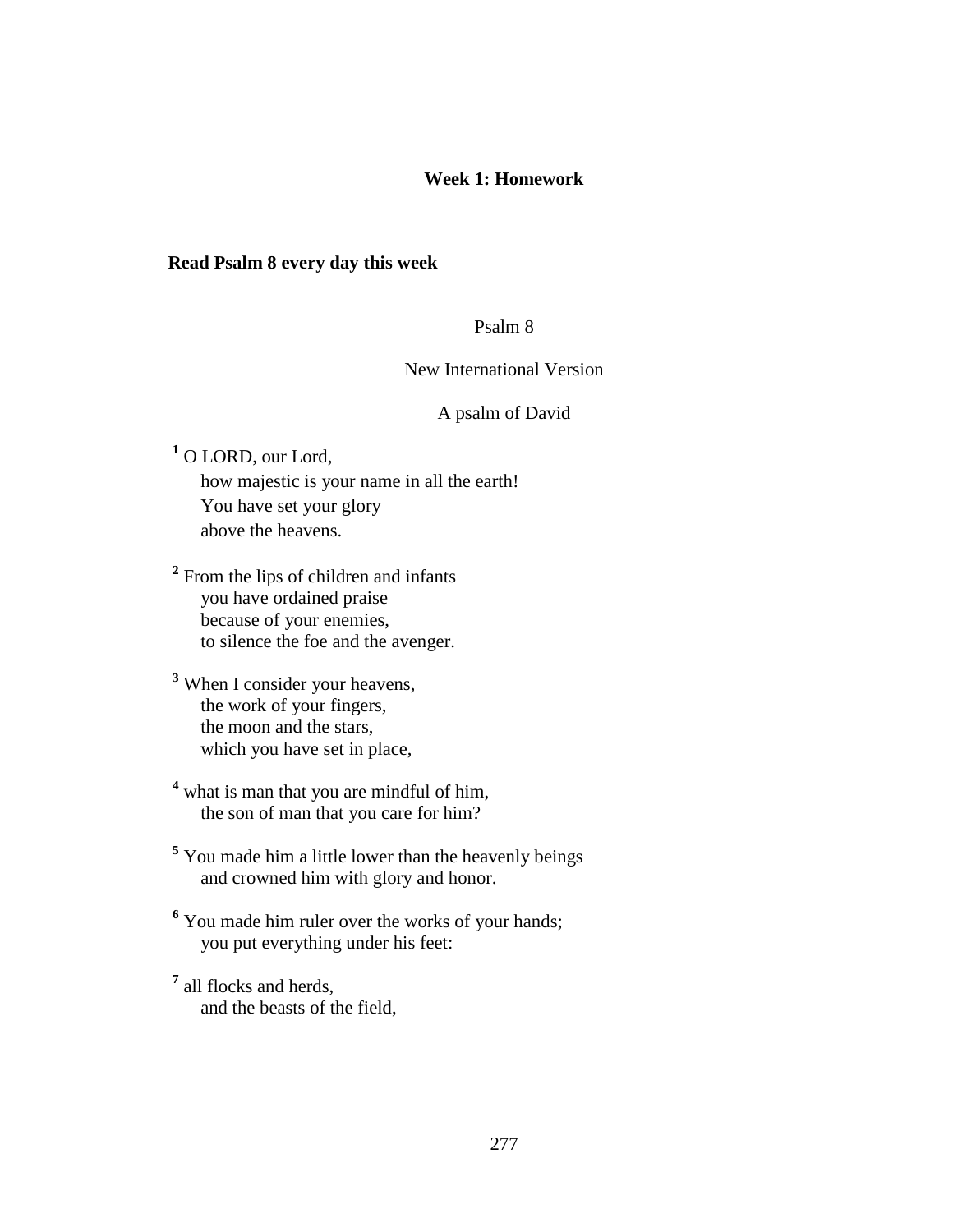## **Week 1: Homework**

#### **Read Psalm 8 every day this week**

## Psalm 8

#### New International Version

#### A psalm of David

**1** O LORD, our Lord,

 how majestic is your name in all the earth! You have set your glory above the heavens.

<sup>2</sup> From the lips of children and infants you have ordained praise because of your enemies, to silence the foe and the avenger.

**3** When I consider your heavens, the work of your fingers, the moon and the stars, which you have set in place,

<sup>4</sup> what is man that you are mindful of him, the son of man that you care for him?

**5** You made him a little lower than the heavenly beings and crowned him with glory and honor.

<sup>6</sup> You made him ruler over the works of your hands; you put everything under his feet:

**7** all flocks and herds, and the beasts of the field,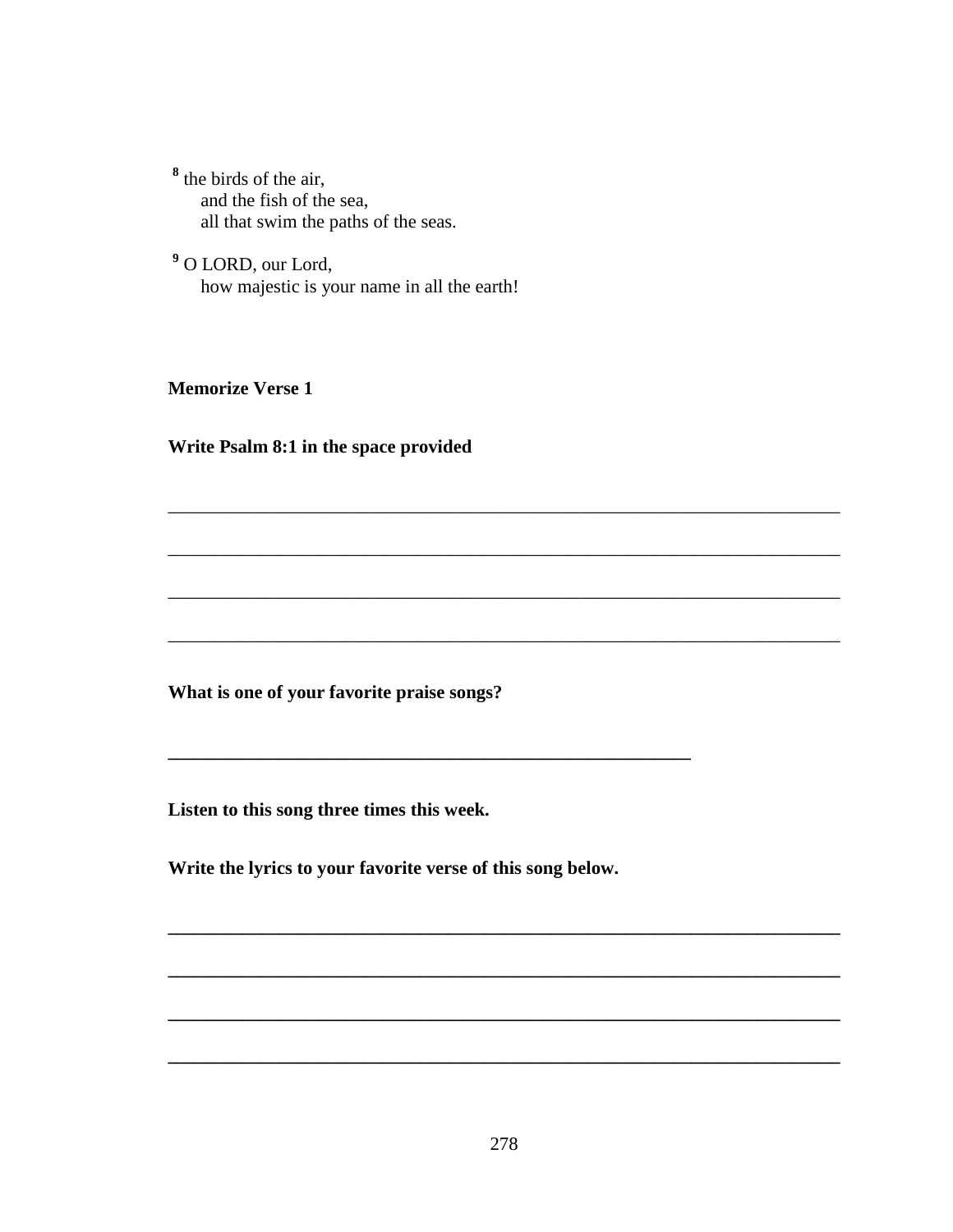$<sup>8</sup>$  the birds of the air,</sup> and the fish of the sea, all that swim the paths of the seas.

<sup>9</sup> O LORD, our Lord, how majestic is your name in all the earth!

**Memorize Verse 1** 

Write Psalm 8:1 in the space provided

What is one of your favorite praise songs?

Listen to this song three times this week.

Write the lyrics to your favorite verse of this song below.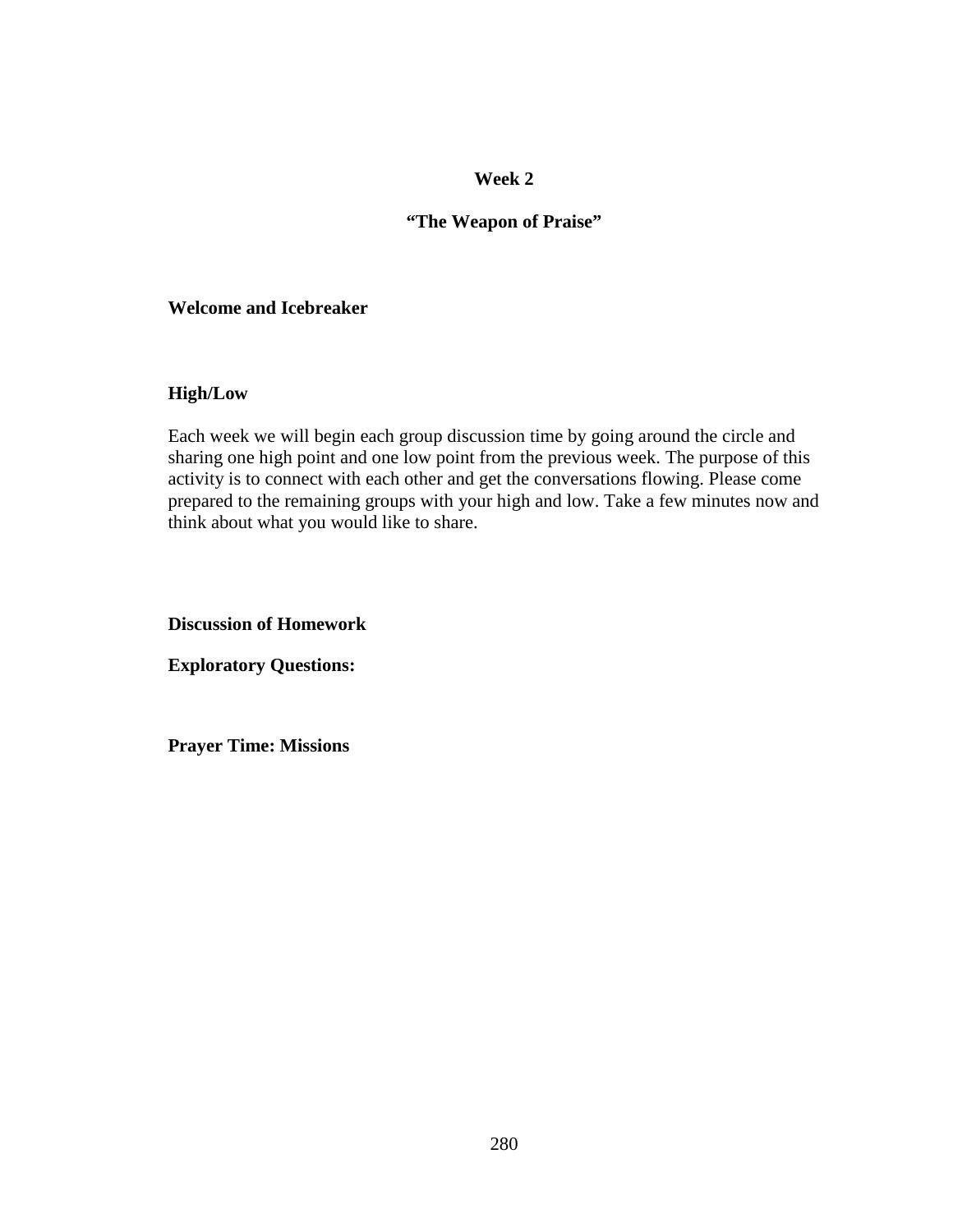## **"The Weapon of Praise"**

### **Welcome and Icebreaker**

## **High/Low**

Each week we will begin each group discussion time by going around the circle and sharing one high point and one low point from the previous week. The purpose of this activity is to connect with each other and get the conversations flowing. Please come prepared to the remaining groups with your high and low. Take a few minutes now and think about what you would like to share.

**Discussion of Homework** 

**Exploratory Questions:** 

**Prayer Time: Missions**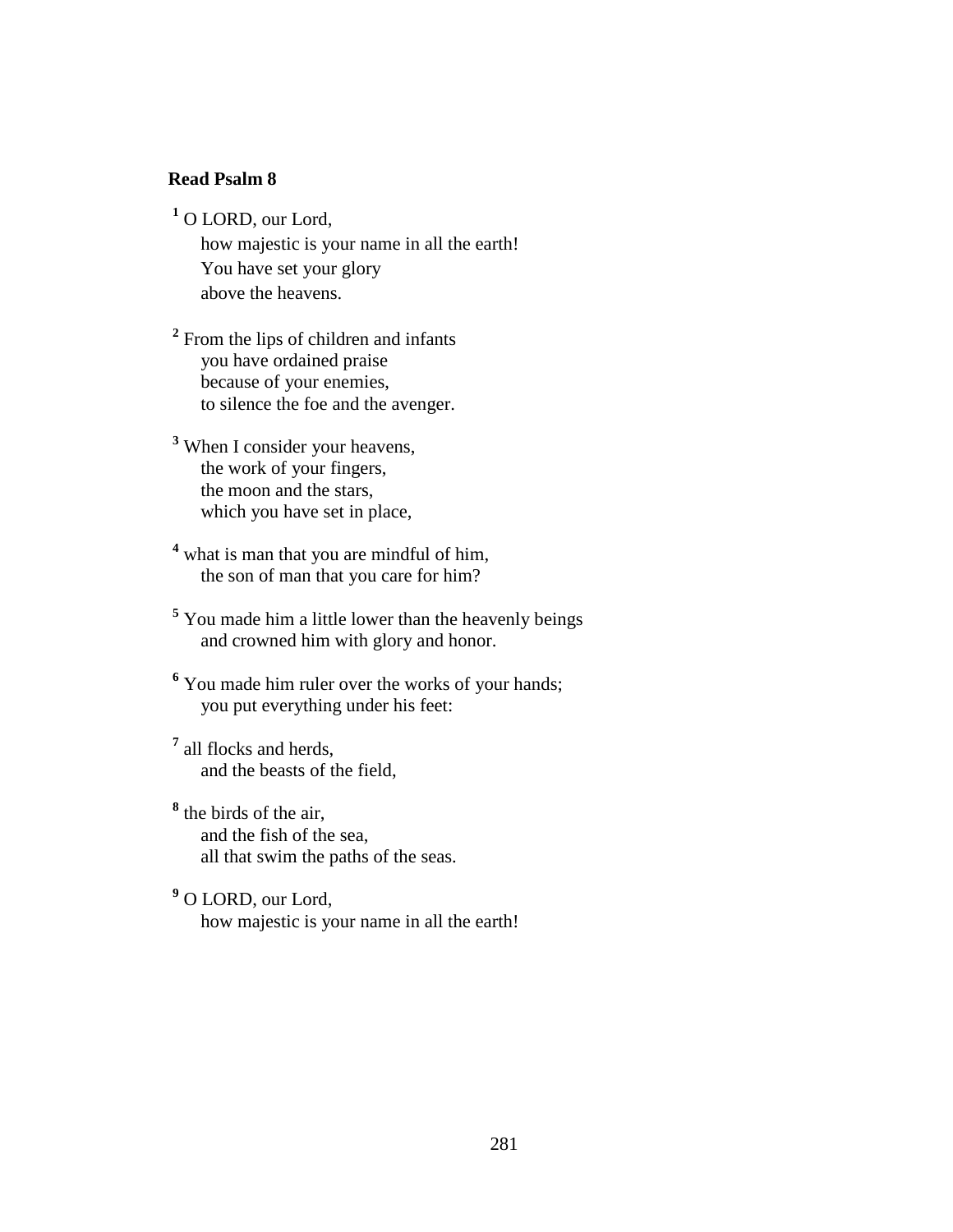#### **Read Psalm 8**

**1** O LORD, our Lord,

 how majestic is your name in all the earth! You have set your glory above the heavens.

<sup>2</sup> From the lips of children and infants you have ordained praise because of your enemies, to silence the foe and the avenger.

**3** When I consider your heavens, the work of your fingers, the moon and the stars, which you have set in place,

<sup>4</sup> what is man that you are mindful of him, the son of man that you care for him?

**5** You made him a little lower than the heavenly beings and crowned him with glory and honor.

<sup>6</sup> You made him ruler over the works of your hands; you put everything under his feet:

**7** all flocks and herds, and the beasts of the field,

**8** the birds of the air, and the fish of the sea, all that swim the paths of the seas.

**9** O LORD, our Lord, how majestic is your name in all the earth!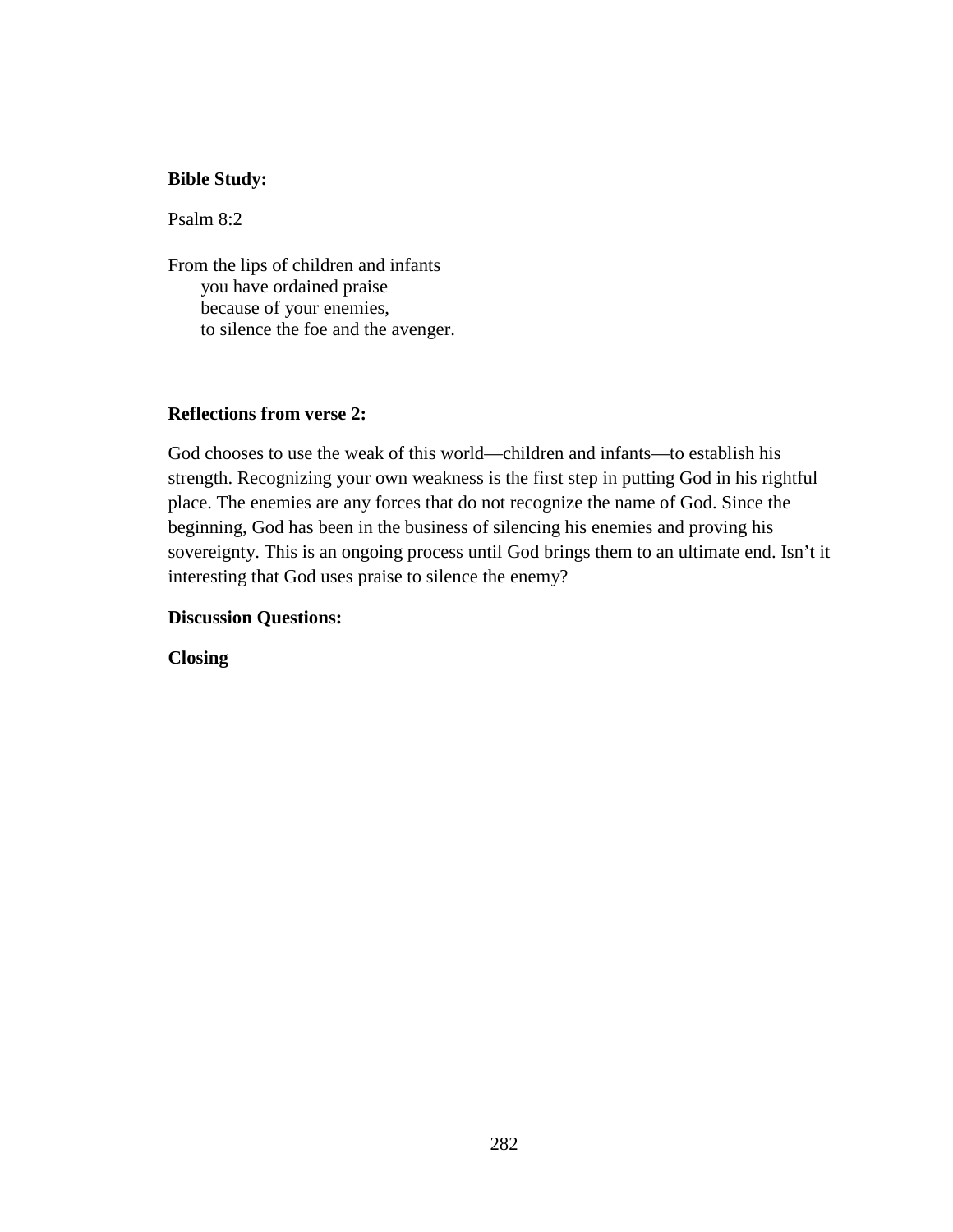## **Bible Study:**

Psalm 8:2

From the lips of children and infants you have ordained praise because of your enemies, to silence the foe and the avenger.

## **Reflections from verse 2:**

God chooses to use the weak of this world—children and infants—to establish his strength. Recognizing your own weakness is the first step in putting God in his rightful place. The enemies are any forces that do not recognize the name of God. Since the beginning, God has been in the business of silencing his enemies and proving his sovereignty. This is an ongoing process until God brings them to an ultimate end. Isn't it interesting that God uses praise to silence the enemy?

### **Discussion Questions:**

**Closing**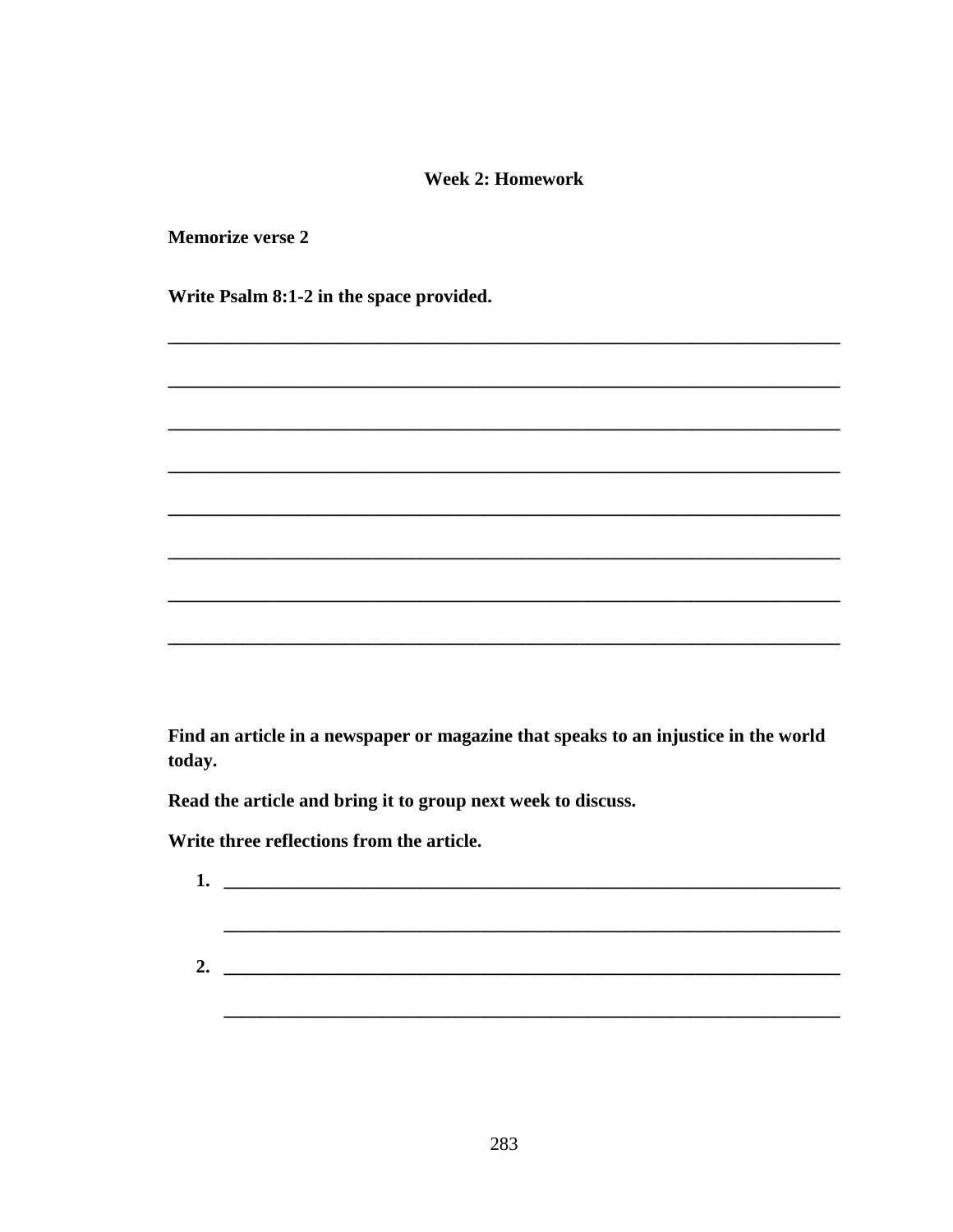## **Week 2: Homework**

**Memorize verse 2** 

Write Psalm 8:1-2 in the space provided.

Find an article in a newspaper or magazine that speaks to an injustice in the world today.

Read the article and bring it to group next week to discuss.

Write three reflections from the article.

| 1. | <u> 1980 - Johann John Stein, fransk kampens og det ble større og det ble større og det ble større og det ble stø</u> |  |  |
|----|-----------------------------------------------------------------------------------------------------------------------|--|--|
|    |                                                                                                                       |  |  |
|    |                                                                                                                       |  |  |
| 2. | <u> 1980 - Andrea Andrew Maria (h. 1980).</u>                                                                         |  |  |
|    |                                                                                                                       |  |  |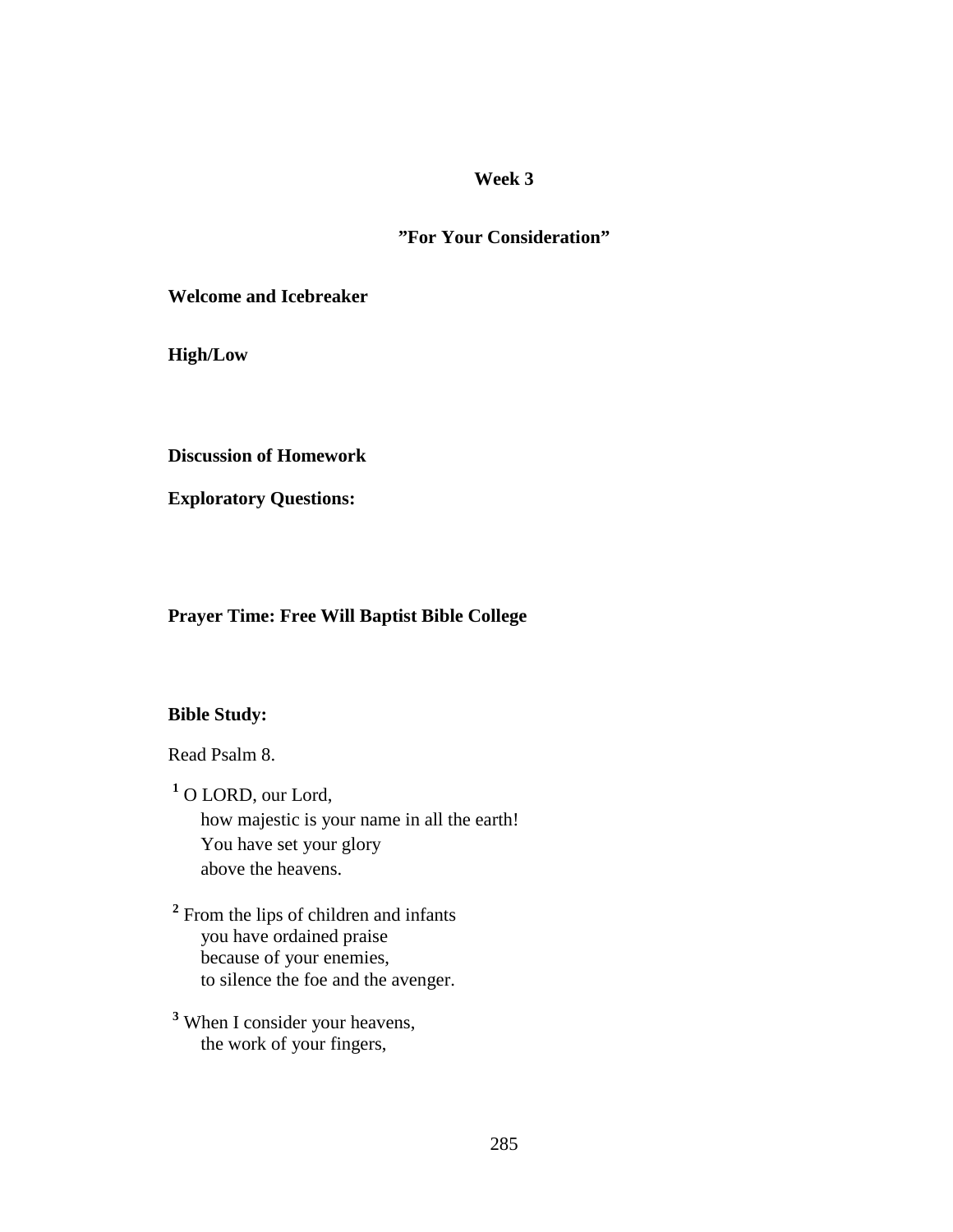## **"For Your Consideration"**

**Welcome and Icebreaker** 

**High/Low** 

**Discussion of Homework** 

**Exploratory Questions:** 

## **Prayer Time: Free Will Baptist Bible College**

## **Bible Study:**

Read Psalm 8.

**1** O LORD, our Lord, how majestic is your name in all the earth! You have set your glory above the heavens.

<sup>2</sup> From the lips of children and infants you have ordained praise because of your enemies, to silence the foe and the avenger.

**3** When I consider your heavens, the work of your fingers,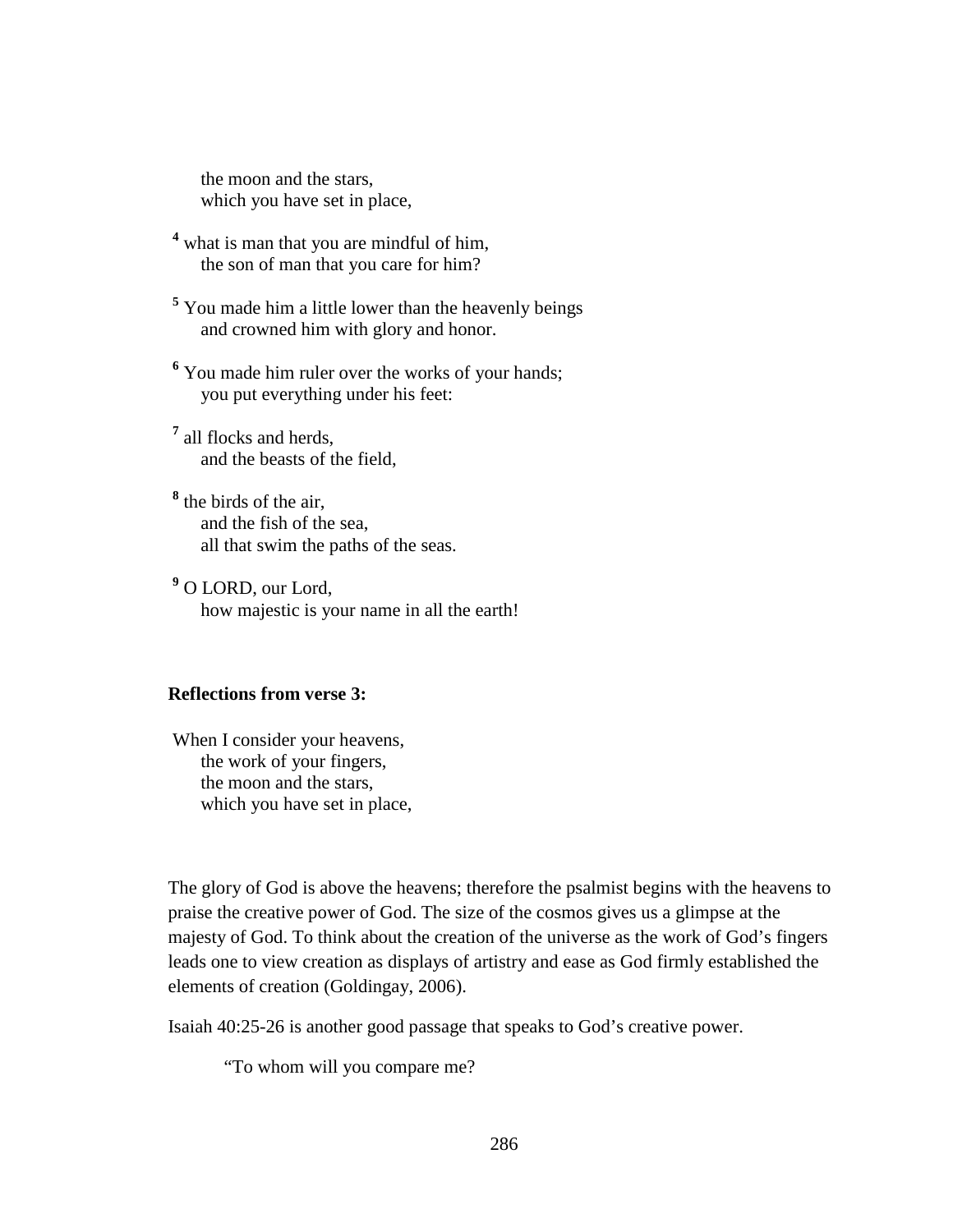the moon and the stars, which you have set in place,

<sup>4</sup> what is man that you are mindful of him, the son of man that you care for him?

<sup>5</sup> You made him a little lower than the heavenly beings and crowned him with glory and honor.

<sup>6</sup> You made him ruler over the works of your hands; you put everything under his feet:

**7** all flocks and herds, and the beasts of the field,

**8** the birds of the air, and the fish of the sea, all that swim the paths of the seas.

**9** O LORD, our Lord, how majestic is your name in all the earth!

### **Reflections from verse 3:**

 When I consider your heavens, the work of your fingers, the moon and the stars, which you have set in place,

The glory of God is above the heavens; therefore the psalmist begins with the heavens to praise the creative power of God. The size of the cosmos gives us a glimpse at the majesty of God. To think about the creation of the universe as the work of God's fingers leads one to view creation as displays of artistry and ease as God firmly established the elements of creation (Goldingay, 2006).

Isaiah 40:25-26 is another good passage that speaks to God's creative power.

"To whom will you compare me?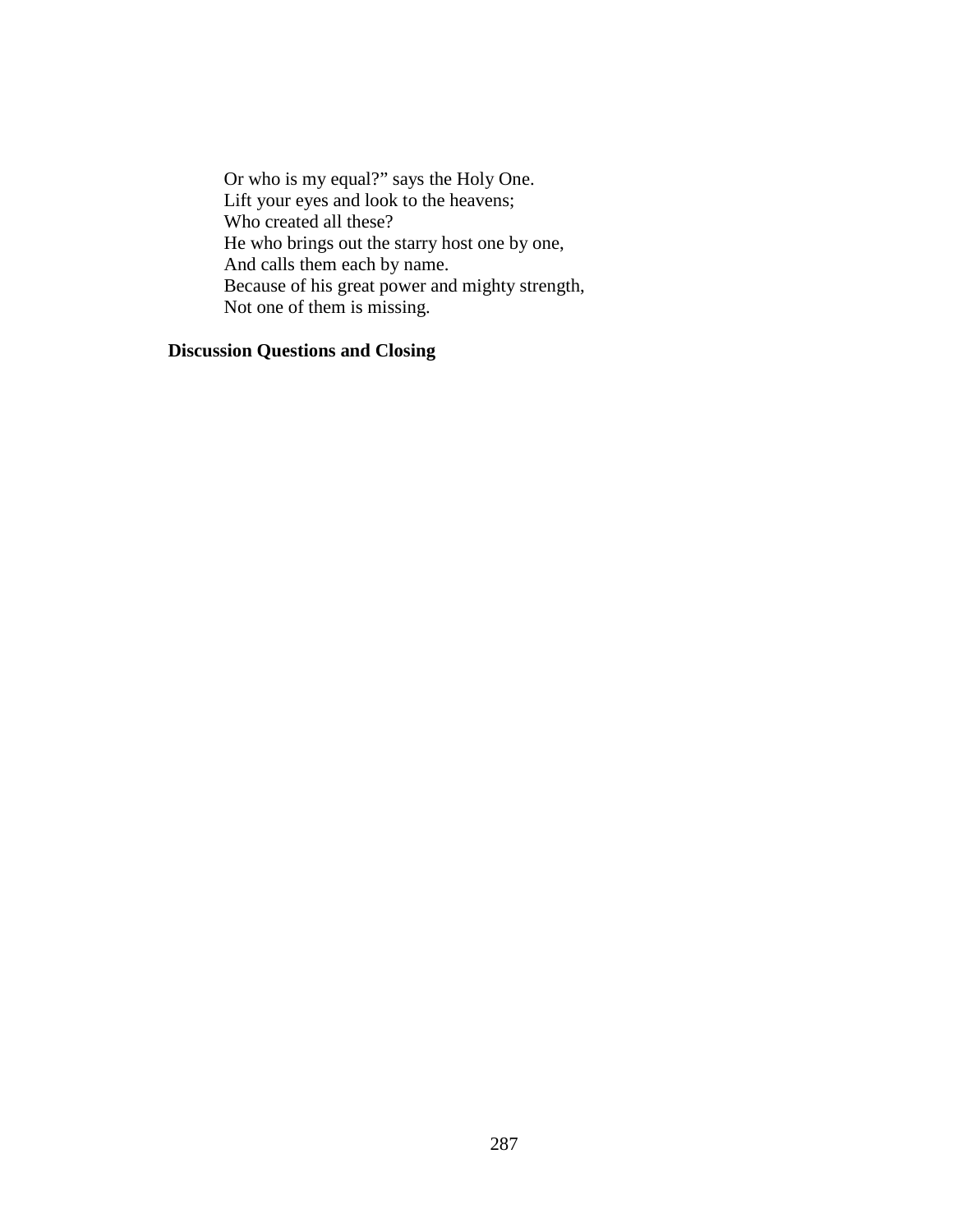Or who is my equal?" says the Holy One. Lift your eyes and look to the heavens; Who created all these? He who brings out the starry host one by one, And calls them each by name. Because of his great power and mighty strength, Not one of them is missing.

## **Discussion Questions and Closing**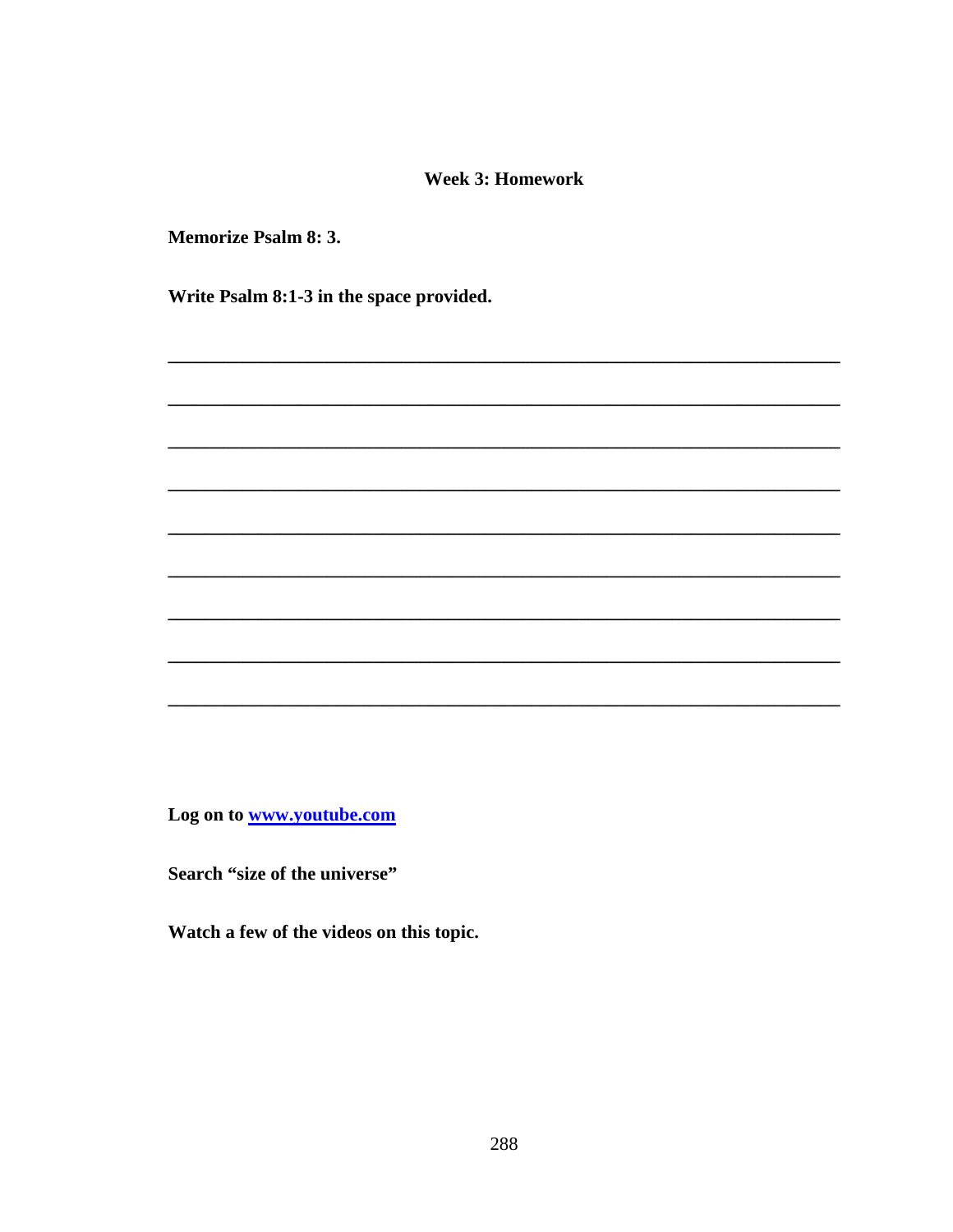#### **Week 3: Homework**

**Memorize Psalm 8: 3.** 

Write Psalm 8:1-3 in the space provided.

Log on to www.youtube.com

Search "size of the universe"

Watch a few of the videos on this topic.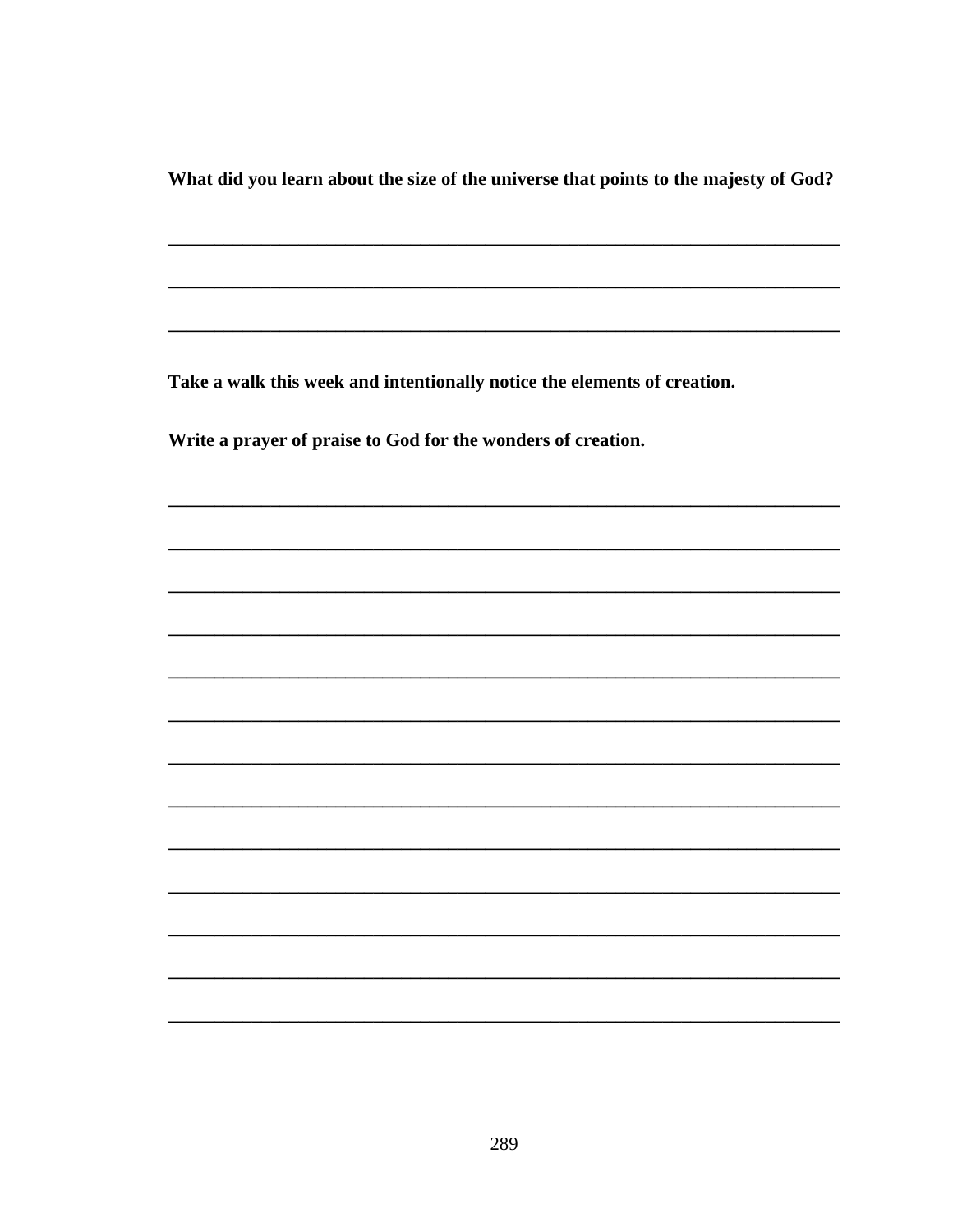What did you learn about the size of the universe that points to the majesty of God?

Take a walk this week and intentionally notice the elements of creation.

Write a prayer of praise to God for the wonders of creation.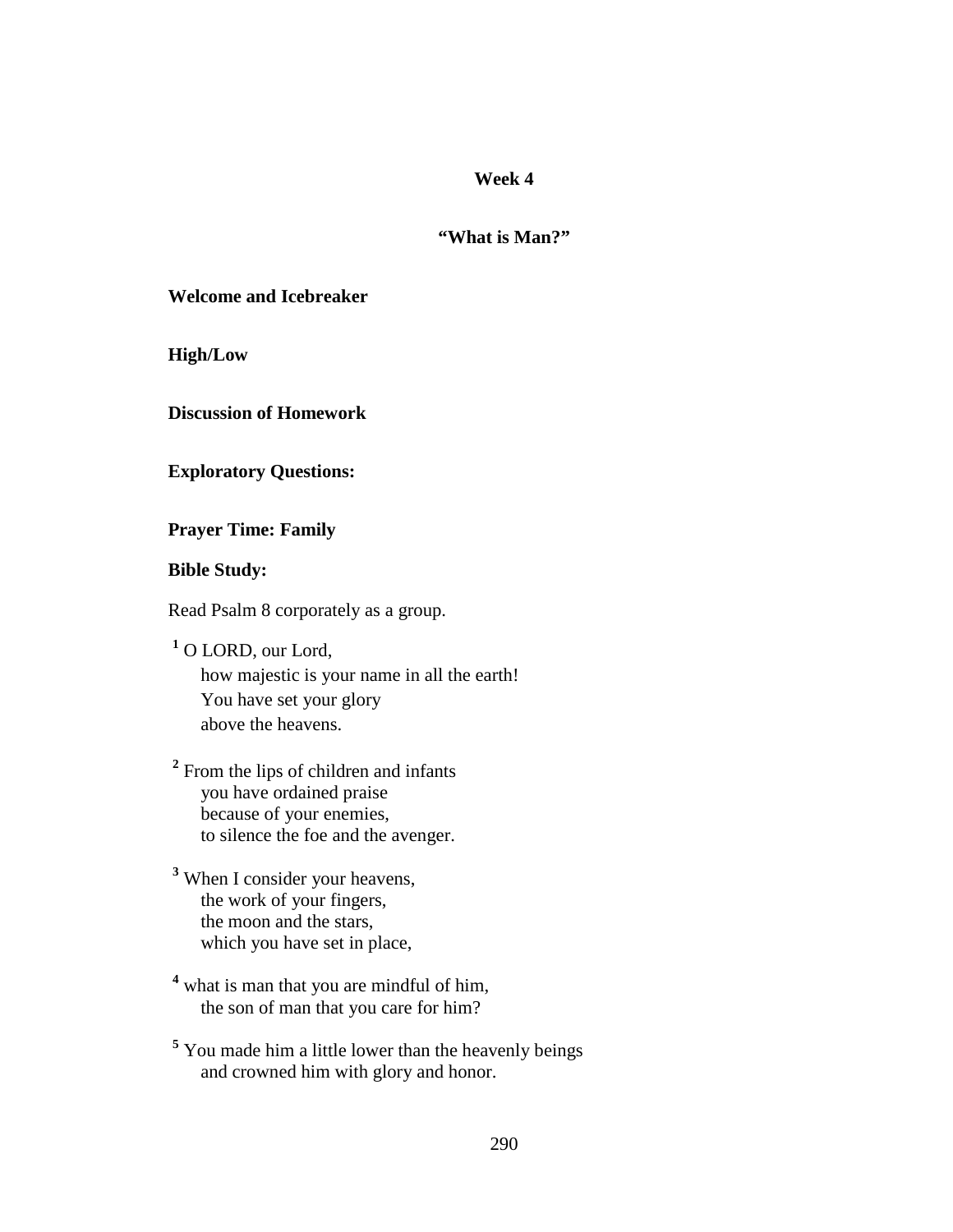#### **"What is Man?"**

**Welcome and Icebreaker** 

**High/Low** 

**Discussion of Homework** 

**Exploratory Questions:** 

**Prayer Time: Family** 

## **Bible Study:**

Read Psalm 8 corporately as a group.

**1** O LORD, our Lord, how majestic is your name in all the earth! You have set your glory above the heavens.

<sup>2</sup> From the lips of children and infants you have ordained praise because of your enemies, to silence the foe and the avenger.

**3** When I consider your heavens, the work of your fingers, the moon and the stars, which you have set in place,

<sup>4</sup> what is man that you are mindful of him, the son of man that you care for him?

<sup>5</sup> You made him a little lower than the heavenly beings and crowned him with glory and honor.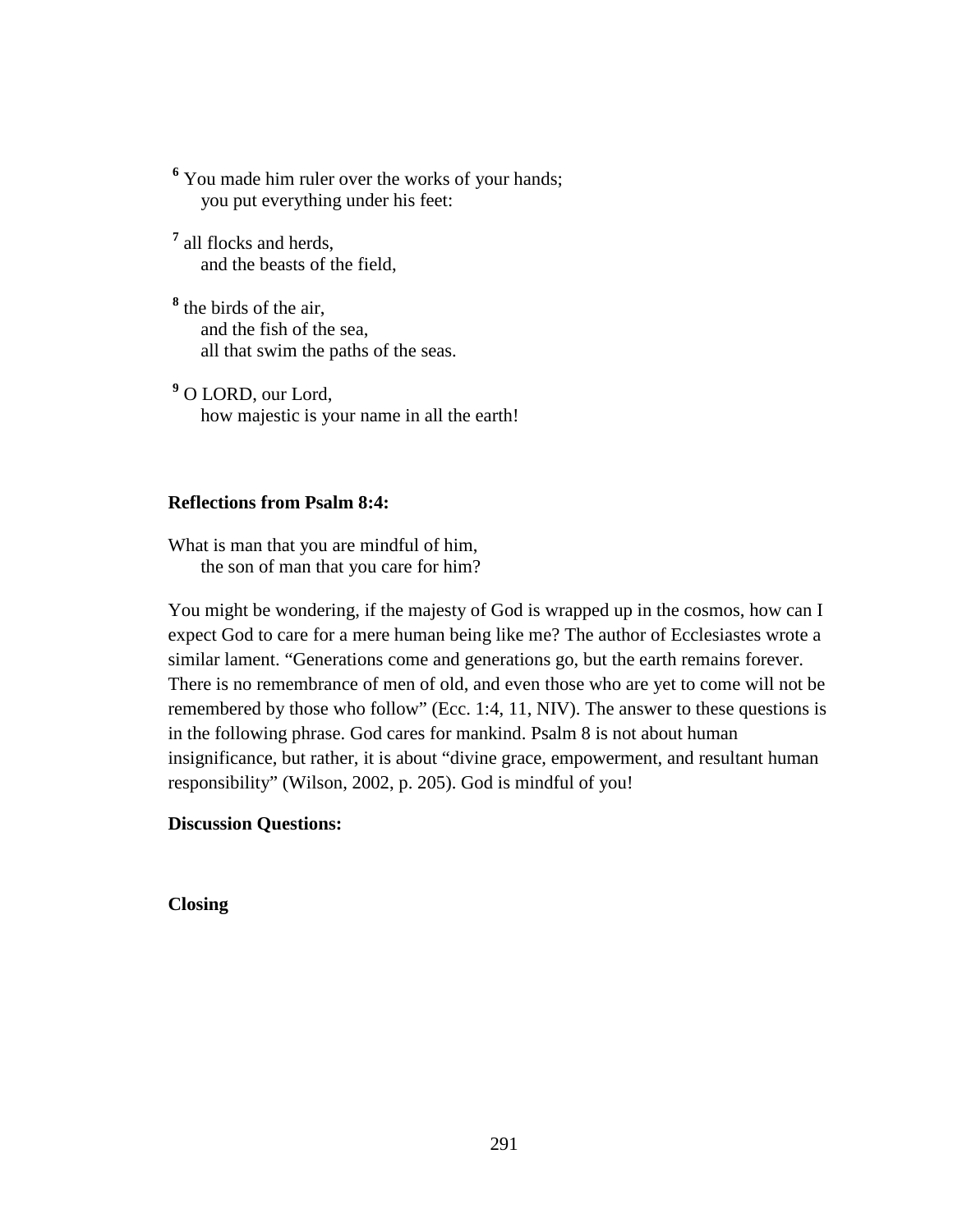<sup>6</sup> You made him ruler over the works of your hands; you put everything under his feet:

**7** all flocks and herds, and the beasts of the field,

**8** the birds of the air, and the fish of the sea, all that swim the paths of the seas.

**9** O LORD, our Lord, how majestic is your name in all the earth!

#### **Reflections from Psalm 8:4:**

What is man that you are mindful of him, the son of man that you care for him?

You might be wondering, if the majesty of God is wrapped up in the cosmos, how can I expect God to care for a mere human being like me? The author of Ecclesiastes wrote a similar lament. "Generations come and generations go, but the earth remains forever. There is no remembrance of men of old, and even those who are yet to come will not be remembered by those who follow" (Ecc. 1:4, 11, NIV). The answer to these questions is in the following phrase. God cares for mankind. Psalm 8 is not about human insignificance, but rather, it is about "divine grace, empowerment, and resultant human responsibility" (Wilson, 2002, p. 205). God is mindful of you!

#### **Discussion Questions:**

**Closing**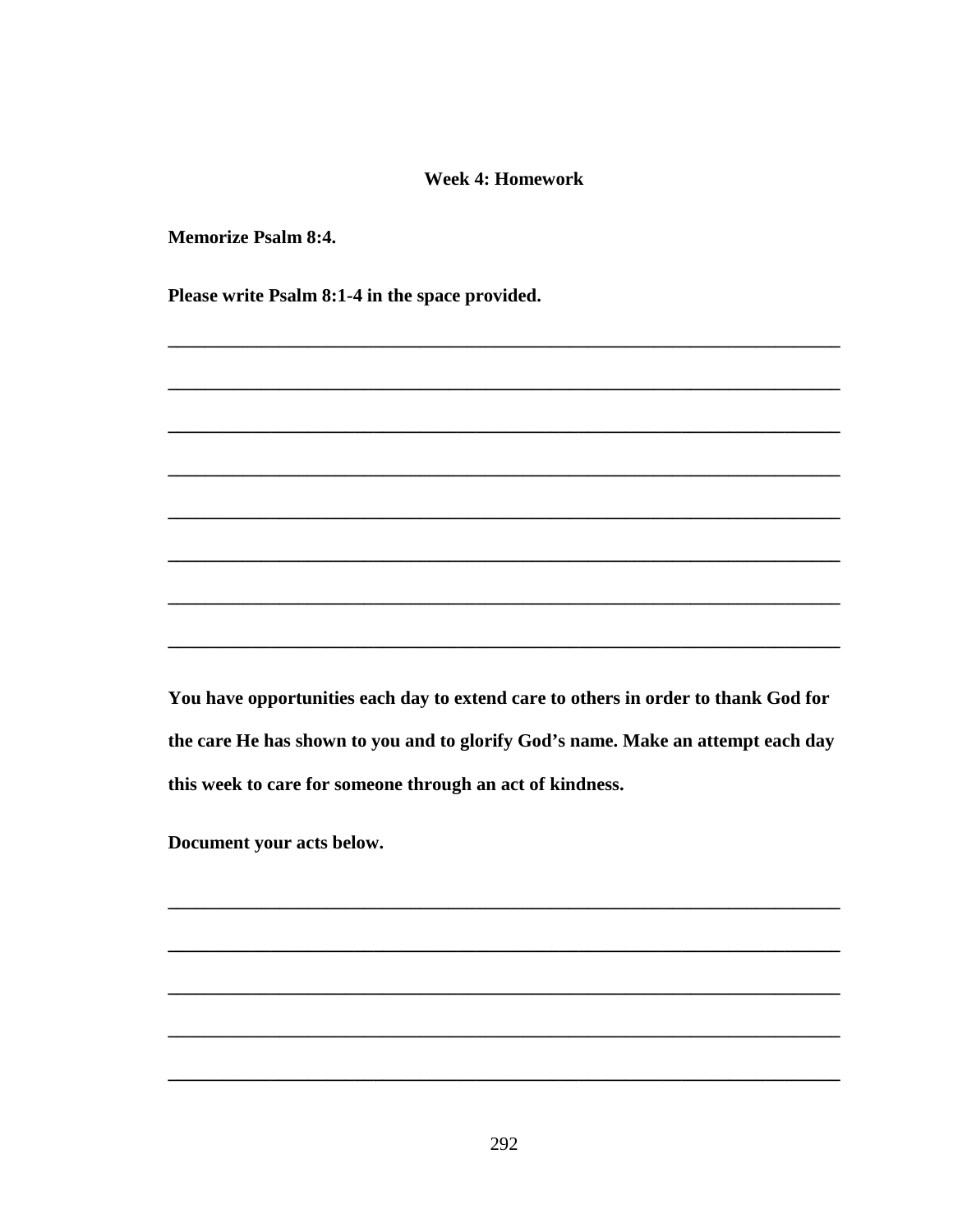#### **Week 4: Homework**

**Memorize Psalm 8:4.** 

Please write Psalm 8:1-4 in the space provided.

You have opportunities each day to extend care to others in order to thank God for the care He has shown to you and to glorify God's name. Make an attempt each day this week to care for someone through an act of kindness.

Document your acts below.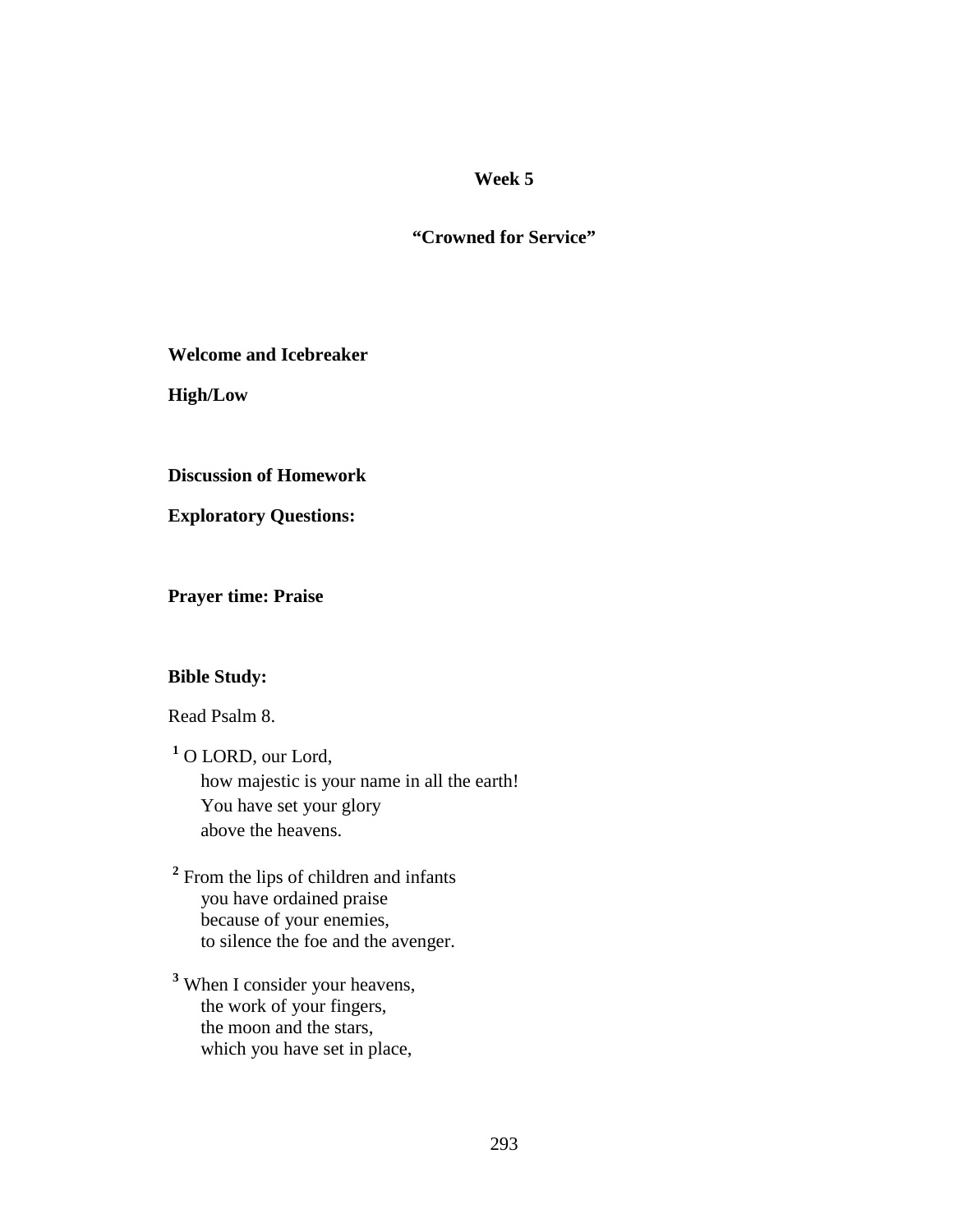## **"Crowned for Service"**

**Welcome and Icebreaker** 

**High/Low** 

**Discussion of Homework** 

**Exploratory Questions:** 

**Prayer time: Praise** 

## **Bible Study:**

Read Psalm 8.

**1** O LORD, our Lord, how majestic is your name in all the earth! You have set your glory above the heavens.

<sup>2</sup> From the lips of children and infants you have ordained praise because of your enemies, to silence the foe and the avenger.

**3** When I consider your heavens, the work of your fingers, the moon and the stars, which you have set in place,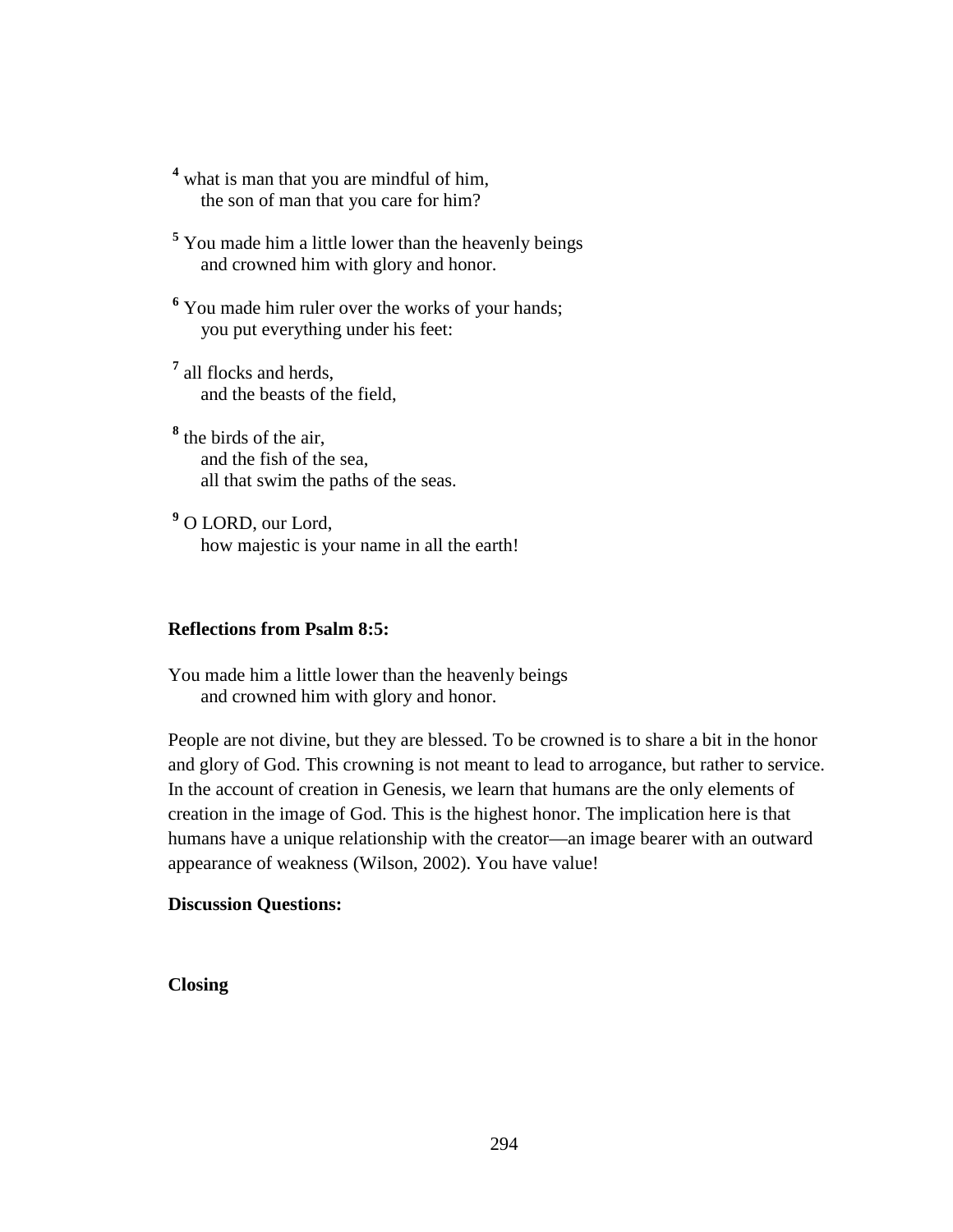- <sup>4</sup> what is man that you are mindful of him, the son of man that you care for him?
- <sup>5</sup> You made him a little lower than the heavenly beings and crowned him with glory and honor.
- <sup>6</sup> You made him ruler over the works of your hands; you put everything under his feet:
- **7** all flocks and herds, and the beasts of the field,
- **8** the birds of the air, and the fish of the sea, all that swim the paths of the seas.
- **9** O LORD, our Lord, how majestic is your name in all the earth!

#### **Reflections from Psalm 8:5:**

You made him a little lower than the heavenly beings and crowned him with glory and honor.

People are not divine, but they are blessed. To be crowned is to share a bit in the honor and glory of God. This crowning is not meant to lead to arrogance, but rather to service. In the account of creation in Genesis, we learn that humans are the only elements of creation in the image of God. This is the highest honor. The implication here is that humans have a unique relationship with the creator—an image bearer with an outward appearance of weakness (Wilson, 2002). You have value!

#### **Discussion Questions:**

**Closing**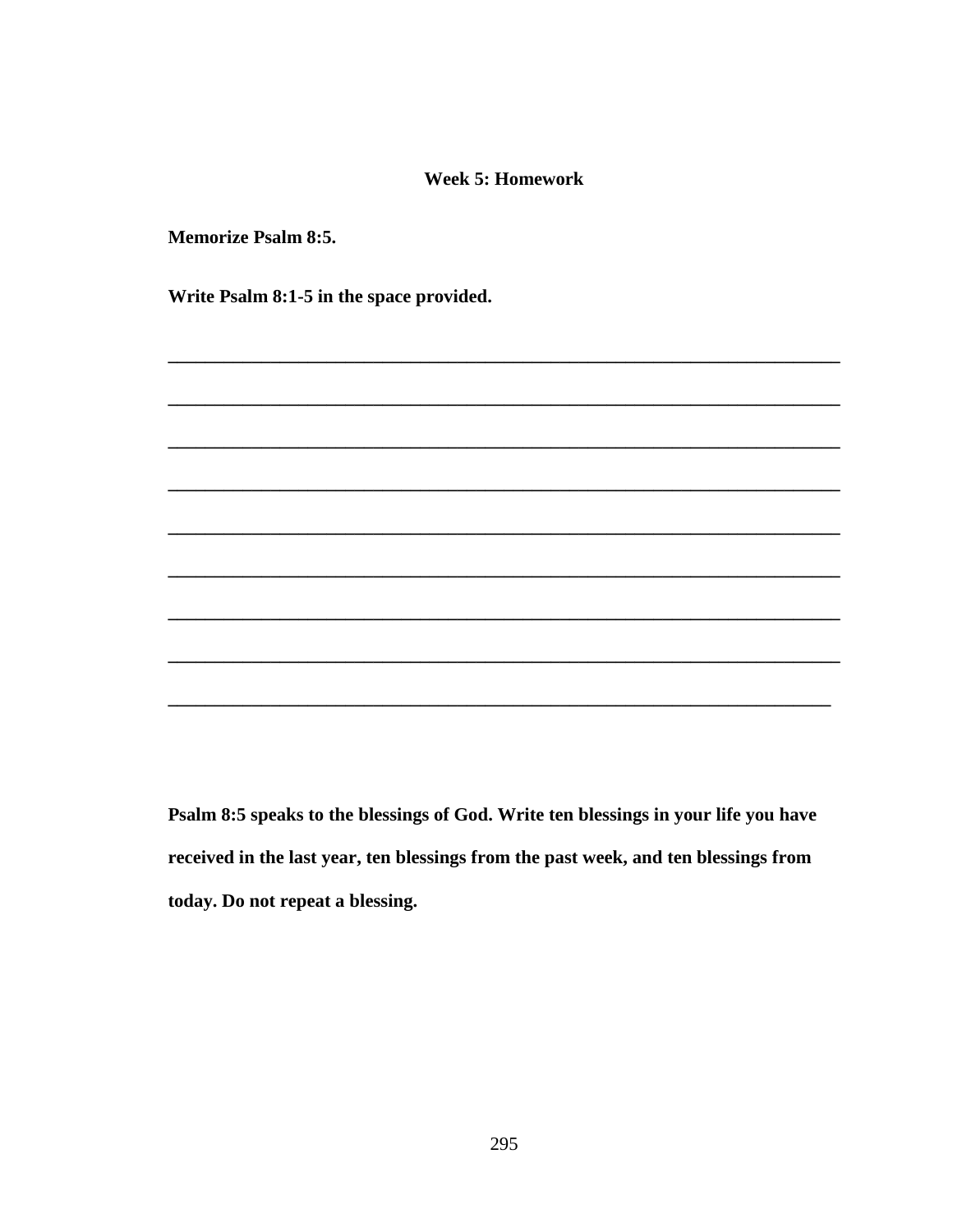#### **Week 5: Homework**

**Memorize Psalm 8:5.** 

Write Psalm 8:1-5 in the space provided.

Psalm 8:5 speaks to the blessings of God. Write ten blessings in your life you have received in the last year, ten blessings from the past week, and ten blessings from today. Do not repeat a blessing.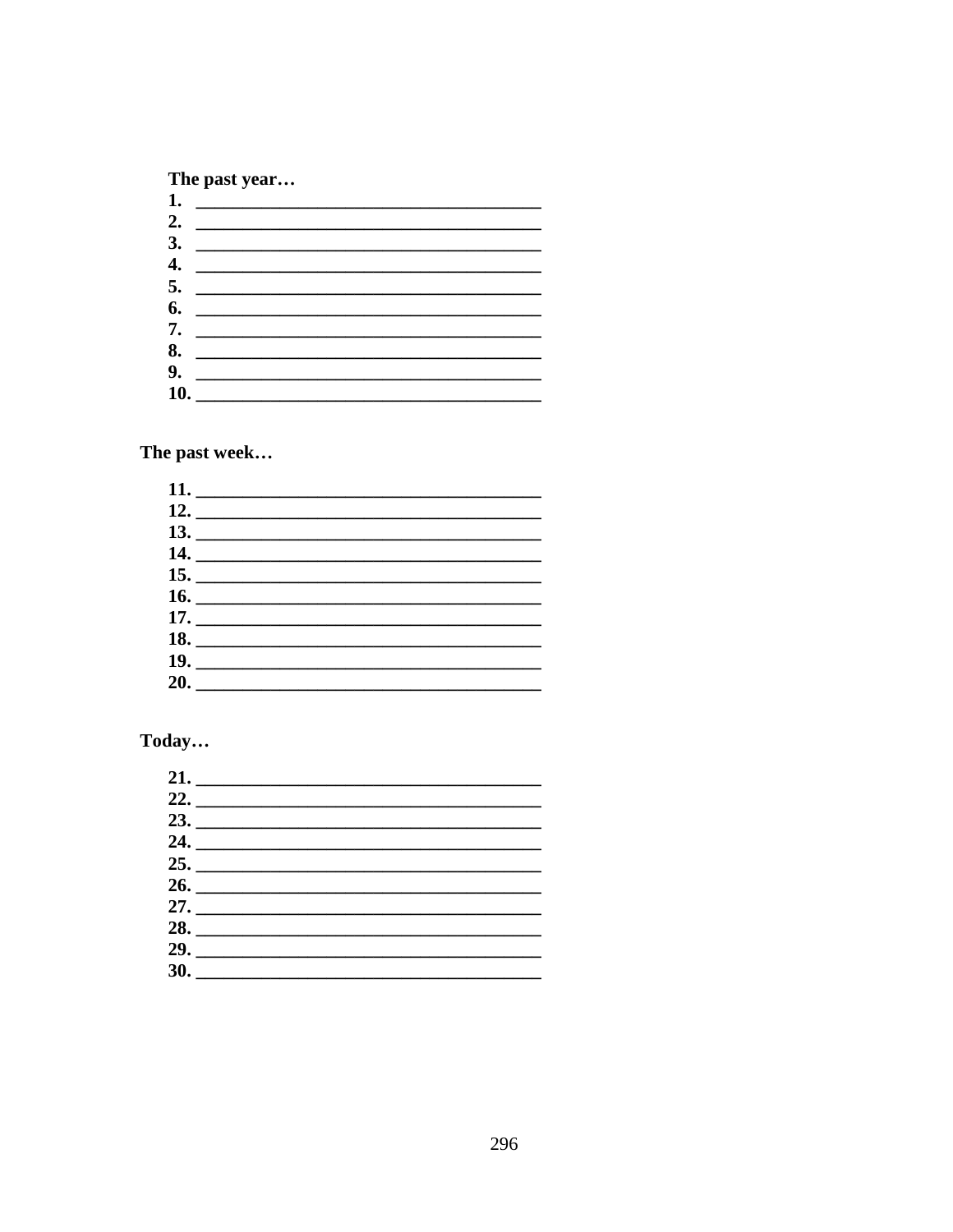## The past year...

| 2. $\qquad \qquad$ |  |  |
|--------------------|--|--|
|                    |  |  |
|                    |  |  |
| 4. $\qquad \qquad$ |  |  |
| 5.                 |  |  |
|                    |  |  |
| 7. $\qquad \qquad$ |  |  |
| 8.                 |  |  |
|                    |  |  |
|                    |  |  |
| 10.                |  |  |

The past week...

| 18. |  |  |
|-----|--|--|
|     |  |  |
|     |  |  |
|     |  |  |

# Today...

| 24.                 |  |  |
|---------------------|--|--|
|                     |  |  |
|                     |  |  |
|                     |  |  |
| 28. $\qquad \qquad$ |  |  |
|                     |  |  |
|                     |  |  |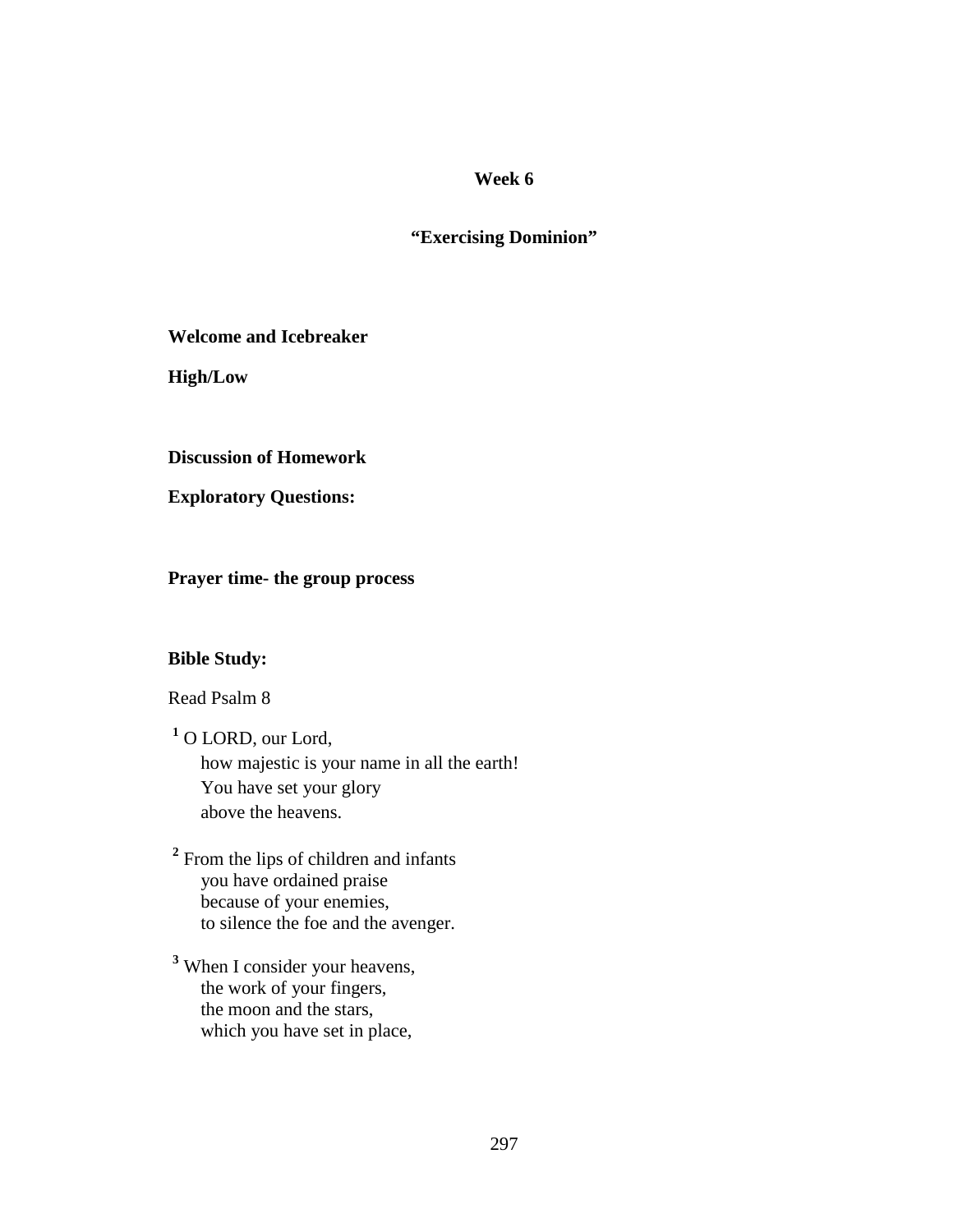# **"Exercising Dominion"**

**Welcome and Icebreaker** 

**High/Low** 

**Discussion of Homework** 

**Exploratory Questions:** 

**Prayer time- the group process** 

## **Bible Study:**

Read Psalm 8

**1** O LORD, our Lord, how majestic is your name in all the earth! You have set your glory above the heavens.

<sup>2</sup> From the lips of children and infants you have ordained praise because of your enemies, to silence the foe and the avenger.

**3** When I consider your heavens, the work of your fingers, the moon and the stars, which you have set in place,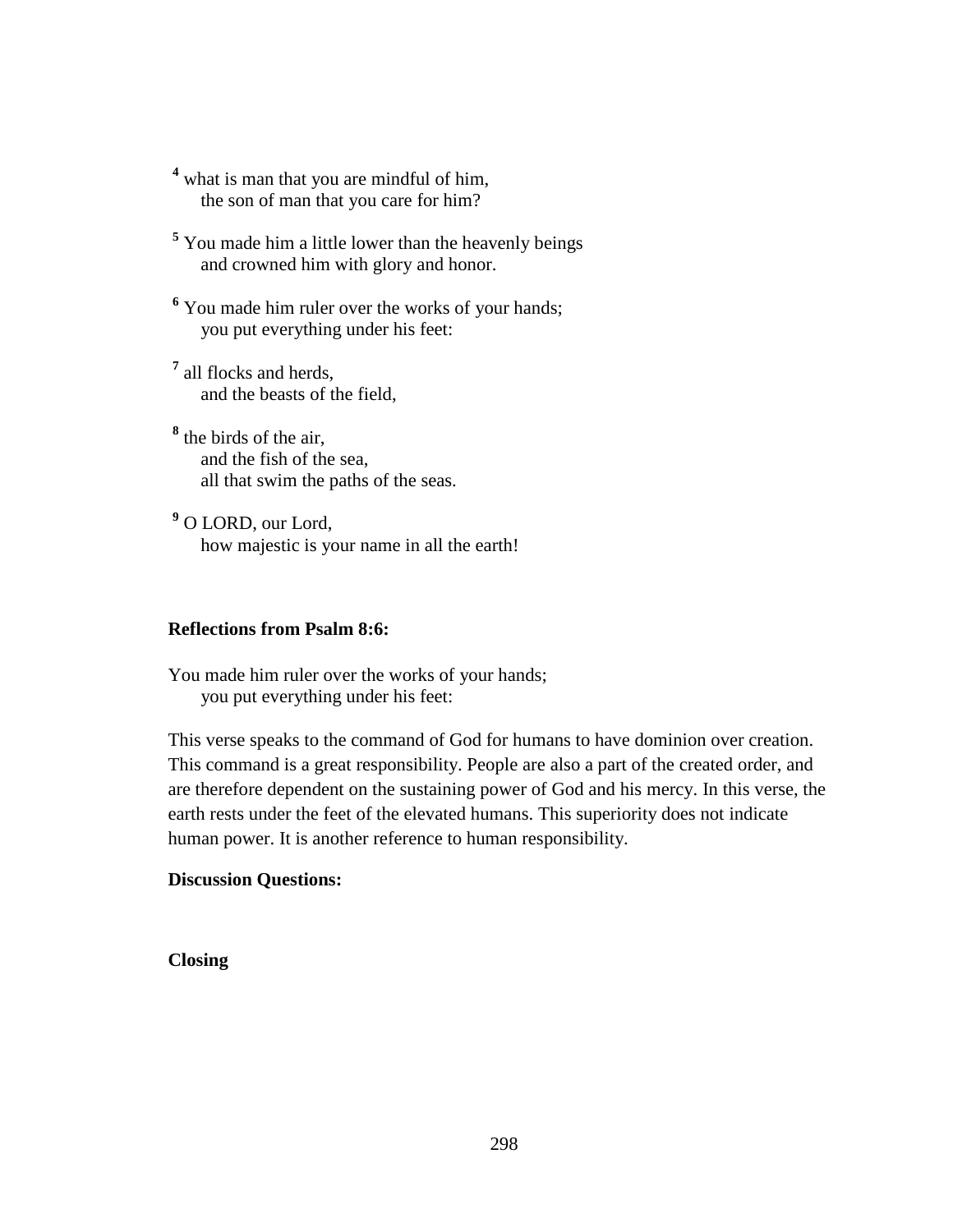- <sup>4</sup> what is man that you are mindful of him, the son of man that you care for him?
- <sup>5</sup> You made him a little lower than the heavenly beings and crowned him with glory and honor.
- <sup>6</sup> You made him ruler over the works of your hands; you put everything under his feet:
- **7** all flocks and herds, and the beasts of the field,
- **8** the birds of the air, and the fish of the sea, all that swim the paths of the seas.
- **9** O LORD, our Lord, how majestic is your name in all the earth!

#### **Reflections from Psalm 8:6:**

You made him ruler over the works of your hands; you put everything under his feet:

This verse speaks to the command of God for humans to have dominion over creation. This command is a great responsibility. People are also a part of the created order, and are therefore dependent on the sustaining power of God and his mercy. In this verse, the earth rests under the feet of the elevated humans. This superiority does not indicate human power. It is another reference to human responsibility.

## **Discussion Questions:**

#### **Closing**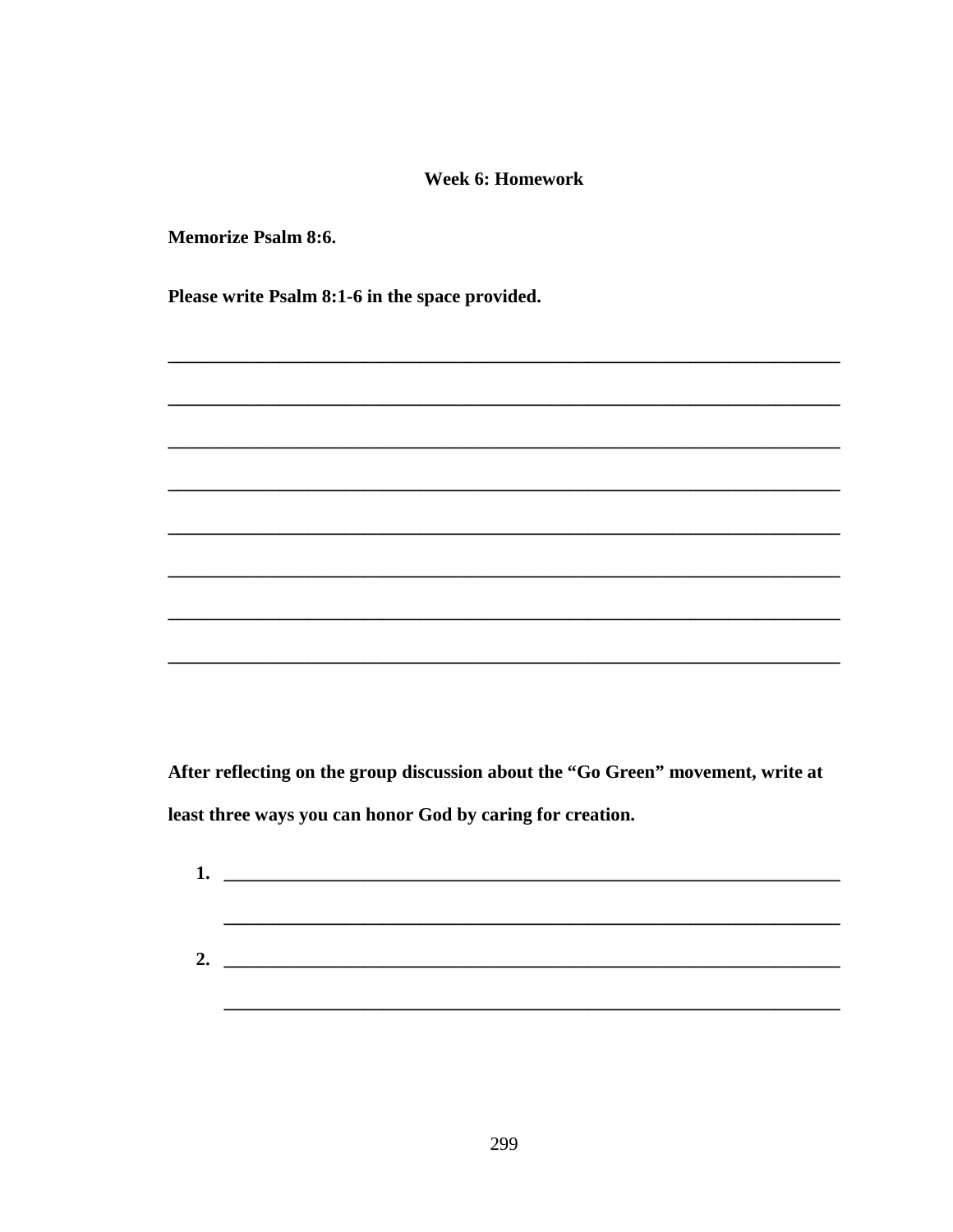#### **Week 6: Homework**

**Memorize Psalm 8:6.** 

Please write Psalm 8:1-6 in the space provided.

After reflecting on the group discussion about the "Go Green" movement, write at least three ways you can honor God by caring for creation.

| 1. |  |  |
|----|--|--|
|    |  |  |
|    |  |  |
|    |  |  |
| 2. |  |  |
|    |  |  |
|    |  |  |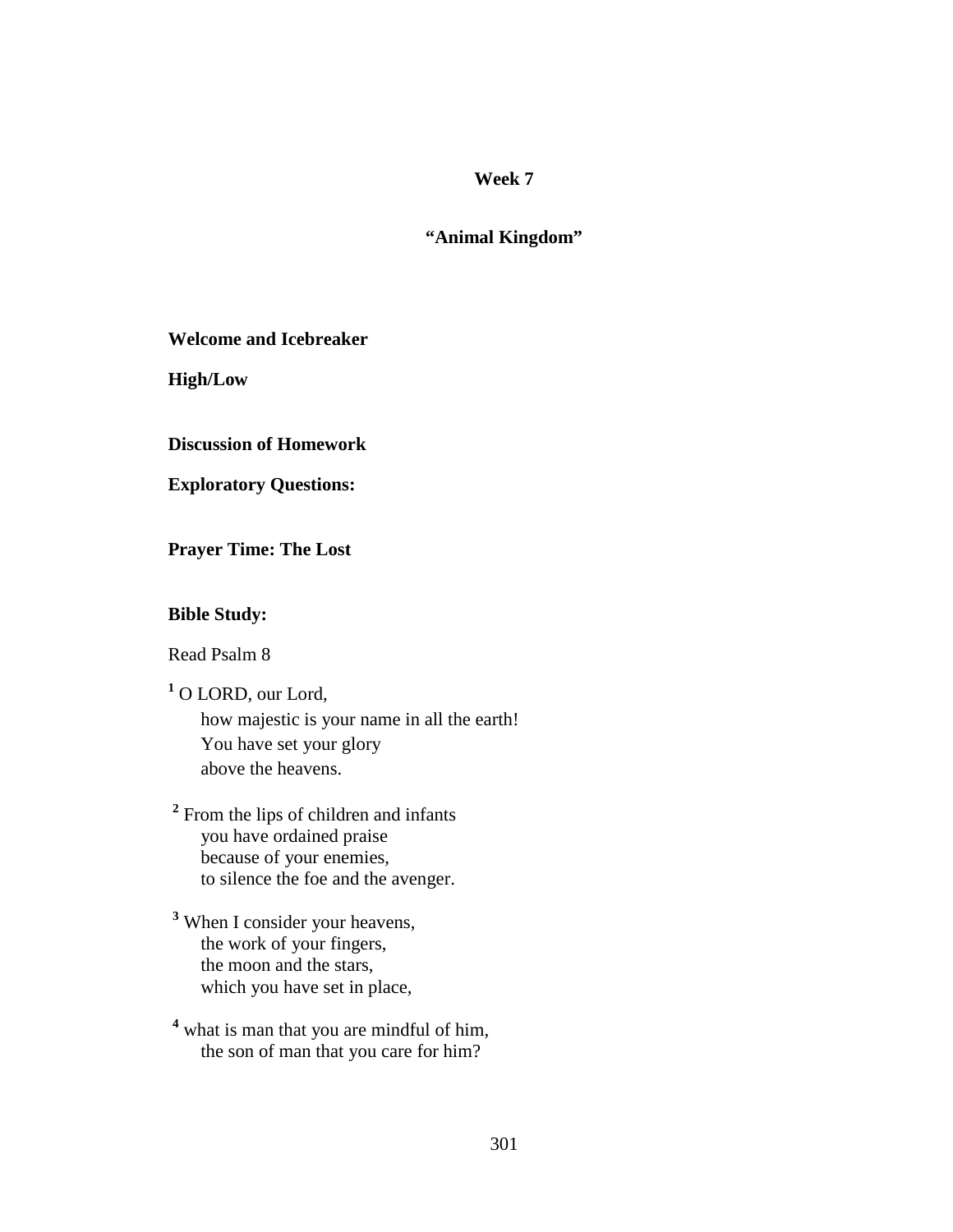## **"Animal Kingdom"**

**Welcome and Icebreaker** 

**High/Low** 

**Discussion of Homework** 

**Exploratory Questions:** 

**Prayer Time: The Lost** 

#### **Bible Study:**

Read Psalm 8

**1** O LORD, our Lord,

 how majestic is your name in all the earth! You have set your glory above the heavens.

<sup>2</sup> From the lips of children and infants you have ordained praise because of your enemies, to silence the foe and the avenger.

**3** When I consider your heavens, the work of your fingers, the moon and the stars, which you have set in place,

<sup>4</sup> what is man that you are mindful of him, the son of man that you care for him?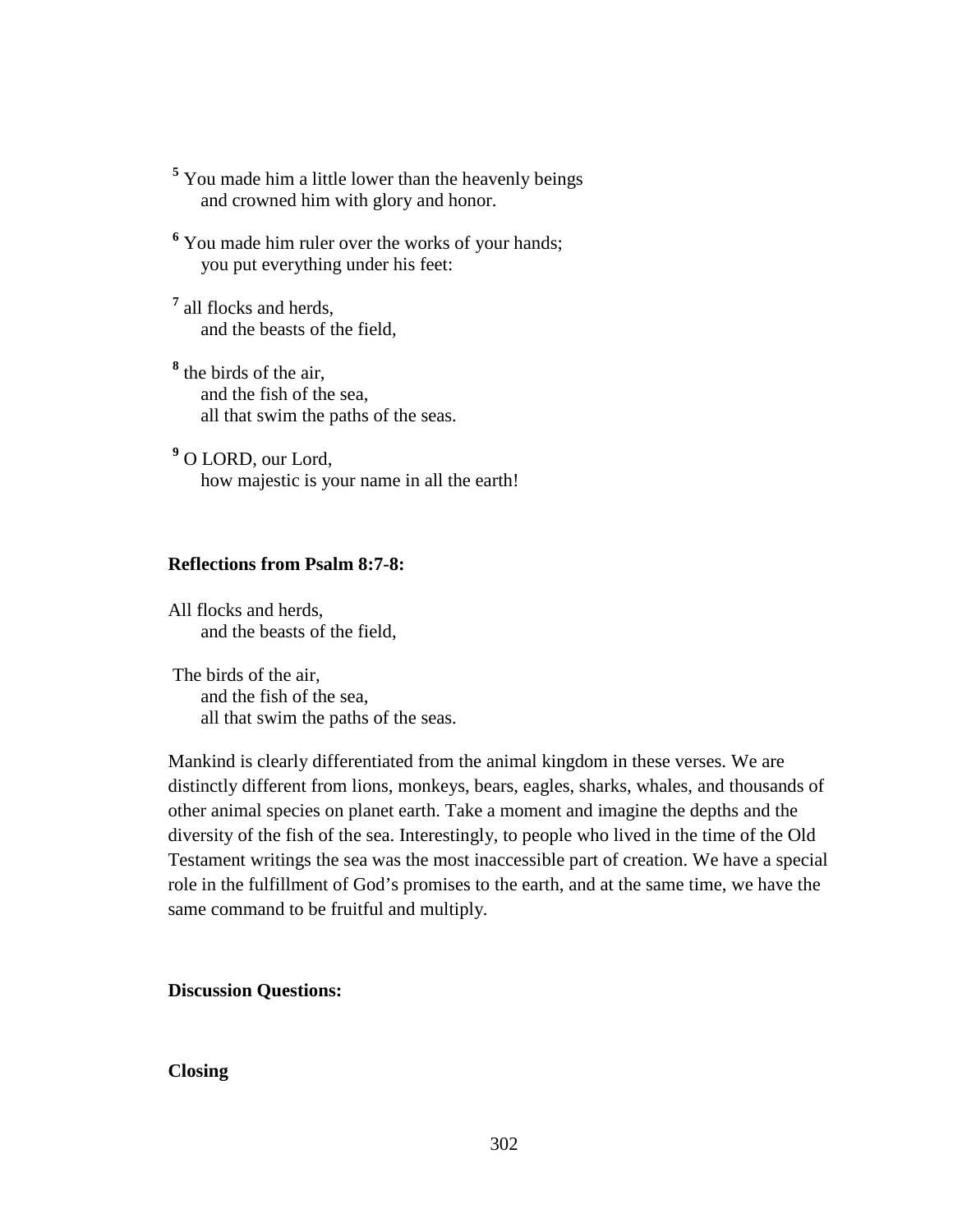- <sup>5</sup> You made him a little lower than the heavenly beings and crowned him with glory and honor.
- <sup>6</sup> You made him ruler over the works of your hands; you put everything under his feet:
- **7** all flocks and herds, and the beasts of the field,
- **8** the birds of the air, and the fish of the sea, all that swim the paths of the seas.
- **9** O LORD, our Lord, how majestic is your name in all the earth!

## **Reflections from Psalm 8:7-8:**

All flocks and herds, and the beasts of the field,

 The birds of the air, and the fish of the sea, all that swim the paths of the seas.

Mankind is clearly differentiated from the animal kingdom in these verses. We are distinctly different from lions, monkeys, bears, eagles, sharks, whales, and thousands of other animal species on planet earth. Take a moment and imagine the depths and the diversity of the fish of the sea. Interestingly, to people who lived in the time of the Old Testament writings the sea was the most inaccessible part of creation. We have a special role in the fulfillment of God's promises to the earth, and at the same time, we have the same command to be fruitful and multiply.

**Discussion Questions:** 

#### **Closing**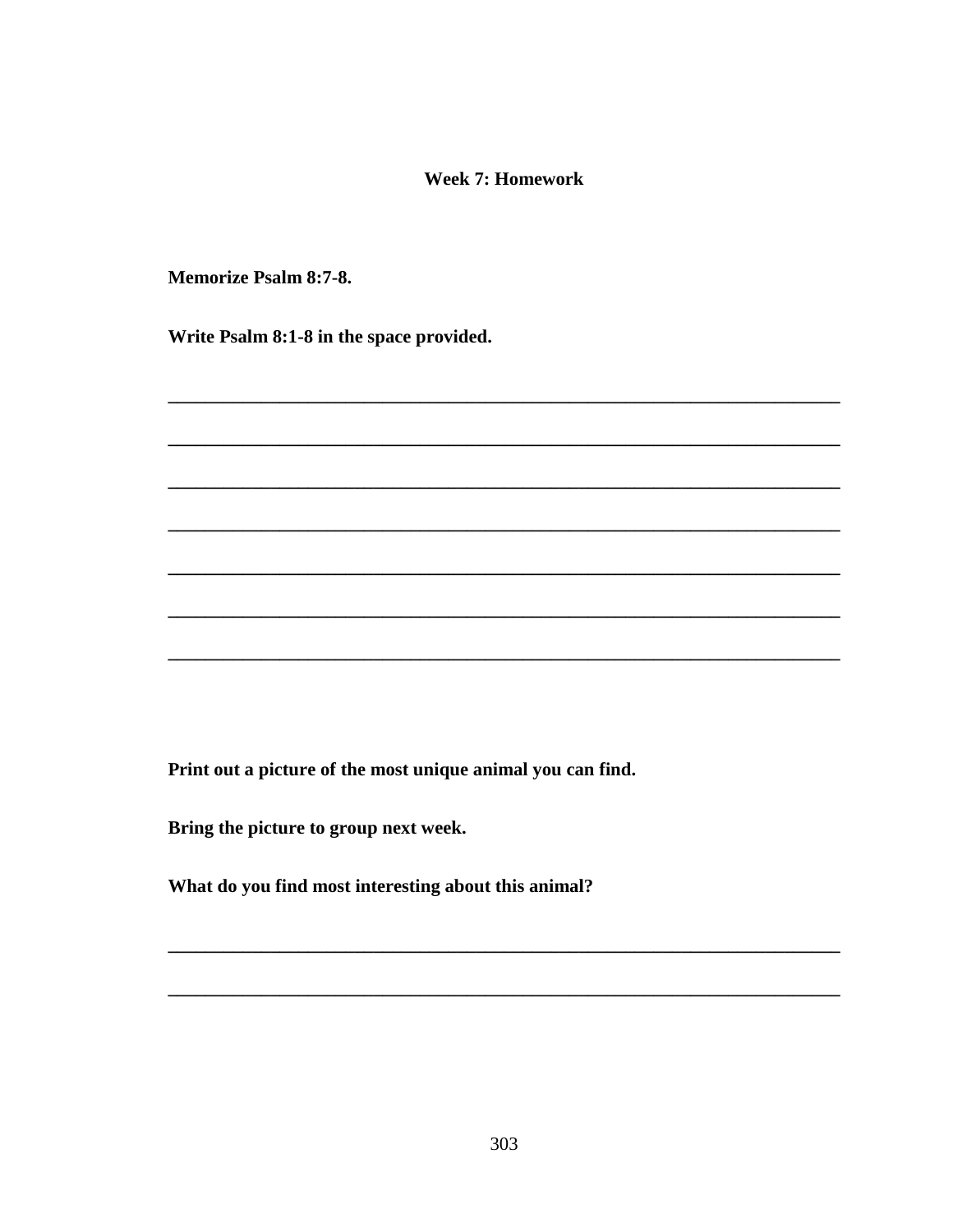#### **Week 7: Homework**

**Memorize Psalm 8:7-8.** 

Write Psalm 8:1-8 in the space provided.

Print out a picture of the most unique animal you can find.

Bring the picture to group next week.

What do you find most interesting about this animal?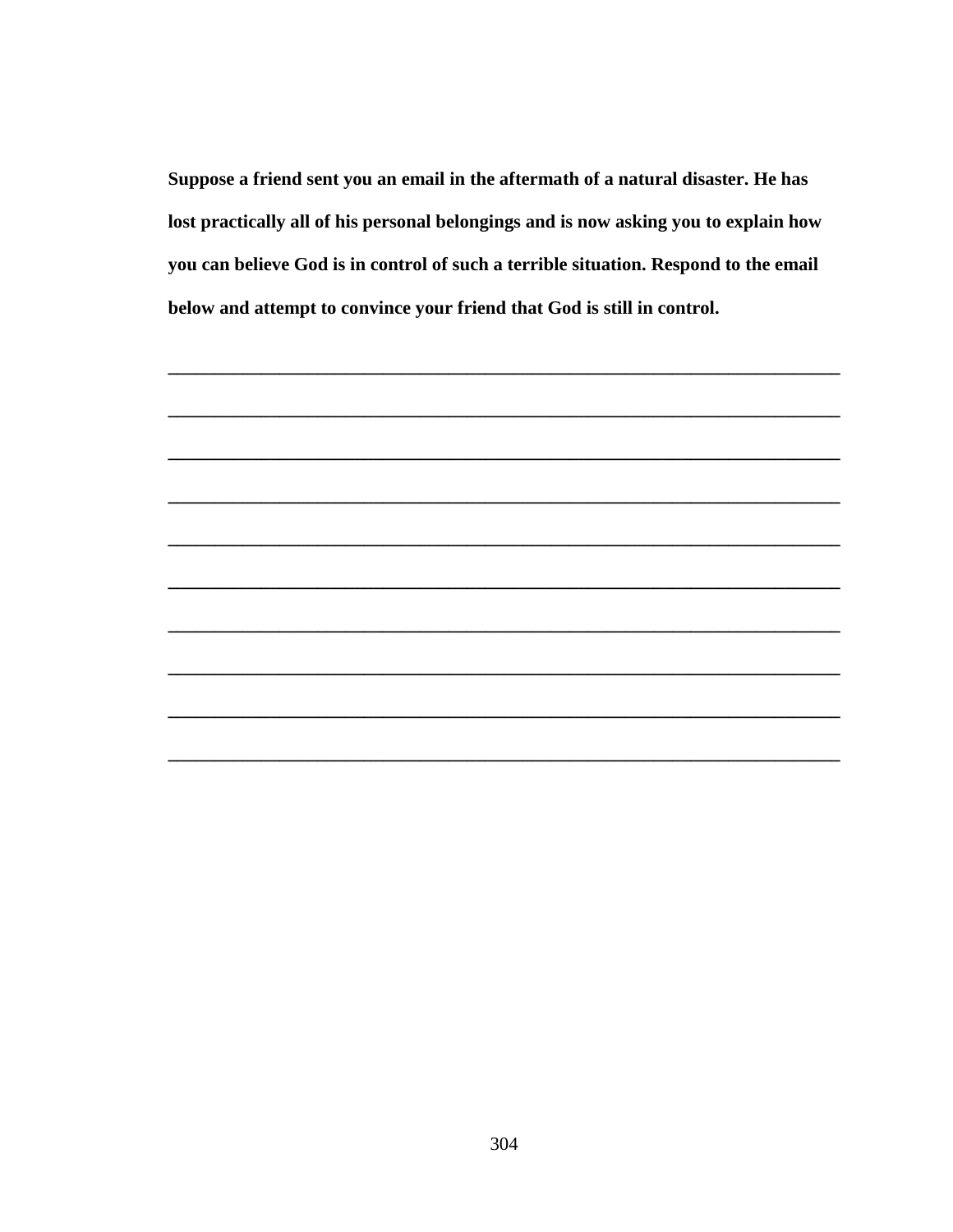Suppose a friend sent you an email in the aftermath of a natural disaster. He has lost practically all of his personal belongings and is now asking you to explain how you can believe God is in control of such a terrible situation. Respond to the email below and attempt to convince your friend that God is still in control.

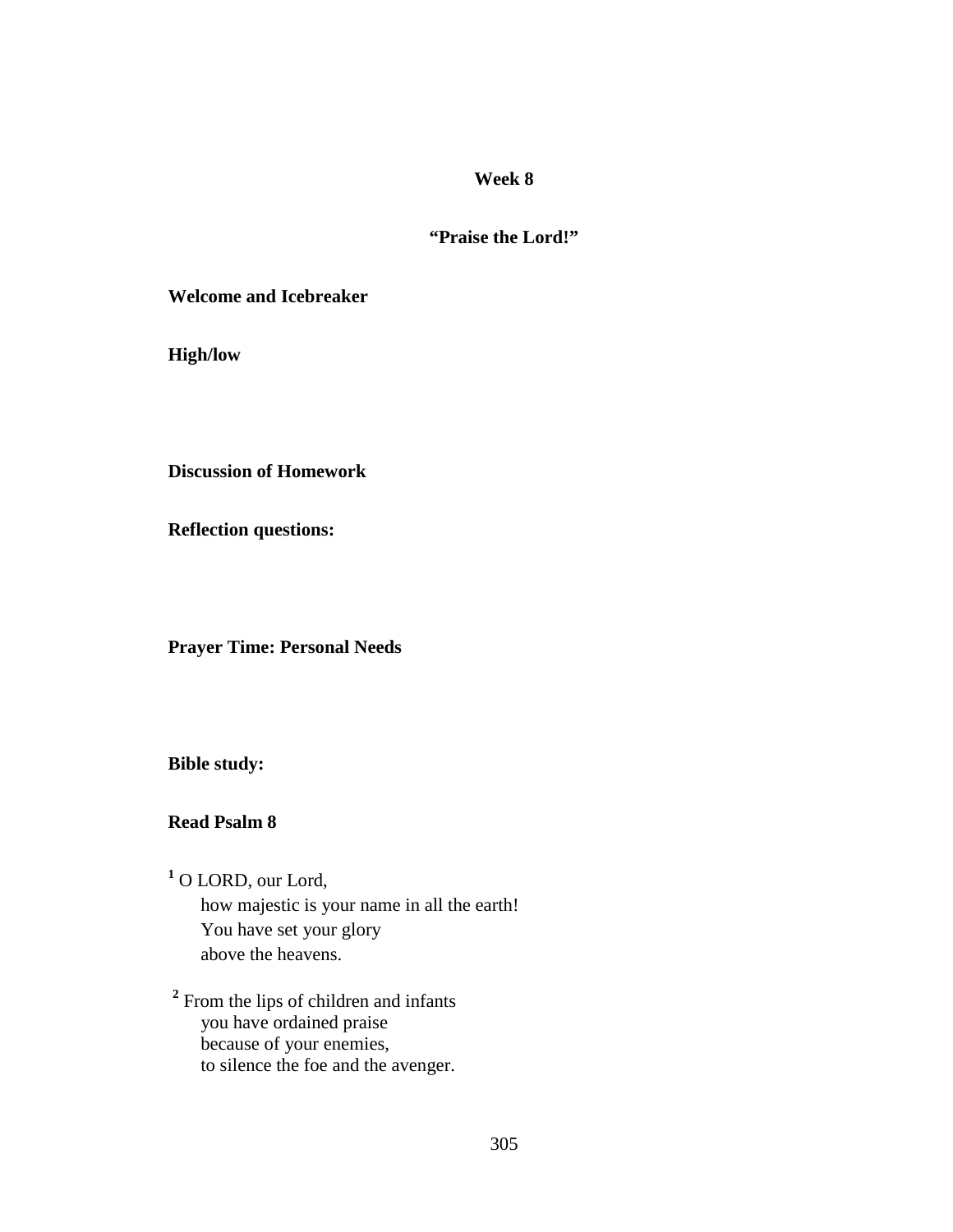## **"Praise the Lord!"**

**Welcome and Icebreaker** 

**High/low** 

**Discussion of Homework** 

**Reflection questions:** 

**Prayer Time: Personal Needs** 

**Bible study:** 

**Read Psalm 8** 

**1** O LORD, our Lord, how majestic is your name in all the earth! You have set your glory above the heavens.

<sup>2</sup> From the lips of children and infants you have ordained praise because of your enemies, to silence the foe and the avenger.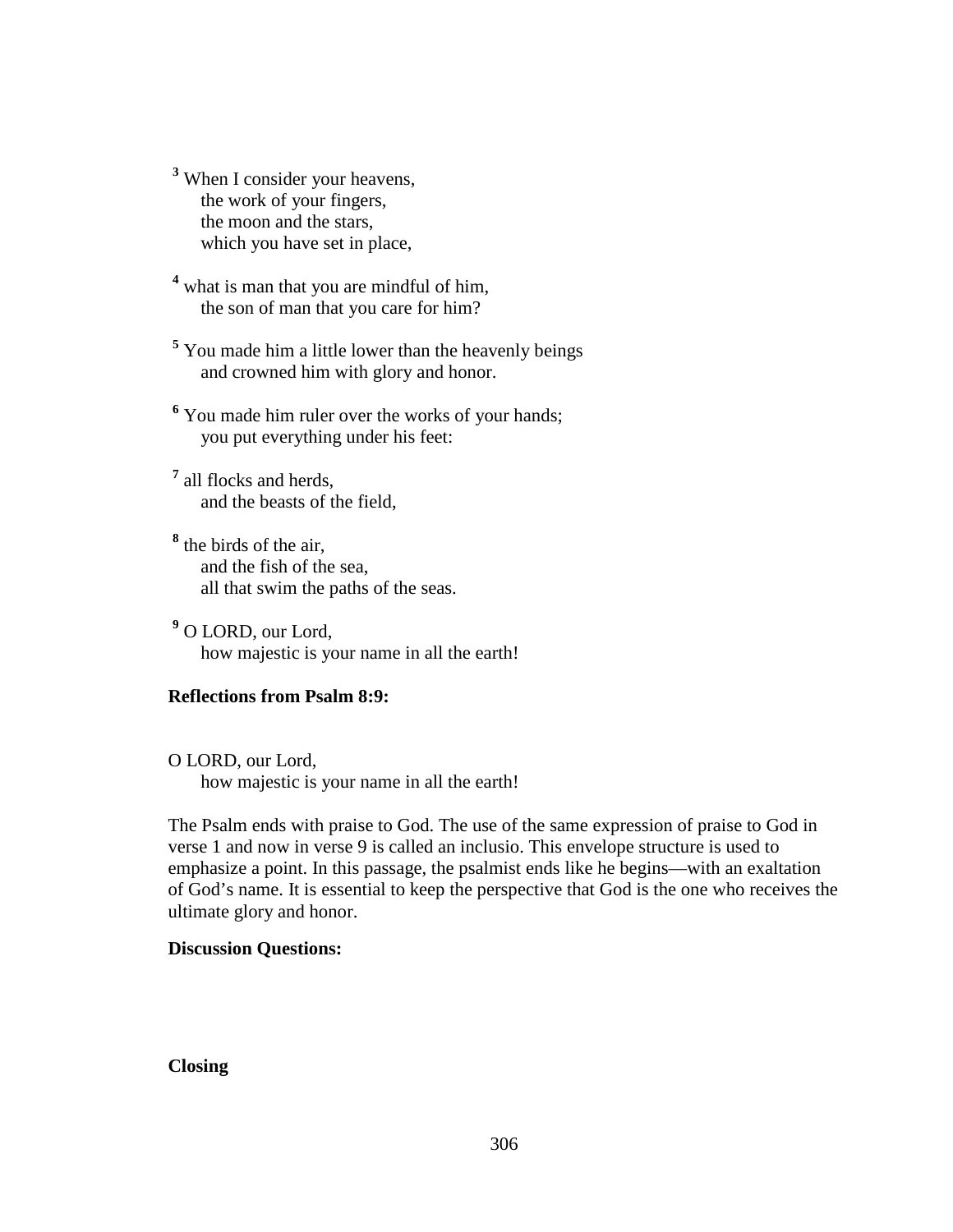**3** When I consider your heavens, the work of your fingers, the moon and the stars, which you have set in place,

<sup>4</sup> what is man that you are mindful of him, the son of man that you care for him?

<sup>5</sup> You made him a little lower than the heavenly beings and crowned him with glory and honor.

<sup>6</sup> You made him ruler over the works of your hands; you put everything under his feet:

**7** all flocks and herds, and the beasts of the field,

**8** the birds of the air, and the fish of the sea, all that swim the paths of the seas.

**9** O LORD, our Lord, how majestic is your name in all the earth!

## **Reflections from Psalm 8:9:**

O LORD, our Lord, how majestic is your name in all the earth!

The Psalm ends with praise to God. The use of the same expression of praise to God in verse 1 and now in verse 9 is called an inclusio. This envelope structure is used to emphasize a point. In this passage, the psalmist ends like he begins—with an exaltation of God's name. It is essential to keep the perspective that God is the one who receives the ultimate glory and honor.

## **Discussion Questions:**

## **Closing**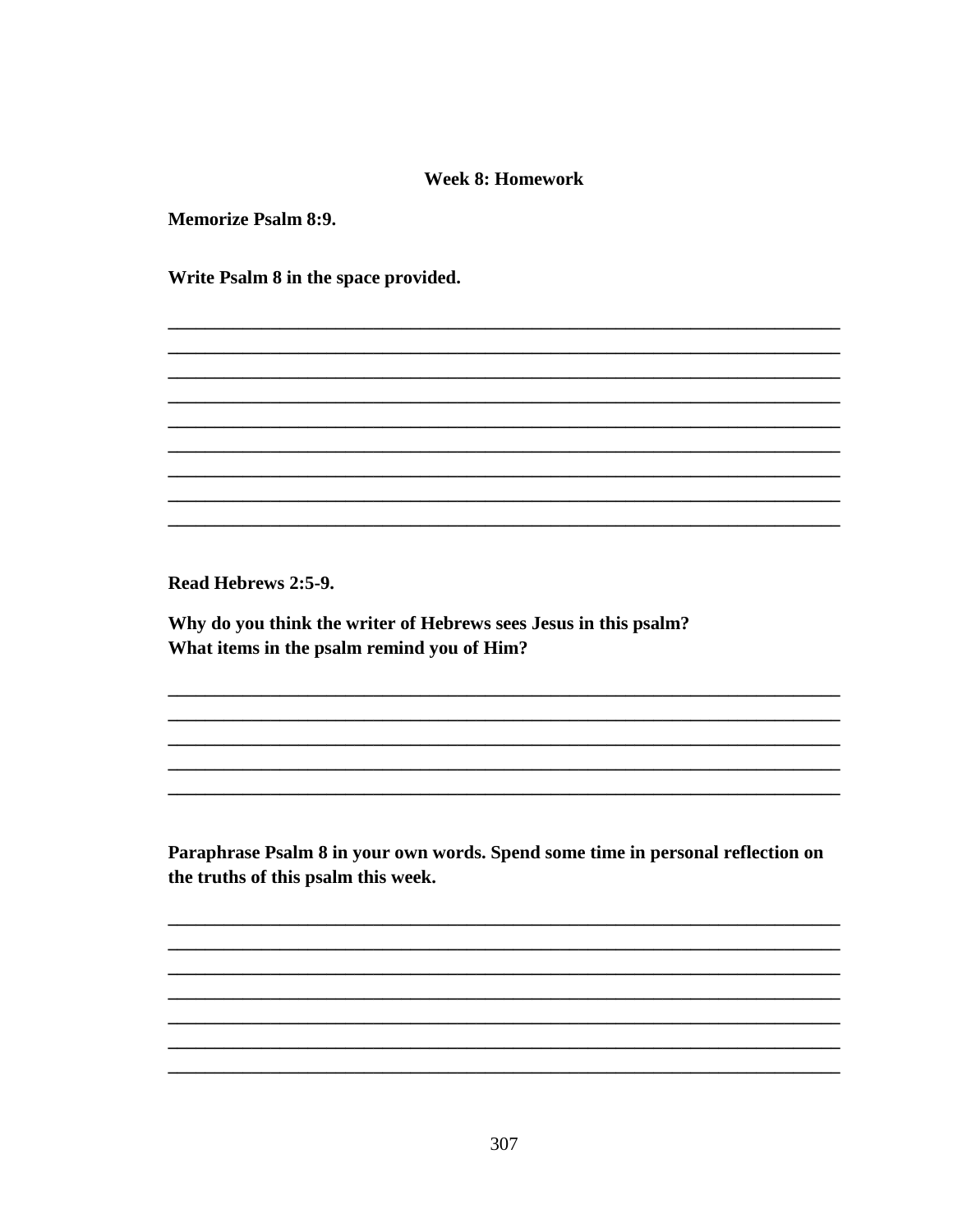### **Week 8: Homework**

**Memorize Psalm 8:9.** 

Write Psalm 8 in the space provided.

Read Hebrews 2:5-9.

Why do you think the writer of Hebrews sees Jesus in this psalm? What items in the psalm remind you of Him?

Paraphrase Psalm 8 in your own words. Spend some time in personal reflection on the truths of this psalm this week.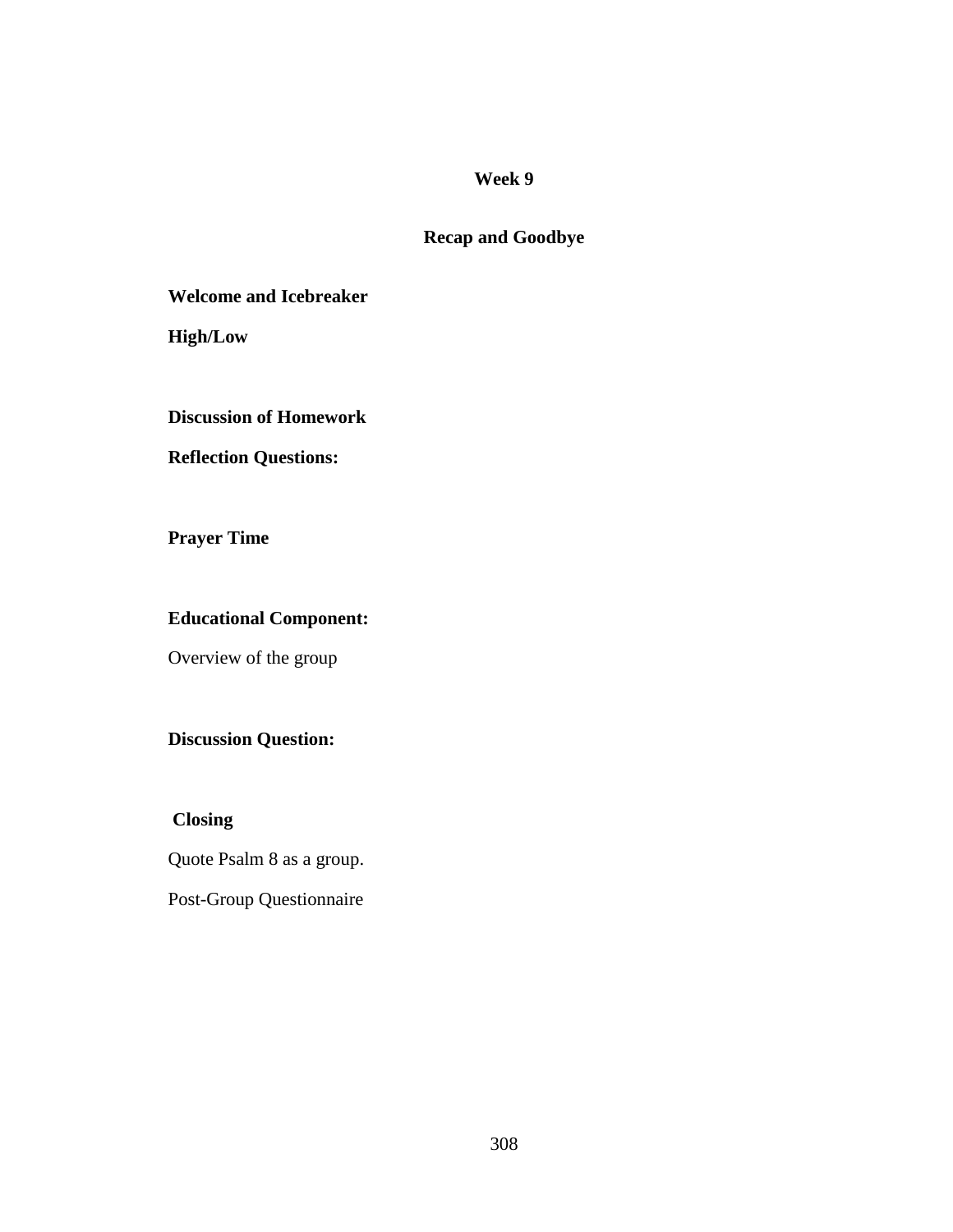## **Recap and Goodbye**

**Welcome and Icebreaker** 

**High/Low** 

## **Discussion of Homework**

## **Reflection Questions:**

**Prayer Time** 

## **Educational Component:**

Overview of the group

## **Discussion Question:**

 **Closing** 

Quote Psalm 8 as a group.

Post-Group Questionnaire